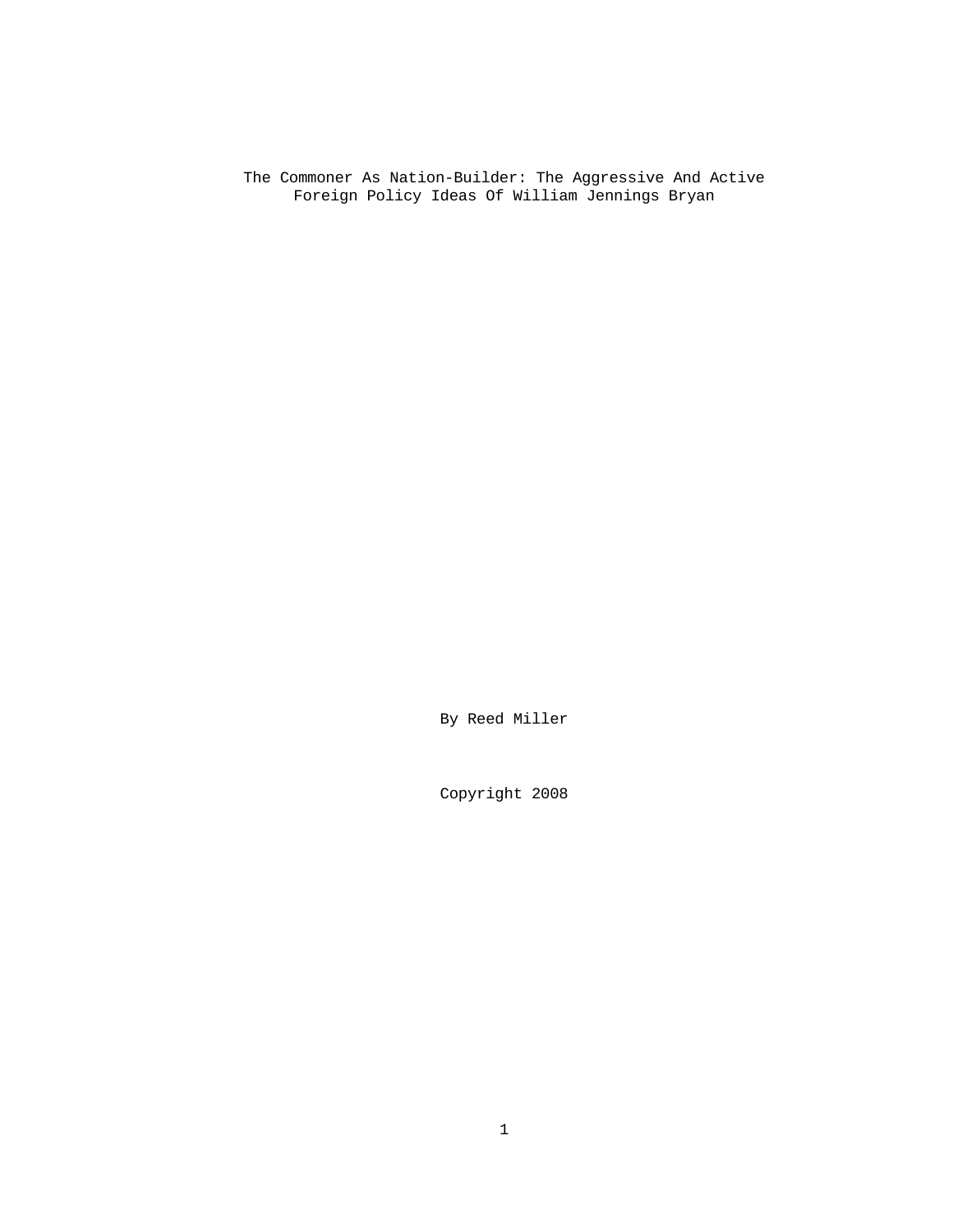The Commoner As Nation-Builder: The Aggressive And Active Foreign Policy Ideas Of William Jennings Bryan

By Reed Miller

Copyright 2008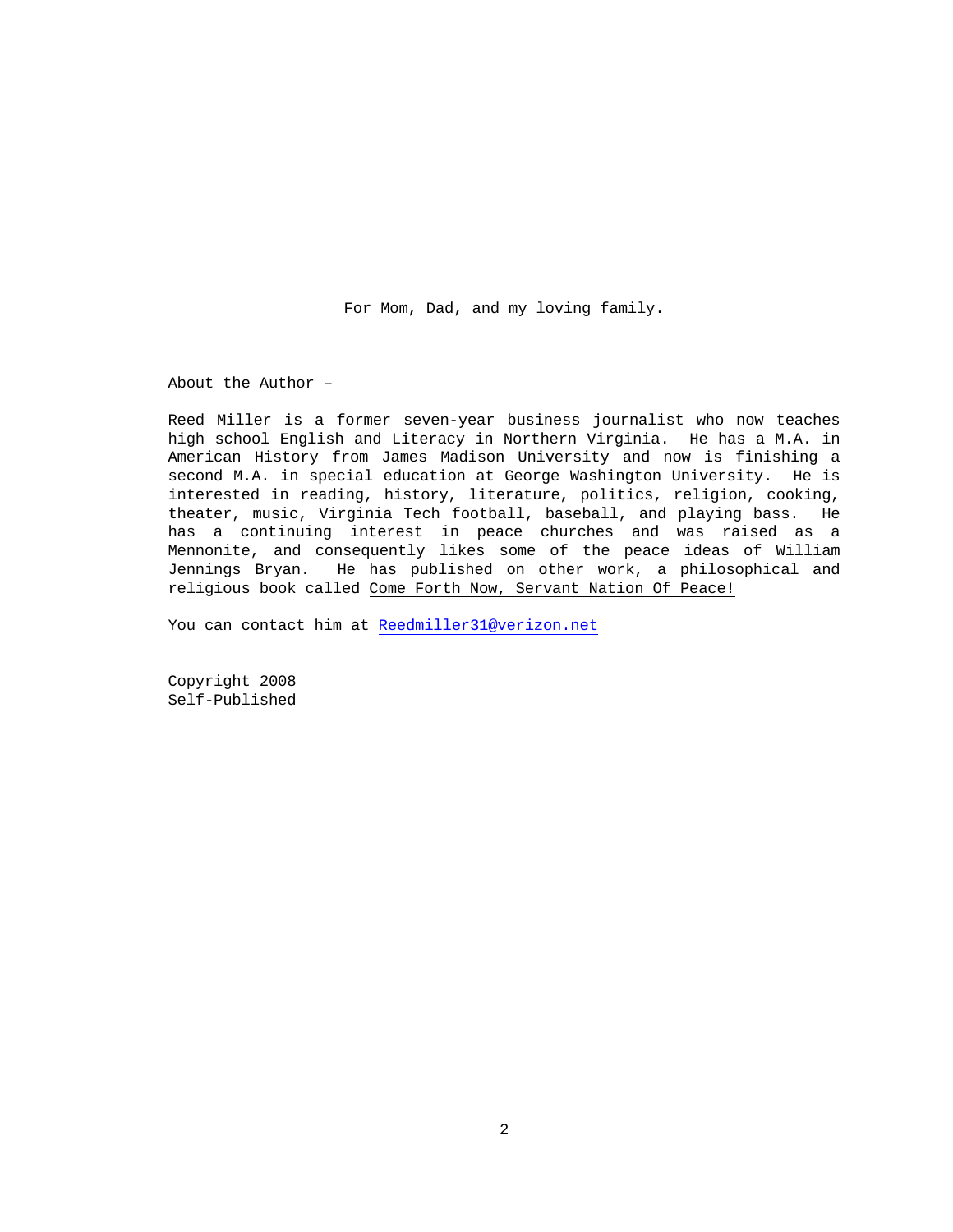For Mom, Dad, and my loving family.

About the Author –

Reed Miller is a former seven-year business journalist who now teaches high school English and Literacy in Northern Virginia. He has a M.A. in American History from James Madison University and now is finishing a second M.A. in special education at George Washington University. He is interested in reading, history, literature, politics, religion, cooking, theater, music, Virginia Tech football, baseball, and playing bass. He has a continuing interest in peace churches and was raised as a Mennonite, and consequently likes some of the peace ideas of William Jennings Bryan. He has published on other work, a philosophical and religious book called Come Forth Now, Servant Nation Of Peace!

You can contact him at Reedmiller31@verizon.net

Copyright 2008 Self-Published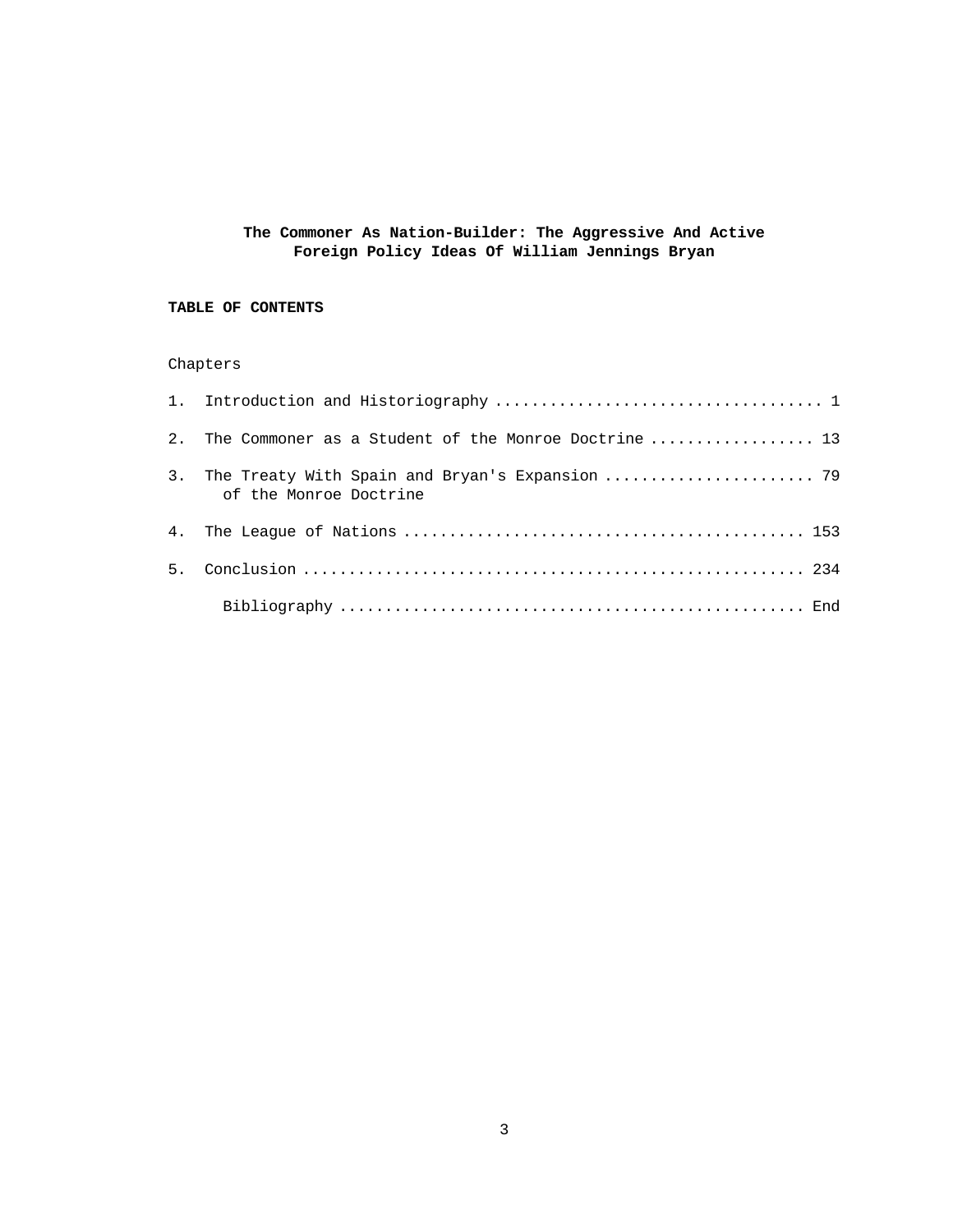# **The Commoner As Nation-Builder: The Aggressive And Active Foreign Policy Ideas Of William Jennings Bryan**

# **TABLE OF CONTENTS**

# Chapters

|                | 2. The Commoner as a Student of the Monroe Doctrine 13 |
|----------------|--------------------------------------------------------|
| 3.             | of the Monroe Doctrine                                 |
|                |                                                        |
| 5 <sub>1</sub> |                                                        |
|                |                                                        |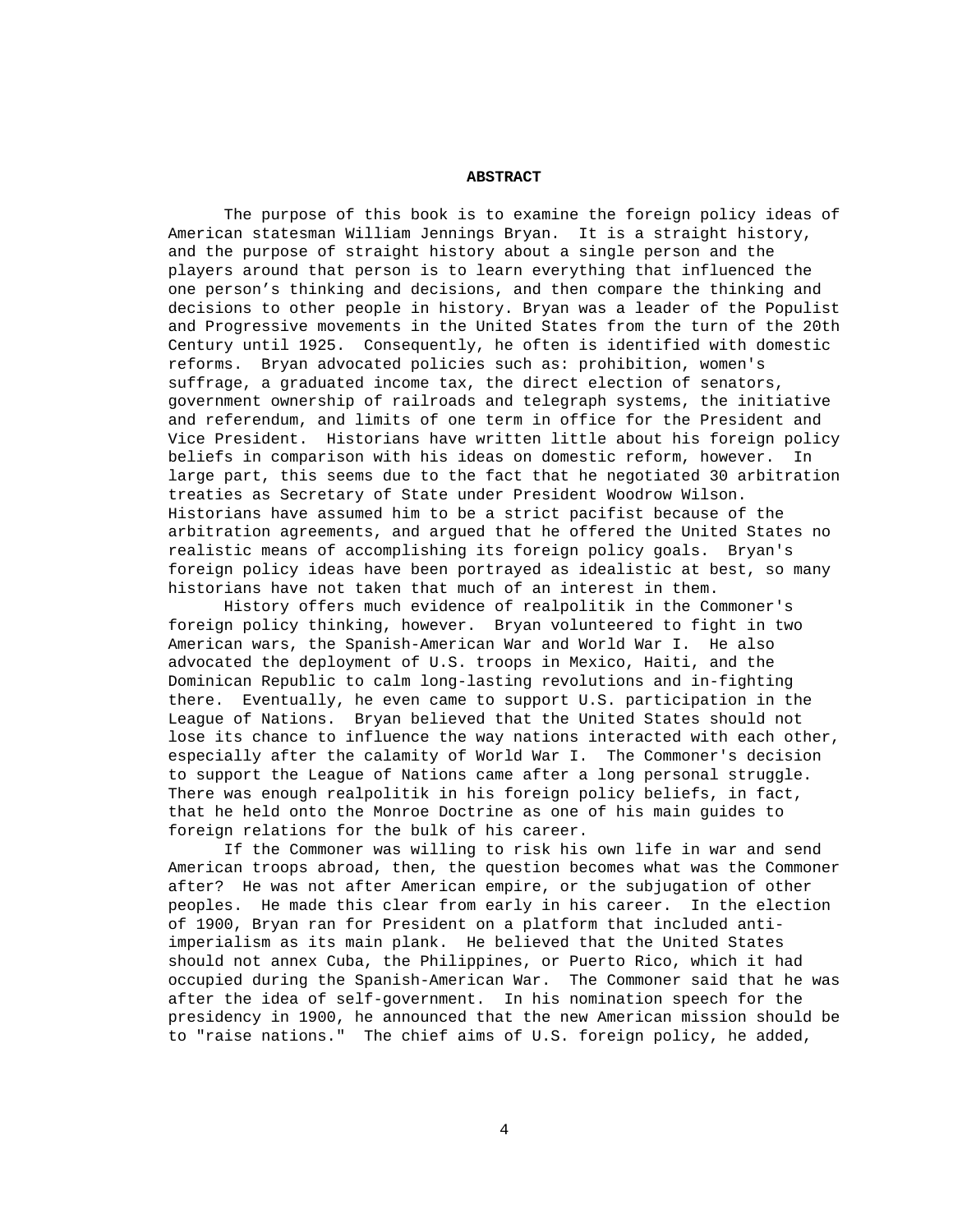## **ABSTRACT**

 The purpose of this book is to examine the foreign policy ideas of American statesman William Jennings Bryan. It is a straight history, and the purpose of straight history about a single person and the players around that person is to learn everything that influenced the one person's thinking and decisions, and then compare the thinking and decisions to other people in history. Bryan was a leader of the Populist and Progressive movements in the United States from the turn of the 20th Century until 1925. Consequently, he often is identified with domestic reforms. Bryan advocated policies such as: prohibition, women's suffrage, a graduated income tax, the direct election of senators, government ownership of railroads and telegraph systems, the initiative and referendum, and limits of one term in office for the President and Vice President. Historians have written little about his foreign policy beliefs in comparison with his ideas on domestic reform, however. In large part, this seems due to the fact that he negotiated 30 arbitration treaties as Secretary of State under President Woodrow Wilson. Historians have assumed him to be a strict pacifist because of the arbitration agreements, and argued that he offered the United States no realistic means of accomplishing its foreign policy goals. Bryan's foreign policy ideas have been portrayed as idealistic at best, so many historians have not taken that much of an interest in them.

 History offers much evidence of realpolitik in the Commoner's foreign policy thinking, however. Bryan volunteered to fight in two American wars, the Spanish-American War and World War I. He also advocated the deployment of U.S. troops in Mexico, Haiti, and the Dominican Republic to calm long-lasting revolutions and in-fighting there. Eventually, he even came to support U.S. participation in the League of Nations. Bryan believed that the United States should not lose its chance to influence the way nations interacted with each other, especially after the calamity of World War I. The Commoner's decision to support the League of Nations came after a long personal struggle. There was enough realpolitik in his foreign policy beliefs, in fact, that he held onto the Monroe Doctrine as one of his main guides to foreign relations for the bulk of his career.

 If the Commoner was willing to risk his own life in war and send American troops abroad, then, the question becomes what was the Commoner after? He was not after American empire, or the subjugation of other peoples. He made this clear from early in his career. In the election of 1900, Bryan ran for President on a platform that included antiimperialism as its main plank. He believed that the United States should not annex Cuba, the Philippines, or Puerto Rico, which it had occupied during the Spanish-American War. The Commoner said that he was after the idea of self-government. In his nomination speech for the presidency in 1900, he announced that the new American mission should be to "raise nations." The chief aims of U.S. foreign policy, he added,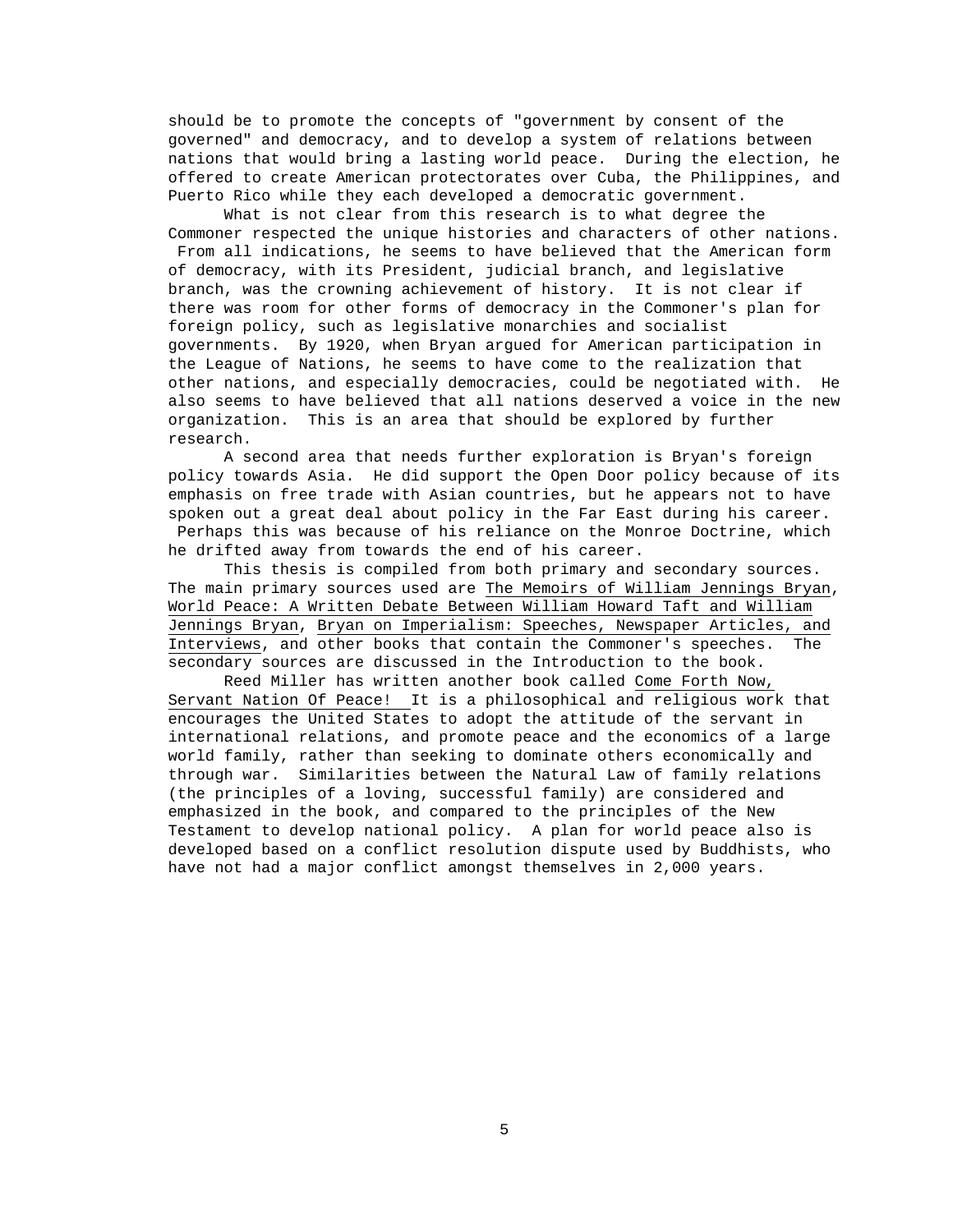should be to promote the concepts of "government by consent of the governed" and democracy, and to develop a system of relations between nations that would bring a lasting world peace. During the election, he offered to create American protectorates over Cuba, the Philippines, and Puerto Rico while they each developed a democratic government.

 What is not clear from this research is to what degree the Commoner respected the unique histories and characters of other nations. From all indications, he seems to have believed that the American form of democracy, with its President, judicial branch, and legislative branch, was the crowning achievement of history. It is not clear if there was room for other forms of democracy in the Commoner's plan for foreign policy, such as legislative monarchies and socialist governments. By 1920, when Bryan argued for American participation in the League of Nations, he seems to have come to the realization that other nations, and especially democracies, could be negotiated with. He also seems to have believed that all nations deserved a voice in the new organization. This is an area that should be explored by further research.

 A second area that needs further exploration is Bryan's foreign policy towards Asia. He did support the Open Door policy because of its emphasis on free trade with Asian countries, but he appears not to have spoken out a great deal about policy in the Far East during his career. Perhaps this was because of his reliance on the Monroe Doctrine, which he drifted away from towards the end of his career.

 This thesis is compiled from both primary and secondary sources. The main primary sources used are The Memoirs of William Jennings Bryan, World Peace: A Written Debate Between William Howard Taft and William Jennings Bryan, Bryan on Imperialism: Speeches, Newspaper Articles, and Interviews, and other books that contain the Commoner's speeches. The secondary sources are discussed in the Introduction to the book.

 Reed Miller has written another book called Come Forth Now, Servant Nation Of Peace! It is a philosophical and religious work that encourages the United States to adopt the attitude of the servant in international relations, and promote peace and the economics of a large world family, rather than seeking to dominate others economically and through war. Similarities between the Natural Law of family relations (the principles of a loving, successful family) are considered and emphasized in the book, and compared to the principles of the New Testament to develop national policy. A plan for world peace also is developed based on a conflict resolution dispute used by Buddhists, who have not had a major conflict amongst themselves in 2,000 years.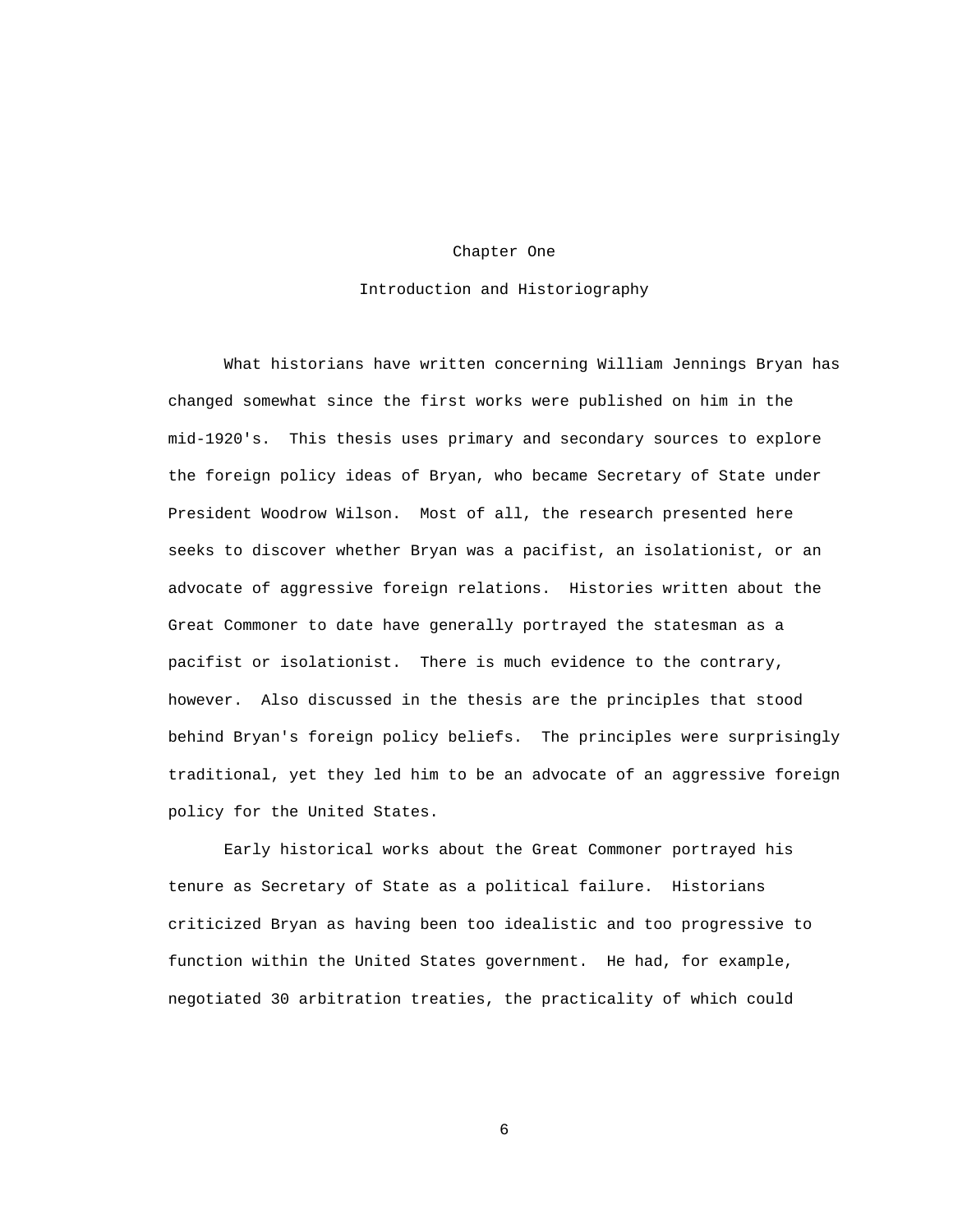### Chapter One

### Introduction and Historiography

 What historians have written concerning William Jennings Bryan has changed somewhat since the first works were published on him in the mid-1920's. This thesis uses primary and secondary sources to explore the foreign policy ideas of Bryan, who became Secretary of State under President Woodrow Wilson. Most of all, the research presented here seeks to discover whether Bryan was a pacifist, an isolationist, or an advocate of aggressive foreign relations. Histories written about the Great Commoner to date have generally portrayed the statesman as a pacifist or isolationist. There is much evidence to the contrary, however. Also discussed in the thesis are the principles that stood behind Bryan's foreign policy beliefs. The principles were surprisingly traditional, yet they led him to be an advocate of an aggressive foreign policy for the United States.

 Early historical works about the Great Commoner portrayed his tenure as Secretary of State as a political failure. Historians criticized Bryan as having been too idealistic and too progressive to function within the United States government. He had, for example, negotiated 30 arbitration treaties, the practicality of which could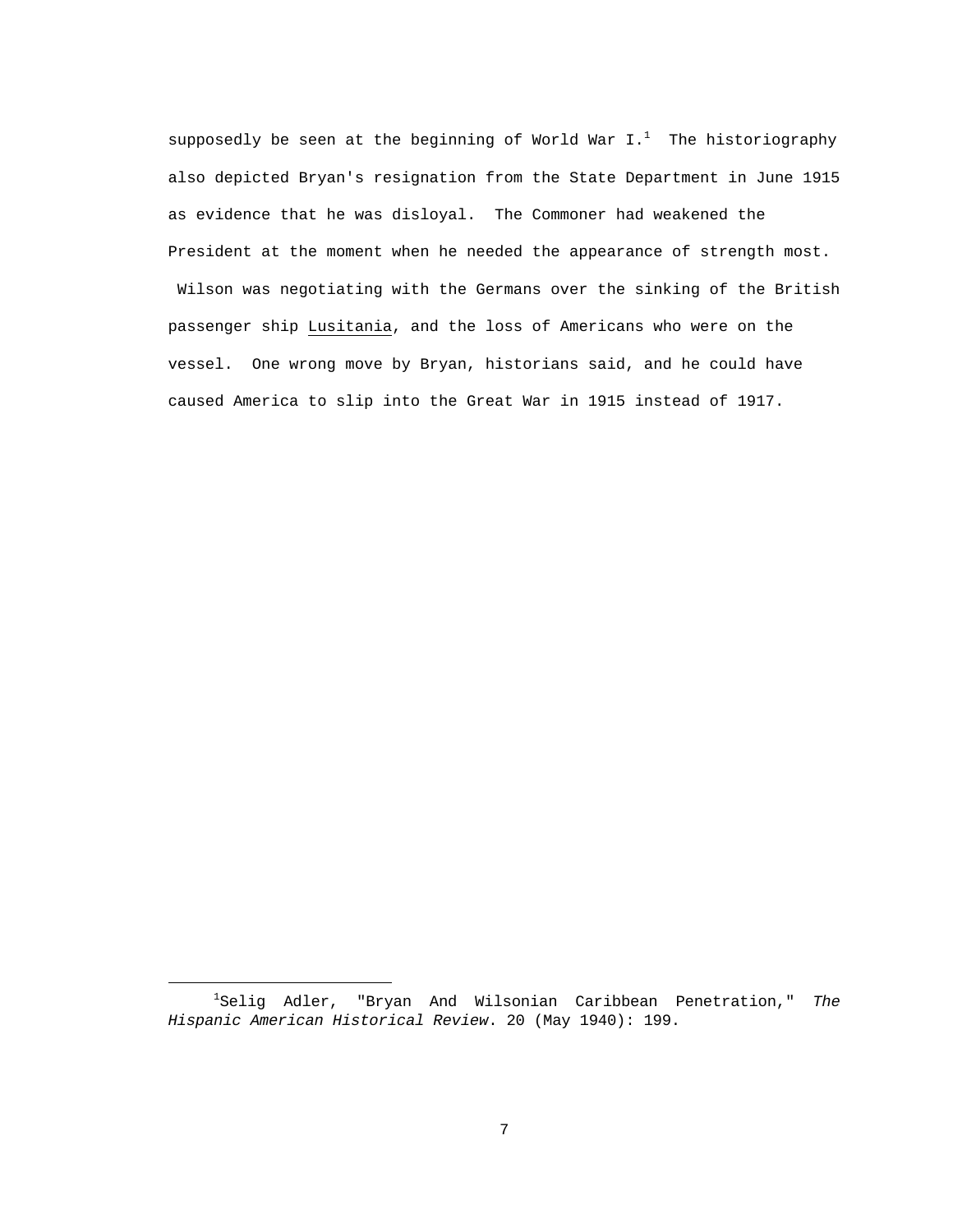supposedly be seen at the beginning of World War I. $^{\rm l}$  The historiography also depicted Bryan's resignation from the State Department in June 1915 as evidence that he was disloyal. The Commoner had weakened the President at the moment when he needed the appearance of strength most.

 Wilson was negotiating with the Germans over the sinking of the British passenger ship Lusitania, and the loss of Americans who were on the vessel. One wrong move by Bryan, historians said, and he could have caused America to slip into the Great War in 1915 instead of 1917.

i

<sup>1</sup> Selig Adler, "Bryan And Wilsonian Caribbean Penetration," *The Hispanic American Historical Review*. 20 (May 1940): 199.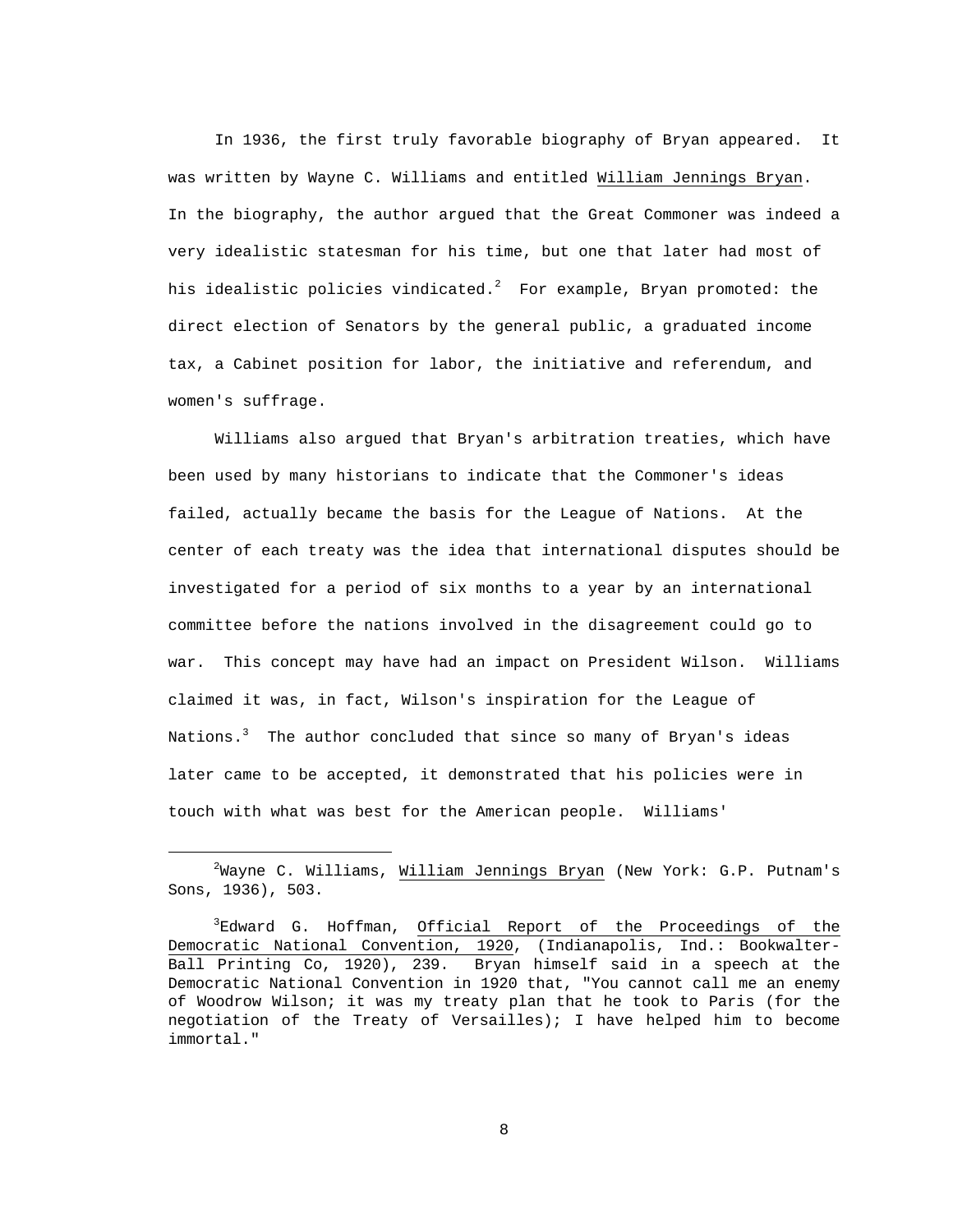In 1936, the first truly favorable biography of Bryan appeared. It was written by Wayne C. Williams and entitled William Jennings Bryan. In the biography, the author argued that the Great Commoner was indeed a very idealistic statesman for his time, but one that later had most of his idealistic policies vindicated. $^2$  For example, Bryan promoted: the direct election of Senators by the general public, a graduated income tax, a Cabinet position for labor, the initiative and referendum, and women's suffrage.

 Williams also argued that Bryan's arbitration treaties, which have been used by many historians to indicate that the Commoner's ideas failed, actually became the basis for the League of Nations. At the center of each treaty was the idea that international disputes should be investigated for a period of six months to a year by an international committee before the nations involved in the disagreement could go to war. This concept may have had an impact on President Wilson. Williams claimed it was, in fact, Wilson's inspiration for the League of Nations. $^3$  The author concluded that since so many of Bryan's ideas later came to be accepted, it demonstrated that his policies were in touch with what was best for the American people. Williams'

i

 $^{2}$ Wayne C. Williams, <u>William Jennings Bryan</u> (New York: G.P. Putnam's Sons, 1936), 503.

<sup>&</sup>lt;sup>3</sup>Edward G. Hoffman, Official Report of the Proceedings of the Democratic National Convention, 1920, (Indianapolis, Ind.: Bookwalter-Ball Printing Co, 1920), 239. Bryan himself said in a speech at the Democratic National Convention in 1920 that, "You cannot call me an enemy of Woodrow Wilson; it was my treaty plan that he took to Paris (for the negotiation of the Treaty of Versailles); I have helped him to become immortal."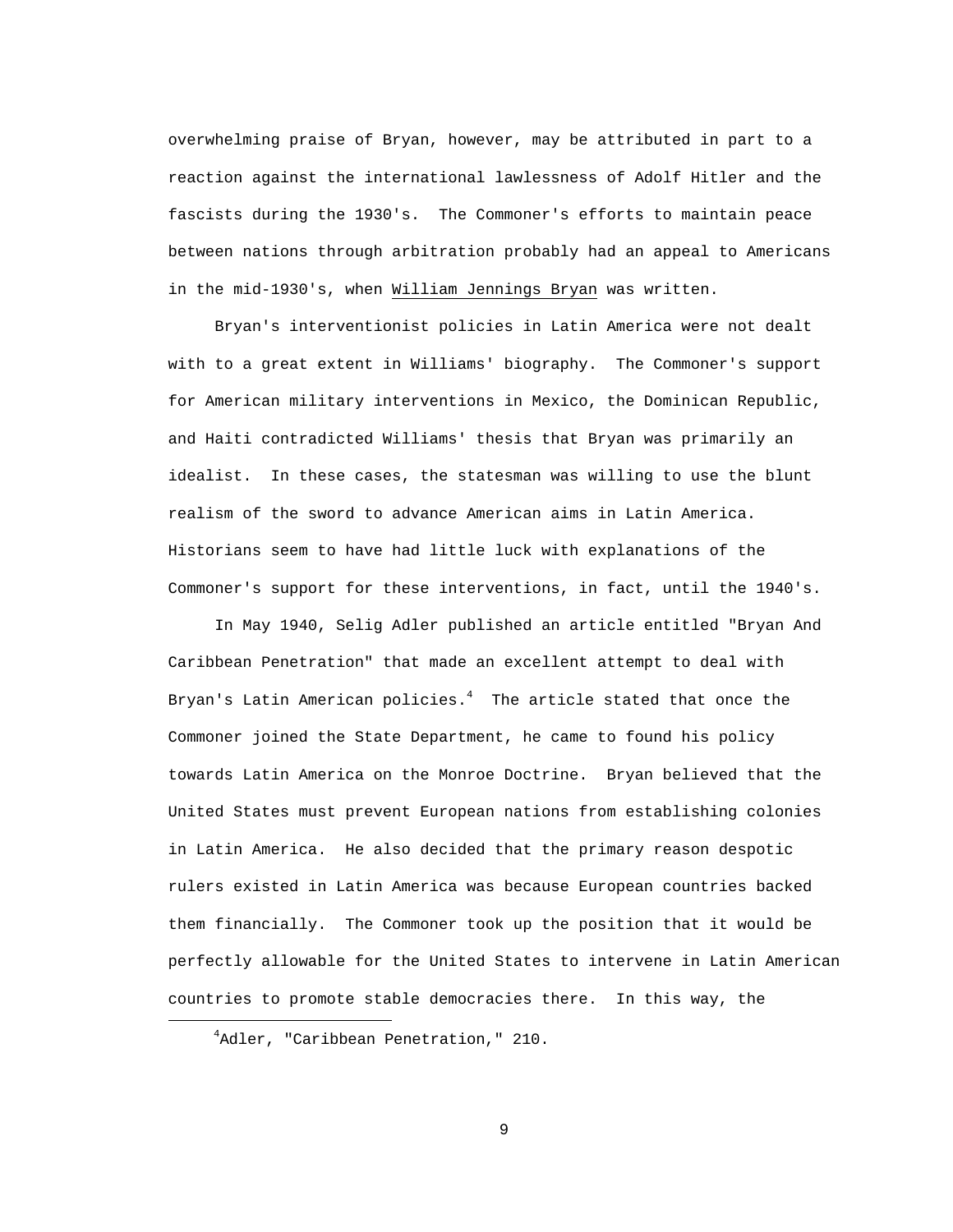overwhelming praise of Bryan, however, may be attributed in part to a reaction against the international lawlessness of Adolf Hitler and the fascists during the 1930's. The Commoner's efforts to maintain peace between nations through arbitration probably had an appeal to Americans in the mid-1930's, when William Jennings Bryan was written.

 Bryan's interventionist policies in Latin America were not dealt with to a great extent in Williams' biography. The Commoner's support for American military interventions in Mexico, the Dominican Republic, and Haiti contradicted Williams' thesis that Bryan was primarily an idealist. In these cases, the statesman was willing to use the blunt realism of the sword to advance American aims in Latin America. Historians seem to have had little luck with explanations of the Commoner's support for these interventions, in fact, until the 1940's.

 In May 1940, Selig Adler published an article entitled "Bryan And Caribbean Penetration" that made an excellent attempt to deal with Bryan's Latin American policies. $^4$  – The article stated that once the Commoner joined the State Department, he came to found his policy towards Latin America on the Monroe Doctrine. Bryan believed that the United States must prevent European nations from establishing colonies in Latin America. He also decided that the primary reason despotic rulers existed in Latin America was because European countries backed them financially. The Commoner took up the position that it would be perfectly allowable for the United States to intervene in Latin American countries to promote stable democracies there. In this way, the

<sup>4</sup> Adler, "Caribbean Penetration," 210.

i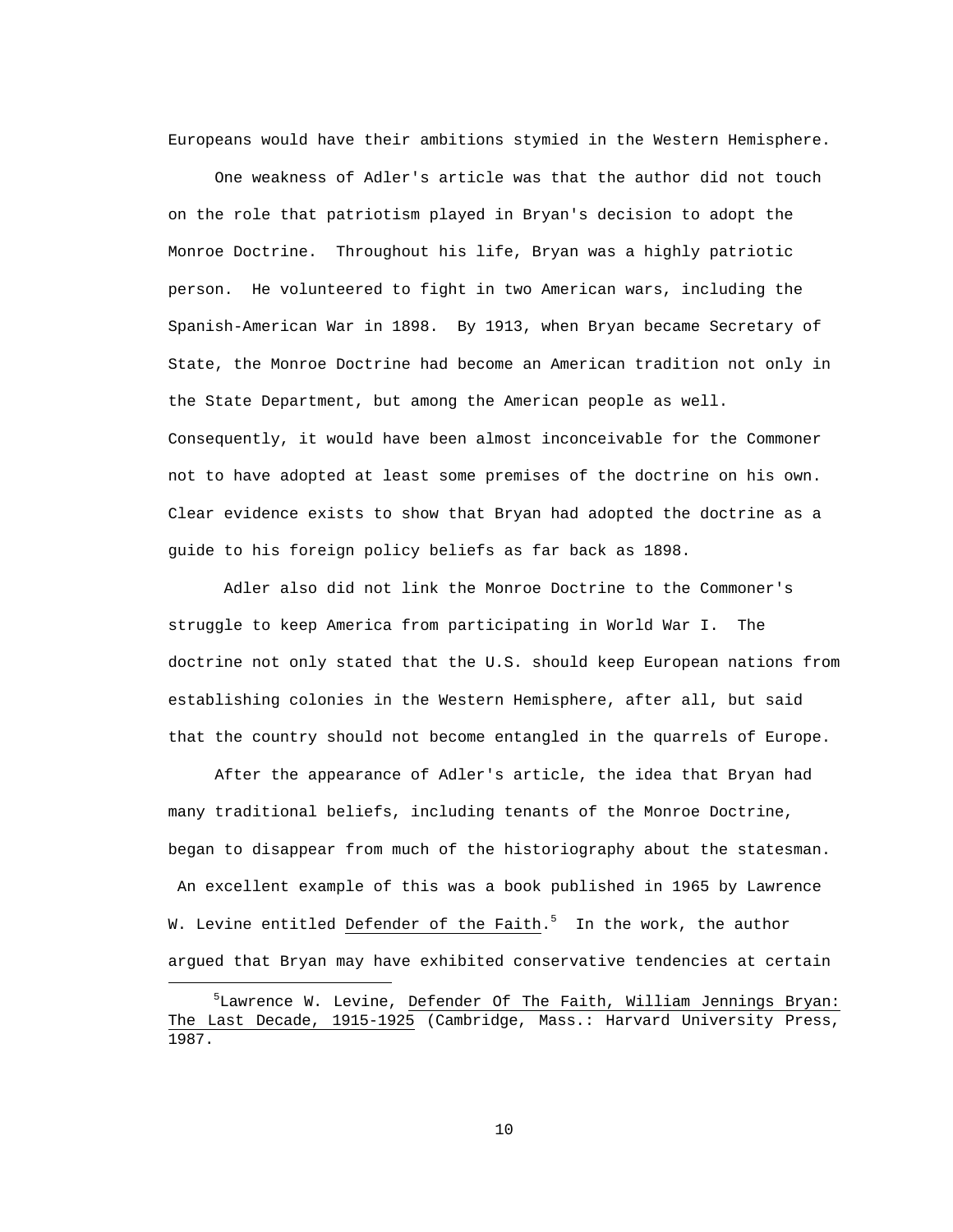Europeans would have their ambitions stymied in the Western Hemisphere.

 One weakness of Adler's article was that the author did not touch on the role that patriotism played in Bryan's decision to adopt the Monroe Doctrine. Throughout his life, Bryan was a highly patriotic person. He volunteered to fight in two American wars, including the Spanish-American War in 1898. By 1913, when Bryan became Secretary of State, the Monroe Doctrine had become an American tradition not only in the State Department, but among the American people as well. Consequently, it would have been almost inconceivable for the Commoner not to have adopted at least some premises of the doctrine on his own. Clear evidence exists to show that Bryan had adopted the doctrine as a guide to his foreign policy beliefs as far back as 1898.

 Adler also did not link the Monroe Doctrine to the Commoner's struggle to keep America from participating in World War I. The doctrine not only stated that the U.S. should keep European nations from establishing colonies in the Western Hemisphere, after all, but said that the country should not become entangled in the quarrels of Europe.

 After the appearance of Adler's article, the idea that Bryan had many traditional beliefs, including tenants of the Monroe Doctrine, began to disappear from much of the historiography about the statesman. An excellent example of this was a book published in 1965 by Lawrence W. Levine entitled <u>Defender of the Faith</u>.<sup>5</sup> In the work, the author argued that Bryan may have exhibited conservative tendencies at certain

i

<sup>&</sup>lt;sup>5</sup>Lawrence W. Levine, <u>Defender Of The Faith, William Jennings Bryan:</u> The Last Decade, 1915-1925 (Cambridge, Mass.: Harvard University Press, 1987.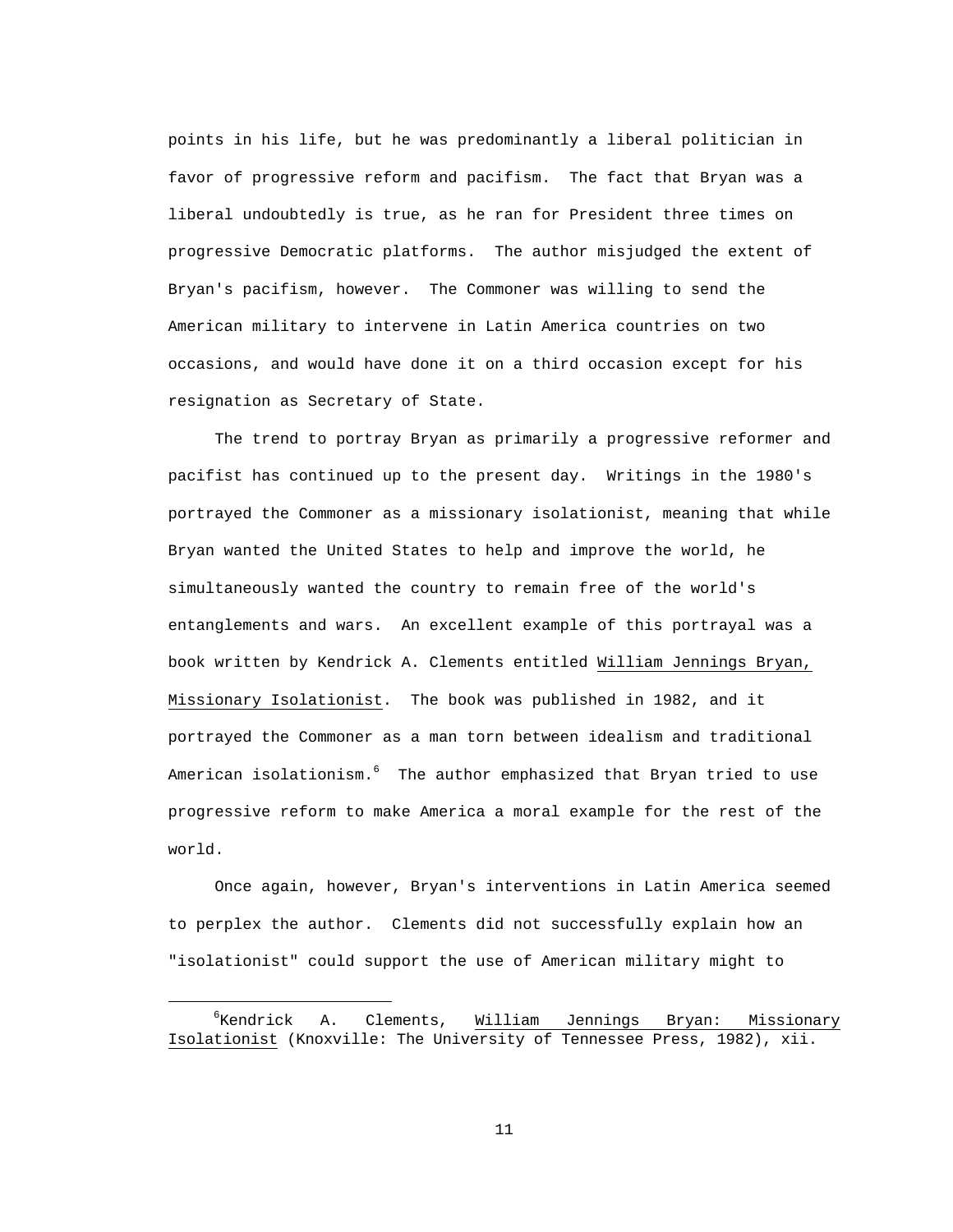points in his life, but he was predominantly a liberal politician in favor of progressive reform and pacifism. The fact that Bryan was a liberal undoubtedly is true, as he ran for President three times on progressive Democratic platforms. The author misjudged the extent of Bryan's pacifism, however. The Commoner was willing to send the American military to intervene in Latin America countries on two occasions, and would have done it on a third occasion except for his resignation as Secretary of State.

 The trend to portray Bryan as primarily a progressive reformer and pacifist has continued up to the present day. Writings in the 1980's portrayed the Commoner as a missionary isolationist, meaning that while Bryan wanted the United States to help and improve the world, he simultaneously wanted the country to remain free of the world's entanglements and wars. An excellent example of this portrayal was a book written by Kendrick A. Clements entitled William Jennings Bryan, Missionary Isolationist. The book was published in 1982, and it portrayed the Commoner as a man torn between idealism and traditional American isolationism. $^6$  The author emphasized that Bryan tried to use progressive reform to make America a moral example for the rest of the world.

 Once again, however, Bryan's interventions in Latin America seemed to perplex the author. Clements did not successfully explain how an "isolationist" could support the use of American military might to

i

 ${}^6$ Kendrick A. Clements, William Jennings Bryan: Missionary Isolationist (Knoxville: The University of Tennessee Press, 1982), xii.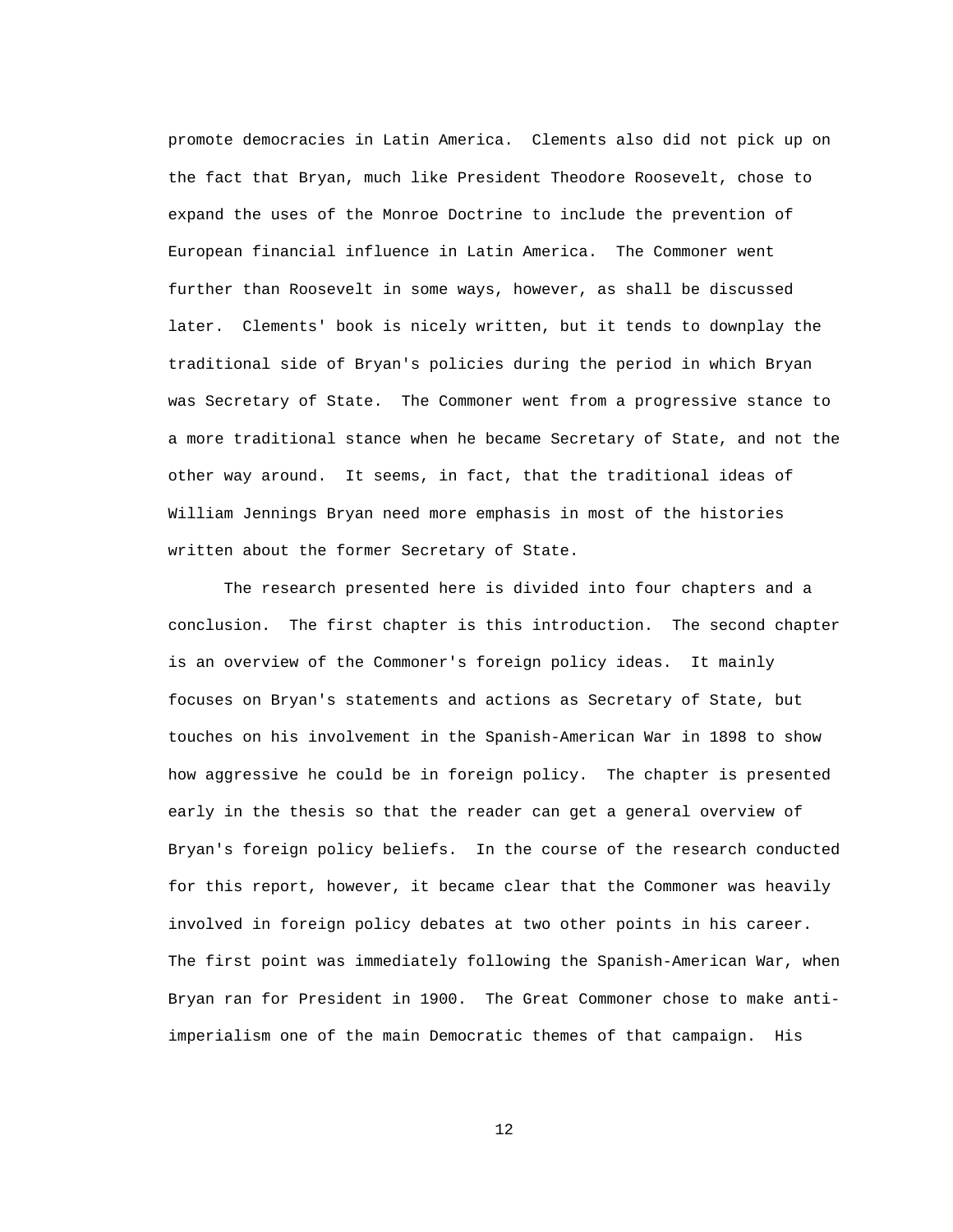promote democracies in Latin America. Clements also did not pick up on the fact that Bryan, much like President Theodore Roosevelt, chose to expand the uses of the Monroe Doctrine to include the prevention of European financial influence in Latin America. The Commoner went further than Roosevelt in some ways, however, as shall be discussed later. Clements' book is nicely written, but it tends to downplay the traditional side of Bryan's policies during the period in which Bryan was Secretary of State. The Commoner went from a progressive stance to a more traditional stance when he became Secretary of State, and not the other way around. It seems, in fact, that the traditional ideas of William Jennings Bryan need more emphasis in most of the histories written about the former Secretary of State.

 The research presented here is divided into four chapters and a conclusion. The first chapter is this introduction. The second chapter is an overview of the Commoner's foreign policy ideas. It mainly focuses on Bryan's statements and actions as Secretary of State, but touches on his involvement in the Spanish-American War in 1898 to show how aggressive he could be in foreign policy. The chapter is presented early in the thesis so that the reader can get a general overview of Bryan's foreign policy beliefs. In the course of the research conducted for this report, however, it became clear that the Commoner was heavily involved in foreign policy debates at two other points in his career. The first point was immediately following the Spanish-American War, when Bryan ran for President in 1900. The Great Commoner chose to make antiimperialism one of the main Democratic themes of that campaign. His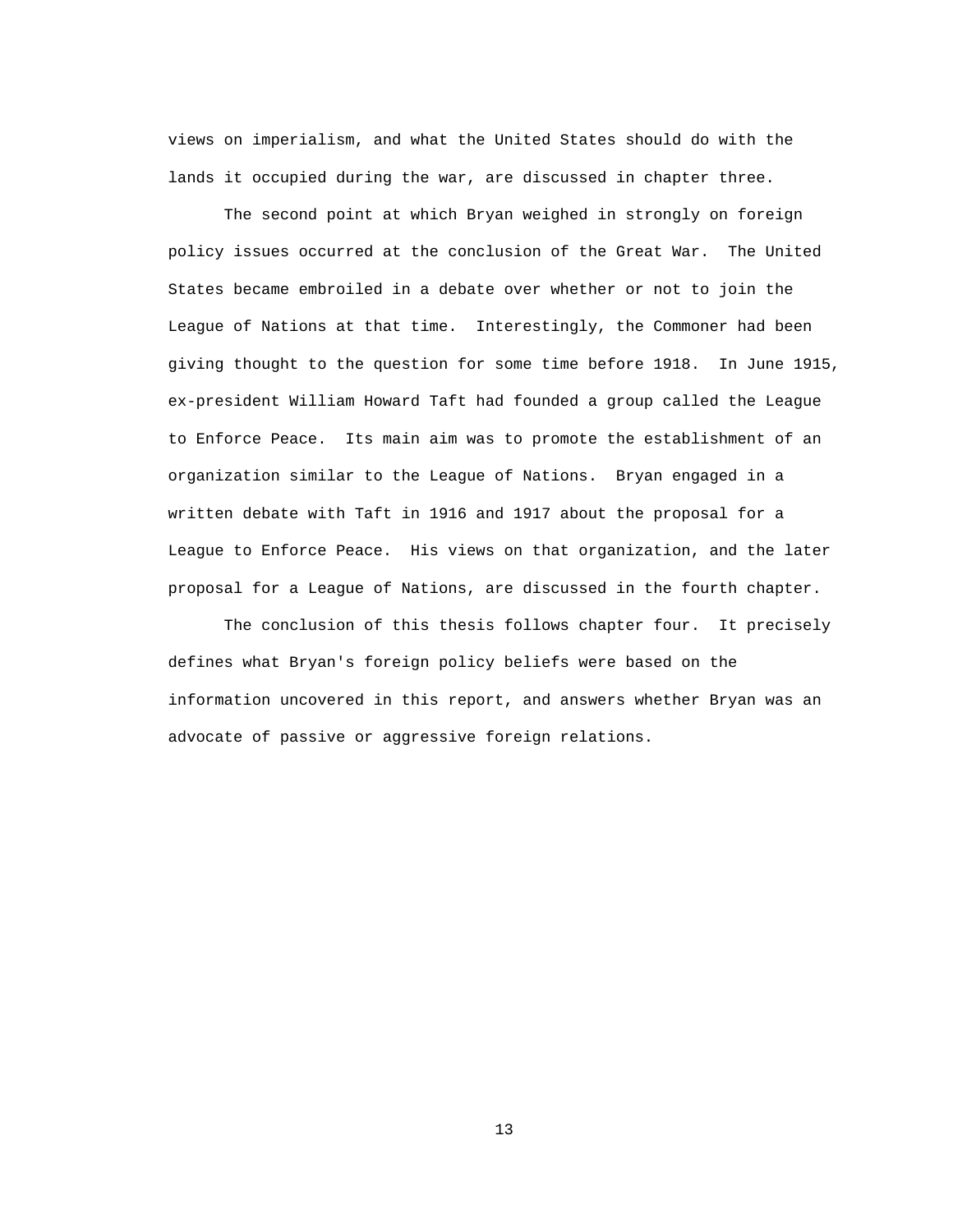views on imperialism, and what the United States should do with the lands it occupied during the war, are discussed in chapter three.

 The second point at which Bryan weighed in strongly on foreign policy issues occurred at the conclusion of the Great War. The United States became embroiled in a debate over whether or not to join the League of Nations at that time. Interestingly, the Commoner had been giving thought to the question for some time before 1918. In June 1915, ex-president William Howard Taft had founded a group called the League to Enforce Peace. Its main aim was to promote the establishment of an organization similar to the League of Nations. Bryan engaged in a written debate with Taft in 1916 and 1917 about the proposal for a League to Enforce Peace. His views on that organization, and the later proposal for a League of Nations, are discussed in the fourth chapter.

 The conclusion of this thesis follows chapter four. It precisely defines what Bryan's foreign policy beliefs were based on the information uncovered in this report, and answers whether Bryan was an advocate of passive or aggressive foreign relations.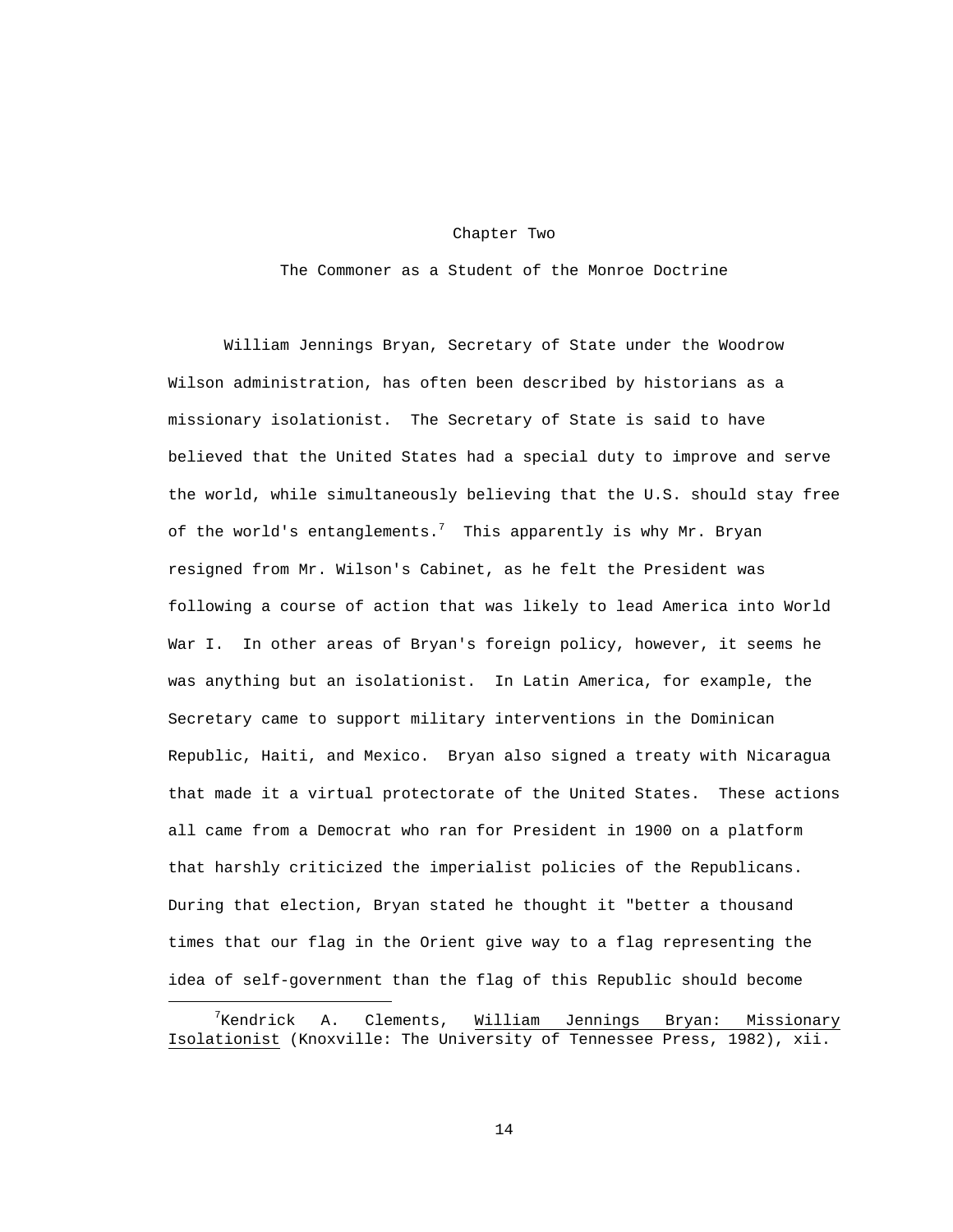#### Chapter Two

The Commoner as a Student of the Monroe Doctrine

 William Jennings Bryan, Secretary of State under the Woodrow Wilson administration, has often been described by historians as a missionary isolationist. The Secretary of State is said to have believed that the United States had a special duty to improve and serve the world, while simultaneously believing that the U.S. should stay free of the world's entanglements. $^7$  This apparently is why Mr. Bryan resigned from Mr. Wilson's Cabinet, as he felt the President was following a course of action that was likely to lead America into World War I. In other areas of Bryan's foreign policy, however, it seems he was anything but an isolationist. In Latin America, for example, the Secretary came to support military interventions in the Dominican Republic, Haiti, and Mexico. Bryan also signed a treaty with Nicaragua that made it a virtual protectorate of the United States. These actions all came from a Democrat who ran for President in 1900 on a platform that harshly criticized the imperialist policies of the Republicans. During that election, Bryan stated he thought it "better a thousand times that our flag in the Orient give way to a flag representing the idea of self-government than the flag of this Republic should become

i

 $7$ Kendrick A. Clements, William Jennings Bryan: Missionary Isolationist (Knoxville: The University of Tennessee Press, 1982), xii.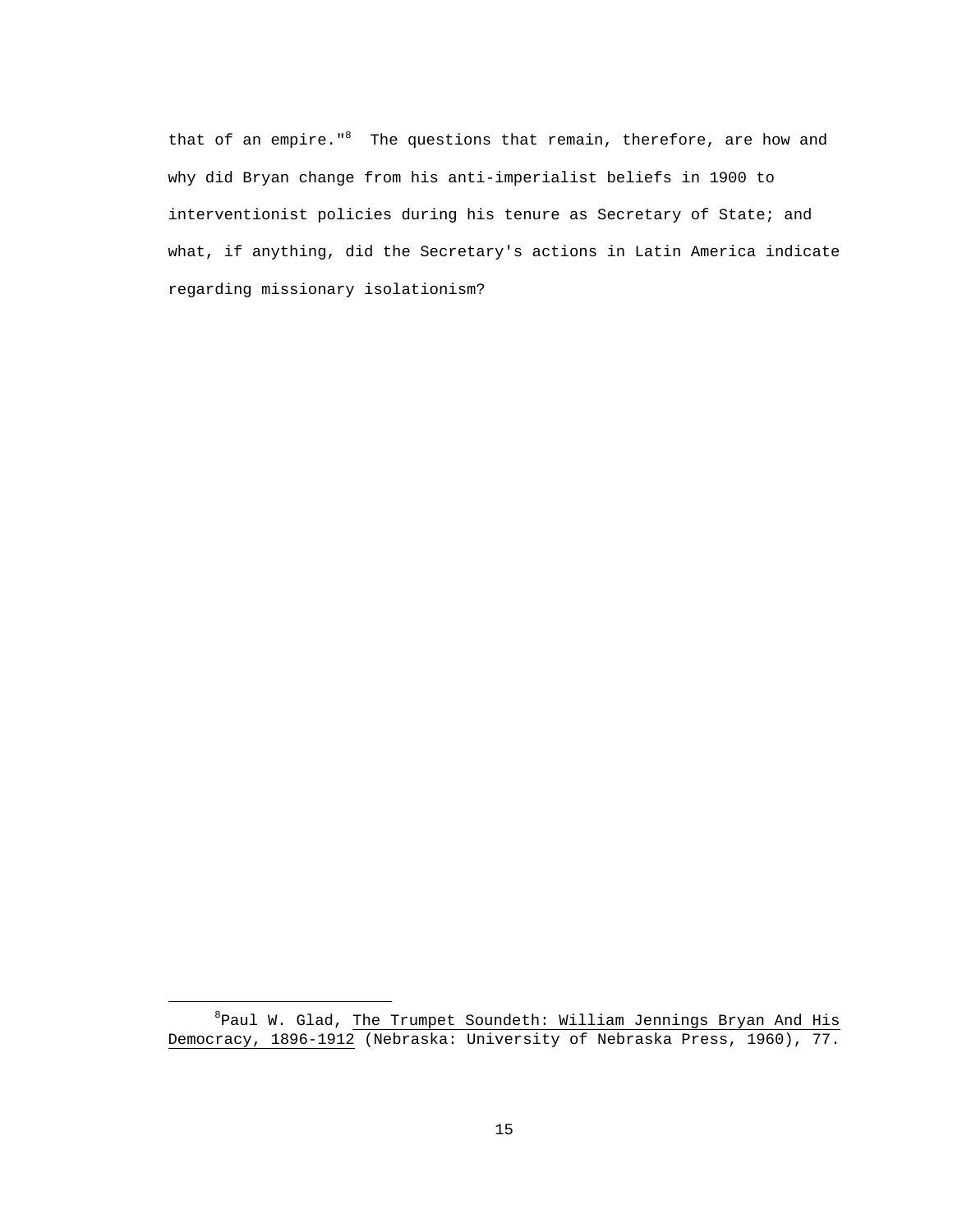that of an empire."<sup>8</sup> The questions that remain, therefore, are how and why did Bryan change from his anti-imperialist beliefs in 1900 to interventionist policies during his tenure as Secretary of State; and what, if anything, did the Secretary's actions in Latin America indicate regarding missionary isolationism?

i

 $^8$ Paul W. Glad, The Trumpet Soundeth: William Jennings Bryan And His Democracy, 1896-1912 (Nebraska: University of Nebraska Press, 1960), 77.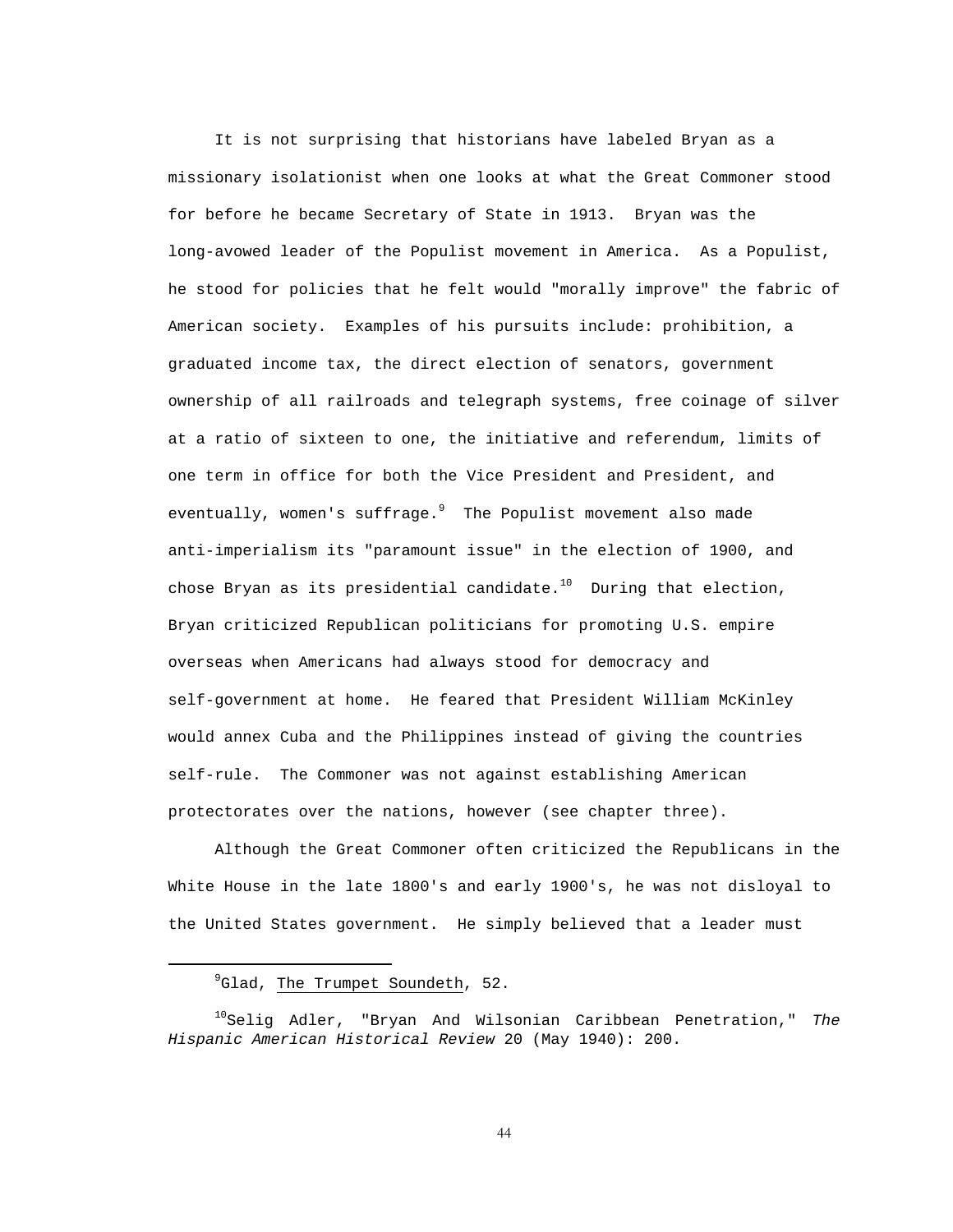It is not surprising that historians have labeled Bryan as a missionary isolationist when one looks at what the Great Commoner stood for before he became Secretary of State in 1913. Bryan was the long-avowed leader of the Populist movement in America. As a Populist, he stood for policies that he felt would "morally improve" the fabric of American society. Examples of his pursuits include: prohibition, a graduated income tax, the direct election of senators, government ownership of all railroads and telegraph systems, free coinage of silver at a ratio of sixteen to one, the initiative and referendum, limits of one term in office for both the Vice President and President, and eventually, women's suffrage. $^9$  The Populist movement also made anti-imperialism its "paramount issue" in the election of 1900, and chose Bryan as its presidential candidate.<sup>10</sup> During that election, Bryan criticized Republican politicians for promoting U.S. empire overseas when Americans had always stood for democracy and self-government at home. He feared that President William McKinley would annex Cuba and the Philippines instead of giving the countries self-rule. The Commoner was not against establishing American protectorates over the nations, however (see chapter three).

 Although the Great Commoner often criticized the Republicans in the White House in the late 1800's and early 1900's, he was not disloyal to the United States government. He simply believed that a leader must

i

<sup>&</sup>lt;sup>9</sup>Glad, The Trumpet Soundeth, 52.

<sup>&</sup>lt;sup>10</sup>Selig Adler, "Bryan And Wilsonian Caribbean Penetration," The *Hispanic American Historical Review* 20 (May 1940): 200.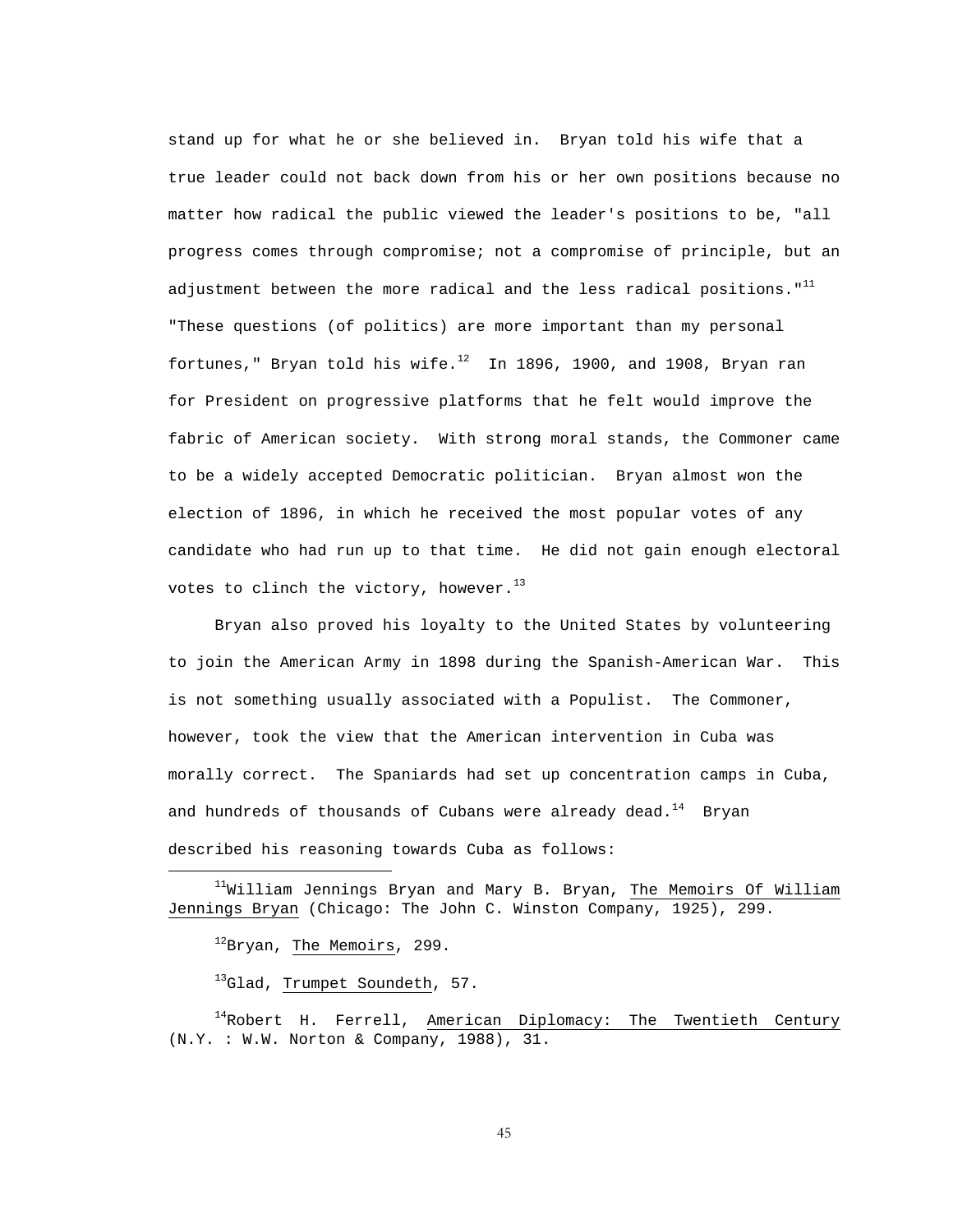stand up for what he or she believed in. Bryan told his wife that a true leader could not back down from his or her own positions because no matter how radical the public viewed the leader's positions to be, "all progress comes through compromise; not a compromise of principle, but an adjustment between the more radical and the less radical positions." $^{11}$ "These questions (of politics) are more important than my personal fortunes," Bryan told his wife. $12$  In 1896, 1900, and 1908, Bryan ran for President on progressive platforms that he felt would improve the fabric of American society. With strong moral stands, the Commoner came to be a widely accepted Democratic politician. Bryan almost won the election of 1896, in which he received the most popular votes of any candidate who had run up to that time. He did not gain enough electoral votes to clinch the victory, however. $^{13}$ 

 Bryan also proved his loyalty to the United States by volunteering to join the American Army in 1898 during the Spanish-American War. This is not something usually associated with a Populist. The Commoner, however, took the view that the American intervention in Cuba was morally correct. The Spaniards had set up concentration camps in Cuba, and hundreds of thousands of Cubans were already dead.<sup>14</sup> Bryan described his reasoning towards Cuba as follows:

 $^{12}$ Bryan, The Memoirs, 299.

i

<sup>13</sup>Glad, Trumpet Soundeth, 57.

 $14}$ Robert H. Ferrell, American Diplomacy: The Twentieth Century (N.Y. : W.W. Norton & Company, 1988), 31.

 $11$ William Jennings Bryan and Mary B. Bryan, The Memoirs Of William Jennings Bryan (Chicago: The John C. Winston Company, 1925), 299.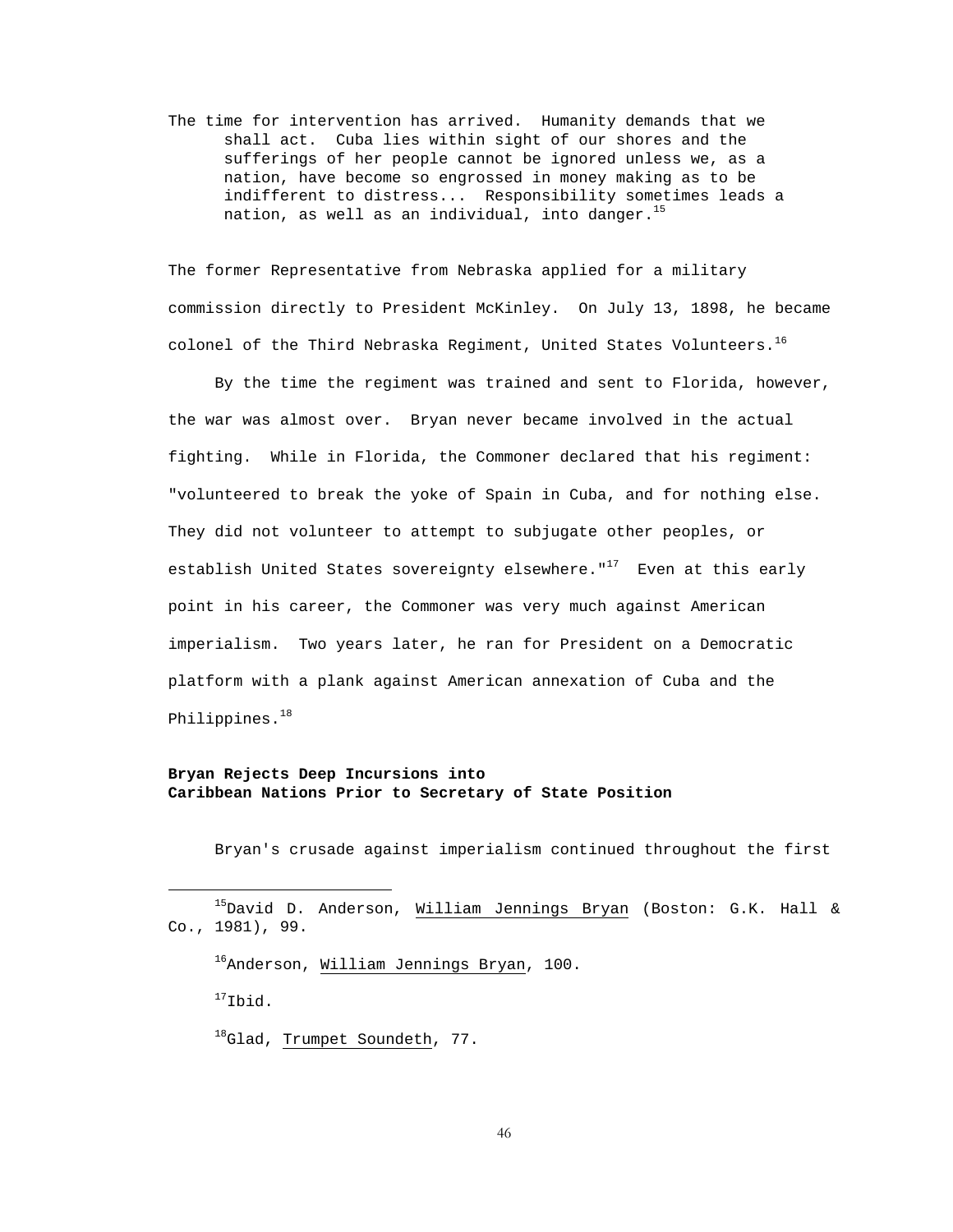The time for intervention has arrived. Humanity demands that we shall act. Cuba lies within sight of our shores and the sufferings of her people cannot be ignored unless we, as a nation, have become so engrossed in money making as to be indifferent to distress... Responsibility sometimes leads a nation, as well as an individual, into danger. $^{15}$ 

The former Representative from Nebraska applied for a military commission directly to President McKinley. On July 13, 1898, he became colonel of the Third Nebraska Regiment, United States Volunteers.<sup>16</sup>

 By the time the regiment was trained and sent to Florida, however, the war was almost over. Bryan never became involved in the actual fighting. While in Florida, the Commoner declared that his regiment: "volunteered to break the yoke of Spain in Cuba, and for nothing else. They did not volunteer to attempt to subjugate other peoples, or establish United States sovereignty elsewhere." $17$  Even at this early point in his career, the Commoner was very much against American imperialism. Two years later, he ran for President on a Democratic platform with a plank against American annexation of Cuba and the Philippines.<sup>18</sup>

## **Bryan Rejects Deep Incursions into Caribbean Nations Prior to Secretary of State Position**

Bryan's crusade against imperialism continued throughout the first

15David D. Anderson, William Jennings Bryan (Boston: G.K. Hall & Co., 1981), 99.

16Anderson, William Jennings Bryan, 100.

 $17$ Ibid.

i

<sup>18</sup>Glad, Trumpet Soundeth, 77.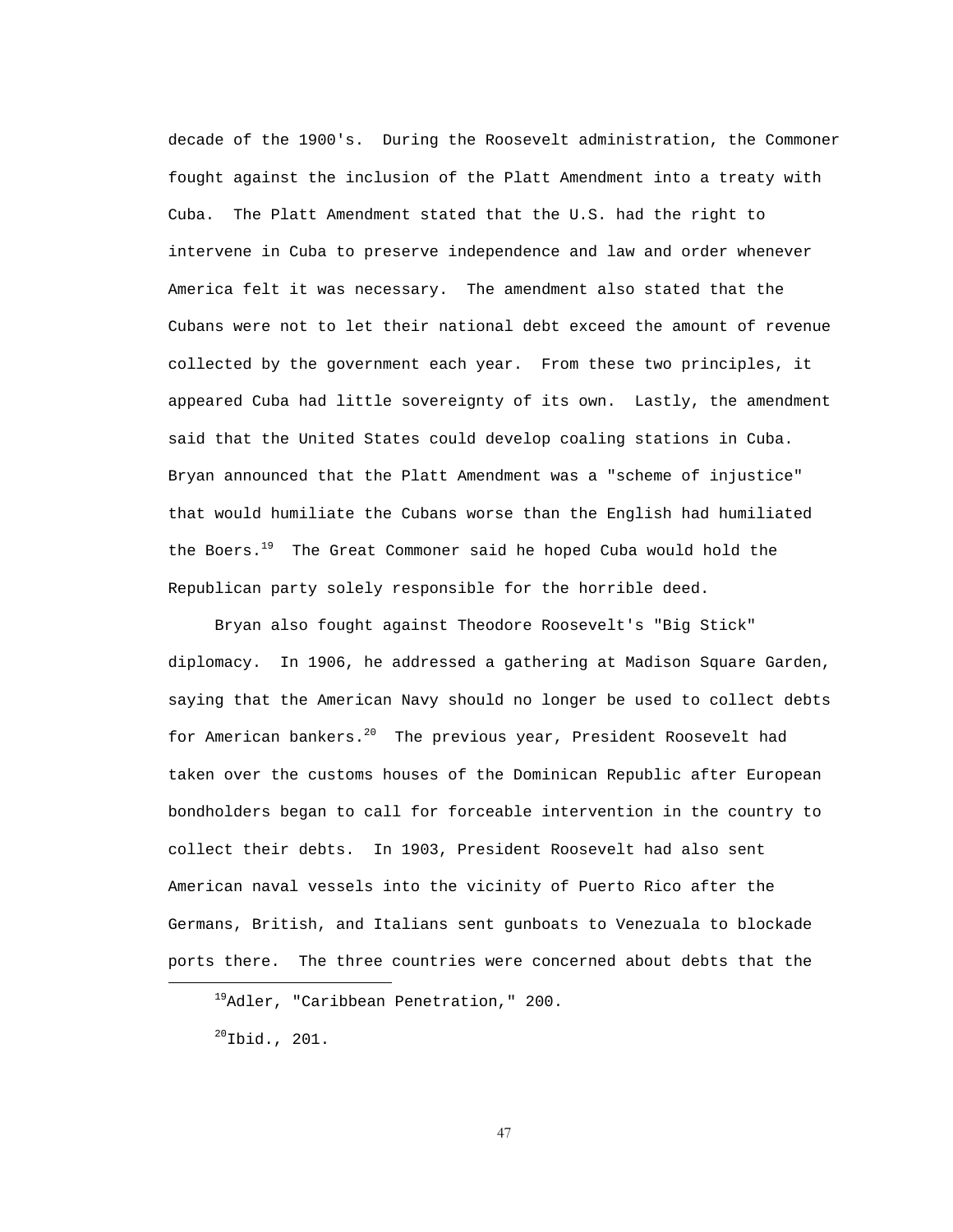decade of the 1900's. During the Roosevelt administration, the Commoner fought against the inclusion of the Platt Amendment into a treaty with Cuba. The Platt Amendment stated that the U.S. had the right to intervene in Cuba to preserve independence and law and order whenever America felt it was necessary. The amendment also stated that the Cubans were not to let their national debt exceed the amount of revenue collected by the government each year. From these two principles, it appeared Cuba had little sovereignty of its own. Lastly, the amendment said that the United States could develop coaling stations in Cuba. Bryan announced that the Platt Amendment was a "scheme of injustice" that would humiliate the Cubans worse than the English had humiliated the Boers.<sup>19</sup> The Great Commoner said he hoped Cuba would hold the Republican party solely responsible for the horrible deed.

 Bryan also fought against Theodore Roosevelt's "Big Stick" diplomacy. In 1906, he addressed a gathering at Madison Square Garden, saying that the American Navy should no longer be used to collect debts for American bankers.<sup>20</sup> The previous year, President Roosevelt had taken over the customs houses of the Dominican Republic after European bondholders began to call for forceable intervention in the country to collect their debts. In 1903, President Roosevelt had also sent American naval vessels into the vicinity of Puerto Rico after the Germans, British, and Italians sent gunboats to Venezuala to blockade ports there. The three countries were concerned about debts that the

 $^{20}$ Ibid., 201.

i

19Adler, "Caribbean Penetration," 200.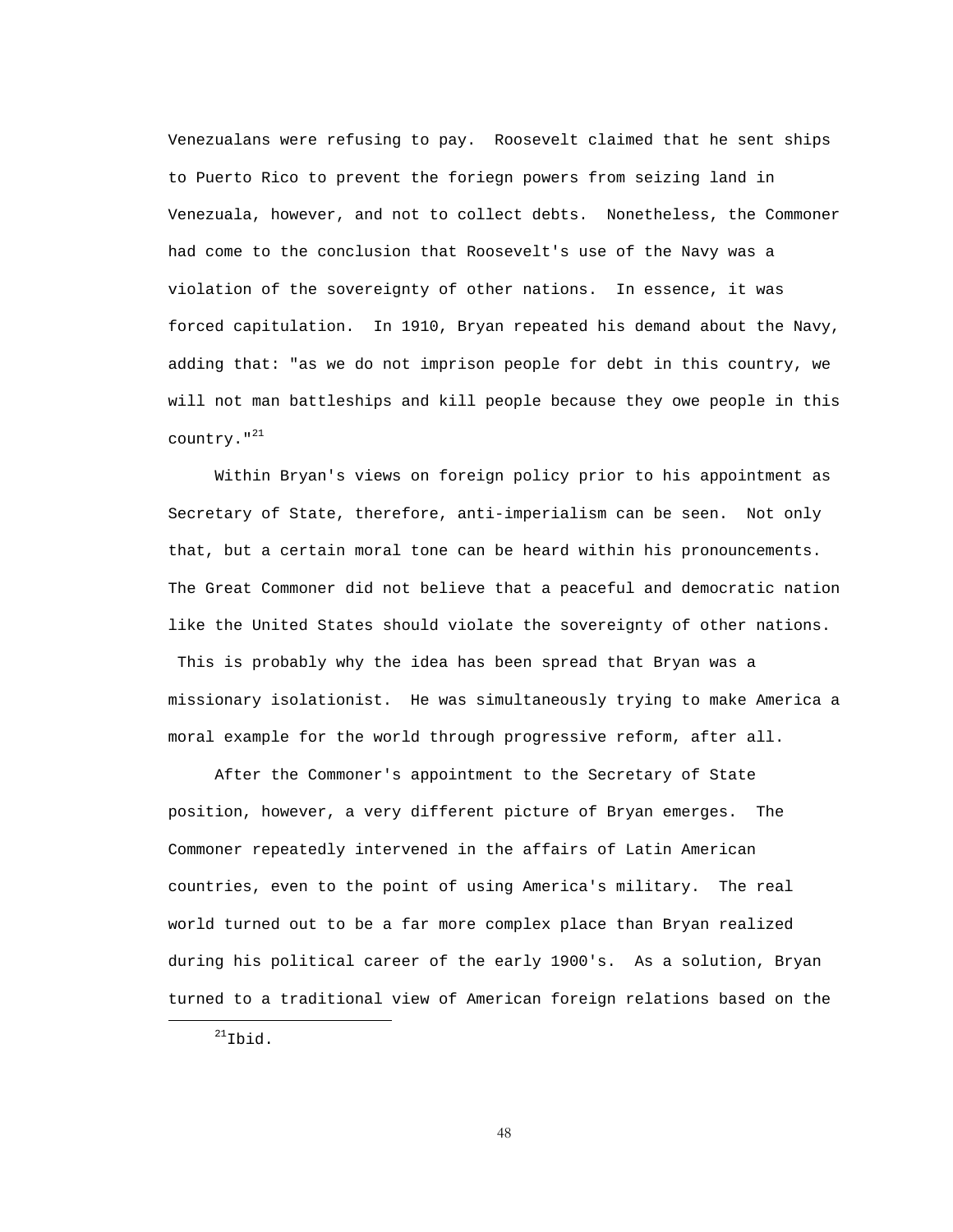Venezualans were refusing to pay. Roosevelt claimed that he sent ships to Puerto Rico to prevent the foriegn powers from seizing land in Venezuala, however, and not to collect debts. Nonetheless, the Commoner had come to the conclusion that Roosevelt's use of the Navy was a violation of the sovereignty of other nations. In essence, it was forced capitulation. In 1910, Bryan repeated his demand about the Navy, adding that: "as we do not imprison people for debt in this country, we will not man battleships and kill people because they owe people in this country. $"^{21}$ 

 Within Bryan's views on foreign policy prior to his appointment as Secretary of State, therefore, anti-imperialism can be seen. Not only that, but a certain moral tone can be heard within his pronouncements. The Great Commoner did not believe that a peaceful and democratic nation like the United States should violate the sovereignty of other nations. This is probably why the idea has been spread that Bryan was a missionary isolationist. He was simultaneously trying to make America a moral example for the world through progressive reform, after all.

 After the Commoner's appointment to the Secretary of State position, however, a very different picture of Bryan emerges. The Commoner repeatedly intervened in the affairs of Latin American countries, even to the point of using America's military. The real world turned out to be a far more complex place than Bryan realized during his political career of the early 1900's. As a solution, Bryan turned to a traditional view of American foreign relations based on the

i

 $^{21}$ Thid.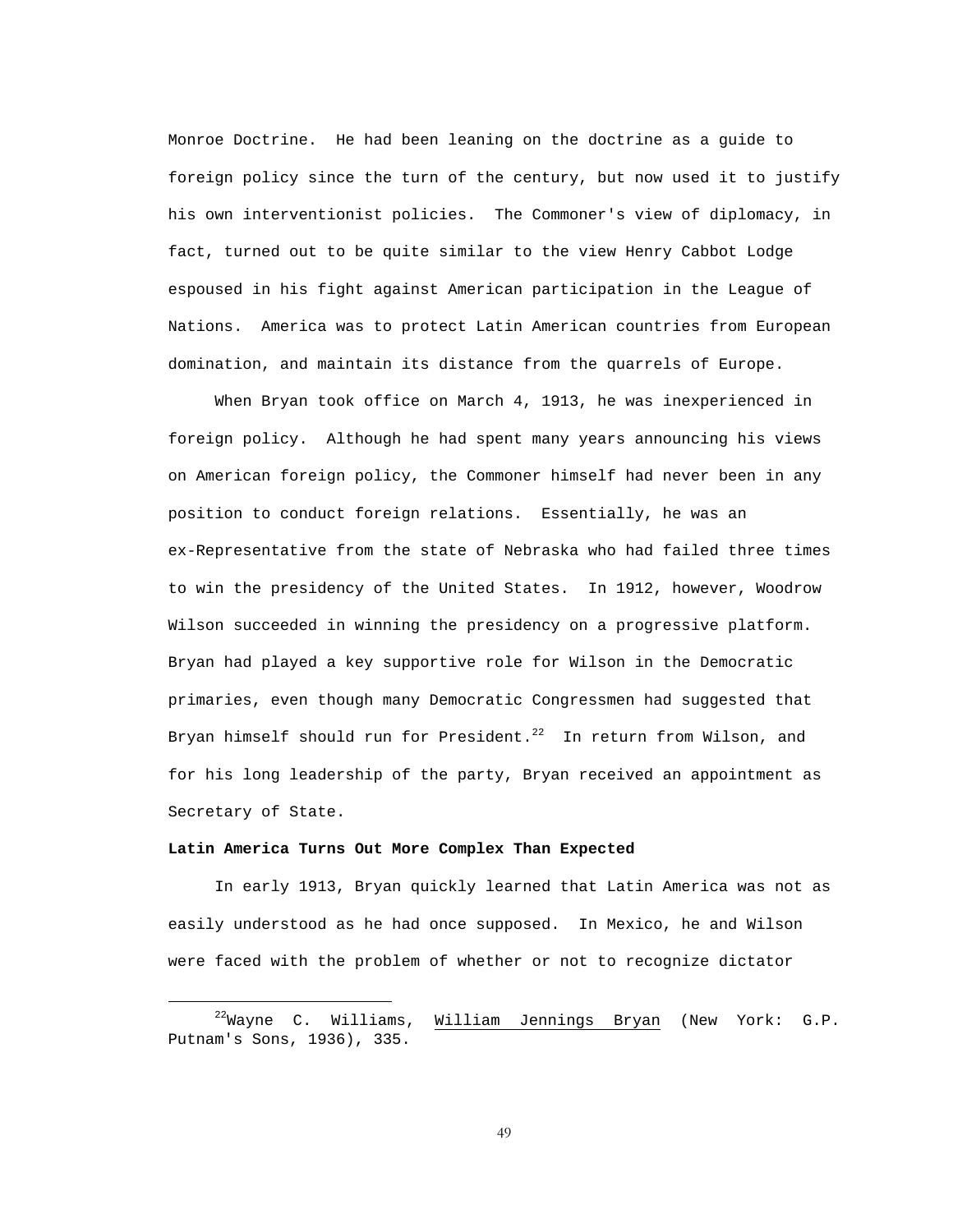Monroe Doctrine. He had been leaning on the doctrine as a guide to foreign policy since the turn of the century, but now used it to justify his own interventionist policies. The Commoner's view of diplomacy, in fact, turned out to be quite similar to the view Henry Cabbot Lodge espoused in his fight against American participation in the League of Nations. America was to protect Latin American countries from European domination, and maintain its distance from the quarrels of Europe.

 When Bryan took office on March 4, 1913, he was inexperienced in foreign policy. Although he had spent many years announcing his views on American foreign policy, the Commoner himself had never been in any position to conduct foreign relations. Essentially, he was an ex-Representative from the state of Nebraska who had failed three times to win the presidency of the United States. In 1912, however, Woodrow Wilson succeeded in winning the presidency on a progressive platform. Bryan had played a key supportive role for Wilson in the Democratic primaries, even though many Democratic Congressmen had suggested that Bryan himself should run for President. $^{22}$  In return from Wilson, and for his long leadership of the party, Bryan received an appointment as Secretary of State.

### **Latin America Turns Out More Complex Than Expected**

i

 In early 1913, Bryan quickly learned that Latin America was not as easily understood as he had once supposed. In Mexico, he and Wilson were faced with the problem of whether or not to recognize dictator

 $^{22}$ Wayne C. Williams, William Jennings Bryan (New York: G.P. Putnam's Sons, 1936), 335.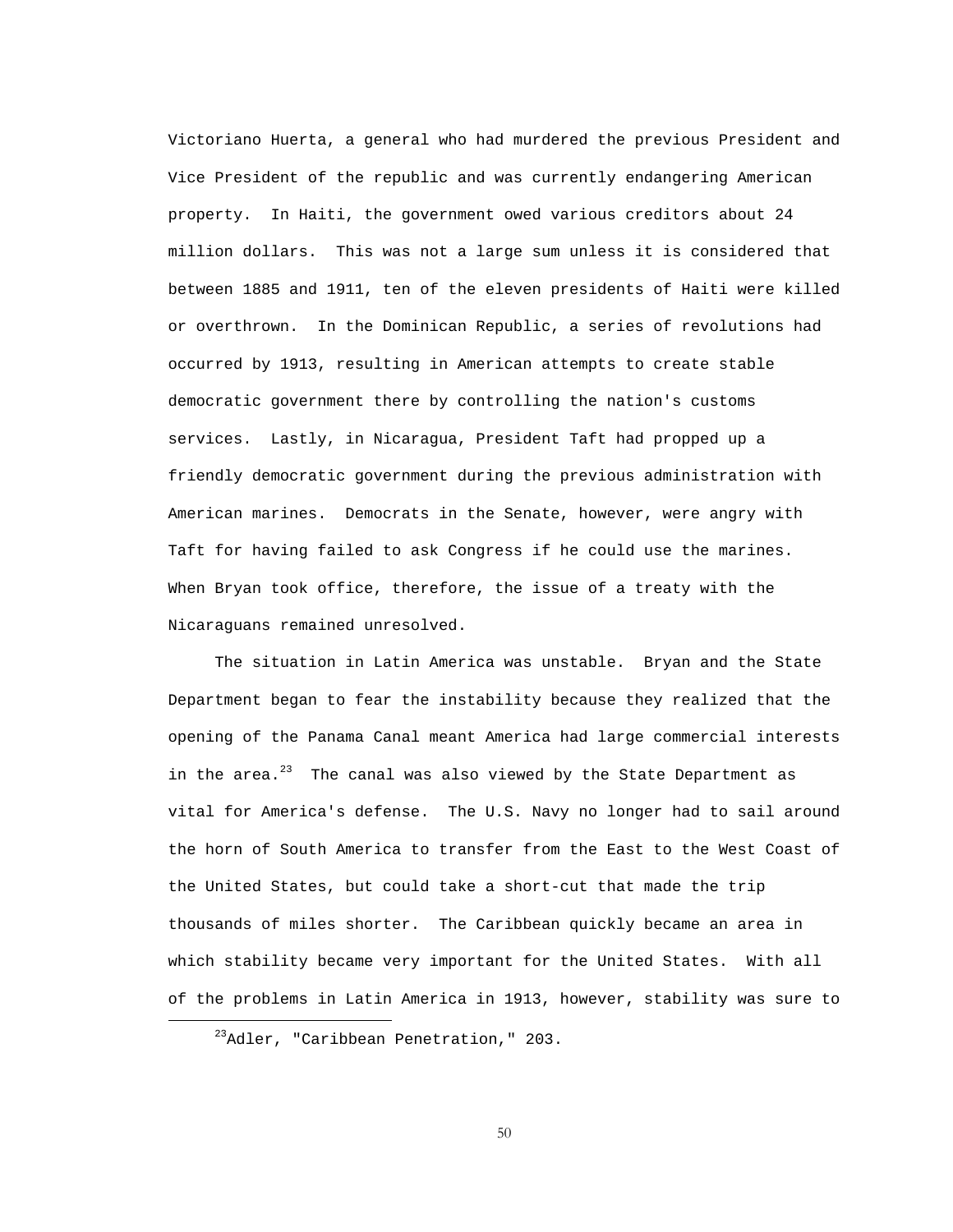Victoriano Huerta, a general who had murdered the previous President and Vice President of the republic and was currently endangering American property. In Haiti, the government owed various creditors about 24 million dollars. This was not a large sum unless it is considered that between 1885 and 1911, ten of the eleven presidents of Haiti were killed or overthrown. In the Dominican Republic, a series of revolutions had occurred by 1913, resulting in American attempts to create stable democratic government there by controlling the nation's customs services. Lastly, in Nicaragua, President Taft had propped up a friendly democratic government during the previous administration with American marines. Democrats in the Senate, however, were angry with Taft for having failed to ask Congress if he could use the marines. When Bryan took office, therefore, the issue of a treaty with the Nicaraguans remained unresolved.

 The situation in Latin America was unstable. Bryan and the State Department began to fear the instability because they realized that the opening of the Panama Canal meant America had large commercial interests in the area. $^{23}$  The canal was also viewed by the State Department as vital for America's defense. The U.S. Navy no longer had to sail around the horn of South America to transfer from the East to the West Coast of the United States, but could take a short-cut that made the trip thousands of miles shorter. The Caribbean quickly became an area in which stability became very important for the United States. With all of the problems in Latin America in 1913, however, stability was sure to

<sup>23</sup>Adler, "Caribbean Penetration," 203.

i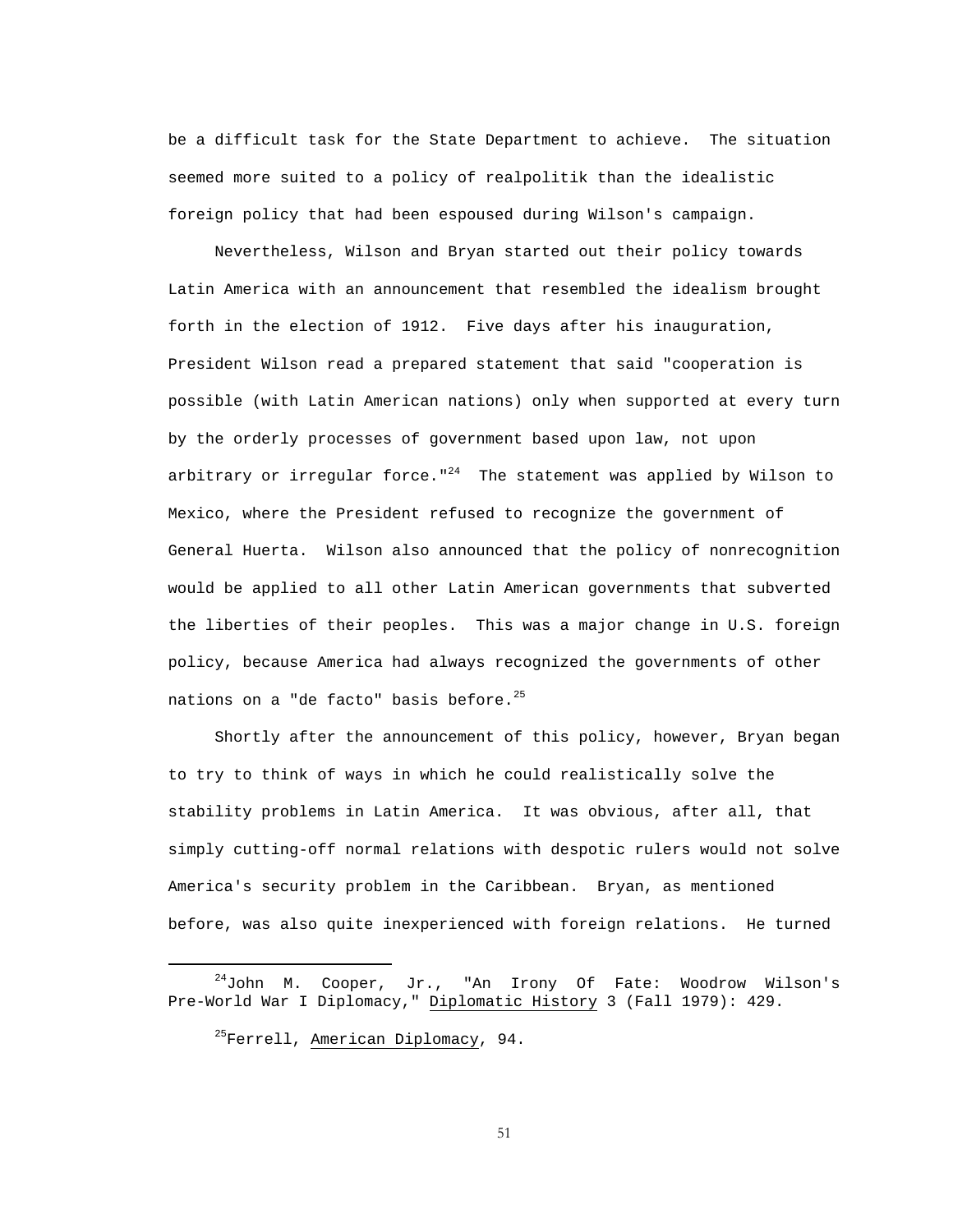be a difficult task for the State Department to achieve. The situation seemed more suited to a policy of realpolitik than the idealistic foreign policy that had been espoused during Wilson's campaign.

 Nevertheless, Wilson and Bryan started out their policy towards Latin America with an announcement that resembled the idealism brought forth in the election of 1912. Five days after his inauguration, President Wilson read a prepared statement that said "cooperation is possible (with Latin American nations) only when supported at every turn by the orderly processes of government based upon law, not upon arbitrary or irregular force." $^{24}$  The statement was applied by Wilson to Mexico, where the President refused to recognize the government of General Huerta. Wilson also announced that the policy of nonrecognition would be applied to all other Latin American governments that subverted the liberties of their peoples. This was a major change in U.S. foreign policy, because America had always recognized the governments of other nations on a "de facto" basis before. $^{25}$ 

 Shortly after the announcement of this policy, however, Bryan began to try to think of ways in which he could realistically solve the stability problems in Latin America. It was obvious, after all, that simply cutting-off normal relations with despotic rulers would not solve America's security problem in the Caribbean. Bryan, as mentioned before, was also quite inexperienced with foreign relations. He turned

<sup>25</sup>Ferrell, American Diplomacy, 94.

i

 $2^4$ John M. Cooper, Jr., "An Irony Of Fate: Woodrow Wilson's Pre-World War I Diplomacy," Diplomatic History 3 (Fall 1979): 429.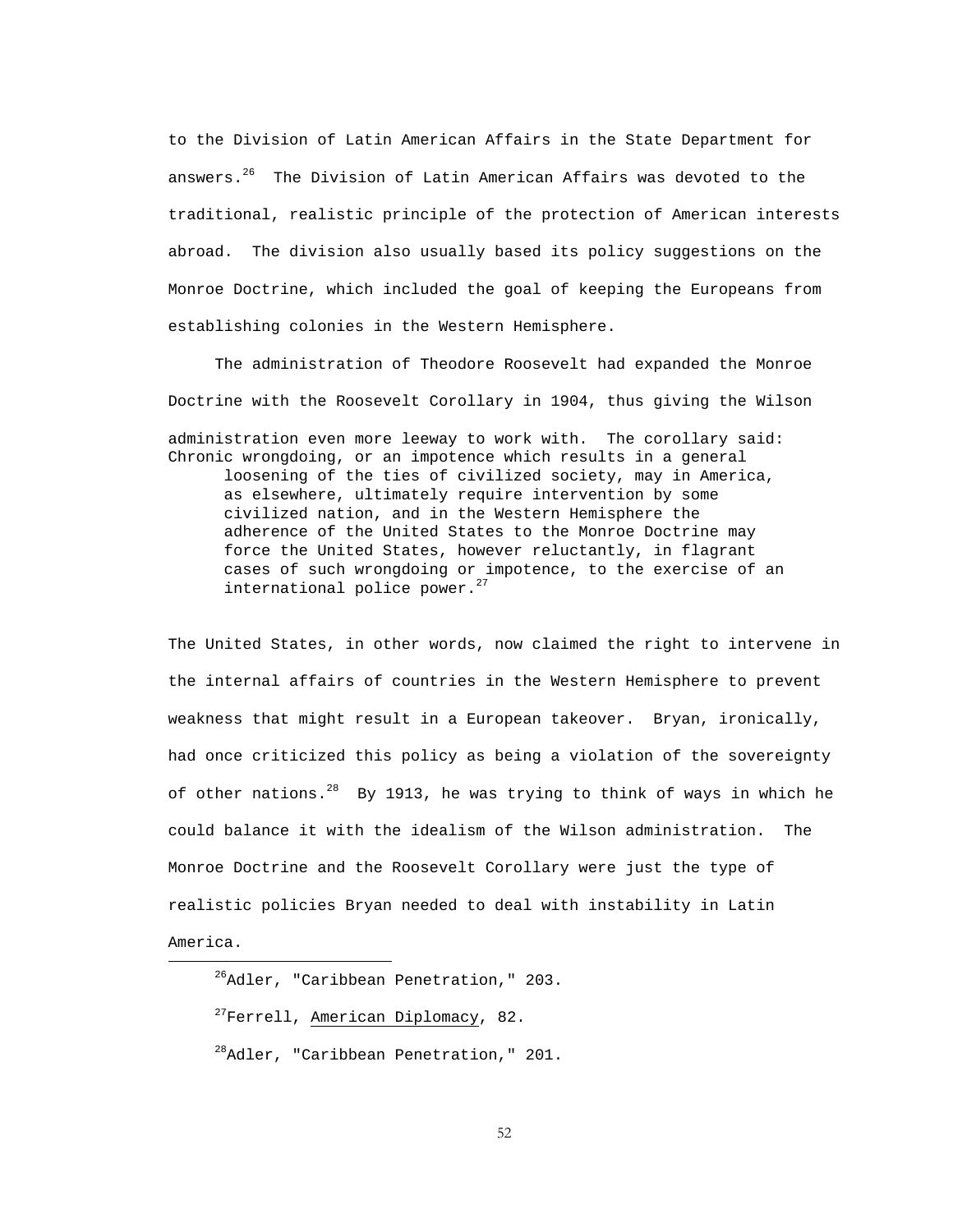to the Division of Latin American Affairs in the State Department for answers.<sup>26</sup> The Division of Latin American Affairs was devoted to the traditional, realistic principle of the protection of American interests abroad. The division also usually based its policy suggestions on the Monroe Doctrine, which included the goal of keeping the Europeans from establishing colonies in the Western Hemisphere.

 The administration of Theodore Roosevelt had expanded the Monroe Doctrine with the Roosevelt Corollary in 1904, thus giving the Wilson administration even more leeway to work with. The corollary said: Chronic wrongdoing, or an impotence which results in a general loosening of the ties of civilized society, may in America, as elsewhere, ultimately require intervention by some civilized nation, and in the Western Hemisphere the adherence of the United States to the Monroe Doctrine may force the United States, however reluctantly, in flagrant cases of such wrongdoing or impotence, to the exercise of an international police power. $27$ 

The United States, in other words, now claimed the right to intervene in the internal affairs of countries in the Western Hemisphere to prevent weakness that might result in a European takeover. Bryan, ironically, had once criticized this policy as being a violation of the sovereignty of other nations.<sup>28</sup> By 1913, he was trying to think of ways in which he could balance it with the idealism of the Wilson administration. The Monroe Doctrine and the Roosevelt Corollary were just the type of realistic policies Bryan needed to deal with instability in Latin America. i

<sup>&</sup>lt;sup>26</sup>Adler, "Caribbean Penetration," 203.

<sup>&</sup>lt;sup>27</sup>Ferrell, American Diplomacy, 82.

<sup>&</sup>lt;sup>28</sup>Adler, "Caribbean Penetration," 201.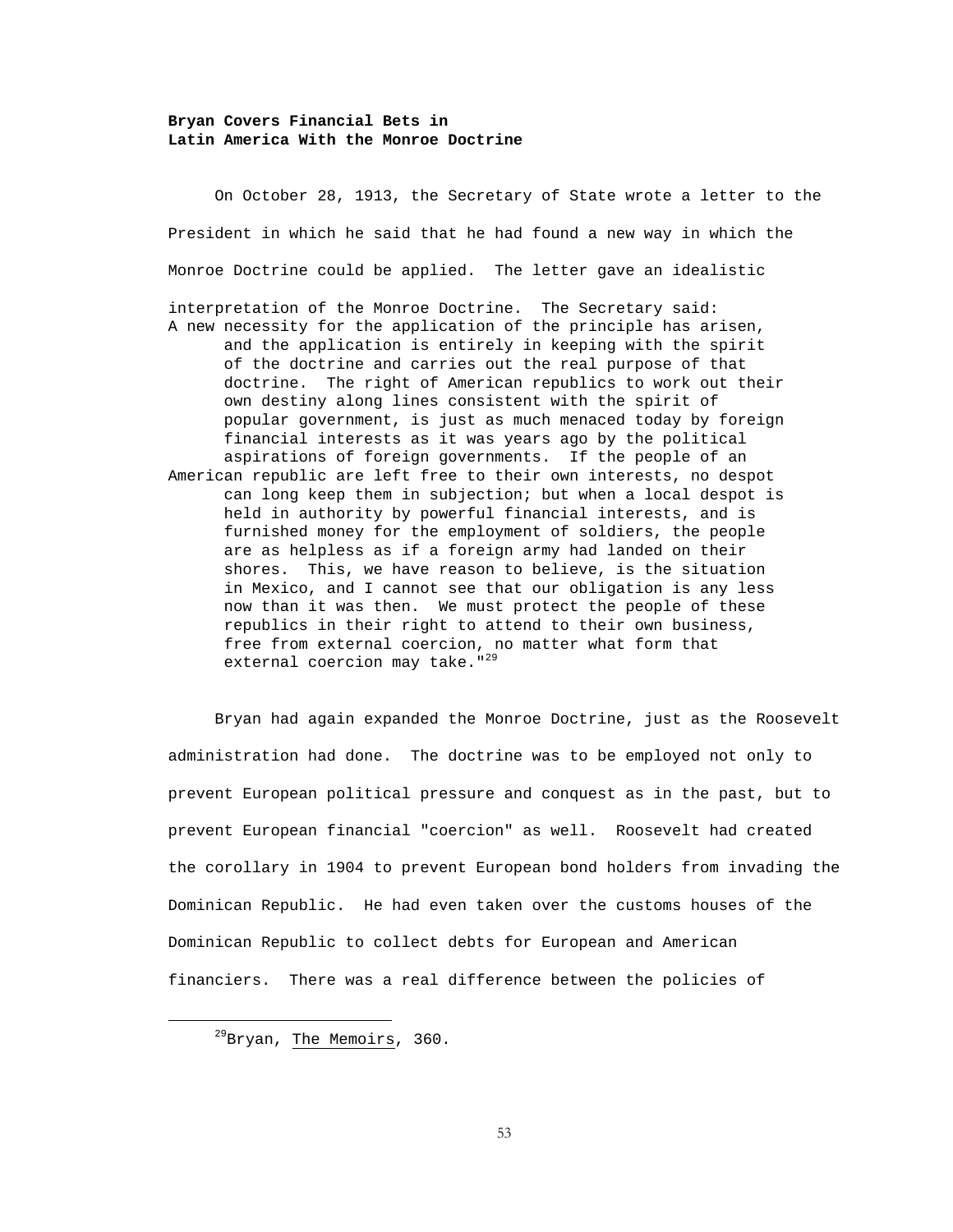## **Bryan Covers Financial Bets in Latin America With the Monroe Doctrine**

 On October 28, 1913, the Secretary of State wrote a letter to the President in which he said that he had found a new way in which the Monroe Doctrine could be applied. The letter gave an idealistic interpretation of the Monroe Doctrine. The Secretary said: A new necessity for the application of the principle has arisen, and the application is entirely in keeping with the spirit of the doctrine and carries out the real purpose of that doctrine. The right of American republics to work out their own destiny along lines consistent with the spirit of popular government, is just as much menaced today by foreign financial interests as it was years ago by the political aspirations of foreign governments. If the people of an American republic are left free to their own interests, no despot can long keep them in subjection; but when a local despot is held in authority by powerful financial interests, and is furnished money for the employment of soldiers, the people are as helpless as if a foreign army had landed on their shores. This, we have reason to believe, is the situation in Mexico, and I cannot see that our obligation is any less now than it was then. We must protect the people of these republics in their right to attend to their own business, free from external coercion, no matter what form that external coercion may take."<sup>29</sup>

 Bryan had again expanded the Monroe Doctrine, just as the Roosevelt administration had done. The doctrine was to be employed not only to prevent European political pressure and conquest as in the past, but to prevent European financial "coercion" as well. Roosevelt had created the corollary in 1904 to prevent European bond holders from invading the Dominican Republic. He had even taken over the customs houses of the Dominican Republic to collect debts for European and American financiers. There was a real difference between the policies of

i

 $^{29}$ Bryan, The Memoirs, 360.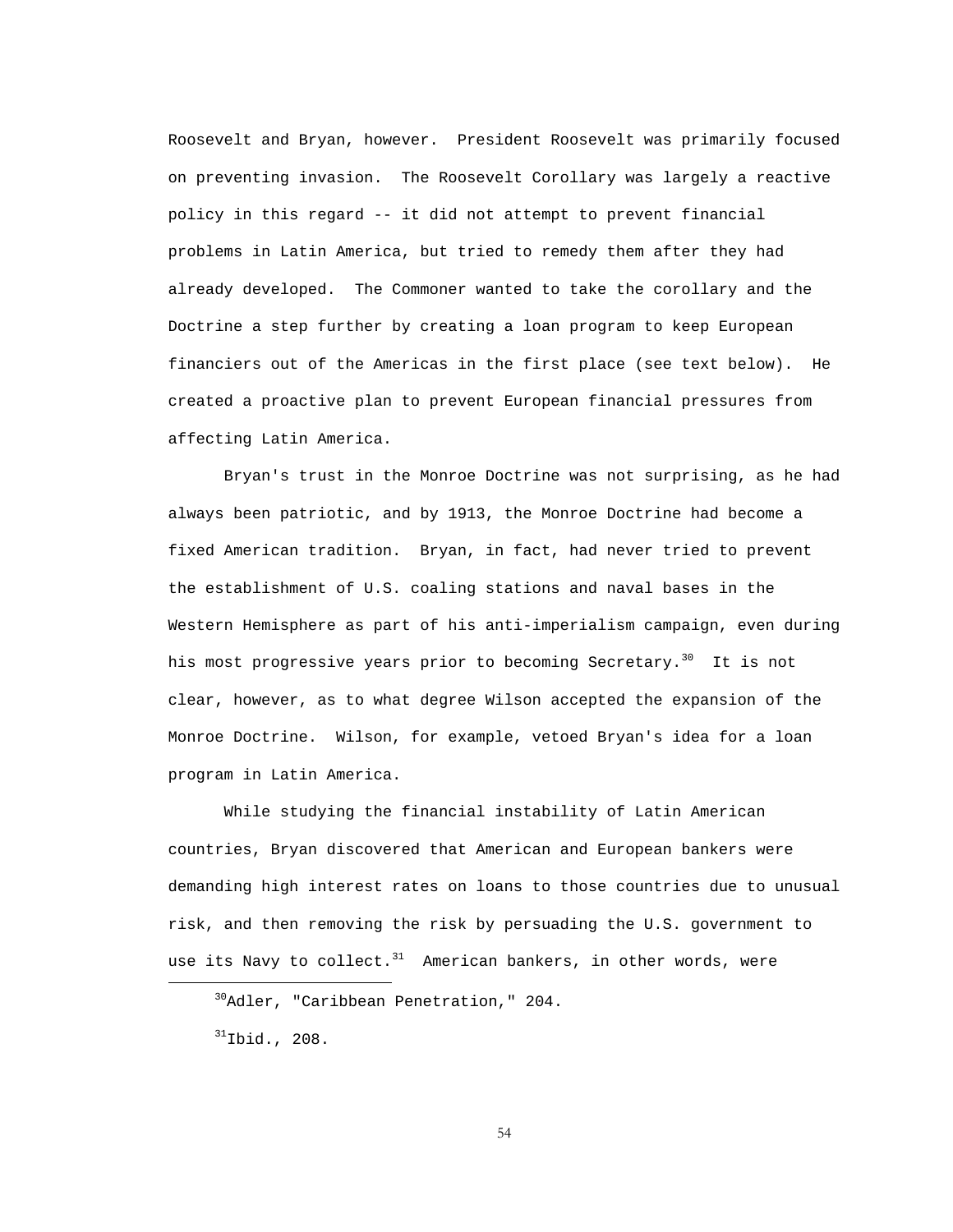Roosevelt and Bryan, however. President Roosevelt was primarily focused on preventing invasion. The Roosevelt Corollary was largely a reactive policy in this regard -- it did not attempt to prevent financial problems in Latin America, but tried to remedy them after they had already developed. The Commoner wanted to take the corollary and the Doctrine a step further by creating a loan program to keep European financiers out of the Americas in the first place (see text below). He created a proactive plan to prevent European financial pressures from affecting Latin America.

 Bryan's trust in the Monroe Doctrine was not surprising, as he had always been patriotic, and by 1913, the Monroe Doctrine had become a fixed American tradition. Bryan, in fact, had never tried to prevent the establishment of U.S. coaling stations and naval bases in the Western Hemisphere as part of his anti-imperialism campaign, even during his most progressive years prior to becoming Secretary.<sup>30</sup> It is not clear, however, as to what degree Wilson accepted the expansion of the Monroe Doctrine. Wilson, for example, vetoed Bryan's idea for a loan program in Latin America.

 While studying the financial instability of Latin American countries, Bryan discovered that American and European bankers were demanding high interest rates on loans to those countries due to unusual risk, and then removing the risk by persuading the U.S. government to use its Navy to collect. $31$  American bankers, in other words, were

i

30Adler, "Caribbean Penetration," 204.

 $31$ Ibid., 208.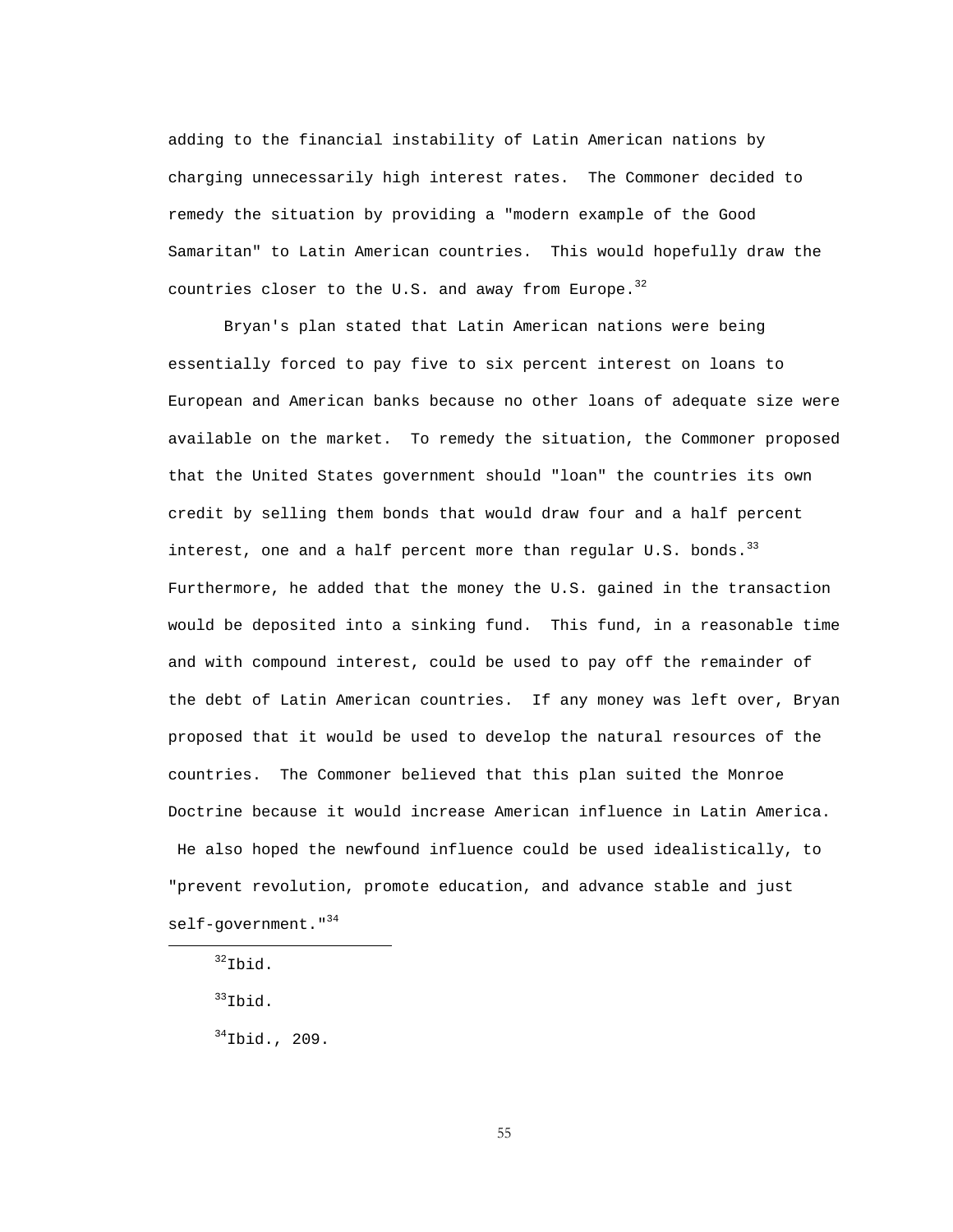adding to the financial instability of Latin American nations by charging unnecessarily high interest rates. The Commoner decided to remedy the situation by providing a "modern example of the Good Samaritan" to Latin American countries. This would hopefully draw the countries closer to the U.S. and away from Europe.  $32$ 

 Bryan's plan stated that Latin American nations were being essentially forced to pay five to six percent interest on loans to European and American banks because no other loans of adequate size were available on the market. To remedy the situation, the Commoner proposed that the United States government should "loan" the countries its own credit by selling them bonds that would draw four and a half percent interest, one and a half percent more than regular U.S. bonds.<sup>33</sup> Furthermore, he added that the money the U.S. gained in the transaction would be deposited into a sinking fund. This fund, in a reasonable time and with compound interest, could be used to pay off the remainder of the debt of Latin American countries. If any money was left over, Bryan proposed that it would be used to develop the natural resources of the countries. The Commoner believed that this plan suited the Monroe Doctrine because it would increase American influence in Latin America. He also hoped the newfound influence could be used idealistically, to "prevent revolution, promote education, and advance stable and just self-government."<sup>34</sup>

 $32$ Ibid.

i

 $33$ Ibid.

 $34$ Ibid., 209.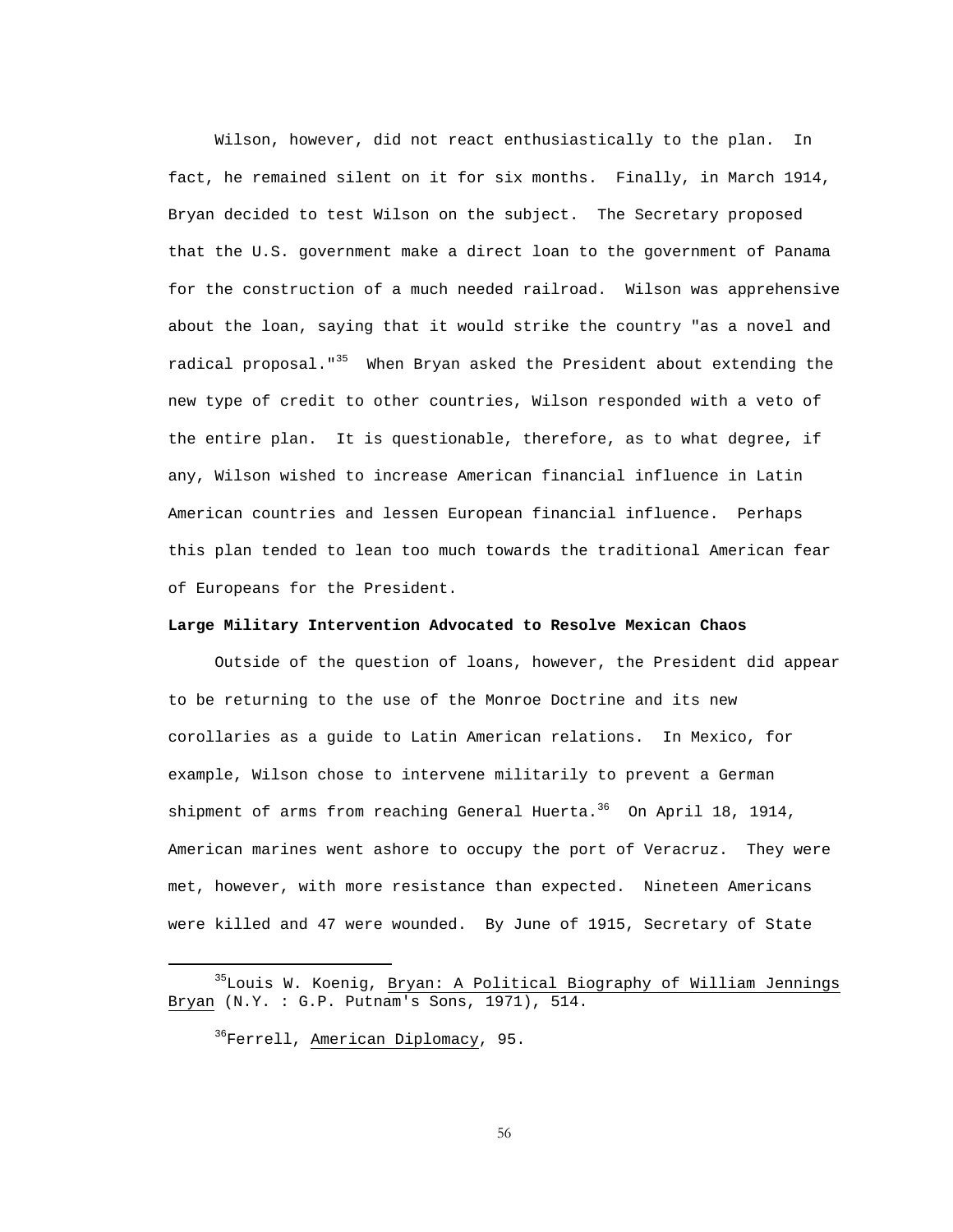Wilson, however, did not react enthusiastically to the plan. In fact, he remained silent on it for six months. Finally, in March 1914, Bryan decided to test Wilson on the subject. The Secretary proposed that the U.S. government make a direct loan to the government of Panama for the construction of a much needed railroad. Wilson was apprehensive about the loan, saying that it would strike the country "as a novel and radical proposal."<sup>35</sup> When Bryan asked the President about extending the new type of credit to other countries, Wilson responded with a veto of the entire plan. It is questionable, therefore, as to what degree, if any, Wilson wished to increase American financial influence in Latin American countries and lessen European financial influence. Perhaps this plan tended to lean too much towards the traditional American fear of Europeans for the President.

## **Large Military Intervention Advocated to Resolve Mexican Chaos**

 Outside of the question of loans, however, the President did appear to be returning to the use of the Monroe Doctrine and its new corollaries as a guide to Latin American relations. In Mexico, for example, Wilson chose to intervene militarily to prevent a German shipment of arms from reaching General Huerta.<sup>36</sup> On April 18, 1914, American marines went ashore to occupy the port of Veracruz. They were met, however, with more resistance than expected. Nineteen Americans were killed and 47 were wounded. By June of 1915, Secretary of State

<sup>36</sup>Ferrell, American Diplomacy, 95.

i

<sup>&</sup>lt;sup>35</sup>Louis W. Koenig, Bryan: <u>A Political Biography of William Jennings</u> Bryan (N.Y. : G.P. Putnam's Sons, 1971), 514.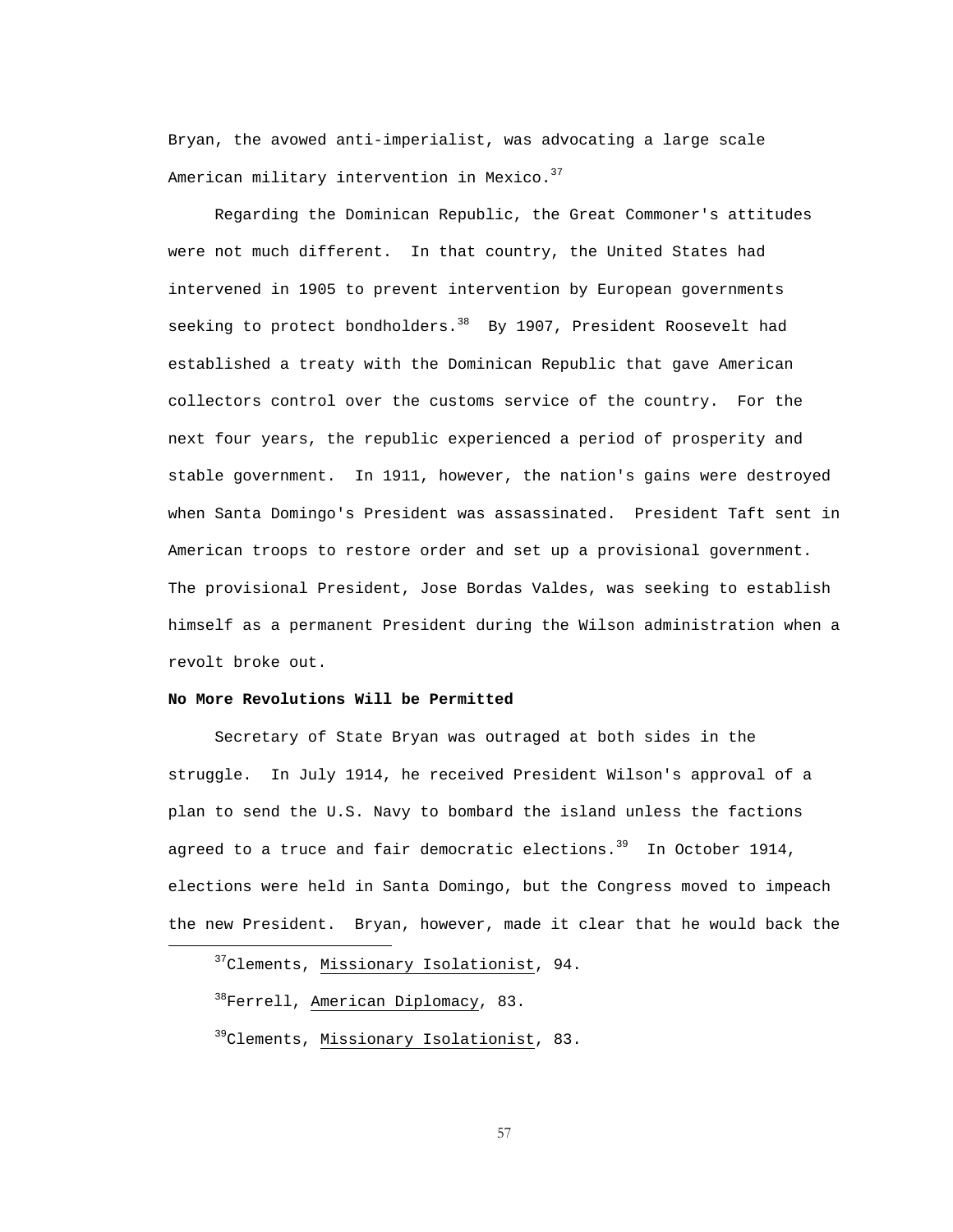Bryan, the avowed anti-imperialist, was advocating a large scale American military intervention in Mexico.<sup>37</sup>

 Regarding the Dominican Republic, the Great Commoner's attitudes were not much different. In that country, the United States had intervened in 1905 to prevent intervention by European governments seeking to protect bondholders.<sup>38</sup> By 1907, President Roosevelt had established a treaty with the Dominican Republic that gave American collectors control over the customs service of the country. For the next four years, the republic experienced a period of prosperity and stable government. In 1911, however, the nation's gains were destroyed when Santa Domingo's President was assassinated. President Taft sent in American troops to restore order and set up a provisional government. The provisional President, Jose Bordas Valdes, was seeking to establish himself as a permanent President during the Wilson administration when a revolt broke out.

## **No More Revolutions Will be Permitted**

 Secretary of State Bryan was outraged at both sides in the struggle. In July 1914, he received President Wilson's approval of a plan to send the U.S. Navy to bombard the island unless the factions agreed to a truce and fair democratic elections.<sup>39</sup> In October 1914, elections were held in Santa Domingo, but the Congress moved to impeach the new President. Bryan, however, made it clear that he would back the

37Clements, Missionary Isolationist, 94.

<sup>38</sup>Ferrell, American Diplomacy, 83.

i

<sup>39</sup>Clements, Missionary Isolationist, 83.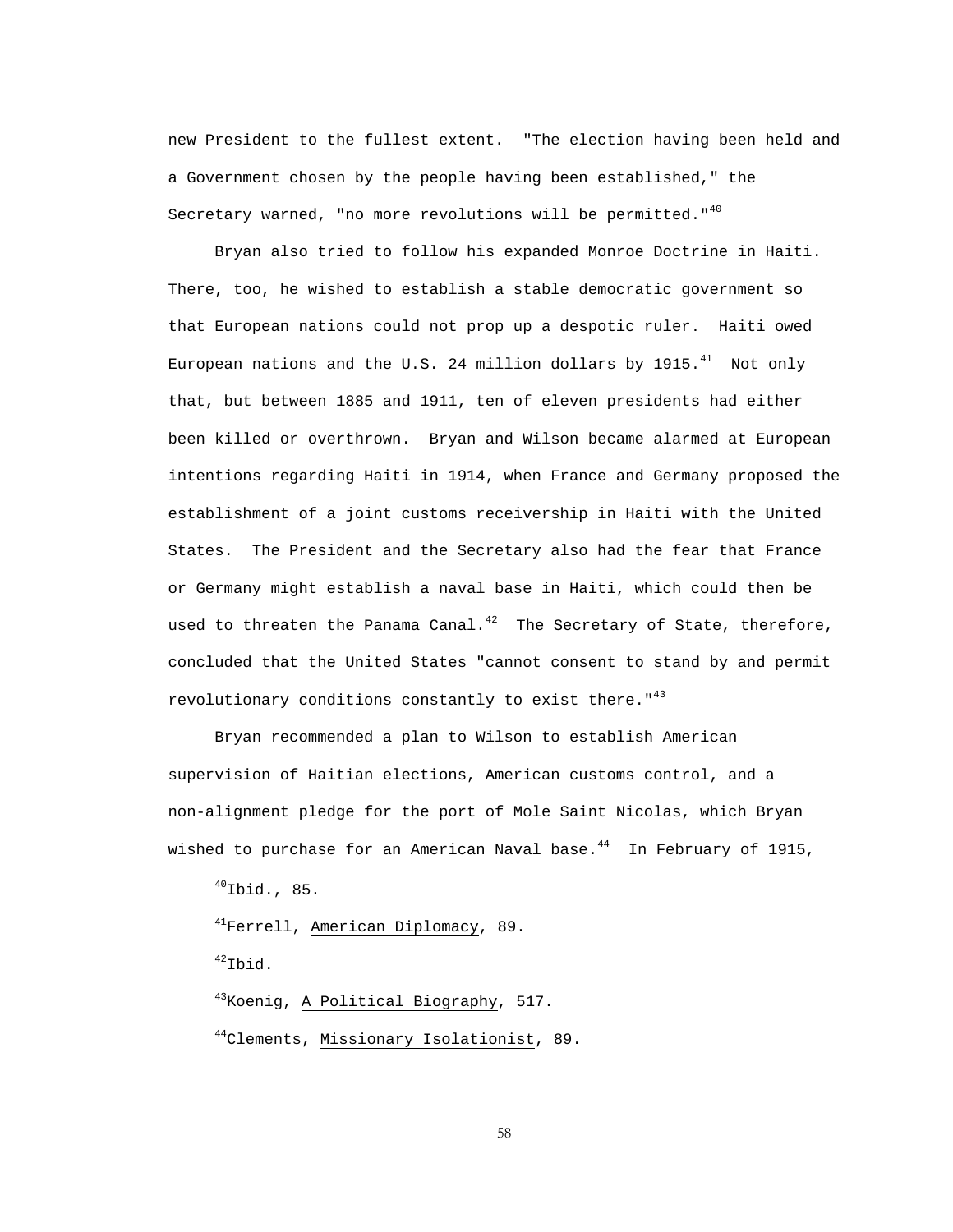new President to the fullest extent. "The election having been held and a Government chosen by the people having been established," the Secretary warned, "no more revolutions will be permitted." $40$ 

 Bryan also tried to follow his expanded Monroe Doctrine in Haiti. There, too, he wished to establish a stable democratic government so that European nations could not prop up a despotic ruler. Haiti owed European nations and the U.S. 24 million dollars by 1915.<sup>41</sup> Not only that, but between 1885 and 1911, ten of eleven presidents had either been killed or overthrown. Bryan and Wilson became alarmed at European intentions regarding Haiti in 1914, when France and Germany proposed the establishment of a joint customs receivership in Haiti with the United States. The President and the Secretary also had the fear that France or Germany might establish a naval base in Haiti, which could then be used to threaten the Panama Canal. $^{42}$  The Secretary of State, therefore, concluded that the United States "cannot consent to stand by and permit revolutionary conditions constantly to exist there." $43$ 

 Bryan recommended a plan to Wilson to establish American supervision of Haitian elections, American customs control, and a non-alignment pledge for the port of Mole Saint Nicolas, which Bryan wished to purchase for an American Naval base. $^{44}$  In February of 1915,

<sup>41</sup>Ferrell, American Diplomacy, 89.

 $42$ Ibid.

i

<sup>43</sup>Koenig, A Political Biography, 517.

44Clements, Missionary Isolationist, 89.

 $^{40}$ Ibid., 85.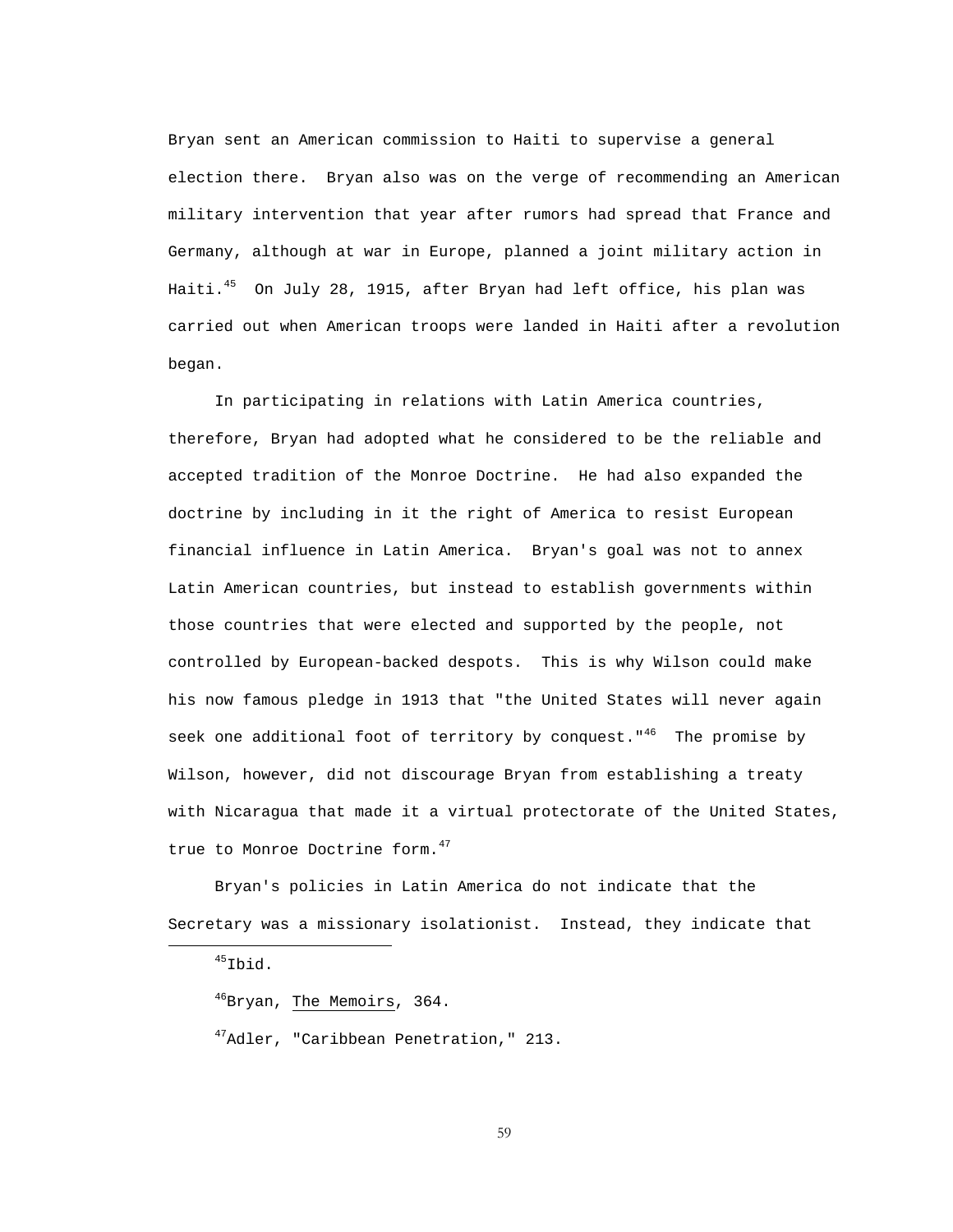Bryan sent an American commission to Haiti to supervise a general election there. Bryan also was on the verge of recommending an American military intervention that year after rumors had spread that France and Germany, although at war in Europe, planned a joint military action in Haiti.<sup>45</sup> On July 28, 1915, after Bryan had left office, his plan was carried out when American troops were landed in Haiti after a revolution began.

 In participating in relations with Latin America countries, therefore, Bryan had adopted what he considered to be the reliable and accepted tradition of the Monroe Doctrine. He had also expanded the doctrine by including in it the right of America to resist European financial influence in Latin America. Bryan's goal was not to annex Latin American countries, but instead to establish governments within those countries that were elected and supported by the people, not controlled by European-backed despots. This is why Wilson could make his now famous pledge in 1913 that "the United States will never again seek one additional foot of territory by conquest. " $46$  The promise by Wilson, however, did not discourage Bryan from establishing a treaty with Nicaragua that made it a virtual protectorate of the United States, true to Monroe Doctrine form.<sup>47</sup>

 Bryan's policies in Latin America do not indicate that the Secretary was a missionary isolationist. Instead, they indicate that

 $45$ Ibid.

i

 $46Bryan$ , The Memoirs, 364.

<sup>47</sup>Adler, "Caribbean Penetration," 213.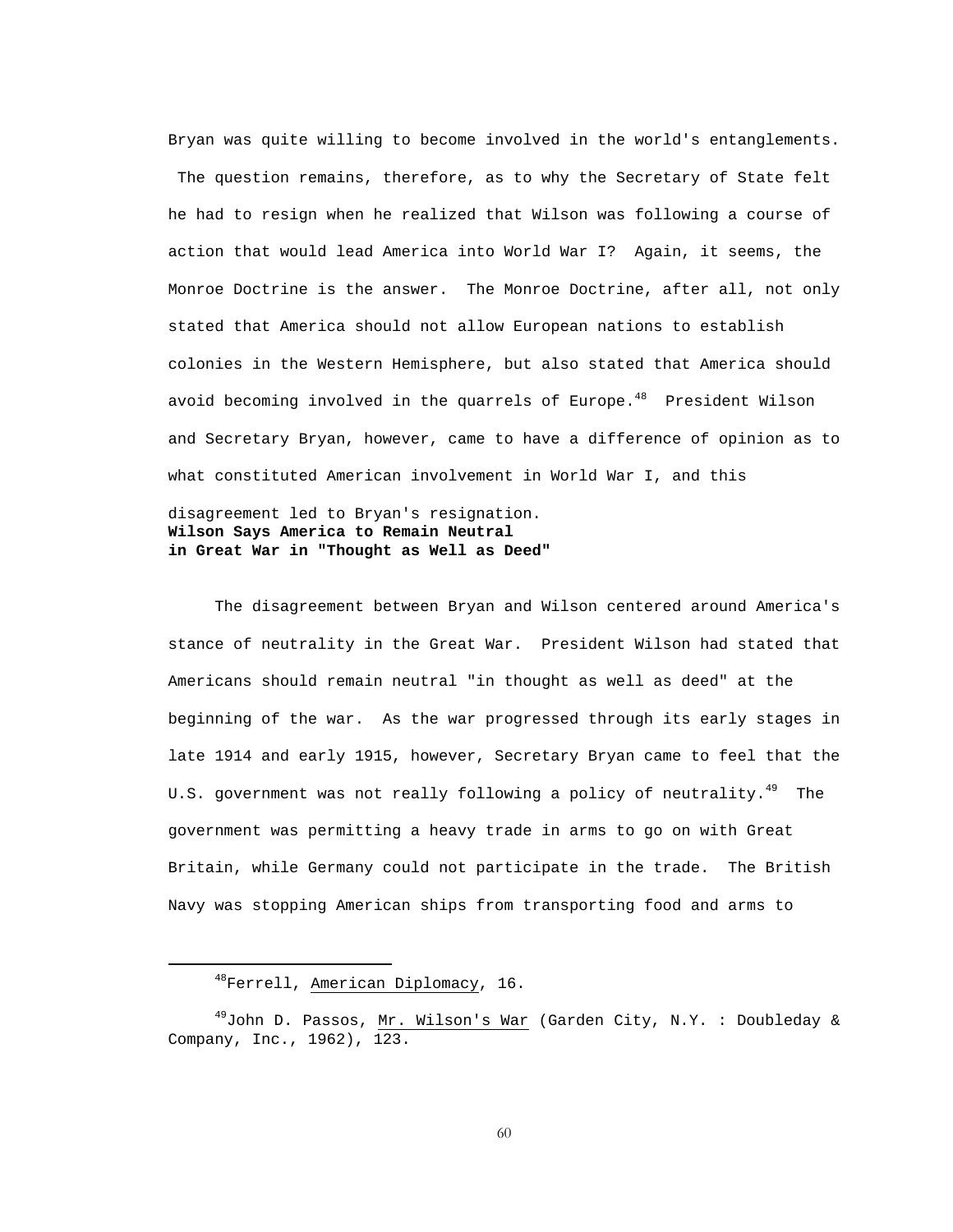Bryan was quite willing to become involved in the world's entanglements. The question remains, therefore, as to why the Secretary of State felt he had to resign when he realized that Wilson was following a course of action that would lead America into World War I? Again, it seems, the Monroe Doctrine is the answer. The Monroe Doctrine, after all, not only stated that America should not allow European nations to establish colonies in the Western Hemisphere, but also stated that America should avoid becoming involved in the quarrels of Europe.<sup>48</sup> President Wilson and Secretary Bryan, however, came to have a difference of opinion as to what constituted American involvement in World War I, and this

# disagreement led to Bryan's resignation. **Wilson Says America to Remain Neutral in Great War in "Thought as Well as Deed"**

 The disagreement between Bryan and Wilson centered around America's stance of neutrality in the Great War. President Wilson had stated that Americans should remain neutral "in thought as well as deed" at the beginning of the war. As the war progressed through its early stages in late 1914 and early 1915, however, Secretary Bryan came to feel that the U.S. government was not really following a policy of neutrality.<sup>49</sup> The government was permitting a heavy trade in arms to go on with Great Britain, while Germany could not participate in the trade. The British Navy was stopping American ships from transporting food and arms to

i

48Ferrell, American Diplomacy, 16.

 $^{49}$ John D. Passos, Mr. Wilson's War (Garden City, N.Y. : Doubleday & Company, Inc., 1962), 123.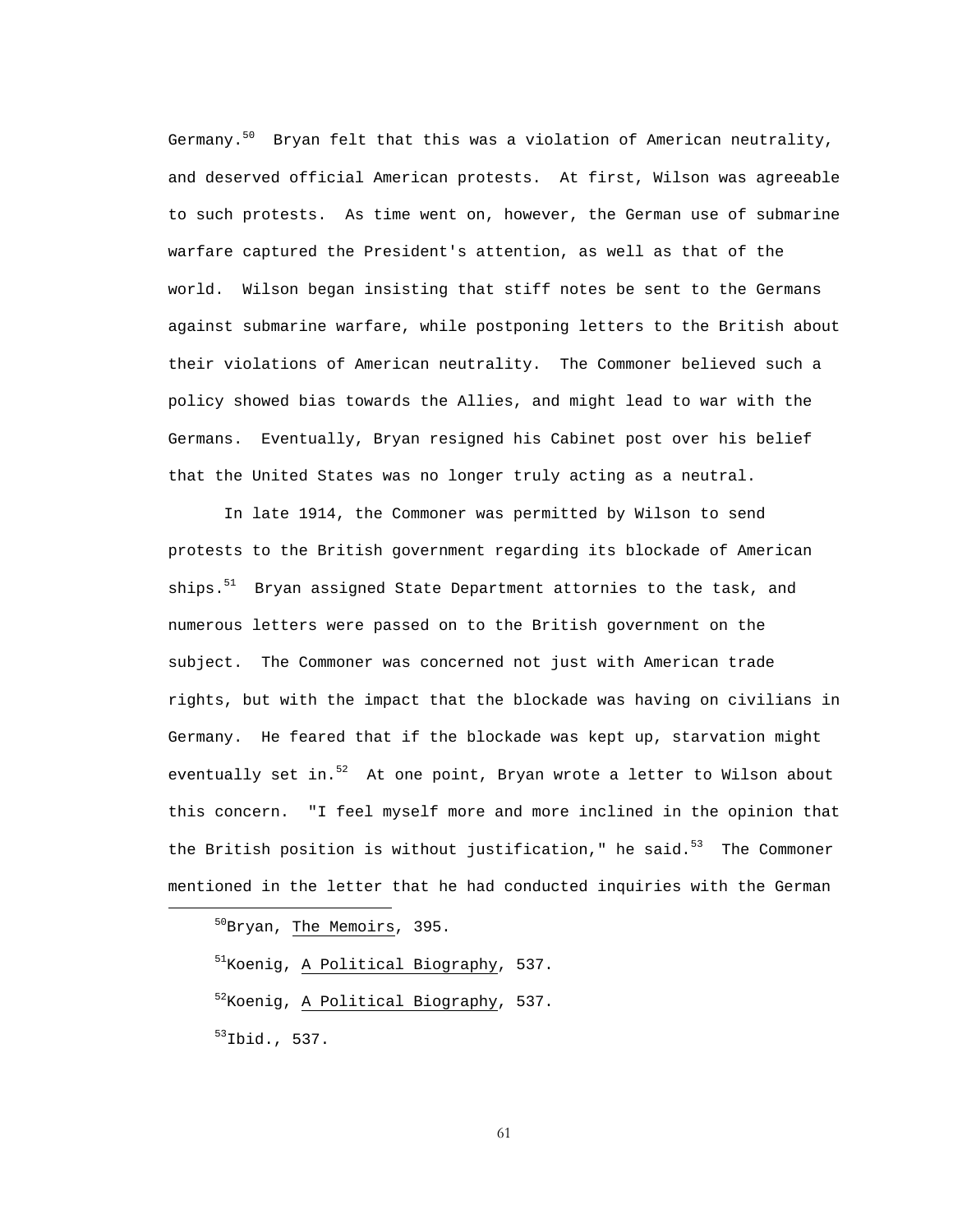Germany.<sup>50</sup> Bryan felt that this was a violation of American neutrality, and deserved official American protests. At first, Wilson was agreeable to such protests. As time went on, however, the German use of submarine warfare captured the President's attention, as well as that of the world. Wilson began insisting that stiff notes be sent to the Germans against submarine warfare, while postponing letters to the British about their violations of American neutrality. The Commoner believed such a policy showed bias towards the Allies, and might lead to war with the Germans. Eventually, Bryan resigned his Cabinet post over his belief that the United States was no longer truly acting as a neutral.

 In late 1914, the Commoner was permitted by Wilson to send protests to the British government regarding its blockade of American ships.<sup>51</sup> Bryan assigned State Department attornies to the task, and numerous letters were passed on to the British government on the subject. The Commoner was concerned not just with American trade rights, but with the impact that the blockade was having on civilians in Germany. He feared that if the blockade was kept up, starvation might eventually set in.<sup>52</sup> At one point, Bryan wrote a letter to Wilson about this concern. "I feel myself more and more inclined in the opinion that the British position is without justification," he said. $53$  The Commoner mentioned in the letter that he had conducted inquiries with the German

51Koenig, A Political Biography, 537.

<sup>52</sup>Koenig, A Political Biography, 537.

 $53$ Ibid., 537.

i

50Bryan, The Memoirs, 395.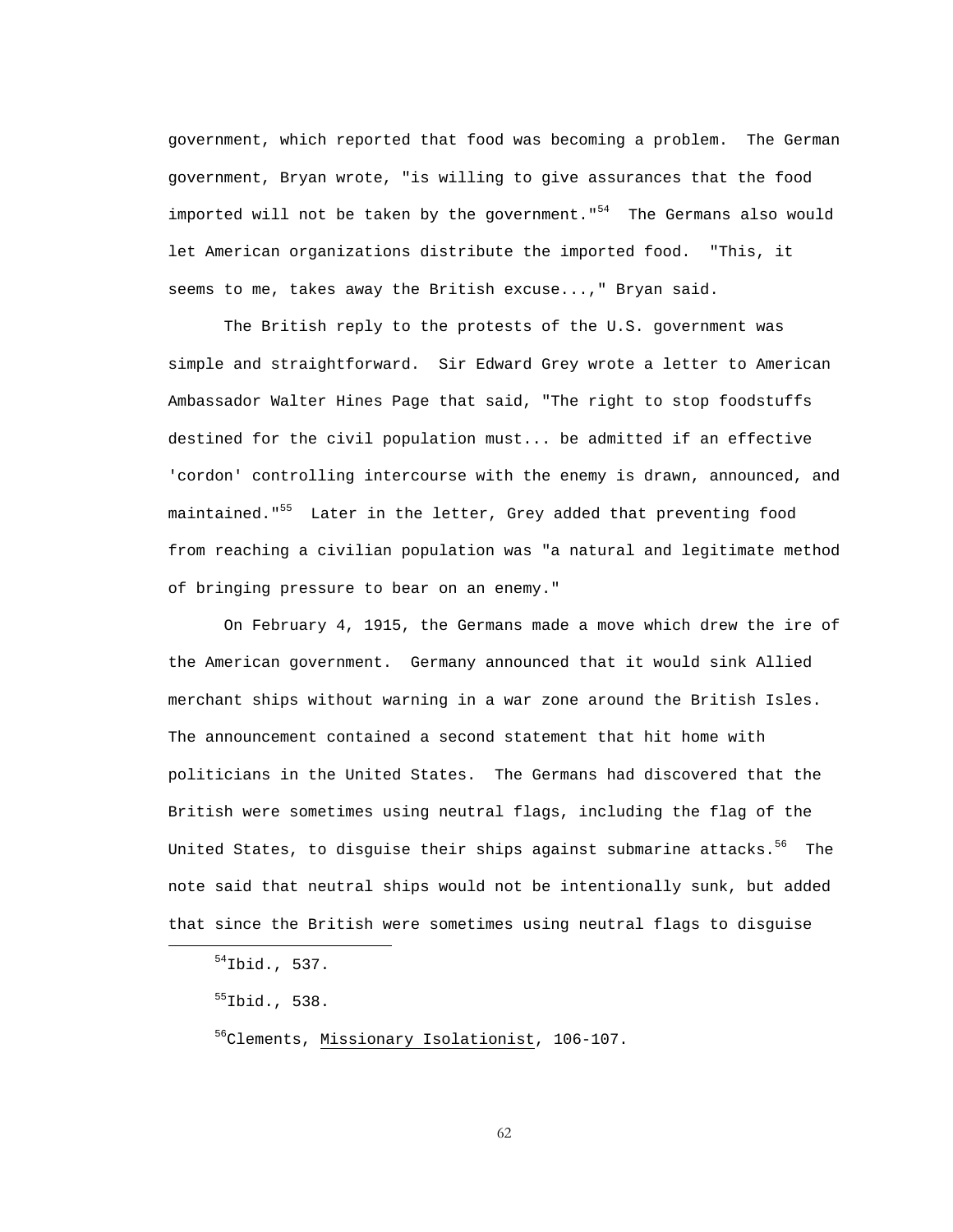government, which reported that food was becoming a problem. The German government, Bryan wrote, "is willing to give assurances that the food imported will not be taken by the government." $54$  The Germans also would let American organizations distribute the imported food. "This, it seems to me, takes away the British excuse...," Bryan said.

 The British reply to the protests of the U.S. government was simple and straightforward. Sir Edward Grey wrote a letter to American Ambassador Walter Hines Page that said, "The right to stop foodstuffs destined for the civil population must... be admitted if an effective 'cordon' controlling intercourse with the enemy is drawn, announced, and maintained."<sup>55</sup> Later in the letter, Grey added that preventing food from reaching a civilian population was "a natural and legitimate method of bringing pressure to bear on an enemy."

 On February 4, 1915, the Germans made a move which drew the ire of the American government. Germany announced that it would sink Allied merchant ships without warning in a war zone around the British Isles. The announcement contained a second statement that hit home with politicians in the United States. The Germans had discovered that the British were sometimes using neutral flags, including the flag of the United States, to disguise their ships against submarine attacks.<sup>56</sup> The note said that neutral ships would not be intentionally sunk, but added that since the British were sometimes using neutral flags to disguise

i

 $54$ Ibid., 537.

 $55$ Ibid., 538.

56Clements, Missionary Isolationist, 106-107.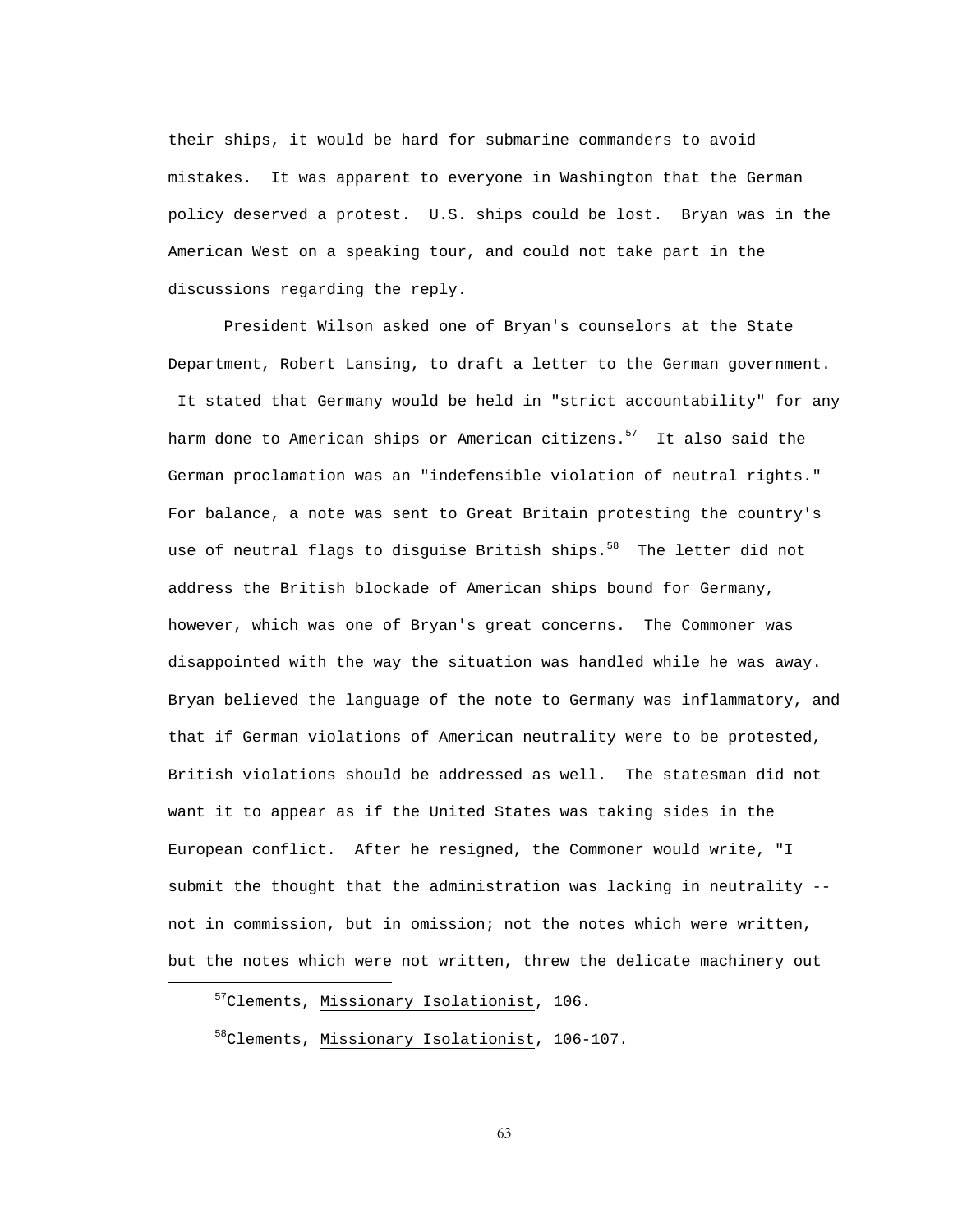their ships, it would be hard for submarine commanders to avoid mistakes. It was apparent to everyone in Washington that the German policy deserved a protest. U.S. ships could be lost. Bryan was in the American West on a speaking tour, and could not take part in the discussions regarding the reply.

 President Wilson asked one of Bryan's counselors at the State Department, Robert Lansing, to draft a letter to the German government.

 It stated that Germany would be held in "strict accountability" for any harm done to American ships or American citizens.<sup>57</sup> It also said the German proclamation was an "indefensible violation of neutral rights." For balance, a note was sent to Great Britain protesting the country's use of neutral flags to disguise British ships.<sup>58</sup> The letter did not address the British blockade of American ships bound for Germany, however, which was one of Bryan's great concerns. The Commoner was disappointed with the way the situation was handled while he was away. Bryan believed the language of the note to Germany was inflammatory, and that if German violations of American neutrality were to be protested, British violations should be addressed as well. The statesman did not want it to appear as if the United States was taking sides in the European conflict. After he resigned, the Commoner would write, "I submit the thought that the administration was lacking in neutrality - not in commission, but in omission; not the notes which were written, but the notes which were not written, threw the delicate machinery out

i

57Clements, Missionary Isolationist, 106.

58Clements, Missionary Isolationist, 106-107.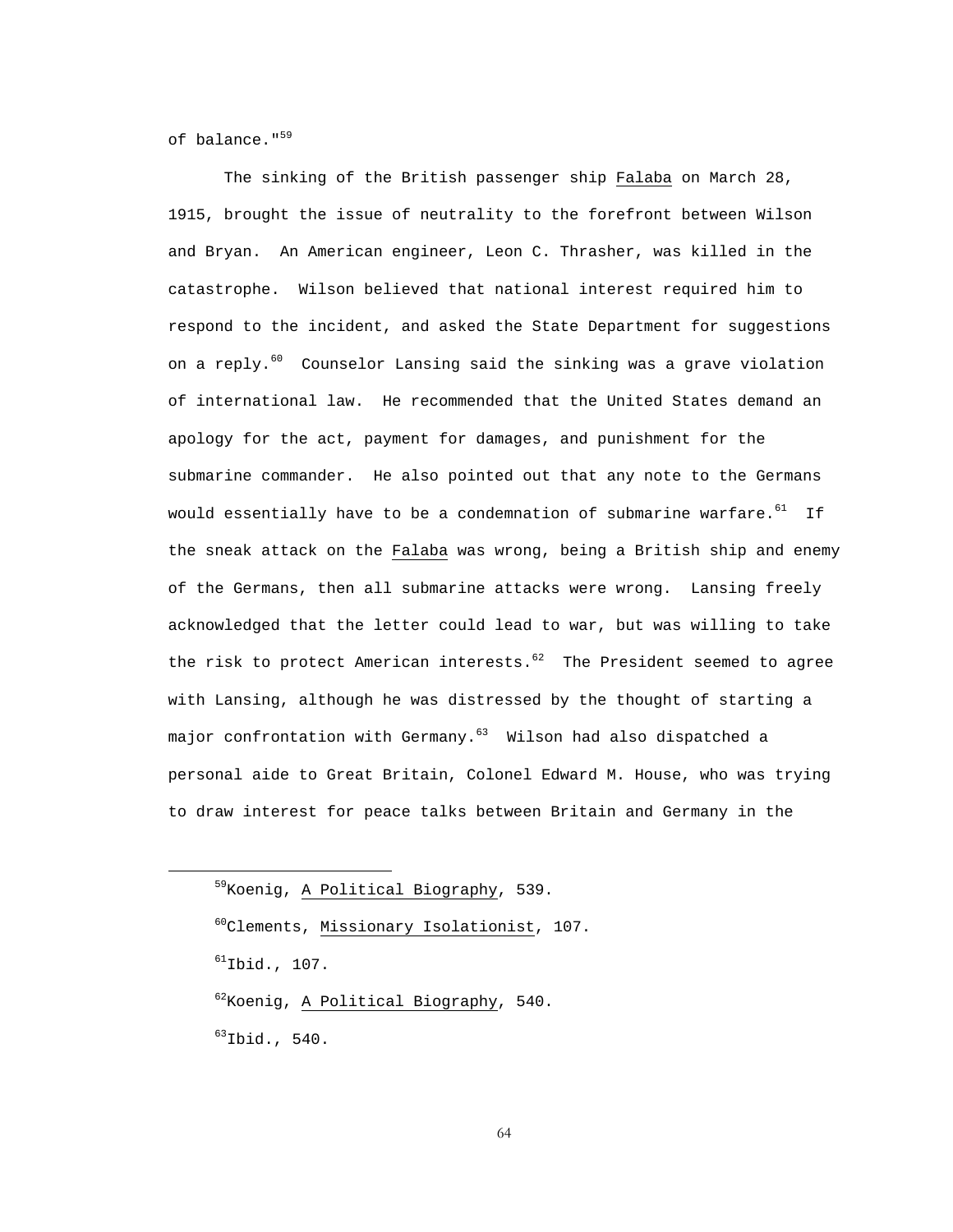of balance."59

 The sinking of the British passenger ship Falaba on March 28, 1915, brought the issue of neutrality to the forefront between Wilson and Bryan. An American engineer, Leon C. Thrasher, was killed in the catastrophe. Wilson believed that national interest required him to respond to the incident, and asked the State Department for suggestions on a reply.<sup>60</sup> Counselor Lansing said the sinking was a grave violation of international law. He recommended that the United States demand an apology for the act, payment for damages, and punishment for the submarine commander. He also pointed out that any note to the Germans would essentially have to be a condemnation of submarine warfare.<sup>61</sup> If the sneak attack on the Falaba was wrong, being a British ship and enemy of the Germans, then all submarine attacks were wrong. Lansing freely acknowledged that the letter could lead to war, but was willing to take the risk to protect American interests. $62$  The President seemed to agree with Lansing, although he was distressed by the thought of starting a major confrontation with Germany. $63$  Wilson had also dispatched a personal aide to Great Britain, Colonel Edward M. House, who was trying to draw interest for peace talks between Britain and Germany in the

i

 $63$ Ibid., 540.

59Koenig, A Political Biography, 539.

 $^{60}$ Clements, Missionary Isolationist, 107.

 ${}^{61}$ Ibid., 107.

 $62$ Koenig, A Political Biography, 540.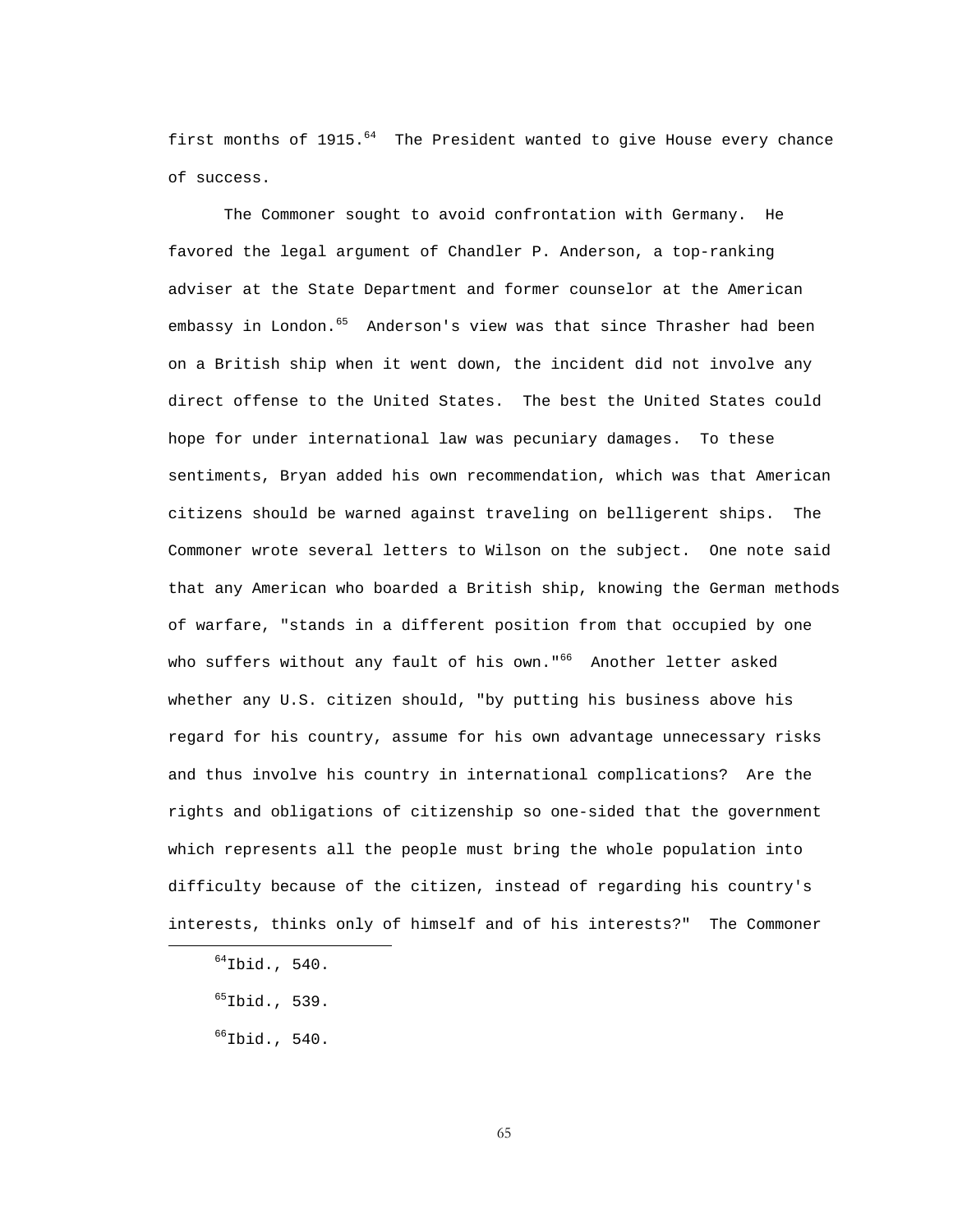first months of  $1915.^{64}$  The President wanted to give House every chance of success.

 The Commoner sought to avoid confrontation with Germany. He favored the legal argument of Chandler P. Anderson, a top-ranking adviser at the State Department and former counselor at the American embassy in London.<sup>65</sup> Anderson's view was that since Thrasher had been on a British ship when it went down, the incident did not involve any direct offense to the United States. The best the United States could hope for under international law was pecuniary damages. To these sentiments, Bryan added his own recommendation, which was that American citizens should be warned against traveling on belligerent ships. The Commoner wrote several letters to Wilson on the subject. One note said that any American who boarded a British ship, knowing the German methods of warfare, "stands in a different position from that occupied by one who suffers without any fault of his own."<sup>66</sup> Another letter asked whether any U.S. citizen should, "by putting his business above his regard for his country, assume for his own advantage unnecessary risks and thus involve his country in international complications? Are the rights and obligations of citizenship so one-sided that the government which represents all the people must bring the whole population into difficulty because of the citizen, instead of regarding his country's interests, thinks only of himself and of his interests?" The Commoner

i

 $64$ Ibid., 540.

 $65$ Ibid., 539.

 $<sup>66</sup>Ibid., 540.$ </sup>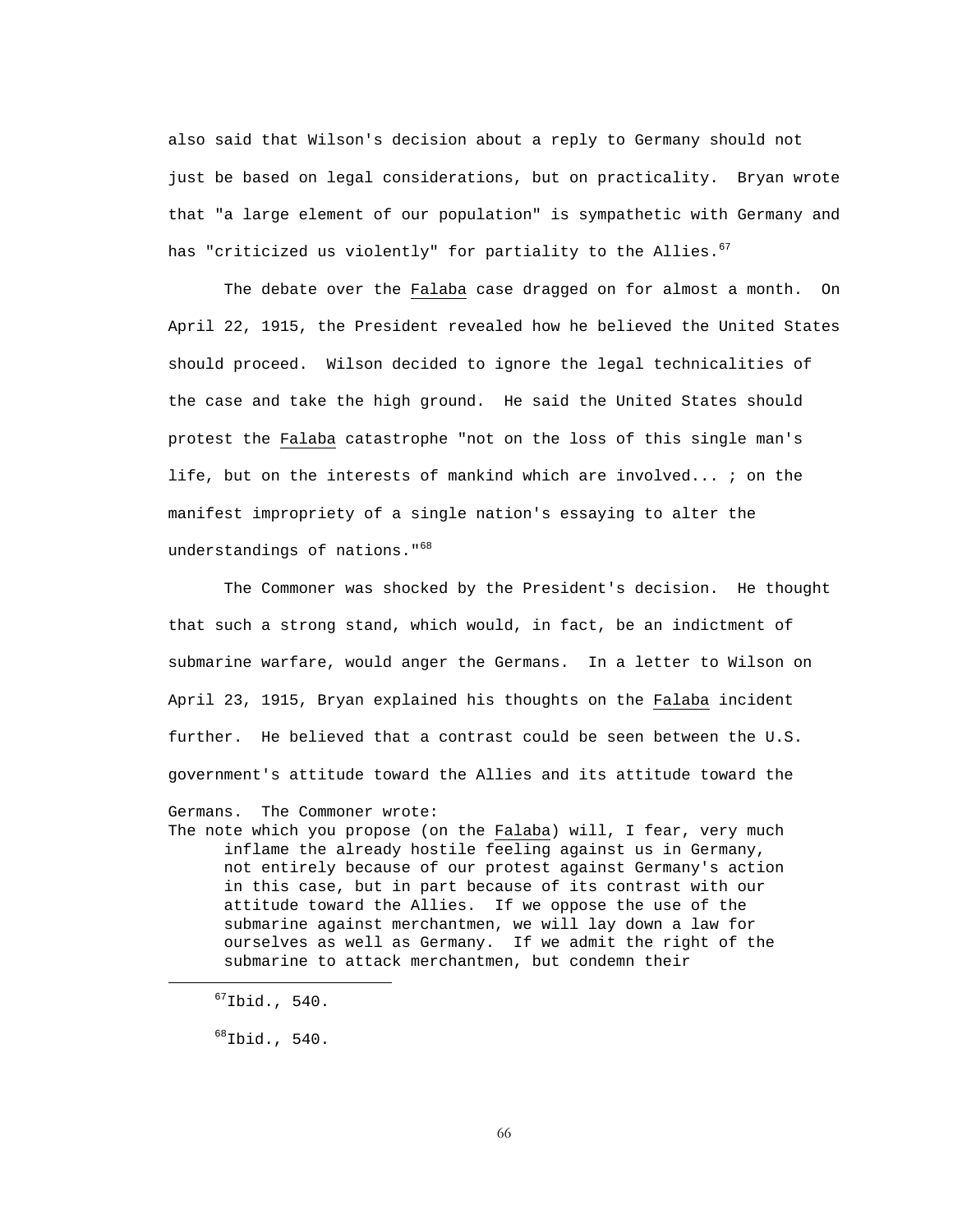also said that Wilson's decision about a reply to Germany should not just be based on legal considerations, but on practicality. Bryan wrote that "a large element of our population" is sympathetic with Germany and has "criticized us violently" for partiality to the Allies.<sup>67</sup>

 The debate over the Falaba case dragged on for almost a month. On April 22, 1915, the President revealed how he believed the United States should proceed. Wilson decided to ignore the legal technicalities of the case and take the high ground. He said the United States should protest the Falaba catastrophe "not on the loss of this single man's life, but on the interests of mankind which are involved... ; on the manifest impropriety of a single nation's essaying to alter the understandings of nations."<sup>68</sup>

 The Commoner was shocked by the President's decision. He thought that such a strong stand, which would, in fact, be an indictment of submarine warfare, would anger the Germans. In a letter to Wilson on April 23, 1915, Bryan explained his thoughts on the Falaba incident further. He believed that a contrast could be seen between the U.S. government's attitude toward the Allies and its attitude toward the

The note which you propose (on the Falaba) will, I fear, very much inflame the already hostile feeling against us in Germany, not entirely because of our protest against Germany's action in this case, but in part because of its contrast with our attitude toward the Allies. If we oppose the use of the submarine against merchantmen, we will lay down a law for ourselves as well as Germany. If we admit the right of the submarine to attack merchantmen, but condemn their

i

Germans. The Commoner wrote:

 $67$ Ibid., 540.

 $^{68}$ Ibid., 540.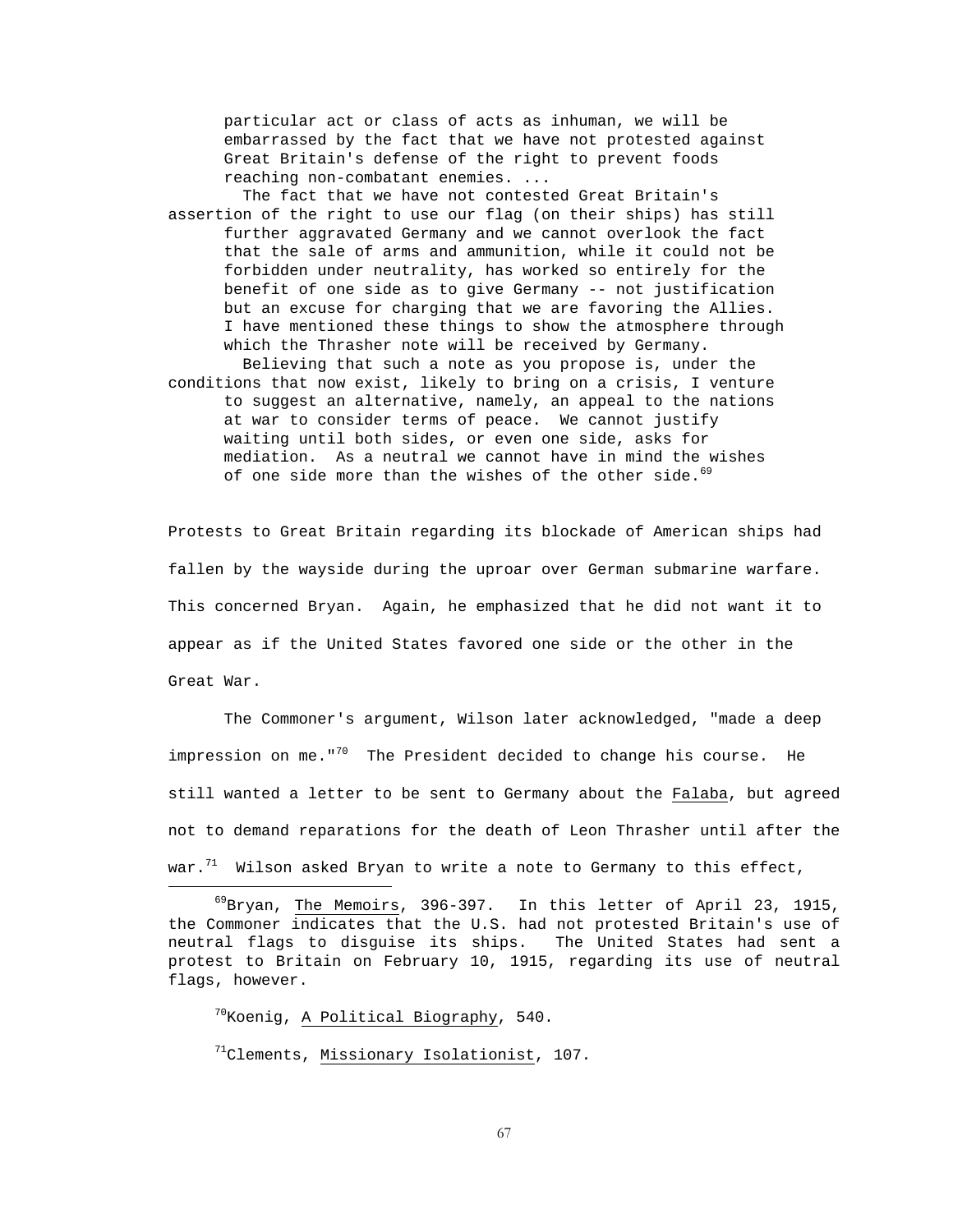particular act or class of acts as inhuman, we will be embarrassed by the fact that we have not protested against Great Britain's defense of the right to prevent foods reaching non-combatant enemies. ...

 The fact that we have not contested Great Britain's assertion of the right to use our flag (on their ships) has still further aggravated Germany and we cannot overlook the fact that the sale of arms and ammunition, while it could not be forbidden under neutrality, has worked so entirely for the benefit of one side as to give Germany -- not justification but an excuse for charging that we are favoring the Allies. I have mentioned these things to show the atmosphere through which the Thrasher note will be received by Germany. Believing that such a note as you propose is, under the conditions that now exist, likely to bring on a crisis, I venture to suggest an alternative, namely, an appeal to the nations at war to consider terms of peace. We cannot justify waiting until both sides, or even one side, asks for mediation. As a neutral we cannot have in mind the wishes of one side more than the wishes of the other side.<sup>69</sup>

Protests to Great Britain regarding its blockade of American ships had fallen by the wayside during the uproar over German submarine warfare. This concerned Bryan. Again, he emphasized that he did not want it to appear as if the United States favored one side or the other in the Great War.

 The Commoner's argument, Wilson later acknowledged, "made a deep impression on me."<sup>70</sup> The President decided to change his course. He still wanted a letter to be sent to Germany about the Falaba, but agreed not to demand reparations for the death of Leon Thrasher until after the war.<sup>71</sup> Wilson asked Bryan to write a note to Germany to this effect,

<sup>70</sup>Koenig, A Political **Biography**, 540.

i

 $17$ <sup>1</sup>Clements, Missionary Isolationist, 107.

69Bryan, The Memoirs, 396-397. In this letter of April 23, 1915, the Commoner indicates that the U.S. had not protested Britain's use of neutral flags to disguise its ships. The United States had sent a protest to Britain on February 10, 1915, regarding its use of neutral flags, however.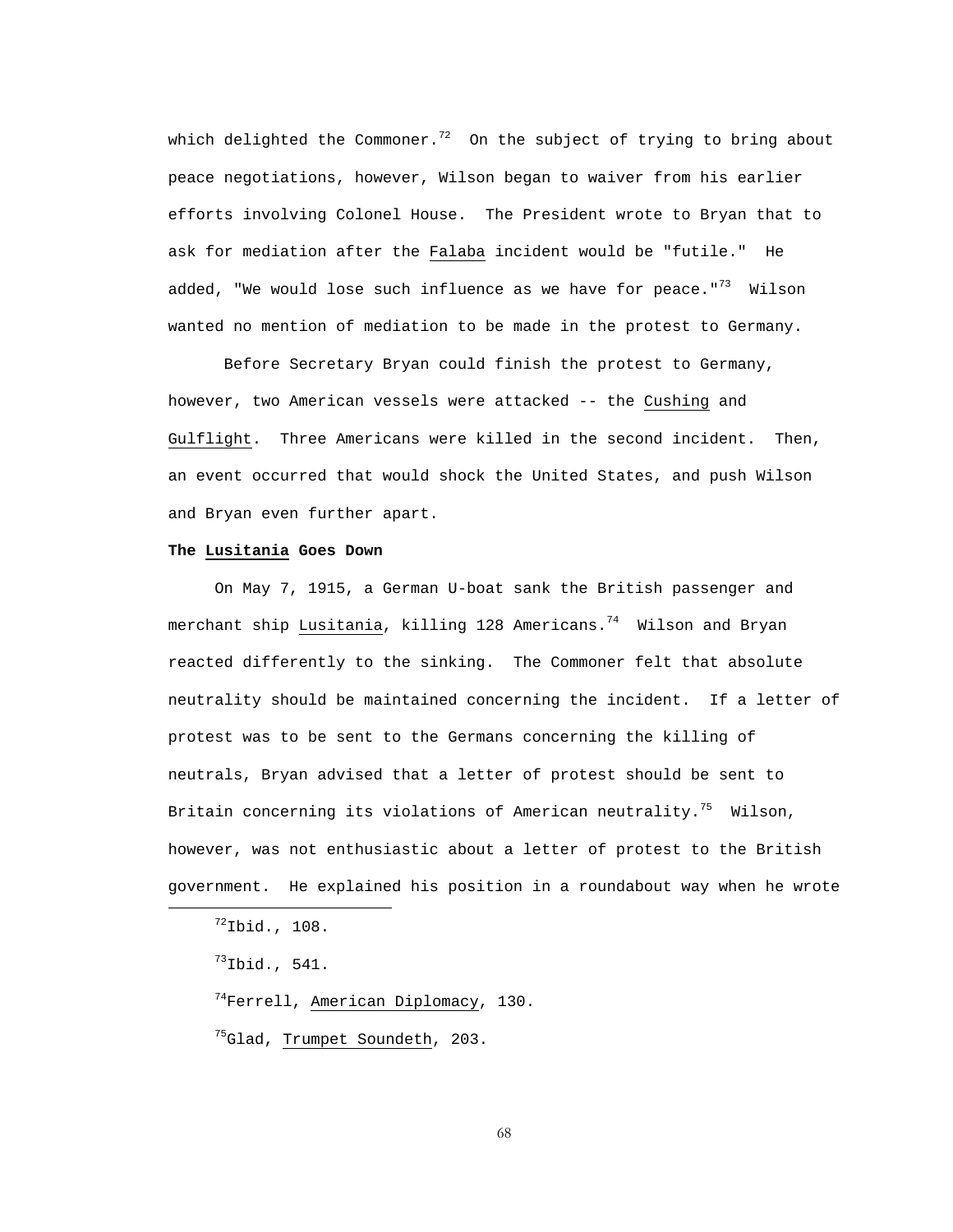which delighted the Commoner.<sup>72</sup> On the subject of trying to bring about peace negotiations, however, Wilson began to waiver from his earlier efforts involving Colonel House. The President wrote to Bryan that to ask for mediation after the Falaba incident would be "futile." He added, "We would lose such influence as we have for peace." $^{73}$  Wilson wanted no mention of mediation to be made in the protest to Germany.

 Before Secretary Bryan could finish the protest to Germany, however, two American vessels were attacked -- the Cushing and Gulflight. Three Americans were killed in the second incident. Then, an event occurred that would shock the United States, and push Wilson and Bryan even further apart.

# **The Lusitania Goes Down**

 On May 7, 1915, a German U-boat sank the British passenger and merchant ship Lusitania, killing 128 Americans.<sup>74</sup> Wilson and Bryan reacted differently to the sinking. The Commoner felt that absolute neutrality should be maintained concerning the incident. If a letter of protest was to be sent to the Germans concerning the killing of neutrals, Bryan advised that a letter of protest should be sent to Britain concerning its violations of American neutrality.<sup>75</sup> Wilson, however, was not enthusiastic about a letter of protest to the British government. He explained his position in a roundabout way when he wrote

i

 $74$ Ferrell, American Diplomacy, 130.

<sup>75</sup>Glad, Trumpet Soundeth, 203.

 $^{72}$ Ibid., 108.

 $^{73}$ Ibid., 541.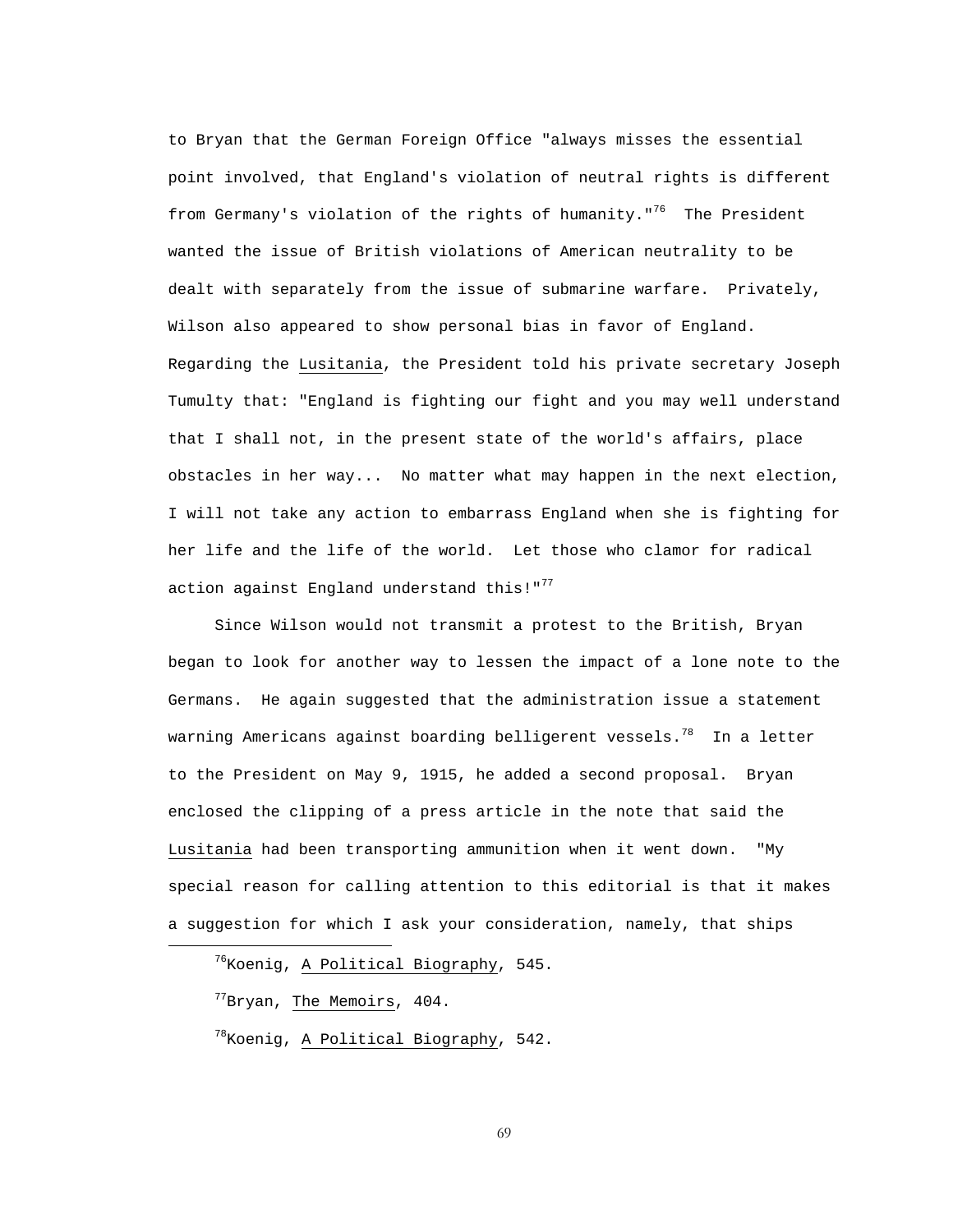to Bryan that the German Foreign Office "always misses the essential point involved, that England's violation of neutral rights is different from Germany's violation of the rights of humanity."<sup>76</sup> The President wanted the issue of British violations of American neutrality to be dealt with separately from the issue of submarine warfare. Privately, Wilson also appeared to show personal bias in favor of England. Regarding the Lusitania, the President told his private secretary Joseph Tumulty that: "England is fighting our fight and you may well understand that I shall not, in the present state of the world's affairs, place obstacles in her way... No matter what may happen in the next election, I will not take any action to embarrass England when she is fighting for her life and the life of the world. Let those who clamor for radical action against England understand this!"<sup>77</sup>

 Since Wilson would not transmit a protest to the British, Bryan began to look for another way to lessen the impact of a lone note to the Germans. He again suggested that the administration issue a statement warning Americans against boarding belligerent vessels. $^{78}$  In a letter to the President on May 9, 1915, he added a second proposal. Bryan enclosed the clipping of a press article in the note that said the Lusitania had been transporting ammunition when it went down. "My special reason for calling attention to this editorial is that it makes a suggestion for which I ask your consideration, namely, that ships

<sup>76</sup>Koenig, A Political Biography, 545.

 $^{77}$ Bryan, The Memoirs, 404.

i

 $^{78}$ Koenig, A Political Biography, 542.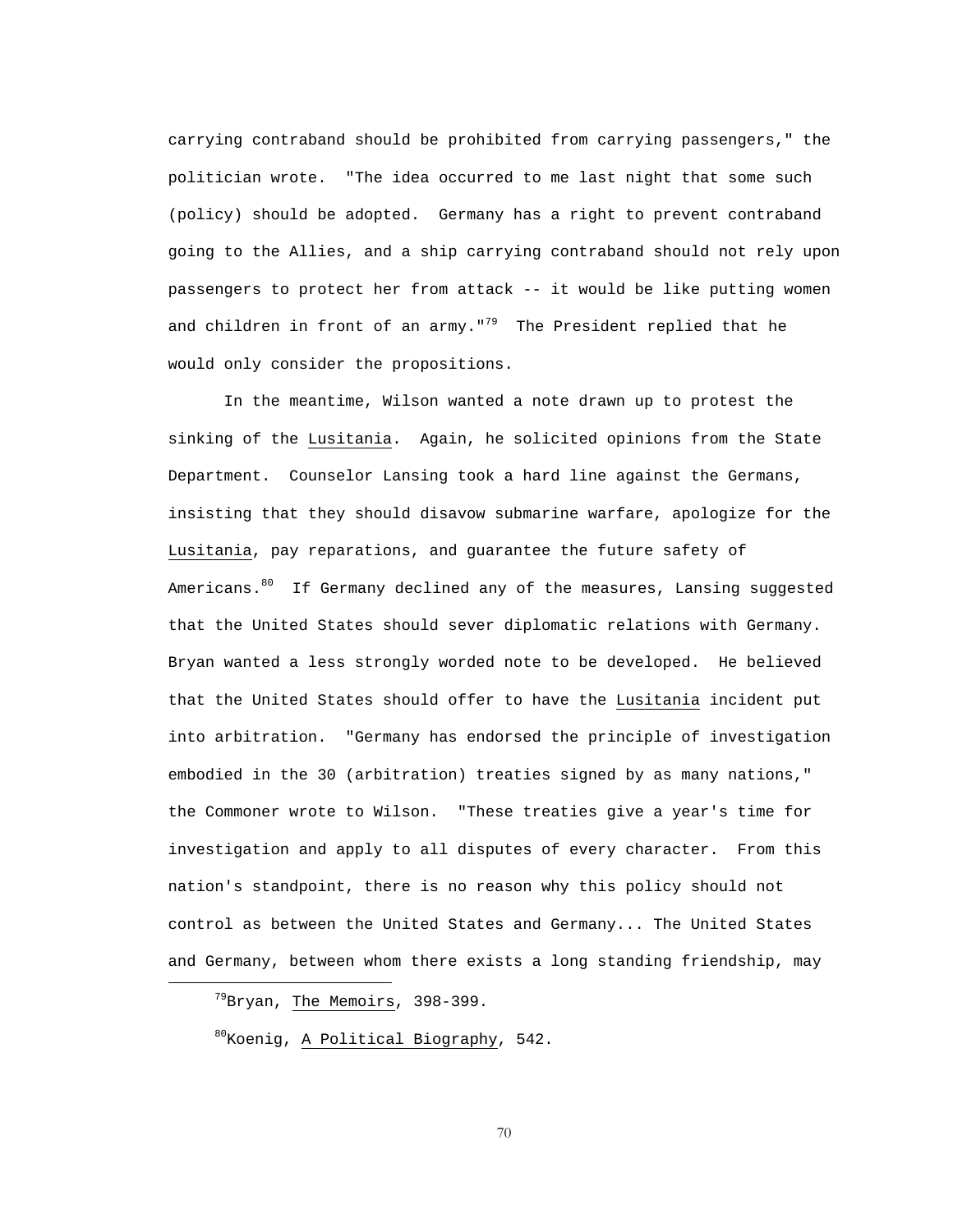carrying contraband should be prohibited from carrying passengers," the politician wrote. "The idea occurred to me last night that some such (policy) should be adopted. Germany has a right to prevent contraband going to the Allies, and a ship carrying contraband should not rely upon passengers to protect her from attack -- it would be like putting women and children in front of an army."<sup>79</sup> The President replied that he would only consider the propositions.

 In the meantime, Wilson wanted a note drawn up to protest the sinking of the Lusitania. Again, he solicited opinions from the State Department. Counselor Lansing took a hard line against the Germans, insisting that they should disavow submarine warfare, apologize for the Lusitania, pay reparations, and guarantee the future safety of Americans.  $80$  If Germany declined any of the measures, Lansing suggested that the United States should sever diplomatic relations with Germany. Bryan wanted a less strongly worded note to be developed. He believed that the United States should offer to have the Lusitania incident put into arbitration. "Germany has endorsed the principle of investigation embodied in the 30 (arbitration) treaties signed by as many nations," the Commoner wrote to Wilson. "These treaties give a year's time for investigation and apply to all disputes of every character. From this nation's standpoint, there is no reason why this policy should not control as between the United States and Germany... The United States and Germany, between whom there exists a long standing friendship, may

 $^{79}$ Bryan, The Memoirs, 398-399.

<sup>&</sup>lt;sup>80</sup>Koenig, A Political Biography, 542.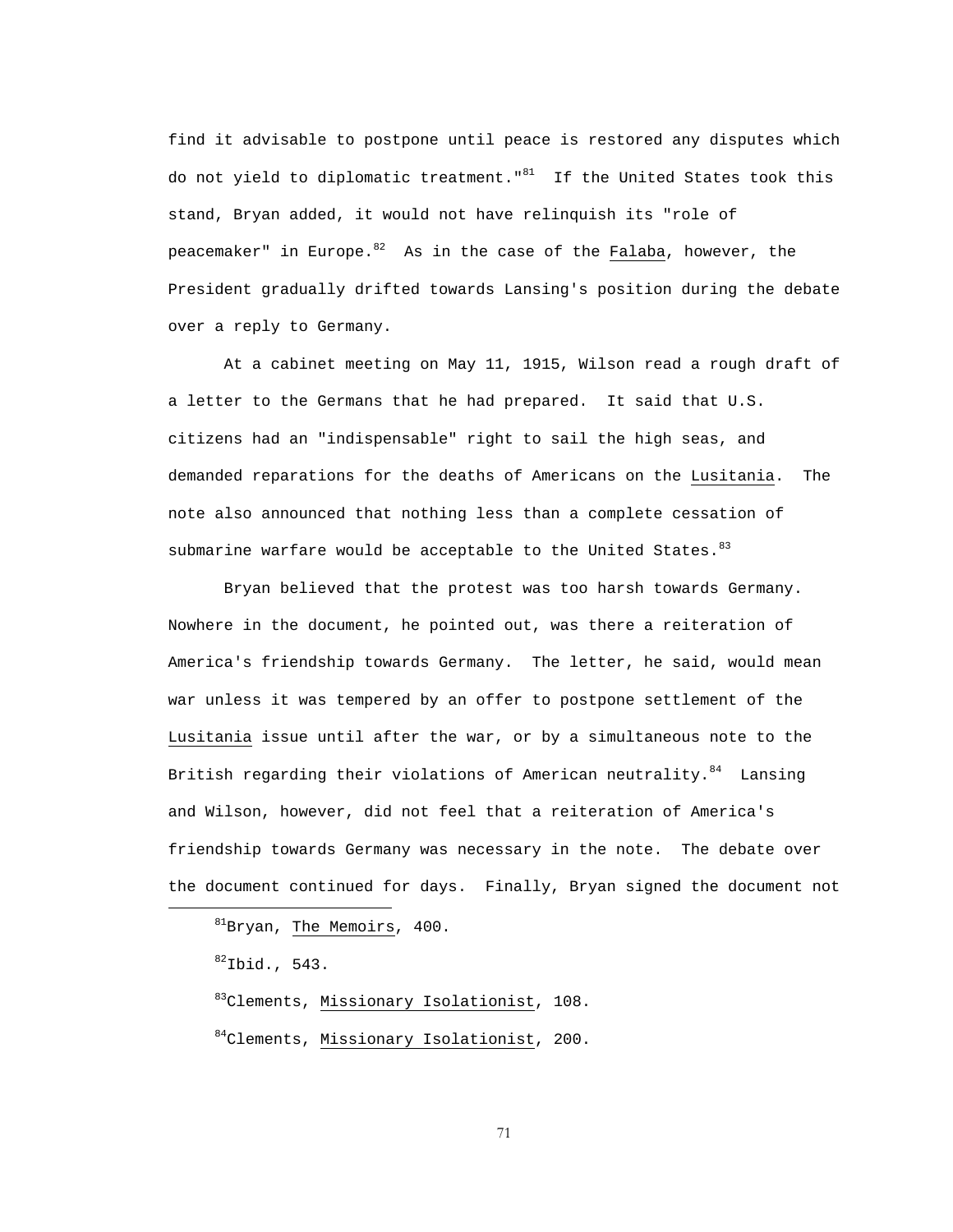find it advisable to postpone until peace is restored any disputes which do not yield to diplomatic treatment." $81$  If the United States took this stand, Bryan added, it would not have relinquish its "role of peacemaker" in Europe. $82$  As in the case of the Falaba, however, the President gradually drifted towards Lansing's position during the debate over a reply to Germany.

 At a cabinet meeting on May 11, 1915, Wilson read a rough draft of a letter to the Germans that he had prepared. It said that U.S. citizens had an "indispensable" right to sail the high seas, and demanded reparations for the deaths of Americans on the Lusitania. The note also announced that nothing less than a complete cessation of submarine warfare would be acceptable to the United States.  $83$ 

 Bryan believed that the protest was too harsh towards Germany. Nowhere in the document, he pointed out, was there a reiteration of America's friendship towards Germany. The letter, he said, would mean war unless it was tempered by an offer to postpone settlement of the Lusitania issue until after the war, or by a simultaneous note to the British regarding their violations of American neutrality.<sup>84</sup> Lansing and Wilson, however, did not feel that a reiteration of America's friendship towards Germany was necessary in the note. The debate over the document continued for days. Finally, Bryan signed the document not

 ${}^{82}Ibid., 543.$ 

i

83Clements, Missionary Isolationist, 108.

<sup>84</sup>Clements, Missionary Isolationist, 200.

 ${}^{81}$ Bryan, The Memoirs, 400.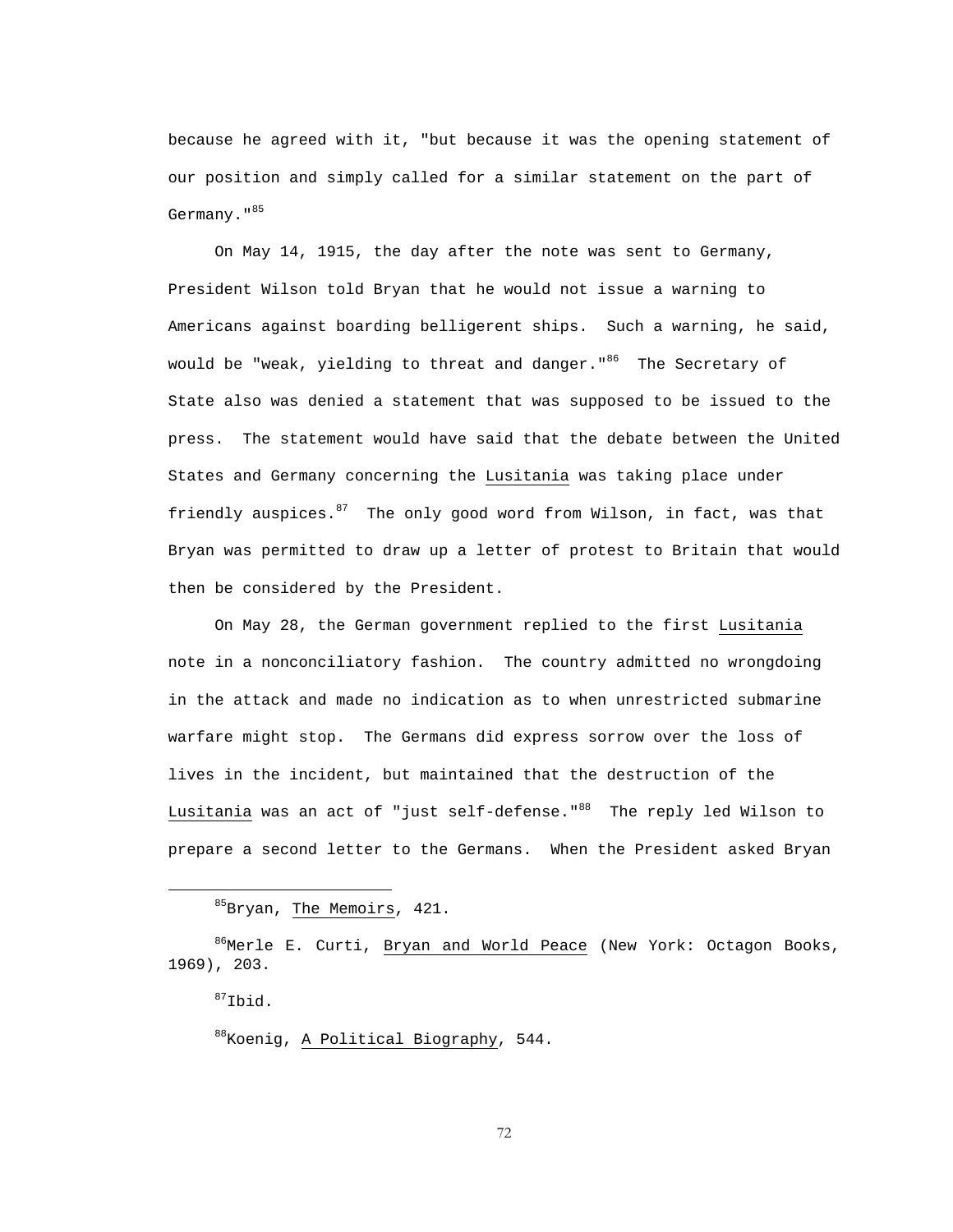because he agreed with it, "but because it was the opening statement of our position and simply called for a similar statement on the part of Germany."<sup>85</sup>

 On May 14, 1915, the day after the note was sent to Germany, President Wilson told Bryan that he would not issue a warning to Americans against boarding belligerent ships. Such a warning, he said, would be "weak, yielding to threat and danger."<sup>86</sup> The Secretary of State also was denied a statement that was supposed to be issued to the press. The statement would have said that the debate between the United States and Germany concerning the Lusitania was taking place under friendly auspices. $87$  The only good word from Wilson, in fact, was that Bryan was permitted to draw up a letter of protest to Britain that would then be considered by the President.

 On May 28, the German government replied to the first Lusitania note in a nonconciliatory fashion. The country admitted no wrongdoing in the attack and made no indication as to when unrestricted submarine warfare might stop. The Germans did express sorrow over the loss of lives in the incident, but maintained that the destruction of the Lusitania was an act of "just self-defense."<sup>88</sup> The reply led Wilson to prepare a second letter to the Germans. When the President asked Bryan

 $87$ Ibid.

<sup>&</sup>lt;sup>85</sup>Bryan, The Memoirs, 421.

86Merle E. Curti, Bryan and World Peace (New York: Octagon Books, 1969), 203.

<sup>88</sup>Koenig, A Political Biography, 544.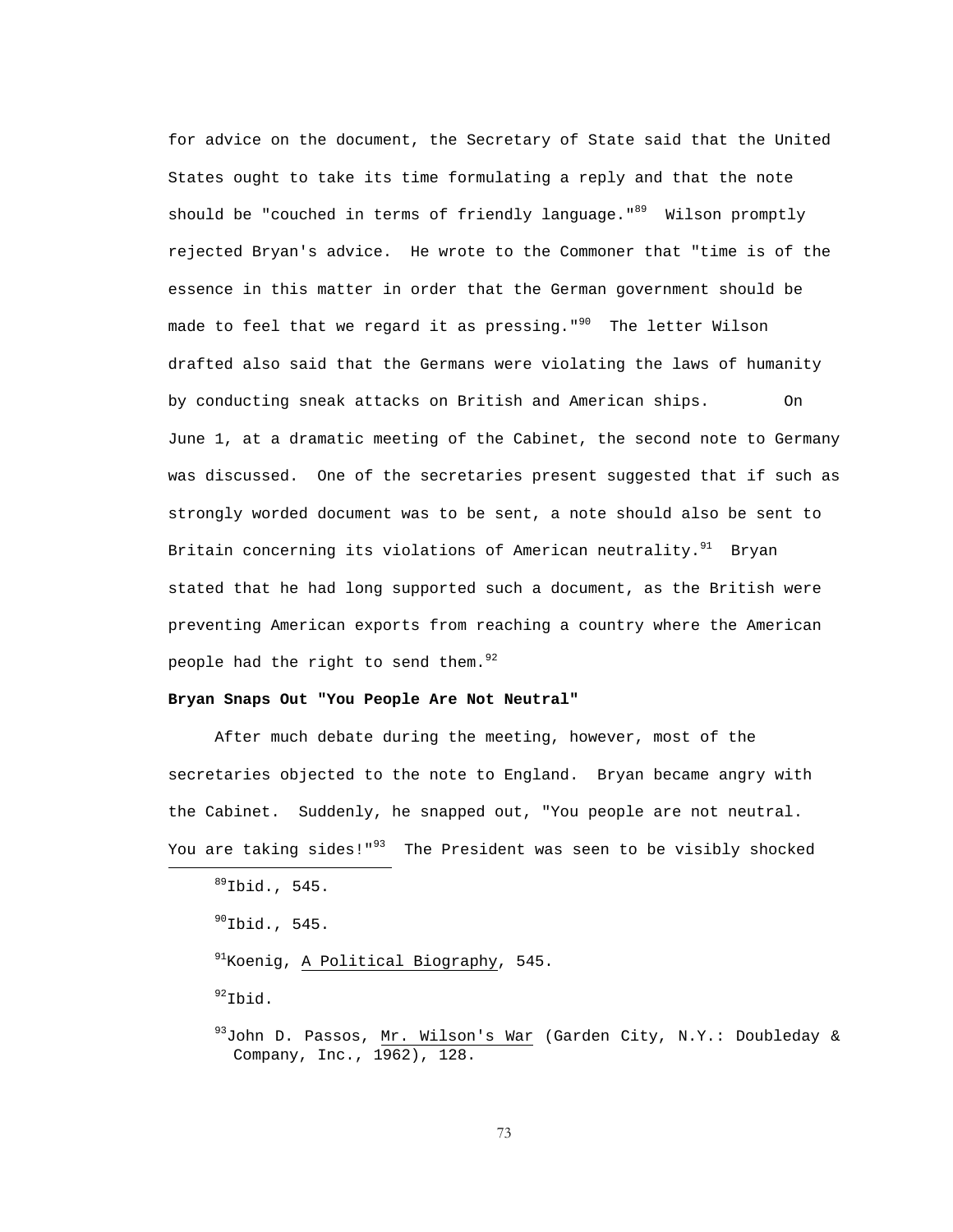for advice on the document, the Secretary of State said that the United States ought to take its time formulating a reply and that the note should be "couched in terms of friendly language."<sup>89</sup> Wilson promptly rejected Bryan's advice. He wrote to the Commoner that "time is of the essence in this matter in order that the German government should be made to feel that we regard it as pressing." $90$  The letter Wilson drafted also said that the Germans were violating the laws of humanity by conducting sneak attacks on British and American ships. On June 1, at a dramatic meeting of the Cabinet, the second note to Germany was discussed. One of the secretaries present suggested that if such as strongly worded document was to be sent, a note should also be sent to Britain concerning its violations of American neutrality. $91$  Brvan stated that he had long supported such a document, as the British were preventing American exports from reaching a country where the American people had the right to send them.<sup>92</sup>

## **Bryan Snaps Out "You People Are Not Neutral"**

 After much debate during the meeting, however, most of the secretaries objected to the note to England. Bryan became angry with the Cabinet. Suddenly, he snapped out, "You people are not neutral. You are taking sides!"<sup>93</sup> The President was seen to be visibly shocked

<sup>91</sup>Koenig, A Political Biography, 545.

 $92$ Ibid.

 $89$ Ibid., 545.

 $90$ Ibid., 545.

 $93$ John D. Passos, Mr. Wilson's War (Garden City, N.Y.: Doubleday & Company, Inc., 1962), 128.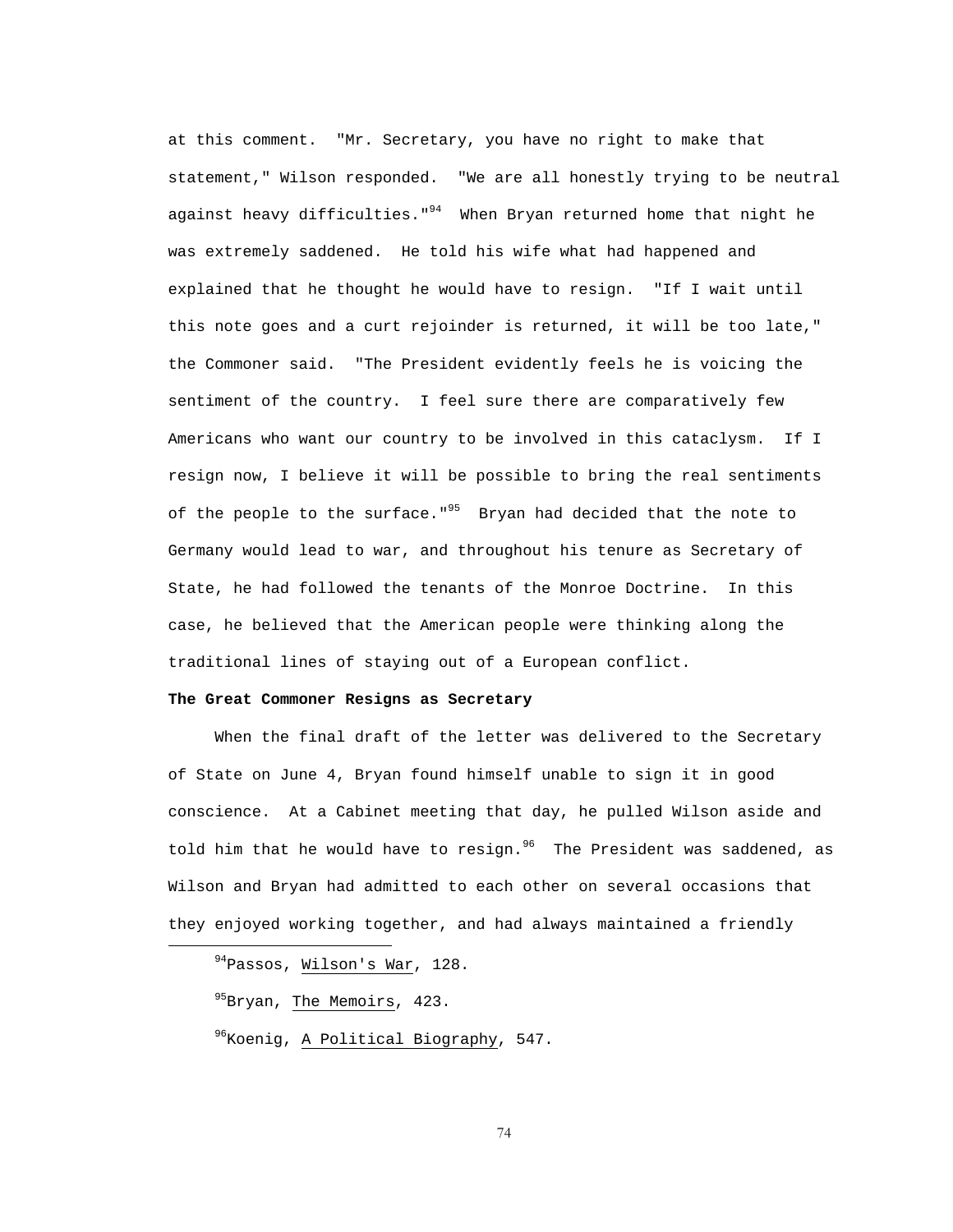at this comment. "Mr. Secretary, you have no right to make that statement," Wilson responded. "We are all honestly trying to be neutral against heavy difficulties." $94$  When Bryan returned home that night he was extremely saddened. He told his wife what had happened and explained that he thought he would have to resign. "If I wait until this note goes and a curt rejoinder is returned, it will be too late," the Commoner said. "The President evidently feels he is voicing the sentiment of the country. I feel sure there are comparatively few Americans who want our country to be involved in this cataclysm. If I resign now, I believe it will be possible to bring the real sentiments of the people to the surface."<sup>95</sup> Bryan had decided that the note to Germany would lead to war, and throughout his tenure as Secretary of State, he had followed the tenants of the Monroe Doctrine. In this case, he believed that the American people were thinking along the traditional lines of staying out of a European conflict.

## **The Great Commoner Resigns as Secretary**

 When the final draft of the letter was delivered to the Secretary of State on June 4, Bryan found himself unable to sign it in good conscience. At a Cabinet meeting that day, he pulled Wilson aside and told him that he would have to resign.<sup>96</sup> The President was saddened, as Wilson and Bryan had admitted to each other on several occasions that they enjoyed working together, and had always maintained a friendly

<sup>95</sup>Bryan, The Memoirs, 423.

i

<sup>96</sup>Koenig, A Political Biography, 547.

<sup>&</sup>lt;sup>94</sup>Passos, Wilson's War, 128.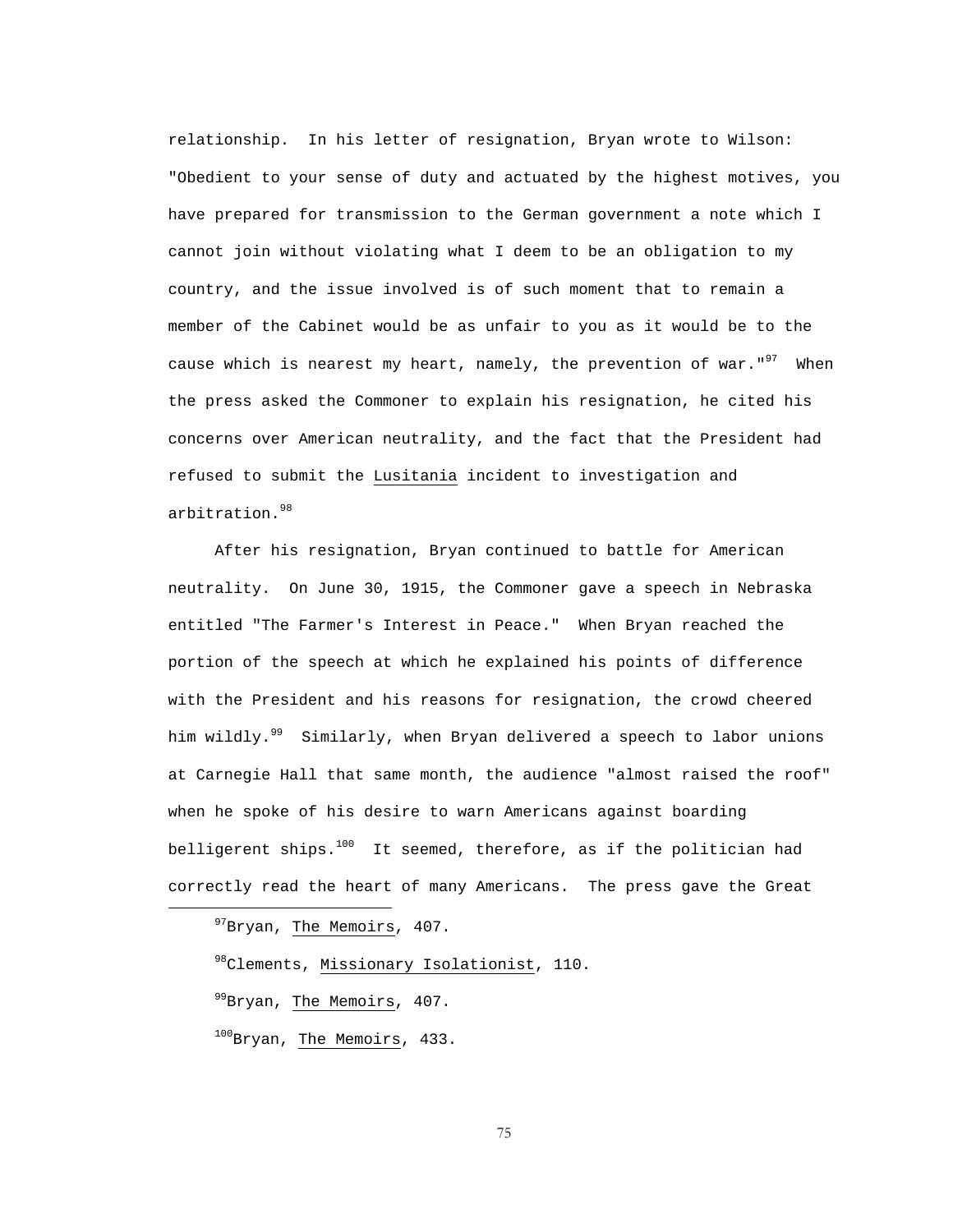relationship. In his letter of resignation, Bryan wrote to Wilson: "Obedient to your sense of duty and actuated by the highest motives, you have prepared for transmission to the German government a note which I cannot join without violating what I deem to be an obligation to my country, and the issue involved is of such moment that to remain a member of the Cabinet would be as unfair to you as it would be to the cause which is nearest my heart, namely, the prevention of war."<sup>97</sup> When the press asked the Commoner to explain his resignation, he cited his concerns over American neutrality, and the fact that the President had refused to submit the Lusitania incident to investigation and arbitration.<sup>98</sup>

 After his resignation, Bryan continued to battle for American neutrality. On June 30, 1915, the Commoner gave a speech in Nebraska entitled "The Farmer's Interest in Peace." When Bryan reached the portion of the speech at which he explained his points of difference with the President and his reasons for resignation, the crowd cheered him wildly.<sup>99</sup> Similarly, when Bryan delivered a speech to labor unions at Carnegie Hall that same month, the audience "almost raised the roof" when he spoke of his desire to warn Americans against boarding belligerent ships. $100$  It seemed, therefore, as if the politician had correctly read the heart of many Americans. The press gave the Great

i

98Clements, Missionary Isolationist, 110.

99Bryan, The Memoirs, 407.

100Bryan, The Memoirs, 433.

<sup>&</sup>lt;sup>97</sup>Bryan, The Memoirs, 407.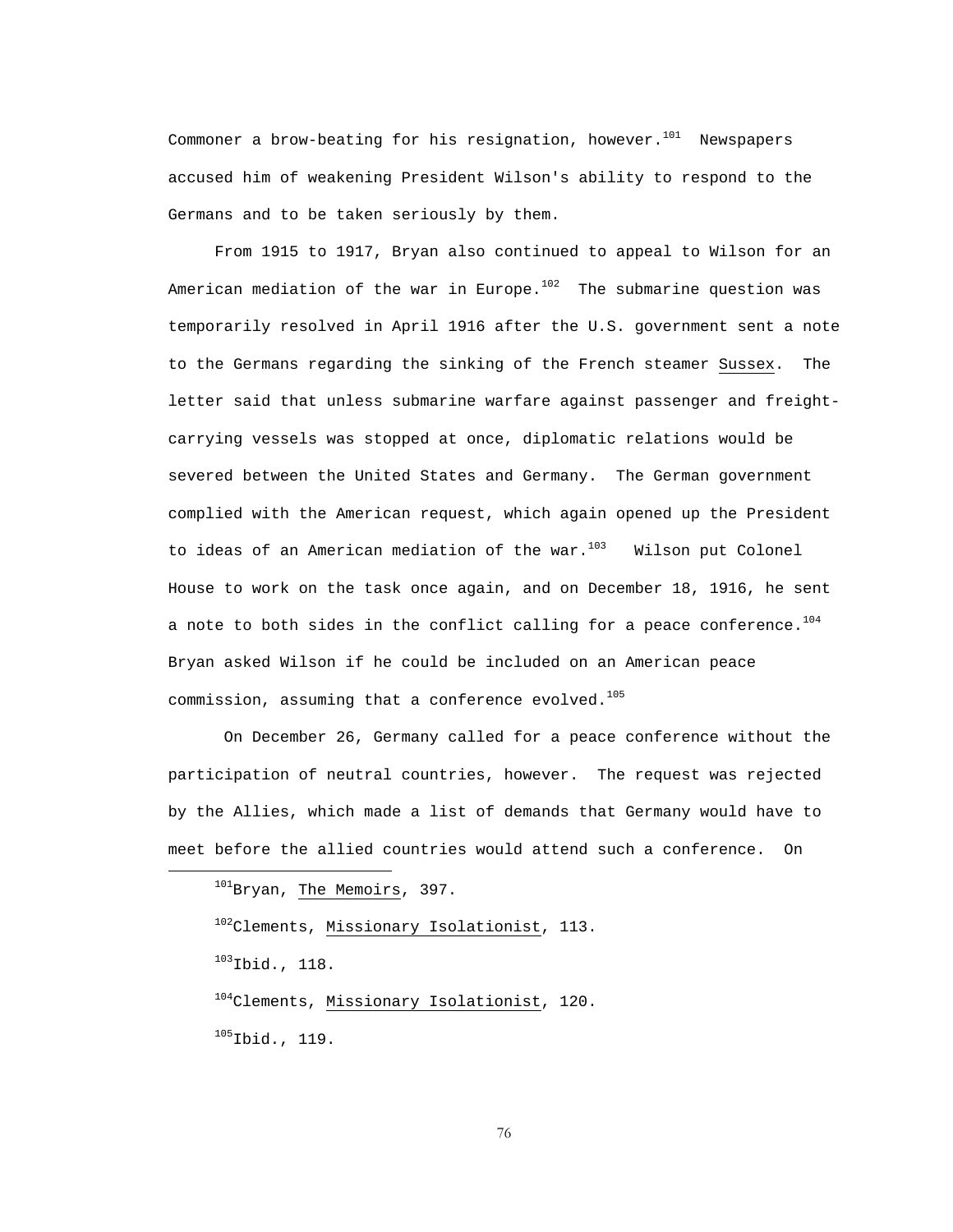Commoner a brow-beating for his resignation, however. $^{101}$  Newspapers accused him of weakening President Wilson's ability to respond to the Germans and to be taken seriously by them.

 From 1915 to 1917, Bryan also continued to appeal to Wilson for an American mediation of the war in Europe. $102$  The submarine question was temporarily resolved in April 1916 after the U.S. government sent a note to the Germans regarding the sinking of the French steamer Sussex. The letter said that unless submarine warfare against passenger and freightcarrying vessels was stopped at once, diplomatic relations would be severed between the United States and Germany. The German government complied with the American request, which again opened up the President to ideas of an American mediation of the war. $^{103}$  Wilson put Colonel House to work on the task once again, and on December 18, 1916, he sent a note to both sides in the conflict calling for a peace conference. $^{104}$ Bryan asked Wilson if he could be included on an American peace commission, assuming that a conference evolved. $105$ 

 On December 26, Germany called for a peace conference without the participation of neutral countries, however. The request was rejected by the Allies, which made a list of demands that Germany would have to meet before the allied countries would attend such a conference. On

102 Clements, Missionary Isolationist, 113.

 $103$ Ibid., 118.

i

104 Clements, Missionary Isolationist, 120.

 $105$ Ibid., 119.

<sup>&</sup>lt;sup>101</sup>Bryan, The Memoirs, 397.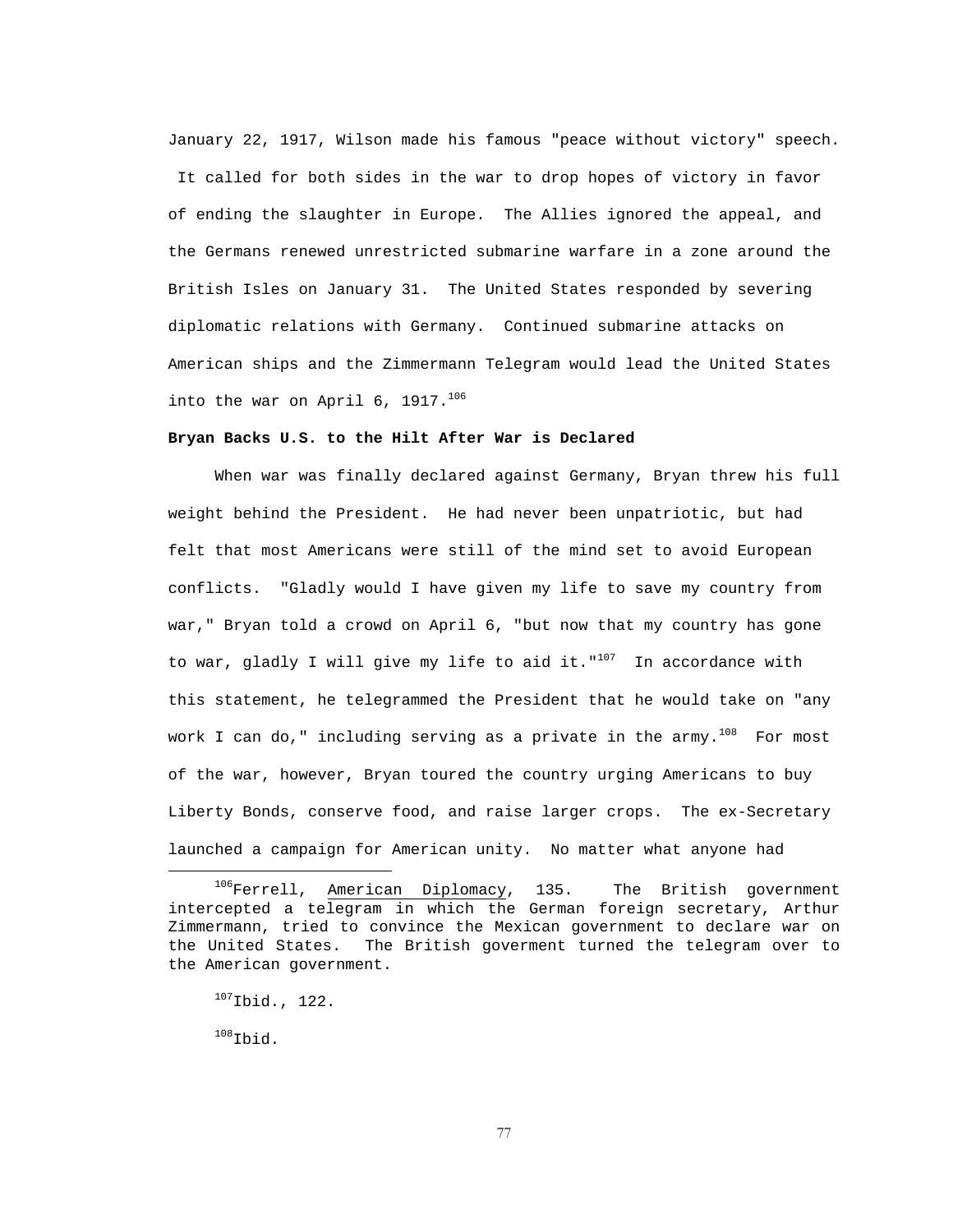January 22, 1917, Wilson made his famous "peace without victory" speech. It called for both sides in the war to drop hopes of victory in favor of ending the slaughter in Europe. The Allies ignored the appeal, and the Germans renewed unrestricted submarine warfare in a zone around the British Isles on January 31. The United States responded by severing diplomatic relations with Germany. Continued submarine attacks on American ships and the Zimmermann Telegram would lead the United States into the war on April 6,  $1917.^{106}$ 

## **Bryan Backs U.S. to the Hilt After War is Declared**

 When war was finally declared against Germany, Bryan threw his full weight behind the President. He had never been unpatriotic, but had felt that most Americans were still of the mind set to avoid European conflicts. "Gladly would I have given my life to save my country from war," Bryan told a crowd on April 6, "but now that my country has gone to war, gladly I will give my life to aid it." $107$  In accordance with this statement, he telegrammed the President that he would take on "any work I can do," including serving as a private in the army.<sup>108</sup> For most of the war, however, Bryan toured the country urging Americans to buy Liberty Bonds, conserve food, and raise larger crops. The ex-Secretary launched a campaign for American unity. No matter what anyone had

 $106$ Ferrell, American Diplomacy, 135. The British government intercepted a telegram in which the German foreign secretary, Arthur Zimmermann, tried to convince the Mexican government to declare war on the United States. The British goverment turned the telegram over to the American government.

 $107$ Ibid., 122.

 $108$ Thid.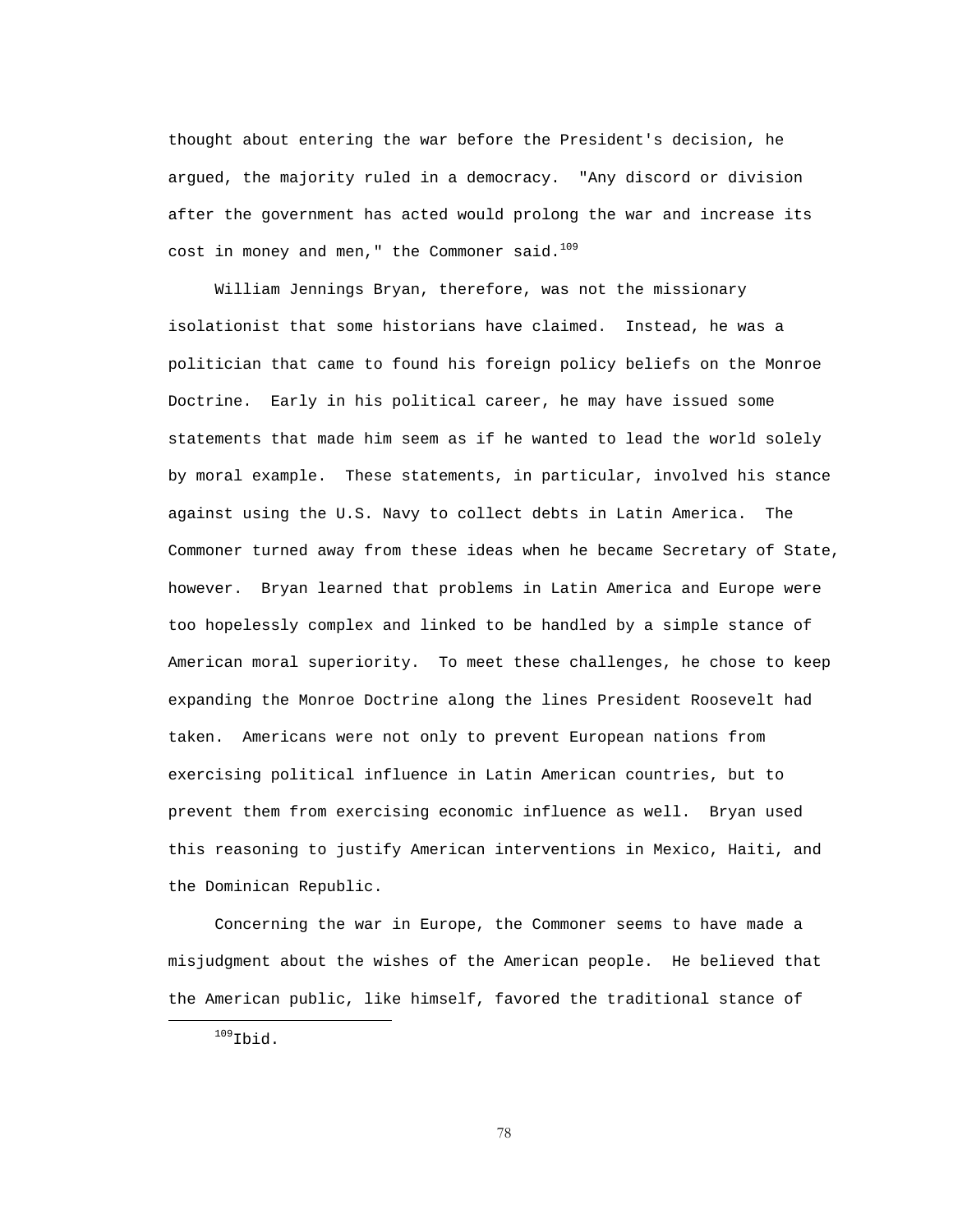thought about entering the war before the President's decision, he argued, the majority ruled in a democracy. "Any discord or division after the government has acted would prolong the war and increase its cost in money and men," the Commoner said. $109$ 

 William Jennings Bryan, therefore, was not the missionary isolationist that some historians have claimed. Instead, he was a politician that came to found his foreign policy beliefs on the Monroe Doctrine. Early in his political career, he may have issued some statements that made him seem as if he wanted to lead the world solely by moral example. These statements, in particular, involved his stance against using the U.S. Navy to collect debts in Latin America. The Commoner turned away from these ideas when he became Secretary of State, however. Bryan learned that problems in Latin America and Europe were too hopelessly complex and linked to be handled by a simple stance of American moral superiority. To meet these challenges, he chose to keep expanding the Monroe Doctrine along the lines President Roosevelt had taken. Americans were not only to prevent European nations from exercising political influence in Latin American countries, but to prevent them from exercising economic influence as well. Bryan used this reasoning to justify American interventions in Mexico, Haiti, and the Dominican Republic.

 Concerning the war in Europe, the Commoner seems to have made a misjudgment about the wishes of the American people. He believed that the American public, like himself, favored the traditional stance of

 $109$ Thid.

i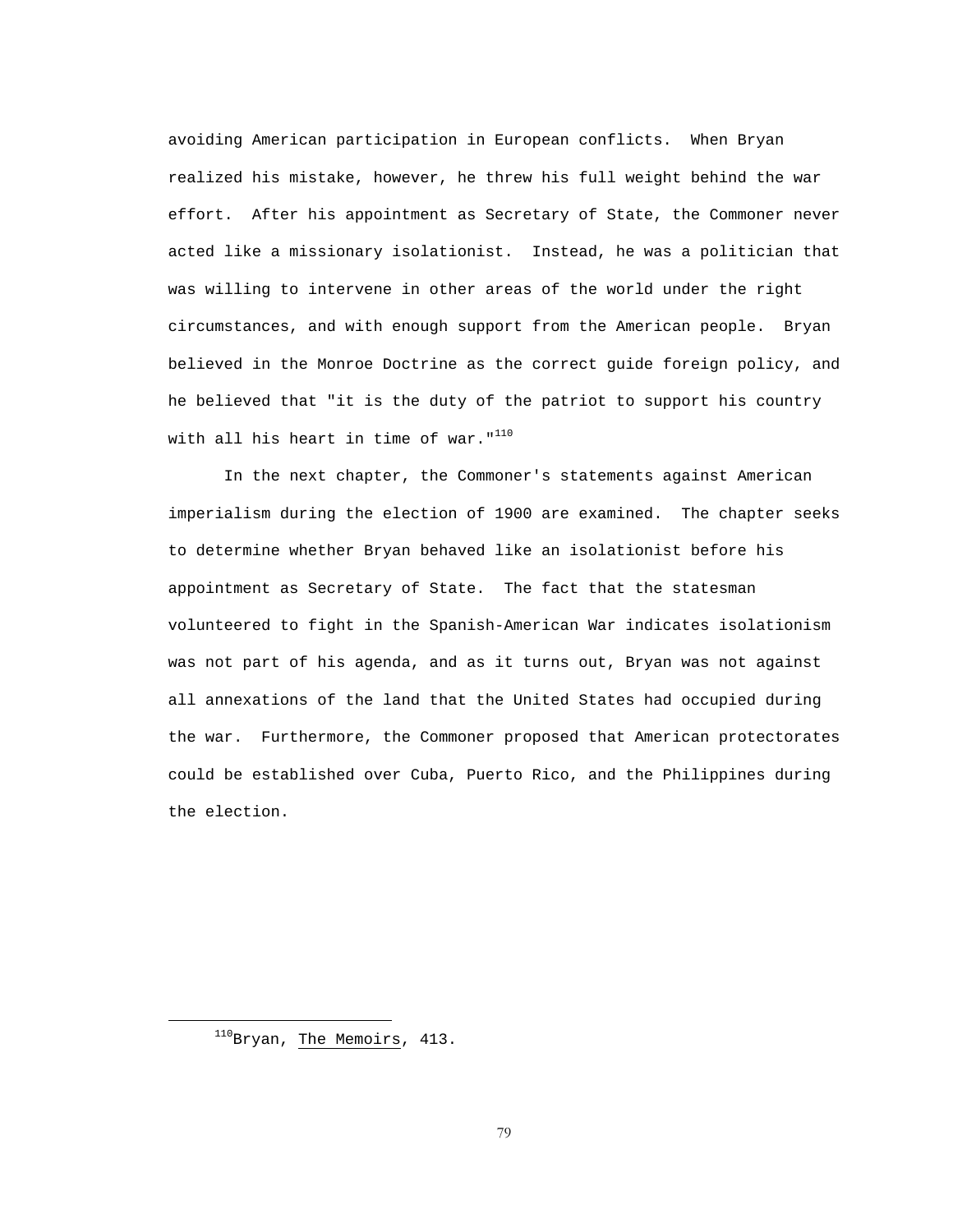avoiding American participation in European conflicts. When Bryan realized his mistake, however, he threw his full weight behind the war effort. After his appointment as Secretary of State, the Commoner never acted like a missionary isolationist. Instead, he was a politician that was willing to intervene in other areas of the world under the right circumstances, and with enough support from the American people. Bryan believed in the Monroe Doctrine as the correct guide foreign policy, and he believed that "it is the duty of the patriot to support his country with all his heart in time of war."<sup>110</sup>

 In the next chapter, the Commoner's statements against American imperialism during the election of 1900 are examined. The chapter seeks to determine whether Bryan behaved like an isolationist before his appointment as Secretary of State. The fact that the statesman volunteered to fight in the Spanish-American War indicates isolationism was not part of his agenda, and as it turns out, Bryan was not against all annexations of the land that the United States had occupied during the war. Furthermore, the Commoner proposed that American protectorates could be established over Cuba, Puerto Rico, and the Philippines during the election.

i

<sup>110</sup>Bryan, The Memoirs, 413.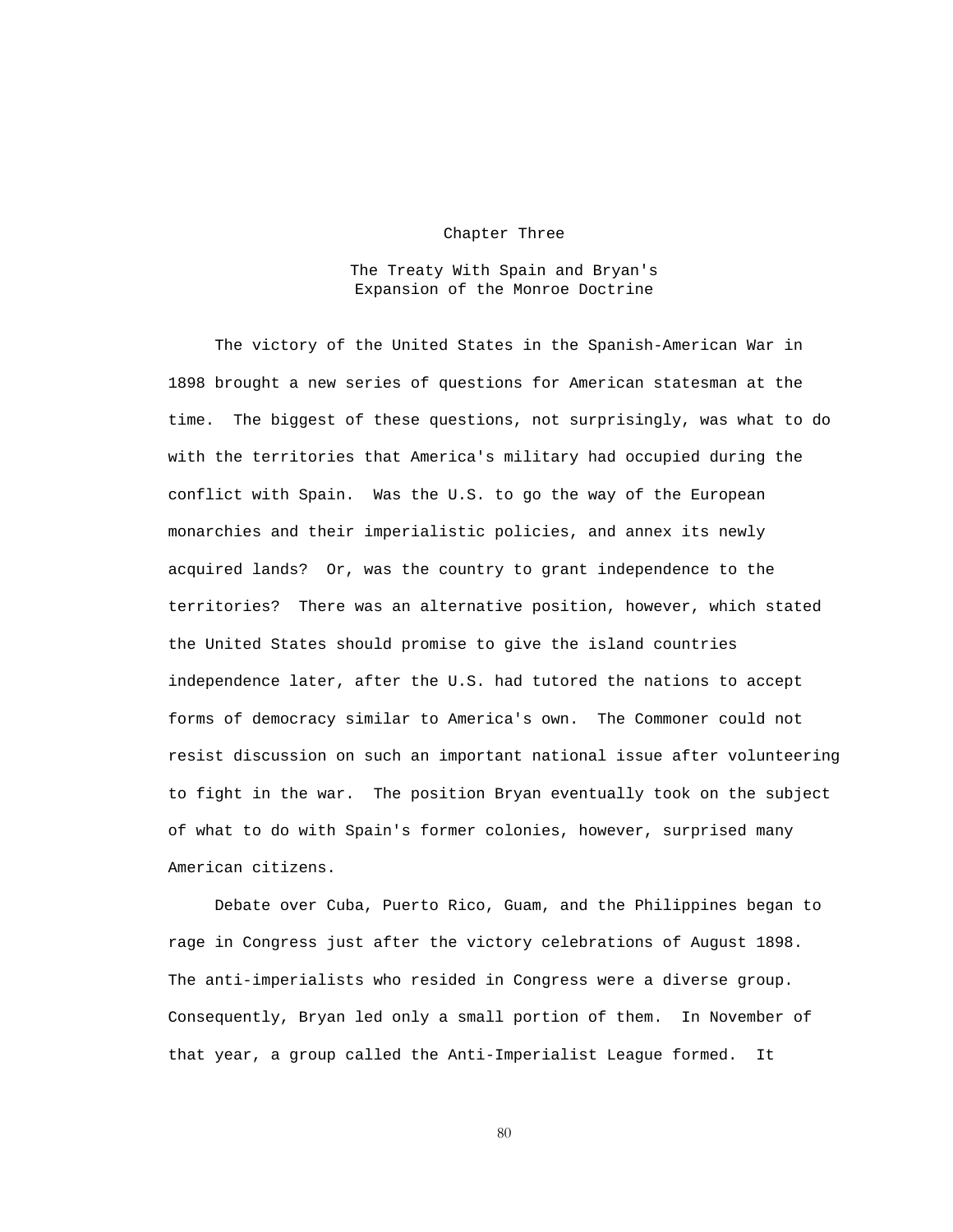#### Chapter Three

# The Treaty With Spain and Bryan's Expansion of the Monroe Doctrine

 The victory of the United States in the Spanish-American War in 1898 brought a new series of questions for American statesman at the time. The biggest of these questions, not surprisingly, was what to do with the territories that America's military had occupied during the conflict with Spain. Was the U.S. to go the way of the European monarchies and their imperialistic policies, and annex its newly acquired lands? Or, was the country to grant independence to the territories? There was an alternative position, however, which stated the United States should promise to give the island countries independence later, after the U.S. had tutored the nations to accept forms of democracy similar to America's own. The Commoner could not resist discussion on such an important national issue after volunteering to fight in the war. The position Bryan eventually took on the subject of what to do with Spain's former colonies, however, surprised many American citizens.

 Debate over Cuba, Puerto Rico, Guam, and the Philippines began to rage in Congress just after the victory celebrations of August 1898. The anti-imperialists who resided in Congress were a diverse group. Consequently, Bryan led only a small portion of them. In November of that year, a group called the Anti-Imperialist League formed. It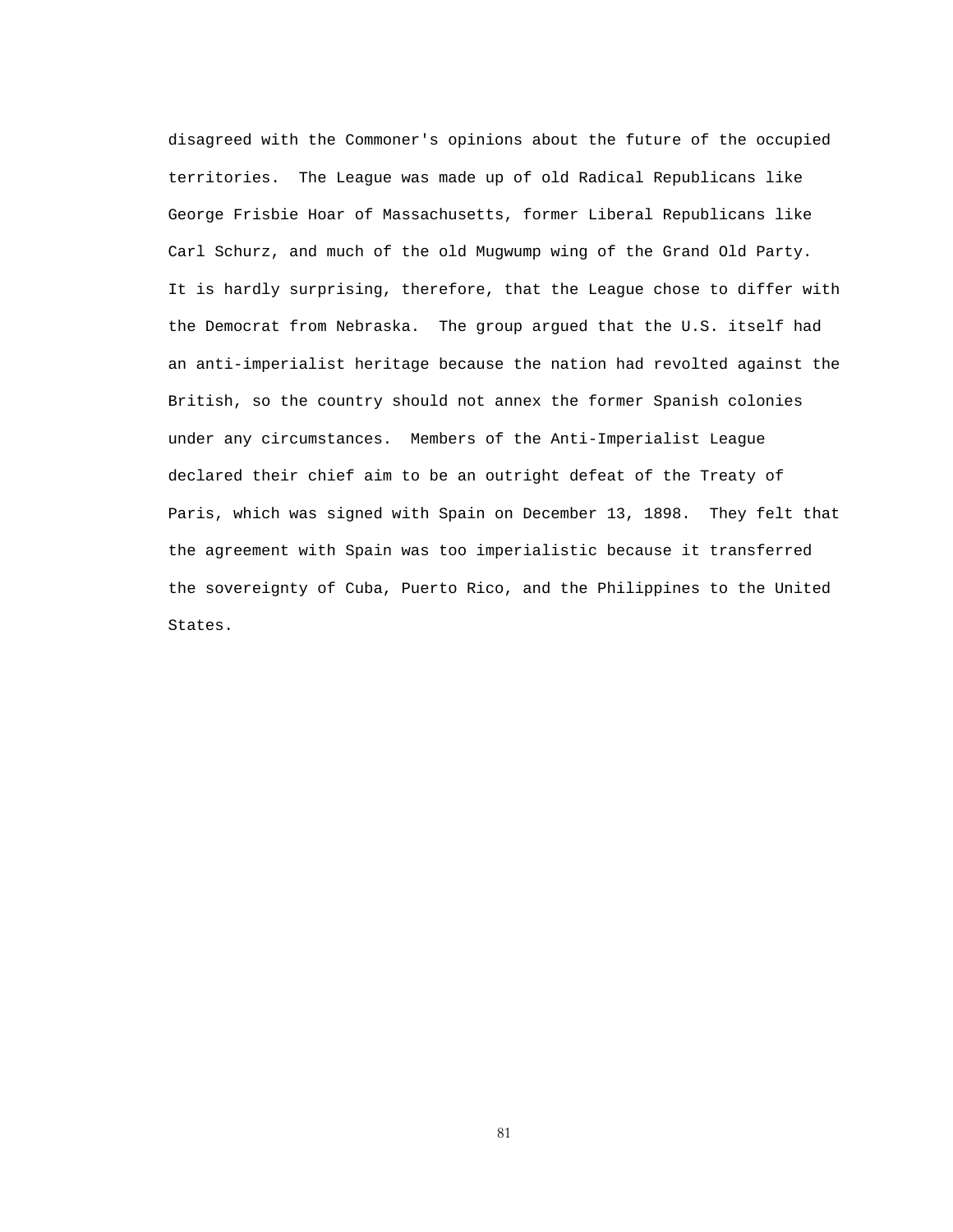disagreed with the Commoner's opinions about the future of the occupied territories. The League was made up of old Radical Republicans like George Frisbie Hoar of Massachusetts, former Liberal Republicans like Carl Schurz, and much of the old Mugwump wing of the Grand Old Party. It is hardly surprising, therefore, that the League chose to differ with the Democrat from Nebraska. The group argued that the U.S. itself had an anti-imperialist heritage because the nation had revolted against the British, so the country should not annex the former Spanish colonies under any circumstances. Members of the Anti-Imperialist League declared their chief aim to be an outright defeat of the Treaty of Paris, which was signed with Spain on December 13, 1898. They felt that the agreement with Spain was too imperialistic because it transferred the sovereignty of Cuba, Puerto Rico, and the Philippines to the United States.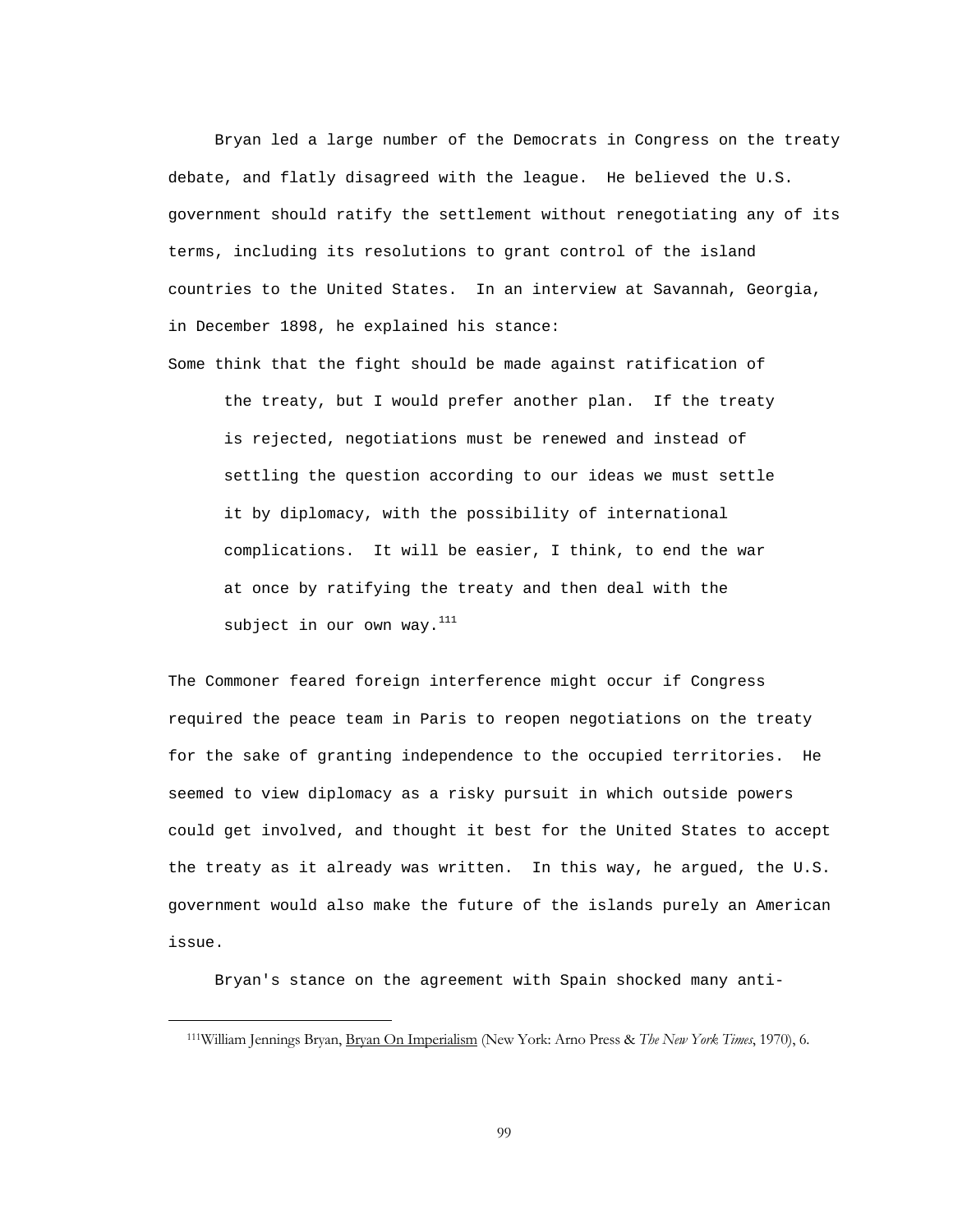Bryan led a large number of the Democrats in Congress on the treaty debate, and flatly disagreed with the league. He believed the U.S. government should ratify the settlement without renegotiating any of its terms, including its resolutions to grant control of the island countries to the United States. In an interview at Savannah, Georgia, in December 1898, he explained his stance:

Some think that the fight should be made against ratification of the treaty, but I would prefer another plan. If the treaty is rejected, negotiations must be renewed and instead of settling the question according to our ideas we must settle it by diplomacy, with the possibility of international complications. It will be easier, I think, to end the war at once by ratifying the treaty and then deal with the subject in our own way. $^{111}$ 

The Commoner feared foreign interference might occur if Congress required the peace team in Paris to reopen negotiations on the treaty for the sake of granting independence to the occupied territories. He seemed to view diplomacy as a risky pursuit in which outside powers could get involved, and thought it best for the United States to accept the treaty as it already was written. In this way, he argued, the U.S. government would also make the future of the islands purely an American issue.

Bryan's stance on the agreement with Spain shocked many anti-

 <sup>111</sup>William Jennings Bryan, Bryan On Imperialism (New York: Arno Press & *The New York Times*, 1970), 6.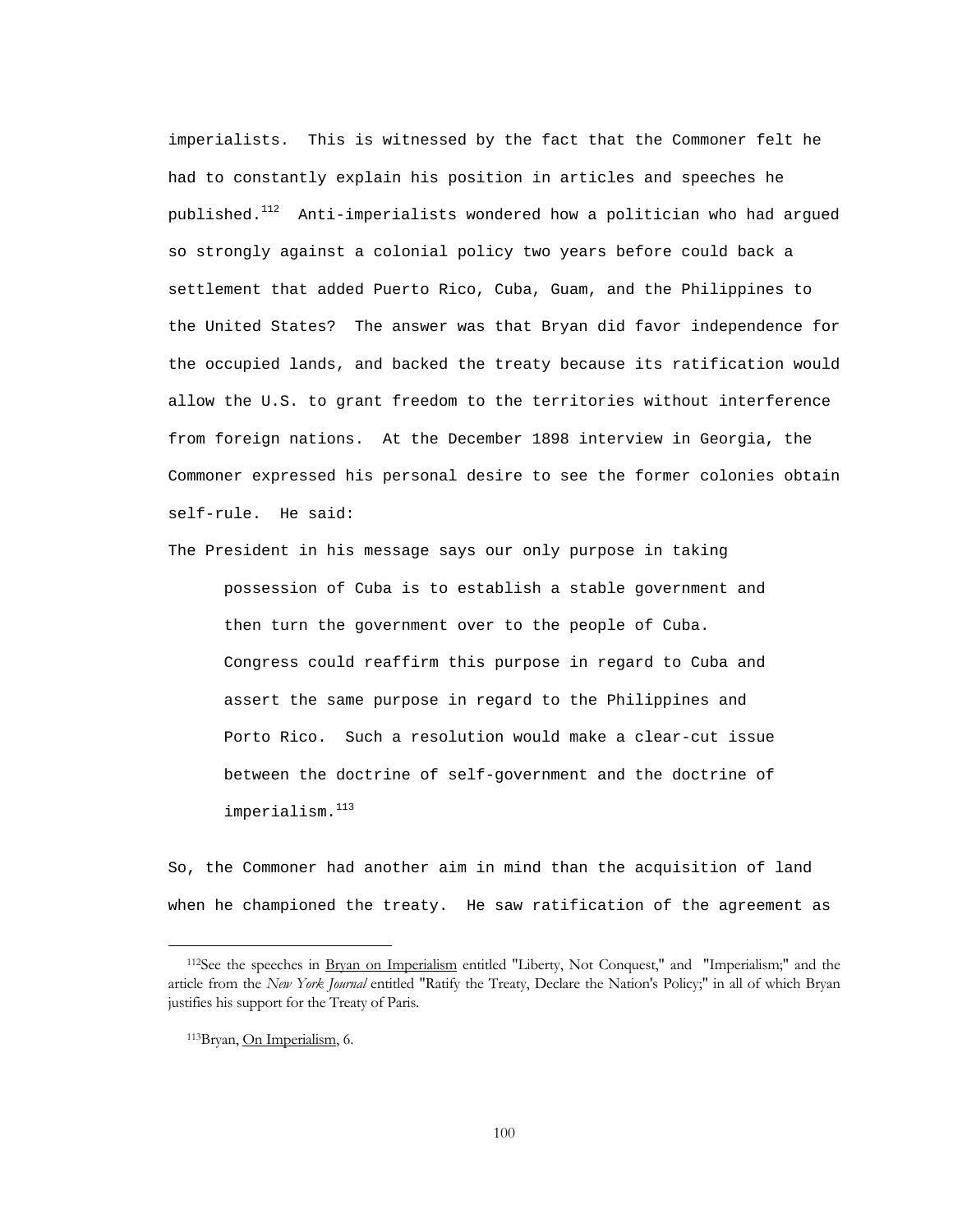imperialists. This is witnessed by the fact that the Commoner felt he had to constantly explain his position in articles and speeches he published. $^{112}$  Anti-imperialists wondered how a politician who had argued so strongly against a colonial policy two years before could back a settlement that added Puerto Rico, Cuba, Guam, and the Philippines to the United States? The answer was that Bryan did favor independence for the occupied lands, and backed the treaty because its ratification would allow the U.S. to grant freedom to the territories without interference from foreign nations. At the December 1898 interview in Georgia, the Commoner expressed his personal desire to see the former colonies obtain self-rule. He said:

The President in his message says our only purpose in taking possession of Cuba is to establish a stable government and then turn the government over to the people of Cuba. Congress could reaffirm this purpose in regard to Cuba and assert the same purpose in regard to the Philippines and Porto Rico. Such a resolution would make a clear-cut issue between the doctrine of self-government and the doctrine of imperialism.<sup>113</sup>

So, the Commoner had another aim in mind than the acquisition of land when he championed the treaty. He saw ratification of the agreement as

<sup>&</sup>lt;sup>112</sup>See the speeches in Bryan on Imperialism entitled "Liberty, Not Conquest," and "Imperialism;" and the article from the *New York Journal* entitled "Ratify the Treaty, Declare the Nation's Policy;" in all of which Bryan justifies his support for the Treaty of Paris.

 <sup>113</sup>Bryan, On Imperialism, 6.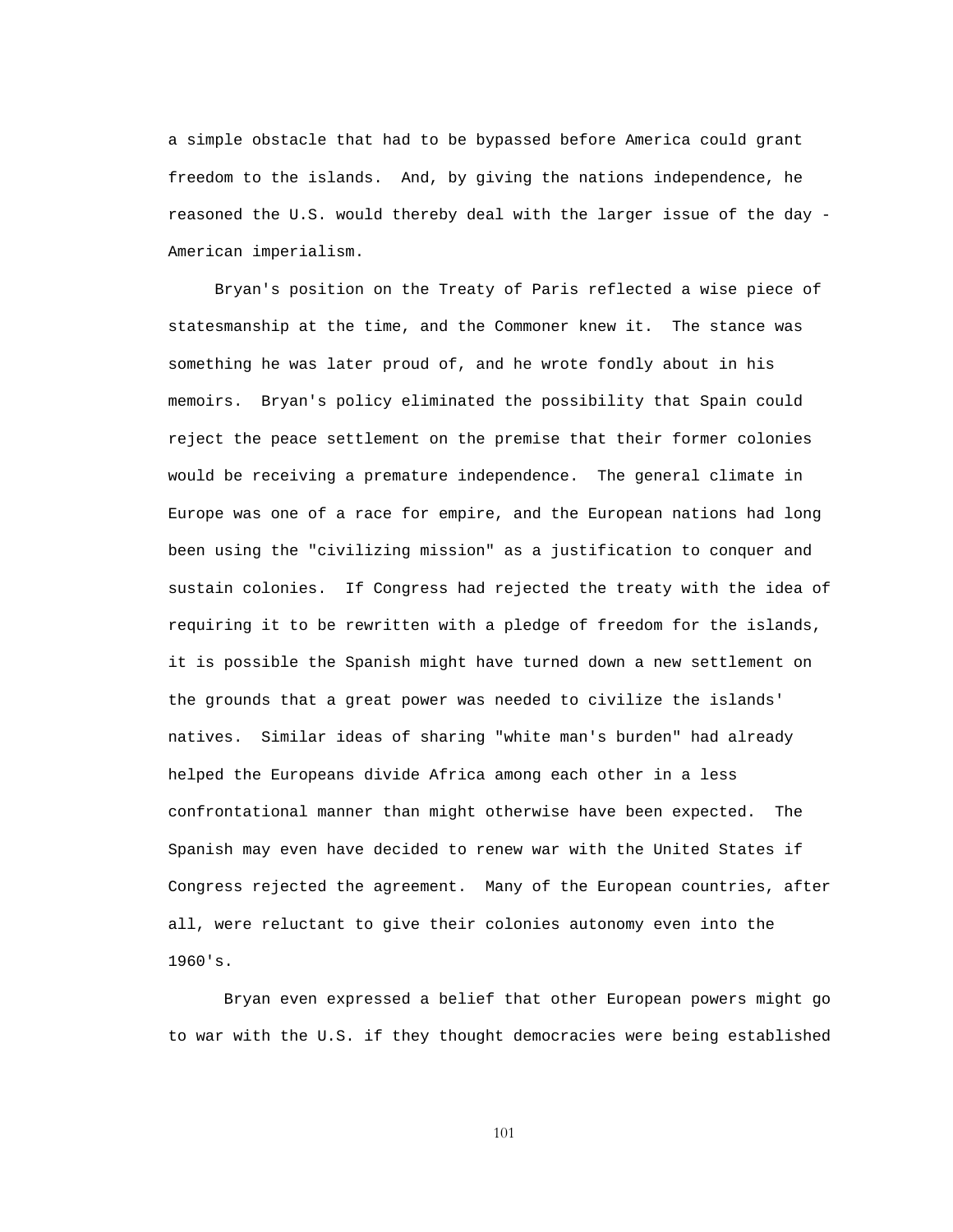a simple obstacle that had to be bypassed before America could grant freedom to the islands. And, by giving the nations independence, he reasoned the U.S. would thereby deal with the larger issue of the day - American imperialism.

 Bryan's position on the Treaty of Paris reflected a wise piece of statesmanship at the time, and the Commoner knew it. The stance was something he was later proud of, and he wrote fondly about in his memoirs. Bryan's policy eliminated the possibility that Spain could reject the peace settlement on the premise that their former colonies would be receiving a premature independence. The general climate in Europe was one of a race for empire, and the European nations had long been using the "civilizing mission" as a justification to conquer and sustain colonies. If Congress had rejected the treaty with the idea of requiring it to be rewritten with a pledge of freedom for the islands, it is possible the Spanish might have turned down a new settlement on the grounds that a great power was needed to civilize the islands' natives. Similar ideas of sharing "white man's burden" had already helped the Europeans divide Africa among each other in a less confrontational manner than might otherwise have been expected. The Spanish may even have decided to renew war with the United States if Congress rejected the agreement. Many of the European countries, after all, were reluctant to give their colonies autonomy even into the 1960's.

 Bryan even expressed a belief that other European powers might go to war with the U.S. if they thought democracies were being established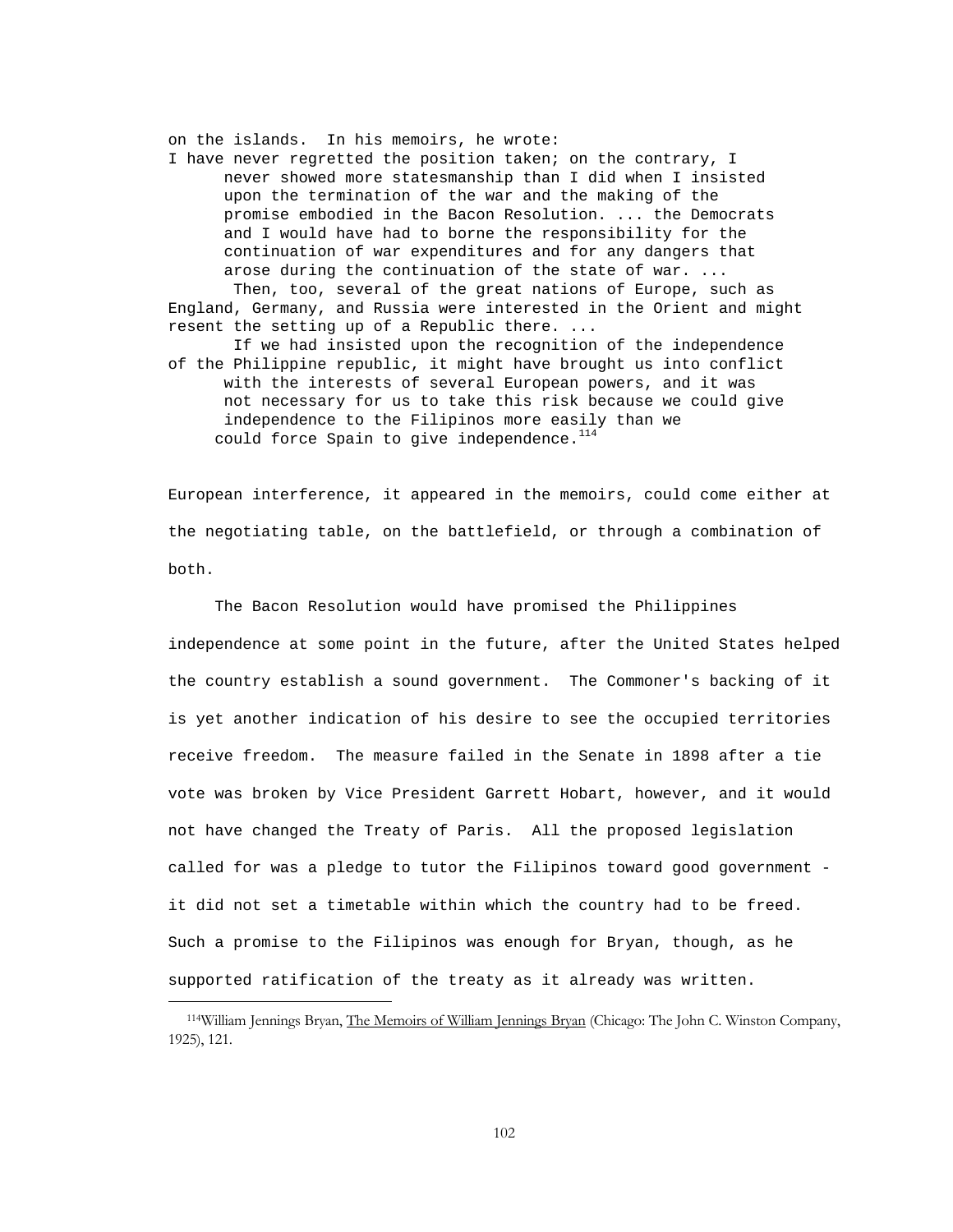on the islands. In his memoirs, he wrote: I have never regretted the position taken; on the contrary, I never showed more statesmanship than I did when I insisted upon the termination of the war and the making of the promise embodied in the Bacon Resolution. ... the Democrats and I would have had to borne the responsibility for the continuation of war expenditures and for any dangers that arose during the continuation of the state of war. ... Then, too, several of the great nations of Europe, such as England, Germany, and Russia were interested in the Orient and might resent the setting up of a Republic there. ... If we had insisted upon the recognition of the independence

of the Philippine republic, it might have brought us into conflict with the interests of several European powers, and it was not necessary for us to take this risk because we could give independence to the Filipinos more easily than we could force Spain to give independence.<sup>114</sup>

European interference, it appeared in the memoirs, could come either at the negotiating table, on the battlefield, or through a combination of both.

 The Bacon Resolution would have promised the Philippines independence at some point in the future, after the United States helped the country establish a sound government. The Commoner's backing of it is yet another indication of his desire to see the occupied territories receive freedom. The measure failed in the Senate in 1898 after a tie vote was broken by Vice President Garrett Hobart, however, and it would not have changed the Treaty of Paris. All the proposed legislation called for was a pledge to tutor the Filipinos toward good government it did not set a timetable within which the country had to be freed. Such a promise to the Filipinos was enough for Bryan, though, as he supported ratification of the treaty as it already was written.

i

<sup>114</sup>William Jennings Bryan, The Memoirs of William Jennings Bryan (Chicago: The John C. Winston Company, 1925), 121.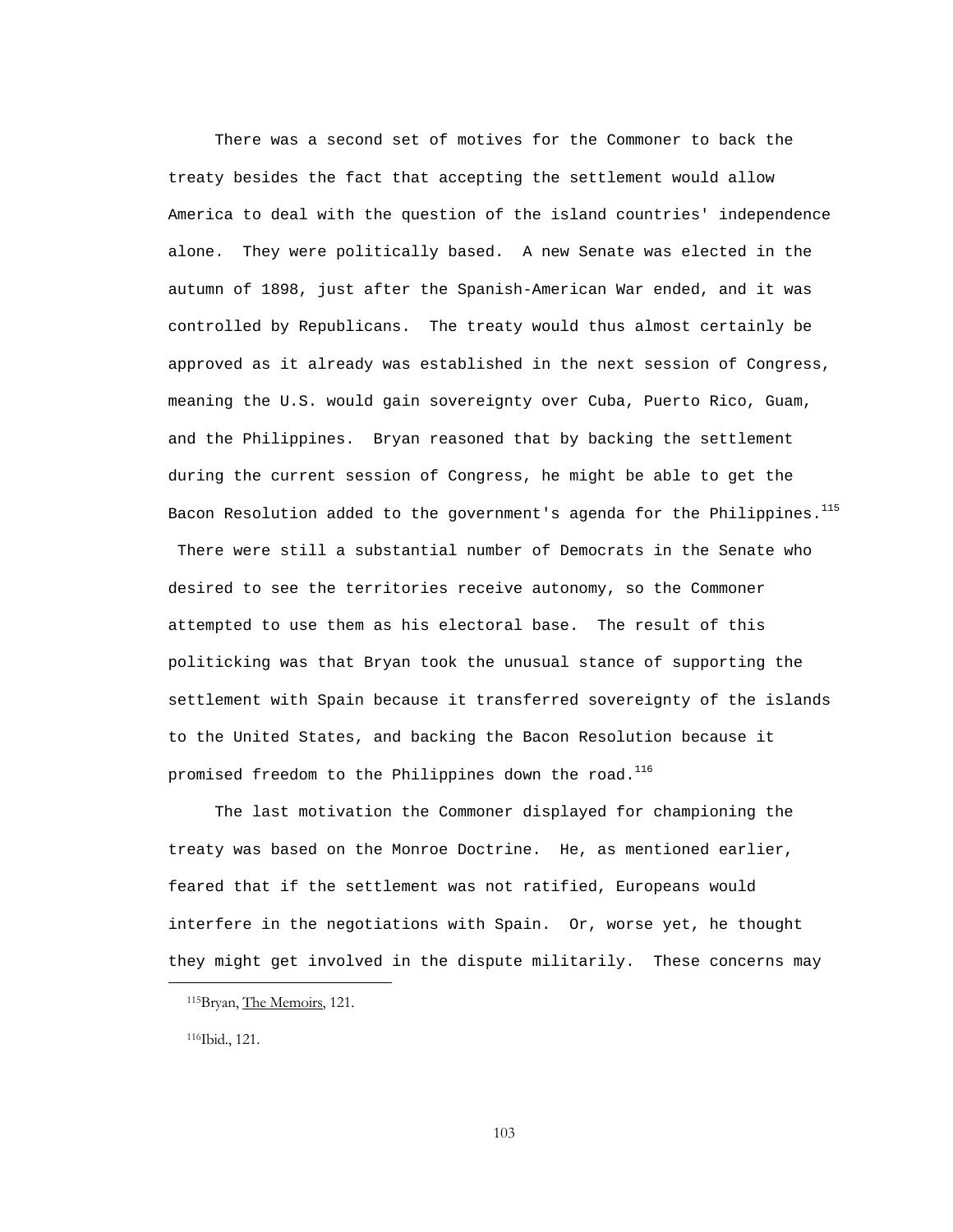There was a second set of motives for the Commoner to back the treaty besides the fact that accepting the settlement would allow America to deal with the question of the island countries' independence alone. They were politically based. A new Senate was elected in the autumn of 1898, just after the Spanish-American War ended, and it was controlled by Republicans. The treaty would thus almost certainly be approved as it already was established in the next session of Congress, meaning the U.S. would gain sovereignty over Cuba, Puerto Rico, Guam, and the Philippines. Bryan reasoned that by backing the settlement during the current session of Congress, he might be able to get the Bacon Resolution added to the government's agenda for the Philippines. $115$ 

 There were still a substantial number of Democrats in the Senate who desired to see the territories receive autonomy, so the Commoner attempted to use them as his electoral base. The result of this politicking was that Bryan took the unusual stance of supporting the settlement with Spain because it transferred sovereignty of the islands to the United States, and backing the Bacon Resolution because it promised freedom to the Philippines down the road. $^{116}$ 

 The last motivation the Commoner displayed for championing the treaty was based on the Monroe Doctrine. He, as mentioned earlier, feared that if the settlement was not ratified, Europeans would interfere in the negotiations with Spain. Or, worse yet, he thought they might get involved in the dispute militarily. These concerns may

116Ibid., 121.

i

<sup>115</sup> Bryan, The Memoirs, 121.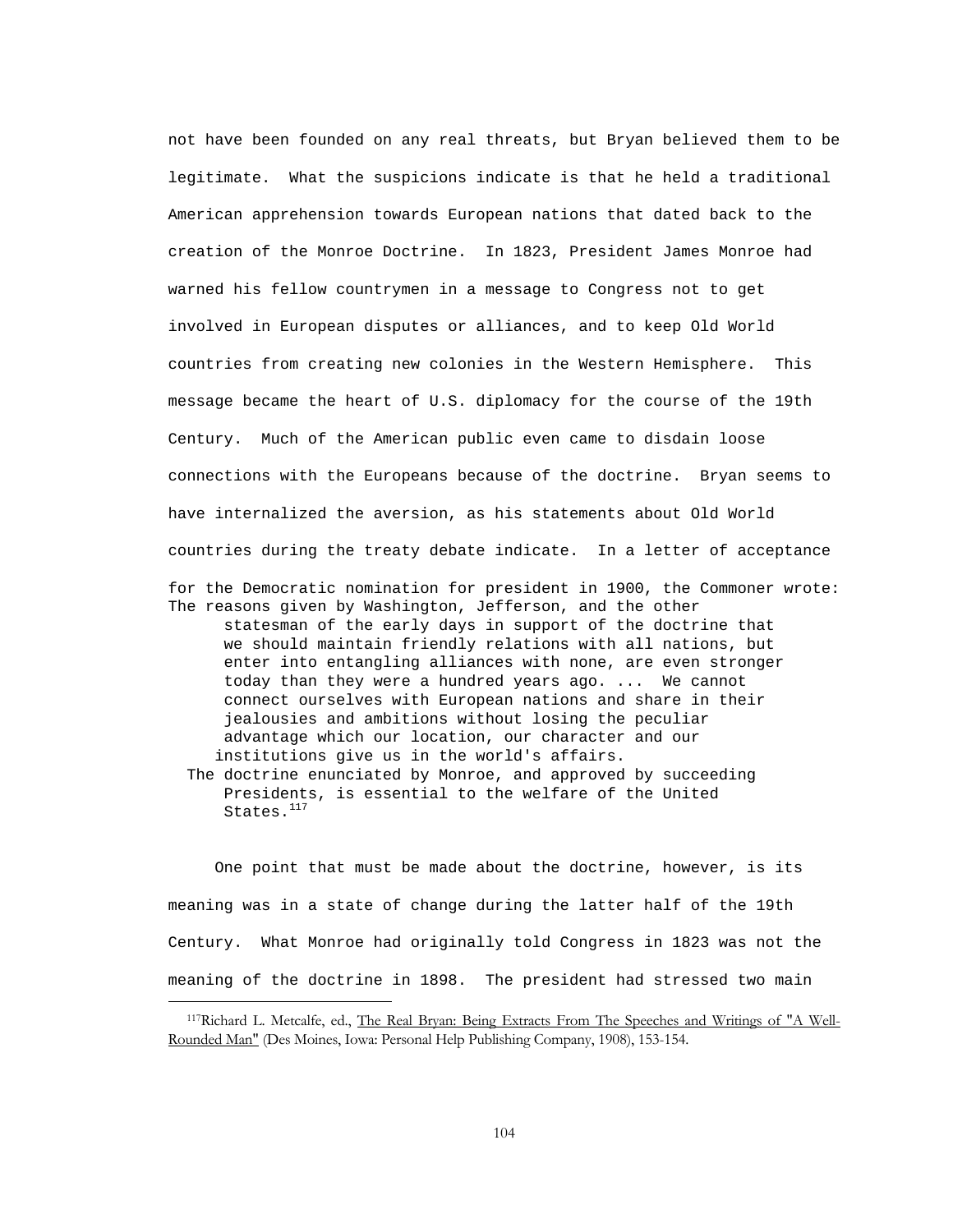not have been founded on any real threats, but Bryan believed them to be legitimate. What the suspicions indicate is that he held a traditional American apprehension towards European nations that dated back to the creation of the Monroe Doctrine. In 1823, President James Monroe had warned his fellow countrymen in a message to Congress not to get involved in European disputes or alliances, and to keep Old World countries from creating new colonies in the Western Hemisphere. This message became the heart of U.S. diplomacy for the course of the 19th Century. Much of the American public even came to disdain loose connections with the Europeans because of the doctrine. Bryan seems to have internalized the aversion, as his statements about Old World countries during the treaty debate indicate. In a letter of acceptance

for the Democratic nomination for president in 1900, the Commoner wrote: The reasons given by Washington, Jefferson, and the other statesman of the early days in support of the doctrine that we should maintain friendly relations with all nations, but enter into entangling alliances with none, are even stronger today than they were a hundred years ago. ... We cannot connect ourselves with European nations and share in their jealousies and ambitions without losing the peculiar advantage which our location, our character and our institutions give us in the world's affairs. The doctrine enunciated by Monroe, and approved by succeeding Presidents, is essential to the welfare of the United

States.<sup>117</sup>

i

 One point that must be made about the doctrine, however, is its meaning was in a state of change during the latter half of the 19th Century. What Monroe had originally told Congress in 1823 was not the meaning of the doctrine in 1898. The president had stressed two main

 <sup>117</sup>Richard L. Metcalfe, ed., The Real Bryan: Being Extracts From The Speeches and Writings of "A Well-Rounded Man" (Des Moines, Iowa: Personal Help Publishing Company, 1908), 153-154.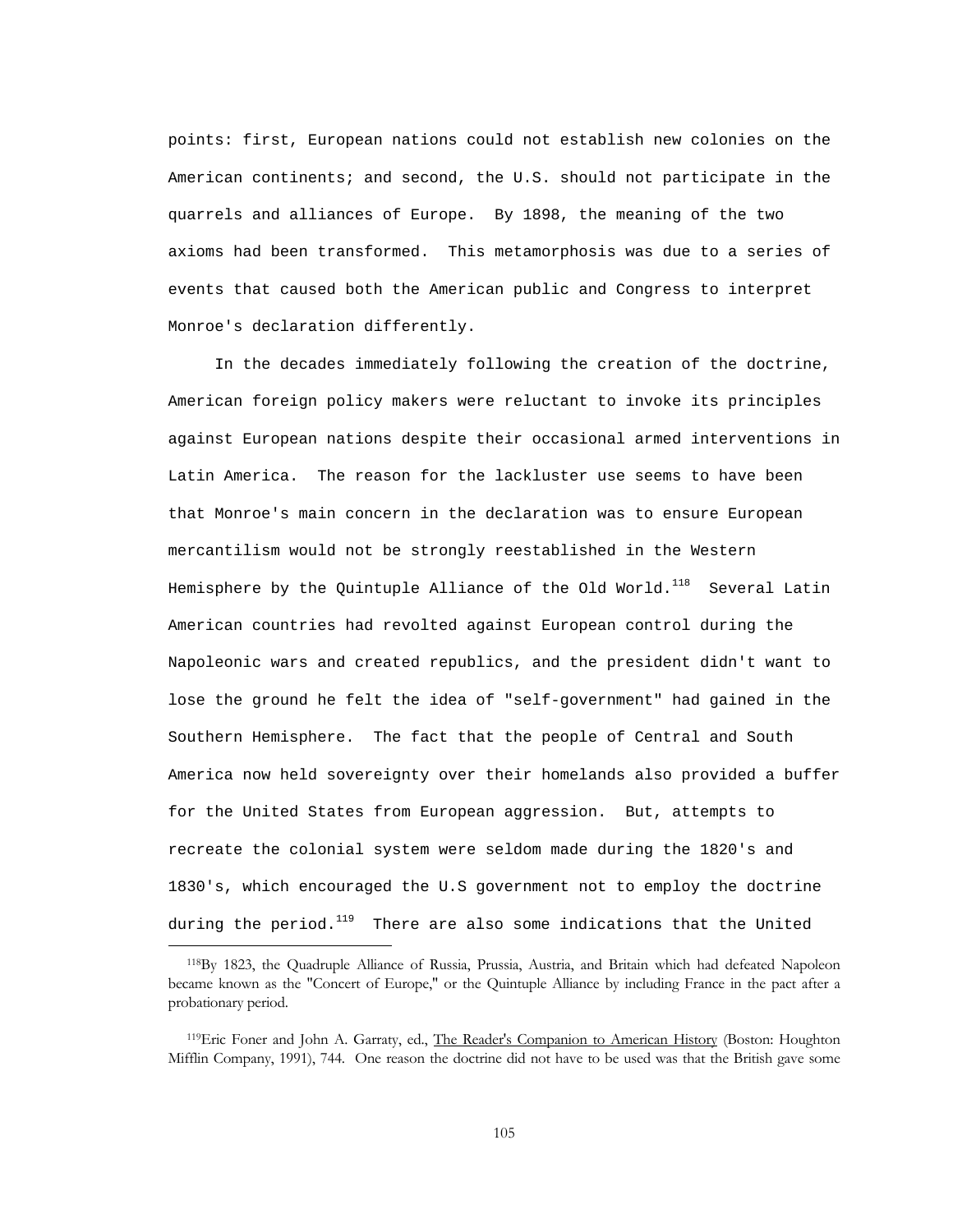points: first, European nations could not establish new colonies on the American continents; and second, the U.S. should not participate in the quarrels and alliances of Europe. By 1898, the meaning of the two axioms had been transformed. This metamorphosis was due to a series of events that caused both the American public and Congress to interpret Monroe's declaration differently.

 In the decades immediately following the creation of the doctrine, American foreign policy makers were reluctant to invoke its principles against European nations despite their occasional armed interventions in Latin America. The reason for the lackluster use seems to have been that Monroe's main concern in the declaration was to ensure European mercantilism would not be strongly reestablished in the Western Hemisphere by the Quintuple Alliance of the Old World.<sup>118</sup> Several Latin American countries had revolted against European control during the Napoleonic wars and created republics, and the president didn't want to lose the ground he felt the idea of "self-government" had gained in the Southern Hemisphere. The fact that the people of Central and South America now held sovereignty over their homelands also provided a buffer for the United States from European aggression. But, attempts to recreate the colonial system were seldom made during the 1820's and 1830's, which encouraged the U.S government not to employ the doctrine during the period. $119$  There are also some indications that the United

 <sup>118</sup>By 1823, the Quadruple Alliance of Russia, Prussia, Austria, and Britain which had defeated Napoleon became known as the "Concert of Europe," or the Quintuple Alliance by including France in the pact after a probationary period.

 <sup>119</sup>Eric Foner and John A. Garraty, ed., The Reader's Companion to American History (Boston: Houghton Mifflin Company, 1991), 744. One reason the doctrine did not have to be used was that the British gave some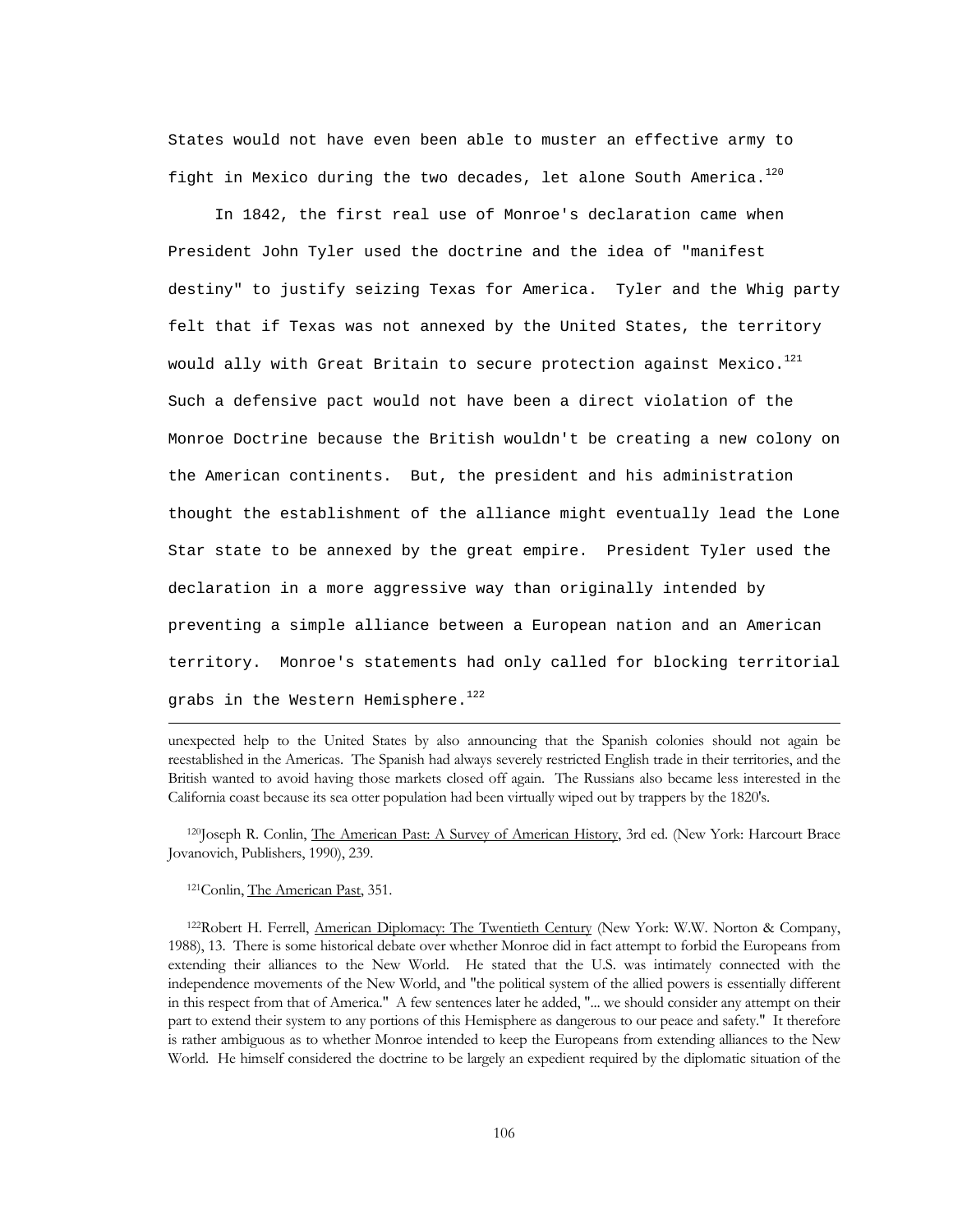States would not have even been able to muster an effective army to fight in Mexico during the two decades, let alone South America. $120$ 

 In 1842, the first real use of Monroe's declaration came when President John Tyler used the doctrine and the idea of "manifest destiny" to justify seizing Texas for America. Tyler and the Whig party felt that if Texas was not annexed by the United States, the territory would ally with Great Britain to secure protection against Mexico.<sup>121</sup> Such a defensive pact would not have been a direct violation of the Monroe Doctrine because the British wouldn't be creating a new colony on the American continents. But, the president and his administration thought the establishment of the alliance might eventually lead the Lone Star state to be annexed by the great empire. President Tyler used the declaration in a more aggressive way than originally intended by preventing a simple alliance between a European nation and an American territory. Monroe's statements had only called for blocking territorial grabs in the Western Hemisphere. $122$ 

unexpected help to the United States by also announcing that the Spanish colonies should not again be reestablished in the Americas. The Spanish had always severely restricted English trade in their territories, and the British wanted to avoid having those markets closed off again. The Russians also became less interested in the California coast because its sea otter population had been virtually wiped out by trappers by the 1820's.

 120Joseph R. Conlin, The American Past: A Survey of American History, 3rd ed. (New York: Harcourt Brace Jovanovich, Publishers, 1990), 239.

121 Conlin, The American Past, 351.

i

<sup>122</sup>Robert H. Ferrell, American Diplomacy: The Twentieth Century (New York: W.W. Norton & Company, 1988), 13. There is some historical debate over whether Monroe did in fact attempt to forbid the Europeans from extending their alliances to the New World. He stated that the U.S. was intimately connected with the independence movements of the New World, and "the political system of the allied powers is essentially different in this respect from that of America." A few sentences later he added, "... we should consider any attempt on their part to extend their system to any portions of this Hemisphere as dangerous to our peace and safety." It therefore is rather ambiguous as to whether Monroe intended to keep the Europeans from extending alliances to the New World. He himself considered the doctrine to be largely an expedient required by the diplomatic situation of the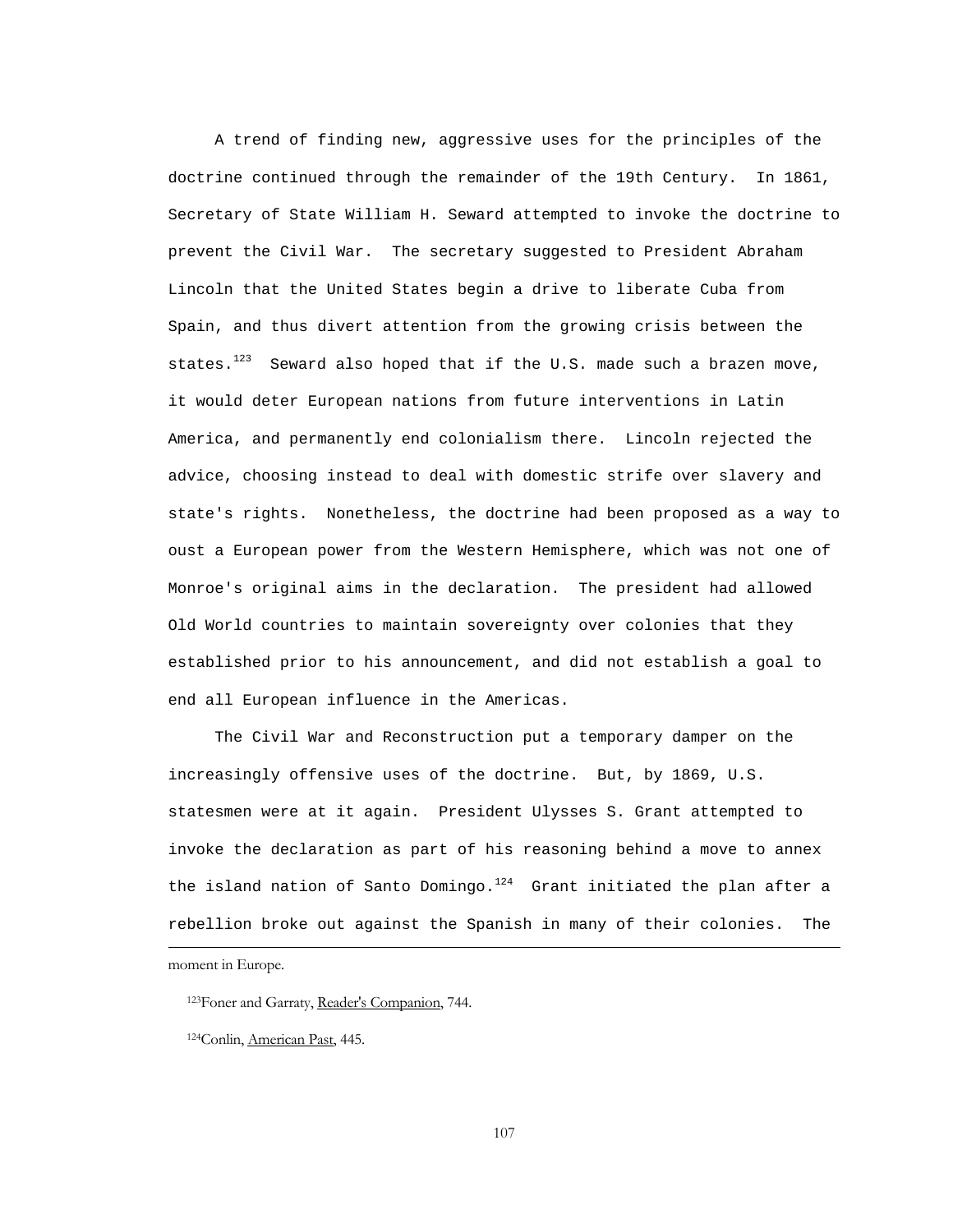A trend of finding new, aggressive uses for the principles of the doctrine continued through the remainder of the 19th Century. In 1861, Secretary of State William H. Seward attempted to invoke the doctrine to prevent the Civil War. The secretary suggested to President Abraham Lincoln that the United States begin a drive to liberate Cuba from Spain, and thus divert attention from the growing crisis between the states. $^{123}$  Seward also hoped that if the U.S. made such a brazen move, it would deter European nations from future interventions in Latin America, and permanently end colonialism there. Lincoln rejected the advice, choosing instead to deal with domestic strife over slavery and state's rights. Nonetheless, the doctrine had been proposed as a way to oust a European power from the Western Hemisphere, which was not one of Monroe's original aims in the declaration. The president had allowed Old World countries to maintain sovereignty over colonies that they established prior to his announcement, and did not establish a goal to end all European influence in the Americas.

 The Civil War and Reconstruction put a temporary damper on the increasingly offensive uses of the doctrine. But, by 1869, U.S. statesmen were at it again. President Ulysses S. Grant attempted to invoke the declaration as part of his reasoning behind a move to annex the island nation of Santo Domingo.<sup>124</sup> Grant initiated the plan after a rebellion broke out against the Spanish in many of their colonies. The i

moment in Europe.

 <sup>123</sup>Foner and Garraty, Reader's Companion, 744.

 <sup>124</sup>Conlin, American Past, 445.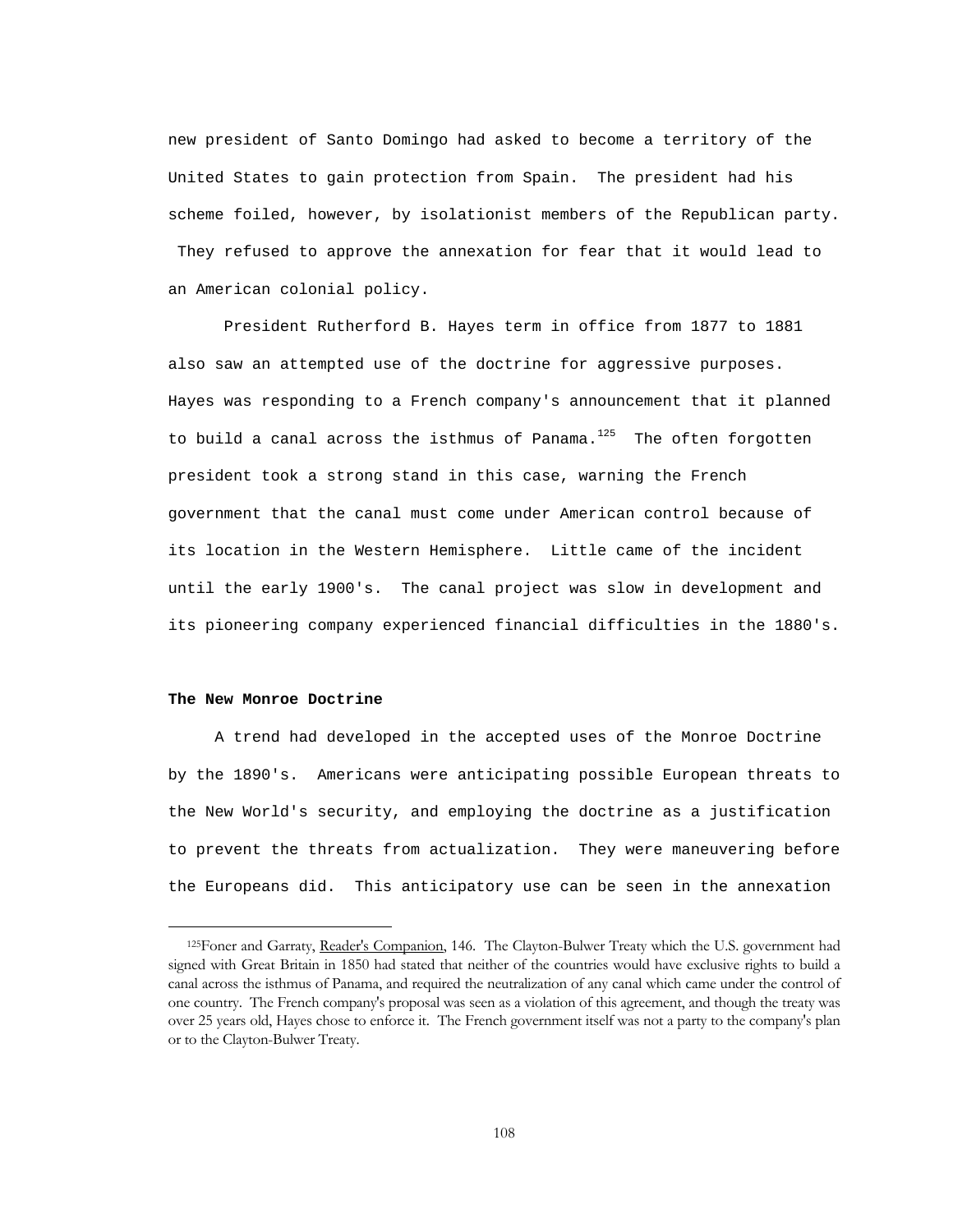new president of Santo Domingo had asked to become a territory of the United States to gain protection from Spain. The president had his scheme foiled, however, by isolationist members of the Republican party. They refused to approve the annexation for fear that it would lead to an American colonial policy.

 President Rutherford B. Hayes term in office from 1877 to 1881 also saw an attempted use of the doctrine for aggressive purposes. Hayes was responding to a French company's announcement that it planned to build a canal across the isthmus of Panama. $1^{25}$  The often forgotten president took a strong stand in this case, warning the French government that the canal must come under American control because of its location in the Western Hemisphere. Little came of the incident until the early 1900's. The canal project was slow in development and its pioneering company experienced financial difficulties in the 1880's.

## **The New Monroe Doctrine**

i

 A trend had developed in the accepted uses of the Monroe Doctrine by the 1890's. Americans were anticipating possible European threats to the New World's security, and employing the doctrine as a justification to prevent the threats from actualization. They were maneuvering before the Europeans did. This anticipatory use can be seen in the annexation

<sup>&</sup>lt;sup>125</sup>Foner and Garraty, Reader's Companion, 146. The Clayton-Bulwer Treaty which the U.S. government had signed with Great Britain in 1850 had stated that neither of the countries would have exclusive rights to build a canal across the isthmus of Panama, and required the neutralization of any canal which came under the control of one country. The French company's proposal was seen as a violation of this agreement, and though the treaty was over 25 years old, Hayes chose to enforce it. The French government itself was not a party to the company's plan or to the Clayton-Bulwer Treaty.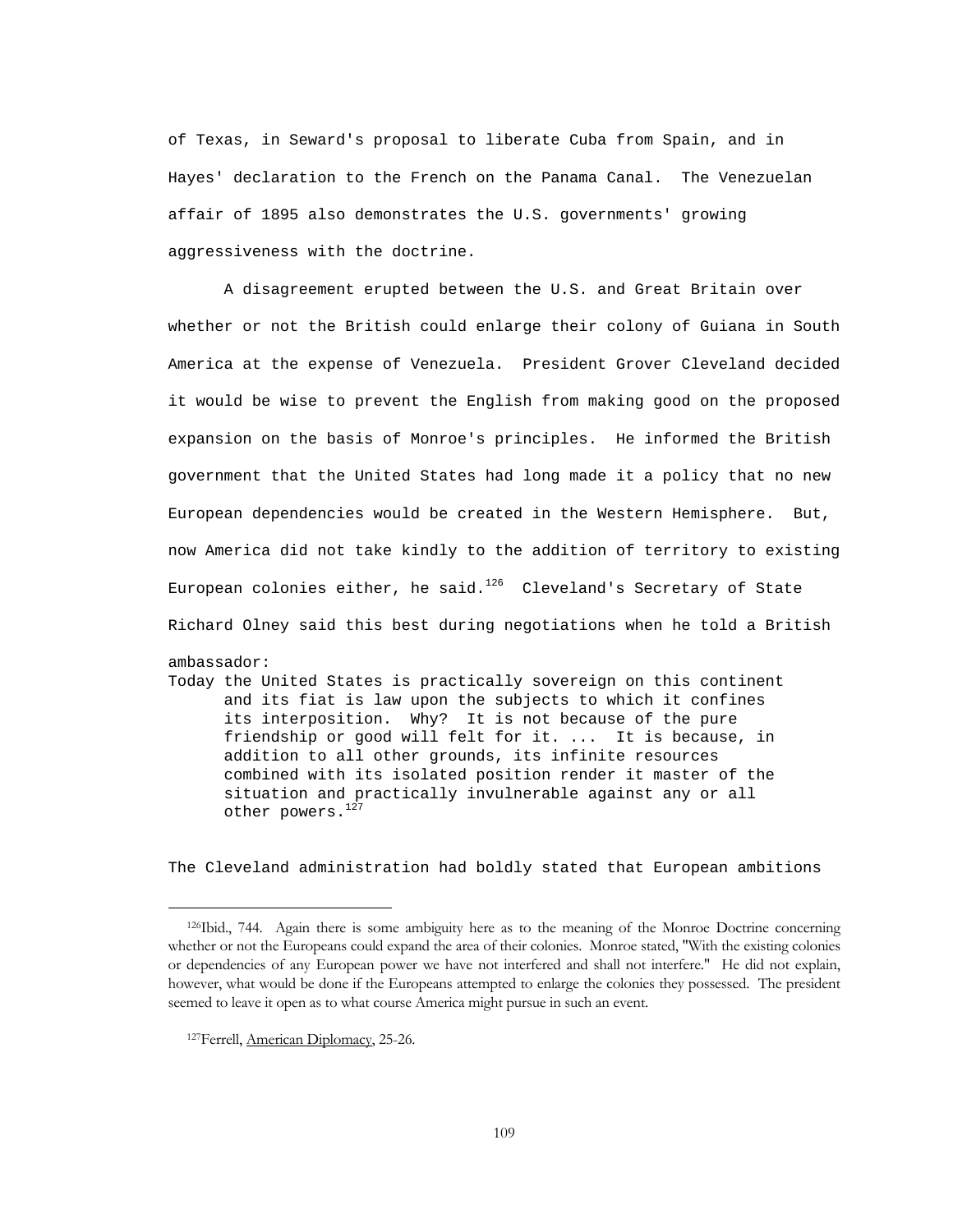of Texas, in Seward's proposal to liberate Cuba from Spain, and in Hayes' declaration to the French on the Panama Canal. The Venezuelan affair of 1895 also demonstrates the U.S. governments' growing aggressiveness with the doctrine.

 A disagreement erupted between the U.S. and Great Britain over whether or not the British could enlarge their colony of Guiana in South America at the expense of Venezuela. President Grover Cleveland decided it would be wise to prevent the English from making good on the proposed expansion on the basis of Monroe's principles. He informed the British government that the United States had long made it a policy that no new European dependencies would be created in the Western Hemisphere. But, now America did not take kindly to the addition of territory to existing European colonies either, he said. $1^{26}$  Cleveland's Secretary of State Richard Olney said this best during negotiations when he told a British ambassador: Today the United States is practically sovereign on this continent and its fiat is law upon the subjects to which it confines its interposition. Why? It is not because of the pure friendship or good will felt for it. ... It is because, in

addition to all other grounds, its infinite resources combined with its isolated position render it master of the situation and practically invulnerable against any or all other powers.<sup>127</sup>

The Cleveland administration had boldly stated that European ambitions

 <sup>126</sup>Ibid., 744. Again there is some ambiguity here as to the meaning of the Monroe Doctrine concerning whether or not the Europeans could expand the area of their colonies. Monroe stated, "With the existing colonies or dependencies of any European power we have not interfered and shall not interfere." He did not explain, however, what would be done if the Europeans attempted to enlarge the colonies they possessed. The president seemed to leave it open as to what course America might pursue in such an event.

<sup>127</sup> Ferrell, American Diplomacy, 25-26.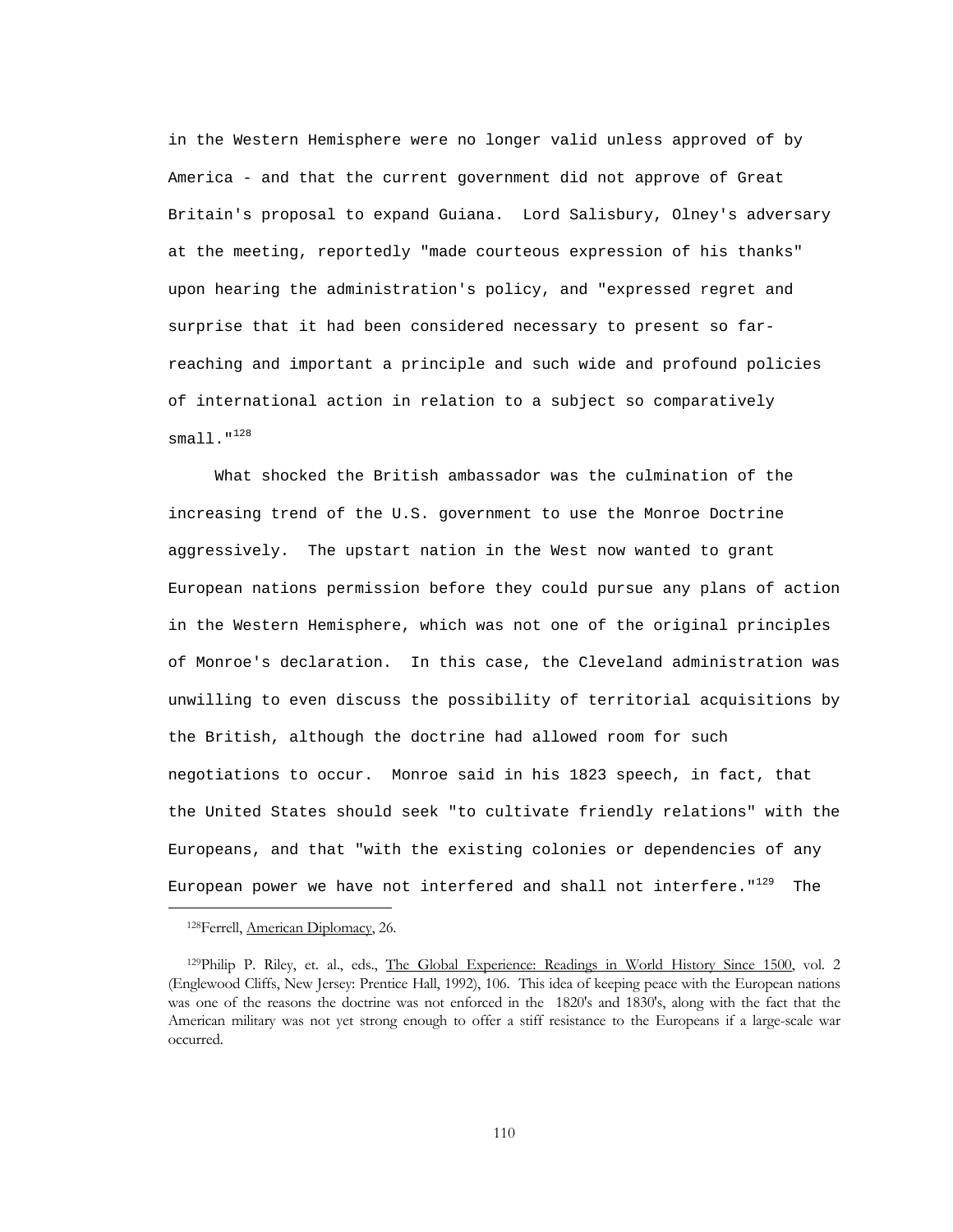in the Western Hemisphere were no longer valid unless approved of by America - and that the current government did not approve of Great Britain's proposal to expand Guiana. Lord Salisbury, Olney's adversary at the meeting, reportedly "made courteous expression of his thanks" upon hearing the administration's policy, and "expressed regret and surprise that it had been considered necessary to present so farreaching and important a principle and such wide and profound policies of international action in relation to a subject so comparatively  $smal.$   $"128$ 

 What shocked the British ambassador was the culmination of the increasing trend of the U.S. government to use the Monroe Doctrine aggressively. The upstart nation in the West now wanted to grant European nations permission before they could pursue any plans of action in the Western Hemisphere, which was not one of the original principles of Monroe's declaration. In this case, the Cleveland administration was unwilling to even discuss the possibility of territorial acquisitions by the British, although the doctrine had allowed room for such negotiations to occur. Monroe said in his 1823 speech, in fact, that the United States should seek "to cultivate friendly relations" with the Europeans, and that "with the existing colonies or dependencies of any European power we have not interfered and shall not interfere.  $"^{129}$  The

i

 <sup>128</sup>Ferrell, American Diplomacy, 26.

 <sup>129</sup>Philip P. Riley, et. al., eds., The Global Experience: Readings in World History Since 1500, vol. 2 (Englewood Cliffs, New Jersey: Prentice Hall, 1992), 106. This idea of keeping peace with the European nations was one of the reasons the doctrine was not enforced in the 1820's and 1830's, along with the fact that the American military was not yet strong enough to offer a stiff resistance to the Europeans if a large-scale war occurred.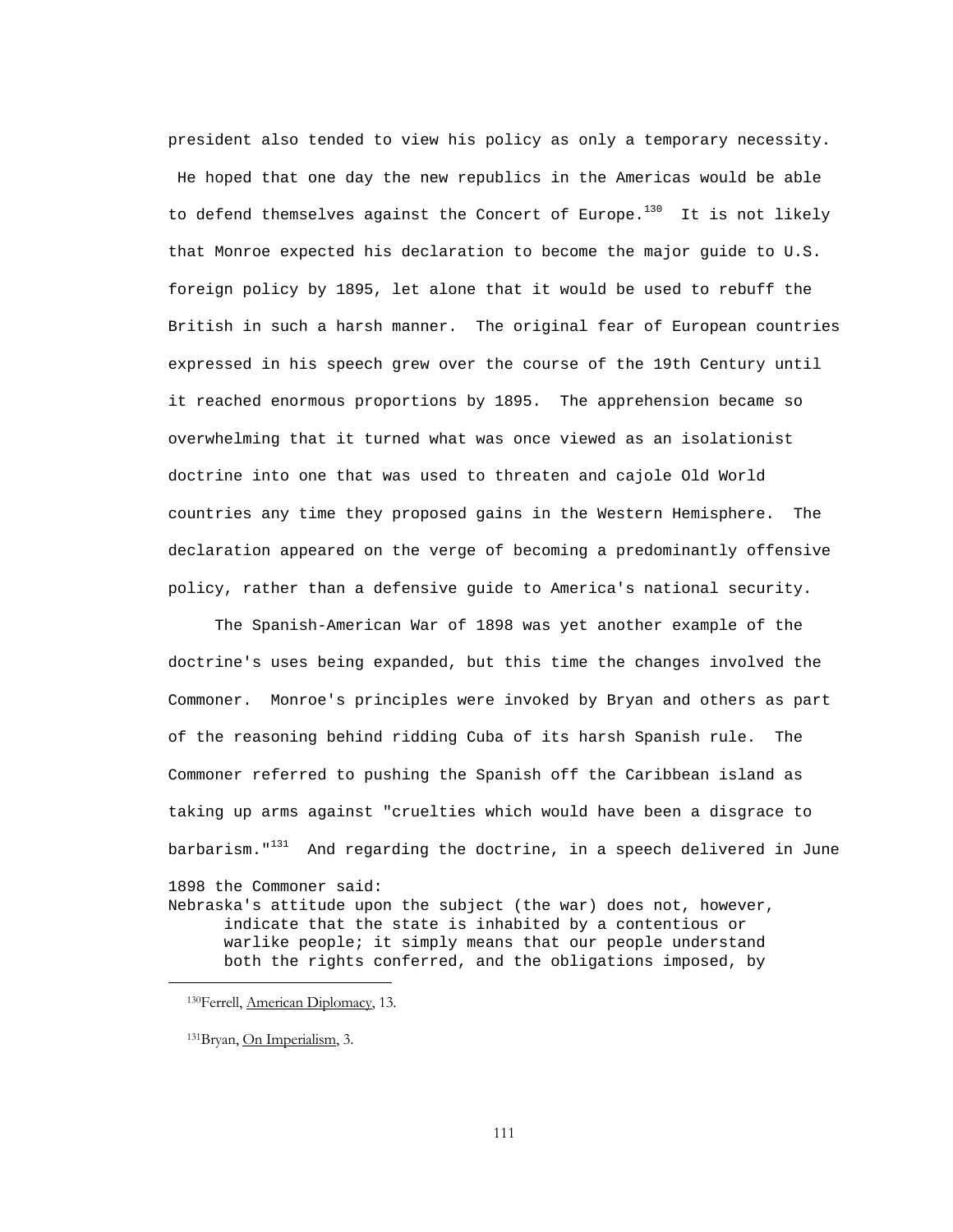president also tended to view his policy as only a temporary necessity. He hoped that one day the new republics in the Americas would be able to defend themselves against the Concert of Europe.<sup>130</sup> It is not likely that Monroe expected his declaration to become the major guide to U.S. foreign policy by 1895, let alone that it would be used to rebuff the British in such a harsh manner. The original fear of European countries expressed in his speech grew over the course of the 19th Century until it reached enormous proportions by 1895. The apprehension became so overwhelming that it turned what was once viewed as an isolationist doctrine into one that was used to threaten and cajole Old World countries any time they proposed gains in the Western Hemisphere. The declaration appeared on the verge of becoming a predominantly offensive policy, rather than a defensive guide to America's national security.

 The Spanish-American War of 1898 was yet another example of the doctrine's uses being expanded, but this time the changes involved the Commoner. Monroe's principles were invoked by Bryan and others as part of the reasoning behind ridding Cuba of its harsh Spanish rule. The Commoner referred to pushing the Spanish off the Caribbean island as taking up arms against "cruelties which would have been a disgrace to barbarism. $1^{131}$  And regarding the doctrine, in a speech delivered in June

```
1898 the Commoner said:
```
Nebraska's attitude upon the subject (the war) does not, however, indicate that the state is inhabited by a contentious or warlike people; it simply means that our people understand both the rights conferred, and the obligations imposed, by

 <sup>130</sup>Ferrell, American Diplomacy, 13.

 <sup>131</sup>Bryan, On Imperialism, 3.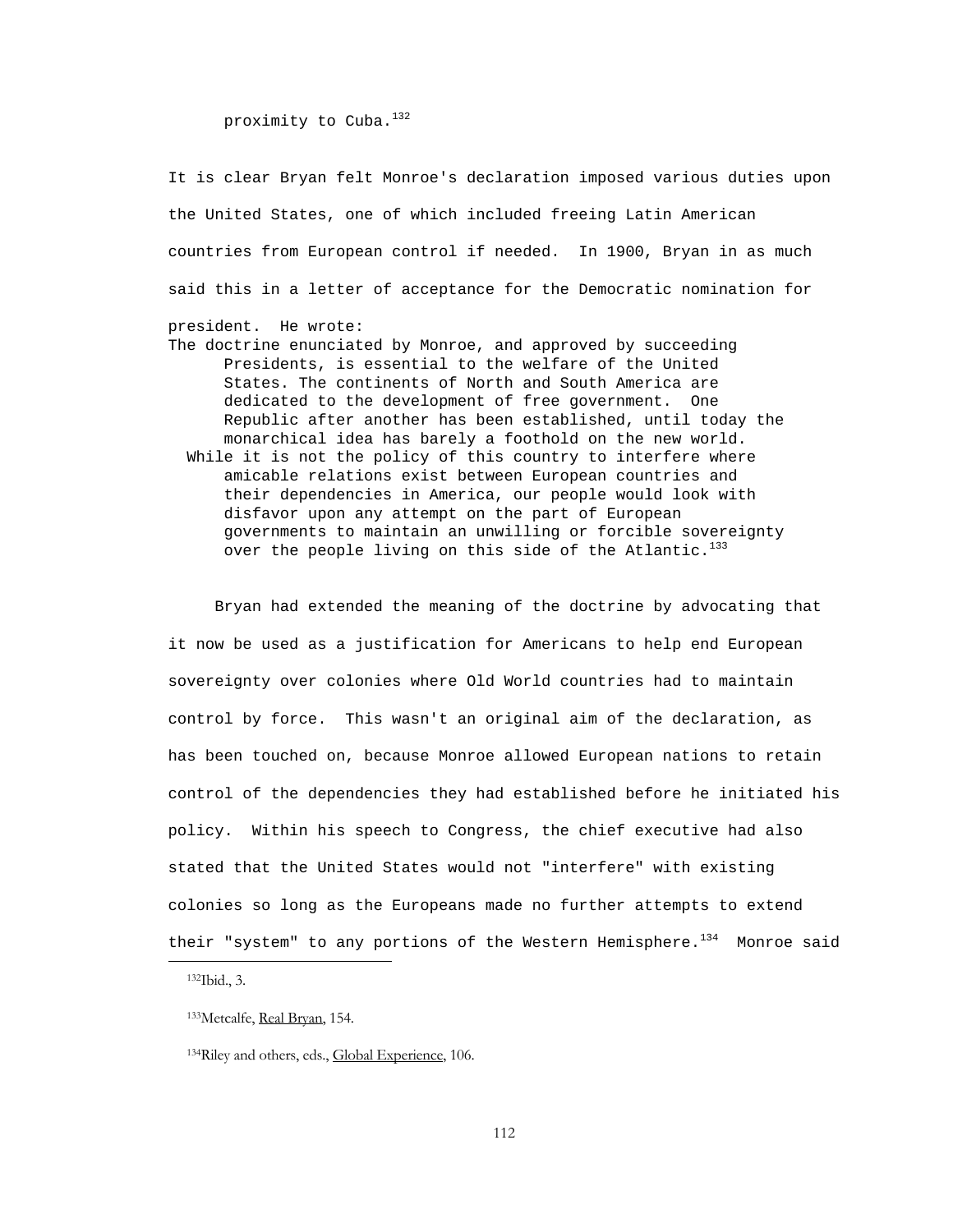# proximity to Cuba.<sup>132</sup>

It is clear Bryan felt Monroe's declaration imposed various duties upon the United States, one of which included freeing Latin American countries from European control if needed. In 1900, Bryan in as much said this in a letter of acceptance for the Democratic nomination for

- president. He wrote:
- The doctrine enunciated by Monroe, and approved by succeeding Presidents, is essential to the welfare of the United States. The continents of North and South America are dedicated to the development of free government. One Republic after another has been established, until today the monarchical idea has barely a foothold on the new world. While it is not the policy of this country to interfere where
	- amicable relations exist between European countries and their dependencies in America, our people would look with disfavor upon any attempt on the part of European governments to maintain an unwilling or forcible sovereignty over the people living on this side of the Atlantic.<sup>133</sup>

 Bryan had extended the meaning of the doctrine by advocating that it now be used as a justification for Americans to help end European sovereignty over colonies where Old World countries had to maintain control by force. This wasn't an original aim of the declaration, as has been touched on, because Monroe allowed European nations to retain control of the dependencies they had established before he initiated his policy. Within his speech to Congress, the chief executive had also stated that the United States would not "interfere" with existing colonies so long as the Europeans made no further attempts to extend their "system" to any portions of the Western Hemisphere.<sup>134</sup> Monroe said i

132Ibid., 3.

 <sup>133</sup>Metcalfe, Real Bryan, 154.

 <sup>134</sup>Riley and others, eds., Global Experience, 106.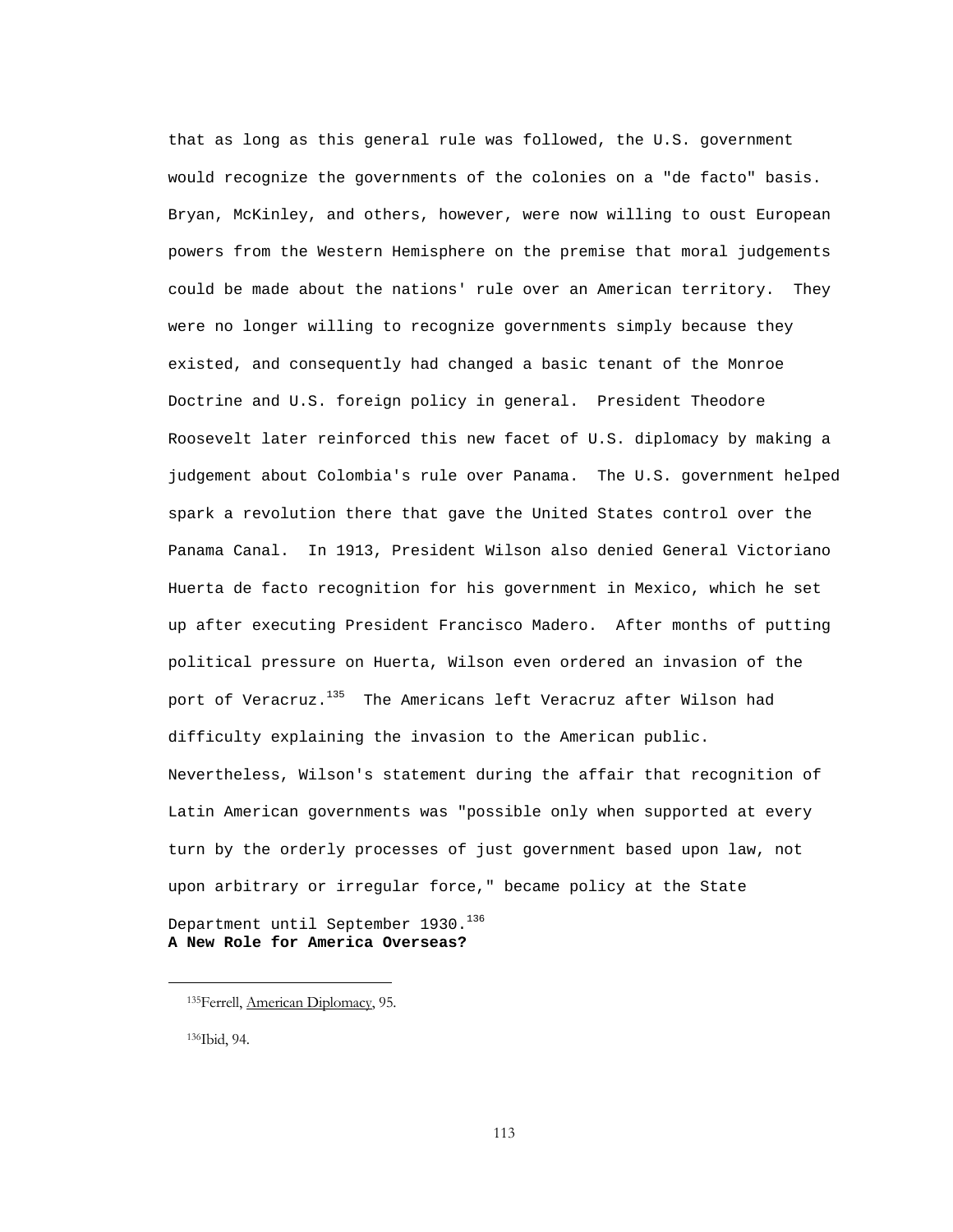that as long as this general rule was followed, the U.S. government would recognize the governments of the colonies on a "de facto" basis. Bryan, McKinley, and others, however, were now willing to oust European powers from the Western Hemisphere on the premise that moral judgements could be made about the nations' rule over an American territory. They were no longer willing to recognize governments simply because they existed, and consequently had changed a basic tenant of the Monroe Doctrine and U.S. foreign policy in general. President Theodore Roosevelt later reinforced this new facet of U.S. diplomacy by making a judgement about Colombia's rule over Panama. The U.S. government helped spark a revolution there that gave the United States control over the Panama Canal. In 1913, President Wilson also denied General Victoriano Huerta de facto recognition for his government in Mexico, which he set up after executing President Francisco Madero. After months of putting political pressure on Huerta, Wilson even ordered an invasion of the port of Veracruz.<sup>135</sup> The Americans left Veracruz after Wilson had difficulty explaining the invasion to the American public. Nevertheless, Wilson's statement during the affair that recognition of Latin American governments was "possible only when supported at every turn by the orderly processes of just government based upon law, not upon arbitrary or irregular force," became policy at the State Department until September 1930.<sup>136</sup> **A New Role for America Overseas?**

136Ibid, 94.

i

 <sup>135</sup>Ferrell, American Diplomacy, 95.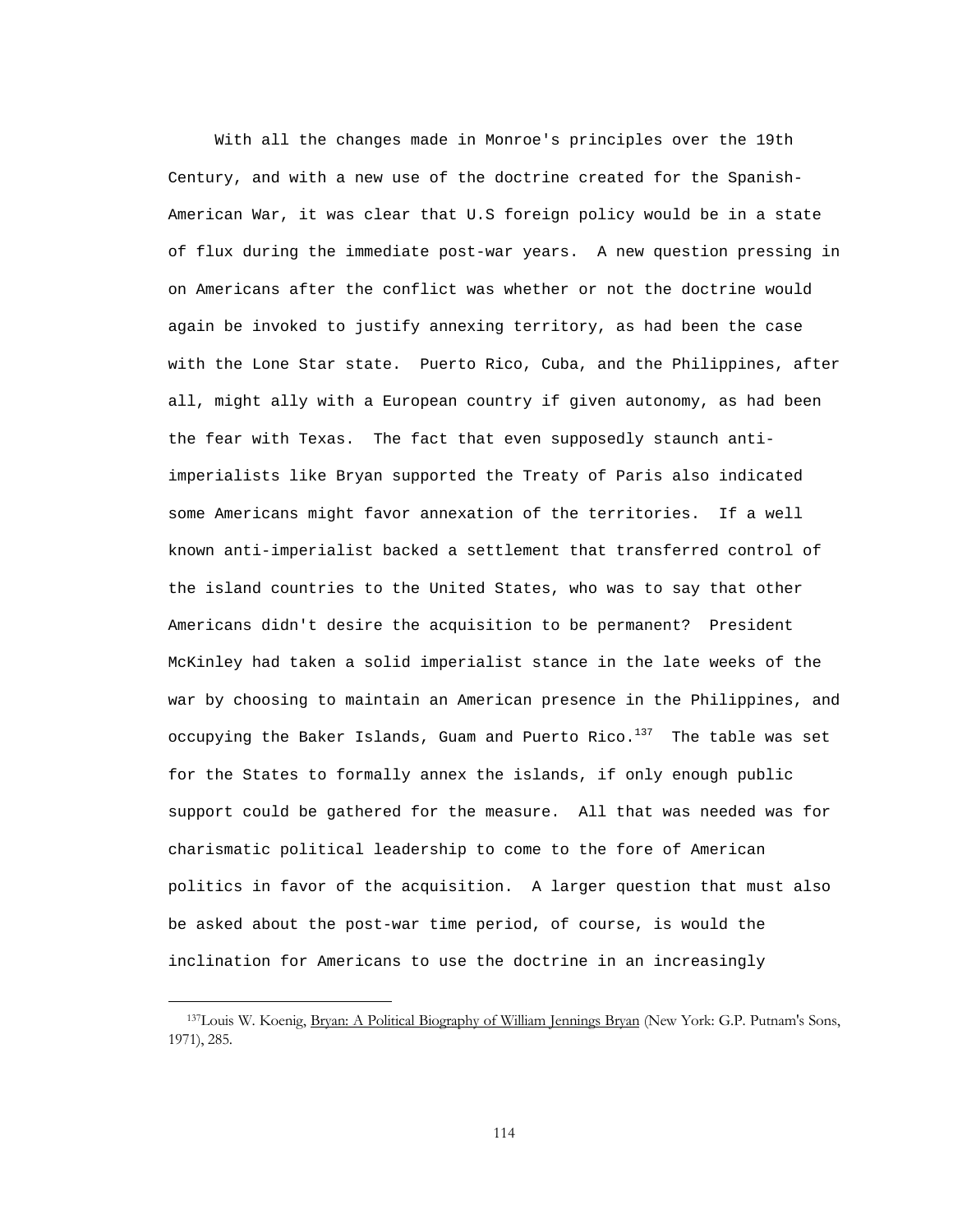With all the changes made in Monroe's principles over the 19th Century, and with a new use of the doctrine created for the Spanish-American War, it was clear that U.S foreign policy would be in a state of flux during the immediate post-war years. A new question pressing in on Americans after the conflict was whether or not the doctrine would again be invoked to justify annexing territory, as had been the case with the Lone Star state. Puerto Rico, Cuba, and the Philippines, after all, might ally with a European country if given autonomy, as had been the fear with Texas. The fact that even supposedly staunch antiimperialists like Bryan supported the Treaty of Paris also indicated some Americans might favor annexation of the territories. If a well known anti-imperialist backed a settlement that transferred control of the island countries to the United States, who was to say that other Americans didn't desire the acquisition to be permanent? President McKinley had taken a solid imperialist stance in the late weeks of the war by choosing to maintain an American presence in the Philippines, and occupying the Baker Islands, Guam and Puerto Rico. $137$  The table was set for the States to formally annex the islands, if only enough public support could be gathered for the measure. All that was needed was for charismatic political leadership to come to the fore of American politics in favor of the acquisition. A larger question that must also be asked about the post-war time period, of course, is would the inclination for Americans to use the doctrine in an increasingly

i

<sup>137</sup>Louis W. Koenig, Bryan: A Political Biography of William Jennings Bryan (New York: G.P. Putnam's Sons, 1971), 285.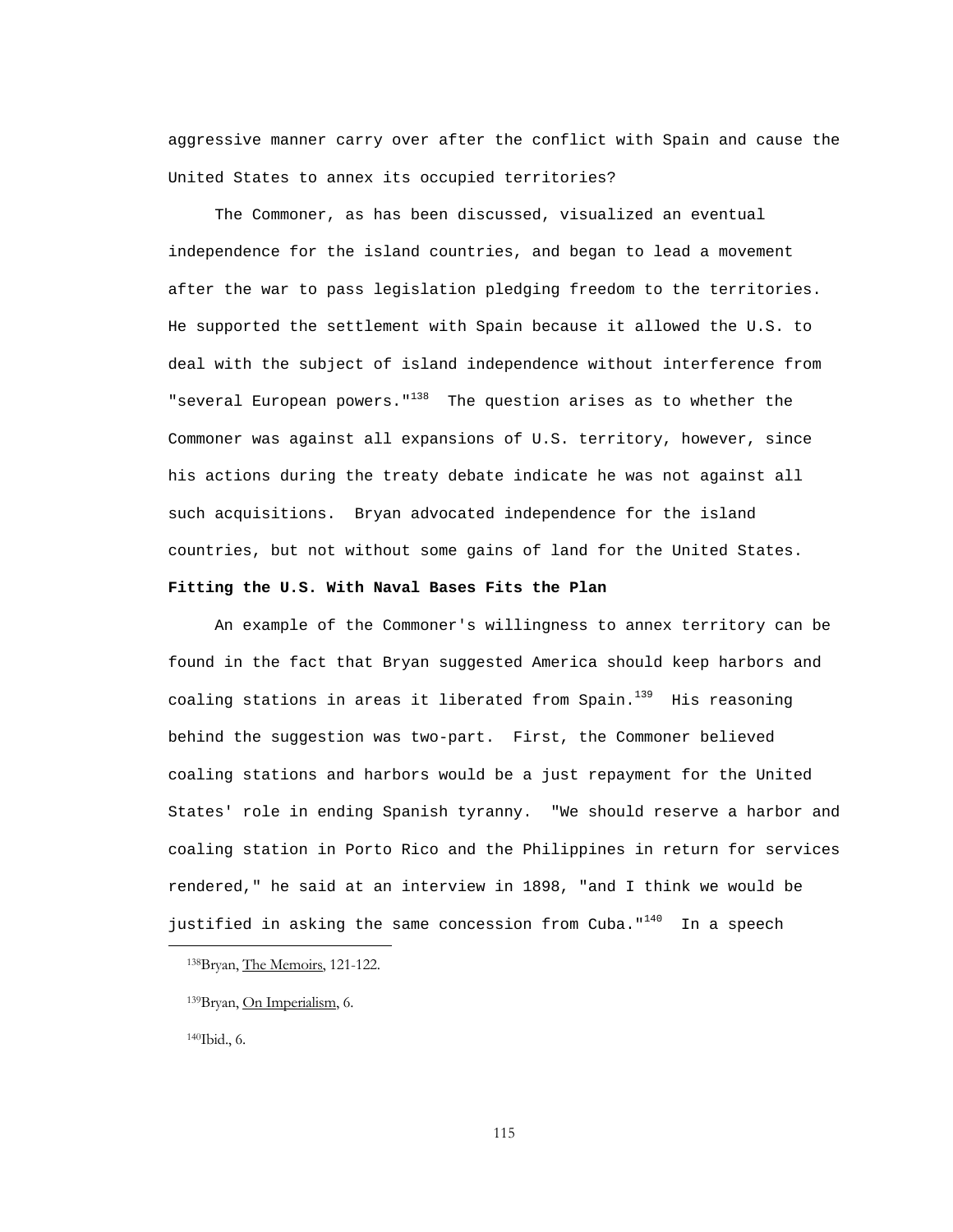aggressive manner carry over after the conflict with Spain and cause the United States to annex its occupied territories?

 The Commoner, as has been discussed, visualized an eventual independence for the island countries, and began to lead a movement after the war to pass legislation pledging freedom to the territories. He supported the settlement with Spain because it allowed the U.S. to deal with the subject of island independence without interference from "several European powers." $138$  The question arises as to whether the Commoner was against all expansions of U.S. territory, however, since his actions during the treaty debate indicate he was not against all such acquisitions. Bryan advocated independence for the island countries, but not without some gains of land for the United States.

# **Fitting the U.S. With Naval Bases Fits the Plan**

 An example of the Commoner's willingness to annex territory can be found in the fact that Bryan suggested America should keep harbors and coaling stations in areas it liberated from Spain. $139$  His reasoning behind the suggestion was two-part. First, the Commoner believed coaling stations and harbors would be a just repayment for the United States' role in ending Spanish tyranny. "We should reserve a harbor and coaling station in Porto Rico and the Philippines in return for services rendered," he said at an interview in 1898, "and I think we would be justified in asking the same concession from Cuba." $140$  In a speech

140Ibid., 6.

i

 <sup>138</sup>Bryan, The Memoirs, 121-122.

 <sup>139</sup>Bryan, On Imperialism, 6.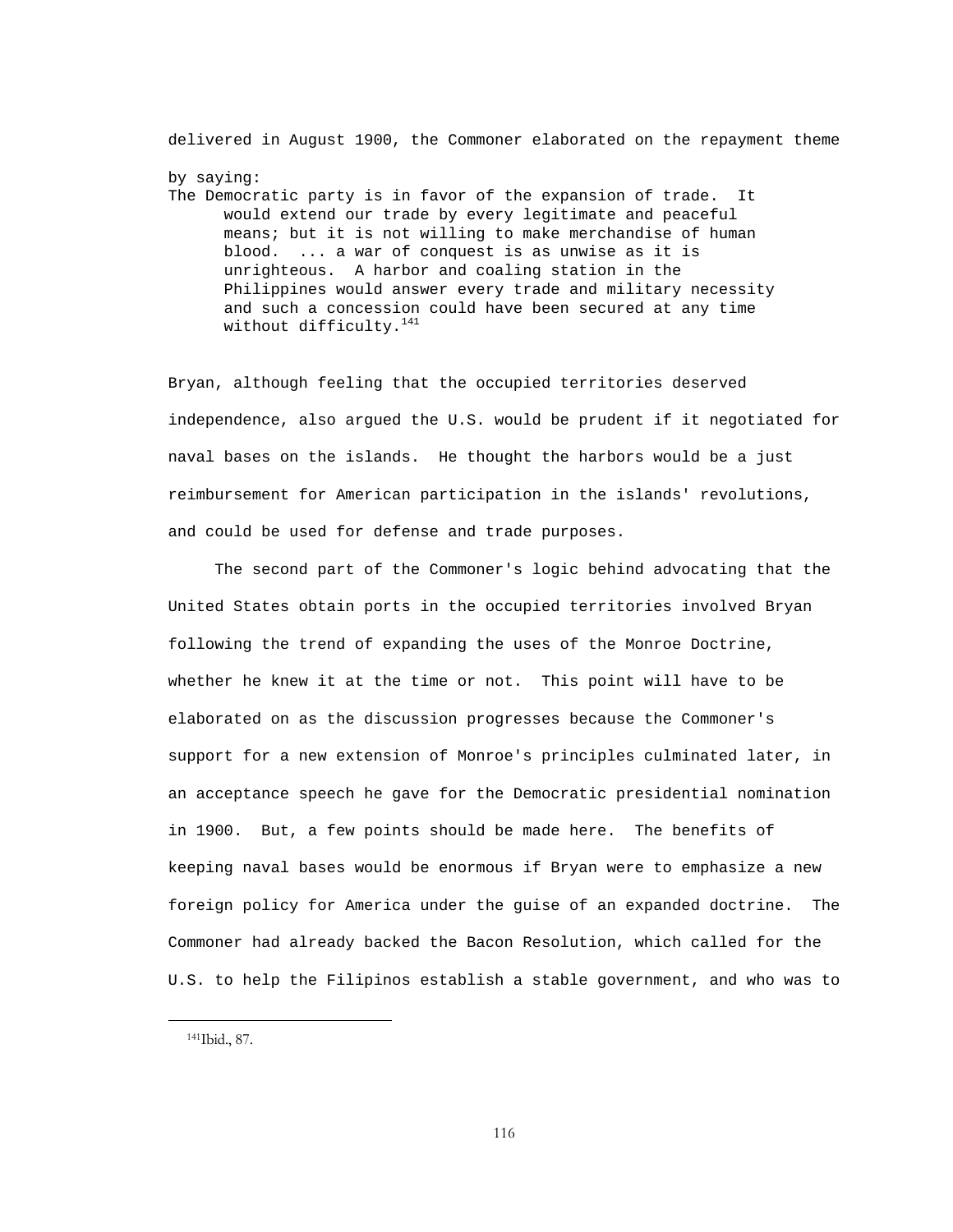delivered in August 1900, the Commoner elaborated on the repayment theme

by saying: The Democratic party is in favor of the expansion of trade. It would extend our trade by every legitimate and peaceful means; but it is not willing to make merchandise of human blood. ... a war of conquest is as unwise as it is unrighteous. A harbor and coaling station in the Philippines would answer every trade and military necessity and such a concession could have been secured at any time without difficulty.<sup>141</sup>

Bryan, although feeling that the occupied territories deserved independence, also argued the U.S. would be prudent if it negotiated for naval bases on the islands. He thought the harbors would be a just reimbursement for American participation in the islands' revolutions, and could be used for defense and trade purposes.

 The second part of the Commoner's logic behind advocating that the United States obtain ports in the occupied territories involved Bryan following the trend of expanding the uses of the Monroe Doctrine, whether he knew it at the time or not. This point will have to be elaborated on as the discussion progresses because the Commoner's support for a new extension of Monroe's principles culminated later, in an acceptance speech he gave for the Democratic presidential nomination in 1900. But, a few points should be made here. The benefits of keeping naval bases would be enormous if Bryan were to emphasize a new foreign policy for America under the guise of an expanded doctrine. The Commoner had already backed the Bacon Resolution, which called for the U.S. to help the Filipinos establish a stable government, and who was to

i

 <sup>141</sup>Ibid., 87.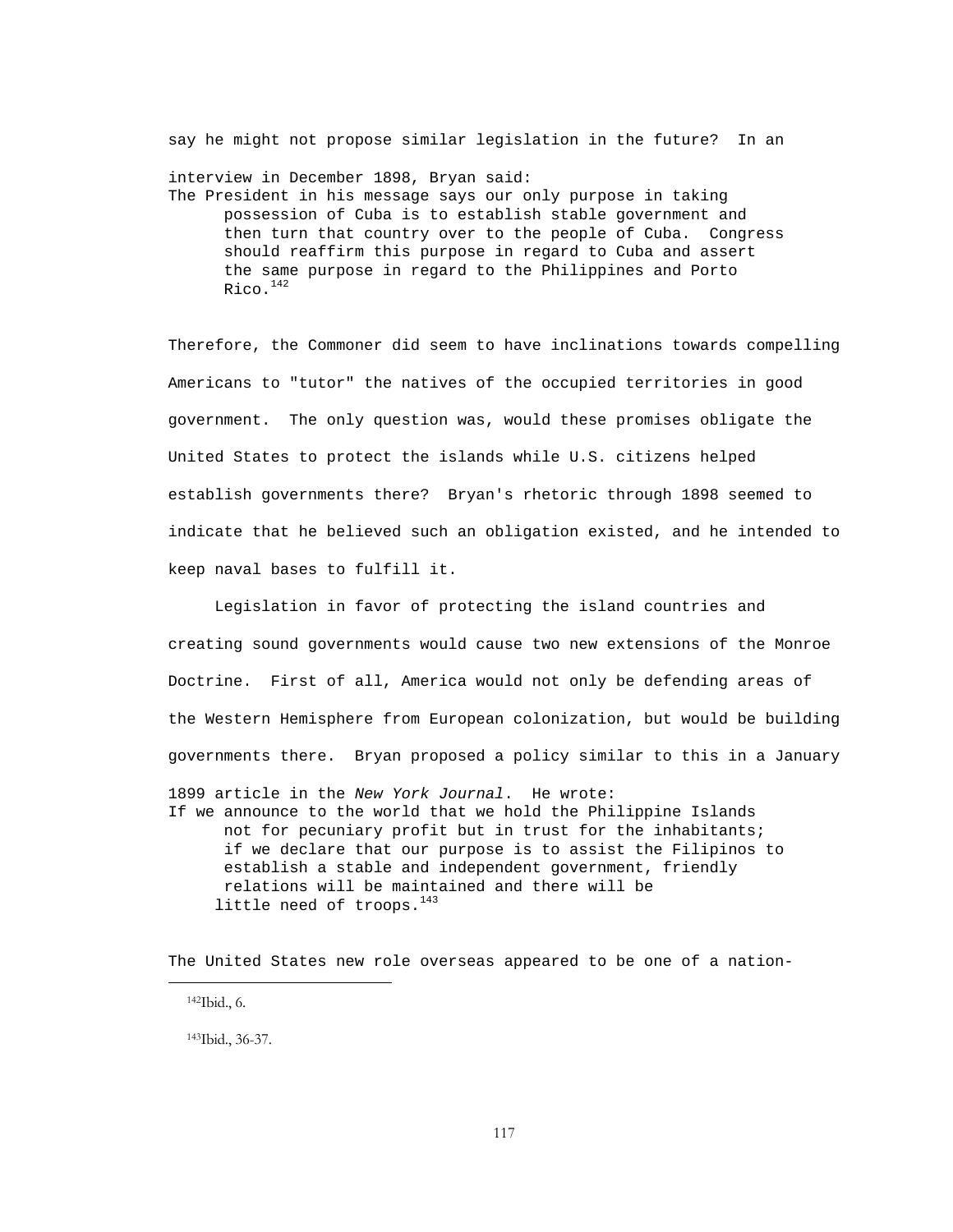say he might not propose similar legislation in the future? In an interview in December 1898, Bryan said: The President in his message says our only purpose in taking possession of Cuba is to establish stable government and then turn that country over to the people of Cuba. Congress should reaffirm this purpose in regard to Cuba and assert the same purpose in regard to the Philippines and Porto  $R^{\dagger}$ co.  $^{142}$ 

Therefore, the Commoner did seem to have inclinations towards compelling Americans to "tutor" the natives of the occupied territories in good government. The only question was, would these promises obligate the United States to protect the islands while U.S. citizens helped establish governments there? Bryan's rhetoric through 1898 seemed to indicate that he believed such an obligation existed, and he intended to keep naval bases to fulfill it.

 Legislation in favor of protecting the island countries and creating sound governments would cause two new extensions of the Monroe Doctrine. First of all, America would not only be defending areas of the Western Hemisphere from European colonization, but would be building governments there. Bryan proposed a policy similar to this in a January

1899 article in the *New York Journal*. He wrote:

If we announce to the world that we hold the Philippine Islands not for pecuniary profit but in trust for the inhabitants; if we declare that our purpose is to assist the Filipinos to establish a stable and independent government, friendly relations will be maintained and there will be little need of troops.<sup>143</sup>

The United States new role overseas appeared to be one of a nation-

142Ibid., 6.

i

143Ibid., 36-37.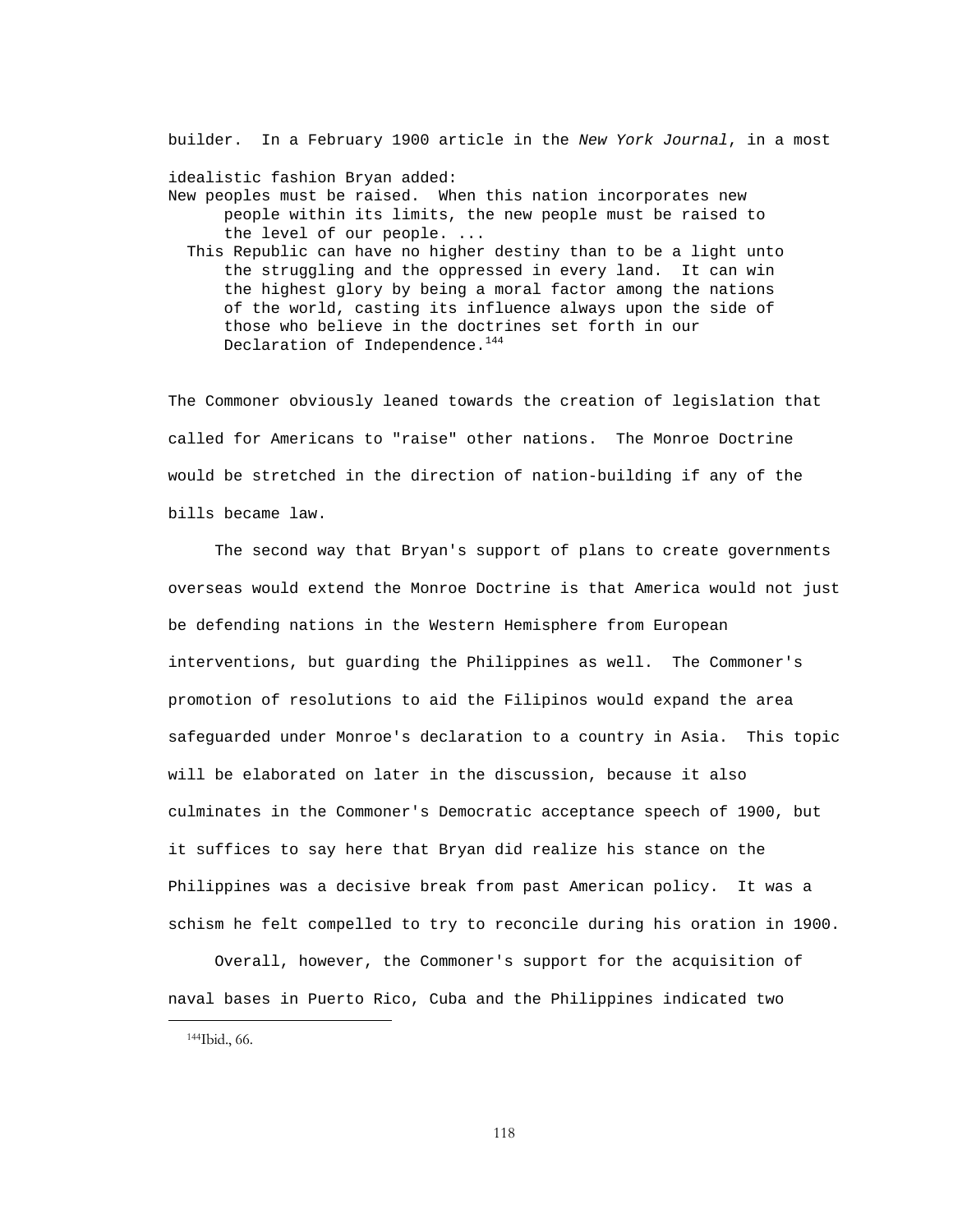builder. In a February 1900 article in the *New York Journal*, in a most

idealistic fashion Bryan added:

New peoples must be raised. When this nation incorporates new people within its limits, the new people must be raised to the level of our people. ...

 This Republic can have no higher destiny than to be a light unto the struggling and the oppressed in every land. It can win the highest glory by being a moral factor among the nations of the world, casting its influence always upon the side of those who believe in the doctrines set forth in our Declaration of Independence.<sup>144</sup>

The Commoner obviously leaned towards the creation of legislation that called for Americans to "raise" other nations. The Monroe Doctrine would be stretched in the direction of nation-building if any of the bills became law.

 The second way that Bryan's support of plans to create governments overseas would extend the Monroe Doctrine is that America would not just be defending nations in the Western Hemisphere from European interventions, but guarding the Philippines as well. The Commoner's promotion of resolutions to aid the Filipinos would expand the area safeguarded under Monroe's declaration to a country in Asia. This topic will be elaborated on later in the discussion, because it also culminates in the Commoner's Democratic acceptance speech of 1900, but it suffices to say here that Bryan did realize his stance on the Philippines was a decisive break from past American policy. It was a schism he felt compelled to try to reconcile during his oration in 1900.

 Overall, however, the Commoner's support for the acquisition of naval bases in Puerto Rico, Cuba and the Philippines indicated two

i

 <sup>144</sup>Ibid., 66.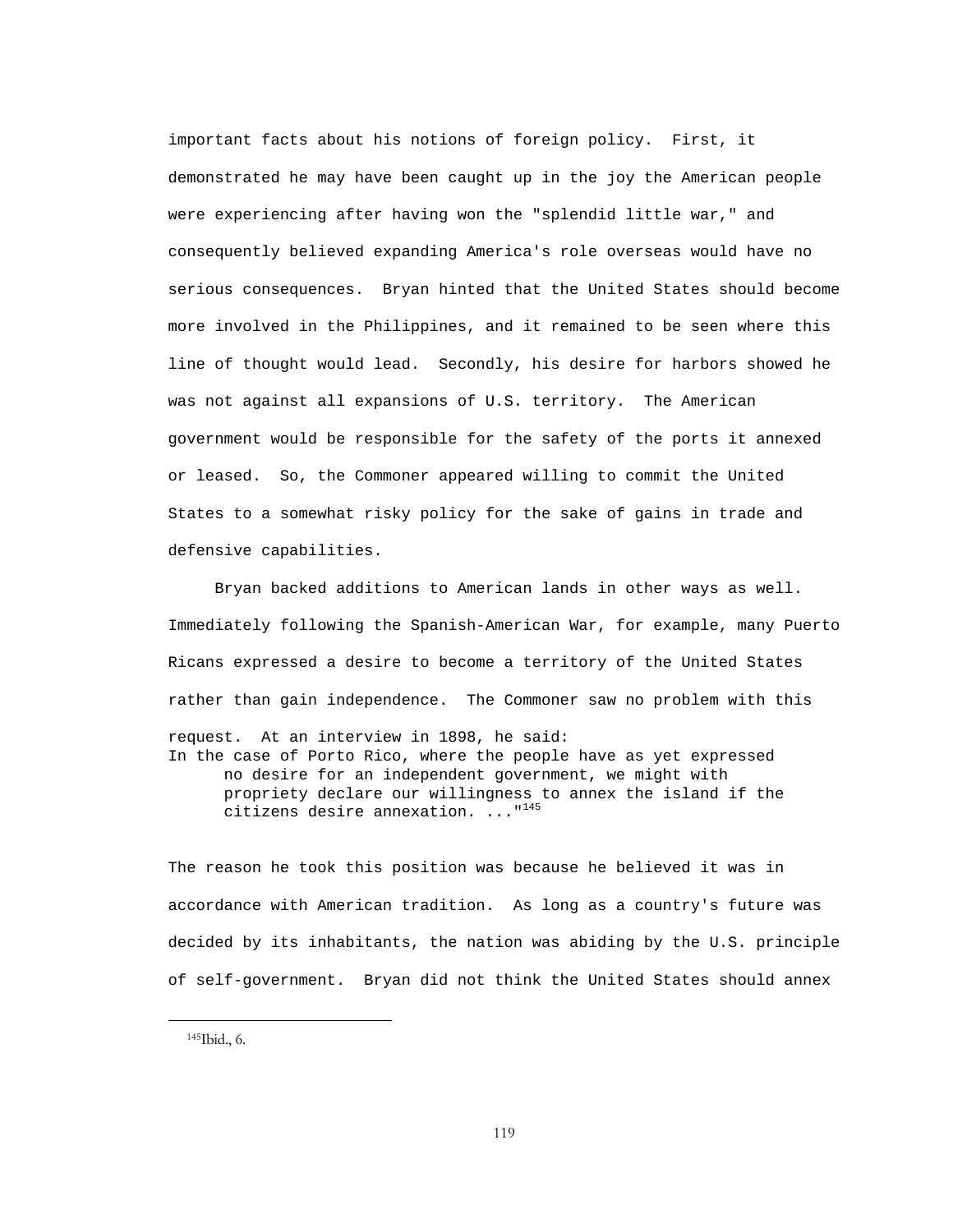important facts about his notions of foreign policy. First, it demonstrated he may have been caught up in the joy the American people were experiencing after having won the "splendid little war," and consequently believed expanding America's role overseas would have no serious consequences. Bryan hinted that the United States should become more involved in the Philippines, and it remained to be seen where this line of thought would lead. Secondly, his desire for harbors showed he was not against all expansions of U.S. territory. The American government would be responsible for the safety of the ports it annexed or leased. So, the Commoner appeared willing to commit the United States to a somewhat risky policy for the sake of gains in trade and defensive capabilities.

 Bryan backed additions to American lands in other ways as well. Immediately following the Spanish-American War, for example, many Puerto Ricans expressed a desire to become a territory of the United States rather than gain independence. The Commoner saw no problem with this request. At an interview in 1898, he said: In the case of Porto Rico, where the people have as yet expressed no desire for an independent government, we might with propriety declare our willingness to annex the island if the citizens desire annexation. ..."<sup>145</sup>

The reason he took this position was because he believed it was in accordance with American tradition. As long as a country's future was decided by its inhabitants, the nation was abiding by the U.S. principle of self-government. Bryan did not think the United States should annex

 <sup>145</sup>Ibid., 6.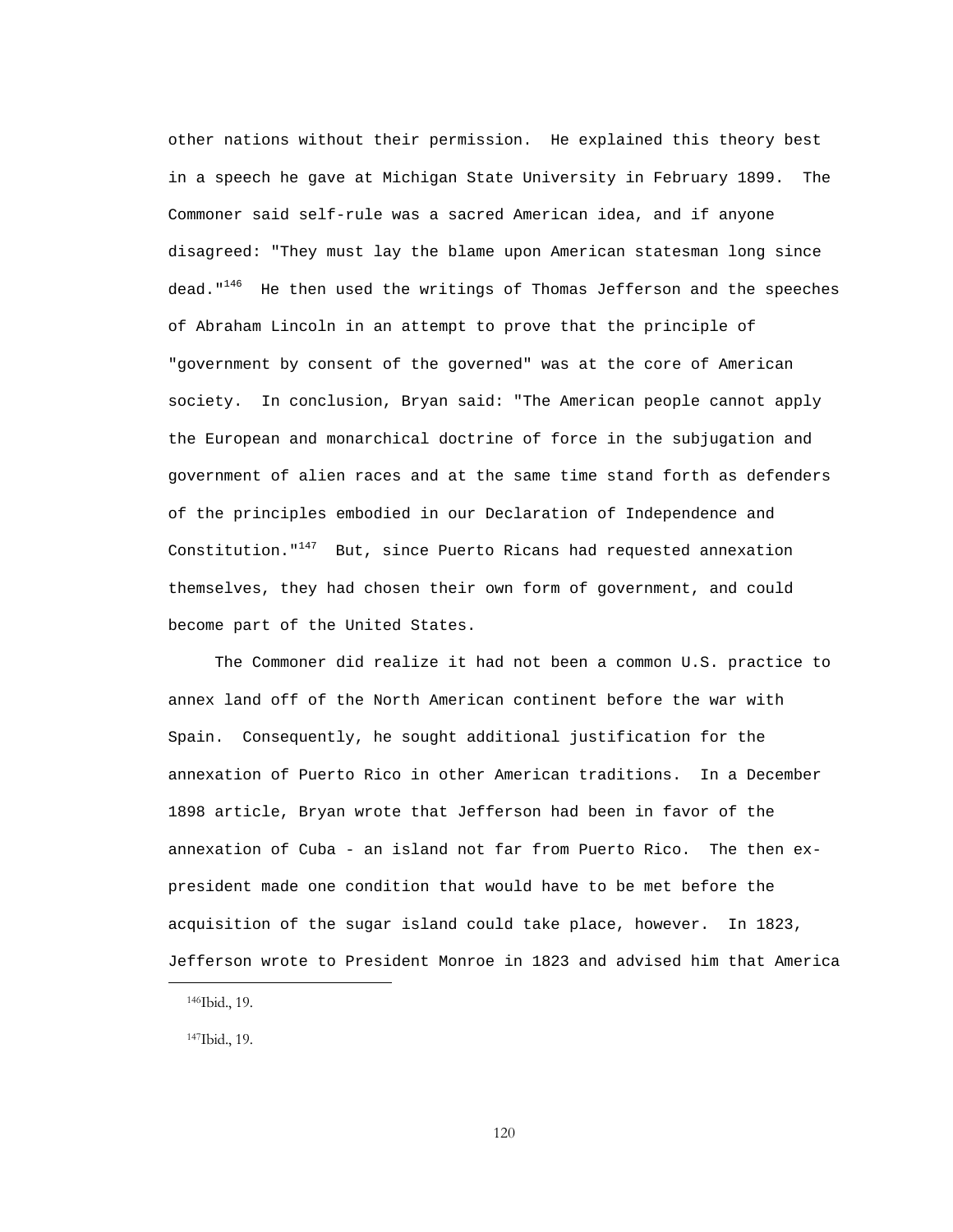other nations without their permission. He explained this theory best in a speech he gave at Michigan State University in February 1899. The Commoner said self-rule was a sacred American idea, and if anyone disagreed: "They must lay the blame upon American statesman long since dead."<sup>146</sup> He then used the writings of Thomas Jefferson and the speeches of Abraham Lincoln in an attempt to prove that the principle of "government by consent of the governed" was at the core of American society. In conclusion, Bryan said: "The American people cannot apply the European and monarchical doctrine of force in the subjugation and government of alien races and at the same time stand forth as defenders of the principles embodied in our Declaration of Independence and Constitution." $147$  But, since Puerto Ricans had requested annexation themselves, they had chosen their own form of government, and could become part of the United States.

 The Commoner did realize it had not been a common U.S. practice to annex land off of the North American continent before the war with Spain. Consequently, he sought additional justification for the annexation of Puerto Rico in other American traditions. In a December 1898 article, Bryan wrote that Jefferson had been in favor of the annexation of Cuba - an island not far from Puerto Rico. The then expresident made one condition that would have to be met before the acquisition of the sugar island could take place, however. In 1823, Jefferson wrote to President Monroe in 1823 and advised him that America

i

147Ibid., 19.

 <sup>146</sup>Ibid., 19.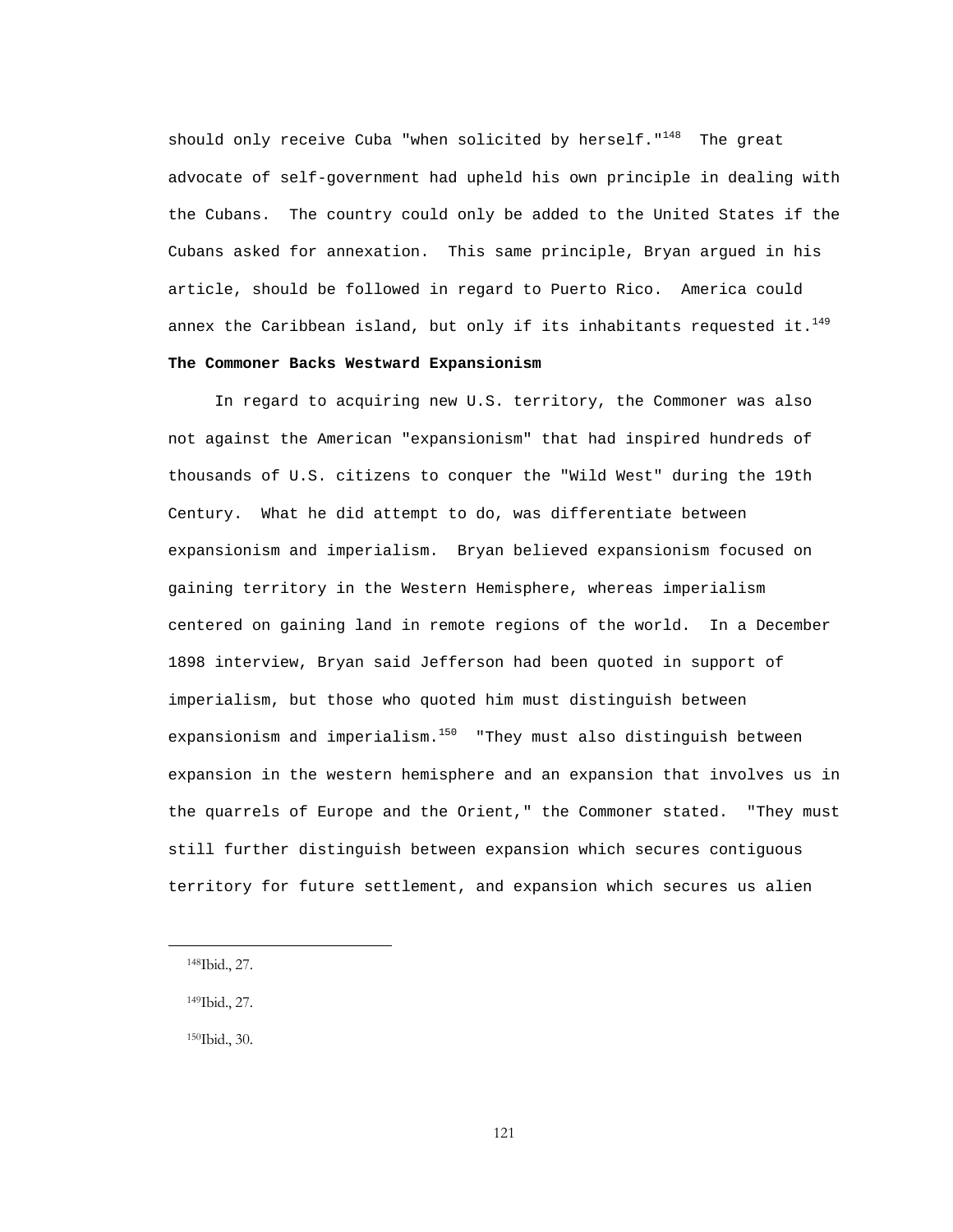should only receive Cuba "when solicited by herself." $^{148}$  The great advocate of self-government had upheld his own principle in dealing with the Cubans. The country could only be added to the United States if the Cubans asked for annexation. This same principle, Bryan argued in his article, should be followed in regard to Puerto Rico. America could annex the Caribbean island, but only if its inhabitants requested it.<sup>149</sup> **The Commoner Backs Westward Expansionism**

 In regard to acquiring new U.S. territory, the Commoner was also not against the American "expansionism" that had inspired hundreds of thousands of U.S. citizens to conquer the "Wild West" during the 19th Century. What he did attempt to do, was differentiate between expansionism and imperialism. Bryan believed expansionism focused on gaining territory in the Western Hemisphere, whereas imperialism centered on gaining land in remote regions of the world. In a December 1898 interview, Bryan said Jefferson had been quoted in support of imperialism, but those who quoted him must distinguish between expansionism and imperialism. $150$  "They must also distinguish between expansion in the western hemisphere and an expansion that involves us in the quarrels of Europe and the Orient," the Commoner stated. "They must still further distinguish between expansion which secures contiguous territory for future settlement, and expansion which secures us alien

i

150Ibid., 30.

 <sup>148</sup>Ibid., 27.

 <sup>149</sup>Ibid., 27.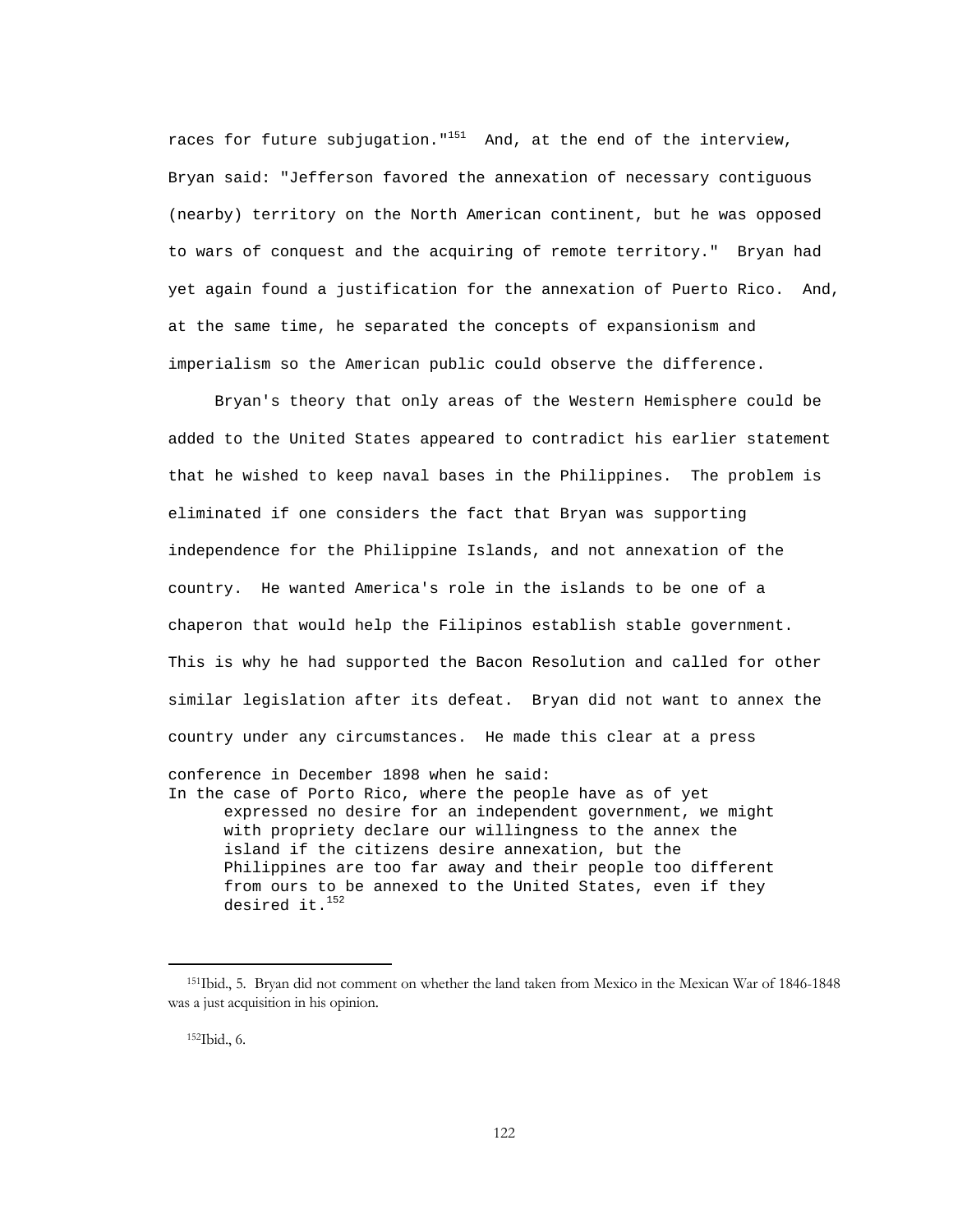races for future subjugation." $151$  And, at the end of the interview, Bryan said: "Jefferson favored the annexation of necessary contiguous (nearby) territory on the North American continent, but he was opposed to wars of conquest and the acquiring of remote territory." Bryan had yet again found a justification for the annexation of Puerto Rico. And, at the same time, he separated the concepts of expansionism and imperialism so the American public could observe the difference.

 Bryan's theory that only areas of the Western Hemisphere could be added to the United States appeared to contradict his earlier statement that he wished to keep naval bases in the Philippines. The problem is eliminated if one considers the fact that Bryan was supporting independence for the Philippine Islands, and not annexation of the country. He wanted America's role in the islands to be one of a chaperon that would help the Filipinos establish stable government. This is why he had supported the Bacon Resolution and called for other similar legislation after its defeat. Bryan did not want to annex the country under any circumstances. He made this clear at a press conference in December 1898 when he said: In the case of Porto Rico, where the people have as of yet expressed no desire for an independent government, we might with propriety declare our willingness to the annex the island if the citizens desire annexation, but the Philippines are too far away and their people too different from ours to be annexed to the United States, even if they desired it. $^{152}$ 

152Ibid., 6.

i

 <sup>151</sup>Ibid., 5. Bryan did not comment on whether the land taken from Mexico in the Mexican War of 1846-1848 was a just acquisition in his opinion.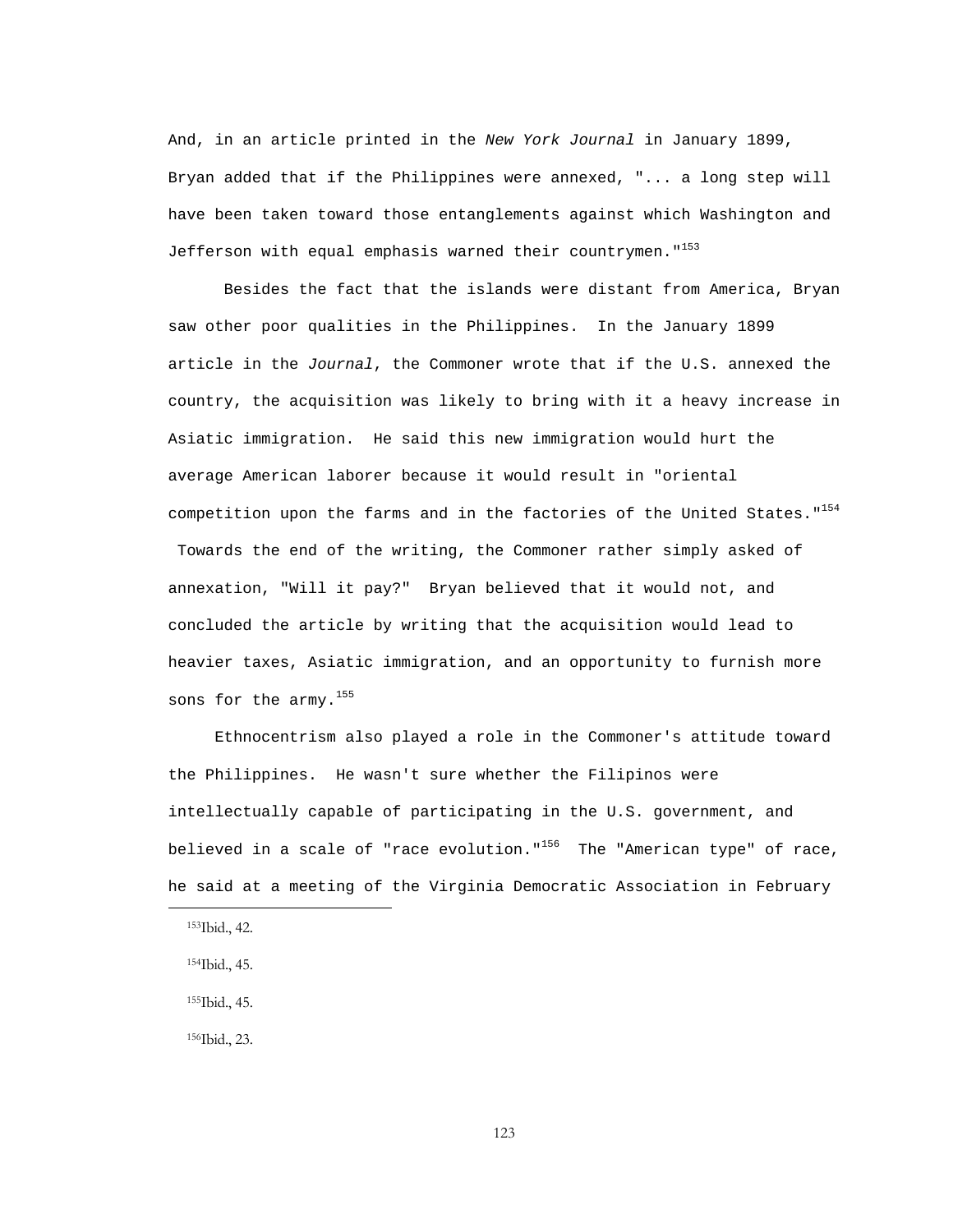And, in an article printed in the *New York Journal* in January 1899, Bryan added that if the Philippines were annexed, "... a long step will have been taken toward those entanglements against which Washington and Jefferson with equal emphasis warned their countrymen.  $153$ 

 Besides the fact that the islands were distant from America, Bryan saw other poor qualities in the Philippines. In the January 1899 article in the *Journal*, the Commoner wrote that if the U.S. annexed the country, the acquisition was likely to bring with it a heavy increase in Asiatic immigration. He said this new immigration would hurt the average American laborer because it would result in "oriental competition upon the farms and in the factories of the United States."<sup>154</sup>

 Towards the end of the writing, the Commoner rather simply asked of annexation, "Will it pay?" Bryan believed that it would not, and concluded the article by writing that the acquisition would lead to heavier taxes, Asiatic immigration, and an opportunity to furnish more sons for the  $army.$ <sup>155</sup>

 Ethnocentrism also played a role in the Commoner's attitude toward the Philippines. He wasn't sure whether the Filipinos were intellectually capable of participating in the U.S. government, and believed in a scale of "race evolution."<sup>156</sup> The "American type" of race, he said at a meeting of the Virginia Democratic Association in February

153Ibid., 42.

i

154Ibid., 45.

155Ibid., 45.

156Ibid., 23.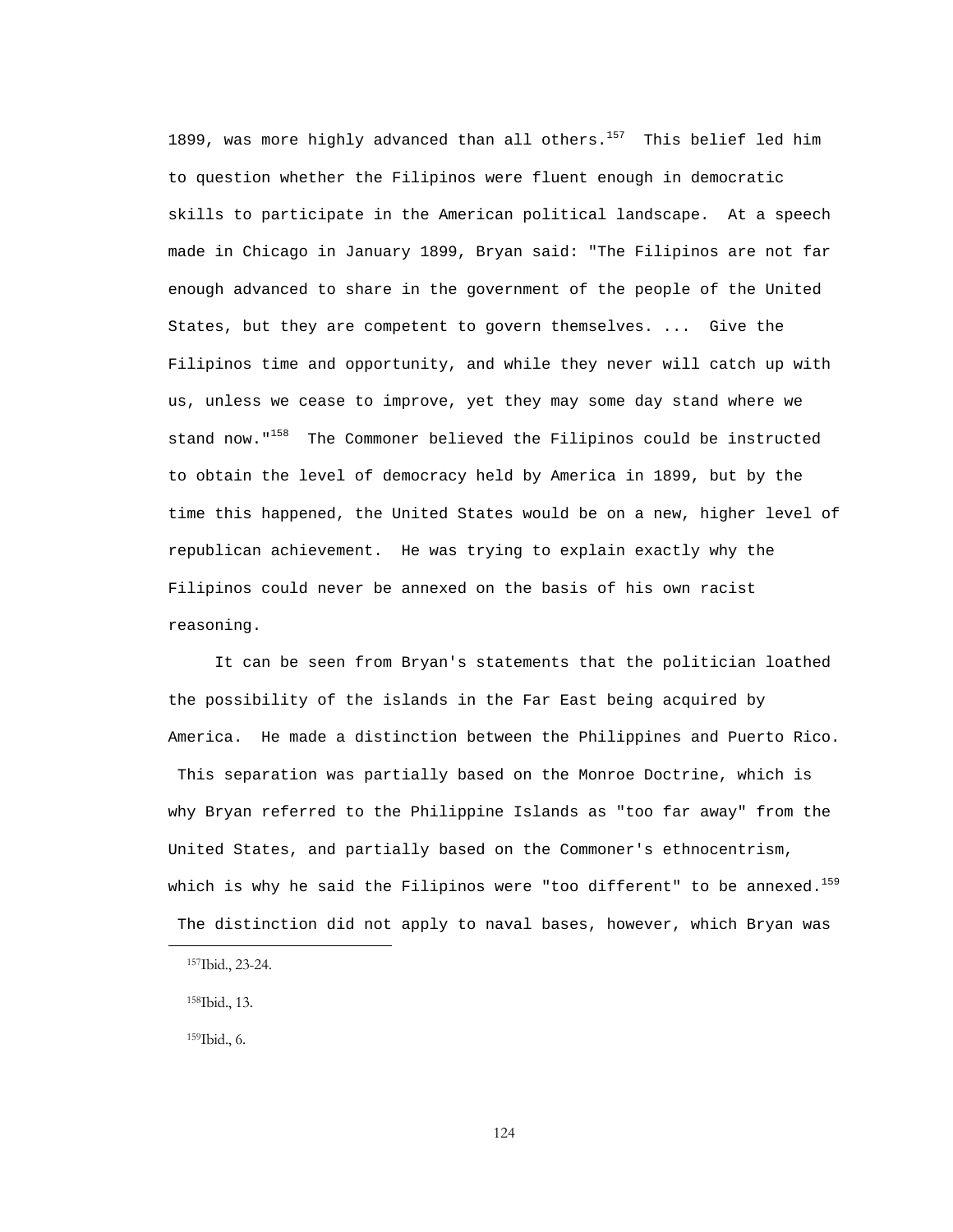1899, was more highly advanced than all others.<sup>157</sup> This belief led him to question whether the Filipinos were fluent enough in democratic skills to participate in the American political landscape. At a speech made in Chicago in January 1899, Bryan said: "The Filipinos are not far enough advanced to share in the government of the people of the United States, but they are competent to govern themselves. ... Give the Filipinos time and opportunity, and while they never will catch up with us, unless we cease to improve, yet they may some day stand where we stand now."<sup>158</sup> The Commoner believed the Filipinos could be instructed to obtain the level of democracy held by America in 1899, but by the time this happened, the United States would be on a new, higher level of republican achievement. He was trying to explain exactly why the Filipinos could never be annexed on the basis of his own racist reasoning.

 It can be seen from Bryan's statements that the politician loathed the possibility of the islands in the Far East being acquired by America. He made a distinction between the Philippines and Puerto Rico.

 This separation was partially based on the Monroe Doctrine, which is why Bryan referred to the Philippine Islands as "too far away" from the United States, and partially based on the Commoner's ethnocentrism, which is why he said the Filipinos were "too different" to be annexed.<sup>159</sup> The distinction did not apply to naval bases, however, which Bryan was

i

159Ibid., 6.

 <sup>157</sup>Ibid., 23-24.

 <sup>158</sup>Ibid., 13.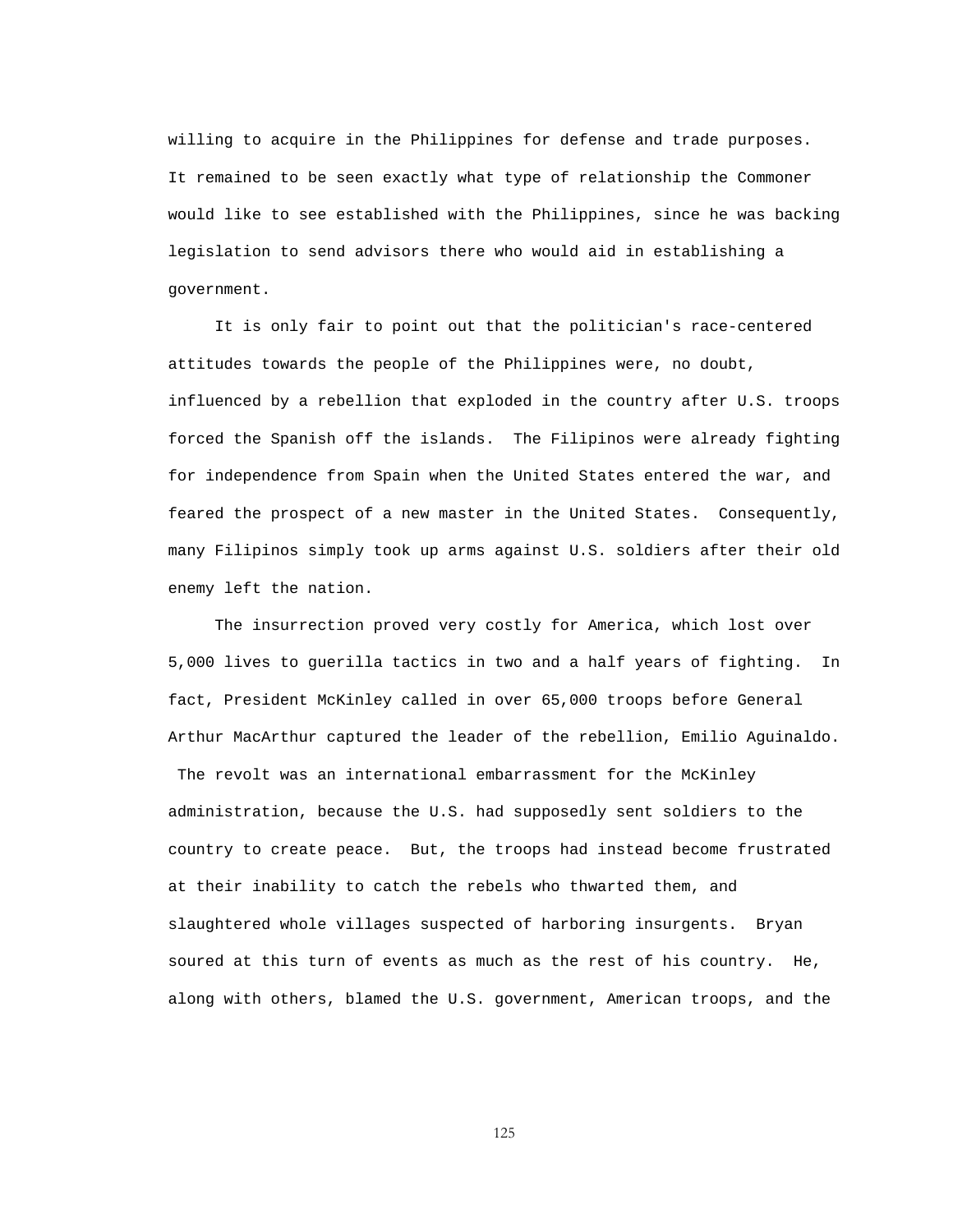willing to acquire in the Philippines for defense and trade purposes. It remained to be seen exactly what type of relationship the Commoner would like to see established with the Philippines, since he was backing legislation to send advisors there who would aid in establishing a government.

 It is only fair to point out that the politician's race-centered attitudes towards the people of the Philippines were, no doubt, influenced by a rebellion that exploded in the country after U.S. troops forced the Spanish off the islands. The Filipinos were already fighting for independence from Spain when the United States entered the war, and feared the prospect of a new master in the United States. Consequently, many Filipinos simply took up arms against U.S. soldiers after their old enemy left the nation.

 The insurrection proved very costly for America, which lost over 5,000 lives to guerilla tactics in two and a half years of fighting. In fact, President McKinley called in over 65,000 troops before General Arthur MacArthur captured the leader of the rebellion, Emilio Aguinaldo.

 The revolt was an international embarrassment for the McKinley administration, because the U.S. had supposedly sent soldiers to the country to create peace. But, the troops had instead become frustrated at their inability to catch the rebels who thwarted them, and slaughtered whole villages suspected of harboring insurgents. Bryan soured at this turn of events as much as the rest of his country. He, along with others, blamed the U.S. government, American troops, and the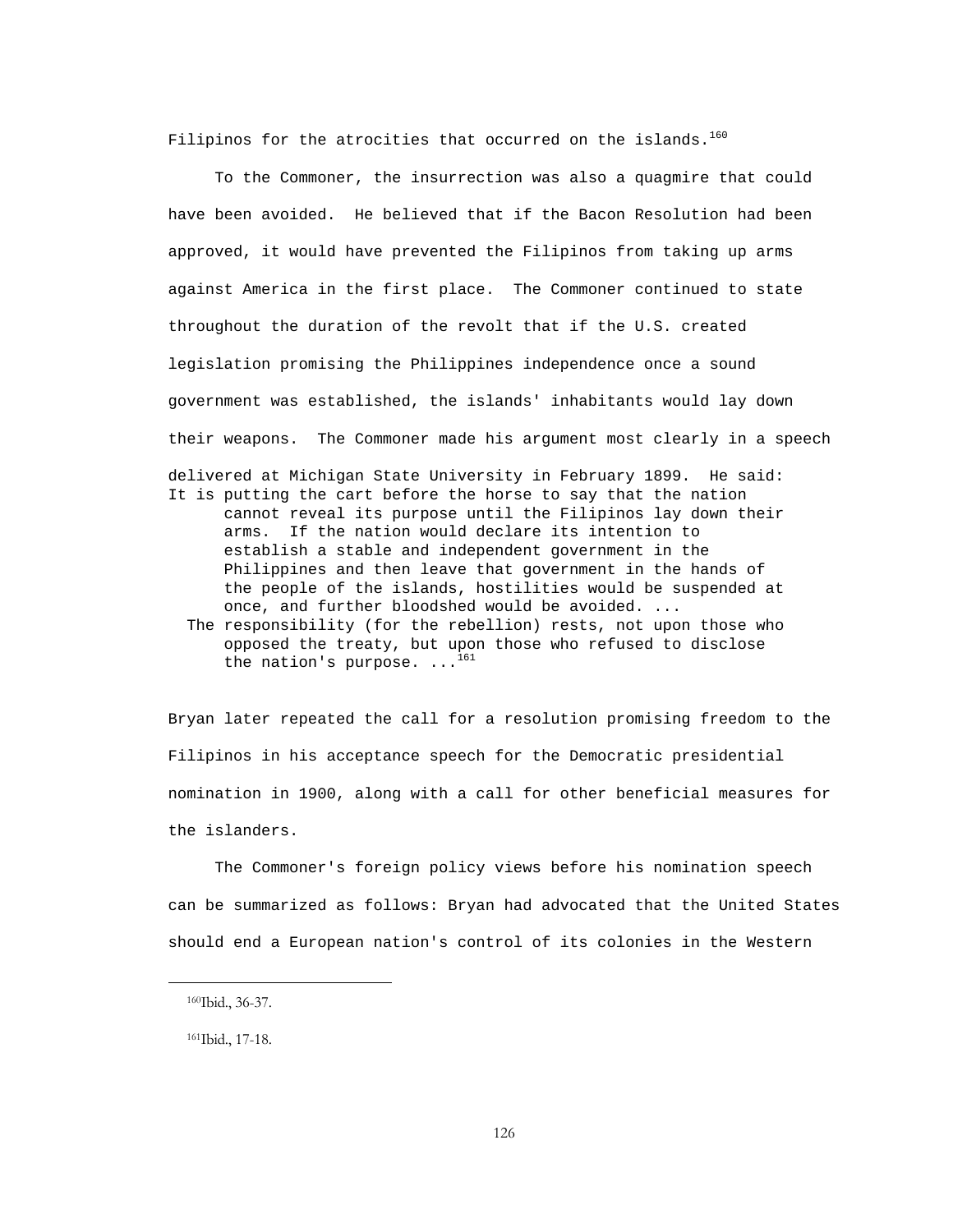Filipinos for the atrocities that occurred on the islands.<sup>160</sup>

 To the Commoner, the insurrection was also a quagmire that could have been avoided. He believed that if the Bacon Resolution had been approved, it would have prevented the Filipinos from taking up arms against America in the first place. The Commoner continued to state throughout the duration of the revolt that if the U.S. created legislation promising the Philippines independence once a sound government was established, the islands' inhabitants would lay down their weapons. The Commoner made his argument most clearly in a speech delivered at Michigan State University in February 1899. He said: It is putting the cart before the horse to say that the nation cannot reveal its purpose until the Filipinos lay down their arms. If the nation would declare its intention to establish a stable and independent government in the Philippines and then leave that government in the hands of the people of the islands, hostilities would be suspended at once, and further bloodshed would be avoided. ... The responsibility (for the rebellion) rests, not upon those who opposed the treaty, but upon those who refused to disclose the nation's purpose.  $\dots^{161}$ 

Bryan later repeated the call for a resolution promising freedom to the Filipinos in his acceptance speech for the Democratic presidential nomination in 1900, along with a call for other beneficial measures for the islanders.

 The Commoner's foreign policy views before his nomination speech can be summarized as follows: Bryan had advocated that the United States should end a European nation's control of its colonies in the Western

 <sup>160</sup>Ibid., 36-37.

 <sup>161</sup>Ibid., 17-18.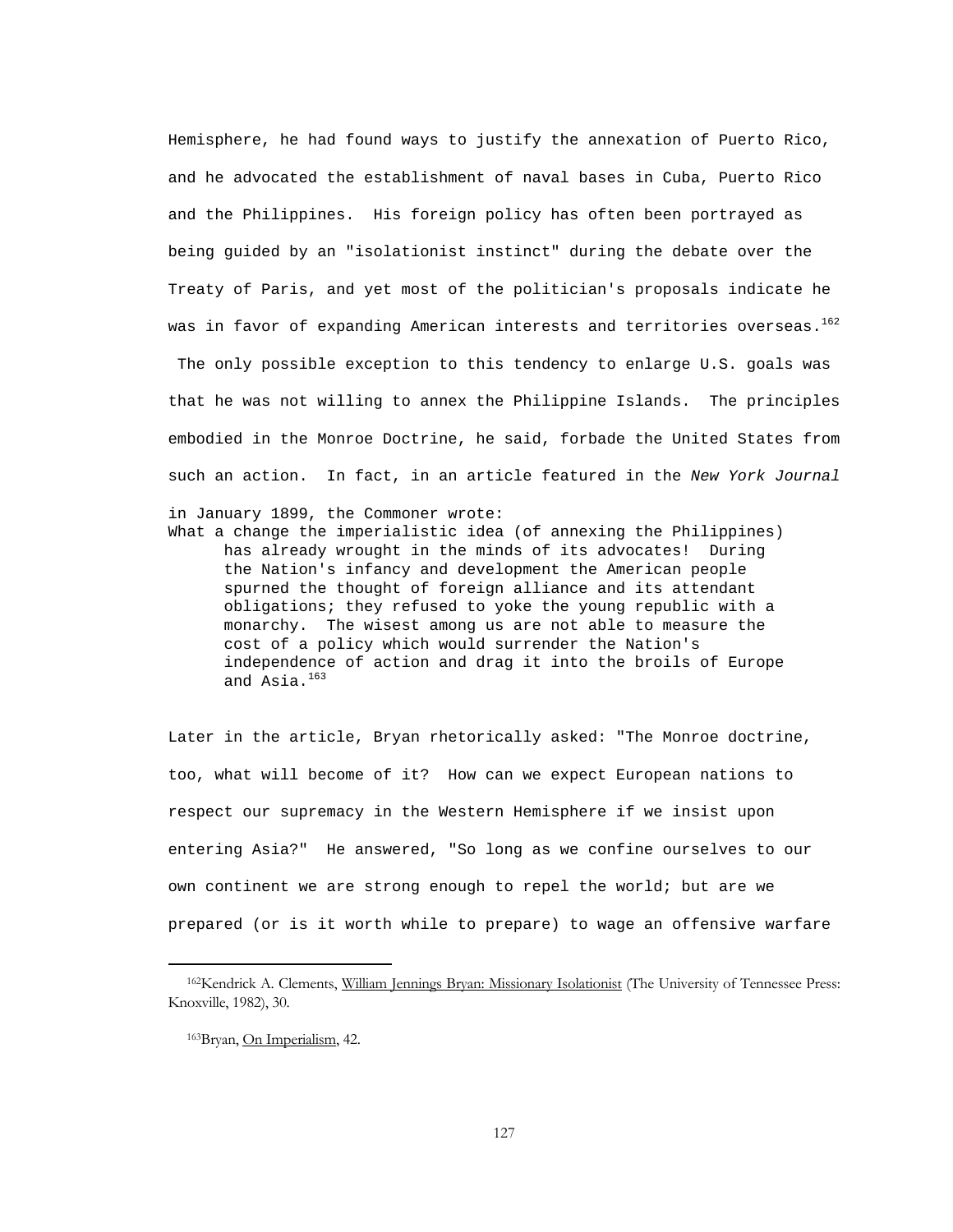Hemisphere, he had found ways to justify the annexation of Puerto Rico, and he advocated the establishment of naval bases in Cuba, Puerto Rico and the Philippines. His foreign policy has often been portrayed as being guided by an "isolationist instinct" during the debate over the Treaty of Paris, and yet most of the politician's proposals indicate he was in favor of expanding American interests and territories overseas.<sup>162</sup>

 The only possible exception to this tendency to enlarge U.S. goals was that he was not willing to annex the Philippine Islands. The principles embodied in the Monroe Doctrine, he said, forbade the United States from such an action. In fact, in an article featured in the *New York Journal*

in January 1899, the Commoner wrote:

What a change the imperialistic idea (of annexing the Philippines) has already wrought in the minds of its advocates! During the Nation's infancy and development the American people spurned the thought of foreign alliance and its attendant obligations; they refused to yoke the young republic with a monarchy. The wisest among us are not able to measure the cost of a policy which would surrender the Nation's independence of action and drag it into the broils of Europe and Asia.<sup>163</sup>

Later in the article, Bryan rhetorically asked: "The Monroe doctrine, too, what will become of it? How can we expect European nations to respect our supremacy in the Western Hemisphere if we insist upon entering Asia?" He answered, "So long as we confine ourselves to our own continent we are strong enough to repel the world; but are we prepared (or is it worth while to prepare) to wage an offensive warfare

<sup>162</sup>Kendrick A. Clements, William Jennings Bryan: Missionary Isolationist (The University of Tennessee Press: Knoxville, 1982), 30.

 <sup>163</sup>Bryan, On Imperialism, 42.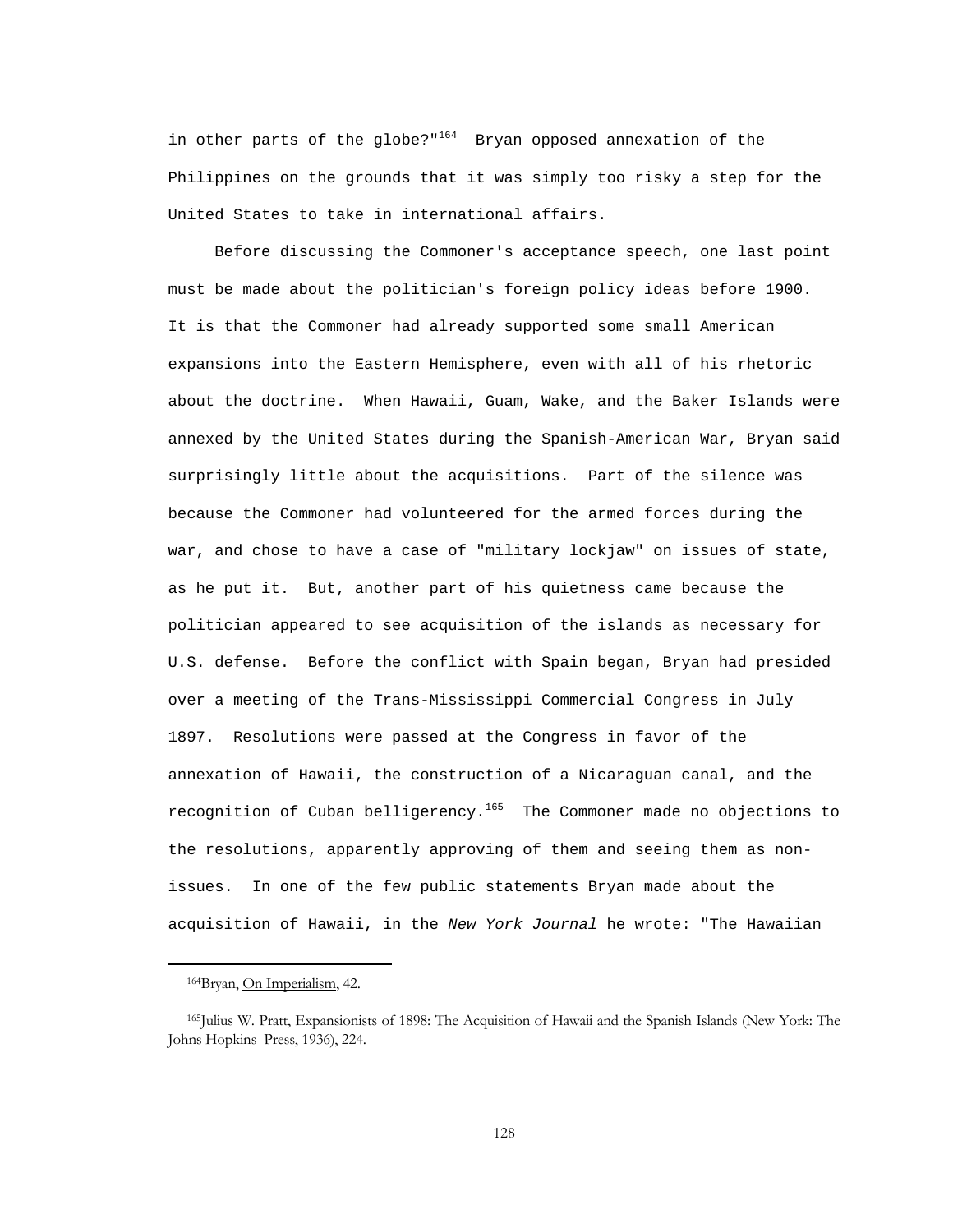in other parts of the globe?" $164$  Bryan opposed annexation of the Philippines on the grounds that it was simply too risky a step for the United States to take in international affairs.

 Before discussing the Commoner's acceptance speech, one last point must be made about the politician's foreign policy ideas before 1900. It is that the Commoner had already supported some small American expansions into the Eastern Hemisphere, even with all of his rhetoric about the doctrine. When Hawaii, Guam, Wake, and the Baker Islands were annexed by the United States during the Spanish-American War, Bryan said surprisingly little about the acquisitions. Part of the silence was because the Commoner had volunteered for the armed forces during the war, and chose to have a case of "military lockjaw" on issues of state, as he put it. But, another part of his quietness came because the politician appeared to see acquisition of the islands as necessary for U.S. defense. Before the conflict with Spain began, Bryan had presided over a meeting of the Trans-Mississippi Commercial Congress in July 1897. Resolutions were passed at the Congress in favor of the annexation of Hawaii, the construction of a Nicaraguan canal, and the recognition of Cuban belligerency.<sup>165</sup> The Commoner made no objections to the resolutions, apparently approving of them and seeing them as nonissues. In one of the few public statements Bryan made about the acquisition of Hawaii, in the *New York Journal* he wrote: "The Hawaiian

i

 <sup>164</sup>Bryan, On Imperialism, 42.

 <sup>165</sup>Julius W. Pratt, Expansionists of 1898: The Acquisition of Hawaii and the Spanish Islands (New York: The Johns Hopkins Press, 1936), 224.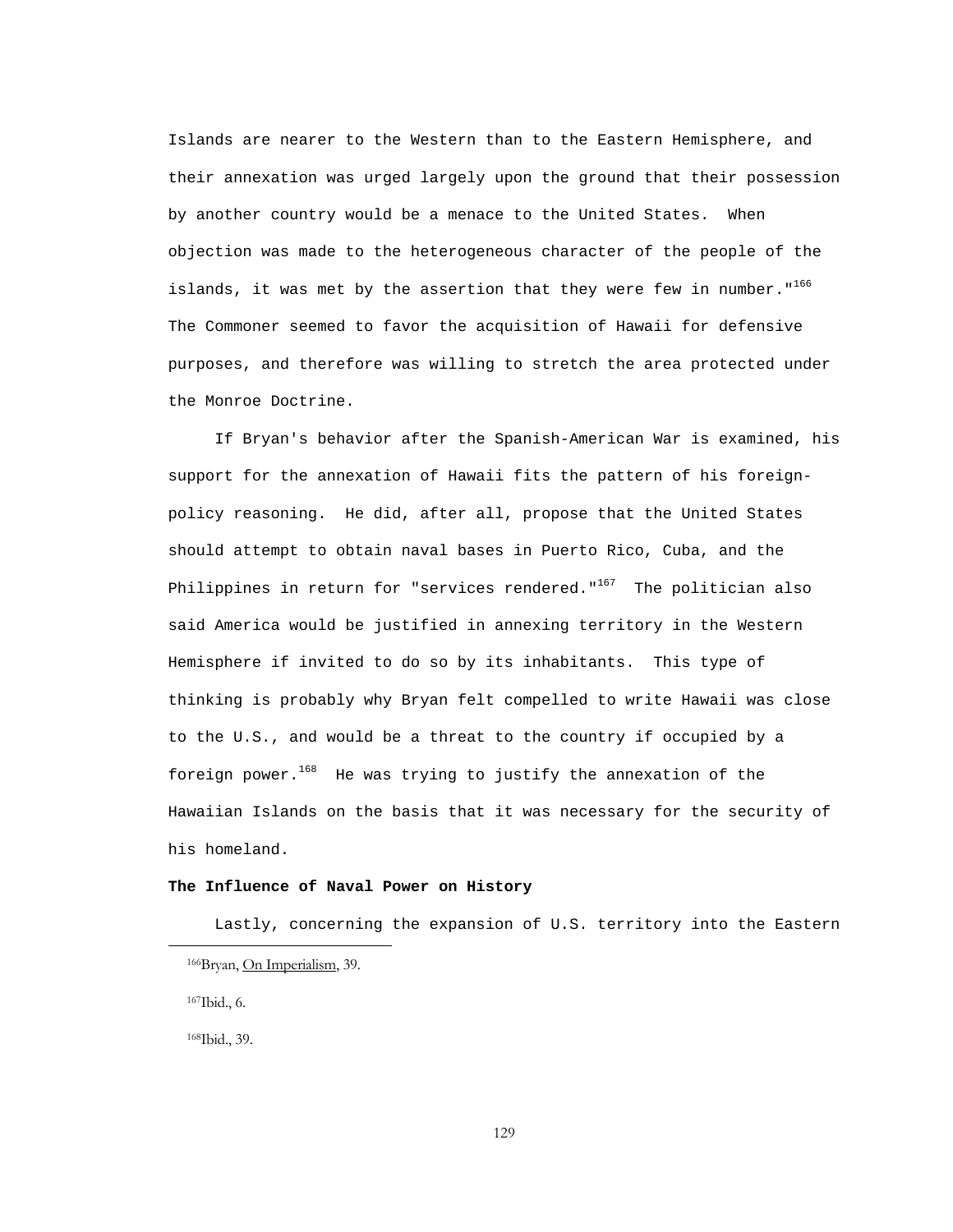Islands are nearer to the Western than to the Eastern Hemisphere, and their annexation was urged largely upon the ground that their possession by another country would be a menace to the United States. When objection was made to the heterogeneous character of the people of the islands, it was met by the assertion that they were few in number. $n^{166}$ The Commoner seemed to favor the acquisition of Hawaii for defensive purposes, and therefore was willing to stretch the area protected under the Monroe Doctrine.

 If Bryan's behavior after the Spanish-American War is examined, his support for the annexation of Hawaii fits the pattern of his foreignpolicy reasoning. He did, after all, propose that the United States should attempt to obtain naval bases in Puerto Rico, Cuba, and the Philippines in return for "services rendered."<sup>167</sup> The politician also said America would be justified in annexing territory in the Western Hemisphere if invited to do so by its inhabitants. This type of thinking is probably why Bryan felt compelled to write Hawaii was close to the U.S., and would be a threat to the country if occupied by a foreign power. $168$  He was trying to justify the annexation of the Hawaiian Islands on the basis that it was necessary for the security of his homeland.

## **The Influence of Naval Power on History**

 Lastly, concerning the expansion of U.S. territory into the Eastern 166Bryan, On Imperialism, 39. 167Ibid., 6.

168Ibid., 39.

i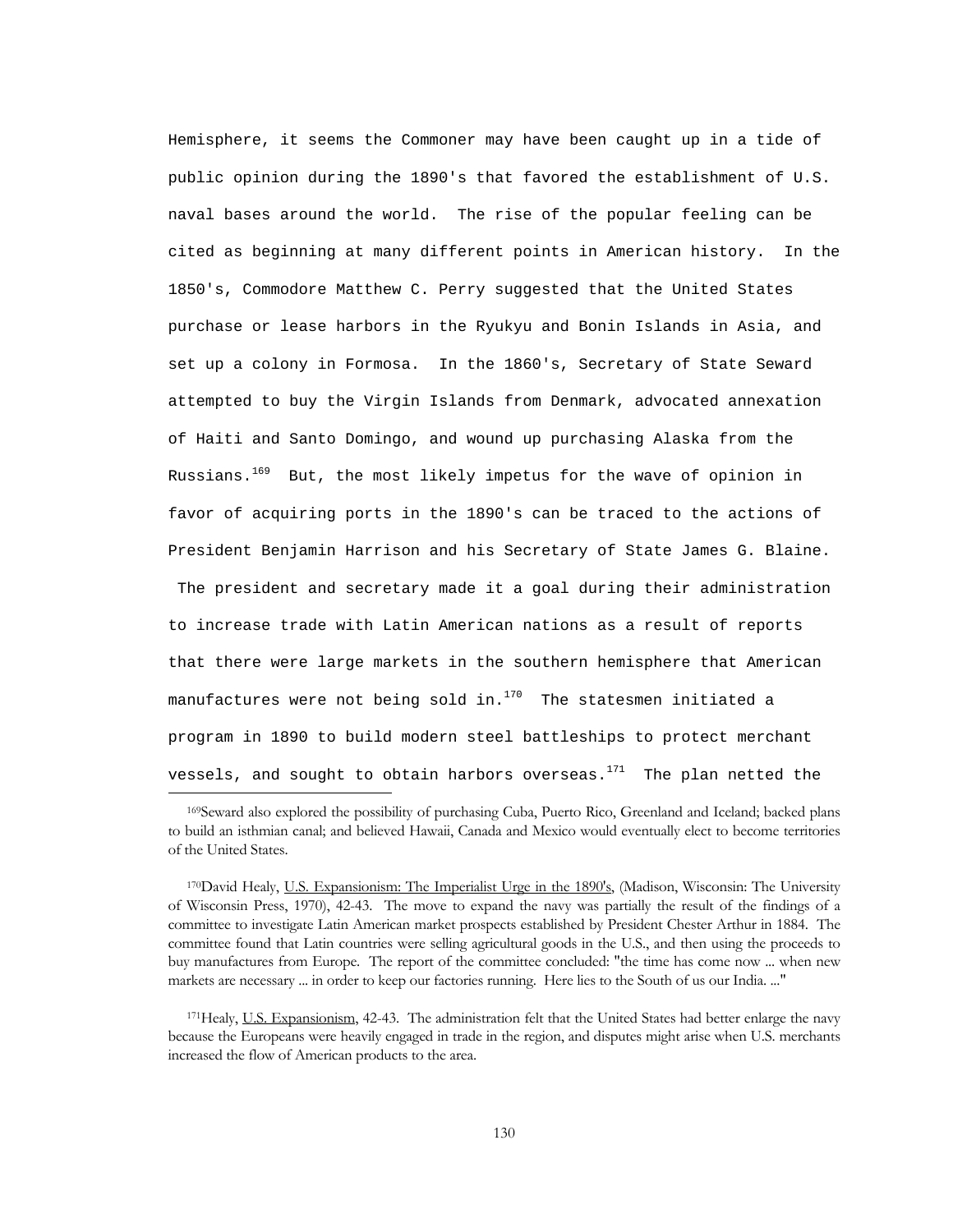Hemisphere, it seems the Commoner may have been caught up in a tide of public opinion during the 1890's that favored the establishment of U.S. naval bases around the world. The rise of the popular feeling can be cited as beginning at many different points in American history. In the 1850's, Commodore Matthew C. Perry suggested that the United States purchase or lease harbors in the Ryukyu and Bonin Islands in Asia, and set up a colony in Formosa. In the 1860's, Secretary of State Seward attempted to buy the Virgin Islands from Denmark, advocated annexation of Haiti and Santo Domingo, and wound up purchasing Alaska from the Russians.<sup>169</sup> But, the most likely impetus for the wave of opinion in favor of acquiring ports in the 1890's can be traced to the actions of President Benjamin Harrison and his Secretary of State James G. Blaine. The president and secretary made it a goal during their administration to increase trade with Latin American nations as a result of reports that there were large markets in the southern hemisphere that American manufactures were not being sold in. $170$  The statesmen initiated a program in 1890 to build modern steel battleships to protect merchant vessels, and sought to obtain harbors overseas. $171$  The plan netted the

 <sup>169</sup>Seward also explored the possibility of purchasing Cuba, Puerto Rico, Greenland and Iceland; backed plans to build an isthmian canal; and believed Hawaii, Canada and Mexico would eventually elect to become territories of the United States.

<sup>&</sup>lt;sup>170</sup>David Healy, <u>U.S. Expansionism:</u> The Imperialist Urge in the 1890's, (Madison, Wisconsin: The University of Wisconsin Press, 1970), 42-43. The move to expand the navy was partially the result of the findings of a committee to investigate Latin American market prospects established by President Chester Arthur in 1884. The committee found that Latin countries were selling agricultural goods in the U.S., and then using the proceeds to buy manufactures from Europe. The report of the committee concluded: "the time has come now ... when new markets are necessary ... in order to keep our factories running. Here lies to the South of us our India. ..."

<sup>&</sup>lt;sup>171</sup>Healy, U.S. Expansionism, 42-43. The administration felt that the United States had better enlarge the navy because the Europeans were heavily engaged in trade in the region, and disputes might arise when U.S. merchants increased the flow of American products to the area.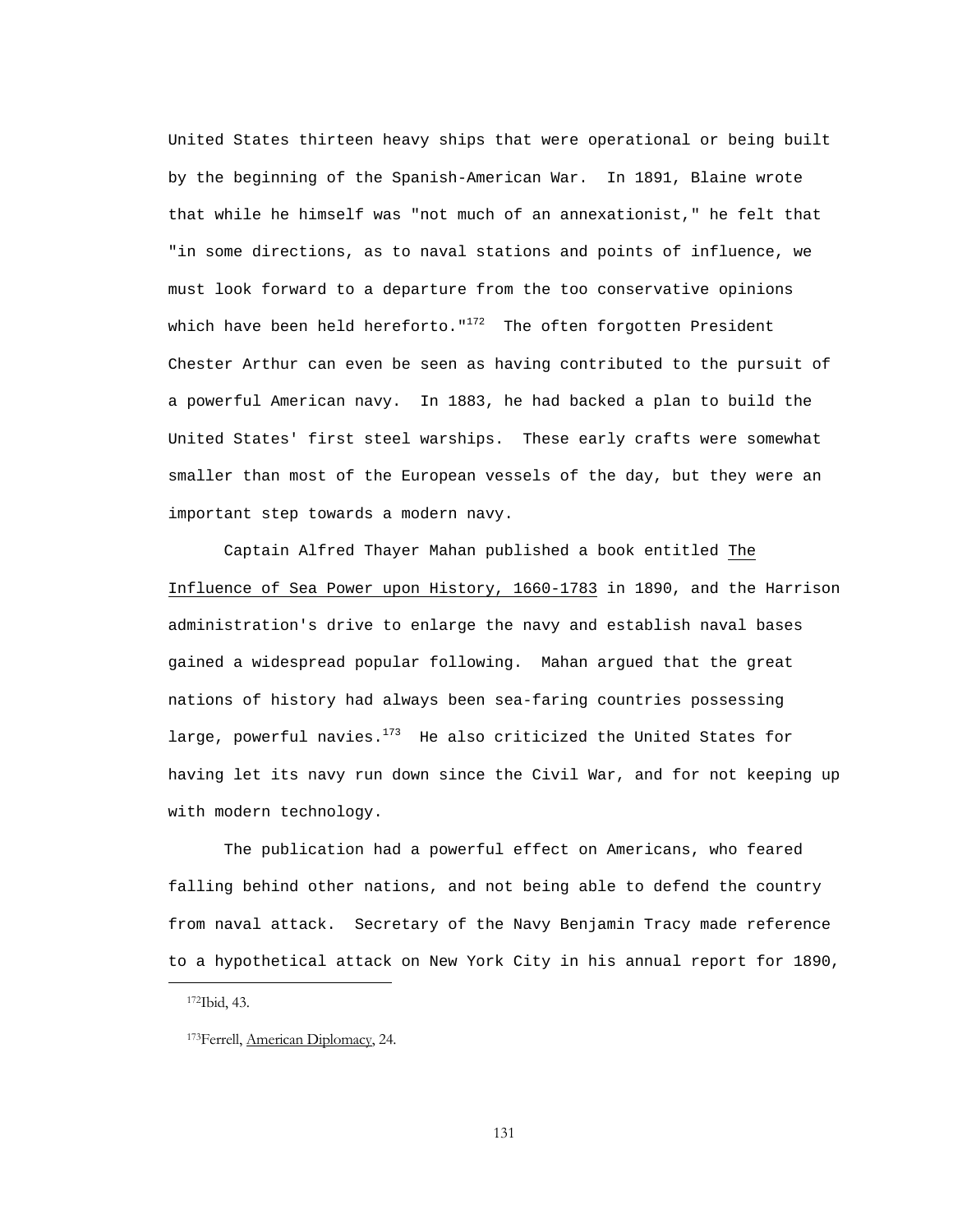United States thirteen heavy ships that were operational or being built by the beginning of the Spanish-American War. In 1891, Blaine wrote that while he himself was "not much of an annexationist," he felt that "in some directions, as to naval stations and points of influence, we must look forward to a departure from the too conservative opinions which have been held hereforto." $172$  The often forgotten President Chester Arthur can even be seen as having contributed to the pursuit of a powerful American navy. In 1883, he had backed a plan to build the United States' first steel warships. These early crafts were somewhat smaller than most of the European vessels of the day, but they were an important step towards a modern navy.

 Captain Alfred Thayer Mahan published a book entitled The Influence of Sea Power upon History, 1660-1783 in 1890, and the Harrison administration's drive to enlarge the navy and establish naval bases gained a widespread popular following. Mahan argued that the great nations of history had always been sea-faring countries possessing large, powerful navies. $1^{73}$  He also criticized the United States for having let its navy run down since the Civil War, and for not keeping up with modern technology.

 The publication had a powerful effect on Americans, who feared falling behind other nations, and not being able to defend the country from naval attack. Secretary of the Navy Benjamin Tracy made reference to a hypothetical attack on New York City in his annual report for 1890,

i

 <sup>172</sup>Ibid, 43.

<sup>173</sup>Ferrell, American Diplomacy, 24.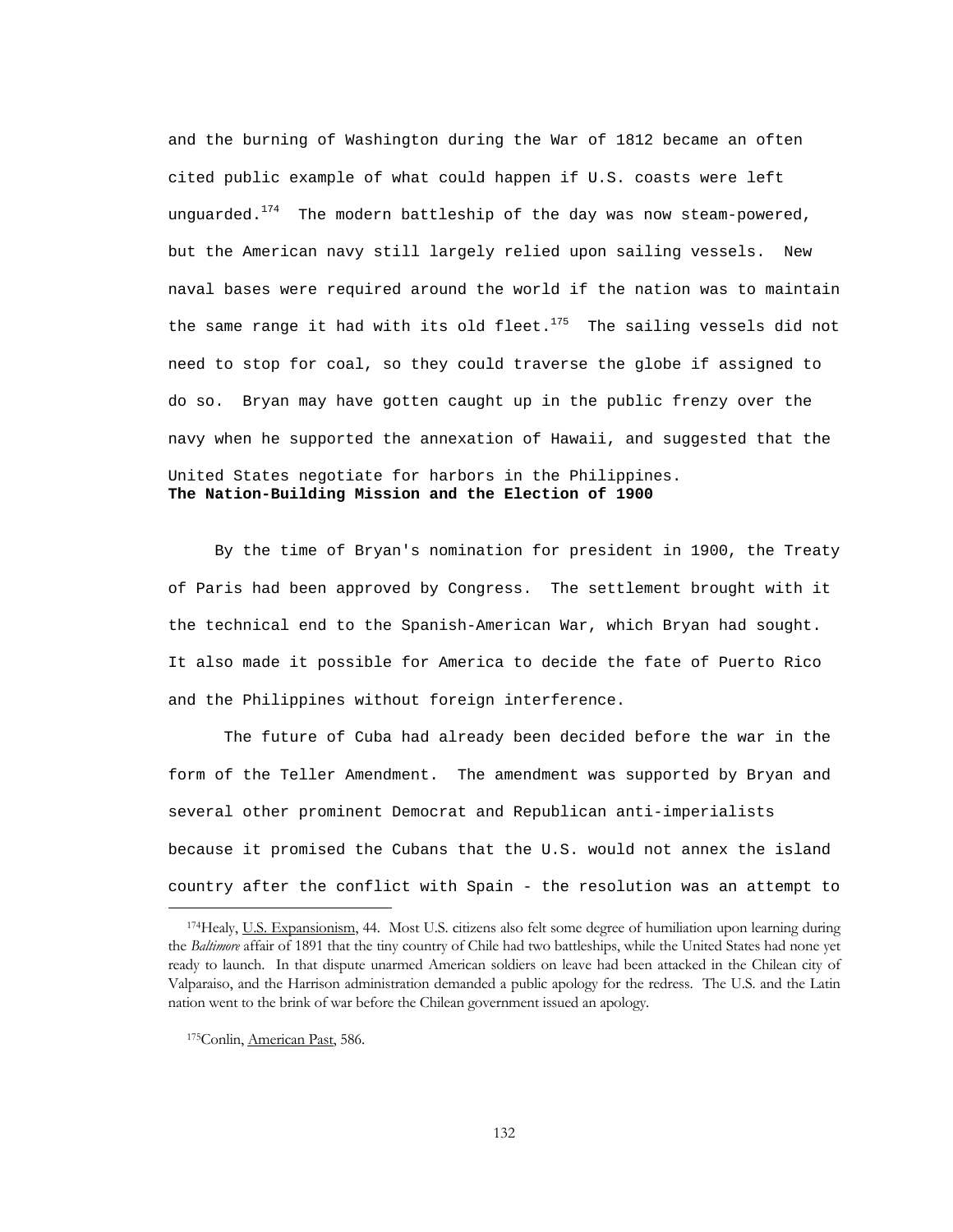and the burning of Washington during the War of 1812 became an often cited public example of what could happen if U.S. coasts were left unquarded. $174$  The modern battleship of the day was now steam-powered, but the American navy still largely relied upon sailing vessels. New naval bases were required around the world if the nation was to maintain the same range it had with its old fleet.<sup>175</sup> The sailing vessels did not need to stop for coal, so they could traverse the globe if assigned to do so. Bryan may have gotten caught up in the public frenzy over the navy when he supported the annexation of Hawaii, and suggested that the United States negotiate for harbors in the Philippines. **The Nation-Building Mission and the Election of 1900**

 By the time of Bryan's nomination for president in 1900, the Treaty of Paris had been approved by Congress. The settlement brought with it the technical end to the Spanish-American War, which Bryan had sought. It also made it possible for America to decide the fate of Puerto Rico and the Philippines without foreign interference.

 The future of Cuba had already been decided before the war in the form of the Teller Amendment. The amendment was supported by Bryan and several other prominent Democrat and Republican anti-imperialists because it promised the Cubans that the U.S. would not annex the island country after the conflict with Spain - the resolution was an attempt to

 <sup>174</sup>Healy, U.S. Expansionism, 44. Most U.S. citizens also felt some degree of humiliation upon learning during the *Baltimore* affair of 1891 that the tiny country of Chile had two battleships, while the United States had none yet ready to launch. In that dispute unarmed American soldiers on leave had been attacked in the Chilean city of Valparaiso, and the Harrison administration demanded a public apology for the redress. The U.S. and the Latin nation went to the brink of war before the Chilean government issued an apology.

<sup>175</sup> Conlin, American Past, 586.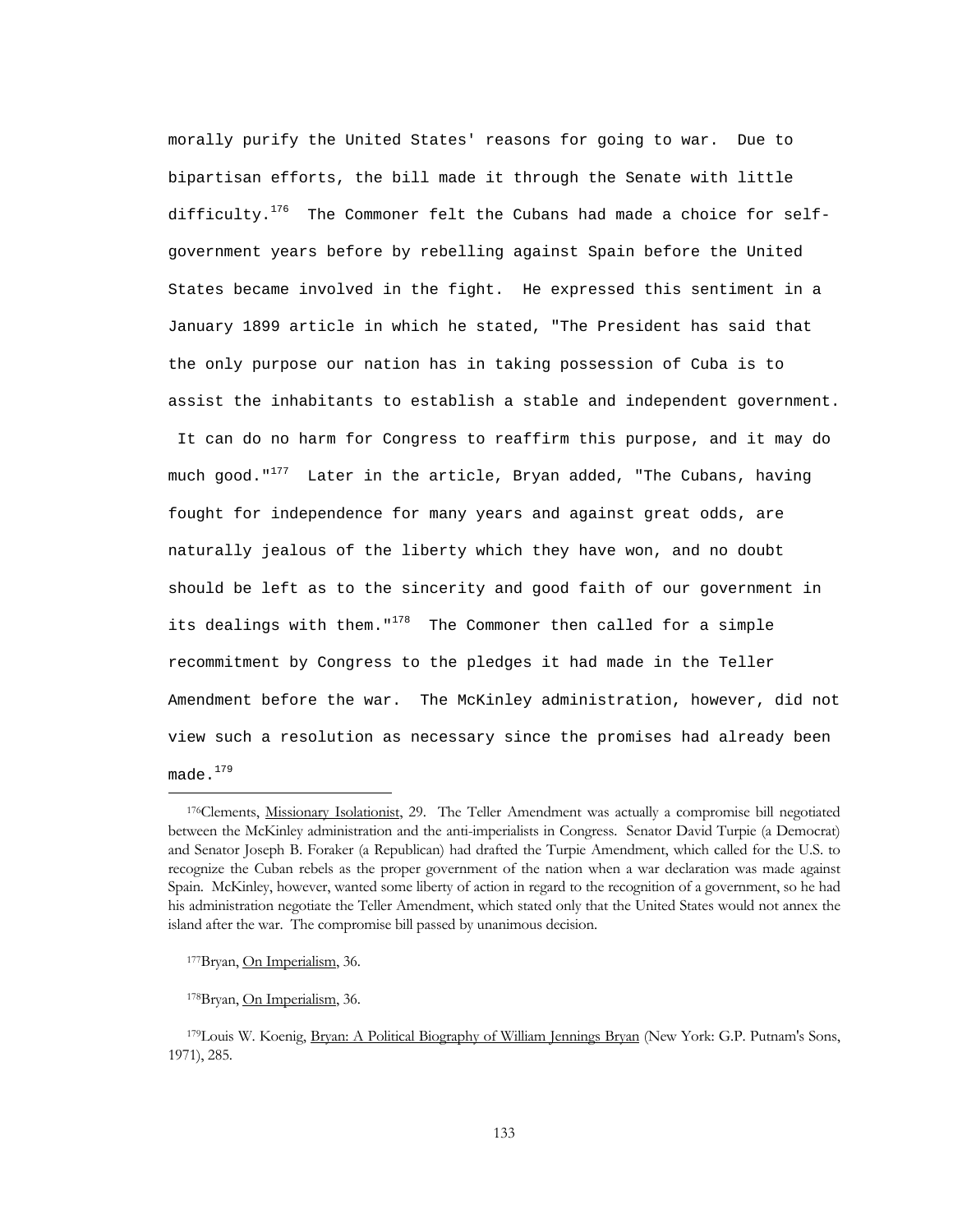morally purify the United States' reasons for going to war. Due to bipartisan efforts, the bill made it through the Senate with little difficulty.<sup>176</sup> The Commoner felt the Cubans had made a choice for selfgovernment years before by rebelling against Spain before the United States became involved in the fight. He expressed this sentiment in a January 1899 article in which he stated, "The President has said that the only purpose our nation has in taking possession of Cuba is to assist the inhabitants to establish a stable and independent government.

 It can do no harm for Congress to reaffirm this purpose, and it may do much good."<sup>177</sup> Later in the article, Bryan added, "The Cubans, having fought for independence for many years and against great odds, are naturally jealous of the liberty which they have won, and no doubt should be left as to the sincerity and good faith of our government in its dealings with them." $178$  The Commoner then called for a simple recommitment by Congress to the pledges it had made in the Teller Amendment before the war. The McKinley administration, however, did not view such a resolution as necessary since the promises had already been made. $179$ 

<sup>&</sup>lt;sup>176</sup>Clements, Missionary Isolationist, 29. The Teller Amendment was actually a compromise bill negotiated between the McKinley administration and the anti-imperialists in Congress. Senator David Turpie (a Democrat) and Senator Joseph B. Foraker (a Republican) had drafted the Turpie Amendment, which called for the U.S. to recognize the Cuban rebels as the proper government of the nation when a war declaration was made against Spain. McKinley, however, wanted some liberty of action in regard to the recognition of a government, so he had his administration negotiate the Teller Amendment, which stated only that the United States would not annex the island after the war. The compromise bill passed by unanimous decision.

 <sup>177</sup>Bryan, On Imperialism, 36.

 <sup>178</sup>Bryan, On Imperialism, 36.

 <sup>179</sup>Louis W. Koenig, Bryan: A Political Biography of William Jennings Bryan (New York: G.P. Putnam's Sons, 1971), 285.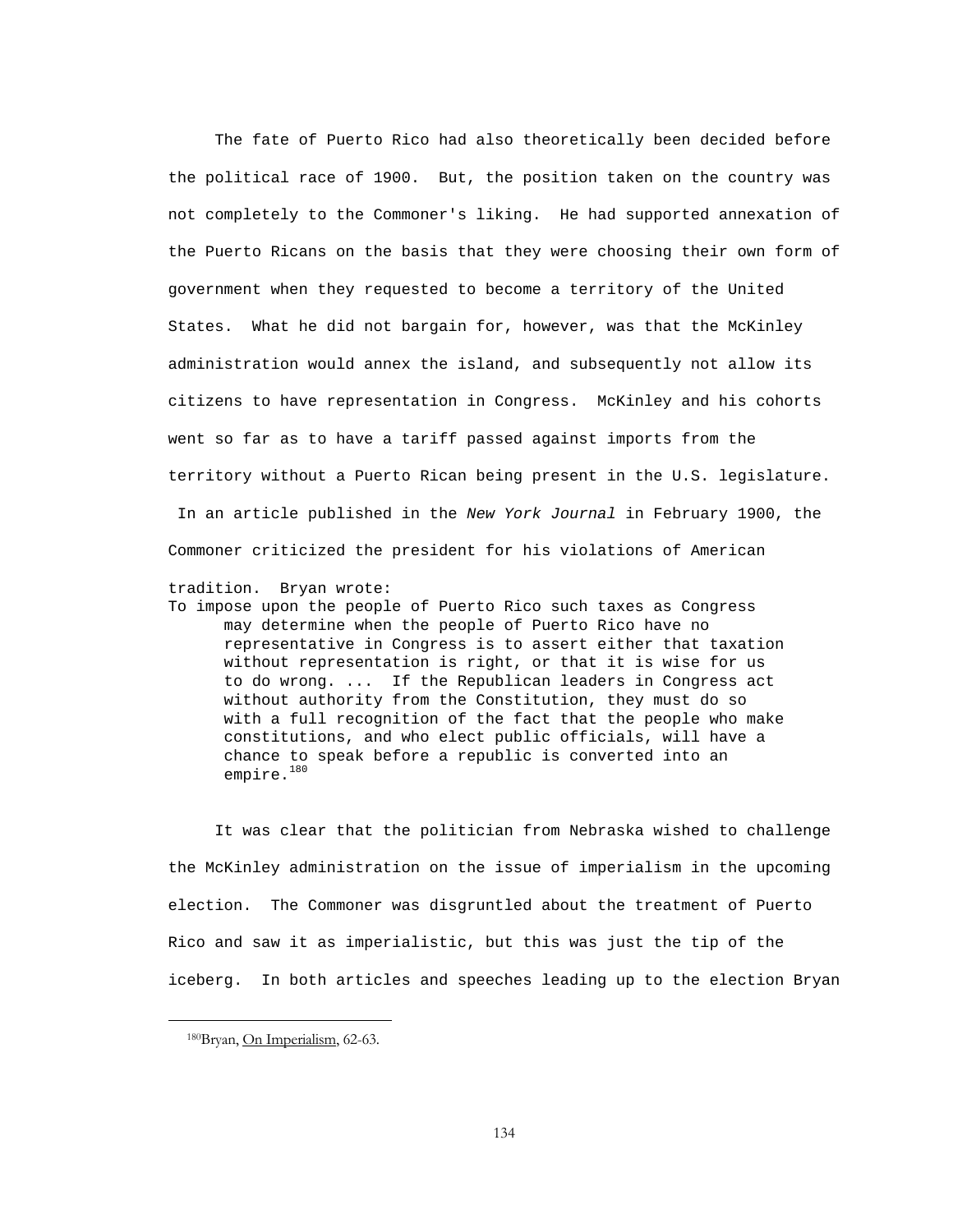The fate of Puerto Rico had also theoretically been decided before the political race of 1900. But, the position taken on the country was not completely to the Commoner's liking. He had supported annexation of the Puerto Ricans on the basis that they were choosing their own form of government when they requested to become a territory of the United States. What he did not bargain for, however, was that the McKinley administration would annex the island, and subsequently not allow its citizens to have representation in Congress. McKinley and his cohorts went so far as to have a tariff passed against imports from the territory without a Puerto Rican being present in the U.S. legislature. In an article published in the *New York Journal* in February 1900, the Commoner criticized the president for his violations of American

tradition. Bryan wrote:

To impose upon the people of Puerto Rico such taxes as Congress may determine when the people of Puerto Rico have no representative in Congress is to assert either that taxation without representation is right, or that it is wise for us to do wrong. ... If the Republican leaders in Congress act without authority from the Constitution, they must do so with a full recognition of the fact that the people who make constitutions, and who elect public officials, will have a chance to speak before a republic is converted into an empire.<sup>180</sup>

 It was clear that the politician from Nebraska wished to challenge the McKinley administration on the issue of imperialism in the upcoming election. The Commoner was disgruntled about the treatment of Puerto Rico and saw it as imperialistic, but this was just the tip of the iceberg. In both articles and speeches leading up to the election Bryan

 <sup>180</sup>Bryan, On Imperialism, 62-63.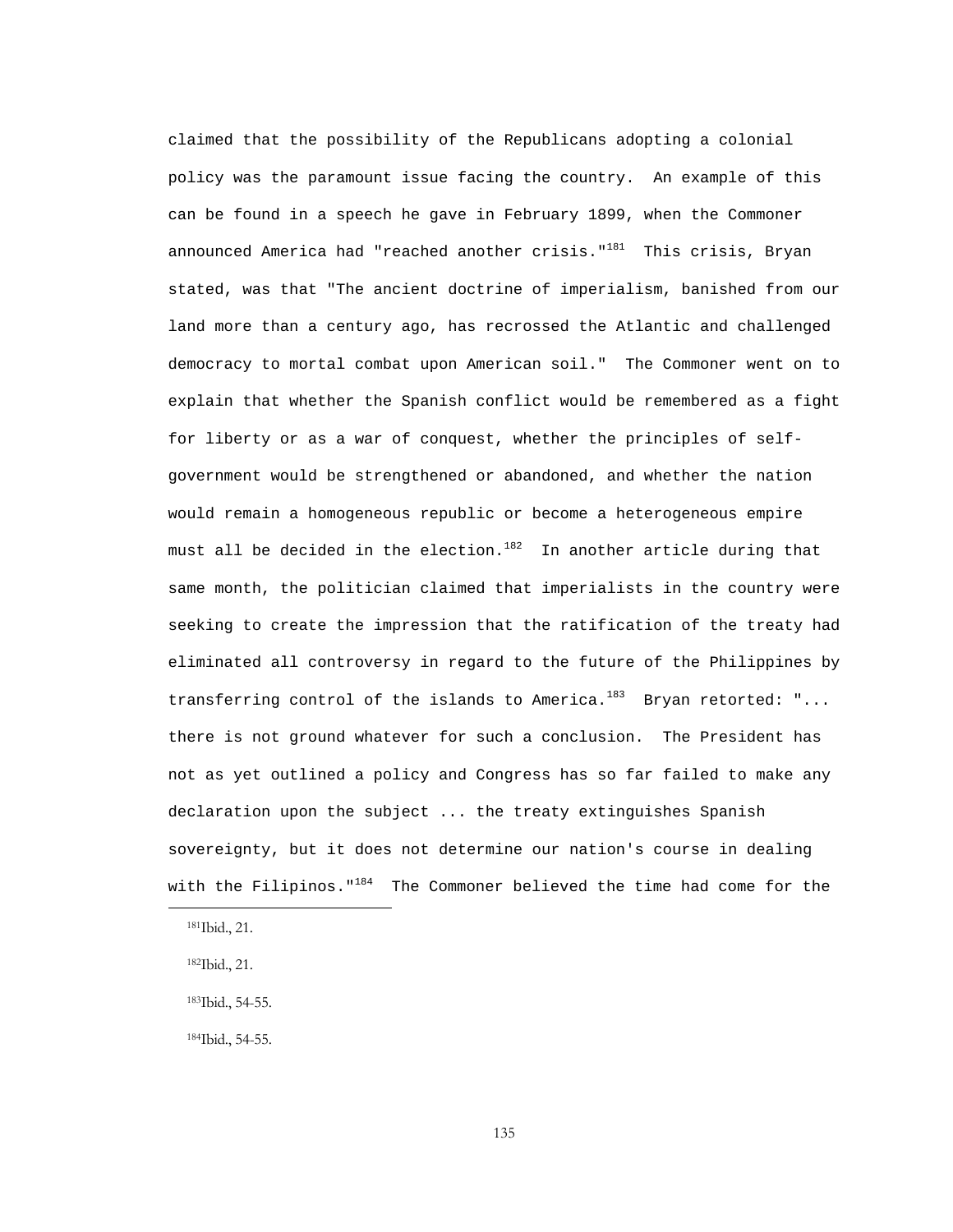claimed that the possibility of the Republicans adopting a colonial policy was the paramount issue facing the country. An example of this can be found in a speech he gave in February 1899, when the Commoner announced America had "reached another crisis."<sup>181</sup> This crisis, Bryan stated, was that "The ancient doctrine of imperialism, banished from our land more than a century ago, has recrossed the Atlantic and challenged democracy to mortal combat upon American soil." The Commoner went on to explain that whether the Spanish conflict would be remembered as a fight for liberty or as a war of conquest, whether the principles of selfgovernment would be strengthened or abandoned, and whether the nation would remain a homogeneous republic or become a heterogeneous empire must all be decided in the election.<sup>182</sup> In another article during that same month, the politician claimed that imperialists in the country were seeking to create the impression that the ratification of the treaty had eliminated all controversy in regard to the future of the Philippines by transferring control of the islands to America. $183$  Bryan retorted: "... there is not ground whatever for such a conclusion. The President has not as yet outlined a policy and Congress has so far failed to make any declaration upon the subject ... the treaty extinguishes Spanish sovereignty, but it does not determine our nation's course in dealing with the Filipinos. $1^{184}$  The Commoner believed the time had come for the

181Ibid., 21.

i

184Ibid., 54-55.

 <sup>182</sup>Ibid., 21.

 <sup>183</sup>Ibid., 54-55.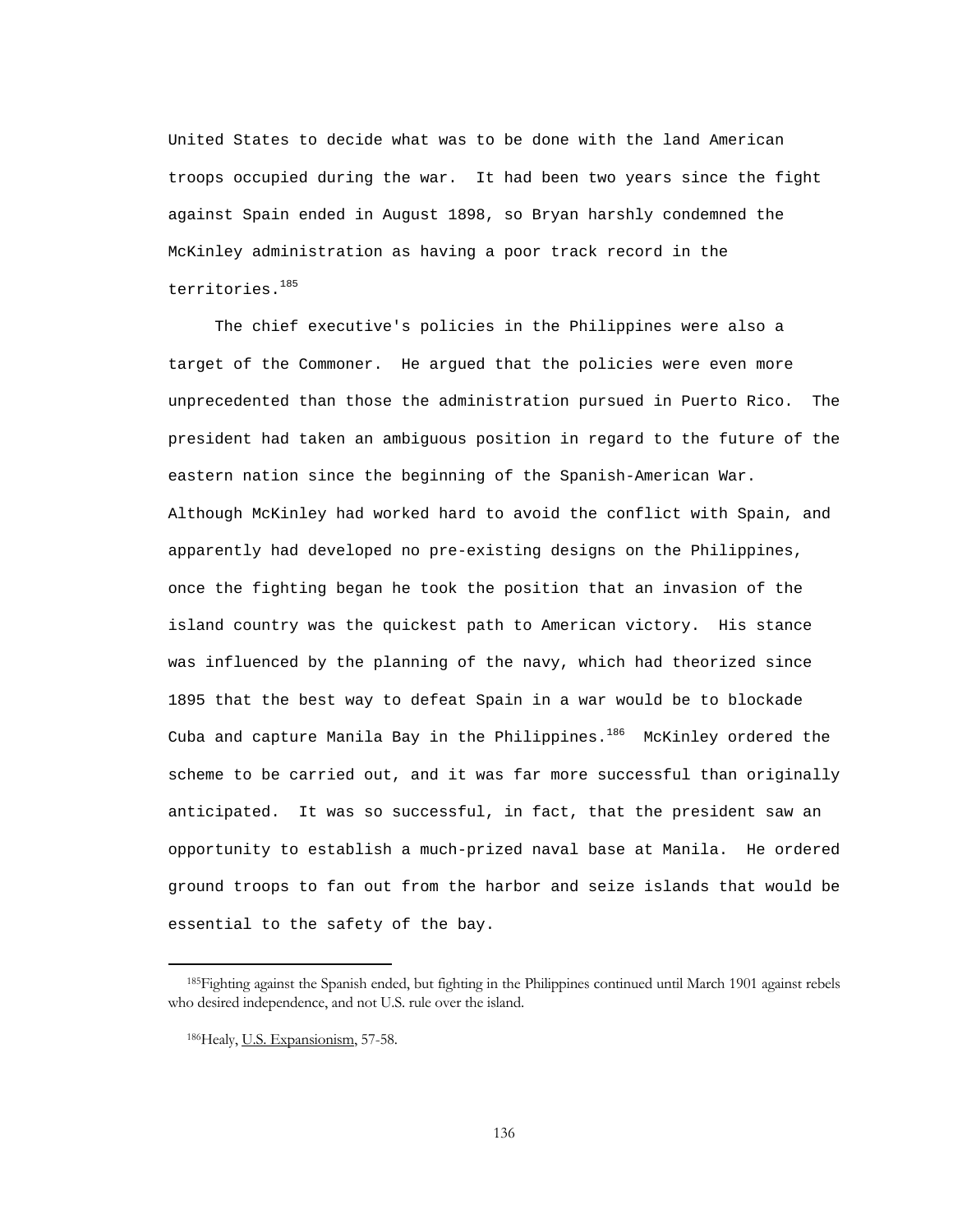United States to decide what was to be done with the land American troops occupied during the war. It had been two years since the fight against Spain ended in August 1898, so Bryan harshly condemned the McKinley administration as having a poor track record in the territories.185

 The chief executive's policies in the Philippines were also a target of the Commoner. He argued that the policies were even more unprecedented than those the administration pursued in Puerto Rico. The president had taken an ambiguous position in regard to the future of the eastern nation since the beginning of the Spanish-American War. Although McKinley had worked hard to avoid the conflict with Spain, and apparently had developed no pre-existing designs on the Philippines, once the fighting began he took the position that an invasion of the island country was the quickest path to American victory. His stance was influenced by the planning of the navy, which had theorized since 1895 that the best way to defeat Spain in a war would be to blockade Cuba and capture Manila Bay in the Philippines.<sup>186</sup> McKinley ordered the scheme to be carried out, and it was far more successful than originally anticipated. It was so successful, in fact, that the president saw an opportunity to establish a much-prized naval base at Manila. He ordered ground troops to fan out from the harbor and seize islands that would be essential to the safety of the bay.

 <sup>185</sup>Fighting against the Spanish ended, but fighting in the Philippines continued until March 1901 against rebels who desired independence, and not U.S. rule over the island.

<sup>186</sup>Healy, U.S. Expansionism, 57-58.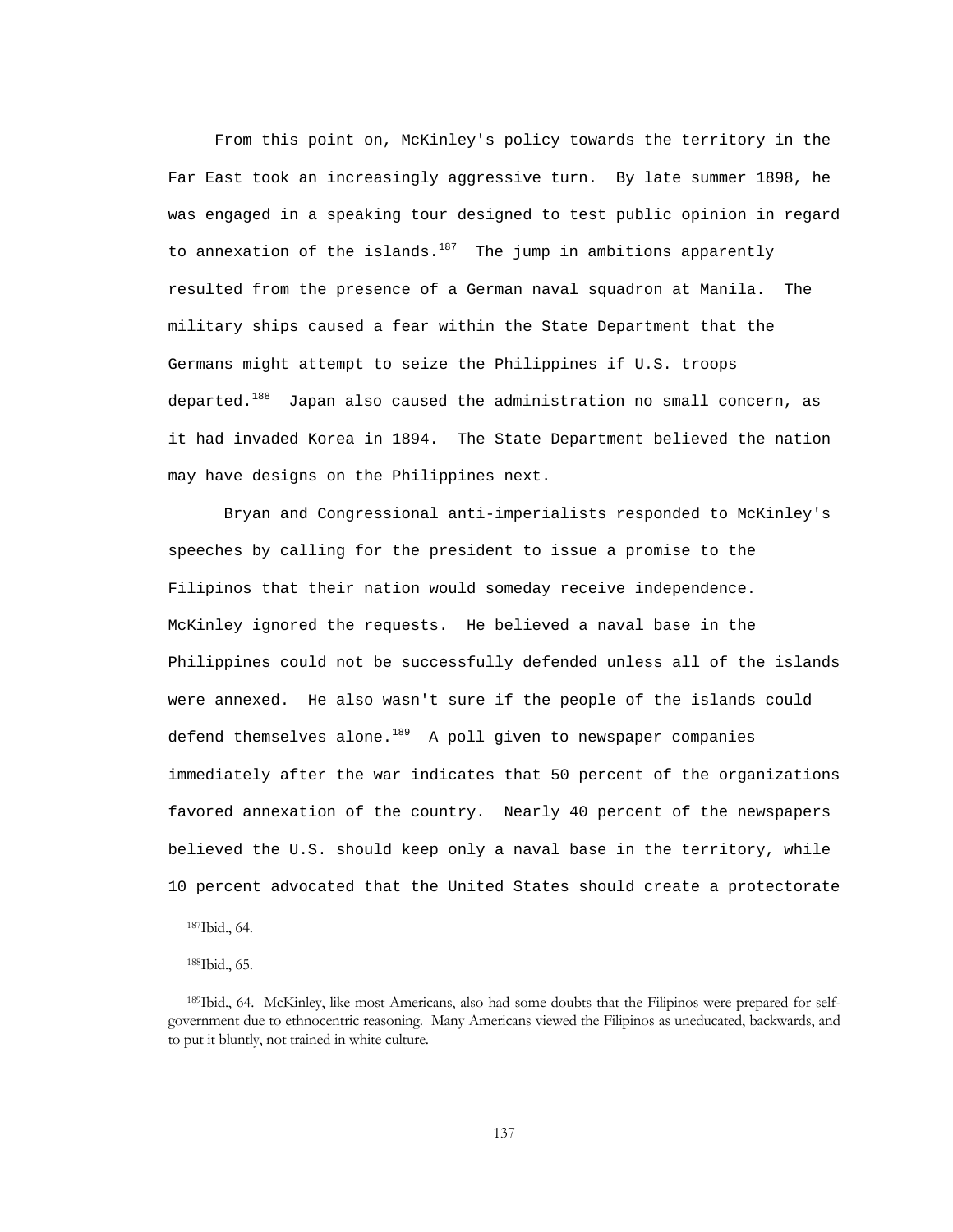From this point on, McKinley's policy towards the territory in the Far East took an increasingly aggressive turn. By late summer 1898, he was engaged in a speaking tour designed to test public opinion in regard to annexation of the islands.<sup>187</sup> The jump in ambitions apparently resulted from the presence of a German naval squadron at Manila. The military ships caused a fear within the State Department that the Germans might attempt to seize the Philippines if U.S. troops departed.<sup>188</sup> Japan also caused the administration no small concern, as it had invaded Korea in 1894. The State Department believed the nation may have designs on the Philippines next.

 Bryan and Congressional anti-imperialists responded to McKinley's speeches by calling for the president to issue a promise to the Filipinos that their nation would someday receive independence. McKinley ignored the requests. He believed a naval base in the Philippines could not be successfully defended unless all of the islands were annexed. He also wasn't sure if the people of the islands could defend themselves alone. $189$  A poll given to newspaper companies immediately after the war indicates that 50 percent of the organizations favored annexation of the country. Nearly 40 percent of the newspapers believed the U.S. should keep only a naval base in the territory, while 10 percent advocated that the United States should create a protectorate

 <sup>187</sup>Ibid., 64.

 <sup>188</sup>Ibid., 65.

 <sup>189</sup>Ibid., 64. McKinley, like most Americans, also had some doubts that the Filipinos were prepared for selfgovernment due to ethnocentric reasoning. Many Americans viewed the Filipinos as uneducated, backwards, and to put it bluntly, not trained in white culture.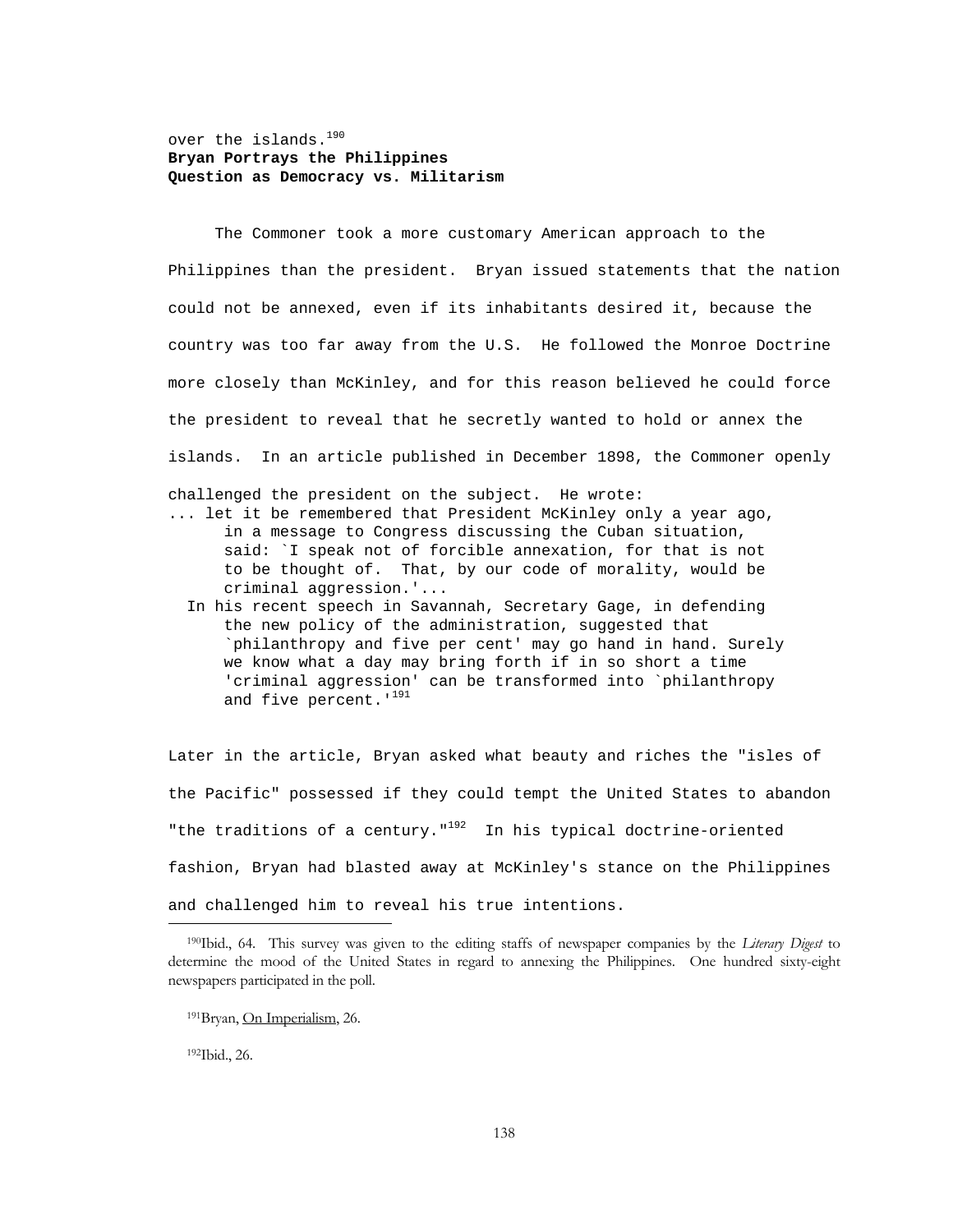over the islands. $190$ **Bryan Portrays the Philippines Question as Democracy vs. Militarism**

 The Commoner took a more customary American approach to the Philippines than the president. Bryan issued statements that the nation could not be annexed, even if its inhabitants desired it, because the country was too far away from the U.S. He followed the Monroe Doctrine more closely than McKinley, and for this reason believed he could force the president to reveal that he secretly wanted to hold or annex the islands. In an article published in December 1898, the Commoner openly challenged the president on the subject. He wrote: ... let it be remembered that President McKinley only a year ago, in a message to Congress discussing the Cuban situation, said: `I speak not of forcible annexation, for that is not to be thought of. That, by our code of morality, would be criminal aggression.'... In his recent speech in Savannah, Secretary Gage, in defending the new policy of the administration, suggested that `philanthropy and five per cent' may go hand in hand. Surely we know what a day may bring forth if in so short a time 'criminal aggression' can be transformed into `philanthropy and five percent.'<sup>191</sup>

Later in the article, Bryan asked what beauty and riches the "isles of the Pacific" possessed if they could tempt the United States to abandon "the traditions of a century." $192$  In his typical doctrine-oriented fashion, Bryan had blasted away at McKinley's stance on the Philippines and challenged him to reveal his true intentions. i

192Ibid., 26.

 <sup>190</sup>Ibid., 64. This survey was given to the editing staffs of newspaper companies by the *Literary Digest* to determine the mood of the United States in regard to annexing the Philippines. One hundred sixty-eight newspapers participated in the poll.

 <sup>191</sup>Bryan, On Imperialism, 26.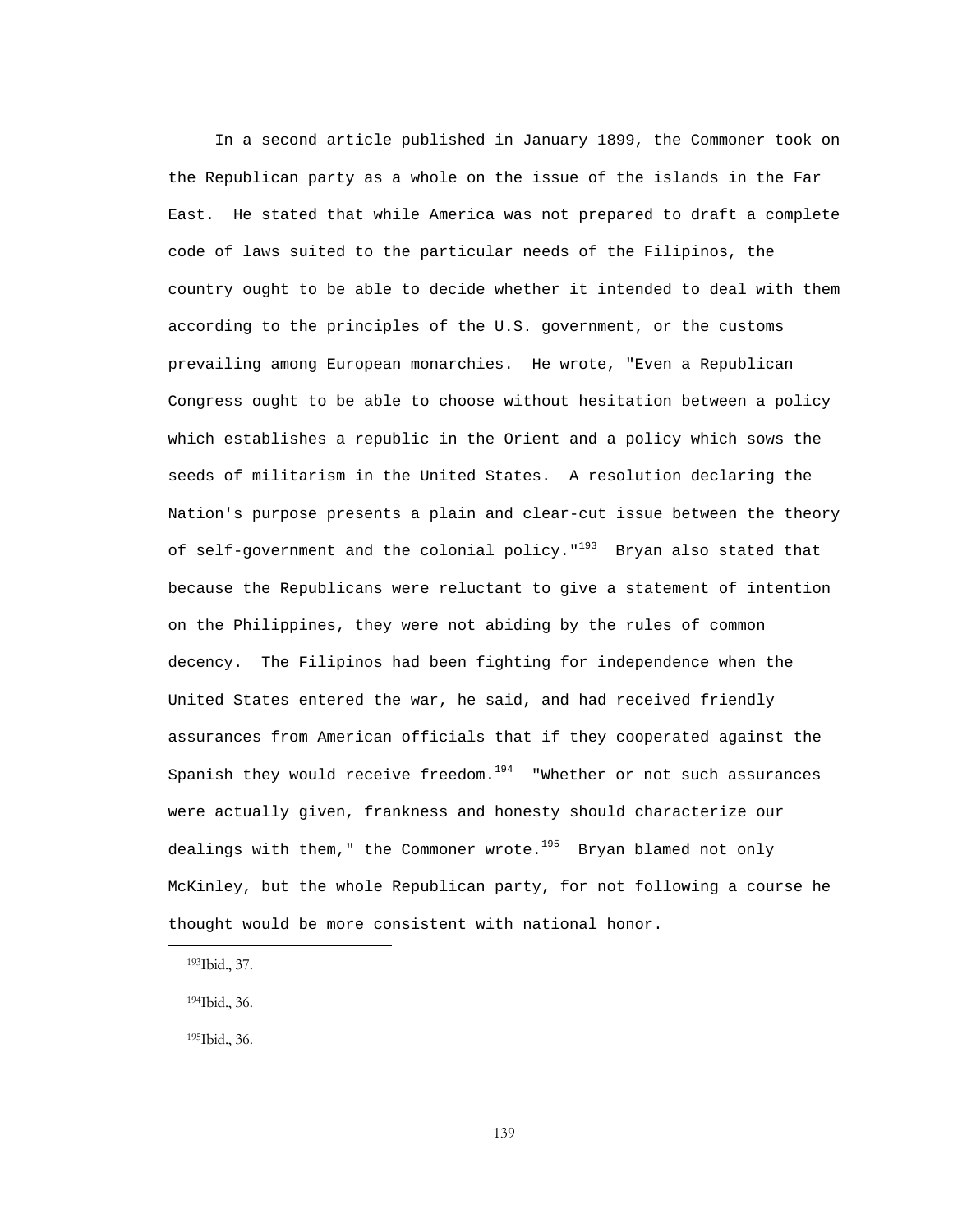In a second article published in January 1899, the Commoner took on the Republican party as a whole on the issue of the islands in the Far East. He stated that while America was not prepared to draft a complete code of laws suited to the particular needs of the Filipinos, the country ought to be able to decide whether it intended to deal with them according to the principles of the U.S. government, or the customs prevailing among European monarchies. He wrote, "Even a Republican Congress ought to be able to choose without hesitation between a policy which establishes a republic in the Orient and a policy which sows the seeds of militarism in the United States. A resolution declaring the Nation's purpose presents a plain and clear-cut issue between the theory of self-government and the colonial policy." $193$  Bryan also stated that because the Republicans were reluctant to give a statement of intention on the Philippines, they were not abiding by the rules of common decency. The Filipinos had been fighting for independence when the United States entered the war, he said, and had received friendly assurances from American officials that if they cooperated against the Spanish they would receive freedom. $194$  "Whether or not such assurances were actually given, frankness and honesty should characterize our dealings with them," the Commoner wrote. $195$  Bryan blamed not only McKinley, but the whole Republican party, for not following a course he thought would be more consistent with national honor.

i

195Ibid., 36.

 <sup>193</sup>Ibid., 37.

 <sup>194</sup>Ibid., 36.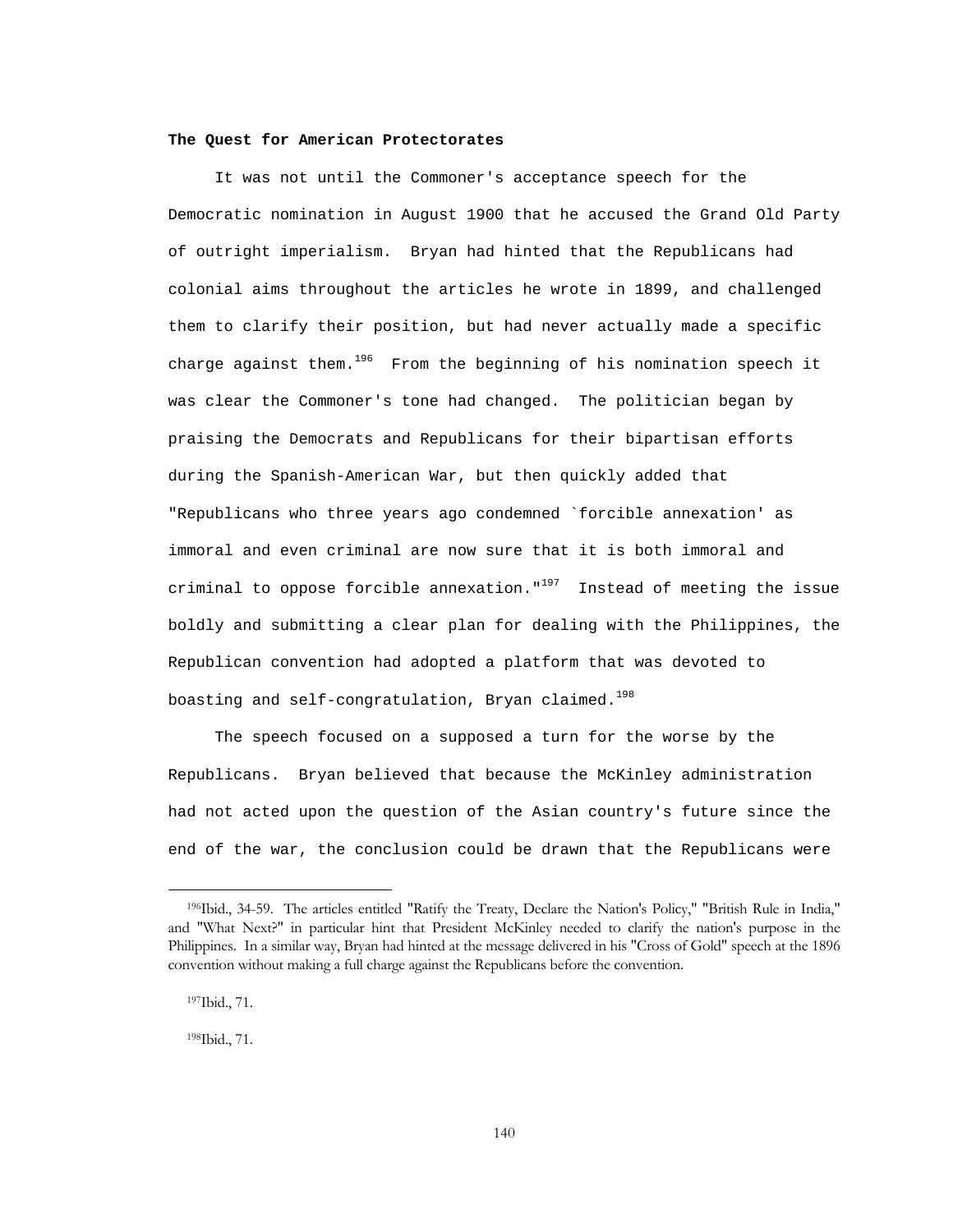## **The Quest for American Protectorates**

 It was not until the Commoner's acceptance speech for the Democratic nomination in August 1900 that he accused the Grand Old Party of outright imperialism. Bryan had hinted that the Republicans had colonial aims throughout the articles he wrote in 1899, and challenged them to clarify their position, but had never actually made a specific charge against them.<sup>196</sup> From the beginning of his nomination speech it was clear the Commoner's tone had changed. The politician began by praising the Democrats and Republicans for their bipartisan efforts during the Spanish-American War, but then quickly added that "Republicans who three years ago condemned `forcible annexation' as immoral and even criminal are now sure that it is both immoral and criminal to oppose forcible annexation." $197$  Instead of meeting the issue boldly and submitting a clear plan for dealing with the Philippines, the Republican convention had adopted a platform that was devoted to boasting and self-congratulation, Bryan claimed.<sup>198</sup>

 The speech focused on a supposed a turn for the worse by the Republicans. Bryan believed that because the McKinley administration had not acted upon the question of the Asian country's future since the end of the war, the conclusion could be drawn that the Republicans were

i

198Ibid., 71.

 <sup>196</sup>Ibid., 34-59. The articles entitled "Ratify the Treaty, Declare the Nation's Policy," "British Rule in India," and "What Next?" in particular hint that President McKinley needed to clarify the nation's purpose in the Philippines. In a similar way, Bryan had hinted at the message delivered in his "Cross of Gold" speech at the 1896 convention without making a full charge against the Republicans before the convention.

 <sup>197</sup>Ibid., 71.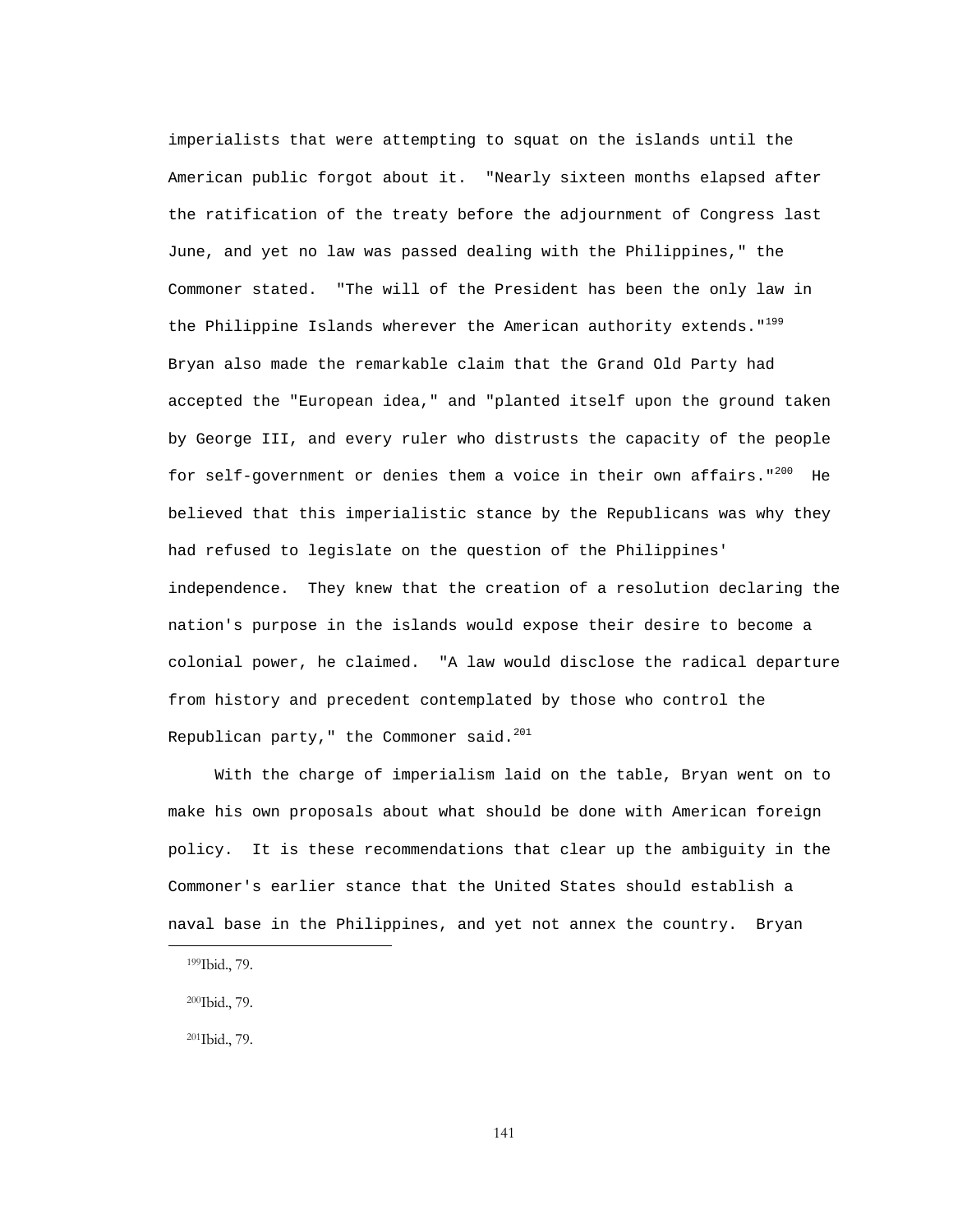imperialists that were attempting to squat on the islands until the American public forgot about it. "Nearly sixteen months elapsed after the ratification of the treaty before the adjournment of Congress last June, and yet no law was passed dealing with the Philippines," the Commoner stated. "The will of the President has been the only law in the Philippine Islands wherever the American authority extends."<sup>199</sup> Bryan also made the remarkable claim that the Grand Old Party had accepted the "European idea," and "planted itself upon the ground taken by George III, and every ruler who distrusts the capacity of the people for self-government or denies them a voice in their own affairs."<sup>200</sup> He believed that this imperialistic stance by the Republicans was why they had refused to legislate on the question of the Philippines' independence. They knew that the creation of a resolution declaring the nation's purpose in the islands would expose their desire to become a colonial power, he claimed. "A law would disclose the radical departure from history and precedent contemplated by those who control the Republican party," the Commoner said. $^{201}$ 

 With the charge of imperialism laid on the table, Bryan went on to make his own proposals about what should be done with American foreign policy. It is these recommendations that clear up the ambiguity in the Commoner's earlier stance that the United States should establish a naval base in the Philippines, and yet not annex the country. Bryan

i

201Ibid., 79.

 <sup>199</sup>Ibid., 79.

 <sup>200</sup>Ibid., 79.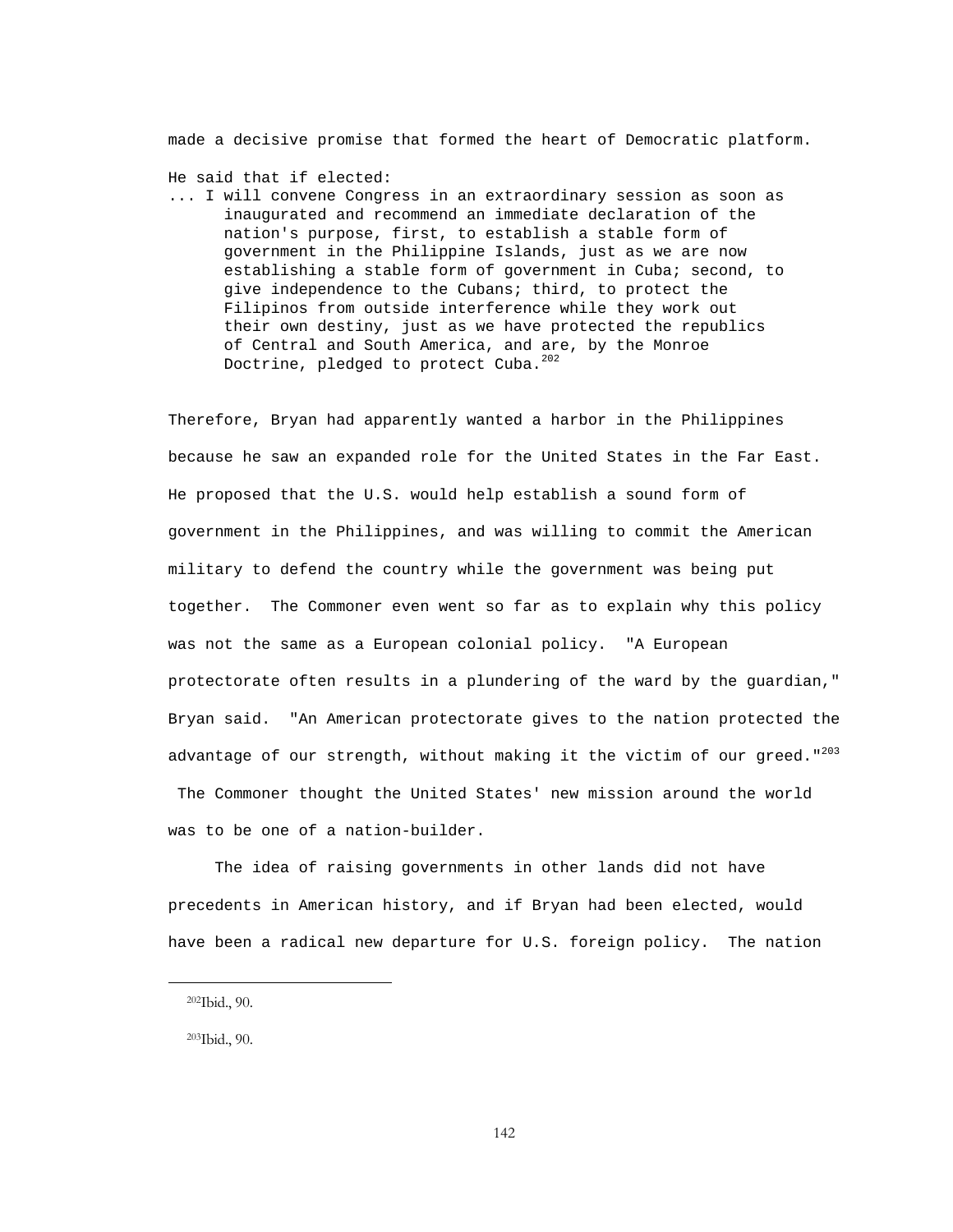made a decisive promise that formed the heart of Democratic platform.

He said that if elected:

... I will convene Congress in an extraordinary session as soon as inaugurated and recommend an immediate declaration of the nation's purpose, first, to establish a stable form of government in the Philippine Islands, just as we are now establishing a stable form of government in Cuba; second, to give independence to the Cubans; third, to protect the Filipinos from outside interference while they work out their own destiny, just as we have protected the republics of Central and South America, and are, by the Monroe Doctrine, pledged to protect Cuba.<sup>202</sup>

Therefore, Bryan had apparently wanted a harbor in the Philippines because he saw an expanded role for the United States in the Far East. He proposed that the U.S. would help establish a sound form of government in the Philippines, and was willing to commit the American military to defend the country while the government was being put together. The Commoner even went so far as to explain why this policy was not the same as a European colonial policy. "A European protectorate often results in a plundering of the ward by the guardian," Bryan said. "An American protectorate gives to the nation protected the advantage of our strength, without making it the victim of our greed.  $"^{203}$  The Commoner thought the United States' new mission around the world was to be one of a nation-builder.

 The idea of raising governments in other lands did not have precedents in American history, and if Bryan had been elected, would have been a radical new departure for U.S. foreign policy. The nation

 <sup>202</sup>Ibid., 90.

 <sup>203</sup>Ibid., 90.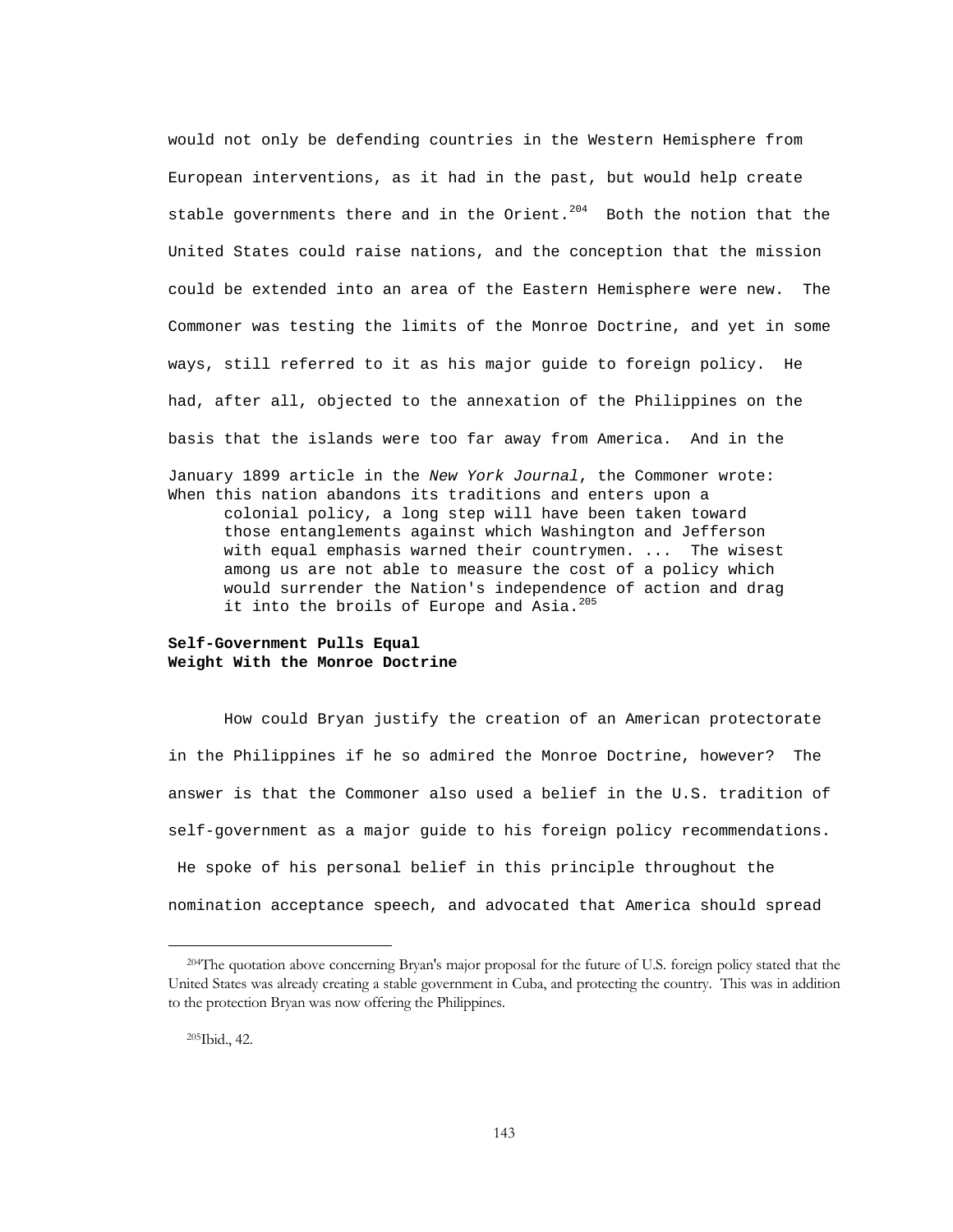would not only be defending countries in the Western Hemisphere from European interventions, as it had in the past, but would help create stable governments there and in the Orient.<sup>204</sup> Both the notion that the United States could raise nations, and the conception that the mission could be extended into an area of the Eastern Hemisphere were new. The Commoner was testing the limits of the Monroe Doctrine, and yet in some ways, still referred to it as his major guide to foreign policy. He had, after all, objected to the annexation of the Philippines on the basis that the islands were too far away from America. And in the January 1899 article in the *New York Journal*, the Commoner wrote: When this nation abandons its traditions and enters upon a colonial policy, a long step will have been taken toward those entanglements against which Washington and Jefferson with equal emphasis warned their countrymen. ... The wisest among us are not able to measure the cost of a policy which would surrender the Nation's independence of action and drag it into the broils of Europe and Asia. $^{205}$ 

## **Self-Government Pulls Equal Weight With the Monroe Doctrine**

 How could Bryan justify the creation of an American protectorate in the Philippines if he so admired the Monroe Doctrine, however? The answer is that the Commoner also used a belief in the U.S. tradition of self-government as a major guide to his foreign policy recommendations. He spoke of his personal belief in this principle throughout the nomination acceptance speech, and advocated that America should spread

205Ibid., 42.

 <sup>204</sup>The quotation above concerning Bryan's major proposal for the future of U.S. foreign policy stated that the United States was already creating a stable government in Cuba, and protecting the country. This was in addition to the protection Bryan was now offering the Philippines.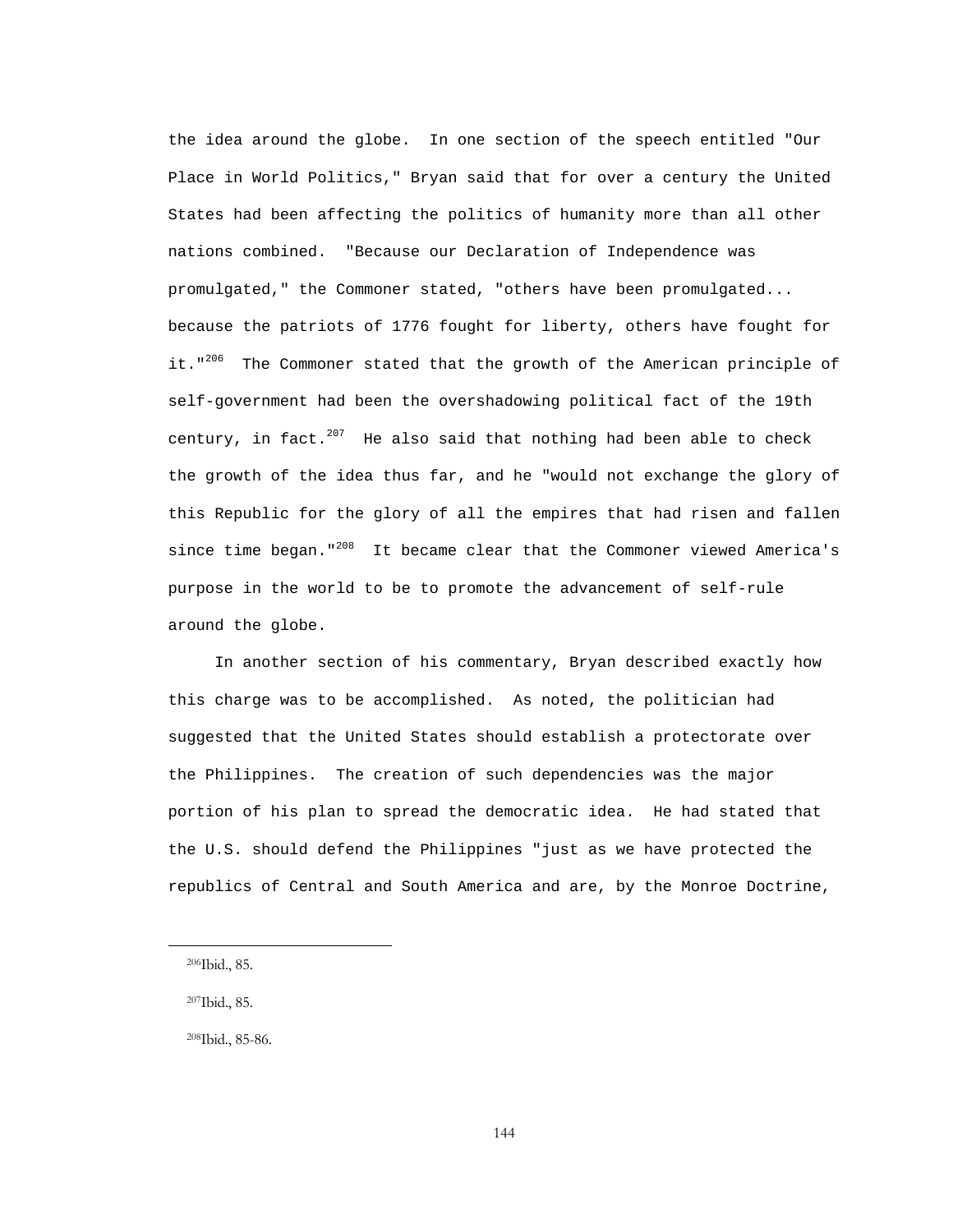the idea around the globe. In one section of the speech entitled "Our Place in World Politics," Bryan said that for over a century the United States had been affecting the politics of humanity more than all other nations combined. "Because our Declaration of Independence was promulgated," the Commoner stated, "others have been promulgated... because the patriots of 1776 fought for liberty, others have fought for it."<sup>206</sup> The Commoner stated that the growth of the American principle of self-government had been the overshadowing political fact of the 19th century, in fact.<sup>207</sup> He also said that nothing had been able to check the growth of the idea thus far, and he "would not exchange the glory of this Republic for the glory of all the empires that had risen and fallen since time began."<sup>208</sup> It became clear that the Commoner viewed America's purpose in the world to be to promote the advancement of self-rule around the globe.

 In another section of his commentary, Bryan described exactly how this charge was to be accomplished. As noted, the politician had suggested that the United States should establish a protectorate over the Philippines. The creation of such dependencies was the major portion of his plan to spread the democratic idea. He had stated that the U.S. should defend the Philippines "just as we have protected the republics of Central and South America and are, by the Monroe Doctrine,

i

208Ibid., 85-86.

 <sup>206</sup>Ibid., 85.

 <sup>207</sup>Ibid., 85.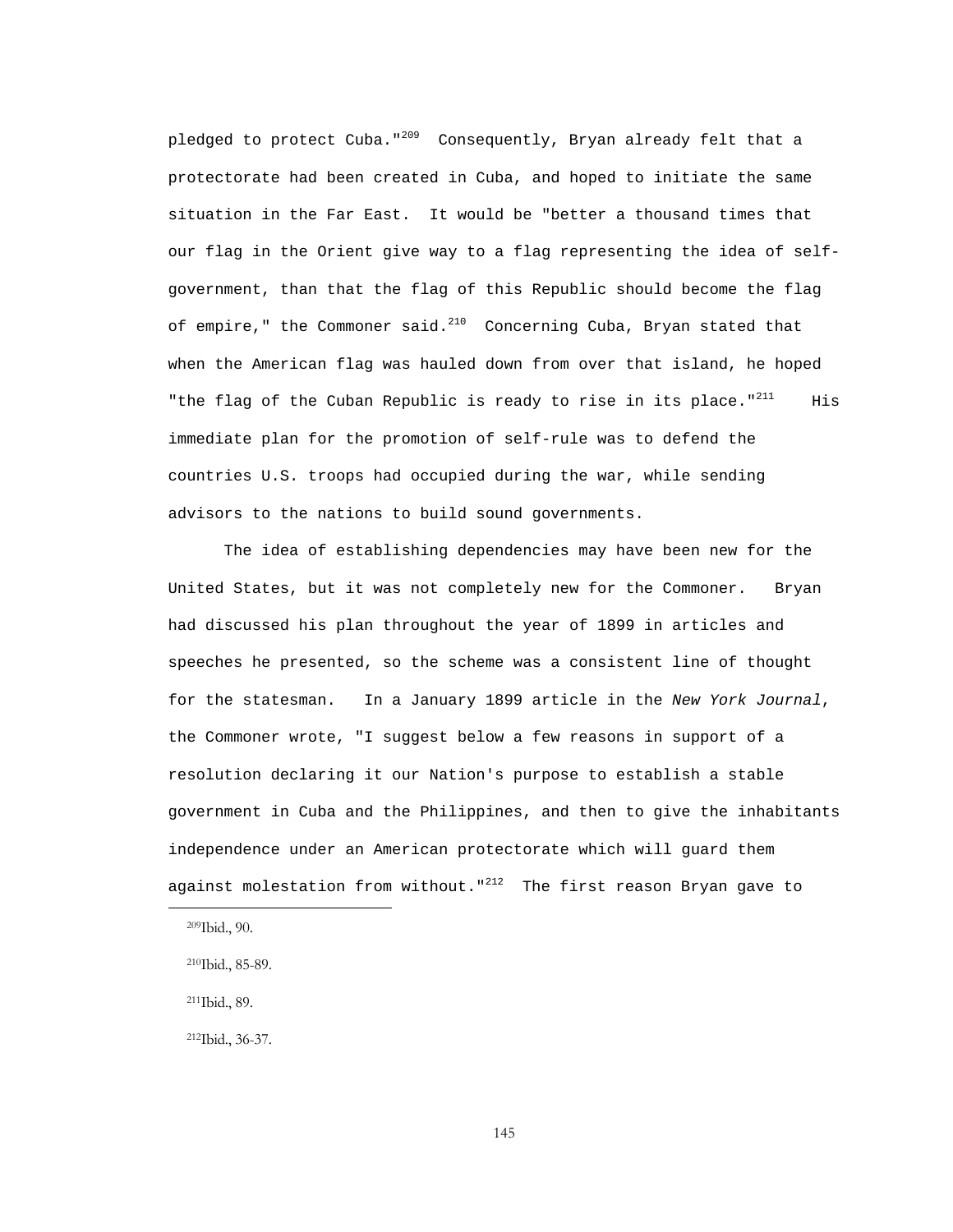pledged to protect Cuba."<sup>209</sup> Consequently, Bryan already felt that a protectorate had been created in Cuba, and hoped to initiate the same situation in the Far East. It would be "better a thousand times that our flag in the Orient give way to a flag representing the idea of selfgovernment, than that the flag of this Republic should become the flag of empire," the Commoner said. $^{210}$  Concerning Cuba, Bryan stated that when the American flag was hauled down from over that island, he hoped "the flag of the Cuban Republic is ready to rise in its place." $^{211}$  His immediate plan for the promotion of self-rule was to defend the countries U.S. troops had occupied during the war, while sending advisors to the nations to build sound governments.

 The idea of establishing dependencies may have been new for the United States, but it was not completely new for the Commoner. Bryan had discussed his plan throughout the year of 1899 in articles and speeches he presented, so the scheme was a consistent line of thought for the statesman. In a January 1899 article in the *New York Journal*, the Commoner wrote, "I suggest below a few reasons in support of a resolution declaring it our Nation's purpose to establish a stable government in Cuba and the Philippines, and then to give the inhabitants independence under an American protectorate which will guard them against molestation from without."<sup>212</sup> The first reason Bryan gave to

i

212Ibid., 36-37.

 <sup>209</sup>Ibid., 90.

 <sup>210</sup>Ibid., 85-89.

 <sup>211</sup>Ibid., 89.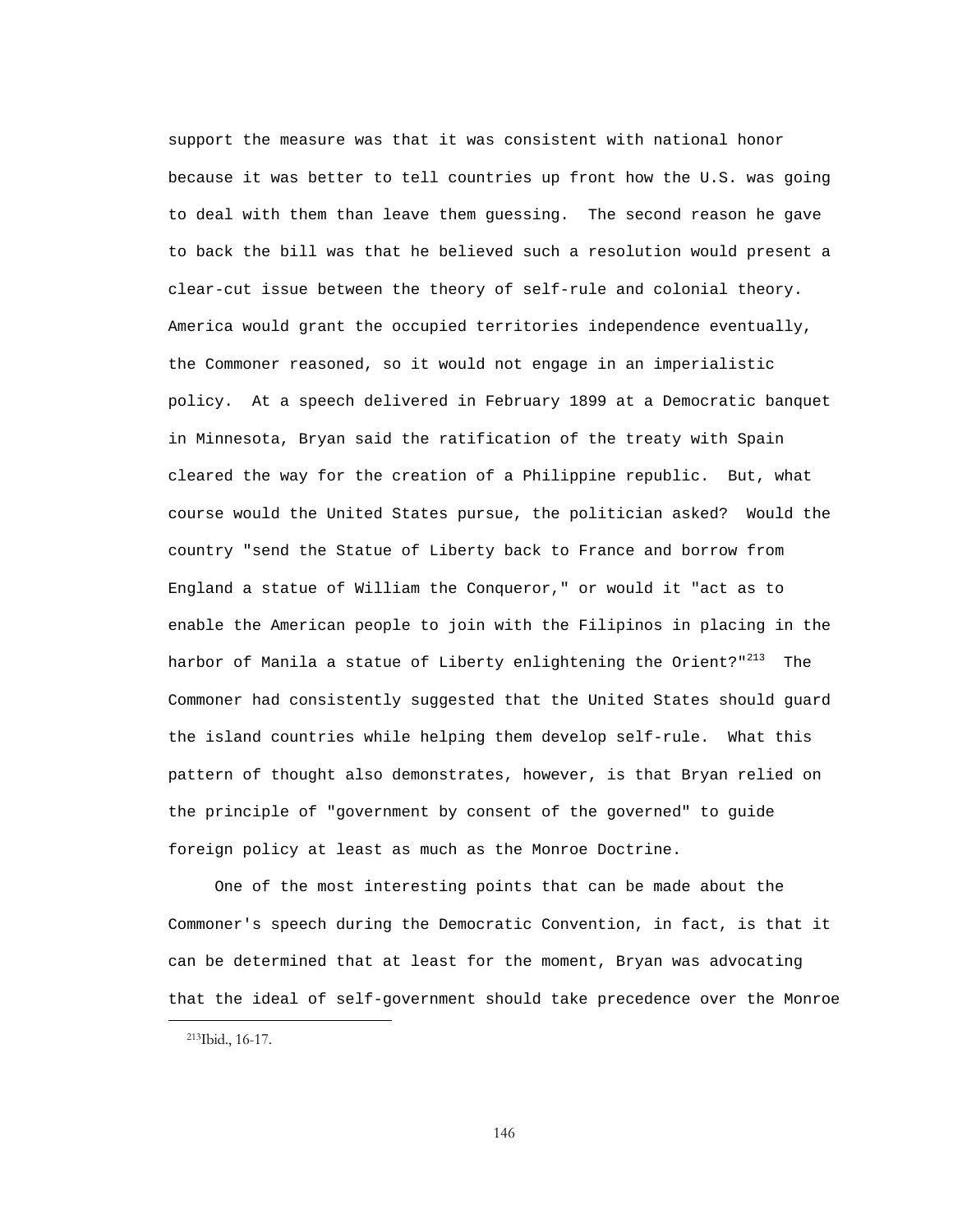support the measure was that it was consistent with national honor because it was better to tell countries up front how the U.S. was going to deal with them than leave them guessing. The second reason he gave to back the bill was that he believed such a resolution would present a clear-cut issue between the theory of self-rule and colonial theory. America would grant the occupied territories independence eventually, the Commoner reasoned, so it would not engage in an imperialistic policy. At a speech delivered in February 1899 at a Democratic banquet in Minnesota, Bryan said the ratification of the treaty with Spain cleared the way for the creation of a Philippine republic. But, what course would the United States pursue, the politician asked? Would the country "send the Statue of Liberty back to France and borrow from England a statue of William the Conqueror," or would it "act as to enable the American people to join with the Filipinos in placing in the harbor of Manila a statue of Liberty enlightening the Orient?" $^{213}$  The Commoner had consistently suggested that the United States should guard the island countries while helping them develop self-rule. What this pattern of thought also demonstrates, however, is that Bryan relied on the principle of "government by consent of the governed" to guide foreign policy at least as much as the Monroe Doctrine.

 One of the most interesting points that can be made about the Commoner's speech during the Democratic Convention, in fact, is that it can be determined that at least for the moment, Bryan was advocating that the ideal of self-government should take precedence over the Monroe

i

 <sup>213</sup>Ibid., 16-17.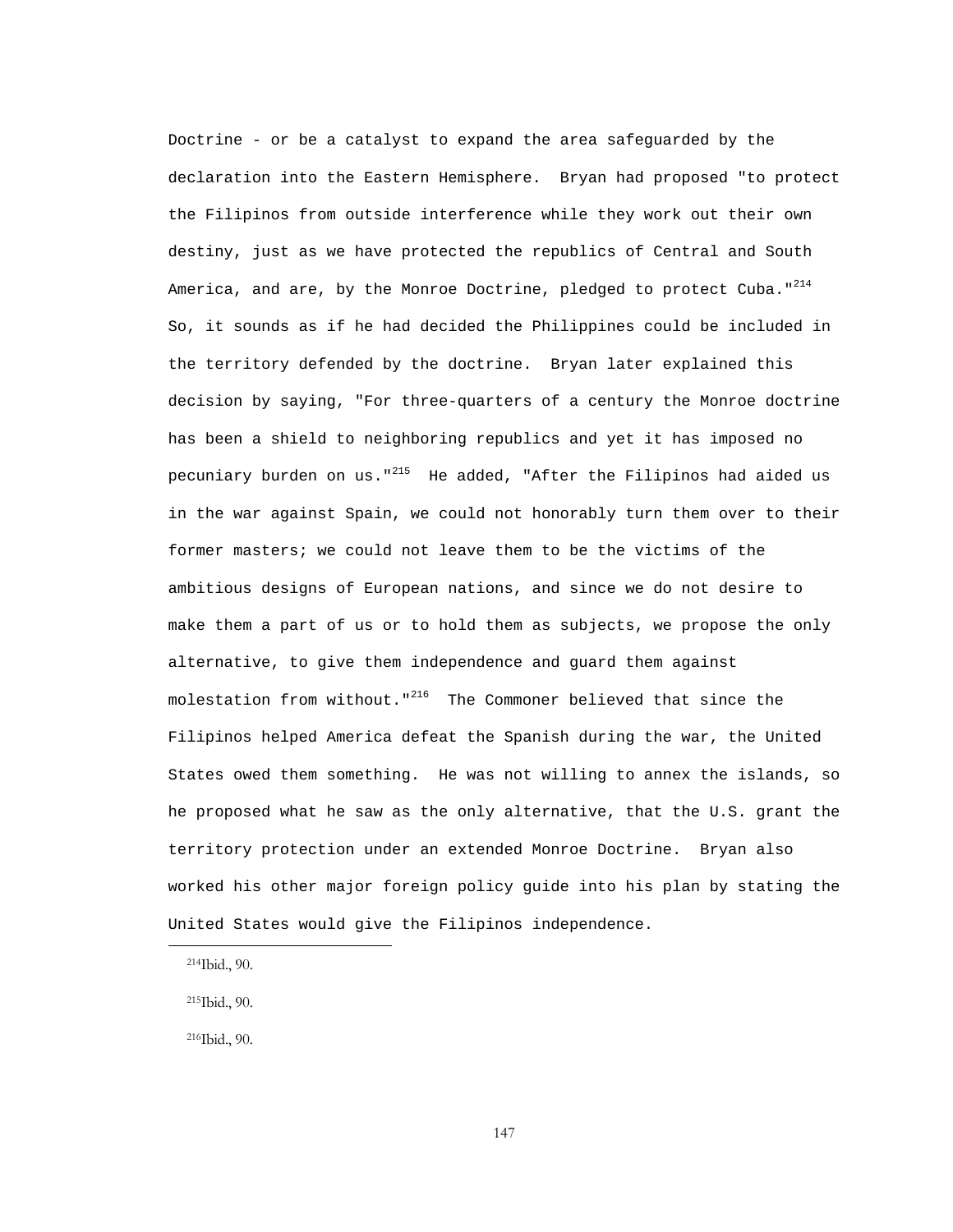Doctrine - or be a catalyst to expand the area safeguarded by the declaration into the Eastern Hemisphere. Bryan had proposed "to protect the Filipinos from outside interference while they work out their own destiny, just as we have protected the republics of Central and South America, and are, by the Monroe Doctrine, pledged to protect Cuba.  $"$ <sup>214</sup> So, it sounds as if he had decided the Philippines could be included in the territory defended by the doctrine. Bryan later explained this decision by saying, "For three-quarters of a century the Monroe doctrine has been a shield to neighboring republics and yet it has imposed no pecuniary burden on us."<sup>215</sup> He added, "After the Filipinos had aided us in the war against Spain, we could not honorably turn them over to their former masters; we could not leave them to be the victims of the ambitious designs of European nations, and since we do not desire to make them a part of us or to hold them as subjects, we propose the only alternative, to give them independence and guard them against molestation from without."<sup>216</sup> The Commoner believed that since the Filipinos helped America defeat the Spanish during the war, the United States owed them something. He was not willing to annex the islands, so he proposed what he saw as the only alternative, that the U.S. grant the territory protection under an extended Monroe Doctrine. Bryan also worked his other major foreign policy guide into his plan by stating the United States would give the Filipinos independence.

214Ibid., 90.

i

215Ibid., 90.

216Ibid., 90.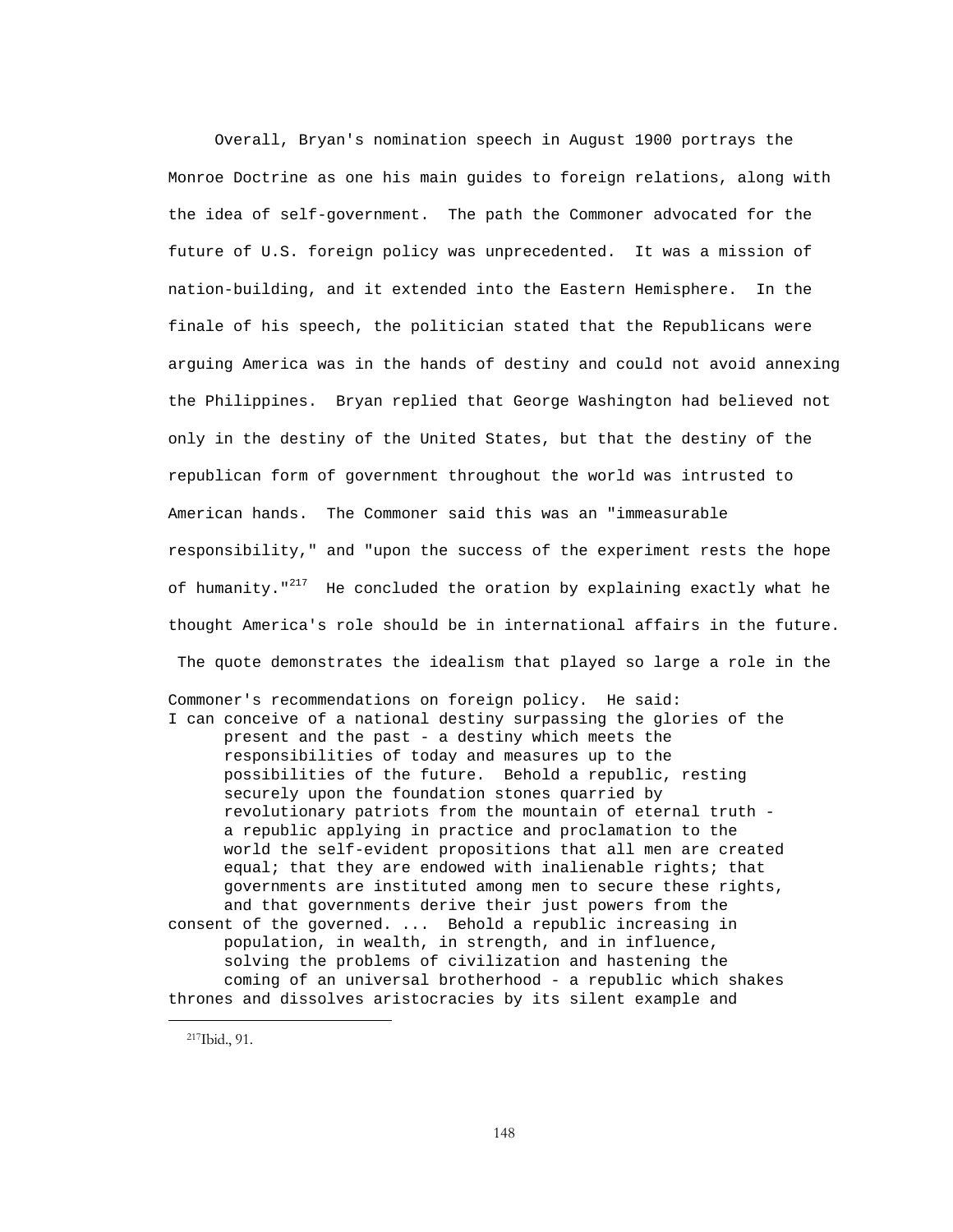Overall, Bryan's nomination speech in August 1900 portrays the Monroe Doctrine as one his main guides to foreign relations, along with the idea of self-government. The path the Commoner advocated for the future of U.S. foreign policy was unprecedented. It was a mission of nation-building, and it extended into the Eastern Hemisphere. In the finale of his speech, the politician stated that the Republicans were arguing America was in the hands of destiny and could not avoid annexing the Philippines. Bryan replied that George Washington had believed not only in the destiny of the United States, but that the destiny of the republican form of government throughout the world was intrusted to American hands. The Commoner said this was an "immeasurable responsibility," and "upon the success of the experiment rests the hope of humanity. $"^{217}$  He concluded the oration by explaining exactly what he thought America's role should be in international affairs in the future. The quote demonstrates the idealism that played so large a role in the Commoner's recommendations on foreign policy. He said:

I can conceive of a national destiny surpassing the glories of the present and the past - a destiny which meets the responsibilities of today and measures up to the possibilities of the future. Behold a republic, resting securely upon the foundation stones quarried by revolutionary patriots from the mountain of eternal truth a republic applying in practice and proclamation to the world the self-evident propositions that all men are created equal; that they are endowed with inalienable rights; that governments are instituted among men to secure these rights, and that governments derive their just powers from the consent of the governed. ... Behold a republic increasing in population, in wealth, in strength, and in influence, solving the problems of civilization and hastening the coming of an universal brotherhood - a republic which shakes thrones and dissolves aristocracies by its silent example and

 <sup>217</sup>Ibid., 91.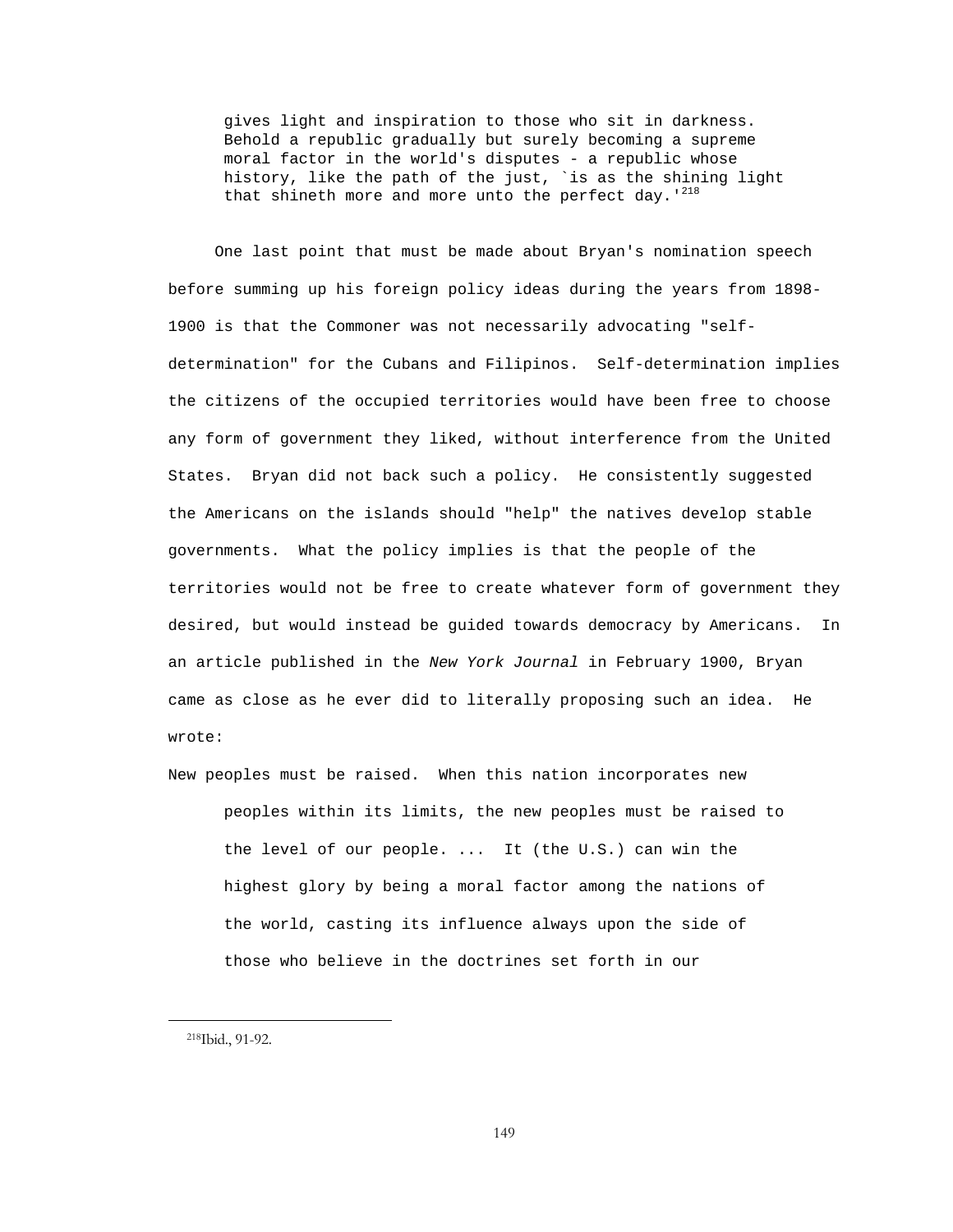gives light and inspiration to those who sit in darkness. Behold a republic gradually but surely becoming a supreme moral factor in the world's disputes - a republic whose history, like the path of the just, `is as the shining light that shineth more and more unto the perfect day.' $^{218}$ 

 One last point that must be made about Bryan's nomination speech before summing up his foreign policy ideas during the years from 1898- 1900 is that the Commoner was not necessarily advocating "selfdetermination" for the Cubans and Filipinos. Self-determination implies the citizens of the occupied territories would have been free to choose any form of government they liked, without interference from the United States. Bryan did not back such a policy. He consistently suggested the Americans on the islands should "help" the natives develop stable governments. What the policy implies is that the people of the territories would not be free to create whatever form of government they desired, but would instead be guided towards democracy by Americans. In an article published in the *New York Journal* in February 1900, Bryan came as close as he ever did to literally proposing such an idea. He wrote:

New peoples must be raised. When this nation incorporates new

peoples within its limits, the new peoples must be raised to the level of our people. ... It (the U.S.) can win the highest glory by being a moral factor among the nations of the world, casting its influence always upon the side of those who believe in the doctrines set forth in our

i

 <sup>218</sup>Ibid., 91-92.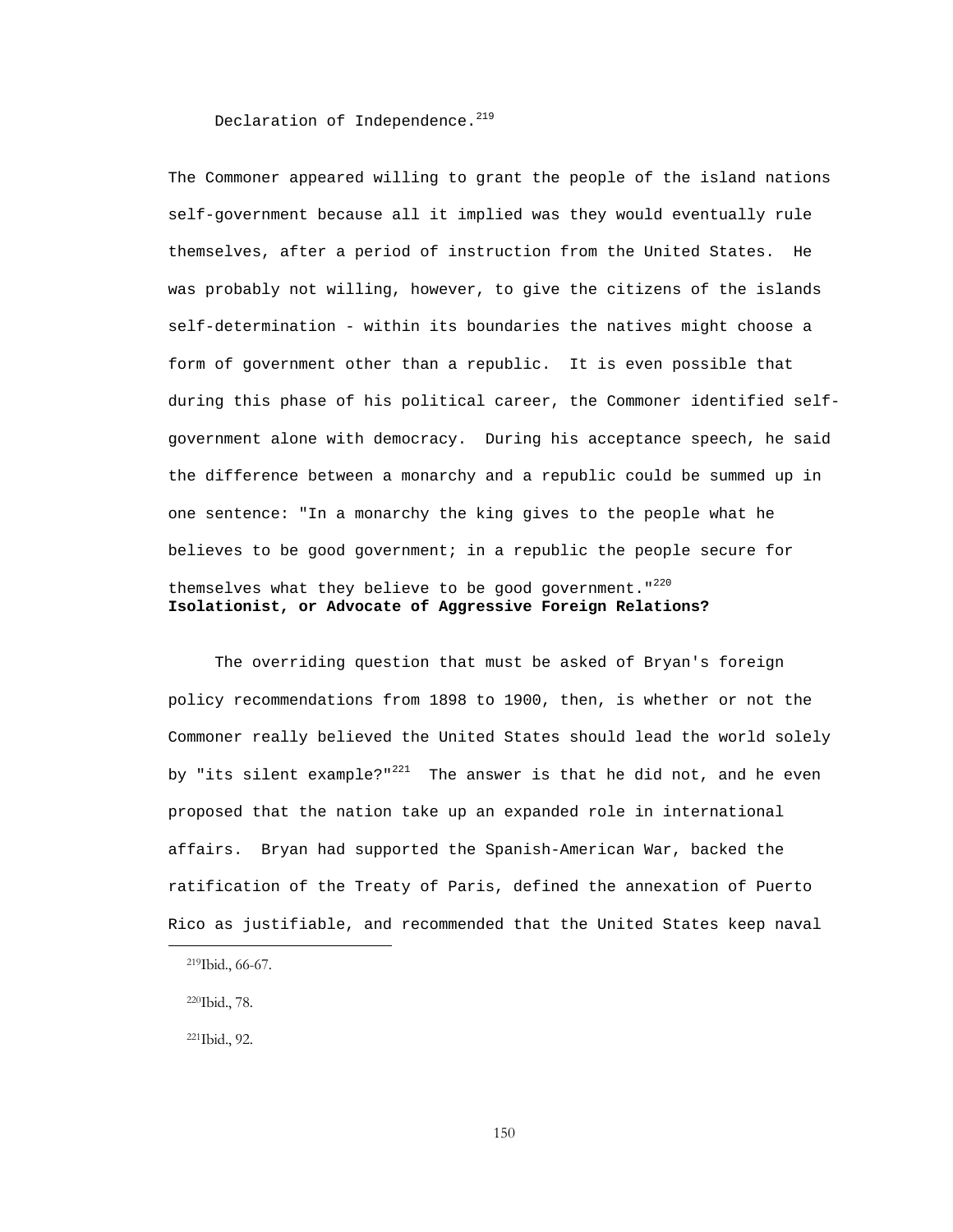Declaration of Independence.<sup>219</sup>

The Commoner appeared willing to grant the people of the island nations self-government because all it implied was they would eventually rule themselves, after a period of instruction from the United States. He was probably not willing, however, to give the citizens of the islands self-determination - within its boundaries the natives might choose a form of government other than a republic. It is even possible that during this phase of his political career, the Commoner identified selfgovernment alone with democracy. During his acceptance speech, he said the difference between a monarchy and a republic could be summed up in one sentence: "In a monarchy the king gives to the people what he believes to be good government; in a republic the people secure for themselves what they believe to be good government.  $1^{220}$ **Isolationist, or Advocate of Aggressive Foreign Relations?**

 The overriding question that must be asked of Bryan's foreign policy recommendations from 1898 to 1900, then, is whether or not the Commoner really believed the United States should lead the world solely by "its silent example?" $^{221}$  The answer is that he did not, and he even proposed that the nation take up an expanded role in international affairs. Bryan had supported the Spanish-American War, backed the ratification of the Treaty of Paris, defined the annexation of Puerto Rico as justifiable, and recommended that the United States keep naval

i

221Ibid., 92.

 <sup>219</sup>Ibid., 66-67.

 <sup>220</sup>Ibid., 78.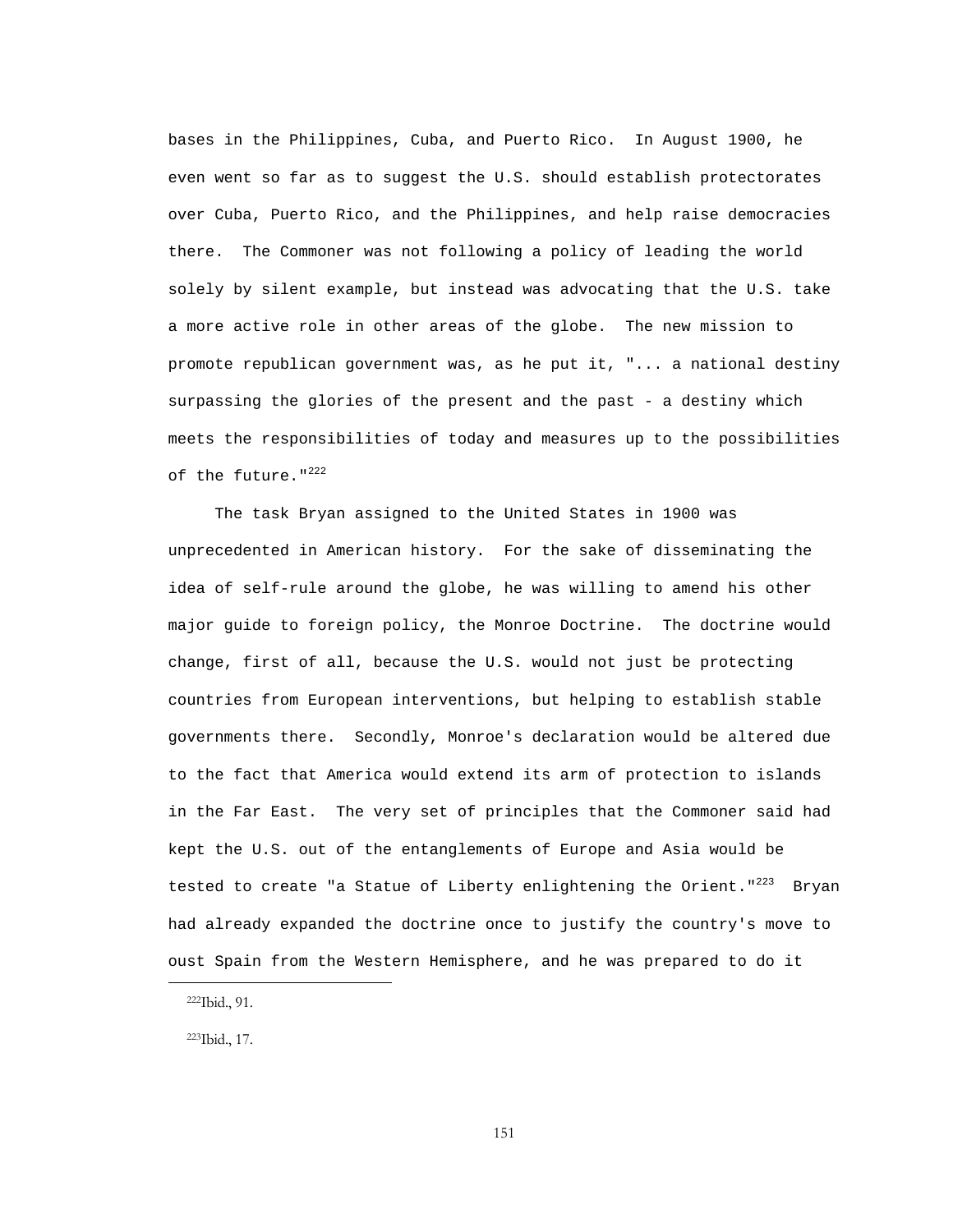bases in the Philippines, Cuba, and Puerto Rico. In August 1900, he even went so far as to suggest the U.S. should establish protectorates over Cuba, Puerto Rico, and the Philippines, and help raise democracies there. The Commoner was not following a policy of leading the world solely by silent example, but instead was advocating that the U.S. take a more active role in other areas of the globe. The new mission to promote republican government was, as he put it, "... a national destiny surpassing the glories of the present and the past - a destiny which meets the responsibilities of today and measures up to the possibilities of the future."<sup>222</sup>

 The task Bryan assigned to the United States in 1900 was unprecedented in American history. For the sake of disseminating the idea of self-rule around the globe, he was willing to amend his other major guide to foreign policy, the Monroe Doctrine. The doctrine would change, first of all, because the U.S. would not just be protecting countries from European interventions, but helping to establish stable governments there. Secondly, Monroe's declaration would be altered due to the fact that America would extend its arm of protection to islands in the Far East. The very set of principles that the Commoner said had kept the U.S. out of the entanglements of Europe and Asia would be tested to create "a Statue of Liberty enlightening the Orient." $^{223}$  Bryan had already expanded the doctrine once to justify the country's move to oust Spain from the Western Hemisphere, and he was prepared to do it

i

223Ibid., 17.

 <sup>222</sup>Ibid., 91.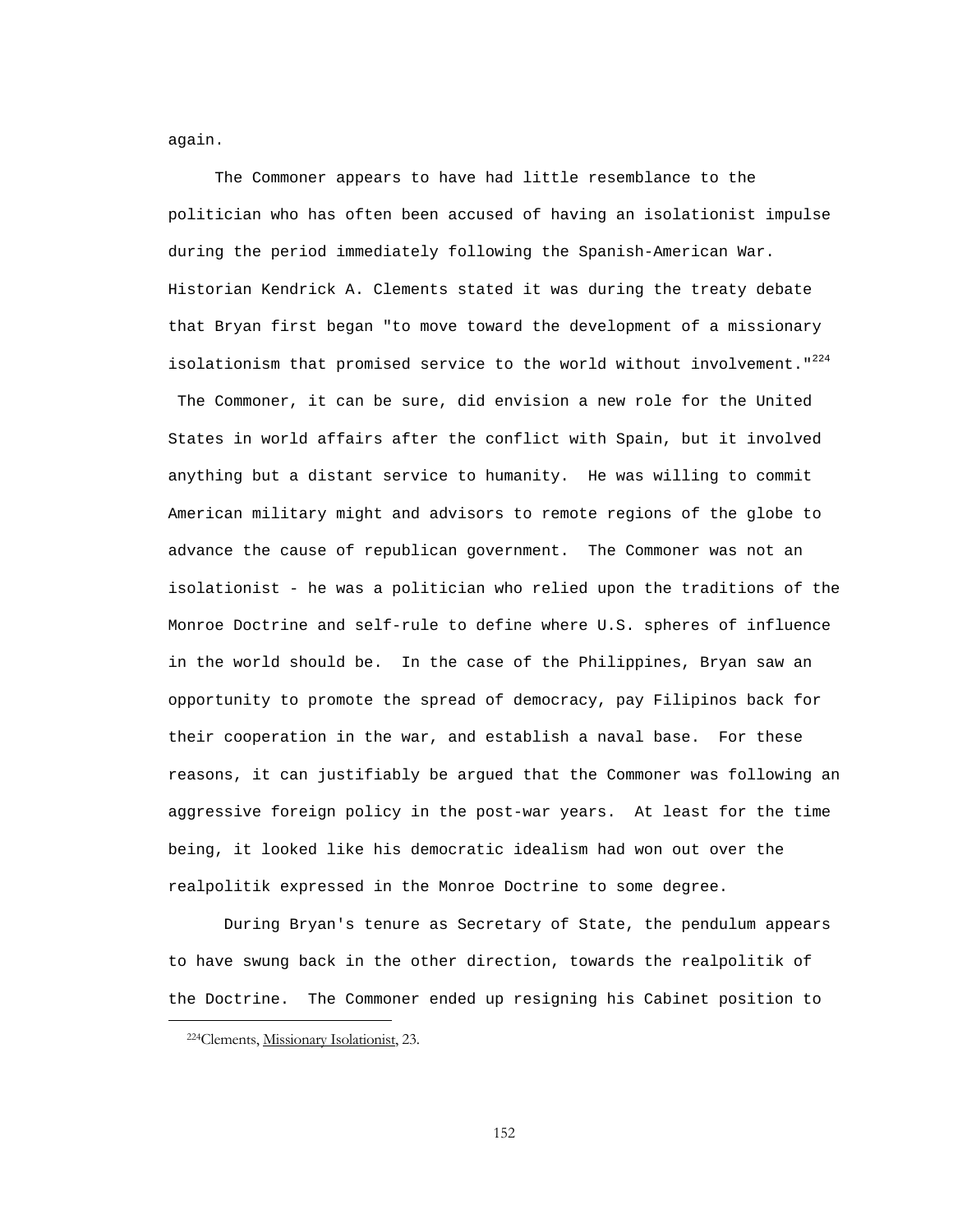again.

 The Commoner appears to have had little resemblance to the politician who has often been accused of having an isolationist impulse during the period immediately following the Spanish-American War. Historian Kendrick A. Clements stated it was during the treaty debate that Bryan first began "to move toward the development of a missionary isolationism that promised service to the world without involvement.  $"^{224}$  The Commoner, it can be sure, did envision a new role for the United States in world affairs after the conflict with Spain, but it involved anything but a distant service to humanity. He was willing to commit American military might and advisors to remote regions of the globe to advance the cause of republican government. The Commoner was not an isolationist - he was a politician who relied upon the traditions of the Monroe Doctrine and self-rule to define where U.S. spheres of influence in the world should be. In the case of the Philippines, Bryan saw an opportunity to promote the spread of democracy, pay Filipinos back for their cooperation in the war, and establish a naval base. For these reasons, it can justifiably be argued that the Commoner was following an aggressive foreign policy in the post-war years. At least for the time being, it looked like his democratic idealism had won out over the realpolitik expressed in the Monroe Doctrine to some degree.

 During Bryan's tenure as Secretary of State, the pendulum appears to have swung back in the other direction, towards the realpolitik of the Doctrine. The Commoner ended up resigning his Cabinet position to i

 <sup>224</sup>Clements, Missionary Isolationist, 23.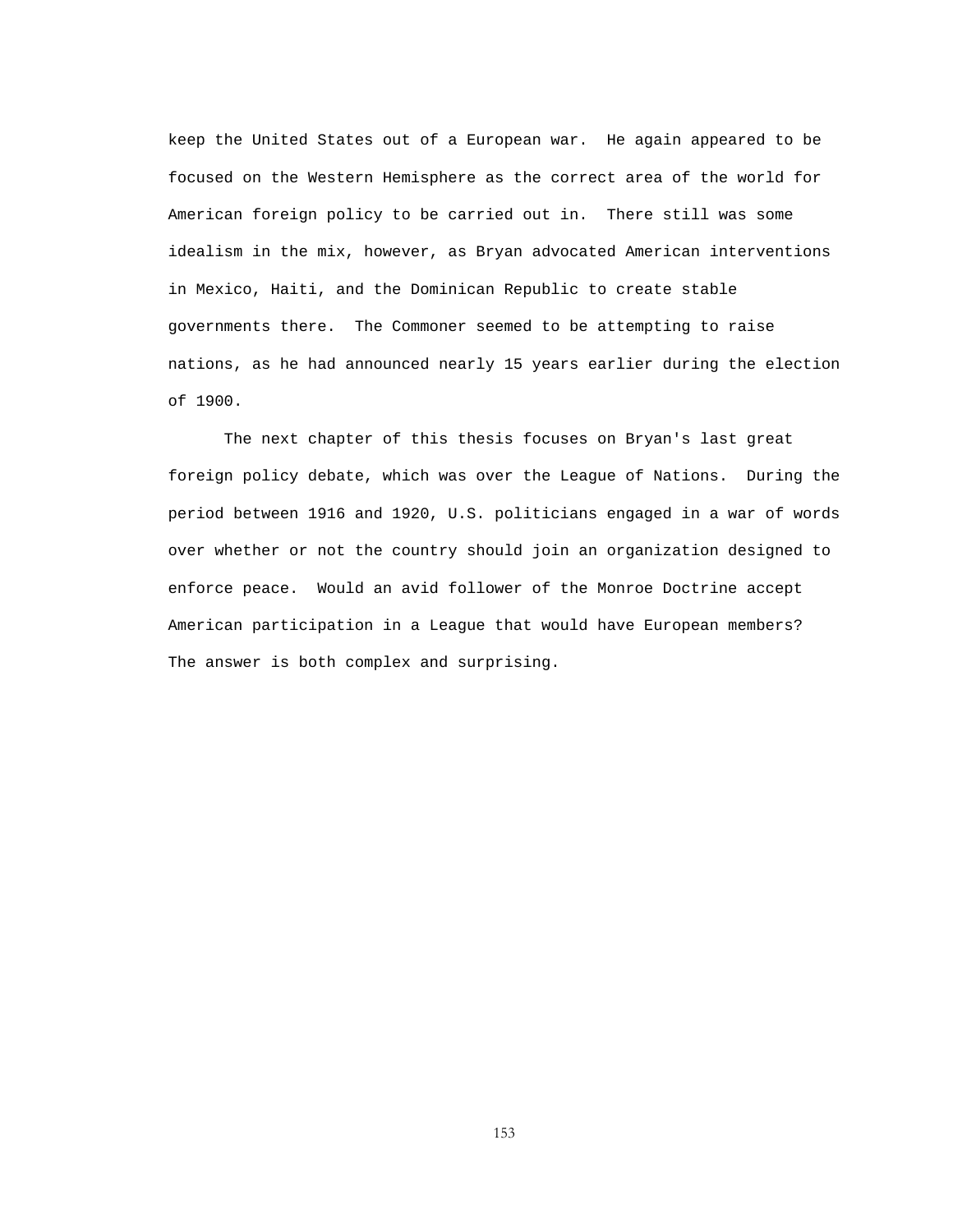keep the United States out of a European war. He again appeared to be focused on the Western Hemisphere as the correct area of the world for American foreign policy to be carried out in. There still was some idealism in the mix, however, as Bryan advocated American interventions in Mexico, Haiti, and the Dominican Republic to create stable governments there. The Commoner seemed to be attempting to raise nations, as he had announced nearly 15 years earlier during the election of 1900.

 The next chapter of this thesis focuses on Bryan's last great foreign policy debate, which was over the League of Nations. During the period between 1916 and 1920, U.S. politicians engaged in a war of words over whether or not the country should join an organization designed to enforce peace. Would an avid follower of the Monroe Doctrine accept American participation in a League that would have European members? The answer is both complex and surprising.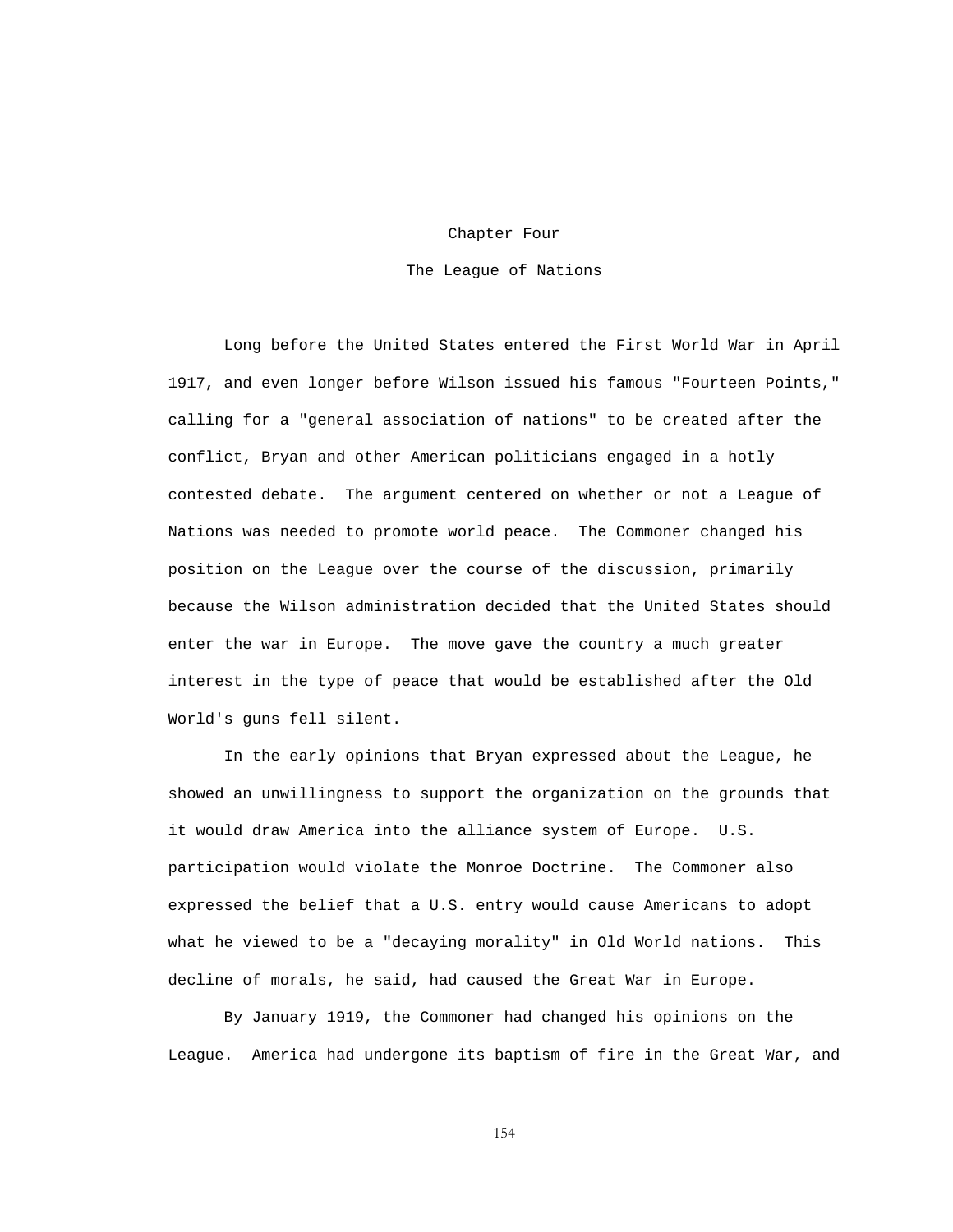# Chapter Four The League of Nations

 Long before the United States entered the First World War in April 1917, and even longer before Wilson issued his famous "Fourteen Points," calling for a "general association of nations" to be created after the conflict, Bryan and other American politicians engaged in a hotly contested debate. The argument centered on whether or not a League of Nations was needed to promote world peace. The Commoner changed his position on the League over the course of the discussion, primarily because the Wilson administration decided that the United States should enter the war in Europe. The move gave the country a much greater interest in the type of peace that would be established after the Old World's guns fell silent.

 In the early opinions that Bryan expressed about the League, he showed an unwillingness to support the organization on the grounds that it would draw America into the alliance system of Europe. U.S. participation would violate the Monroe Doctrine. The Commoner also expressed the belief that a U.S. entry would cause Americans to adopt what he viewed to be a "decaying morality" in Old World nations. This decline of morals, he said, had caused the Great War in Europe.

 By January 1919, the Commoner had changed his opinions on the League. America had undergone its baptism of fire in the Great War, and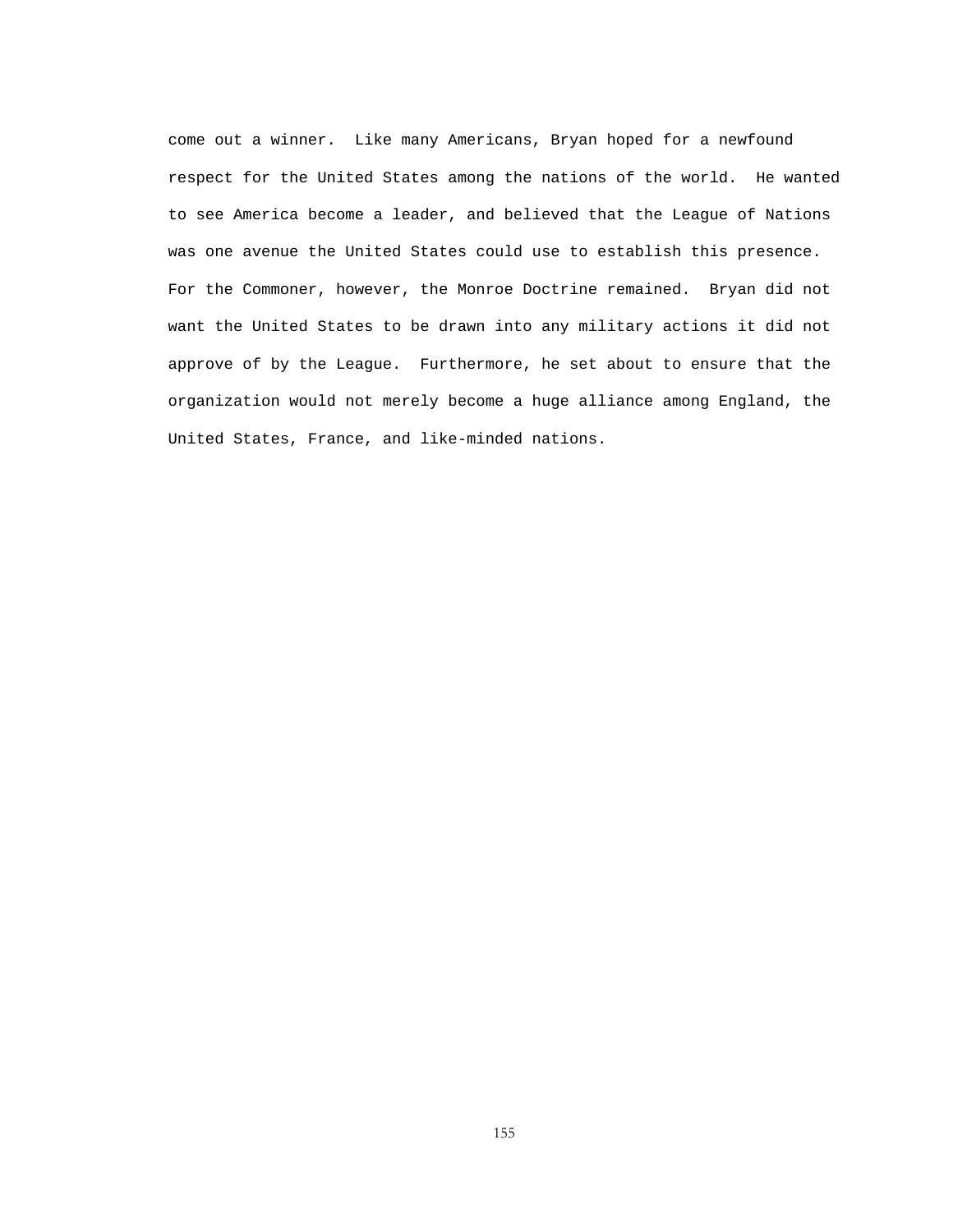come out a winner. Like many Americans, Bryan hoped for a newfound respect for the United States among the nations of the world. He wanted to see America become a leader, and believed that the League of Nations was one avenue the United States could use to establish this presence. For the Commoner, however, the Monroe Doctrine remained. Bryan did not want the United States to be drawn into any military actions it did not approve of by the League. Furthermore, he set about to ensure that the organization would not merely become a huge alliance among England, the United States, France, and like-minded nations.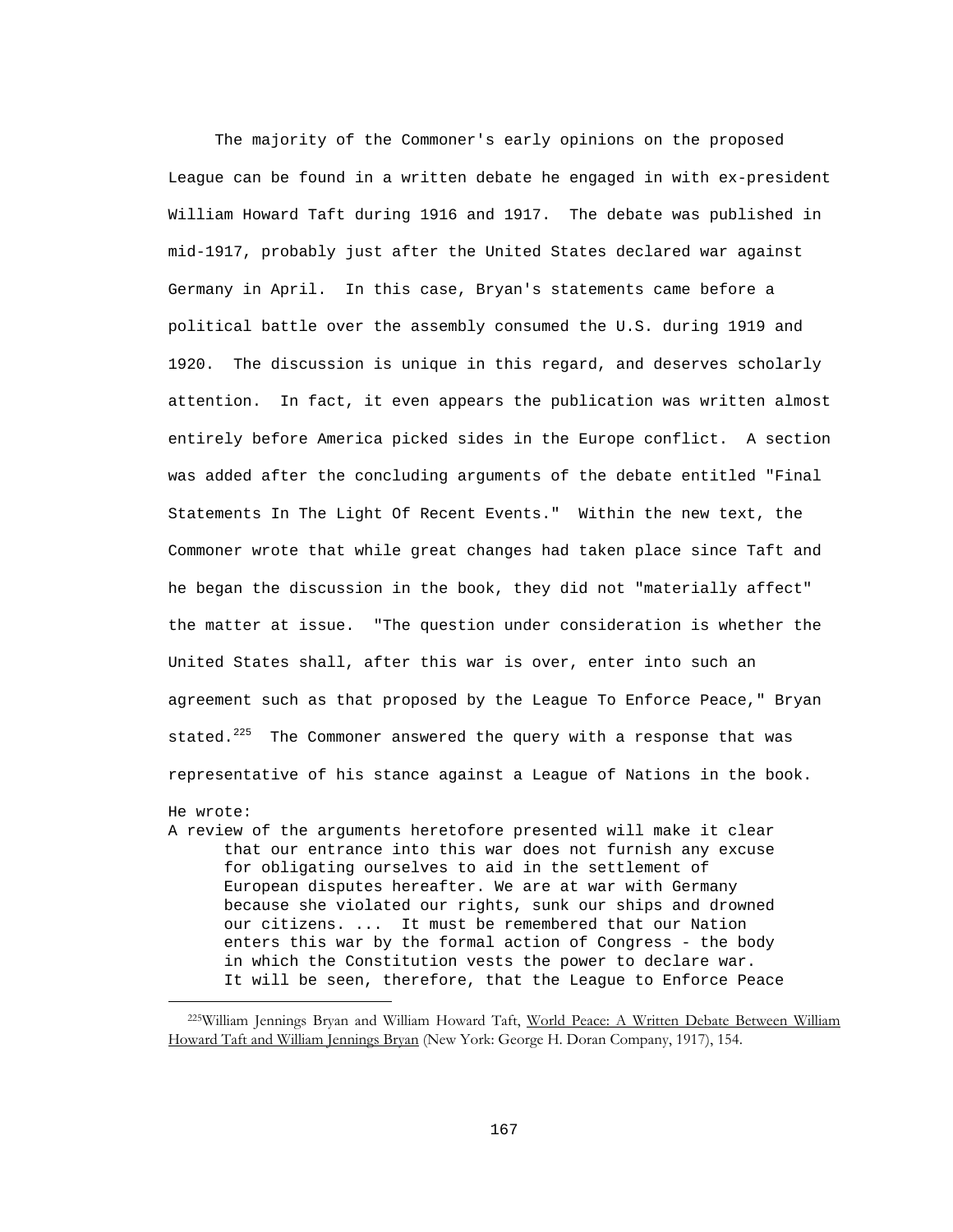The majority of the Commoner's early opinions on the proposed League can be found in a written debate he engaged in with ex-president William Howard Taft during 1916 and 1917. The debate was published in mid-1917, probably just after the United States declared war against Germany in April. In this case, Bryan's statements came before a political battle over the assembly consumed the U.S. during 1919 and 1920. The discussion is unique in this regard, and deserves scholarly attention. In fact, it even appears the publication was written almost entirely before America picked sides in the Europe conflict. A section was added after the concluding arguments of the debate entitled "Final Statements In The Light Of Recent Events." Within the new text, the Commoner wrote that while great changes had taken place since Taft and he began the discussion in the book, they did not "materially affect" the matter at issue. "The question under consideration is whether the United States shall, after this war is over, enter into such an agreement such as that proposed by the League To Enforce Peace," Bryan stated. $225$  The Commoner answered the query with a response that was representative of his stance against a League of Nations in the book.

He wrote:

i

A review of the arguments heretofore presented will make it clear that our entrance into this war does not furnish any excuse for obligating ourselves to aid in the settlement of European disputes hereafter. We are at war with Germany because she violated our rights, sunk our ships and drowned our citizens. ... It must be remembered that our Nation enters this war by the formal action of Congress - the body in which the Constitution vests the power to declare war. It will be seen, therefore, that the League to Enforce Peace

<sup>&</sup>lt;sup>225</sup>William Jennings Bryan and William Howard Taft, World Peace: A Written Debate Between William Howard Taft and William Jennings Bryan (New York: George H. Doran Company, 1917), 154.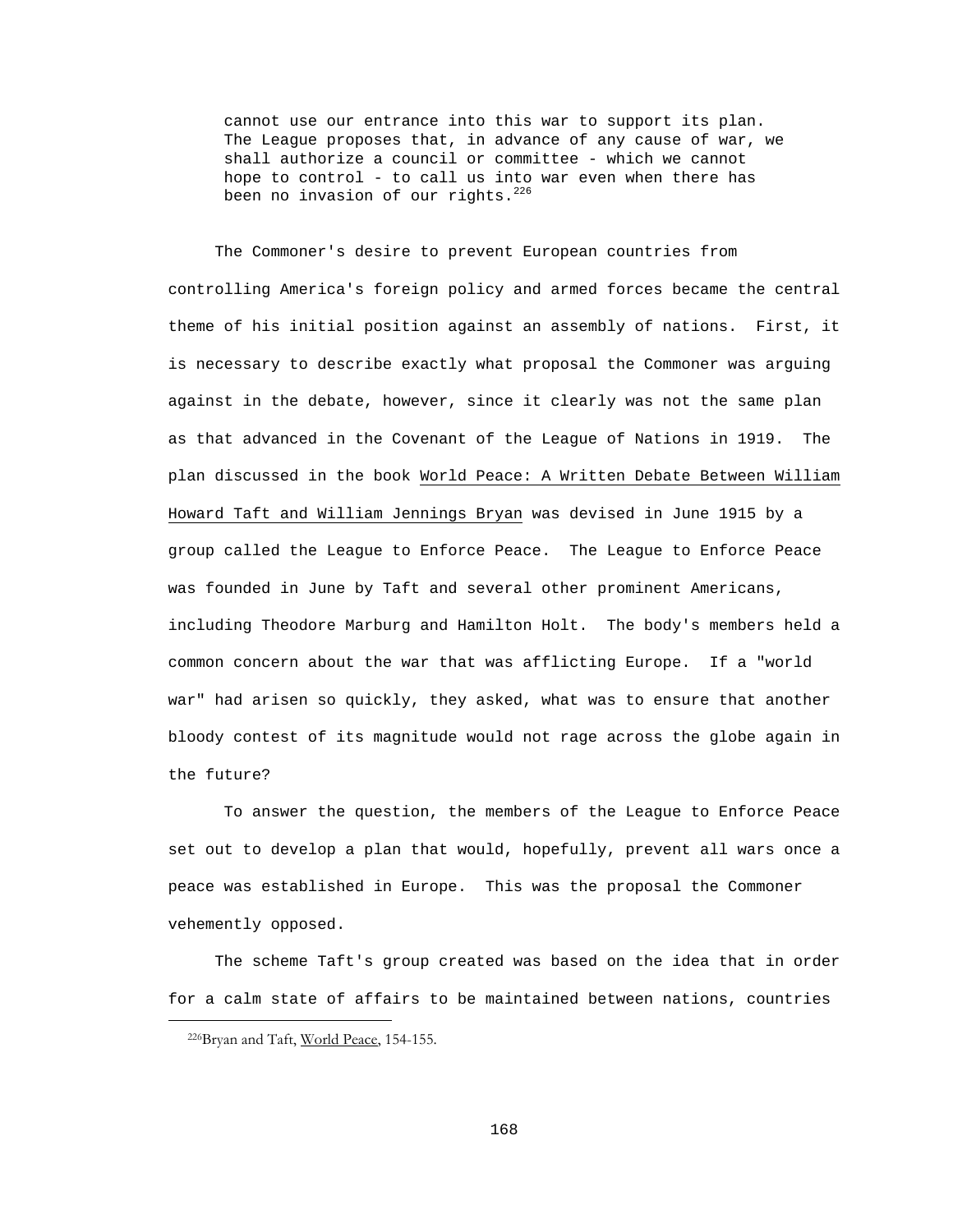cannot use our entrance into this war to support its plan. The League proposes that, in advance of any cause of war, we shall authorize a council or committee - which we cannot hope to control - to call us into war even when there has been no invasion of our rights.<sup>226</sup>

 The Commoner's desire to prevent European countries from controlling America's foreign policy and armed forces became the central theme of his initial position against an assembly of nations. First, it is necessary to describe exactly what proposal the Commoner was arguing against in the debate, however, since it clearly was not the same plan as that advanced in the Covenant of the League of Nations in 1919. The plan discussed in the book World Peace: A Written Debate Between William Howard Taft and William Jennings Bryan was devised in June 1915 by a group called the League to Enforce Peace. The League to Enforce Peace was founded in June by Taft and several other prominent Americans, including Theodore Marburg and Hamilton Holt. The body's members held a common concern about the war that was afflicting Europe. If a "world war" had arisen so quickly, they asked, what was to ensure that another bloody contest of its magnitude would not rage across the globe again in the future?

 To answer the question, the members of the League to Enforce Peace set out to develop a plan that would, hopefully, prevent all wars once a peace was established in Europe. This was the proposal the Commoner vehemently opposed.

 The scheme Taft's group created was based on the idea that in order for a calm state of affairs to be maintained between nations, countries

i

 <sup>226</sup>Bryan and Taft, World Peace, 154-155.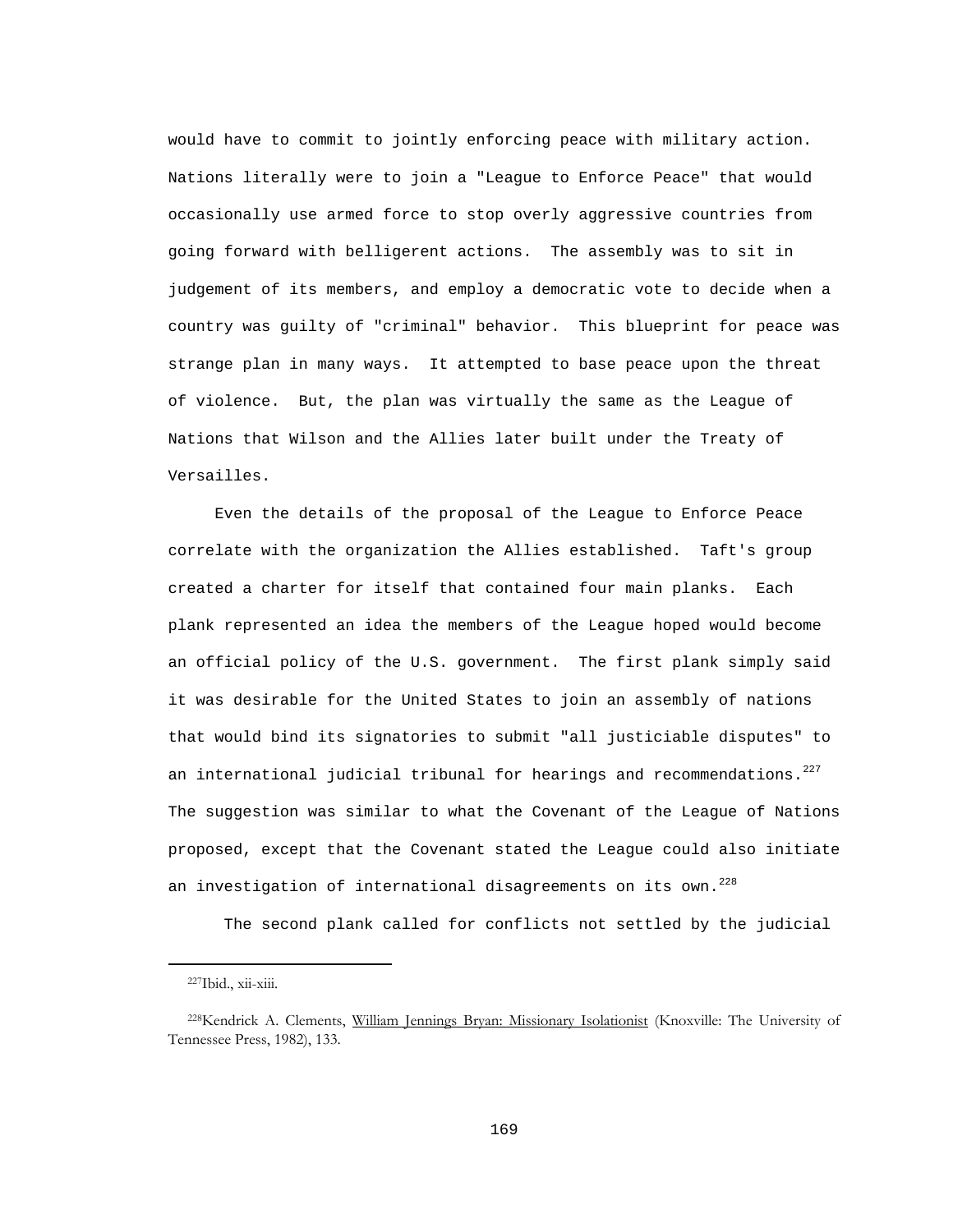would have to commit to jointly enforcing peace with military action. Nations literally were to join a "League to Enforce Peace" that would occasionally use armed force to stop overly aggressive countries from going forward with belligerent actions. The assembly was to sit in judgement of its members, and employ a democratic vote to decide when a country was guilty of "criminal" behavior. This blueprint for peace was strange plan in many ways. It attempted to base peace upon the threat of violence. But, the plan was virtually the same as the League of Nations that Wilson and the Allies later built under the Treaty of Versailles.

 Even the details of the proposal of the League to Enforce Peace correlate with the organization the Allies established. Taft's group created a charter for itself that contained four main planks. Each plank represented an idea the members of the League hoped would become an official policy of the U.S. government. The first plank simply said it was desirable for the United States to join an assembly of nations that would bind its signatories to submit "all justiciable disputes" to an international judicial tribunal for hearings and recommendations. $^{227}$ The suggestion was similar to what the Covenant of the League of Nations proposed, except that the Covenant stated the League could also initiate an investigation of international disagreements on its own.<sup>228</sup>

The second plank called for conflicts not settled by the judicial

 <sup>227</sup>Ibid., xii-xiii.

<sup>&</sup>lt;sup>228</sup>Kendrick A. Clements, William Jennings Bryan: Missionary Isolationist (Knoxville: The University of Tennessee Press, 1982), 133.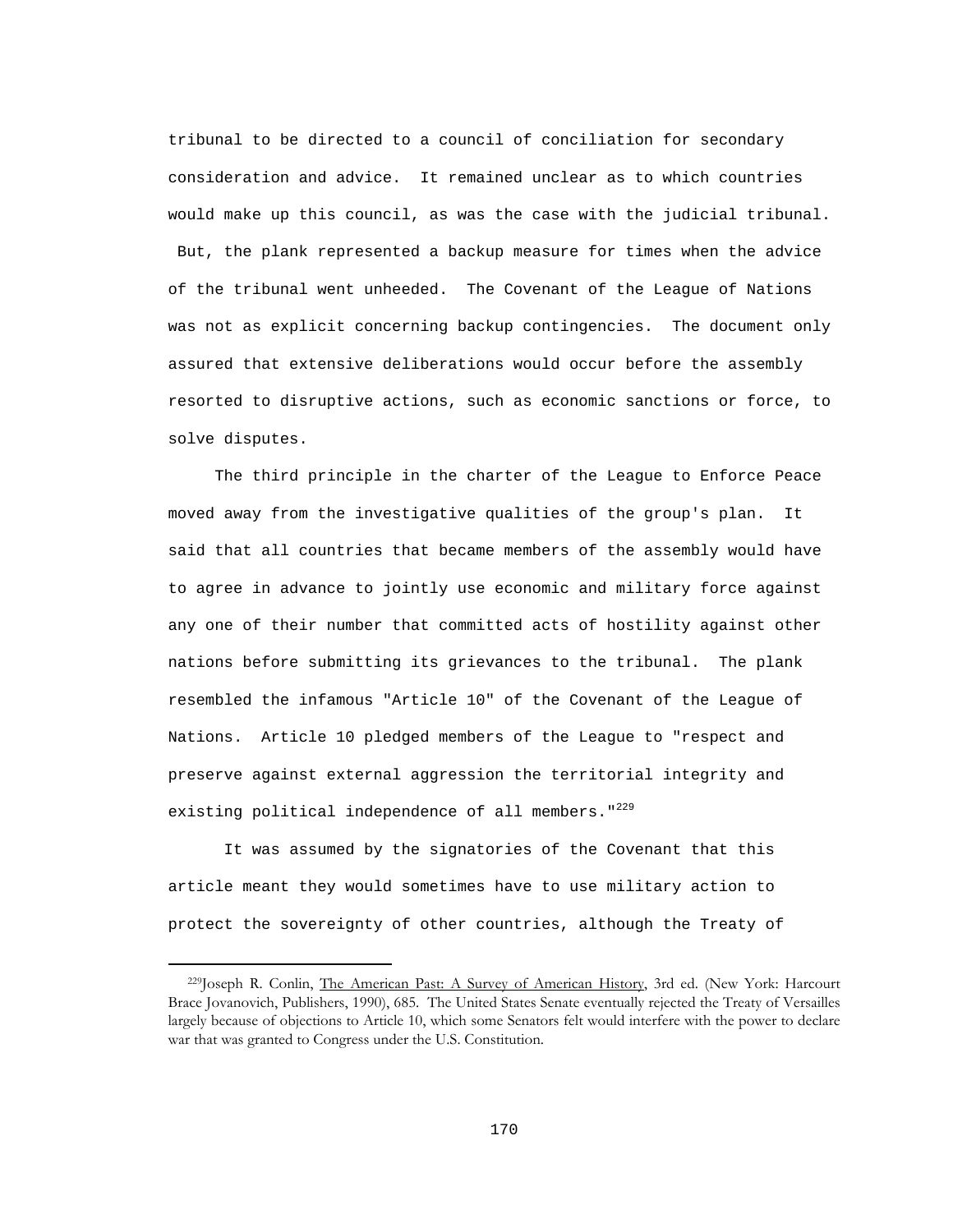tribunal to be directed to a council of conciliation for secondary consideration and advice. It remained unclear as to which countries would make up this council, as was the case with the judicial tribunal. But, the plank represented a backup measure for times when the advice of the tribunal went unheeded. The Covenant of the League of Nations was not as explicit concerning backup contingencies. The document only assured that extensive deliberations would occur before the assembly resorted to disruptive actions, such as economic sanctions or force, to solve disputes.

 The third principle in the charter of the League to Enforce Peace moved away from the investigative qualities of the group's plan. It said that all countries that became members of the assembly would have to agree in advance to jointly use economic and military force against any one of their number that committed acts of hostility against other nations before submitting its grievances to the tribunal. The plank resembled the infamous "Article 10" of the Covenant of the League of Nations. Article 10 pledged members of the League to "respect and preserve against external aggression the territorial integrity and existing political independence of all members. "<sup>229</sup>

 It was assumed by the signatories of the Covenant that this article meant they would sometimes have to use military action to protect the sovereignty of other countries, although the Treaty of

<sup>&</sup>lt;sup>229</sup>Joseph R. Conlin, The American Past: A Survey of American History, 3rd ed. (New York: Harcourt Brace Jovanovich, Publishers, 1990), 685. The United States Senate eventually rejected the Treaty of Versailles largely because of objections to Article 10, which some Senators felt would interfere with the power to declare war that was granted to Congress under the U.S. Constitution.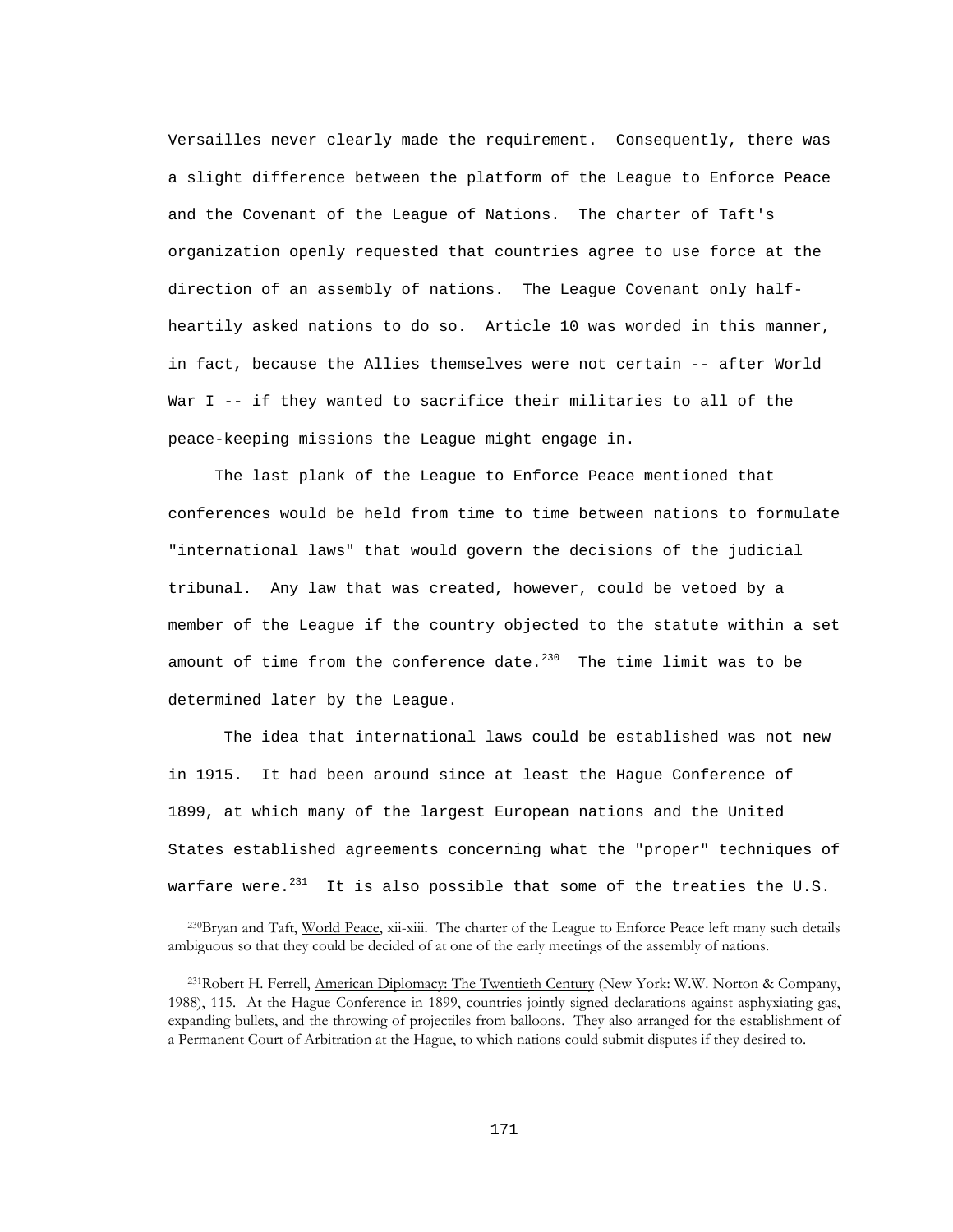Versailles never clearly made the requirement. Consequently, there was a slight difference between the platform of the League to Enforce Peace and the Covenant of the League of Nations. The charter of Taft's organization openly requested that countries agree to use force at the direction of an assembly of nations. The League Covenant only halfheartily asked nations to do so. Article 10 was worded in this manner, in fact, because the Allies themselves were not certain -- after World War I -- if they wanted to sacrifice their militaries to all of the peace-keeping missions the League might engage in.

 The last plank of the League to Enforce Peace mentioned that conferences would be held from time to time between nations to formulate "international laws" that would govern the decisions of the judicial tribunal. Any law that was created, however, could be vetoed by a member of the League if the country objected to the statute within a set amount of time from the conference date. $^{230}$  The time limit was to be determined later by the League.

 The idea that international laws could be established was not new in 1915. It had been around since at least the Hague Conference of 1899, at which many of the largest European nations and the United States established agreements concerning what the "proper" techniques of warfare were. $^{231}$  It is also possible that some of the treaties the U.S.

<sup>&</sup>lt;sup>230</sup>Bryan and Taft, World Peace, xii-xiii. The charter of the League to Enforce Peace left many such details ambiguous so that they could be decided of at one of the early meetings of the assembly of nations.

<sup>&</sup>lt;sup>231</sup>Robert H. Ferrell, American Diplomacy: The Twentieth Century (New York: W.W. Norton & Company, 1988), 115. At the Hague Conference in 1899, countries jointly signed declarations against asphyxiating gas, expanding bullets, and the throwing of projectiles from balloons. They also arranged for the establishment of a Permanent Court of Arbitration at the Hague, to which nations could submit disputes if they desired to.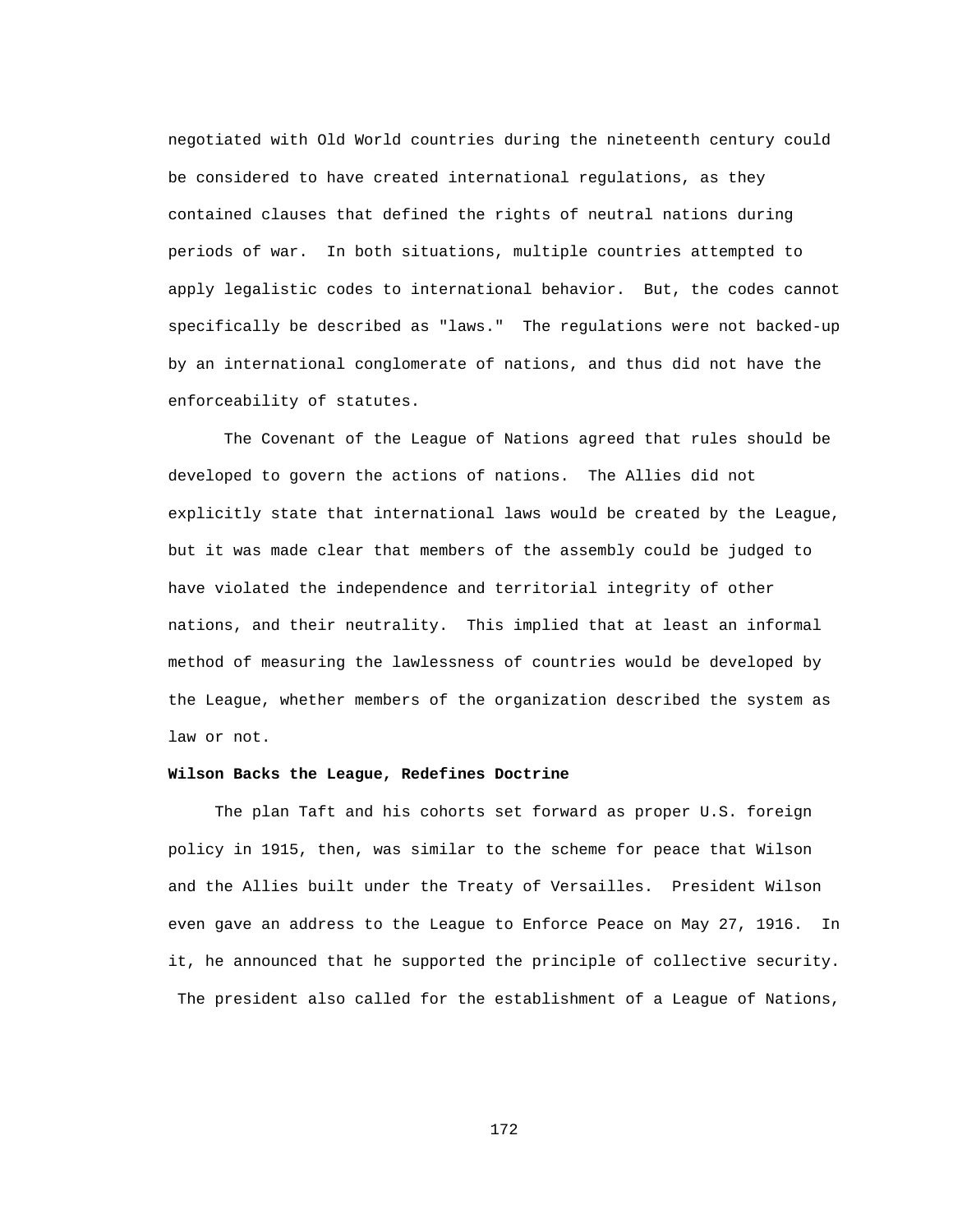negotiated with Old World countries during the nineteenth century could be considered to have created international regulations, as they contained clauses that defined the rights of neutral nations during periods of war. In both situations, multiple countries attempted to apply legalistic codes to international behavior. But, the codes cannot specifically be described as "laws." The regulations were not backed-up by an international conglomerate of nations, and thus did not have the enforceability of statutes.

 The Covenant of the League of Nations agreed that rules should be developed to govern the actions of nations. The Allies did not explicitly state that international laws would be created by the League, but it was made clear that members of the assembly could be judged to have violated the independence and territorial integrity of other nations, and their neutrality. This implied that at least an informal method of measuring the lawlessness of countries would be developed by the League, whether members of the organization described the system as law or not.

#### **Wilson Backs the League, Redefines Doctrine**

 The plan Taft and his cohorts set forward as proper U.S. foreign policy in 1915, then, was similar to the scheme for peace that Wilson and the Allies built under the Treaty of Versailles. President Wilson even gave an address to the League to Enforce Peace on May 27, 1916. In it, he announced that he supported the principle of collective security. The president also called for the establishment of a League of Nations,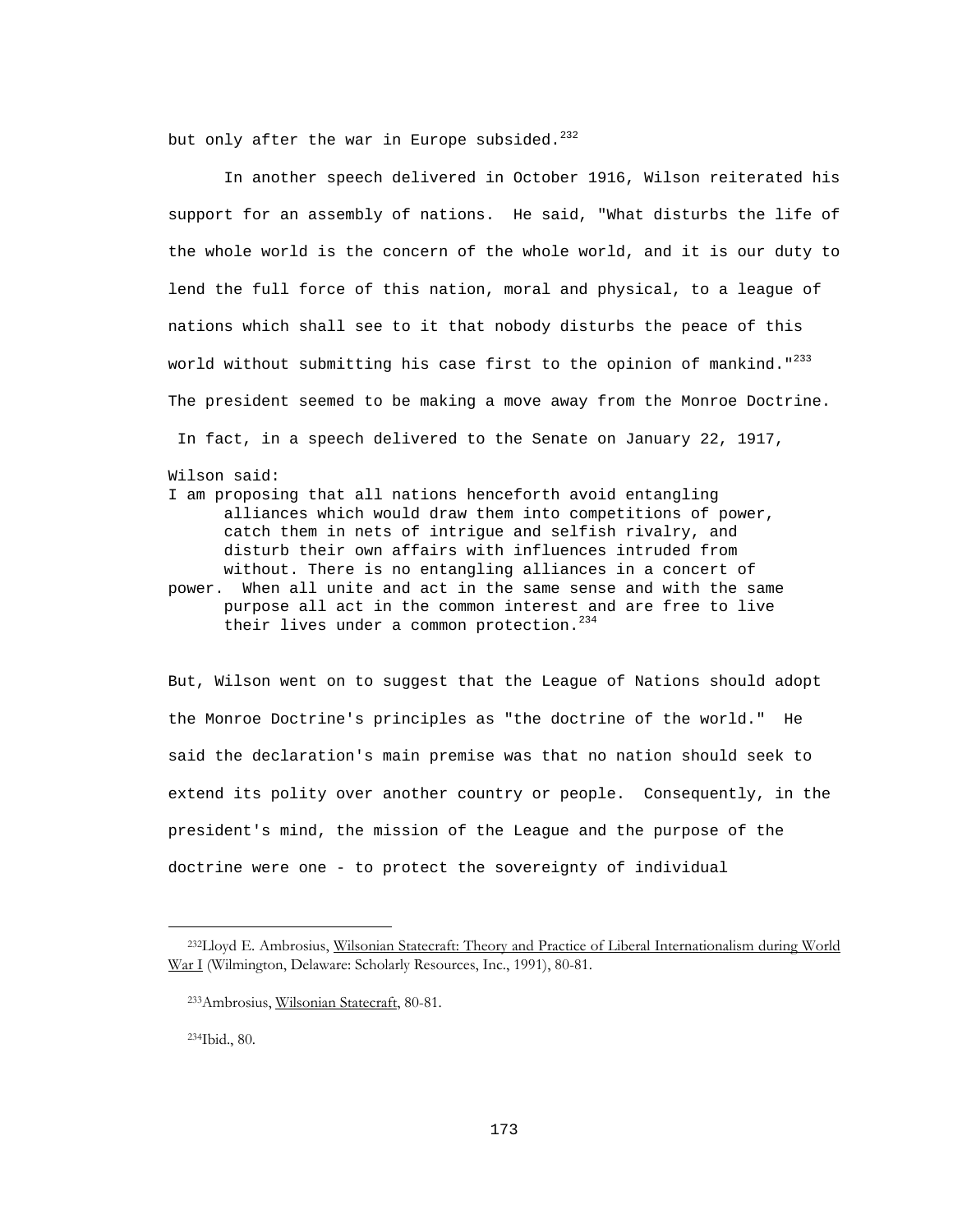but only after the war in Europe subsided.<sup>232</sup>

 In another speech delivered in October 1916, Wilson reiterated his support for an assembly of nations. He said, "What disturbs the life of the whole world is the concern of the whole world, and it is our duty to lend the full force of this nation, moral and physical, to a league of nations which shall see to it that nobody disturbs the peace of this world without submitting his case first to the opinion of mankind."<sup>233</sup> The president seemed to be making a move away from the Monroe Doctrine. In fact, in a speech delivered to the Senate on January 22, 1917,

Wilson said:

I am proposing that all nations henceforth avoid entangling alliances which would draw them into competitions of power, catch them in nets of intrigue and selfish rivalry, and disturb their own affairs with influences intruded from without. There is no entangling alliances in a concert of power. When all unite and act in the same sense and with the same purpose all act in the common interest and are free to live their lives under a common protection.  $234$ 

But, Wilson went on to suggest that the League of Nations should adopt the Monroe Doctrine's principles as "the doctrine of the world." He said the declaration's main premise was that no nation should seek to extend its polity over another country or people. Consequently, in the president's mind, the mission of the League and the purpose of the doctrine were one - to protect the sovereignty of individual

234Ibid., 80.

<sup>&</sup>lt;sup>232</sup>Lloyd E. Ambrosius, Wilsonian Statecraft: Theory and Practice of Liberal Internationalism during World War I (Wilmington, Delaware: Scholarly Resources, Inc., 1991), 80-81.

 <sup>233</sup>Ambrosius, Wilsonian Statecraft, 80-81.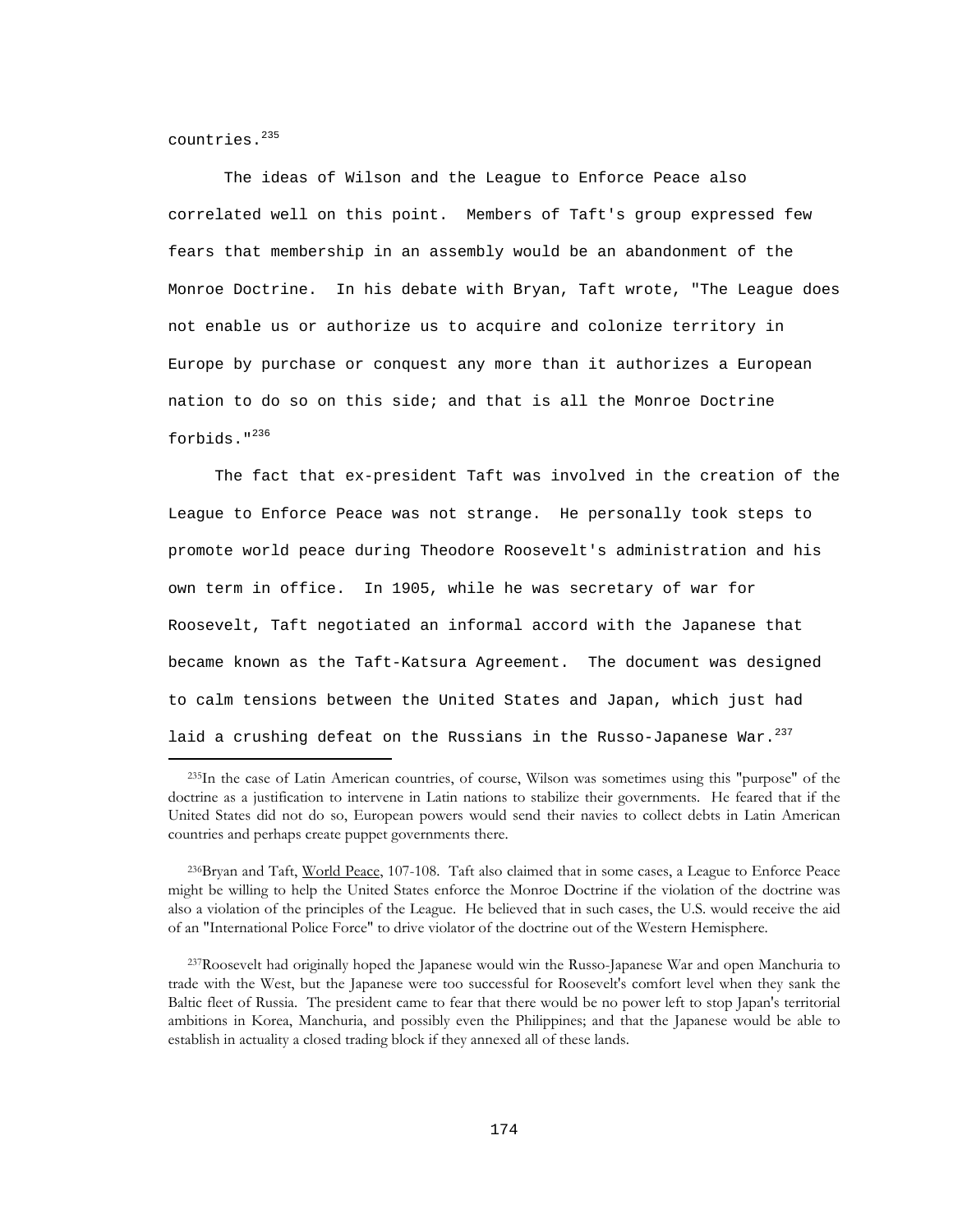$countries.<sup>235</sup>$ 

i

 The ideas of Wilson and the League to Enforce Peace also correlated well on this point. Members of Taft's group expressed few fears that membership in an assembly would be an abandonment of the Monroe Doctrine. In his debate with Bryan, Taft wrote, "The League does not enable us or authorize us to acquire and colonize territory in Europe by purchase or conquest any more than it authorizes a European nation to do so on this side; and that is all the Monroe Doctrine forbids."236

 The fact that ex-president Taft was involved in the creation of the League to Enforce Peace was not strange. He personally took steps to promote world peace during Theodore Roosevelt's administration and his own term in office. In 1905, while he was secretary of war for Roosevelt, Taft negotiated an informal accord with the Japanese that became known as the Taft-Katsura Agreement. The document was designed to calm tensions between the United States and Japan, which just had laid a crushing defeat on the Russians in the Russo-Japanese War.  $237$ 

 <sup>235</sup>In the case of Latin American countries, of course, Wilson was sometimes using this "purpose" of the doctrine as a justification to intervene in Latin nations to stabilize their governments. He feared that if the United States did not do so, European powers would send their navies to collect debts in Latin American countries and perhaps create puppet governments there.

<sup>&</sup>lt;sup>236</sup>Bryan and Taft, World Peace, 107-108. Taft also claimed that in some cases, a League to Enforce Peace might be willing to help the United States enforce the Monroe Doctrine if the violation of the doctrine was also a violation of the principles of the League. He believed that in such cases, the U.S. would receive the aid of an "International Police Force" to drive violator of the doctrine out of the Western Hemisphere.

 <sup>237</sup>Roosevelt had originally hoped the Japanese would win the Russo-Japanese War and open Manchuria to trade with the West, but the Japanese were too successful for Roosevelt's comfort level when they sank the Baltic fleet of Russia. The president came to fear that there would be no power left to stop Japan's territorial ambitions in Korea, Manchuria, and possibly even the Philippines; and that the Japanese would be able to establish in actuality a closed trading block if they annexed all of these lands.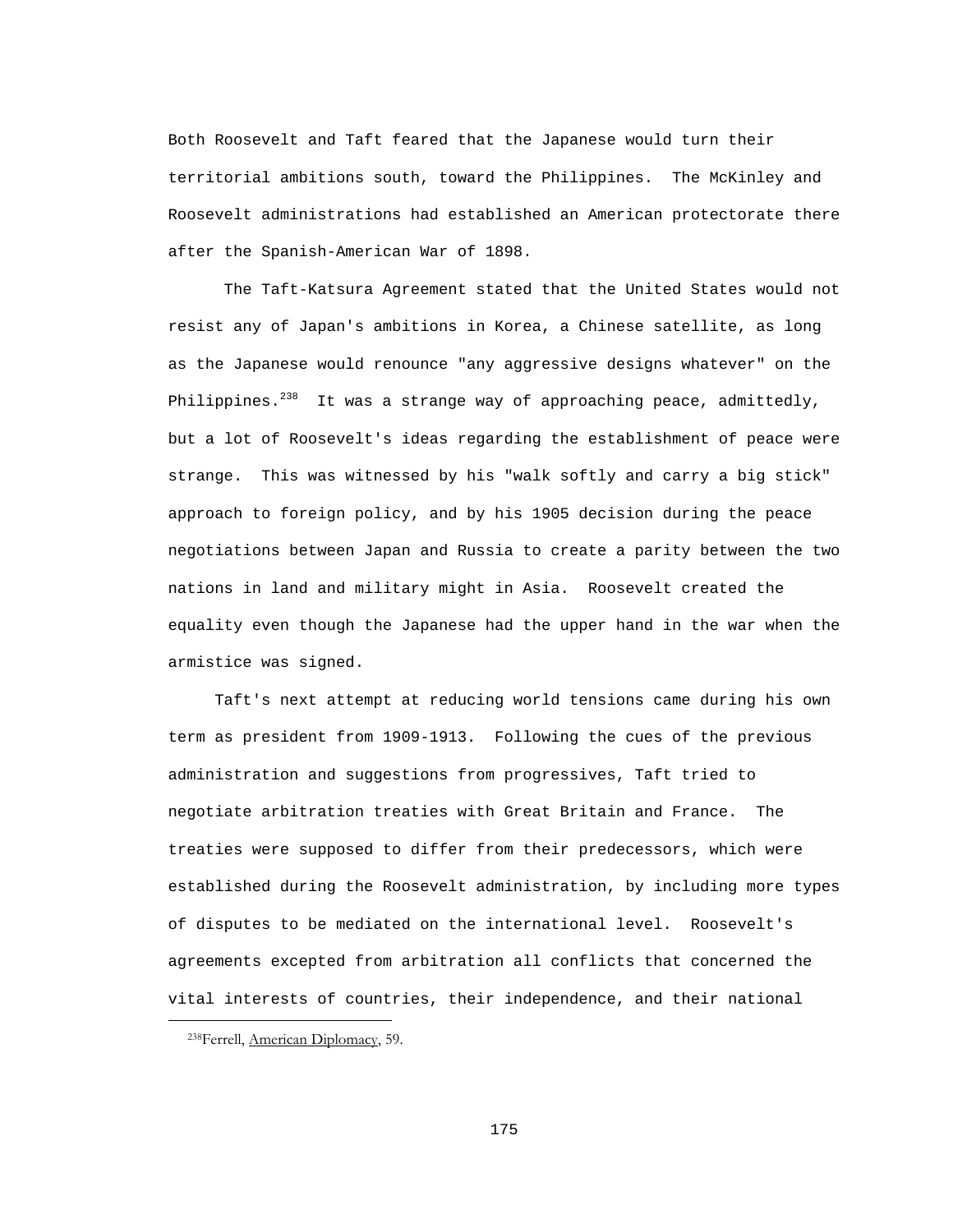Both Roosevelt and Taft feared that the Japanese would turn their territorial ambitions south, toward the Philippines. The McKinley and Roosevelt administrations had established an American protectorate there after the Spanish-American War of 1898.

 The Taft-Katsura Agreement stated that the United States would not resist any of Japan's ambitions in Korea, a Chinese satellite, as long as the Japanese would renounce "any aggressive designs whatever" on the Philippines.<sup>238</sup> It was a strange way of approaching peace, admittedly, but a lot of Roosevelt's ideas regarding the establishment of peace were strange. This was witnessed by his "walk softly and carry a big stick" approach to foreign policy, and by his 1905 decision during the peace negotiations between Japan and Russia to create a parity between the two nations in land and military might in Asia. Roosevelt created the equality even though the Japanese had the upper hand in the war when the armistice was signed.

 Taft's next attempt at reducing world tensions came during his own term as president from 1909-1913. Following the cues of the previous administration and suggestions from progressives, Taft tried to negotiate arbitration treaties with Great Britain and France. The treaties were supposed to differ from their predecessors, which were established during the Roosevelt administration, by including more types of disputes to be mediated on the international level. Roosevelt's agreements excepted from arbitration all conflicts that concerned the vital interests of countries, their independence, and their national i

 <sup>238</sup>Ferrell, American Diplomacy, 59.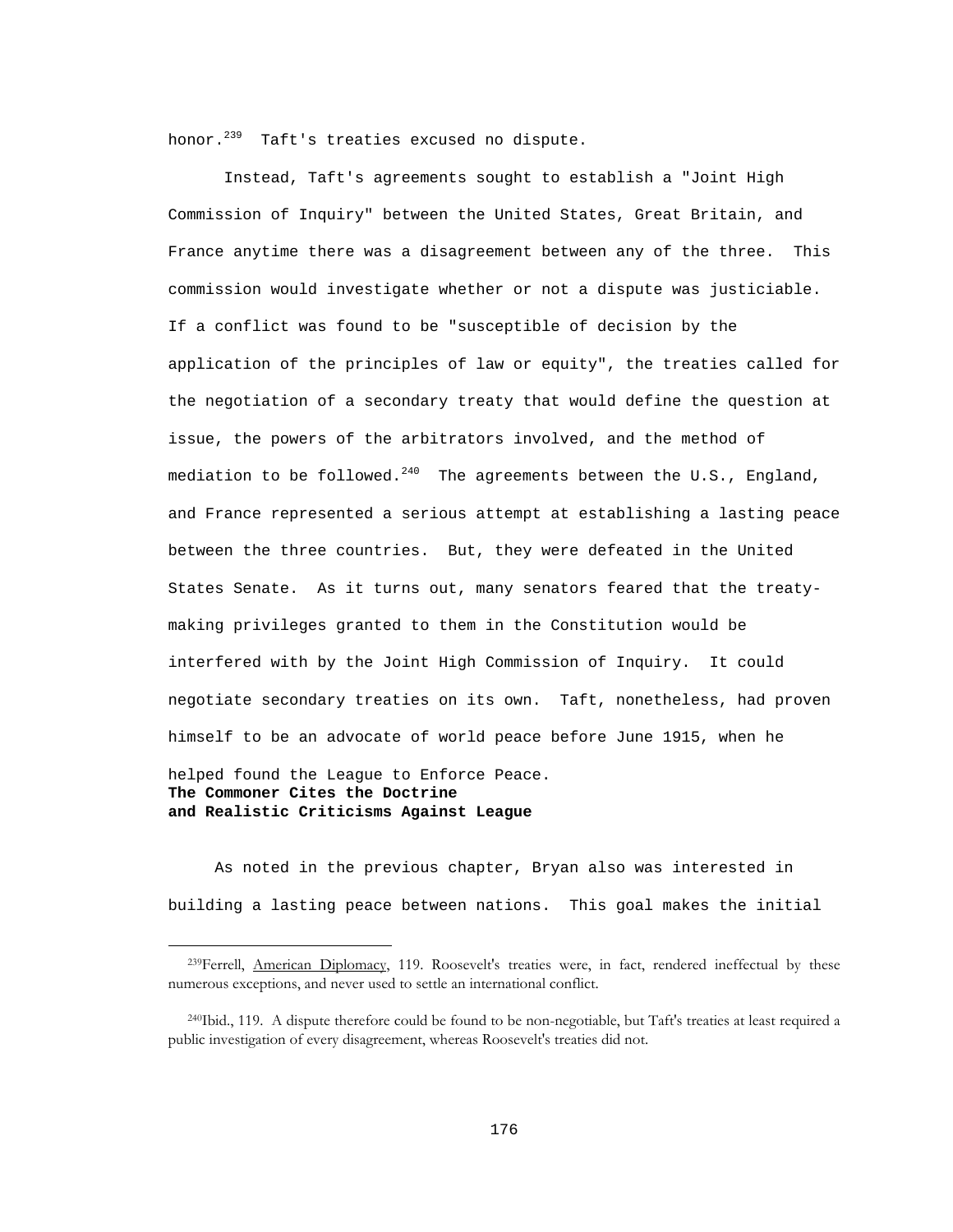honor.<sup>239</sup> Taft's treaties excused no dispute.

 Instead, Taft's agreements sought to establish a "Joint High Commission of Inquiry" between the United States, Great Britain, and France anytime there was a disagreement between any of the three. This commission would investigate whether or not a dispute was justiciable. If a conflict was found to be "susceptible of decision by the application of the principles of law or equity", the treaties called for the negotiation of a secondary treaty that would define the question at issue, the powers of the arbitrators involved, and the method of mediation to be followed.<sup>240</sup> The agreements between the U.S., England, and France represented a serious attempt at establishing a lasting peace between the three countries. But, they were defeated in the United States Senate. As it turns out, many senators feared that the treatymaking privileges granted to them in the Constitution would be interfered with by the Joint High Commission of Inquiry. It could negotiate secondary treaties on its own. Taft, nonetheless, had proven himself to be an advocate of world peace before June 1915, when he helped found the League to Enforce Peace. **The Commoner Cites the Doctrine and Realistic Criticisms Against League**

 As noted in the previous chapter, Bryan also was interested in building a lasting peace between nations. This goal makes the initial

<sup>&</sup>lt;sup>239</sup>Ferrell, American Diplomacy, 119. Roosevelt's treaties were, in fact, rendered ineffectual by these numerous exceptions, and never used to settle an international conflict.

 <sup>240</sup>Ibid., 119. A dispute therefore could be found to be non-negotiable, but Taft's treaties at least required a public investigation of every disagreement, whereas Roosevelt's treaties did not.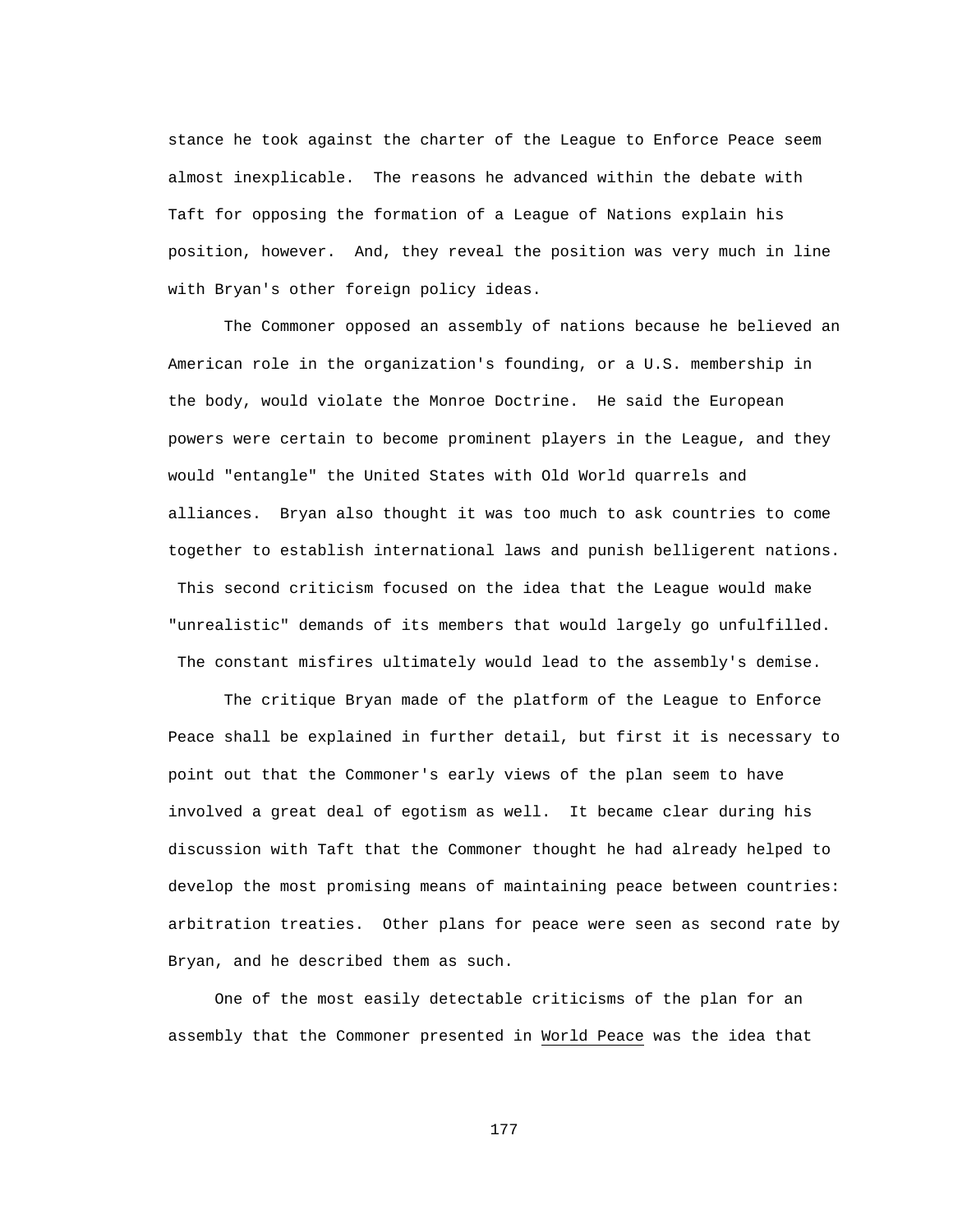stance he took against the charter of the League to Enforce Peace seem almost inexplicable. The reasons he advanced within the debate with Taft for opposing the formation of a League of Nations explain his position, however. And, they reveal the position was very much in line with Bryan's other foreign policy ideas.

 The Commoner opposed an assembly of nations because he believed an American role in the organization's founding, or a U.S. membership in the body, would violate the Monroe Doctrine. He said the European powers were certain to become prominent players in the League, and they would "entangle" the United States with Old World quarrels and alliances. Bryan also thought it was too much to ask countries to come together to establish international laws and punish belligerent nations. This second criticism focused on the idea that the League would make "unrealistic" demands of its members that would largely go unfulfilled. The constant misfires ultimately would lead to the assembly's demise.

 The critique Bryan made of the platform of the League to Enforce Peace shall be explained in further detail, but first it is necessary to point out that the Commoner's early views of the plan seem to have involved a great deal of egotism as well. It became clear during his discussion with Taft that the Commoner thought he had already helped to develop the most promising means of maintaining peace between countries: arbitration treaties. Other plans for peace were seen as second rate by Bryan, and he described them as such.

 One of the most easily detectable criticisms of the plan for an assembly that the Commoner presented in World Peace was the idea that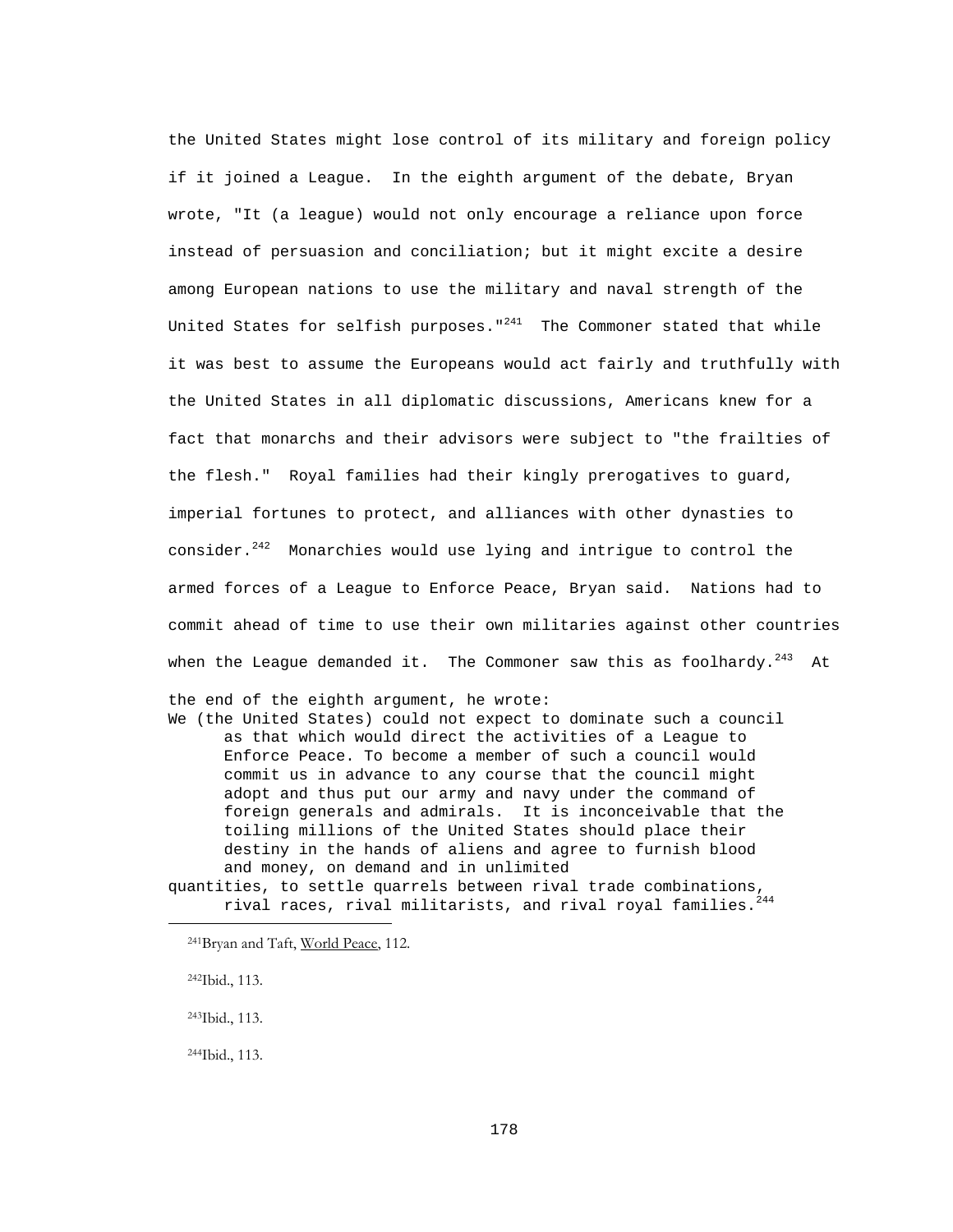the United States might lose control of its military and foreign policy if it joined a League. In the eighth argument of the debate, Bryan wrote, "It (a league) would not only encourage a reliance upon force instead of persuasion and conciliation; but it might excite a desire among European nations to use the military and naval strength of the United States for selfish purposes.  $1^{241}$  The Commoner stated that while it was best to assume the Europeans would act fairly and truthfully with the United States in all diplomatic discussions, Americans knew for a fact that monarchs and their advisors were subject to "the frailties of the flesh." Royal families had their kingly prerogatives to guard, imperial fortunes to protect, and alliances with other dynasties to consider. $242$  Monarchies would use lying and intrigue to control the armed forces of a League to Enforce Peace, Bryan said. Nations had to commit ahead of time to use their own militaries against other countries when the League demanded it. The Commoner saw this as foolhardy. $^{243}$  At the end of the eighth argument, he wrote: We (the United States) could not expect to dominate such a council as that which would direct the activities of a League to Enforce Peace. To become a member of such a council would

commit us in advance to any course that the council might adopt and thus put our army and navy under the command of foreign generals and admirals. It is inconceivable that the toiling millions of the United States should place their destiny in the hands of aliens and agree to furnish blood and money, on demand and in unlimited

quantities, to settle quarrels between rival trade combinations, rival races, rival militarists, and rival royal families. $^{244}$ 

<sup>241</sup>Bryan and Taft, World Peace, 112.

242Ibid., 113.

i

243Ibid., 113.

244Ibid., 113.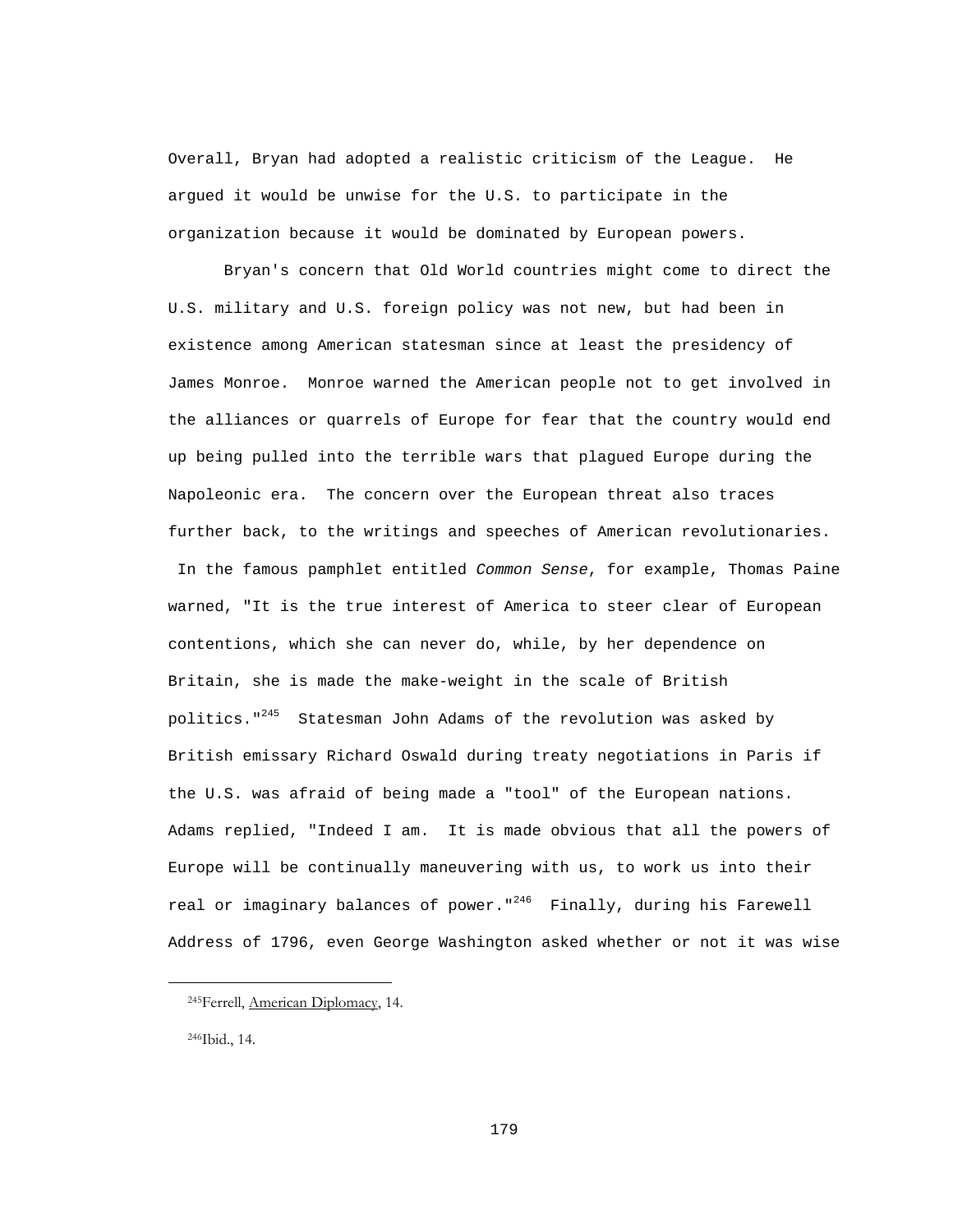Overall, Bryan had adopted a realistic criticism of the League. He argued it would be unwise for the U.S. to participate in the organization because it would be dominated by European powers.

 Bryan's concern that Old World countries might come to direct the U.S. military and U.S. foreign policy was not new, but had been in existence among American statesman since at least the presidency of James Monroe. Monroe warned the American people not to get involved in the alliances or quarrels of Europe for fear that the country would end up being pulled into the terrible wars that plagued Europe during the Napoleonic era. The concern over the European threat also traces further back, to the writings and speeches of American revolutionaries.

 In the famous pamphlet entitled *Common Sense*, for example, Thomas Paine warned, "It is the true interest of America to steer clear of European contentions, which she can never do, while, by her dependence on Britain, she is made the make-weight in the scale of British politics."245 Statesman John Adams of the revolution was asked by British emissary Richard Oswald during treaty negotiations in Paris if the U.S. was afraid of being made a "tool" of the European nations. Adams replied, "Indeed I am. It is made obvious that all the powers of Europe will be continually maneuvering with us, to work us into their real or imaginary balances of power."<sup>246</sup> Finally, during his Farewell Address of 1796, even George Washington asked whether or not it was wise

246Ibid., 14.

i

 <sup>245</sup>Ferrell, American Diplomacy, 14.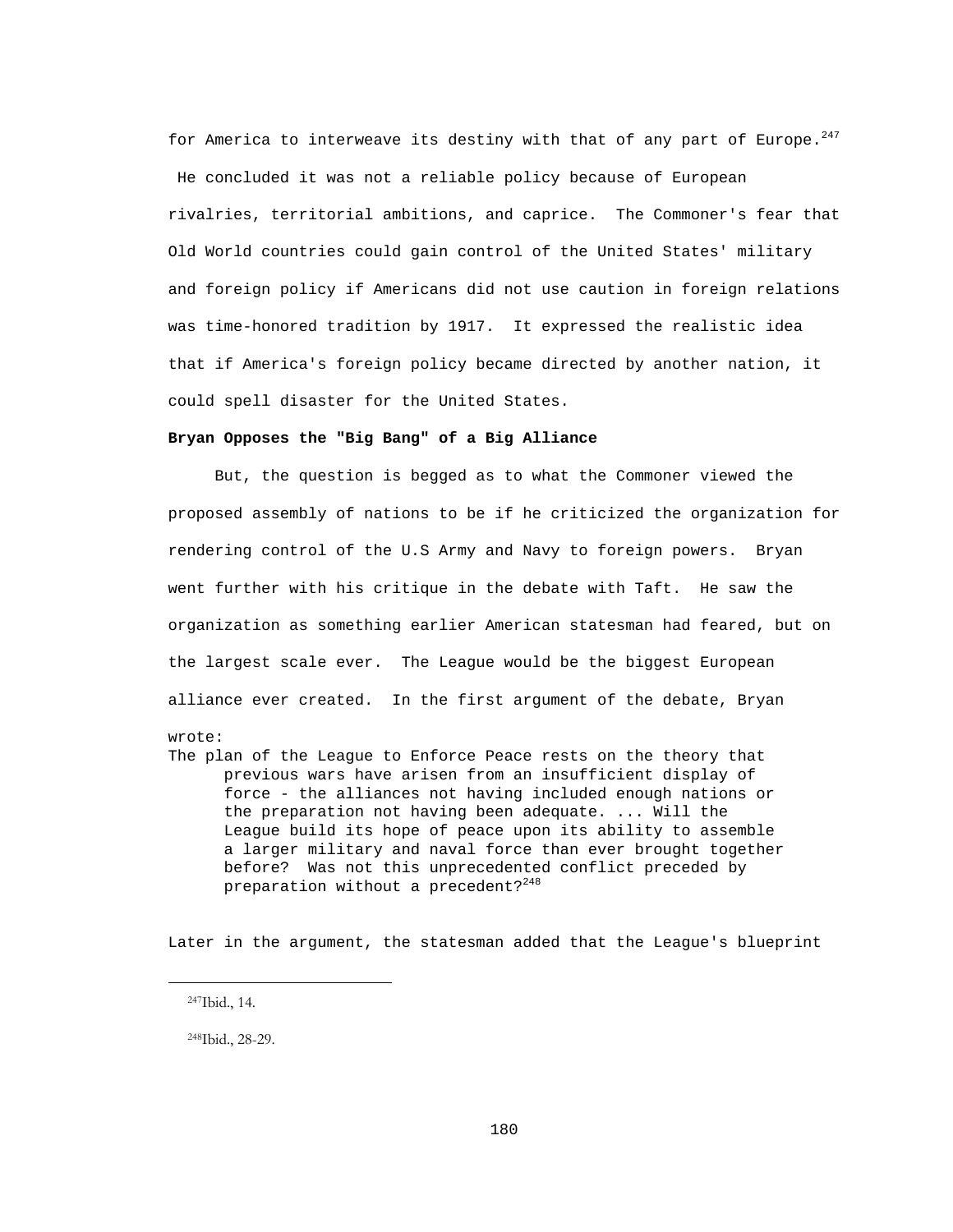for America to interweave its destiny with that of any part of Europe.<sup>247</sup> He concluded it was not a reliable policy because of European rivalries, territorial ambitions, and caprice. The Commoner's fear that Old World countries could gain control of the United States' military and foreign policy if Americans did not use caution in foreign relations was time-honored tradition by 1917. It expressed the realistic idea that if America's foreign policy became directed by another nation, it could spell disaster for the United States.

#### **Bryan Opposes the "Big Bang" of a Big Alliance**

 But, the question is begged as to what the Commoner viewed the proposed assembly of nations to be if he criticized the organization for rendering control of the U.S Army and Navy to foreign powers. Bryan went further with his critique in the debate with Taft. He saw the organization as something earlier American statesman had feared, but on the largest scale ever. The League would be the biggest European alliance ever created. In the first argument of the debate, Bryan

wrote:

The plan of the League to Enforce Peace rests on the theory that previous wars have arisen from an insufficient display of force - the alliances not having included enough nations or the preparation not having been adequate. ... Will the League build its hope of peace upon its ability to assemble a larger military and naval force than ever brought together before? Was not this unprecedented conflict preceded by preparation without a precedent?<sup>248</sup>

Later in the argument, the statesman added that the League's blueprint

i

248Ibid., 28-29.

 <sup>247</sup>Ibid., 14.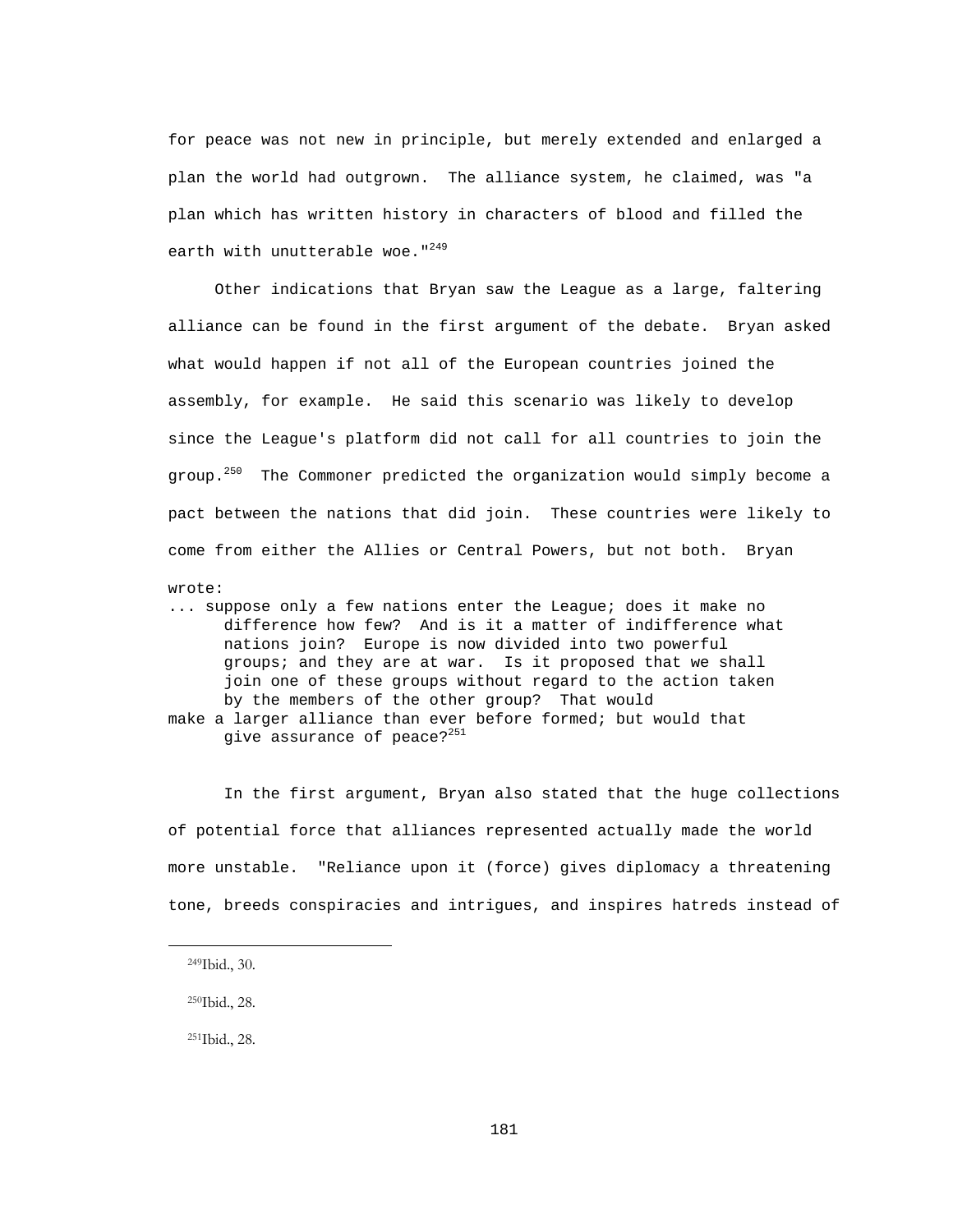for peace was not new in principle, but merely extended and enlarged a plan the world had outgrown. The alliance system, he claimed, was "a plan which has written history in characters of blood and filled the earth with unutterable woe."<sup>249</sup>

 Other indications that Bryan saw the League as a large, faltering alliance can be found in the first argument of the debate. Bryan asked what would happen if not all of the European countries joined the assembly, for example. He said this scenario was likely to develop since the League's platform did not call for all countries to join the group.<sup>250</sup> The Commoner predicted the organization would simply become a pact between the nations that did join. These countries were likely to come from either the Allies or Central Powers, but not both. Bryan

wrote:

... suppose only a few nations enter the League; does it make no difference how few? And is it a matter of indifference what nations join? Europe is now divided into two powerful groups; and they are at war. Is it proposed that we shall join one of these groups without regard to the action taken by the members of the other group? That would make a larger alliance than ever before formed; but would that give assurance of peace? $^{251}$ 

 In the first argument, Bryan also stated that the huge collections of potential force that alliances represented actually made the world more unstable. "Reliance upon it (force) gives diplomacy a threatening tone, breeds conspiracies and intrigues, and inspires hatreds instead of

i

250Ibid., 28.

251Ibid., 28.

 <sup>249</sup>Ibid., 30.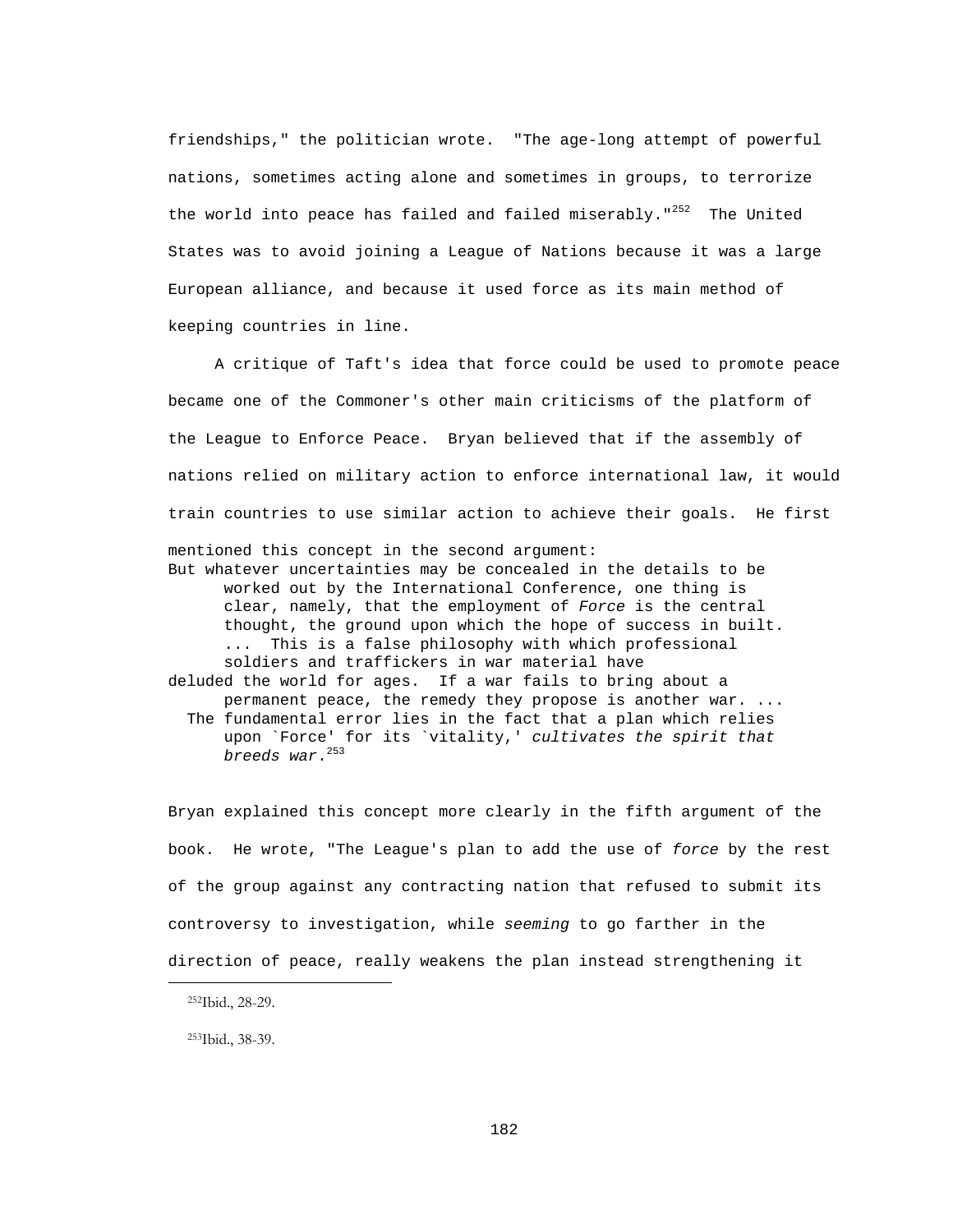friendships," the politician wrote. "The age-long attempt of powerful nations, sometimes acting alone and sometimes in groups, to terrorize the world into peace has failed and failed miserably."<sup>252</sup> The United States was to avoid joining a League of Nations because it was a large European alliance, and because it used force as its main method of keeping countries in line.

 A critique of Taft's idea that force could be used to promote peace became one of the Commoner's other main criticisms of the platform of the League to Enforce Peace. Bryan believed that if the assembly of nations relied on military action to enforce international law, it would train countries to use similar action to achieve their goals. He first mentioned this concept in the second argument: But whatever uncertainties may be concealed in the details to be worked out by the International Conference, one thing is clear, namely, that the employment of *Force* is the central thought, the ground upon which the hope of success in built. ... This is a false philosophy with which professional soldiers and traffickers in war material have

deluded the world for ages. If a war fails to bring about a permanent peace, the remedy they propose is another war. ... The fundamental error lies in the fact that a plan which relies upon `Force' for its `vitality,' *cultivates the spirit that breeds war*.253

Bryan explained this concept more clearly in the fifth argument of the book. He wrote, "The League's plan to add the use of *force* by the rest of the group against any contracting nation that refused to submit its controversy to investigation, while *seeming* to go farther in the direction of peace, really weakens the plan instead strengthening it

i

253Ibid., 38-39.

 <sup>252</sup>Ibid., 28-29.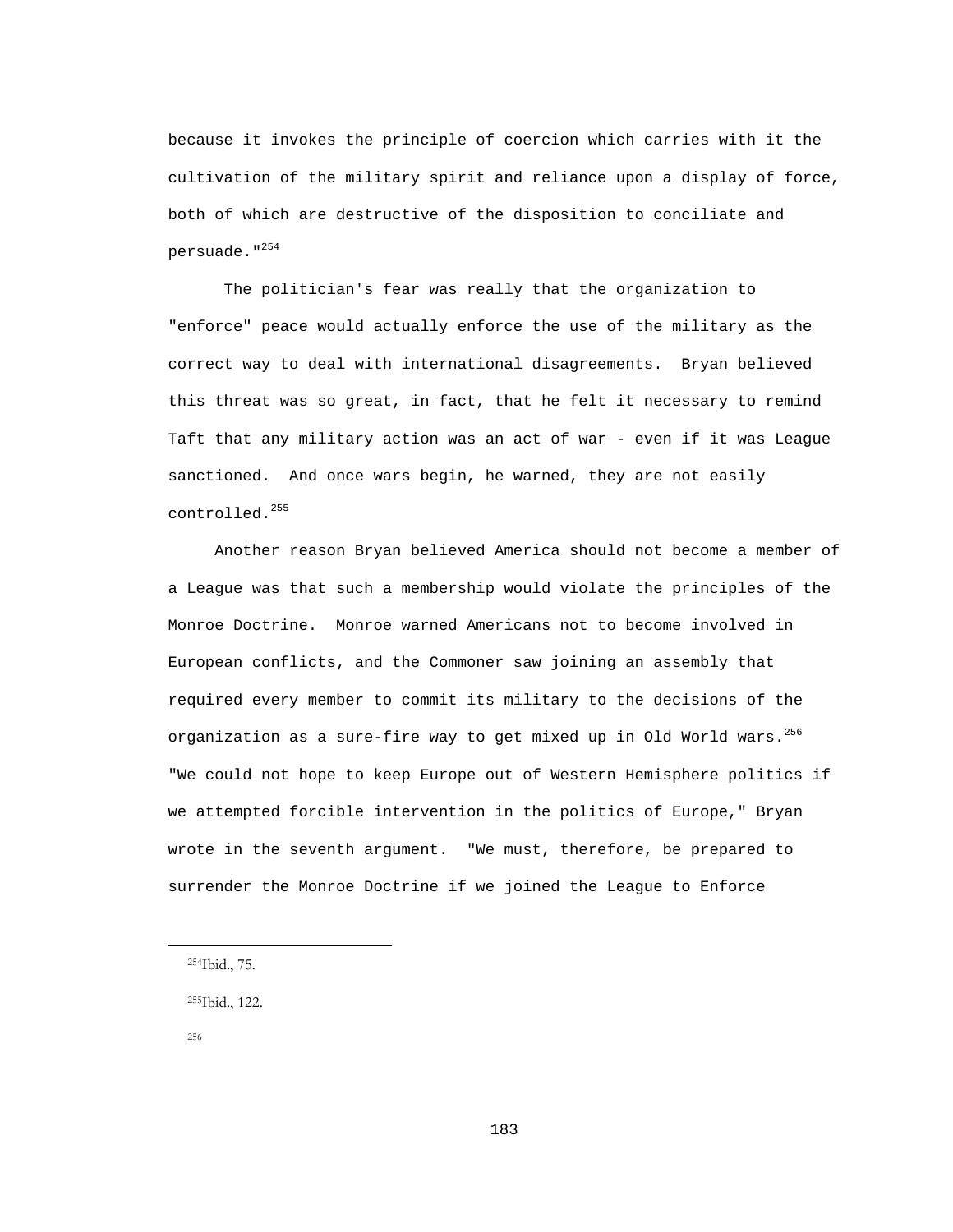because it invokes the principle of coercion which carries with it the cultivation of the military spirit and reliance upon a display of force, both of which are destructive of the disposition to conciliate and persuade."254

 The politician's fear was really that the organization to "enforce" peace would actually enforce the use of the military as the correct way to deal with international disagreements. Bryan believed this threat was so great, in fact, that he felt it necessary to remind Taft that any military action was an act of war - even if it was League sanctioned. And once wars begin, he warned, they are not easily controlled.<sup>255</sup>

 Another reason Bryan believed America should not become a member of a League was that such a membership would violate the principles of the Monroe Doctrine. Monroe warned Americans not to become involved in European conflicts, and the Commoner saw joining an assembly that required every member to commit its military to the decisions of the organization as a sure-fire way to get mixed up in Old World wars.  $256$ "We could not hope to keep Europe out of Western Hemisphere politics if we attempted forcible intervention in the politics of Europe," Bryan wrote in the seventh argument. "We must, therefore, be prepared to surrender the Monroe Doctrine if we joined the League to Enforce

256

 <sup>254</sup>Ibid., 75.

 <sup>255</sup>Ibid., 122.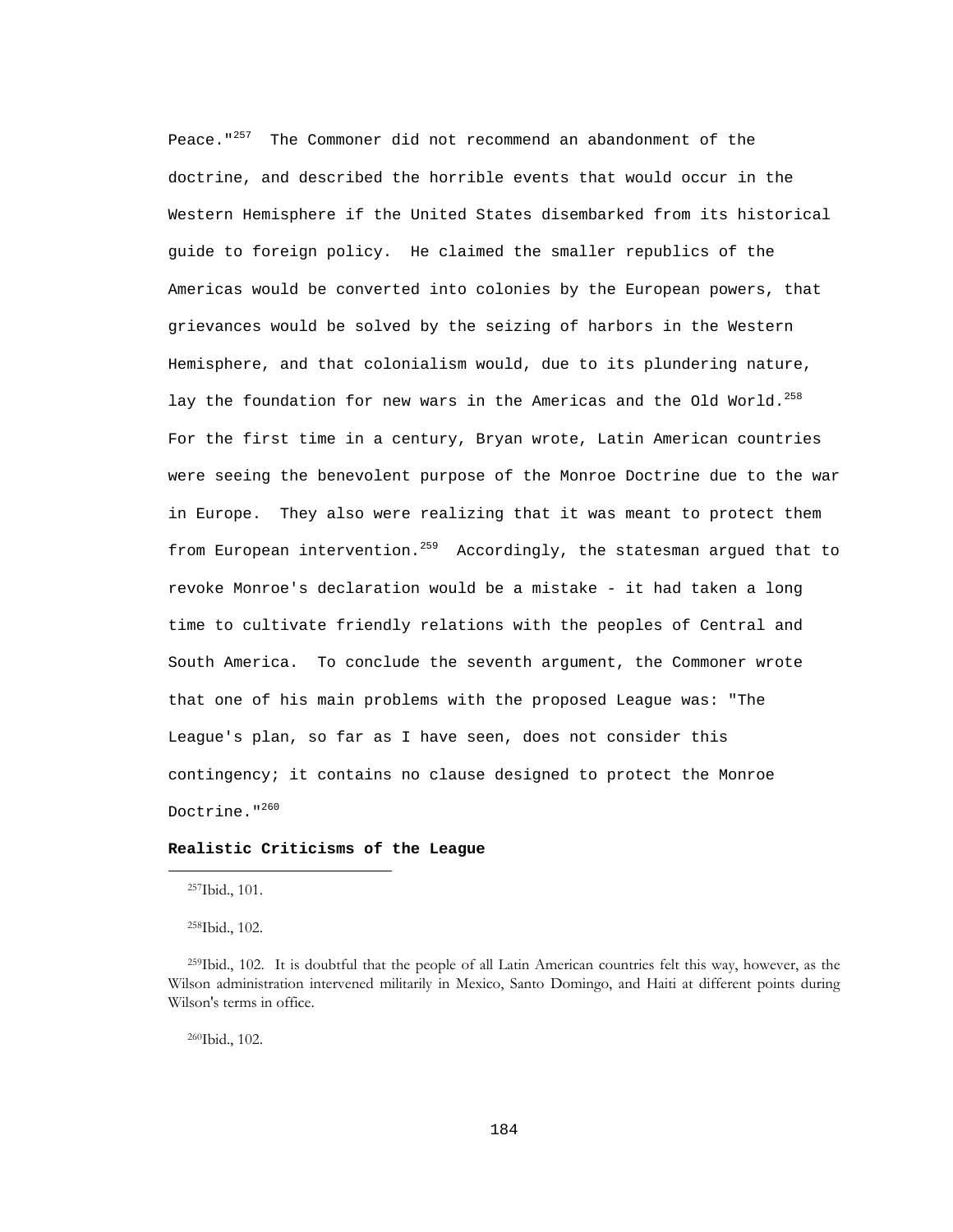Peace."<sup>257</sup> The Commoner did not recommend an abandonment of the doctrine, and described the horrible events that would occur in the Western Hemisphere if the United States disembarked from its historical guide to foreign policy. He claimed the smaller republics of the Americas would be converted into colonies by the European powers, that grievances would be solved by the seizing of harbors in the Western Hemisphere, and that colonialism would, due to its plundering nature, lay the foundation for new wars in the Americas and the Old World.<sup>258</sup> For the first time in a century, Bryan wrote, Latin American countries were seeing the benevolent purpose of the Monroe Doctrine due to the war in Europe. They also were realizing that it was meant to protect them from European intervention.<sup>259</sup> Accordingly, the statesman argued that to revoke Monroe's declaration would be a mistake - it had taken a long time to cultivate friendly relations with the peoples of Central and South America. To conclude the seventh argument, the Commoner wrote that one of his main problems with the proposed League was: "The League's plan, so far as I have seen, does not consider this contingency; it contains no clause designed to protect the Monroe Doctrine."<sup>260</sup>

#### **Realistic Criticisms of the League**

257Ibid., 101.

i

258Ibid., 102.

 259Ibid., 102. It is doubtful that the people of all Latin American countries felt this way, however, as the Wilson administration intervened militarily in Mexico, Santo Domingo, and Haiti at different points during Wilson's terms in office.

260Ibid., 102.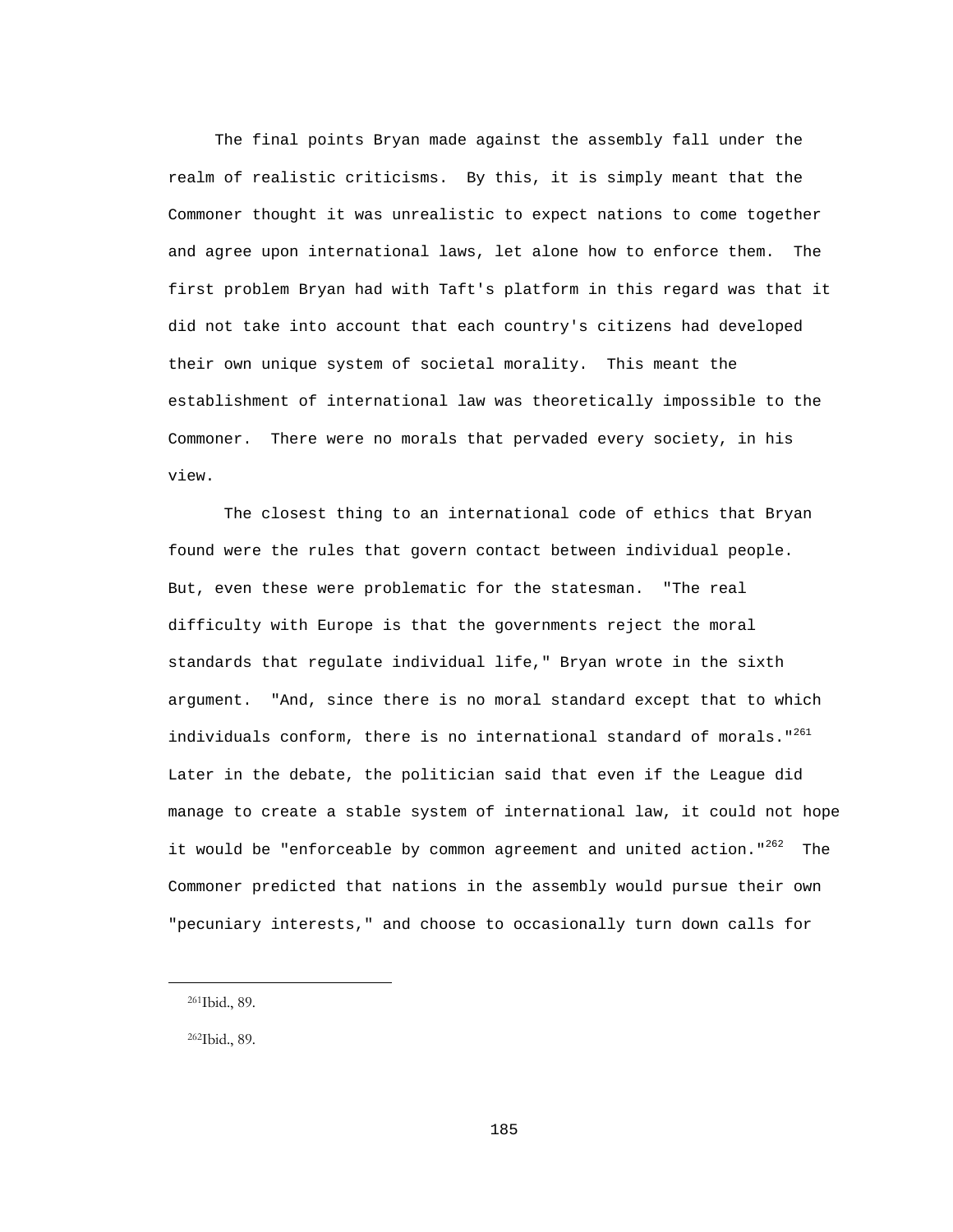The final points Bryan made against the assembly fall under the realm of realistic criticisms. By this, it is simply meant that the Commoner thought it was unrealistic to expect nations to come together and agree upon international laws, let alone how to enforce them. The first problem Bryan had with Taft's platform in this regard was that it did not take into account that each country's citizens had developed their own unique system of societal morality. This meant the establishment of international law was theoretically impossible to the Commoner. There were no morals that pervaded every society, in his view.

 The closest thing to an international code of ethics that Bryan found were the rules that govern contact between individual people. But, even these were problematic for the statesman. "The real difficulty with Europe is that the governments reject the moral standards that regulate individual life," Bryan wrote in the sixth argument. "And, since there is no moral standard except that to which individuals conform, there is no international standard of morals."<sup>261</sup> Later in the debate, the politician said that even if the League did manage to create a stable system of international law, it could not hope it would be "enforceable by common agreement and united action."<sup>262</sup> The Commoner predicted that nations in the assembly would pursue their own "pecuniary interests," and choose to occasionally turn down calls for

i

262Ibid., 89.

 <sup>261</sup>Ibid., 89.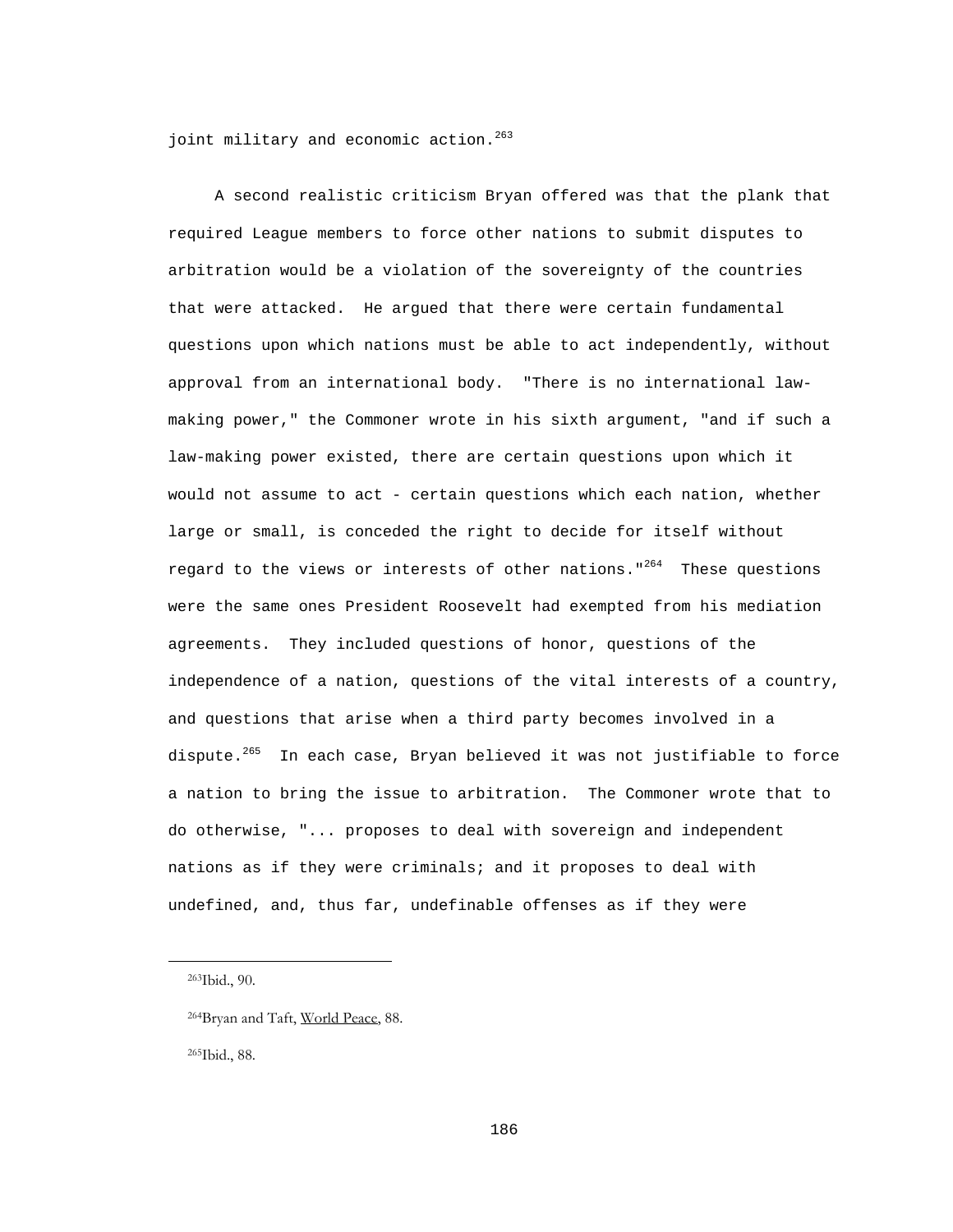joint military and economic action.<sup>263</sup>

 A second realistic criticism Bryan offered was that the plank that required League members to force other nations to submit disputes to arbitration would be a violation of the sovereignty of the countries that were attacked. He argued that there were certain fundamental questions upon which nations must be able to act independently, without approval from an international body. "There is no international lawmaking power," the Commoner wrote in his sixth argument, "and if such a law-making power existed, there are certain questions upon which it would not assume to act - certain questions which each nation, whether large or small, is conceded the right to decide for itself without regard to the views or interests of other nations.  $1264$  These questions were the same ones President Roosevelt had exempted from his mediation agreements. They included questions of honor, questions of the independence of a nation, questions of the vital interests of a country, and questions that arise when a third party becomes involved in a dispute.<sup>265</sup> In each case, Bryan believed it was not justifiable to force a nation to bring the issue to arbitration. The Commoner wrote that to do otherwise, "... proposes to deal with sovereign and independent nations as if they were criminals; and it proposes to deal with undefined, and, thus far, undefinable offenses as if they were

 <sup>263</sup>Ibid., 90.

 <sup>264</sup>Bryan and Taft, World Peace, 88.

 <sup>265</sup>Ibid., 88.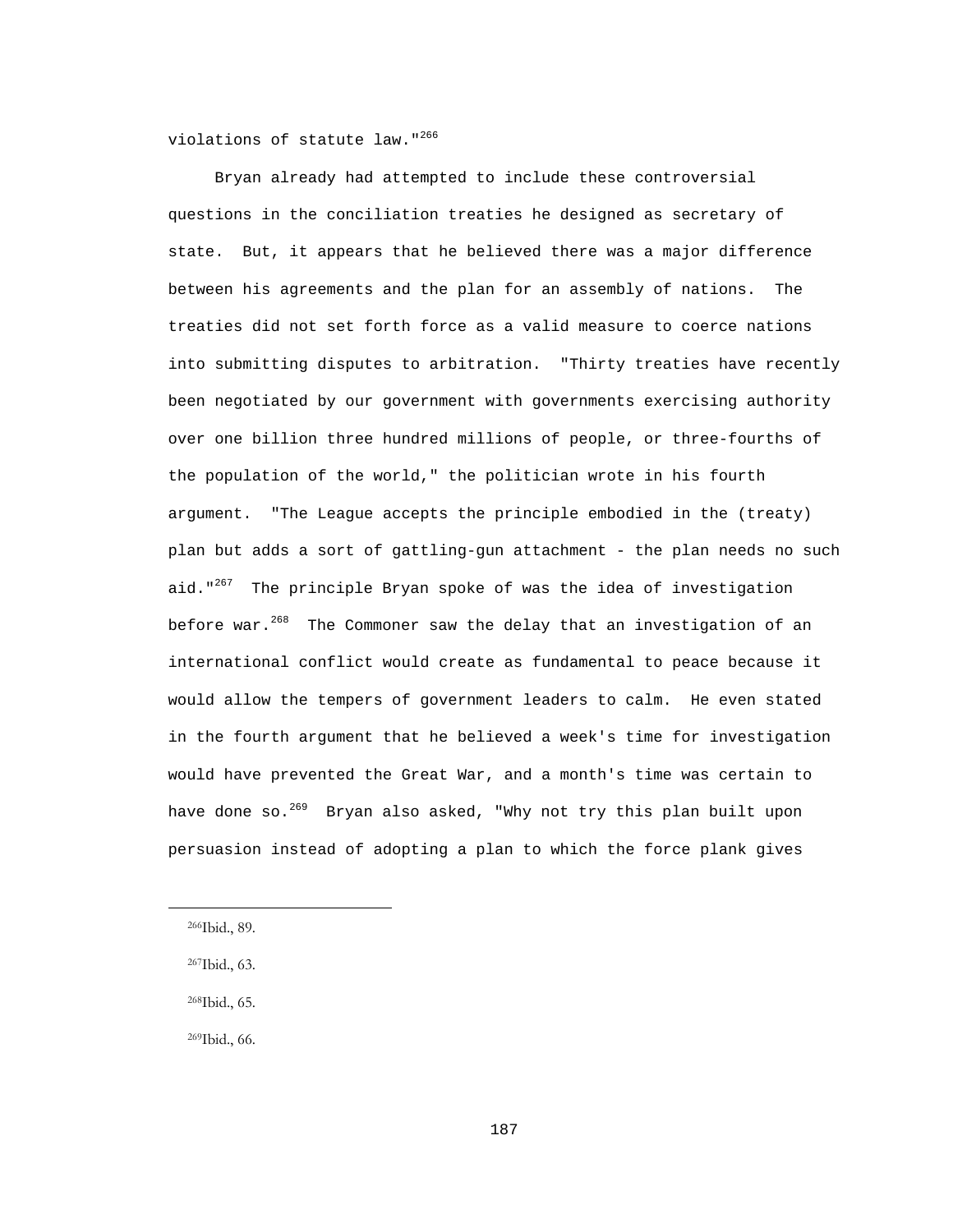violations of statute law."<sup>266</sup>

 Bryan already had attempted to include these controversial questions in the conciliation treaties he designed as secretary of state. But, it appears that he believed there was a major difference between his agreements and the plan for an assembly of nations. The treaties did not set forth force as a valid measure to coerce nations into submitting disputes to arbitration. "Thirty treaties have recently been negotiated by our government with governments exercising authority over one billion three hundred millions of people, or three-fourths of the population of the world," the politician wrote in his fourth argument. "The League accepts the principle embodied in the (treaty) plan but adds a sort of gattling-gun attachment - the plan needs no such aid."<sup>267</sup> The principle Bryan spoke of was the idea of investigation before war. $268$  The Commoner saw the delay that an investigation of an international conflict would create as fundamental to peace because it would allow the tempers of government leaders to calm. He even stated in the fourth argument that he believed a week's time for investigation would have prevented the Great War, and a month's time was certain to have done so. $^{269}$  Bryan also asked, "Why not try this plan built upon persuasion instead of adopting a plan to which the force plank gives

i

268Ibid., 65.

269Ibid., 66.

 <sup>266</sup>Ibid., 89.

 <sup>267</sup>Ibid., 63.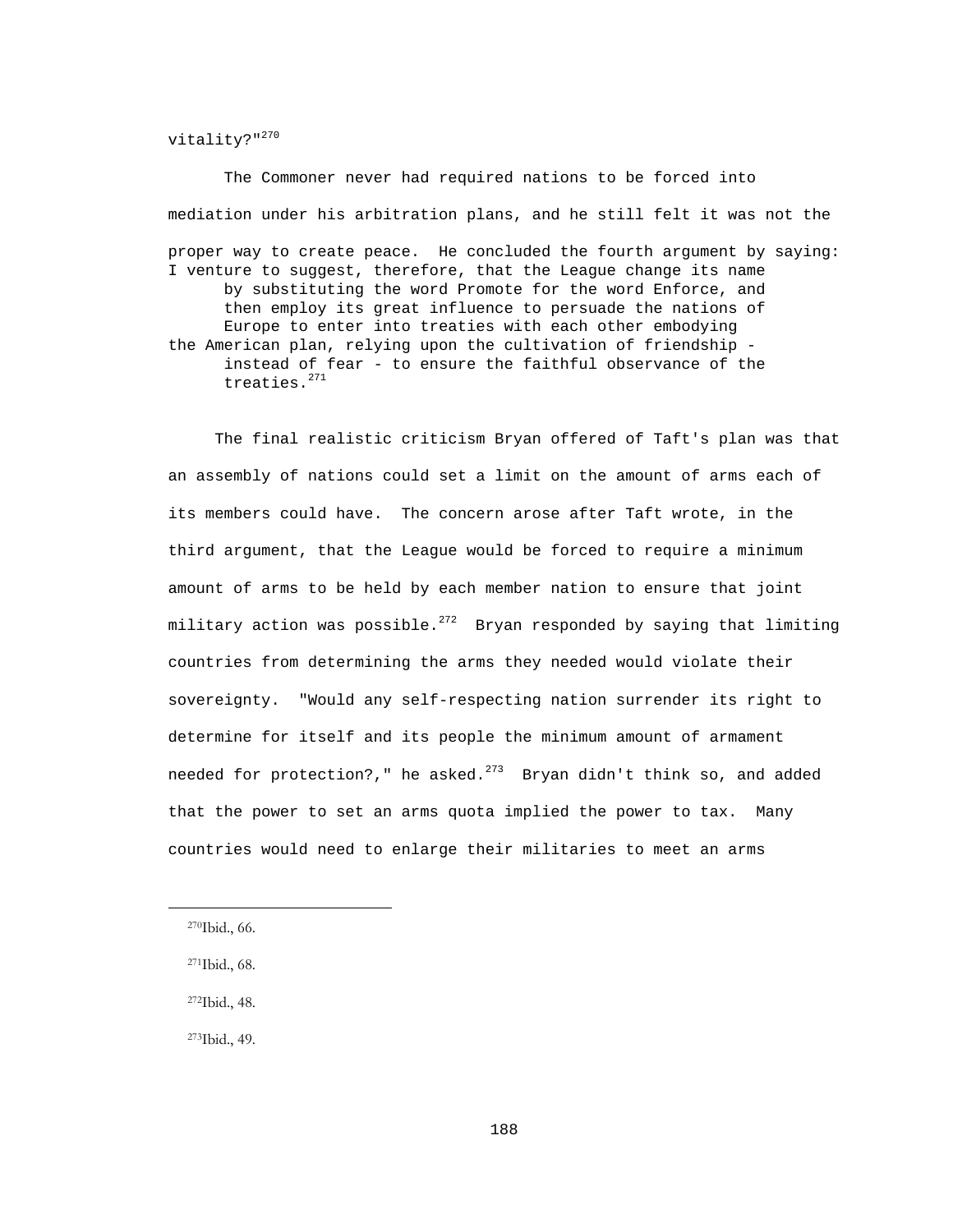### vitality?"<sup>270</sup>

 The Commoner never had required nations to be forced into mediation under his arbitration plans, and he still felt it was not the proper way to create peace. He concluded the fourth argument by saying: I venture to suggest, therefore, that the League change its name by substituting the word Promote for the word Enforce, and then employ its great influence to persuade the nations of Europe to enter into treaties with each other embodying the American plan, relying upon the cultivation of friendship instead of fear - to ensure the faithful observance of the treaties.<sup>271</sup>

 The final realistic criticism Bryan offered of Taft's plan was that an assembly of nations could set a limit on the amount of arms each of its members could have. The concern arose after Taft wrote, in the third argument, that the League would be forced to require a minimum amount of arms to be held by each member nation to ensure that joint military action was possible.<sup>272</sup> Bryan responded by saying that limiting countries from determining the arms they needed would violate their sovereignty. "Would any self-respecting nation surrender its right to determine for itself and its people the minimum amount of armament needed for protection?," he asked. $273$  Bryan didn't think so, and added that the power to set an arms quota implied the power to tax. Many countries would need to enlarge their militaries to meet an arms

i

272Ibid., 48.

273Ibid., 49.

 <sup>270</sup>Ibid., 66.

 <sup>271</sup>Ibid., 68.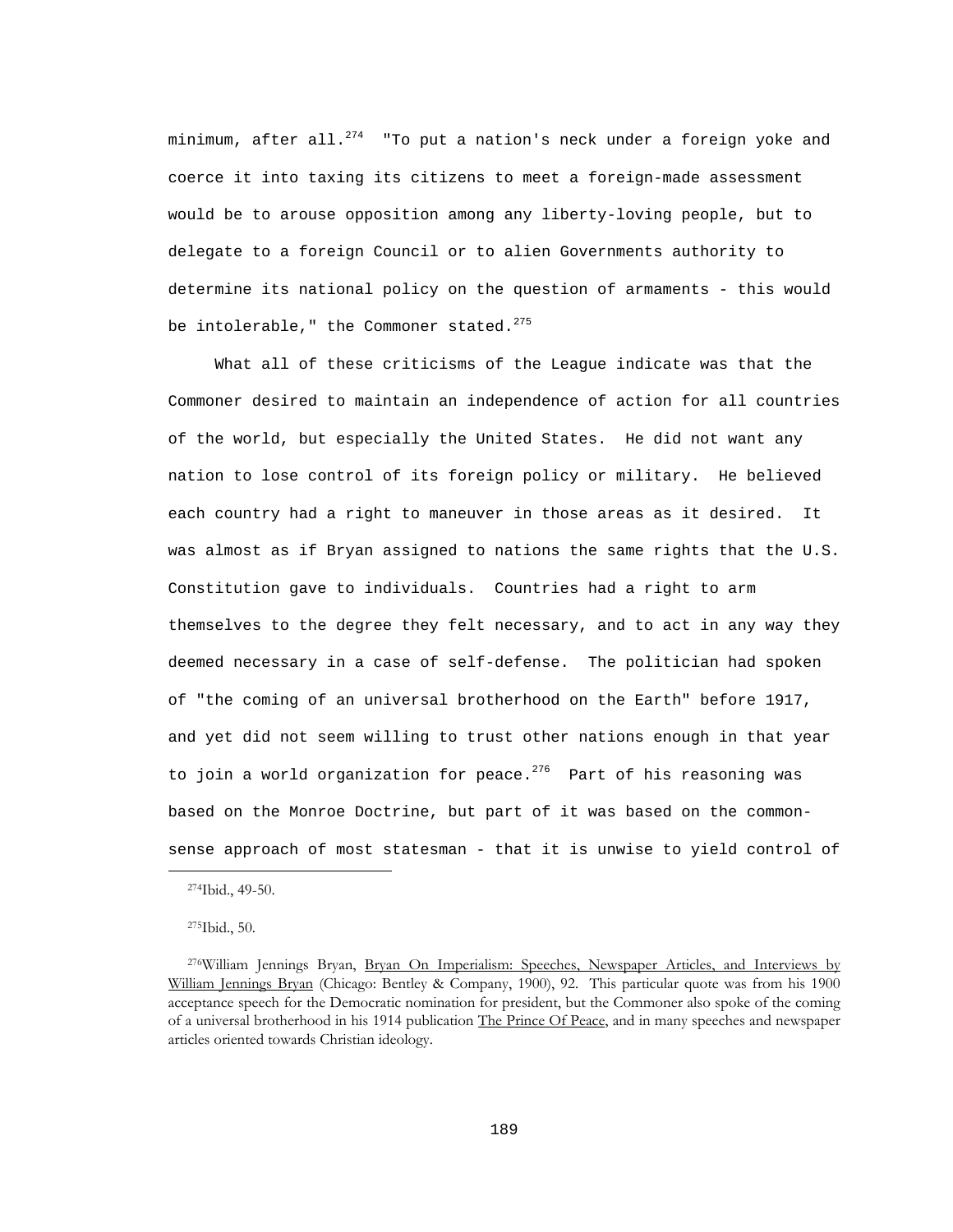minimum, after all.<sup>274</sup> "To put a nation's neck under a foreign yoke and coerce it into taxing its citizens to meet a foreign-made assessment would be to arouse opposition among any liberty-loving people, but to delegate to a foreign Council or to alien Governments authority to determine its national policy on the question of armaments - this would be intolerable," the Commoner stated. $275$ 

 What all of these criticisms of the League indicate was that the Commoner desired to maintain an independence of action for all countries of the world, but especially the United States. He did not want any nation to lose control of its foreign policy or military. He believed each country had a right to maneuver in those areas as it desired. It was almost as if Bryan assigned to nations the same rights that the U.S. Constitution gave to individuals. Countries had a right to arm themselves to the degree they felt necessary, and to act in any way they deemed necessary in a case of self-defense. The politician had spoken of "the coming of an universal brotherhood on the Earth" before 1917, and yet did not seem willing to trust other nations enough in that year to join a world organization for peace.<sup>276</sup> Part of his reasoning was based on the Monroe Doctrine, but part of it was based on the commonsense approach of most statesman - that it is unwise to yield control of

274Ibid., 49-50.

275Ibid., 50.

i

<sup>276</sup>William Jennings Bryan, Bryan On Imperialism: Speeches, Newspaper Articles, and Interviews by William Jennings Bryan (Chicago: Bentley & Company, 1900), 92. This particular quote was from his 1900 acceptance speech for the Democratic nomination for president, but the Commoner also spoke of the coming of a universal brotherhood in his 1914 publication The Prince Of Peace, and in many speeches and newspaper articles oriented towards Christian ideology.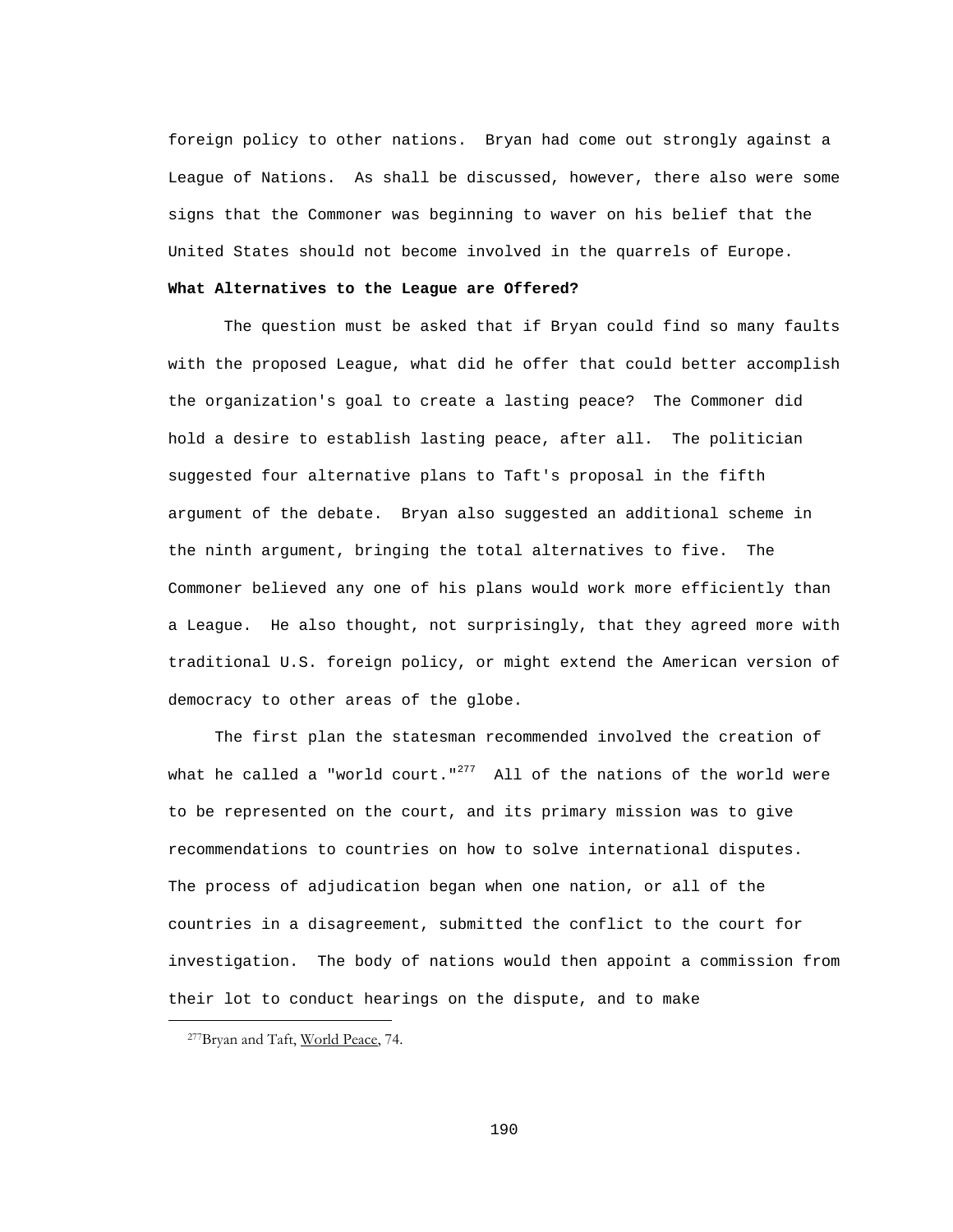foreign policy to other nations. Bryan had come out strongly against a League of Nations. As shall be discussed, however, there also were some signs that the Commoner was beginning to waver on his belief that the United States should not become involved in the quarrels of Europe.

## **What Alternatives to the League are Offered?**

 The question must be asked that if Bryan could find so many faults with the proposed League, what did he offer that could better accomplish the organization's goal to create a lasting peace? The Commoner did hold a desire to establish lasting peace, after all. The politician suggested four alternative plans to Taft's proposal in the fifth argument of the debate. Bryan also suggested an additional scheme in the ninth argument, bringing the total alternatives to five. The Commoner believed any one of his plans would work more efficiently than a League. He also thought, not surprisingly, that they agreed more with traditional U.S. foreign policy, or might extend the American version of democracy to other areas of the globe.

 The first plan the statesman recommended involved the creation of what he called a "world court." $^{277}$  All of the nations of the world were to be represented on the court, and its primary mission was to give recommendations to countries on how to solve international disputes. The process of adjudication began when one nation, or all of the countries in a disagreement, submitted the conflict to the court for investigation. The body of nations would then appoint a commission from their lot to conduct hearings on the dispute, and to make

i

<sup>277</sup> Bryan and Taft, World Peace, 74.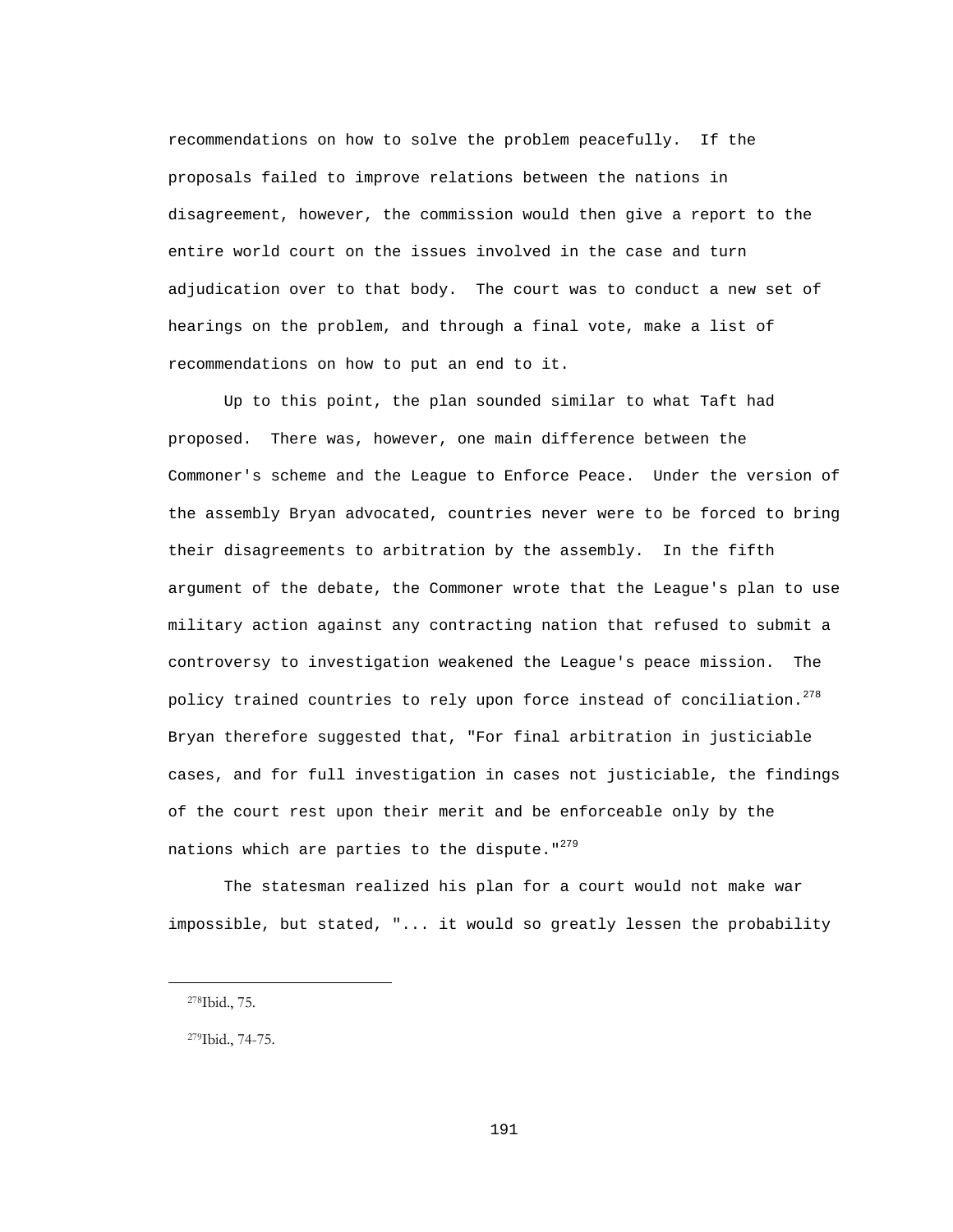recommendations on how to solve the problem peacefully. If the proposals failed to improve relations between the nations in disagreement, however, the commission would then give a report to the entire world court on the issues involved in the case and turn adjudication over to that body. The court was to conduct a new set of hearings on the problem, and through a final vote, make a list of recommendations on how to put an end to it.

 Up to this point, the plan sounded similar to what Taft had proposed. There was, however, one main difference between the Commoner's scheme and the League to Enforce Peace. Under the version of the assembly Bryan advocated, countries never were to be forced to bring their disagreements to arbitration by the assembly. In the fifth argument of the debate, the Commoner wrote that the League's plan to use military action against any contracting nation that refused to submit a controversy to investigation weakened the League's peace mission. The policy trained countries to rely upon force instead of conciliation.<sup>278</sup> Bryan therefore suggested that, "For final arbitration in justiciable cases, and for full investigation in cases not justiciable, the findings of the court rest upon their merit and be enforceable only by the nations which are parties to the dispute.  $1^{279}$ 

 The statesman realized his plan for a court would not make war impossible, but stated, "... it would so greatly lessen the probability

 <sup>278</sup>Ibid., 75.

 <sup>279</sup>Ibid., 74-75.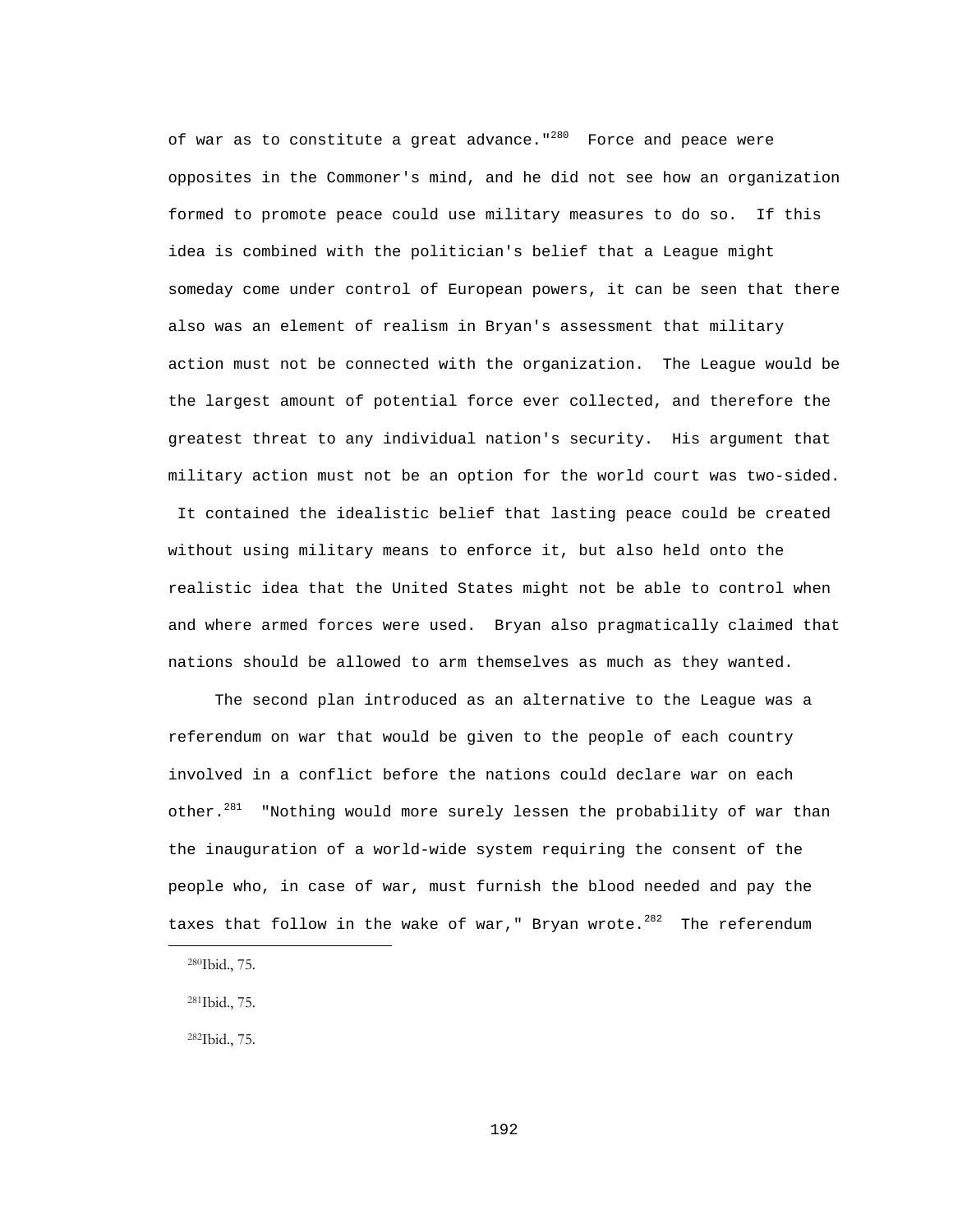of war as to constitute a great advance."<sup>280</sup> Force and peace were opposites in the Commoner's mind, and he did not see how an organization formed to promote peace could use military measures to do so. If this idea is combined with the politician's belief that a League might someday come under control of European powers, it can be seen that there also was an element of realism in Bryan's assessment that military action must not be connected with the organization. The League would be the largest amount of potential force ever collected, and therefore the greatest threat to any individual nation's security. His argument that military action must not be an option for the world court was two-sided. It contained the idealistic belief that lasting peace could be created without using military means to enforce it, but also held onto the realistic idea that the United States might not be able to control when and where armed forces were used. Bryan also pragmatically claimed that nations should be allowed to arm themselves as much as they wanted.

 The second plan introduced as an alternative to the League was a referendum on war that would be given to the people of each country involved in a conflict before the nations could declare war on each other.<sup>281</sup> "Nothing would more surely lessen the probability of war than the inauguration of a world-wide system requiring the consent of the people who, in case of war, must furnish the blood needed and pay the taxes that follow in the wake of war," Bryan wrote.<sup>282</sup> The referendum

i

282Ibid., 75.

 <sup>280</sup>Ibid., 75.

 <sup>281</sup>Ibid., 75.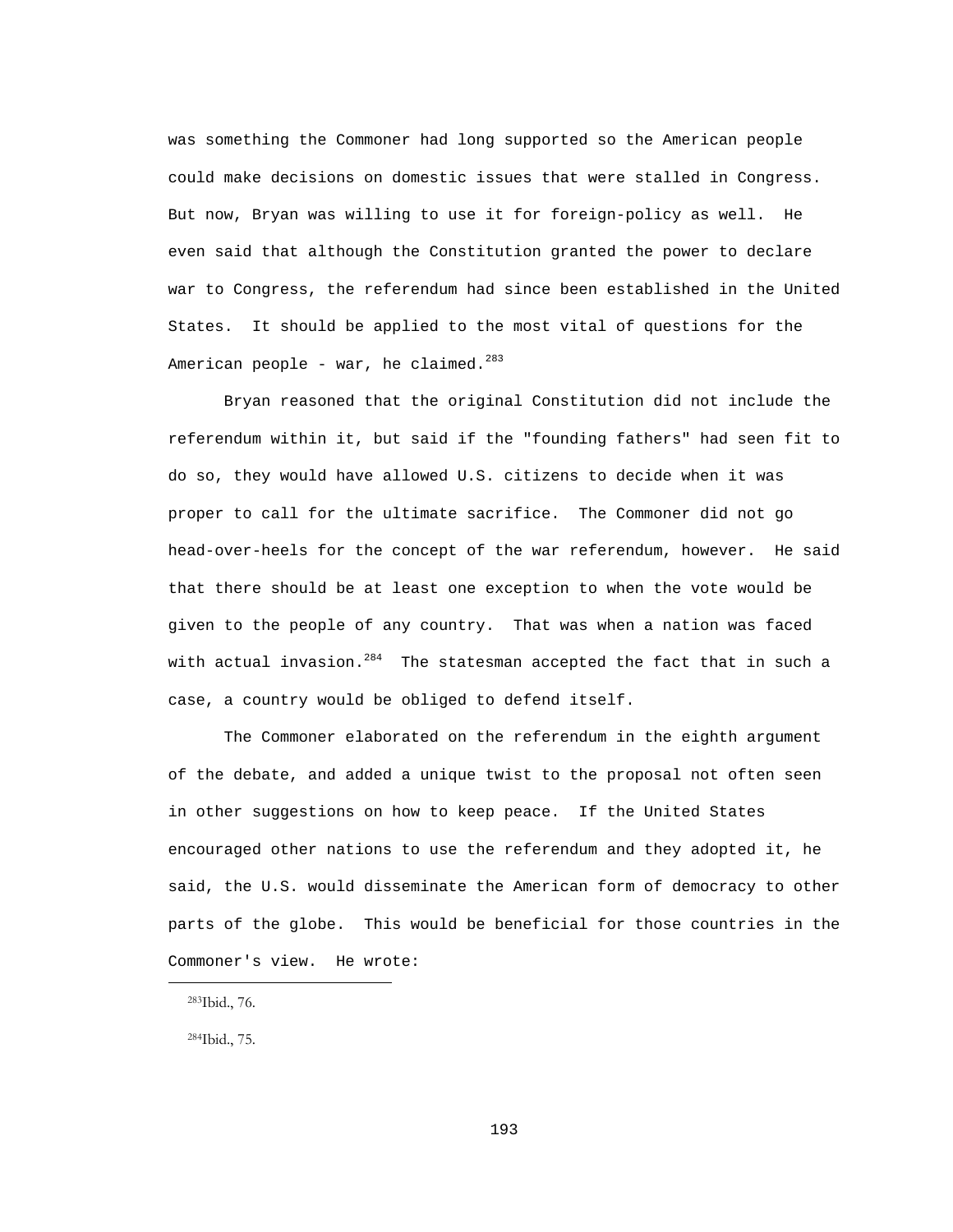was something the Commoner had long supported so the American people could make decisions on domestic issues that were stalled in Congress. But now, Bryan was willing to use it for foreign-policy as well. He even said that although the Constitution granted the power to declare war to Congress, the referendum had since been established in the United States. It should be applied to the most vital of questions for the American people - war, he claimed. $283$ 

 Bryan reasoned that the original Constitution did not include the referendum within it, but said if the "founding fathers" had seen fit to do so, they would have allowed U.S. citizens to decide when it was proper to call for the ultimate sacrifice. The Commoner did not go head-over-heels for the concept of the war referendum, however. He said that there should be at least one exception to when the vote would be given to the people of any country. That was when a nation was faced with actual invasion. $^{284}$  The statesman accepted the fact that in such a case, a country would be obliged to defend itself.

 The Commoner elaborated on the referendum in the eighth argument of the debate, and added a unique twist to the proposal not often seen in other suggestions on how to keep peace. If the United States encouraged other nations to use the referendum and they adopted it, he said, the U.S. would disseminate the American form of democracy to other parts of the globe. This would be beneficial for those countries in the Commoner's view. He wrote:

283Ibid., 76.

i

284Ibid., 75.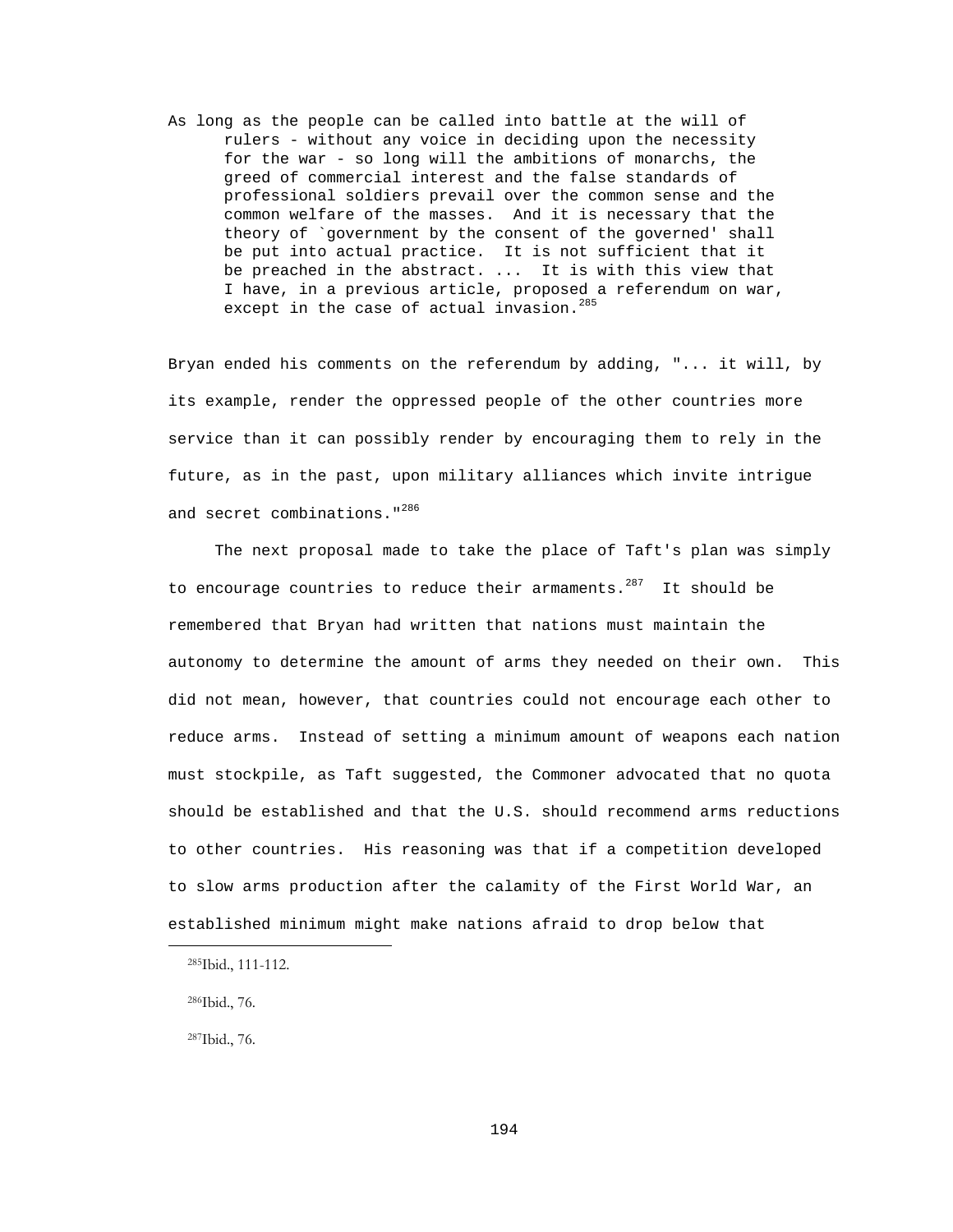As long as the people can be called into battle at the will of rulers - without any voice in deciding upon the necessity for the war - so long will the ambitions of monarchs, the greed of commercial interest and the false standards of professional soldiers prevail over the common sense and the common welfare of the masses. And it is necessary that the theory of `government by the consent of the governed' shall be put into actual practice. It is not sufficient that it be preached in the abstract. ... It is with this view that I have, in a previous article, proposed a referendum on war, except in the case of actual invasion.<sup>285</sup>

Bryan ended his comments on the referendum by adding, "... it will, by its example, render the oppressed people of the other countries more service than it can possibly render by encouraging them to rely in the future, as in the past, upon military alliances which invite intrigue and secret combinations."<sup>286</sup>

 The next proposal made to take the place of Taft's plan was simply to encourage countries to reduce their armaments. $287$  It should be remembered that Bryan had written that nations must maintain the autonomy to determine the amount of arms they needed on their own. This did not mean, however, that countries could not encourage each other to reduce arms. Instead of setting a minimum amount of weapons each nation must stockpile, as Taft suggested, the Commoner advocated that no quota should be established and that the U.S. should recommend arms reductions to other countries. His reasoning was that if a competition developed to slow arms production after the calamity of the First World War, an established minimum might make nations afraid to drop below that

i

287Ibid., 76.

 <sup>285</sup>Ibid., 111-112.

 <sup>286</sup>Ibid., 76.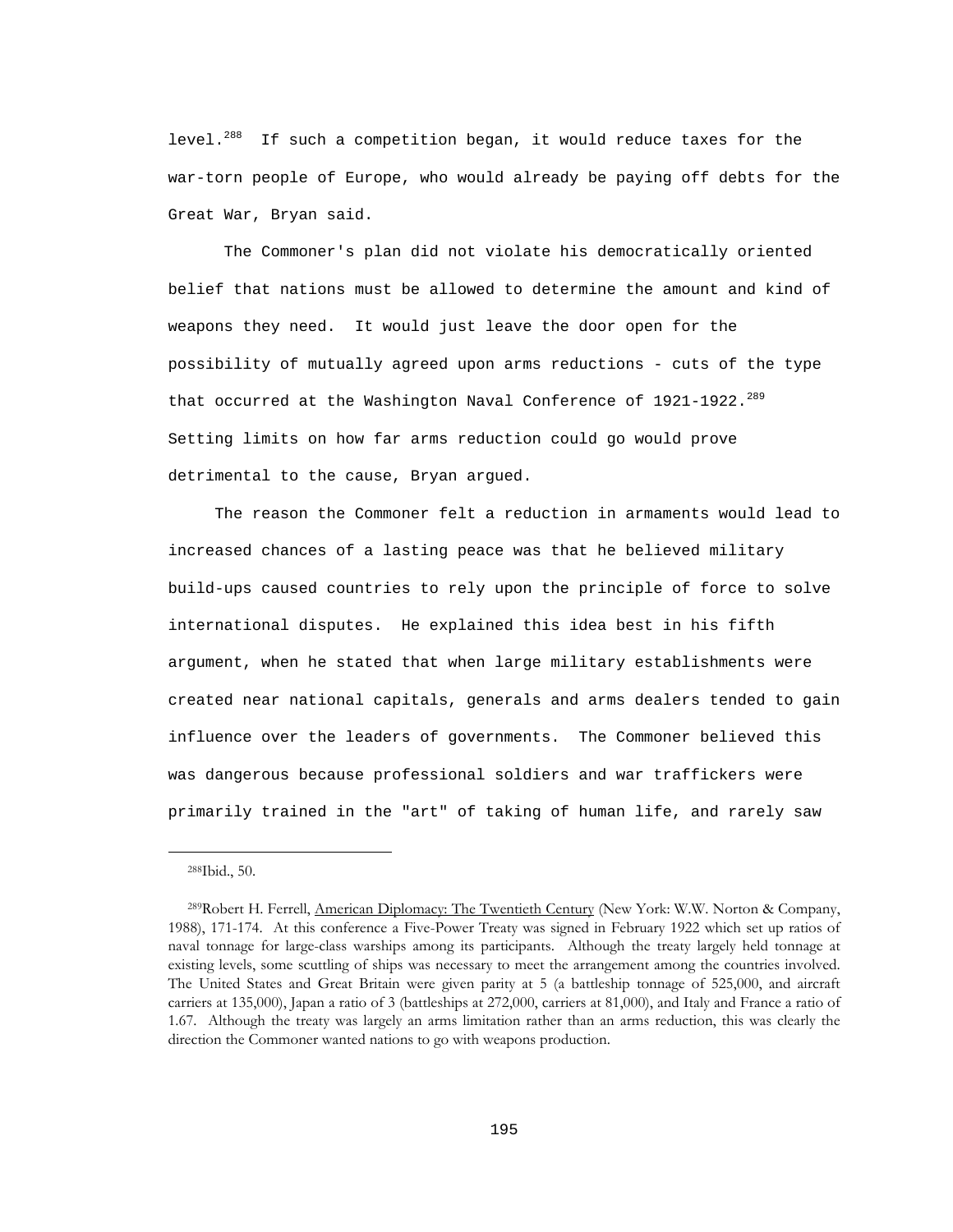level.<sup>288</sup> If such a competition began, it would reduce taxes for the war-torn people of Europe, who would already be paying off debts for the Great War, Bryan said.

 The Commoner's plan did not violate his democratically oriented belief that nations must be allowed to determine the amount and kind of weapons they need. It would just leave the door open for the possibility of mutually agreed upon arms reductions - cuts of the type that occurred at the Washington Naval Conference of 1921-1922.<sup>289</sup> Setting limits on how far arms reduction could go would prove detrimental to the cause, Bryan argued.

 The reason the Commoner felt a reduction in armaments would lead to increased chances of a lasting peace was that he believed military build-ups caused countries to rely upon the principle of force to solve international disputes. He explained this idea best in his fifth argument, when he stated that when large military establishments were created near national capitals, generals and arms dealers tended to gain influence over the leaders of governments. The Commoner believed this was dangerous because professional soldiers and war traffickers were primarily trained in the "art" of taking of human life, and rarely saw

 <sup>288</sup>Ibid., 50.

<sup>&</sup>lt;sup>289</sup>Robert H. Ferrell, American Diplomacy: The Twentieth Century (New York: W.W. Norton & Company, 1988), 171-174. At this conference a Five-Power Treaty was signed in February 1922 which set up ratios of naval tonnage for large-class warships among its participants. Although the treaty largely held tonnage at existing levels, some scuttling of ships was necessary to meet the arrangement among the countries involved. The United States and Great Britain were given parity at 5 (a battleship tonnage of 525,000, and aircraft carriers at 135,000), Japan a ratio of 3 (battleships at 272,000, carriers at 81,000), and Italy and France a ratio of 1.67. Although the treaty was largely an arms limitation rather than an arms reduction, this was clearly the direction the Commoner wanted nations to go with weapons production.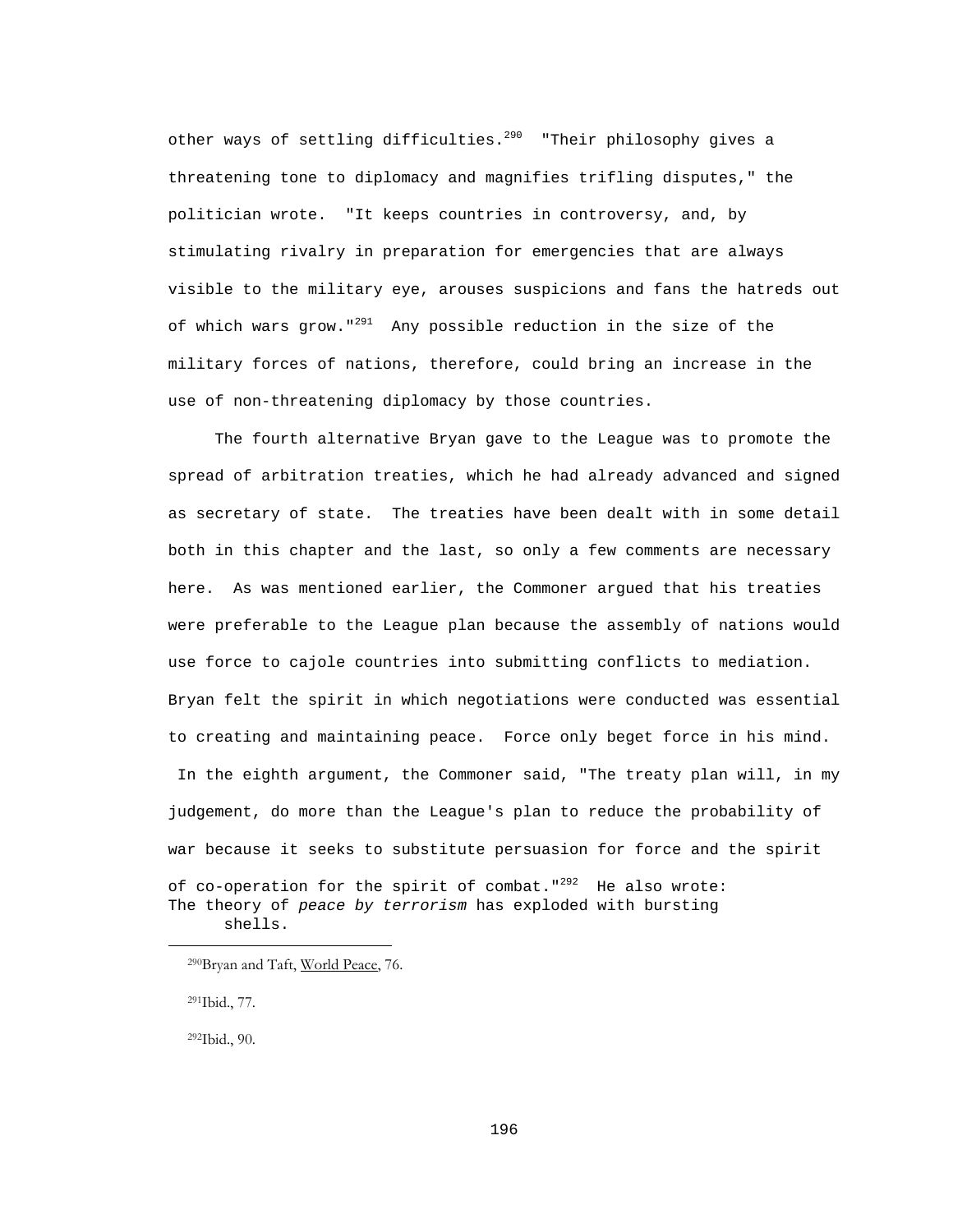other ways of settling difficulties.<sup>290</sup> "Their philosophy gives a threatening tone to diplomacy and magnifies trifling disputes," the politician wrote. "It keeps countries in controversy, and, by stimulating rivalry in preparation for emergencies that are always visible to the military eye, arouses suspicions and fans the hatreds out of which wars grow." $^{291}$  Any possible reduction in the size of the military forces of nations, therefore, could bring an increase in the use of non-threatening diplomacy by those countries.

 The fourth alternative Bryan gave to the League was to promote the spread of arbitration treaties, which he had already advanced and signed as secretary of state. The treaties have been dealt with in some detail both in this chapter and the last, so only a few comments are necessary here. As was mentioned earlier, the Commoner argued that his treaties were preferable to the League plan because the assembly of nations would use force to cajole countries into submitting conflicts to mediation. Bryan felt the spirit in which negotiations were conducted was essential to creating and maintaining peace. Force only beget force in his mind. In the eighth argument, the Commoner said, "The treaty plan will, in my judgement, do more than the League's plan to reduce the probability of war because it seeks to substitute persuasion for force and the spirit of co-operation for the spirit of combat." $^{292}$  He also wrote: The theory of *peace by terrorism* has exploded with bursting shells.

291Ibid., 77.

i

292Ibid., 90.

<sup>&</sup>lt;sup>290</sup>Bryan and Taft, World Peace, 76.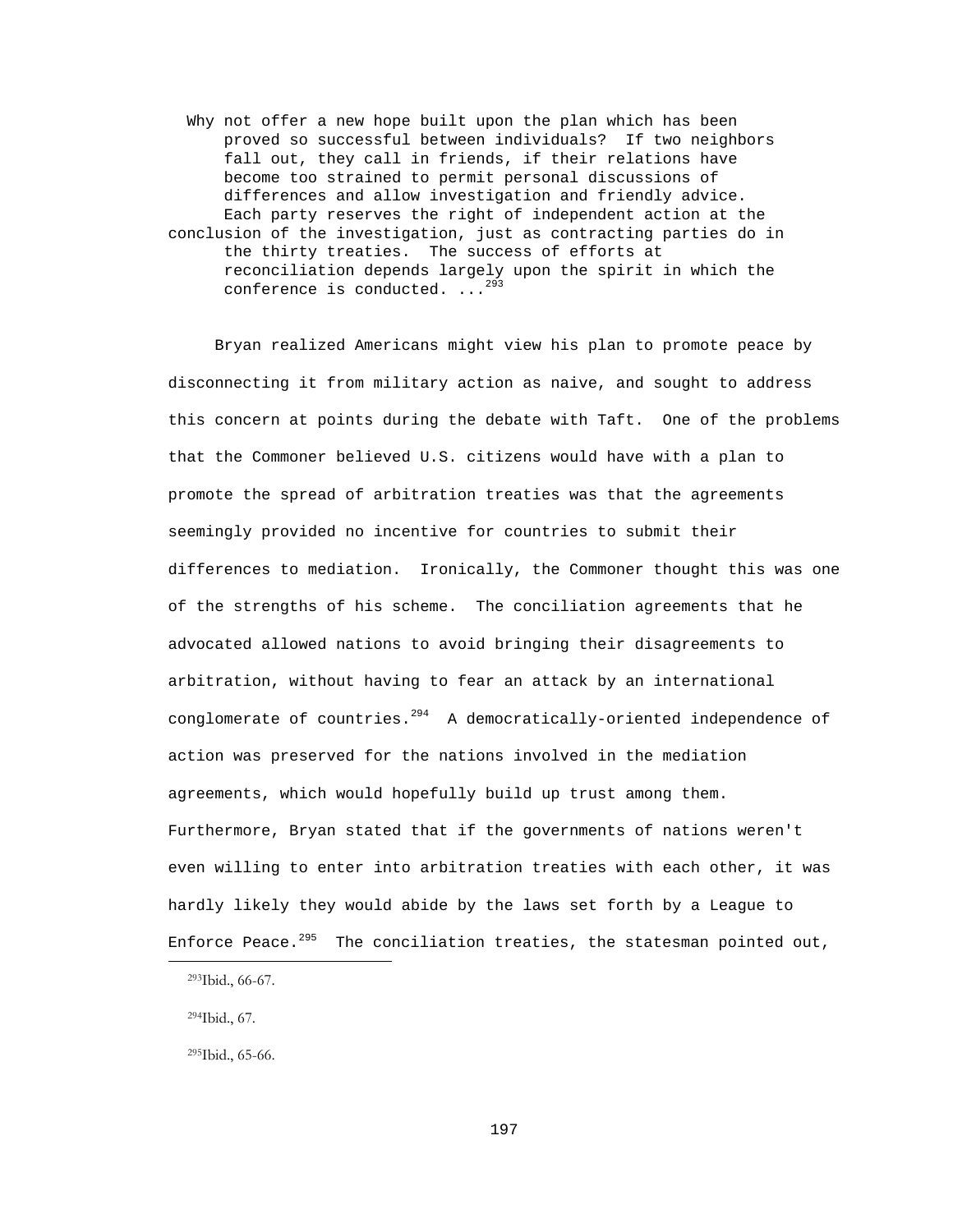Why not offer a new hope built upon the plan which has been proved so successful between individuals? If two neighbors fall out, they call in friends, if their relations have become too strained to permit personal discussions of differences and allow investigation and friendly advice. Each party reserves the right of independent action at the conclusion of the investigation, just as contracting parties do in the thirty treaties. The success of efforts at reconciliation depends largely upon the spirit in which the conference is conducted.  $\ldots^{293}$ 

 Bryan realized Americans might view his plan to promote peace by disconnecting it from military action as naive, and sought to address this concern at points during the debate with Taft. One of the problems that the Commoner believed U.S. citizens would have with a plan to promote the spread of arbitration treaties was that the agreements seemingly provided no incentive for countries to submit their differences to mediation. Ironically, the Commoner thought this was one of the strengths of his scheme. The conciliation agreements that he advocated allowed nations to avoid bringing their disagreements to arbitration, without having to fear an attack by an international conglomerate of countries. $^{294}$  A democratically-oriented independence of action was preserved for the nations involved in the mediation agreements, which would hopefully build up trust among them. Furthermore, Bryan stated that if the governments of nations weren't even willing to enter into arbitration treaties with each other, it was hardly likely they would abide by the laws set forth by a League to Enforce Peace.<sup>295</sup> The conciliation treaties, the statesman pointed out,

294Ibid., 67.

i

295Ibid., 65-66.

 <sup>293</sup>Ibid., 66-67.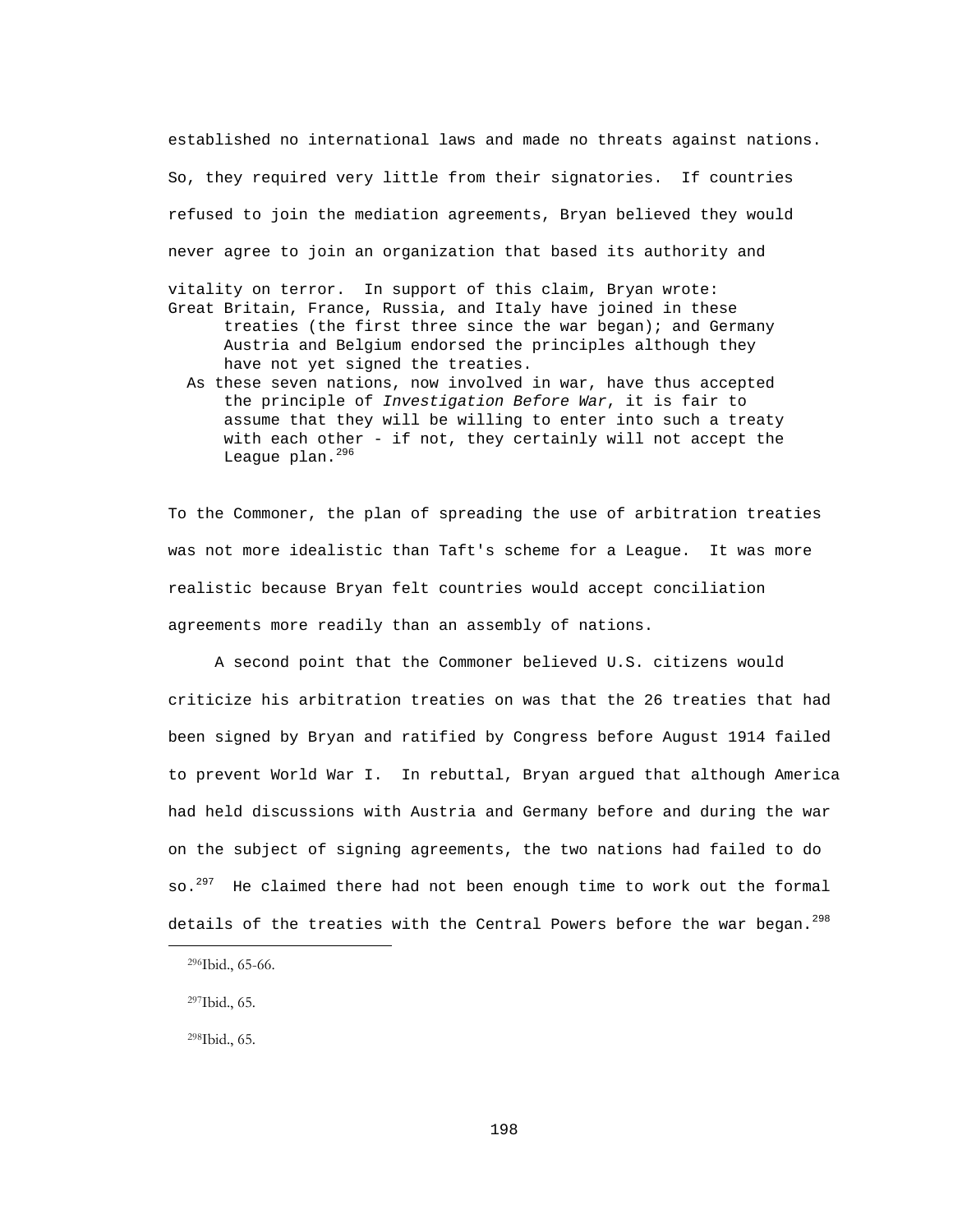established no international laws and made no threats against nations. So, they required very little from their signatories. If countries refused to join the mediation agreements, Bryan believed they would never agree to join an organization that based its authority and vitality on terror. In support of this claim, Bryan wrote:

- Great Britain, France, Russia, and Italy have joined in these treaties (the first three since the war began); and Germany Austria and Belgium endorsed the principles although they have not yet signed the treaties.
	- As these seven nations, now involved in war, have thus accepted the principle of *Investigation Before War*, it is fair to assume that they will be willing to enter into such a treaty with each other - if not, they certainly will not accept the League plan.<sup>296</sup>

To the Commoner, the plan of spreading the use of arbitration treaties was not more idealistic than Taft's scheme for a League. It was more realistic because Bryan felt countries would accept conciliation agreements more readily than an assembly of nations.

 A second point that the Commoner believed U.S. citizens would criticize his arbitration treaties on was that the 26 treaties that had been signed by Bryan and ratified by Congress before August 1914 failed to prevent World War I. In rebuttal, Bryan argued that although America had held discussions with Austria and Germany before and during the war on the subject of signing agreements, the two nations had failed to do so.<sup>297</sup> He claimed there had not been enough time to work out the formal details of the treaties with the Central Powers before the war began.<sup>298</sup>

i

298Ibid., 65.

 <sup>296</sup>Ibid., 65-66.

 <sup>297</sup>Ibid., 65.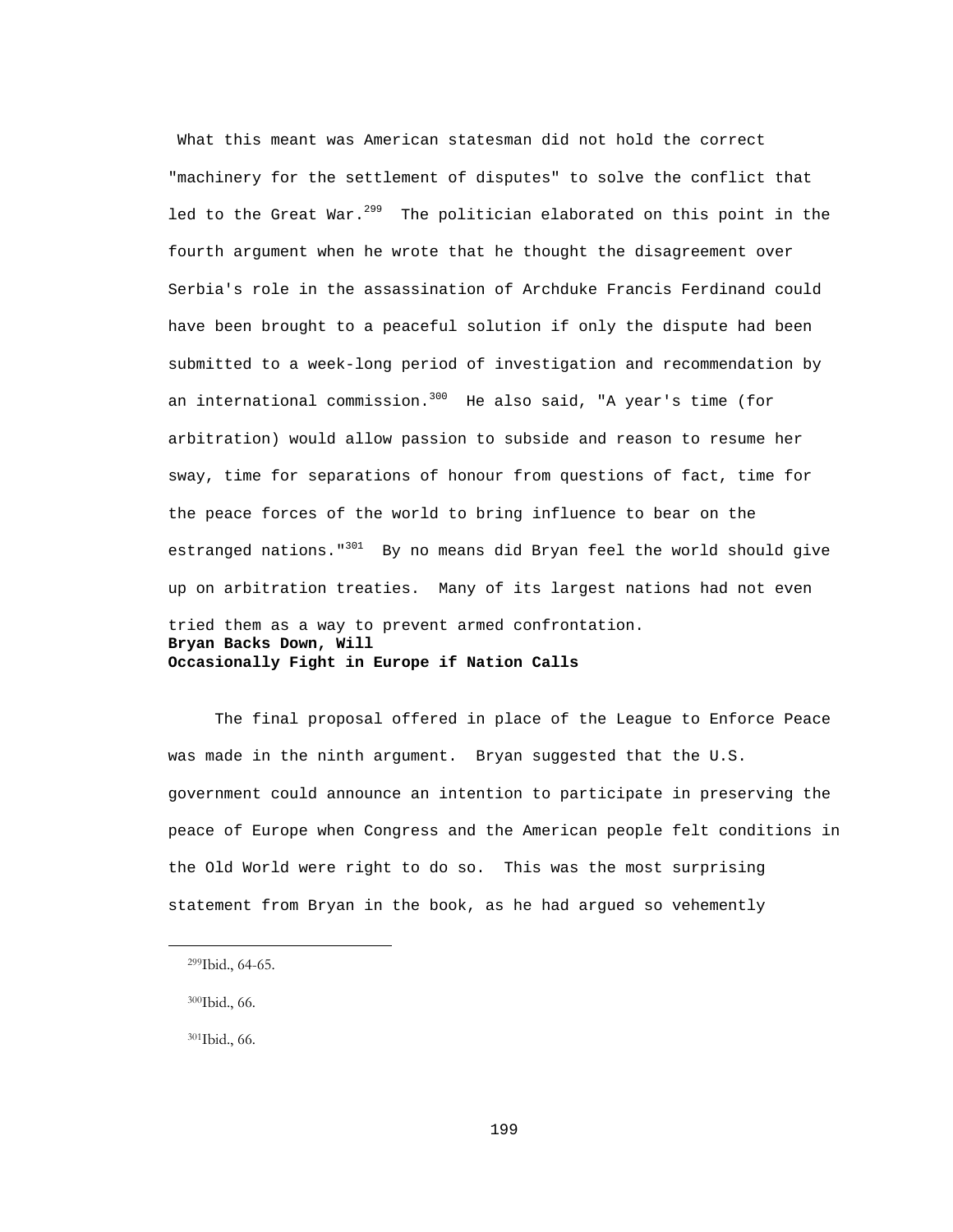What this meant was American statesman did not hold the correct "machinery for the settlement of disputes" to solve the conflict that led to the Great War. $^{299}$  The politician elaborated on this point in the fourth argument when he wrote that he thought the disagreement over Serbia's role in the assassination of Archduke Francis Ferdinand could have been brought to a peaceful solution if only the dispute had been submitted to a week-long period of investigation and recommendation by an international commission.<sup>300</sup> He also said, "A year's time (for arbitration) would allow passion to subside and reason to resume her sway, time for separations of honour from questions of fact, time for the peace forces of the world to bring influence to bear on the estranged nations."<sup>301</sup> By no means did Bryan feel the world should give up on arbitration treaties. Many of its largest nations had not even tried them as a way to prevent armed confrontation. **Bryan Backs Down, Will Occasionally Fight in Europe if Nation Calls** 

 The final proposal offered in place of the League to Enforce Peace was made in the ninth argument. Bryan suggested that the U.S. government could announce an intention to participate in preserving the peace of Europe when Congress and the American people felt conditions in the Old World were right to do so. This was the most surprising statement from Bryan in the book, as he had argued so vehemently

i

301Ibid., 66.

 <sup>299</sup>Ibid., 64-65.

 <sup>300</sup>Ibid., 66.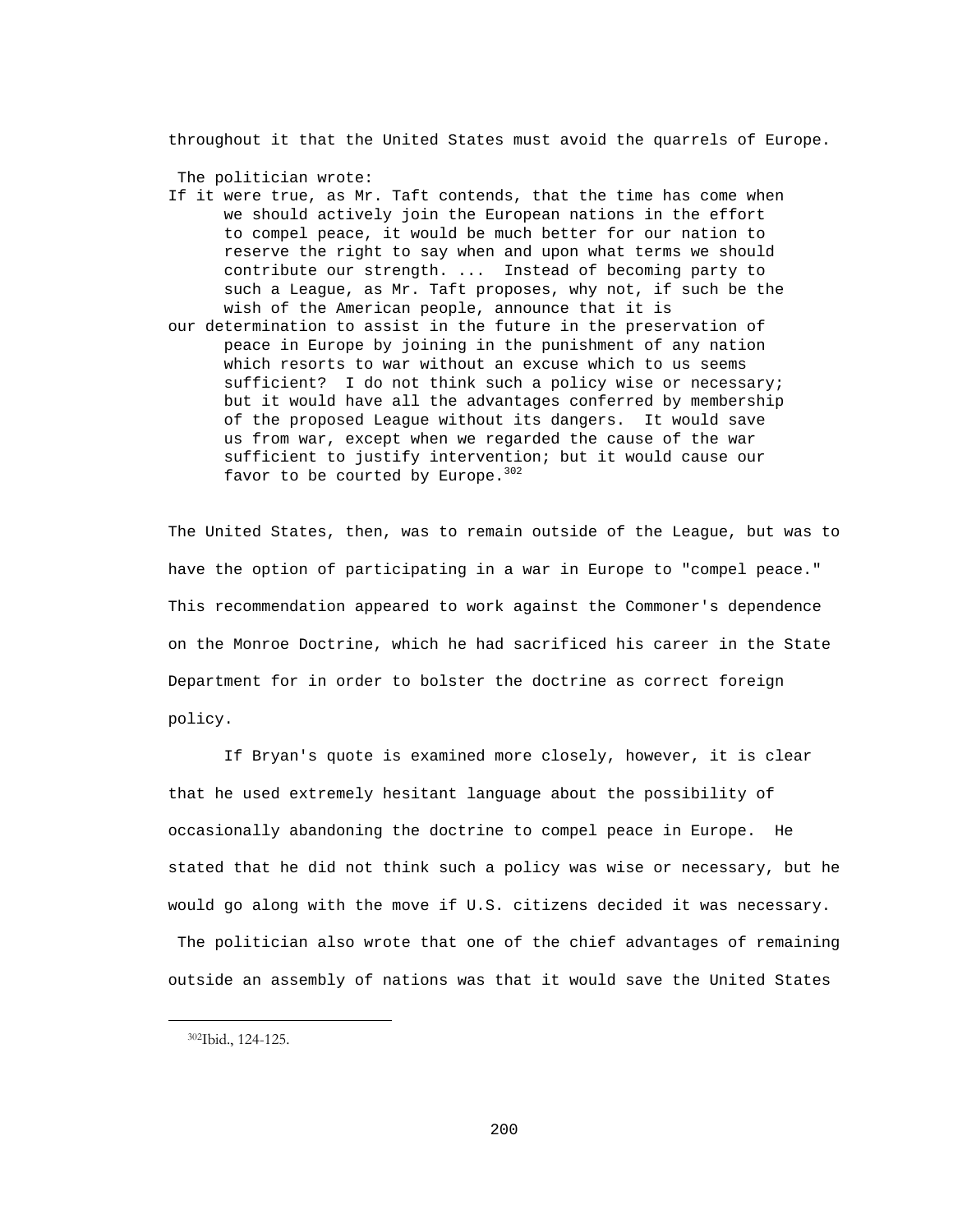throughout it that the United States must avoid the quarrels of Europe.

The politician wrote:

- If it were true, as Mr. Taft contends, that the time has come when we should actively join the European nations in the effort to compel peace, it would be much better for our nation to reserve the right to say when and upon what terms we should contribute our strength. ... Instead of becoming party to such a League, as Mr. Taft proposes, why not, if such be the wish of the American people, announce that it is
- our determination to assist in the future in the preservation of peace in Europe by joining in the punishment of any nation which resorts to war without an excuse which to us seems sufficient? I do not think such a policy wise or necessary; but it would have all the advantages conferred by membership of the proposed League without its dangers. It would save us from war, except when we regarded the cause of the war sufficient to justify intervention; but it would cause our favor to be courted by Europe.<sup>302</sup>

The United States, then, was to remain outside of the League, but was to have the option of participating in a war in Europe to "compel peace." This recommendation appeared to work against the Commoner's dependence on the Monroe Doctrine, which he had sacrificed his career in the State Department for in order to bolster the doctrine as correct foreign policy.

 If Bryan's quote is examined more closely, however, it is clear that he used extremely hesitant language about the possibility of occasionally abandoning the doctrine to compel peace in Europe. He stated that he did not think such a policy was wise or necessary, but he would go along with the move if U.S. citizens decided it was necessary.

 The politician also wrote that one of the chief advantages of remaining outside an assembly of nations was that it would save the United States

 <sup>302</sup>Ibid., 124-125.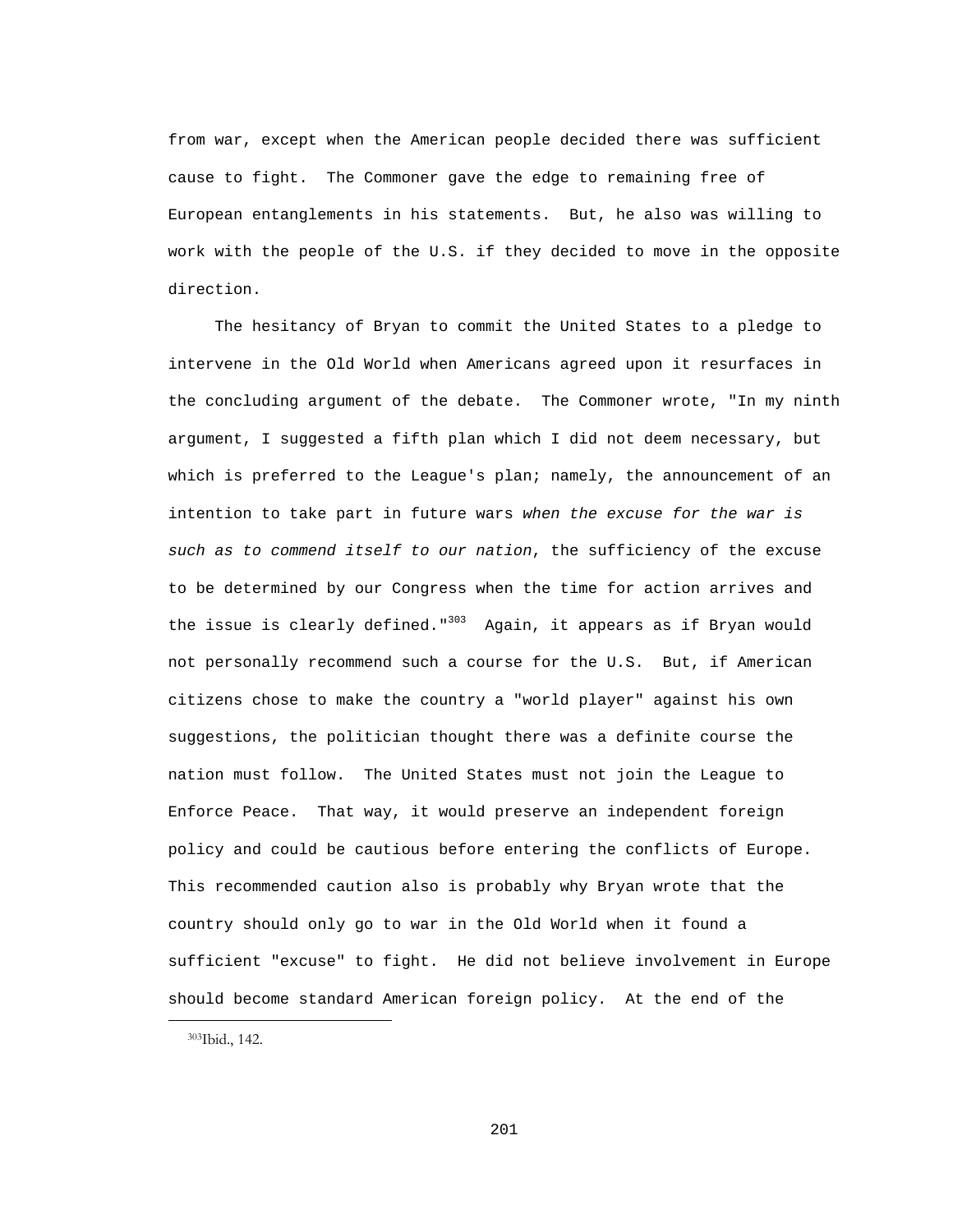from war, except when the American people decided there was sufficient cause to fight. The Commoner gave the edge to remaining free of European entanglements in his statements. But, he also was willing to work with the people of the U.S. if they decided to move in the opposite direction.

 The hesitancy of Bryan to commit the United States to a pledge to intervene in the Old World when Americans agreed upon it resurfaces in the concluding argument of the debate. The Commoner wrote, "In my ninth argument, I suggested a fifth plan which I did not deem necessary, but which is preferred to the League's plan; namely, the announcement of an intention to take part in future wars *when the excuse for the war is such as to commend itself to our nation*, the sufficiency of the excuse to be determined by our Congress when the time for action arrives and the issue is clearly defined."<sup>303</sup> Again, it appears as if Bryan would not personally recommend such a course for the U.S. But, if American citizens chose to make the country a "world player" against his own suggestions, the politician thought there was a definite course the nation must follow. The United States must not join the League to Enforce Peace. That way, it would preserve an independent foreign policy and could be cautious before entering the conflicts of Europe. This recommended caution also is probably why Bryan wrote that the country should only go to war in the Old World when it found a sufficient "excuse" to fight. He did not believe involvement in Europe should become standard American foreign policy. At the end of the

i

 <sup>303</sup>Ibid., 142.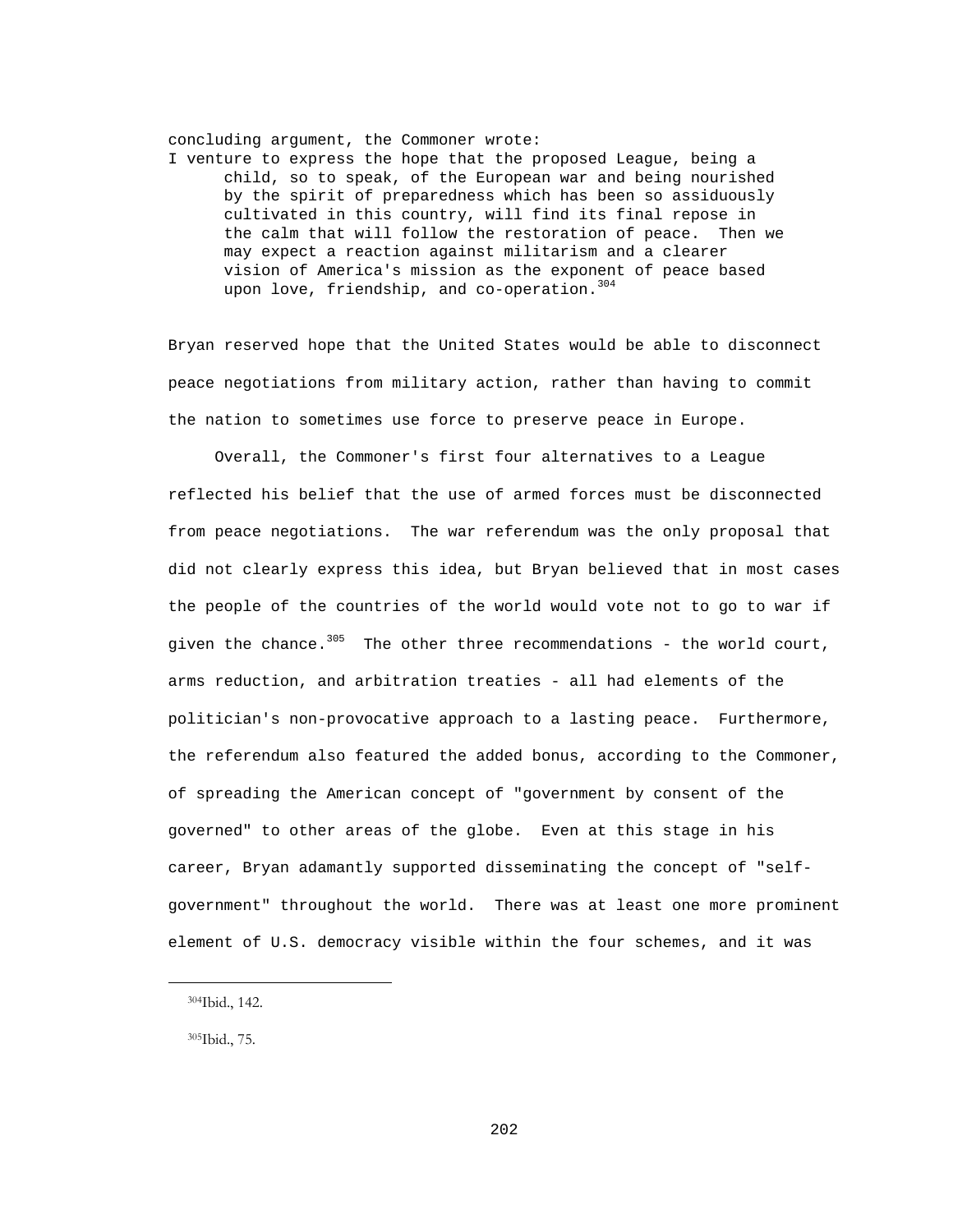concluding argument, the Commoner wrote: I venture to express the hope that the proposed League, being a child, so to speak, of the European war and being nourished by the spirit of preparedness which has been so assiduously cultivated in this country, will find its final repose in the calm that will follow the restoration of peace. Then we may expect a reaction against militarism and a clearer vision of America's mission as the exponent of peace based upon love, friendship, and co-operation.<sup>304</sup>

Bryan reserved hope that the United States would be able to disconnect peace negotiations from military action, rather than having to commit the nation to sometimes use force to preserve peace in Europe.

 Overall, the Commoner's first four alternatives to a League reflected his belief that the use of armed forces must be disconnected from peace negotiations. The war referendum was the only proposal that did not clearly express this idea, but Bryan believed that in most cases the people of the countries of the world would vote not to go to war if given the chance. $305$  The other three recommendations - the world court, arms reduction, and arbitration treaties - all had elements of the politician's non-provocative approach to a lasting peace. Furthermore, the referendum also featured the added bonus, according to the Commoner, of spreading the American concept of "government by consent of the governed" to other areas of the globe. Even at this stage in his career, Bryan adamantly supported disseminating the concept of "selfgovernment" throughout the world. There was at least one more prominent element of U.S. democracy visible within the four schemes, and it was

i

305Ibid., 75.

 <sup>304</sup>Ibid., 142.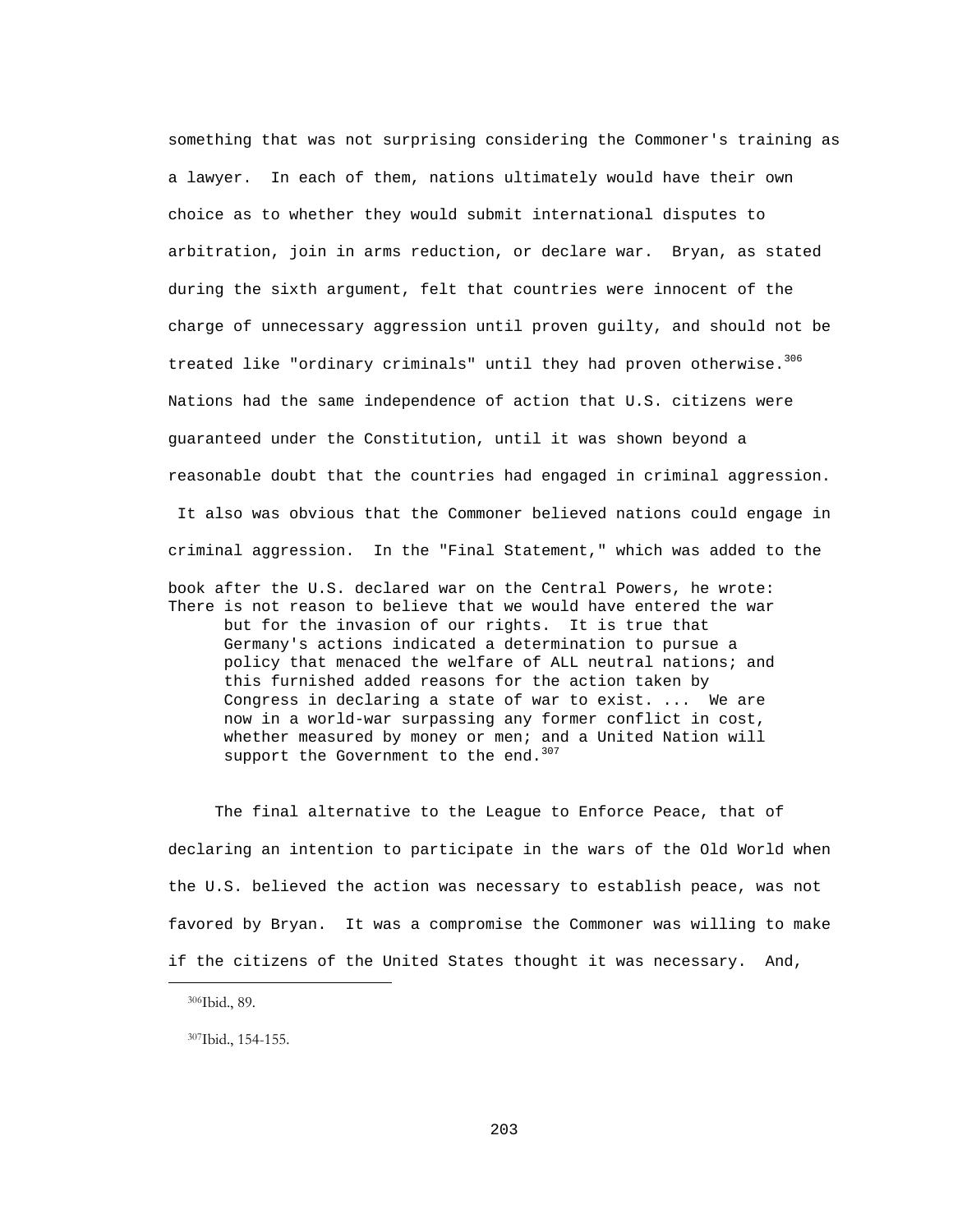something that was not surprising considering the Commoner's training as a lawyer. In each of them, nations ultimately would have their own choice as to whether they would submit international disputes to arbitration, join in arms reduction, or declare war. Bryan, as stated during the sixth argument, felt that countries were innocent of the charge of unnecessary aggression until proven guilty, and should not be treated like "ordinary criminals" until they had proven otherwise.  $306$ Nations had the same independence of action that U.S. citizens were guaranteed under the Constitution, until it was shown beyond a reasonable doubt that the countries had engaged in criminal aggression. It also was obvious that the Commoner believed nations could engage in criminal aggression. In the "Final Statement," which was added to the

book after the U.S. declared war on the Central Powers, he wrote: There is not reason to believe that we would have entered the war but for the invasion of our rights. It is true that Germany's actions indicated a determination to pursue a policy that menaced the welfare of ALL neutral nations; and this furnished added reasons for the action taken by Congress in declaring a state of war to exist. ... We are now in a world-war surpassing any former conflict in cost, whether measured by money or men; and a United Nation will support the Government to the end. $307$ 

 The final alternative to the League to Enforce Peace, that of declaring an intention to participate in the wars of the Old World when the U.S. believed the action was necessary to establish peace, was not favored by Bryan. It was a compromise the Commoner was willing to make if the citizens of the United States thought it was necessary. And,

i

307Ibid., 154-155.

 <sup>306</sup>Ibid., 89.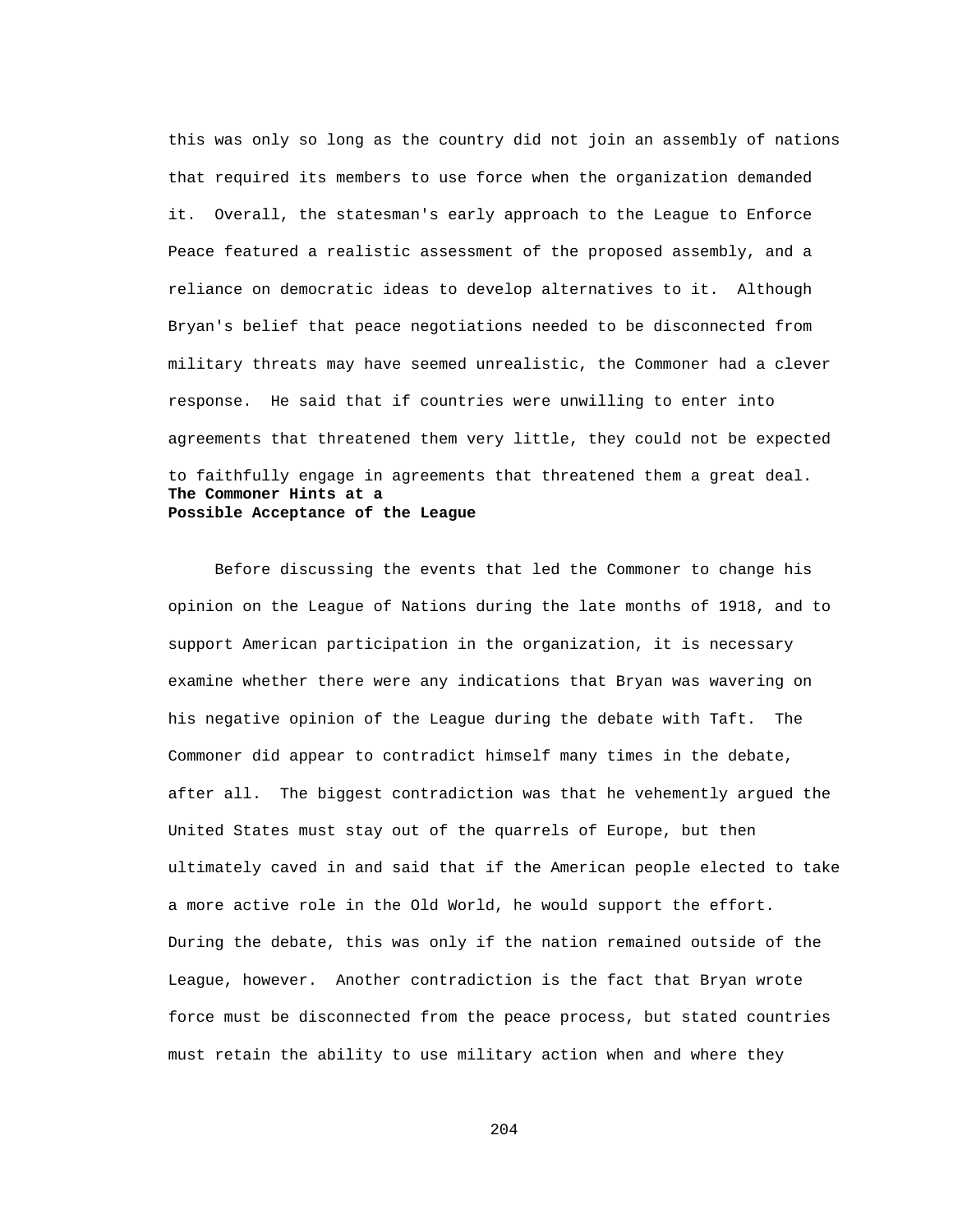this was only so long as the country did not join an assembly of nations that required its members to use force when the organization demanded it. Overall, the statesman's early approach to the League to Enforce Peace featured a realistic assessment of the proposed assembly, and a reliance on democratic ideas to develop alternatives to it. Although Bryan's belief that peace negotiations needed to be disconnected from military threats may have seemed unrealistic, the Commoner had a clever response. He said that if countries were unwilling to enter into agreements that threatened them very little, they could not be expected to faithfully engage in agreements that threatened them a great deal. **The Commoner Hints at a Possible Acceptance of the League**

 Before discussing the events that led the Commoner to change his opinion on the League of Nations during the late months of 1918, and to support American participation in the organization, it is necessary examine whether there were any indications that Bryan was wavering on his negative opinion of the League during the debate with Taft. The Commoner did appear to contradict himself many times in the debate, after all. The biggest contradiction was that he vehemently argued the United States must stay out of the quarrels of Europe, but then ultimately caved in and said that if the American people elected to take a more active role in the Old World, he would support the effort. During the debate, this was only if the nation remained outside of the League, however. Another contradiction is the fact that Bryan wrote force must be disconnected from the peace process, but stated countries must retain the ability to use military action when and where they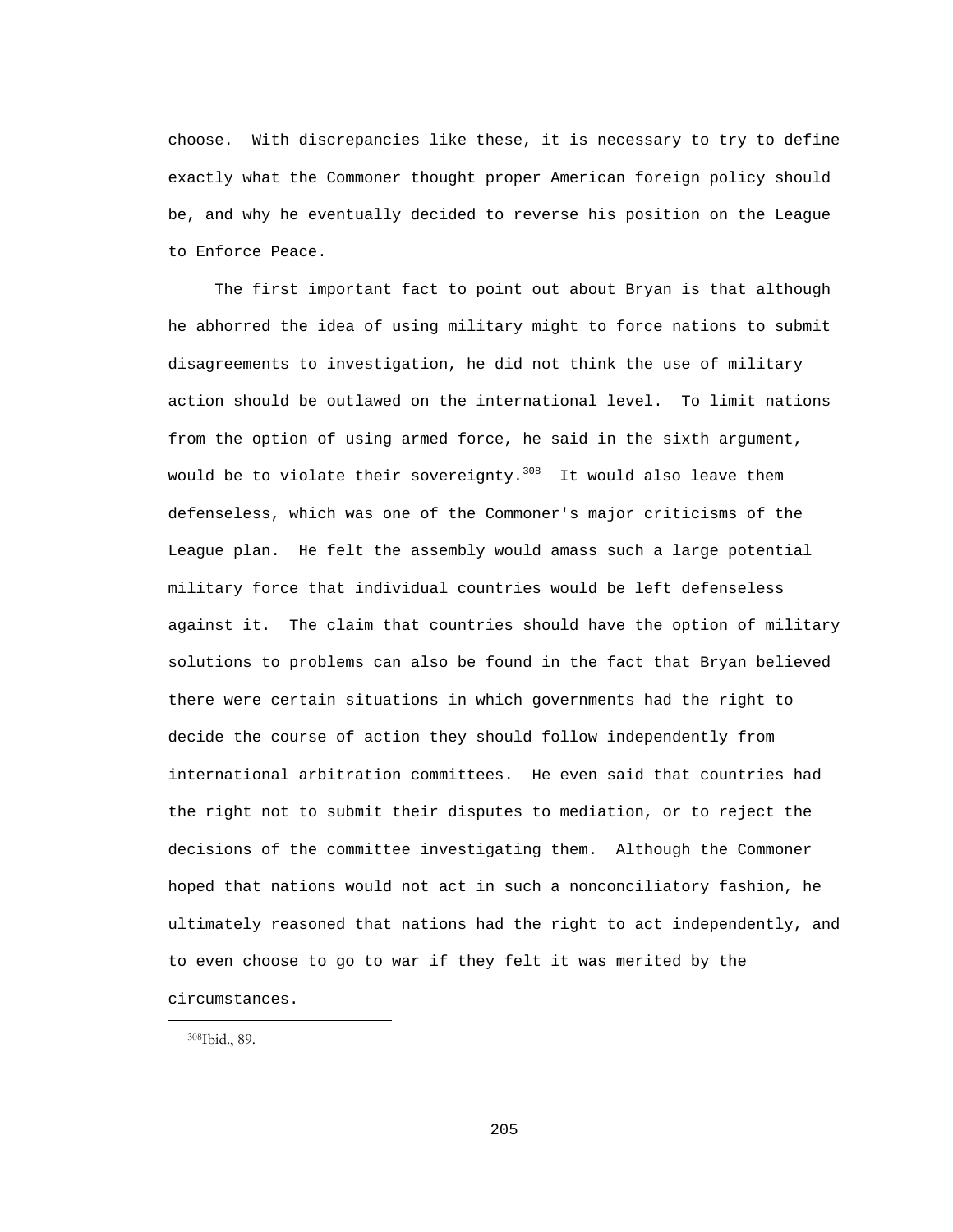choose. With discrepancies like these, it is necessary to try to define exactly what the Commoner thought proper American foreign policy should be, and why he eventually decided to reverse his position on the League to Enforce Peace.

 The first important fact to point out about Bryan is that although he abhorred the idea of using military might to force nations to submit disagreements to investigation, he did not think the use of military action should be outlawed on the international level. To limit nations from the option of using armed force, he said in the sixth argument, would be to violate their sovereignty.<sup>308</sup> It would also leave them defenseless, which was one of the Commoner's major criticisms of the League plan. He felt the assembly would amass such a large potential military force that individual countries would be left defenseless against it. The claim that countries should have the option of military solutions to problems can also be found in the fact that Bryan believed there were certain situations in which governments had the right to decide the course of action they should follow independently from international arbitration committees. He even said that countries had the right not to submit their disputes to mediation, or to reject the decisions of the committee investigating them. Although the Commoner hoped that nations would not act in such a nonconciliatory fashion, he ultimately reasoned that nations had the right to act independently, and to even choose to go to war if they felt it was merited by the circumstances.

308Ibid., 89.

i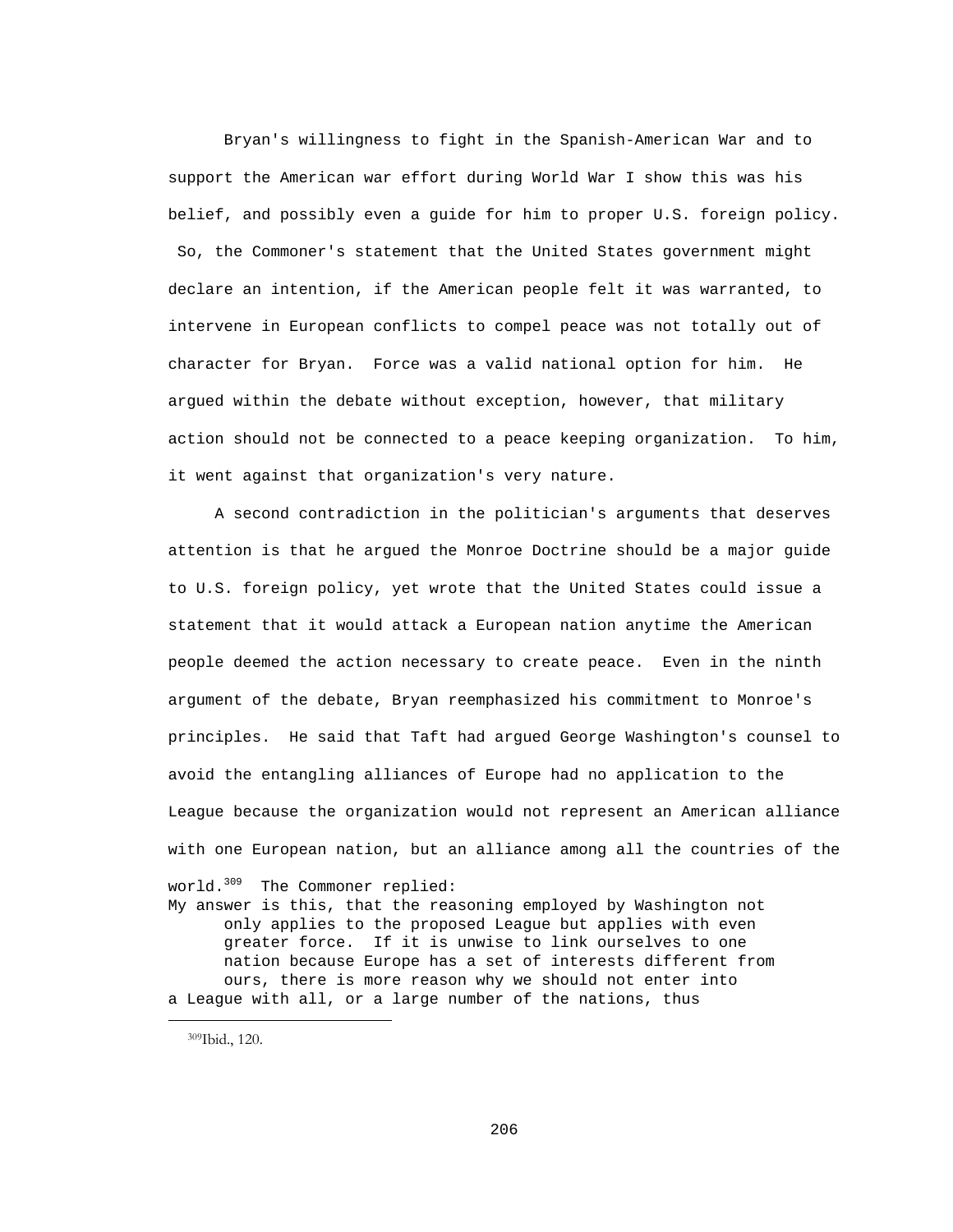Bryan's willingness to fight in the Spanish-American War and to support the American war effort during World War I show this was his belief, and possibly even a guide for him to proper U.S. foreign policy. So, the Commoner's statement that the United States government might declare an intention, if the American people felt it was warranted, to intervene in European conflicts to compel peace was not totally out of character for Bryan. Force was a valid national option for him. He argued within the debate without exception, however, that military action should not be connected to a peace keeping organization. To him, it went against that organization's very nature.

 A second contradiction in the politician's arguments that deserves attention is that he argued the Monroe Doctrine should be a major guide to U.S. foreign policy, yet wrote that the United States could issue a statement that it would attack a European nation anytime the American people deemed the action necessary to create peace. Even in the ninth argument of the debate, Bryan reemphasized his commitment to Monroe's principles. He said that Taft had argued George Washington's counsel to avoid the entangling alliances of Europe had no application to the League because the organization would not represent an American alliance with one European nation, but an alliance among all the countries of the

world.309 The Commoner replied:

My answer is this, that the reasoning employed by Washington not only applies to the proposed League but applies with even greater force. If it is unwise to link ourselves to one nation because Europe has a set of interests different from ours, there is more reason why we should not enter into a League with all, or a large number of the nations, thus

 <sup>309</sup>Ibid., 120.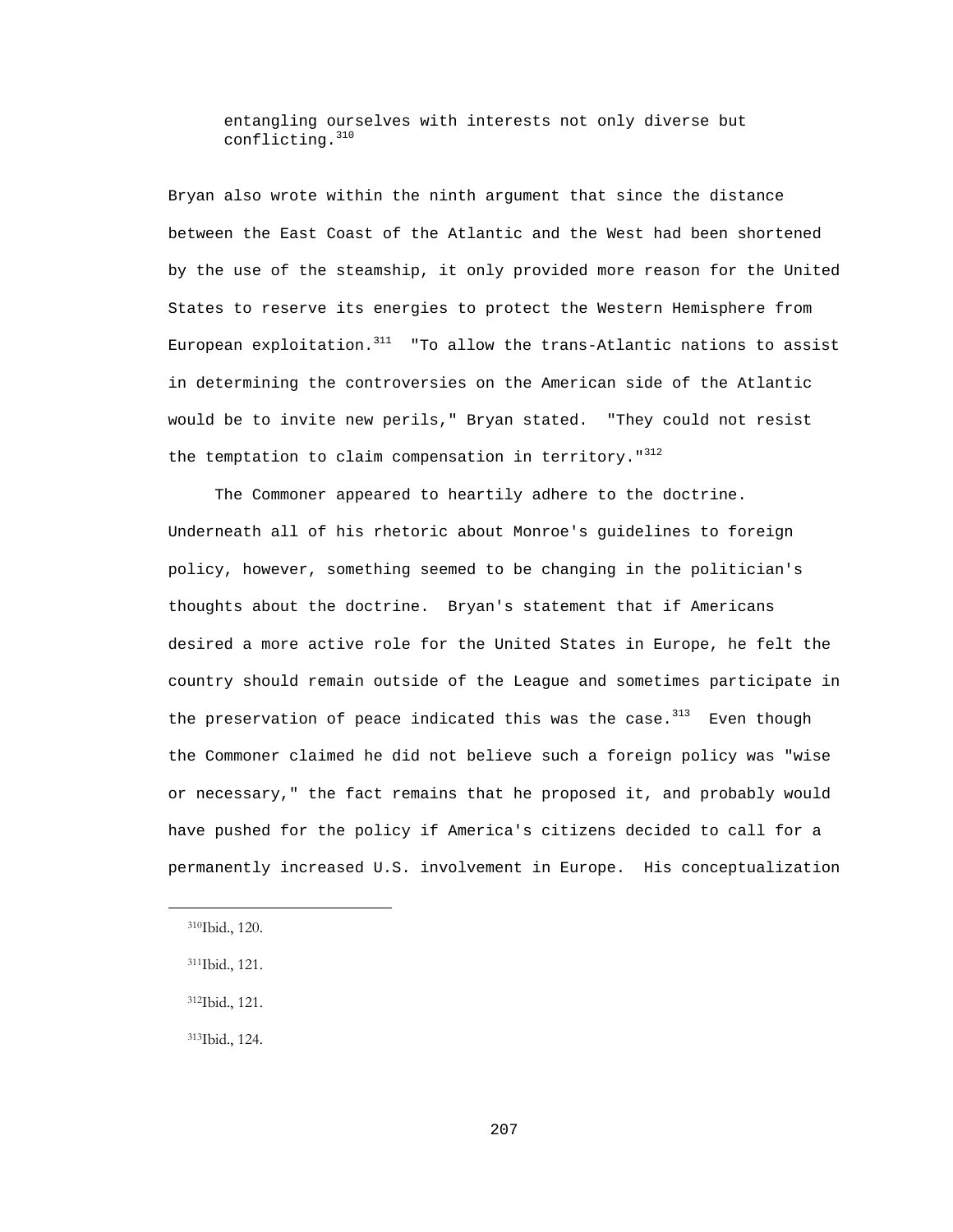entangling ourselves with interests not only diverse but conflicting.310

Bryan also wrote within the ninth argument that since the distance between the East Coast of the Atlantic and the West had been shortened by the use of the steamship, it only provided more reason for the United States to reserve its energies to protect the Western Hemisphere from European exploitation.<sup>311</sup> "To allow the trans-Atlantic nations to assist in determining the controversies on the American side of the Atlantic would be to invite new perils," Bryan stated. "They could not resist the temptation to claim compensation in territory.  $1312$ 

 The Commoner appeared to heartily adhere to the doctrine. Underneath all of his rhetoric about Monroe's guidelines to foreign policy, however, something seemed to be changing in the politician's thoughts about the doctrine. Bryan's statement that if Americans desired a more active role for the United States in Europe, he felt the country should remain outside of the League and sometimes participate in the preservation of peace indicated this was the case. $313$  Even though the Commoner claimed he did not believe such a foreign policy was "wise or necessary," the fact remains that he proposed it, and probably would have pushed for the policy if America's citizens decided to call for a permanently increased U.S. involvement in Europe. His conceptualization

i

313Ibid., 124.

 <sup>310</sup>Ibid., 120.

 <sup>311</sup>Ibid., 121.

 <sup>312</sup>Ibid., 121.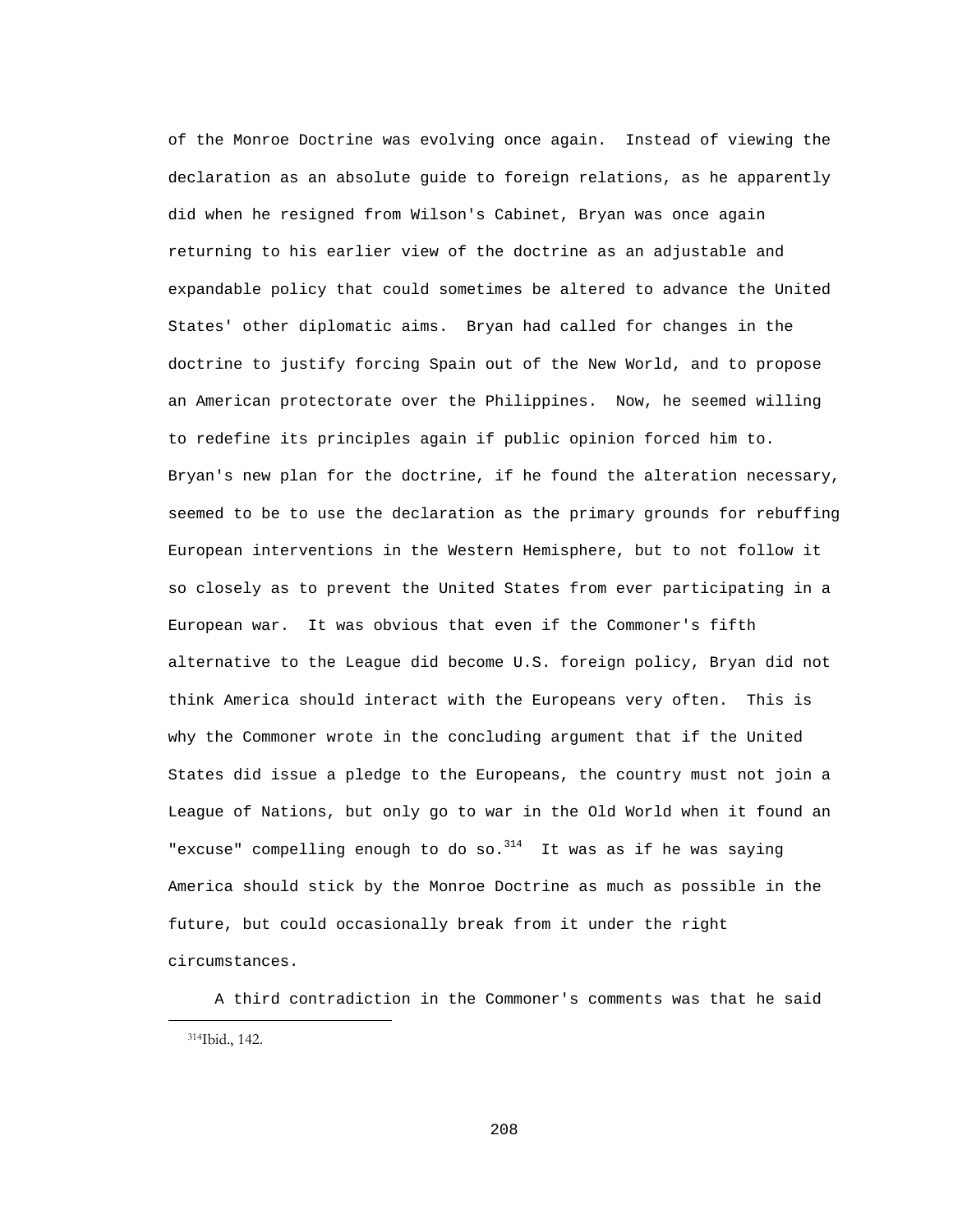of the Monroe Doctrine was evolving once again. Instead of viewing the declaration as an absolute guide to foreign relations, as he apparently did when he resigned from Wilson's Cabinet, Bryan was once again returning to his earlier view of the doctrine as an adjustable and expandable policy that could sometimes be altered to advance the United States' other diplomatic aims. Bryan had called for changes in the doctrine to justify forcing Spain out of the New World, and to propose an American protectorate over the Philippines. Now, he seemed willing to redefine its principles again if public opinion forced him to. Bryan's new plan for the doctrine, if he found the alteration necessary, seemed to be to use the declaration as the primary grounds for rebuffing European interventions in the Western Hemisphere, but to not follow it so closely as to prevent the United States from ever participating in a European war. It was obvious that even if the Commoner's fifth alternative to the League did become U.S. foreign policy, Bryan did not think America should interact with the Europeans very often. This is why the Commoner wrote in the concluding argument that if the United States did issue a pledge to the Europeans, the country must not join a League of Nations, but only go to war in the Old World when it found an "excuse" compelling enough to do so. $^{314}$  It was as if he was saying America should stick by the Monroe Doctrine as much as possible in the future, but could occasionally break from it under the right circumstances.

 A third contradiction in the Commoner's comments was that he said i 314Ibid., 142.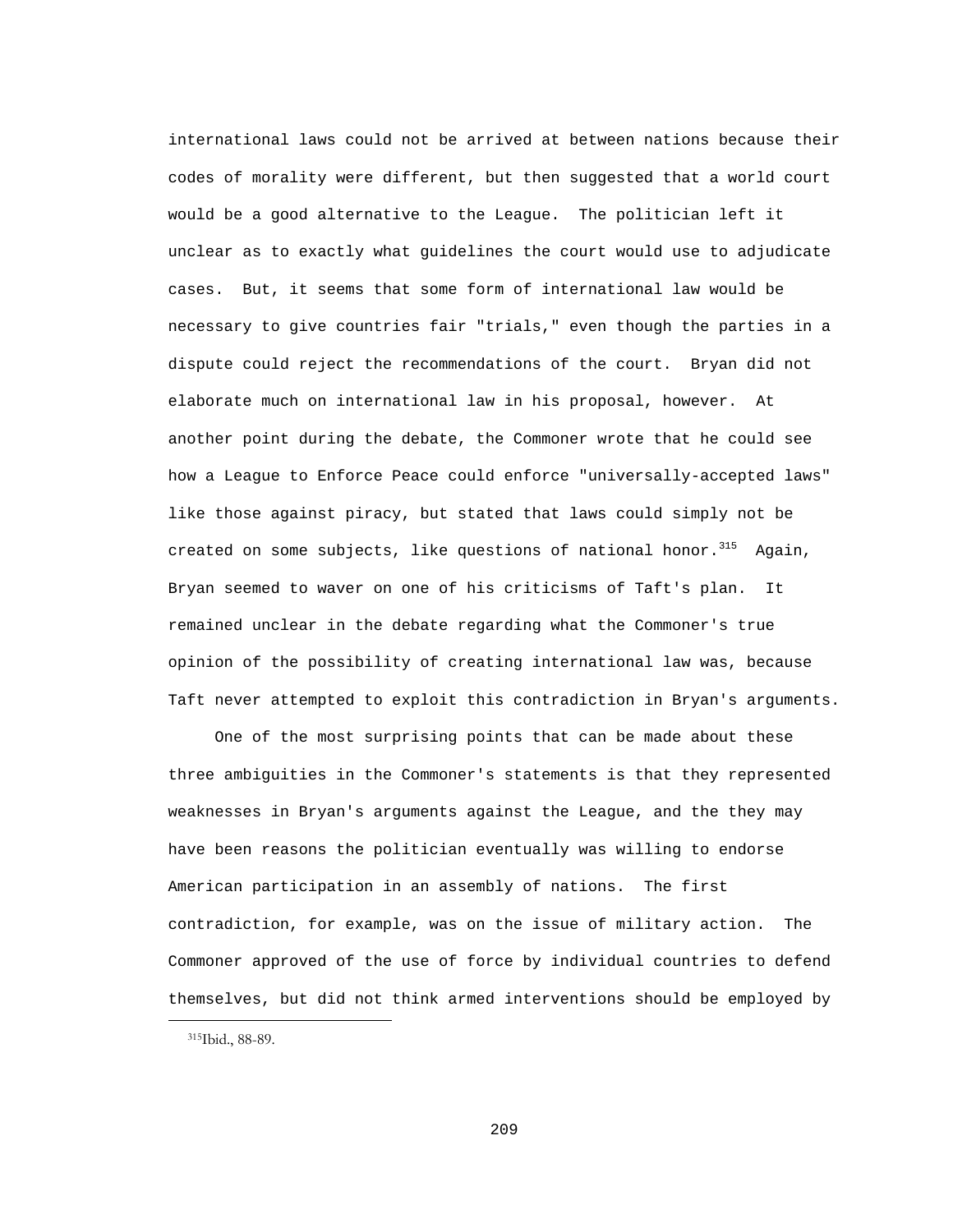international laws could not be arrived at between nations because their codes of morality were different, but then suggested that a world court would be a good alternative to the League. The politician left it unclear as to exactly what guidelines the court would use to adjudicate cases. But, it seems that some form of international law would be necessary to give countries fair "trials," even though the parties in a dispute could reject the recommendations of the court. Bryan did not elaborate much on international law in his proposal, however. At another point during the debate, the Commoner wrote that he could see how a League to Enforce Peace could enforce "universally-accepted laws" like those against piracy, but stated that laws could simply not be created on some subjects, like questions of national honor.<sup>315</sup> Again, Bryan seemed to waver on one of his criticisms of Taft's plan. It remained unclear in the debate regarding what the Commoner's true opinion of the possibility of creating international law was, because Taft never attempted to exploit this contradiction in Bryan's arguments.

 One of the most surprising points that can be made about these three ambiguities in the Commoner's statements is that they represented weaknesses in Bryan's arguments against the League, and the they may have been reasons the politician eventually was willing to endorse American participation in an assembly of nations. The first contradiction, for example, was on the issue of military action. The Commoner approved of the use of force by individual countries to defend themselves, but did not think armed interventions should be employed by

i

 <sup>315</sup>Ibid., 88-89.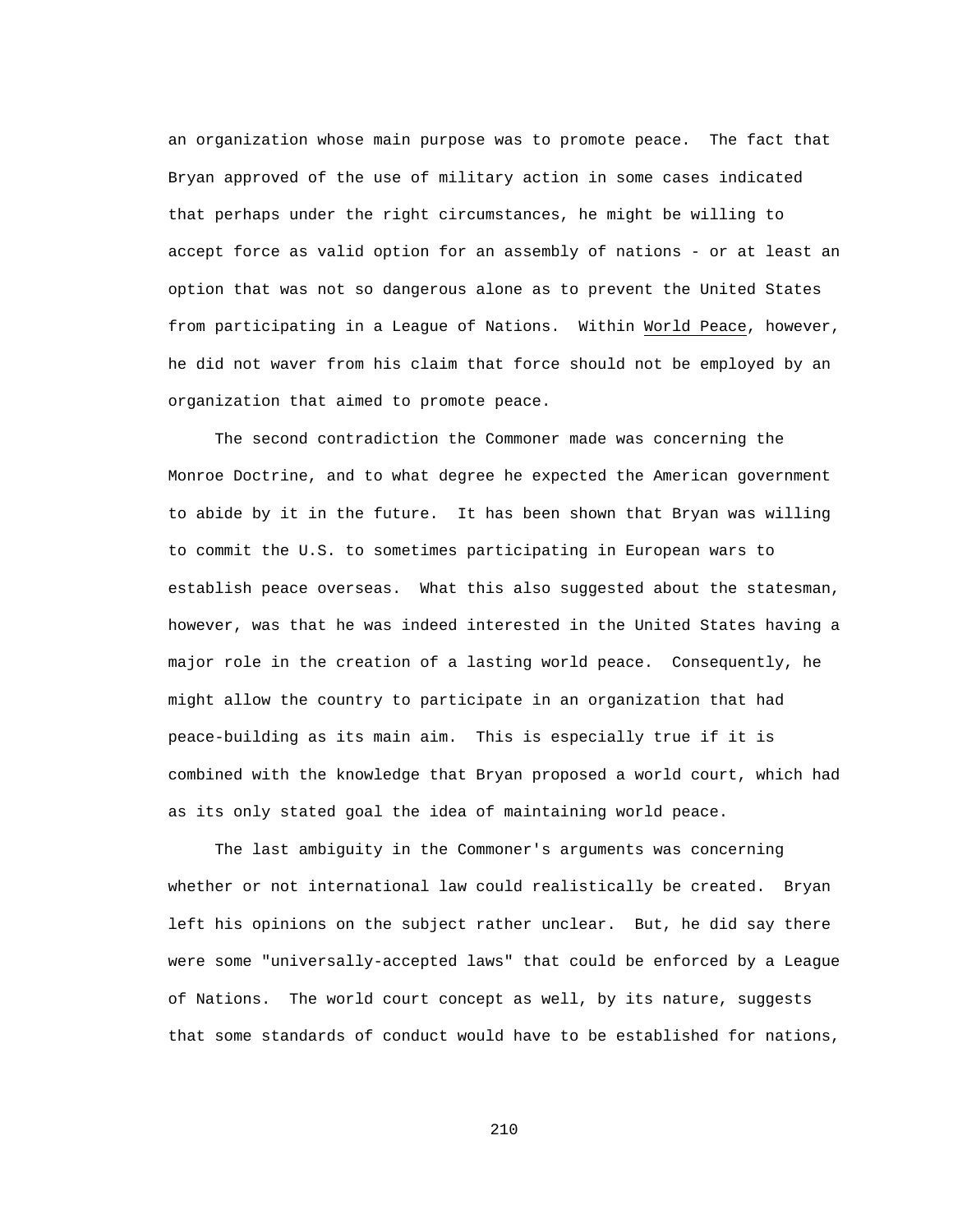an organization whose main purpose was to promote peace. The fact that Bryan approved of the use of military action in some cases indicated that perhaps under the right circumstances, he might be willing to accept force as valid option for an assembly of nations - or at least an option that was not so dangerous alone as to prevent the United States from participating in a League of Nations. Within World Peace, however, he did not waver from his claim that force should not be employed by an organization that aimed to promote peace.

 The second contradiction the Commoner made was concerning the Monroe Doctrine, and to what degree he expected the American government to abide by it in the future. It has been shown that Bryan was willing to commit the U.S. to sometimes participating in European wars to establish peace overseas. What this also suggested about the statesman, however, was that he was indeed interested in the United States having a major role in the creation of a lasting world peace. Consequently, he might allow the country to participate in an organization that had peace-building as its main aim. This is especially true if it is combined with the knowledge that Bryan proposed a world court, which had as its only stated goal the idea of maintaining world peace.

 The last ambiguity in the Commoner's arguments was concerning whether or not international law could realistically be created. Bryan left his opinions on the subject rather unclear. But, he did say there were some "universally-accepted laws" that could be enforced by a League of Nations. The world court concept as well, by its nature, suggests that some standards of conduct would have to be established for nations,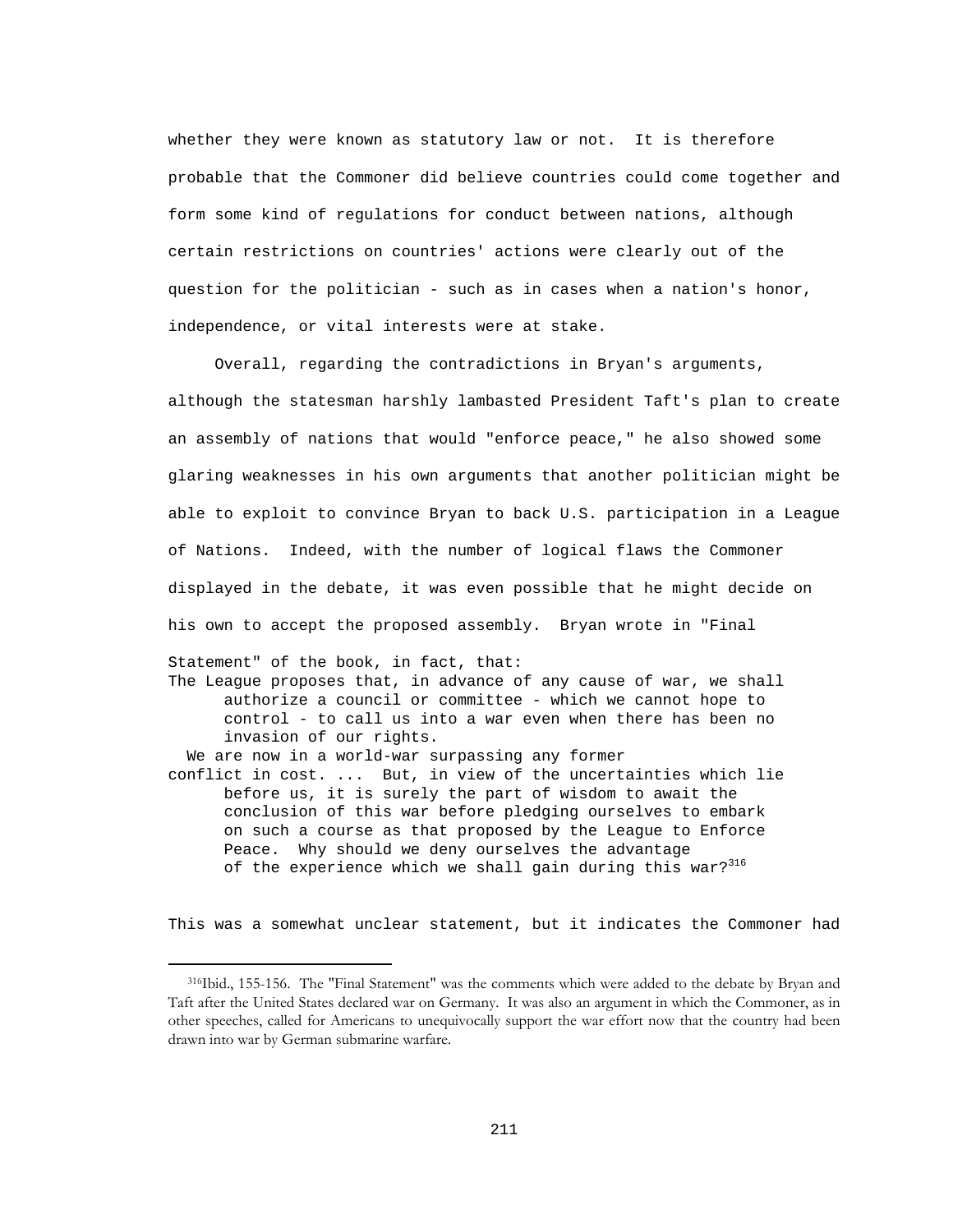whether they were known as statutory law or not. It is therefore probable that the Commoner did believe countries could come together and form some kind of regulations for conduct between nations, although certain restrictions on countries' actions were clearly out of the question for the politician - such as in cases when a nation's honor, independence, or vital interests were at stake.

 Overall, regarding the contradictions in Bryan's arguments, although the statesman harshly lambasted President Taft's plan to create an assembly of nations that would "enforce peace," he also showed some glaring weaknesses in his own arguments that another politician might be able to exploit to convince Bryan to back U.S. participation in a League of Nations. Indeed, with the number of logical flaws the Commoner displayed in the debate, it was even possible that he might decide on his own to accept the proposed assembly. Bryan wrote in "Final Statement" of the book, in fact, that: The League proposes that, in advance of any cause of war, we shall authorize a council or committee - which we cannot hope to control - to call us into a war even when there has been no invasion of our rights. We are now in a world-war surpassing any former conflict in cost. ... But, in view of the uncertainties which lie before us, it is surely the part of wisdom to await the conclusion of this war before pledging ourselves to embark on such a course as that proposed by the League to Enforce Peace. Why should we deny ourselves the advantage of the experience which we shall gain during this war?  $316$ 

This was a somewhat unclear statement, but it indicates the Commoner had

 <sup>316</sup>Ibid., 155-156. The "Final Statement" was the comments which were added to the debate by Bryan and Taft after the United States declared war on Germany. It was also an argument in which the Commoner, as in other speeches, called for Americans to unequivocally support the war effort now that the country had been drawn into war by German submarine warfare.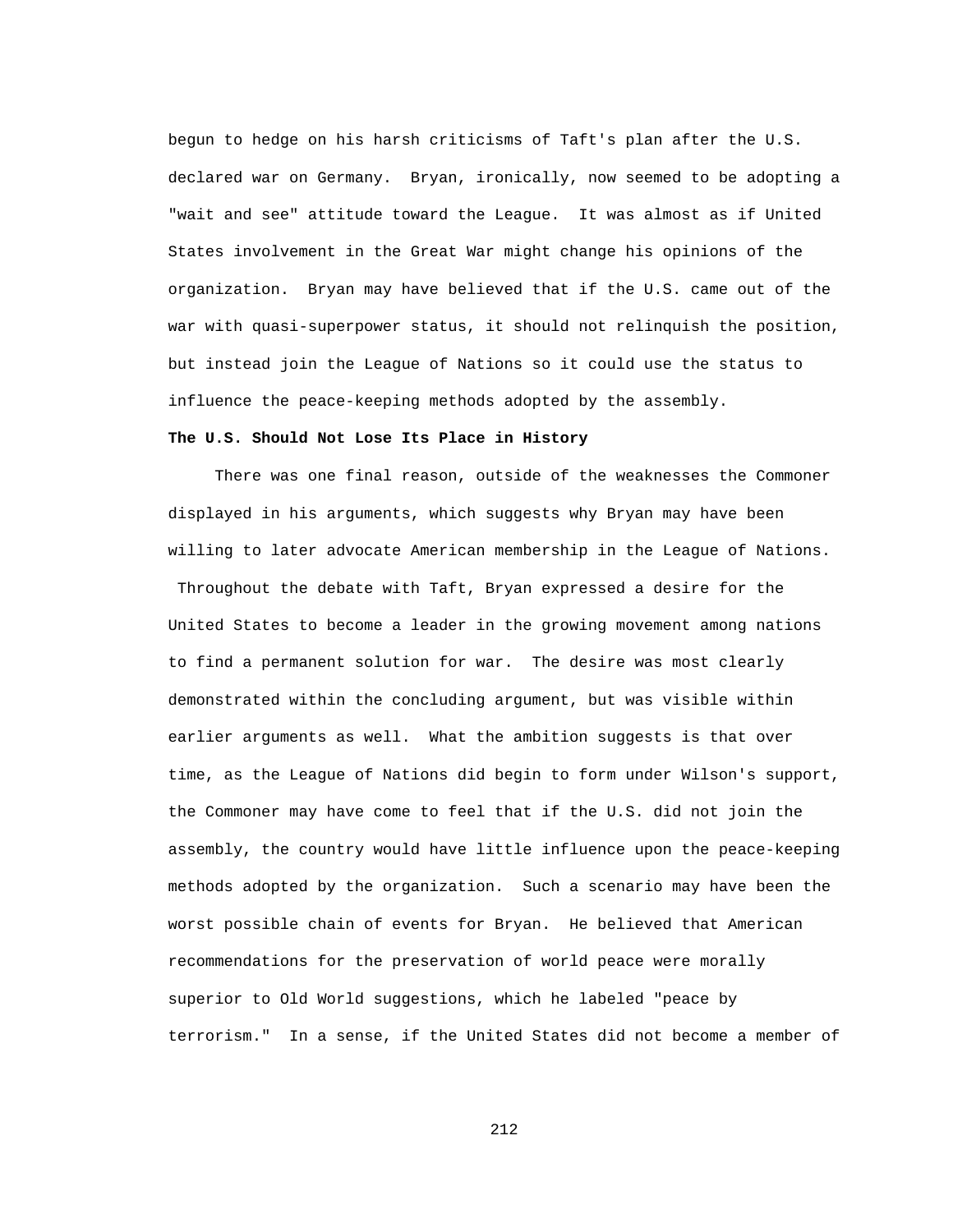begun to hedge on his harsh criticisms of Taft's plan after the U.S. declared war on Germany. Bryan, ironically, now seemed to be adopting a "wait and see" attitude toward the League. It was almost as if United States involvement in the Great War might change his opinions of the organization. Bryan may have believed that if the U.S. came out of the war with quasi-superpower status, it should not relinquish the position, but instead join the League of Nations so it could use the status to influence the peace-keeping methods adopted by the assembly.

# **The U.S. Should Not Lose Its Place in History**

 There was one final reason, outside of the weaknesses the Commoner displayed in his arguments, which suggests why Bryan may have been willing to later advocate American membership in the League of Nations. Throughout the debate with Taft, Bryan expressed a desire for the United States to become a leader in the growing movement among nations to find a permanent solution for war. The desire was most clearly demonstrated within the concluding argument, but was visible within earlier arguments as well. What the ambition suggests is that over time, as the League of Nations did begin to form under Wilson's support, the Commoner may have come to feel that if the U.S. did not join the assembly, the country would have little influence upon the peace-keeping methods adopted by the organization. Such a scenario may have been the worst possible chain of events for Bryan. He believed that American recommendations for the preservation of world peace were morally superior to Old World suggestions, which he labeled "peace by terrorism." In a sense, if the United States did not become a member of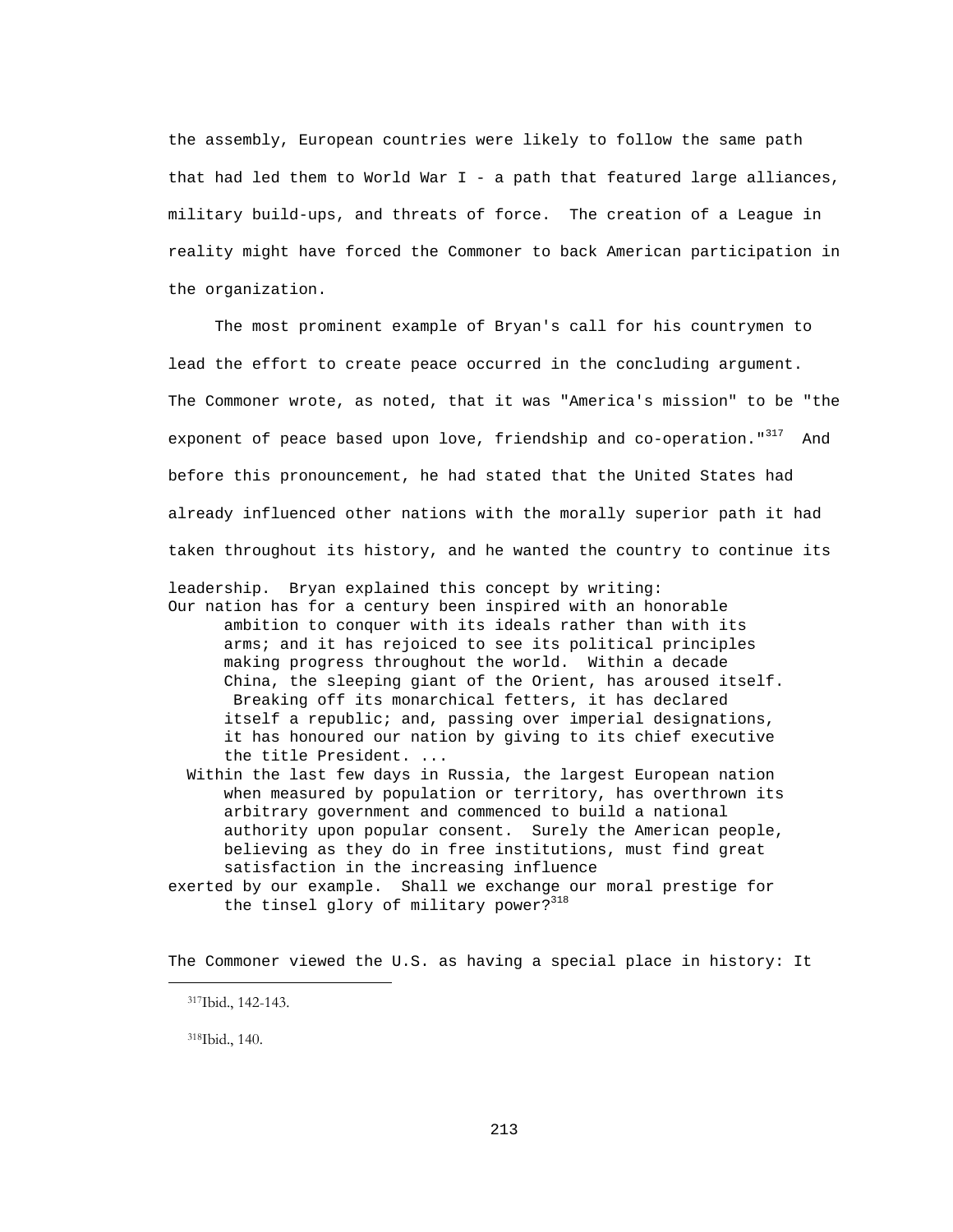the assembly, European countries were likely to follow the same path that had led them to World War I - a path that featured large alliances, military build-ups, and threats of force. The creation of a League in reality might have forced the Commoner to back American participation in the organization.

 The most prominent example of Bryan's call for his countrymen to lead the effort to create peace occurred in the concluding argument. The Commoner wrote, as noted, that it was "America's mission" to be "the exponent of peace based upon love, friendship and co-operation."<sup>317</sup> And before this pronouncement, he had stated that the United States had already influenced other nations with the morally superior path it had taken throughout its history, and he wanted the country to continue its

leadership. Bryan explained this concept by writing:

- Our nation has for a century been inspired with an honorable ambition to conquer with its ideals rather than with its arms; and it has rejoiced to see its political principles making progress throughout the world. Within a decade China, the sleeping giant of the Orient, has aroused itself. Breaking off its monarchical fetters, it has declared itself a republic; and, passing over imperial designations, it has honoured our nation by giving to its chief executive the title President. ...
	- Within the last few days in Russia, the largest European nation when measured by population or territory, has overthrown its arbitrary government and commenced to build a national authority upon popular consent. Surely the American people, believing as they do in free institutions, must find great satisfaction in the increasing influence
- exerted by our example. Shall we exchange our moral prestige for the tinsel glory of military power? $318$

The Commoner viewed the U.S. as having a special place in history: It

318Ibid., 140.

 <sup>317</sup>Ibid., 142-143.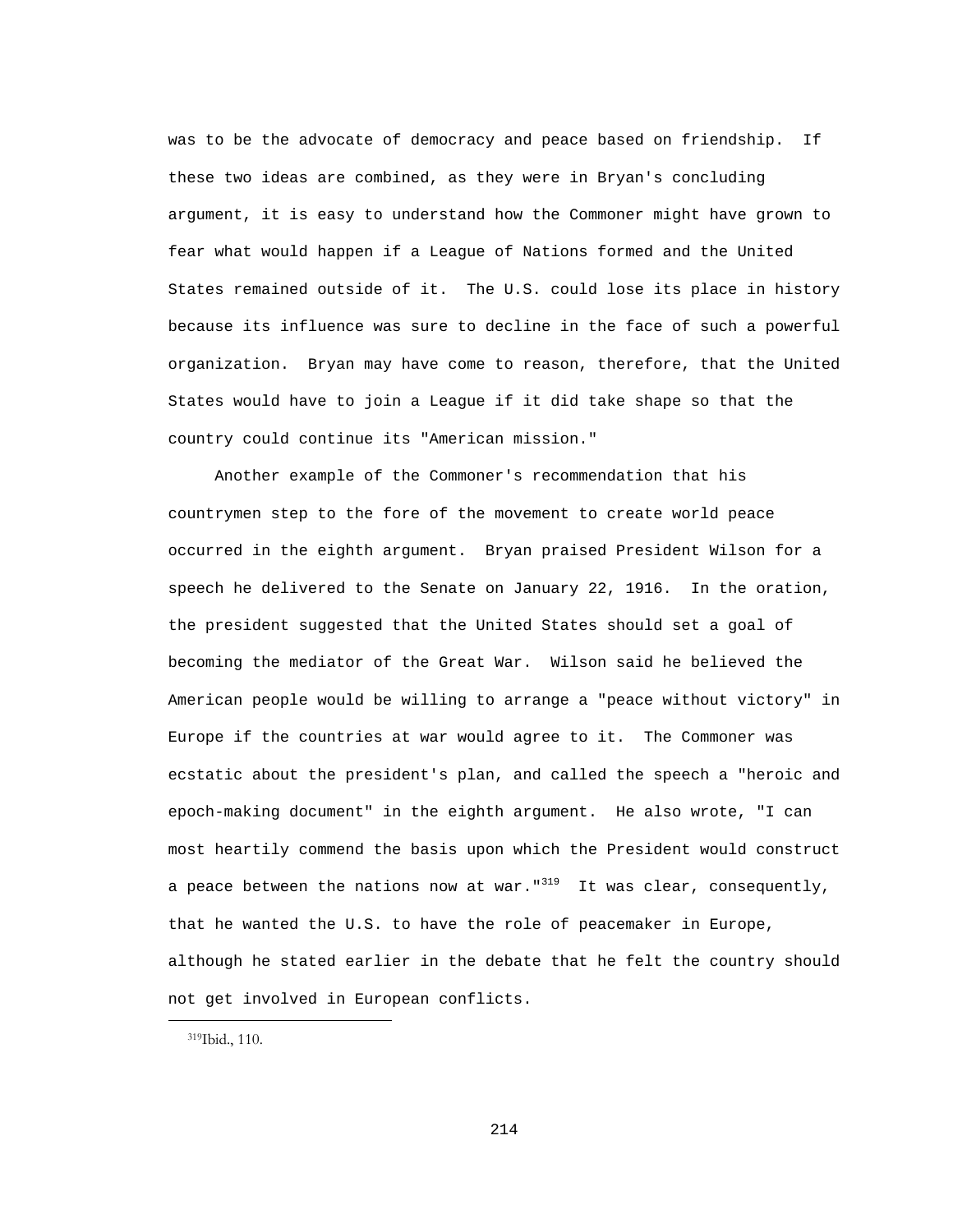was to be the advocate of democracy and peace based on friendship. If these two ideas are combined, as they were in Bryan's concluding argument, it is easy to understand how the Commoner might have grown to fear what would happen if a League of Nations formed and the United States remained outside of it. The U.S. could lose its place in history because its influence was sure to decline in the face of such a powerful organization. Bryan may have come to reason, therefore, that the United States would have to join a League if it did take shape so that the country could continue its "American mission."

 Another example of the Commoner's recommendation that his countrymen step to the fore of the movement to create world peace occurred in the eighth argument. Bryan praised President Wilson for a speech he delivered to the Senate on January 22, 1916. In the oration, the president suggested that the United States should set a goal of becoming the mediator of the Great War. Wilson said he believed the American people would be willing to arrange a "peace without victory" in Europe if the countries at war would agree to it. The Commoner was ecstatic about the president's plan, and called the speech a "heroic and epoch-making document" in the eighth argument. He also wrote, "I can most heartily commend the basis upon which the President would construct a peace between the nations now at war." $319$  It was clear, consequently, that he wanted the U.S. to have the role of peacemaker in Europe, although he stated earlier in the debate that he felt the country should not get involved in European conflicts.

319Ibid., 110.

i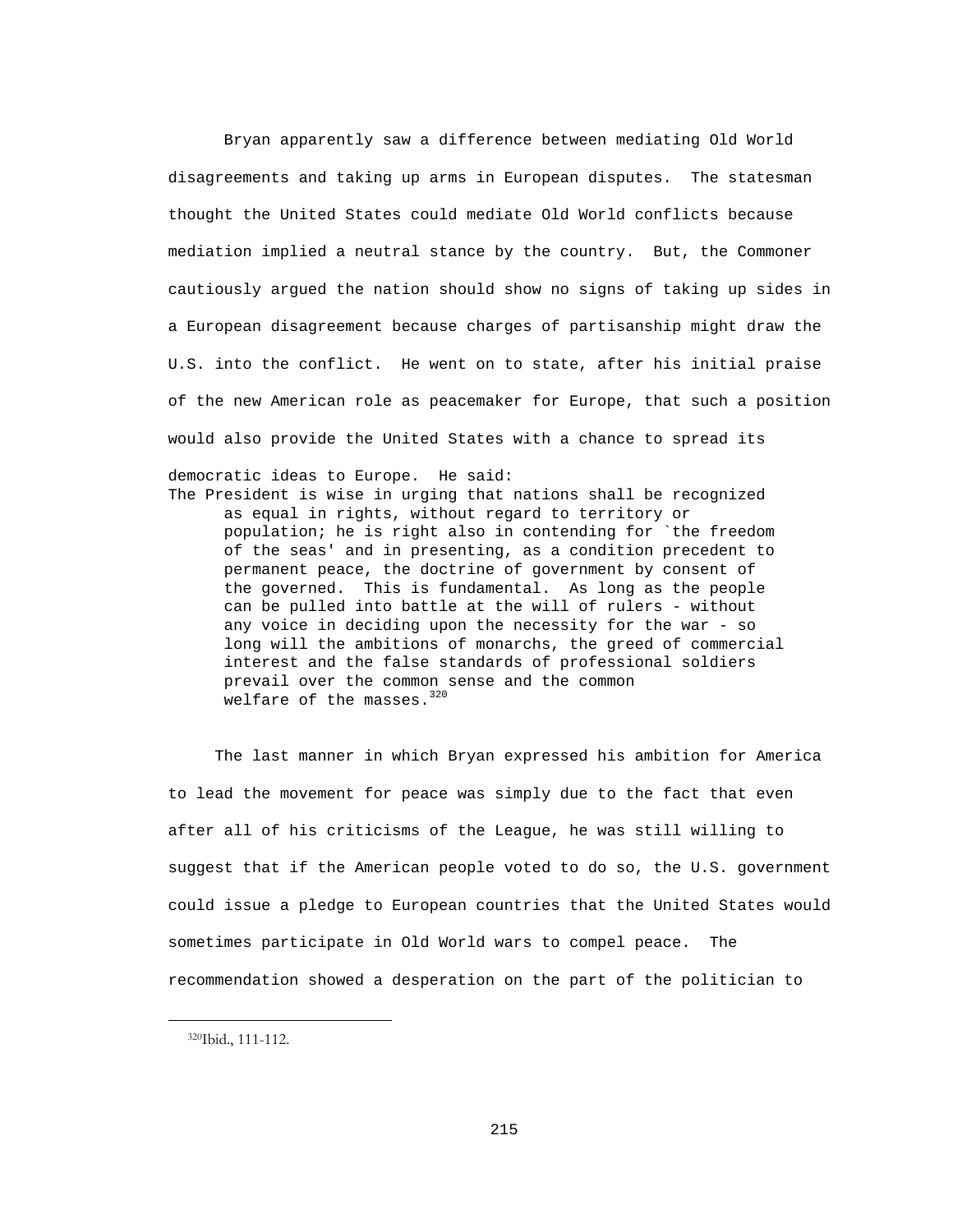Bryan apparently saw a difference between mediating Old World disagreements and taking up arms in European disputes. The statesman thought the United States could mediate Old World conflicts because mediation implied a neutral stance by the country. But, the Commoner cautiously argued the nation should show no signs of taking up sides in a European disagreement because charges of partisanship might draw the U.S. into the conflict. He went on to state, after his initial praise of the new American role as peacemaker for Europe, that such a position would also provide the United States with a chance to spread its

democratic ideas to Europe. He said:

The President is wise in urging that nations shall be recognized as equal in rights, without regard to territory or population; he is right also in contending for `the freedom of the seas' and in presenting, as a condition precedent to permanent peace, the doctrine of government by consent of the governed. This is fundamental. As long as the people can be pulled into battle at the will of rulers - without any voice in deciding upon the necessity for the war - so long will the ambitions of monarchs, the greed of commercial interest and the false standards of professional soldiers prevail over the common sense and the common welfare of the masses.<sup>320</sup>

 The last manner in which Bryan expressed his ambition for America to lead the movement for peace was simply due to the fact that even after all of his criticisms of the League, he was still willing to suggest that if the American people voted to do so, the U.S. government could issue a pledge to European countries that the United States would sometimes participate in Old World wars to compel peace. The recommendation showed a desperation on the part of the politician to

 <sup>320</sup>Ibid., 111-112.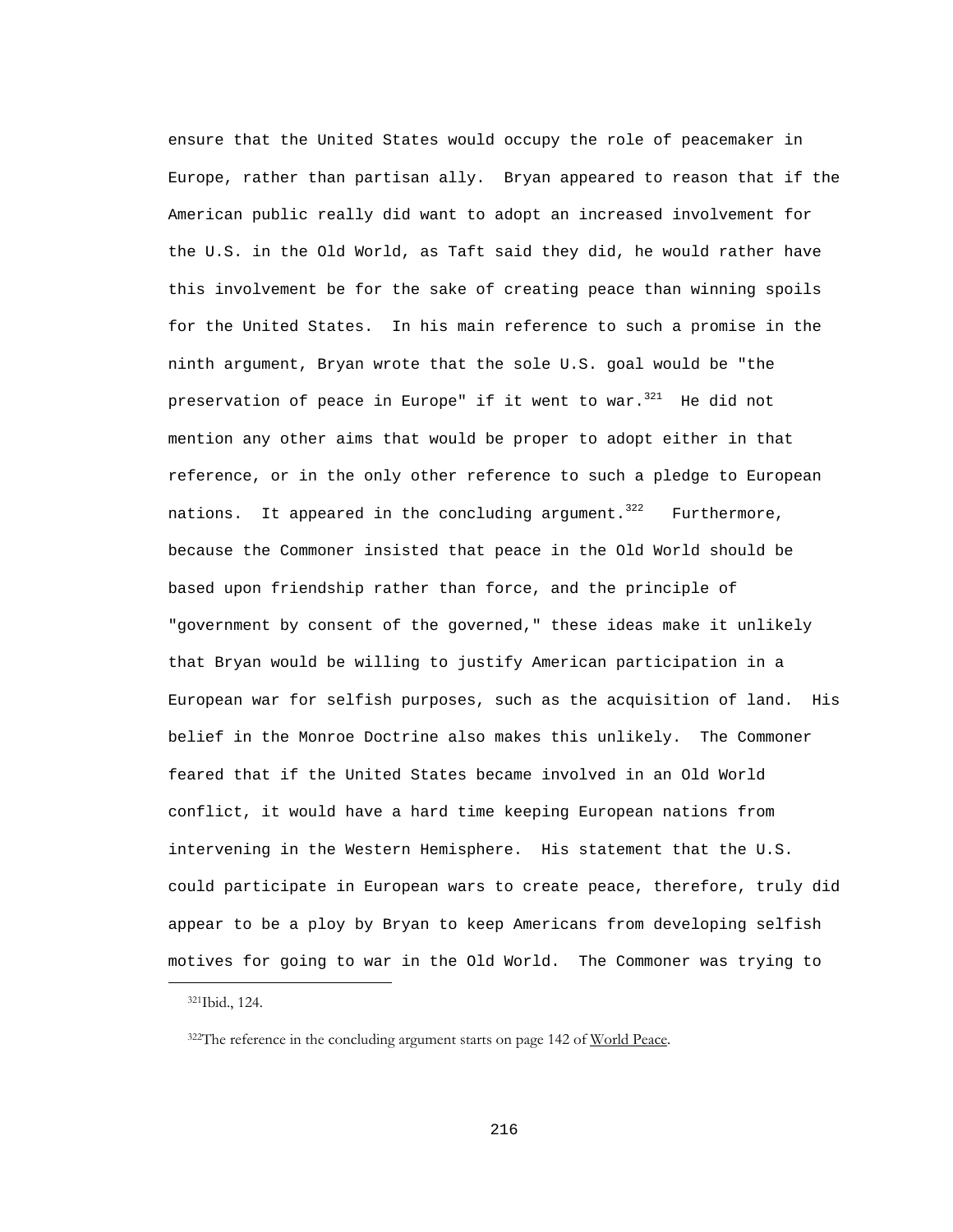ensure that the United States would occupy the role of peacemaker in Europe, rather than partisan ally. Bryan appeared to reason that if the American public really did want to adopt an increased involvement for the U.S. in the Old World, as Taft said they did, he would rather have this involvement be for the sake of creating peace than winning spoils for the United States. In his main reference to such a promise in the ninth argument, Bryan wrote that the sole U.S. goal would be "the preservation of peace in Europe" if it went to war.<sup>321</sup> He did not mention any other aims that would be proper to adopt either in that reference, or in the only other reference to such a pledge to European nations. It appeared in the concluding argument.<sup>322</sup> Furthermore, because the Commoner insisted that peace in the Old World should be based upon friendship rather than force, and the principle of "government by consent of the governed," these ideas make it unlikely that Bryan would be willing to justify American participation in a European war for selfish purposes, such as the acquisition of land. His belief in the Monroe Doctrine also makes this unlikely. The Commoner feared that if the United States became involved in an Old World conflict, it would have a hard time keeping European nations from intervening in the Western Hemisphere. His statement that the U.S. could participate in European wars to create peace, therefore, truly did appear to be a ploy by Bryan to keep Americans from developing selfish motives for going to war in the Old World. The Commoner was trying to

 <sup>321</sup>Ibid., 124.

<sup>&</sup>lt;sup>322</sup>The reference in the concluding argument starts on page 142 of World Peace.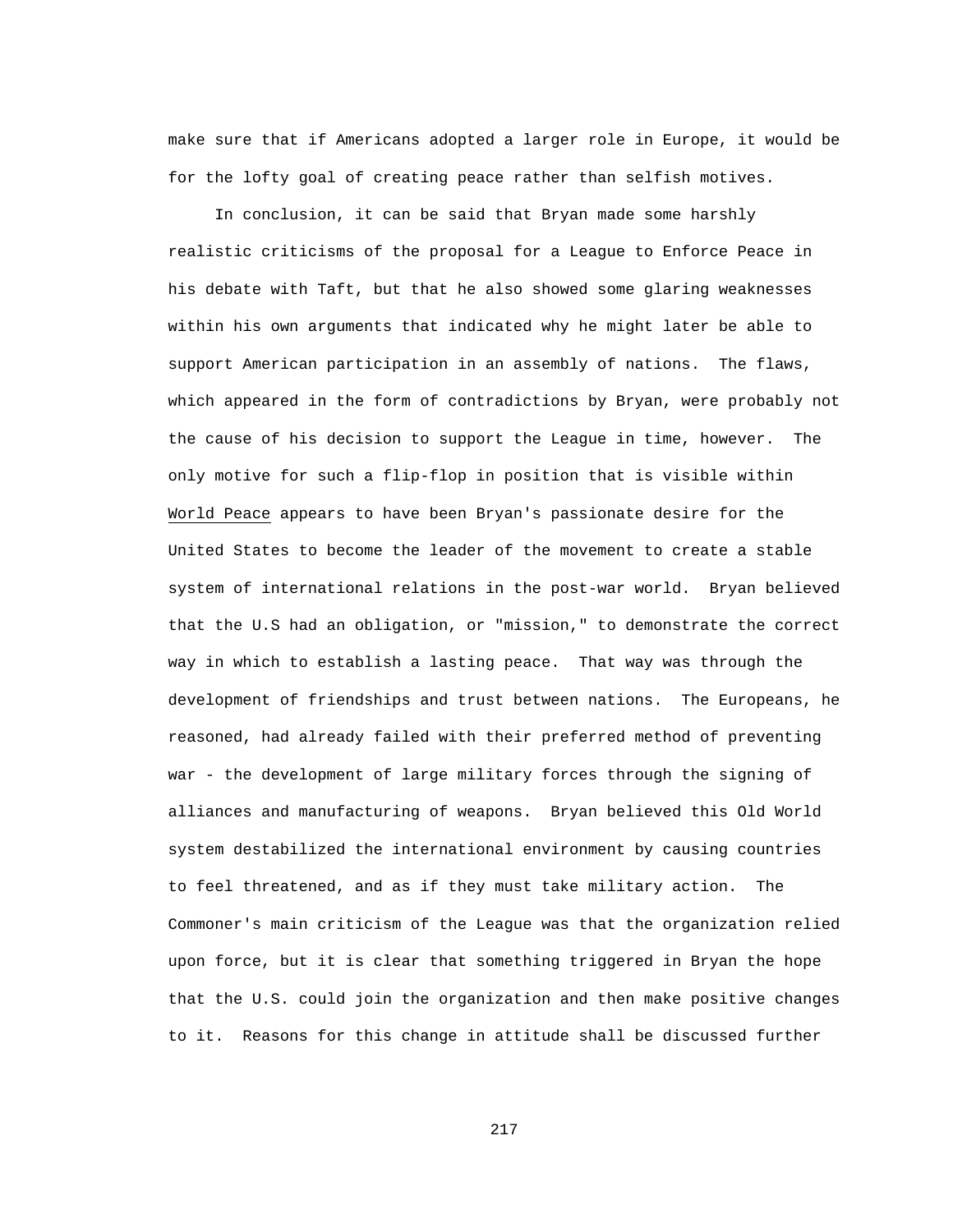make sure that if Americans adopted a larger role in Europe, it would be for the lofty goal of creating peace rather than selfish motives.

 In conclusion, it can be said that Bryan made some harshly realistic criticisms of the proposal for a League to Enforce Peace in his debate with Taft, but that he also showed some glaring weaknesses within his own arguments that indicated why he might later be able to support American participation in an assembly of nations. The flaws, which appeared in the form of contradictions by Bryan, were probably not the cause of his decision to support the League in time, however. The only motive for such a flip-flop in position that is visible within World Peace appears to have been Bryan's passionate desire for the United States to become the leader of the movement to create a stable system of international relations in the post-war world. Bryan believed that the U.S had an obligation, or "mission," to demonstrate the correct way in which to establish a lasting peace. That way was through the development of friendships and trust between nations. The Europeans, he reasoned, had already failed with their preferred method of preventing war - the development of large military forces through the signing of alliances and manufacturing of weapons. Bryan believed this Old World system destabilized the international environment by causing countries to feel threatened, and as if they must take military action. The Commoner's main criticism of the League was that the organization relied upon force, but it is clear that something triggered in Bryan the hope that the U.S. could join the organization and then make positive changes to it. Reasons for this change in attitude shall be discussed further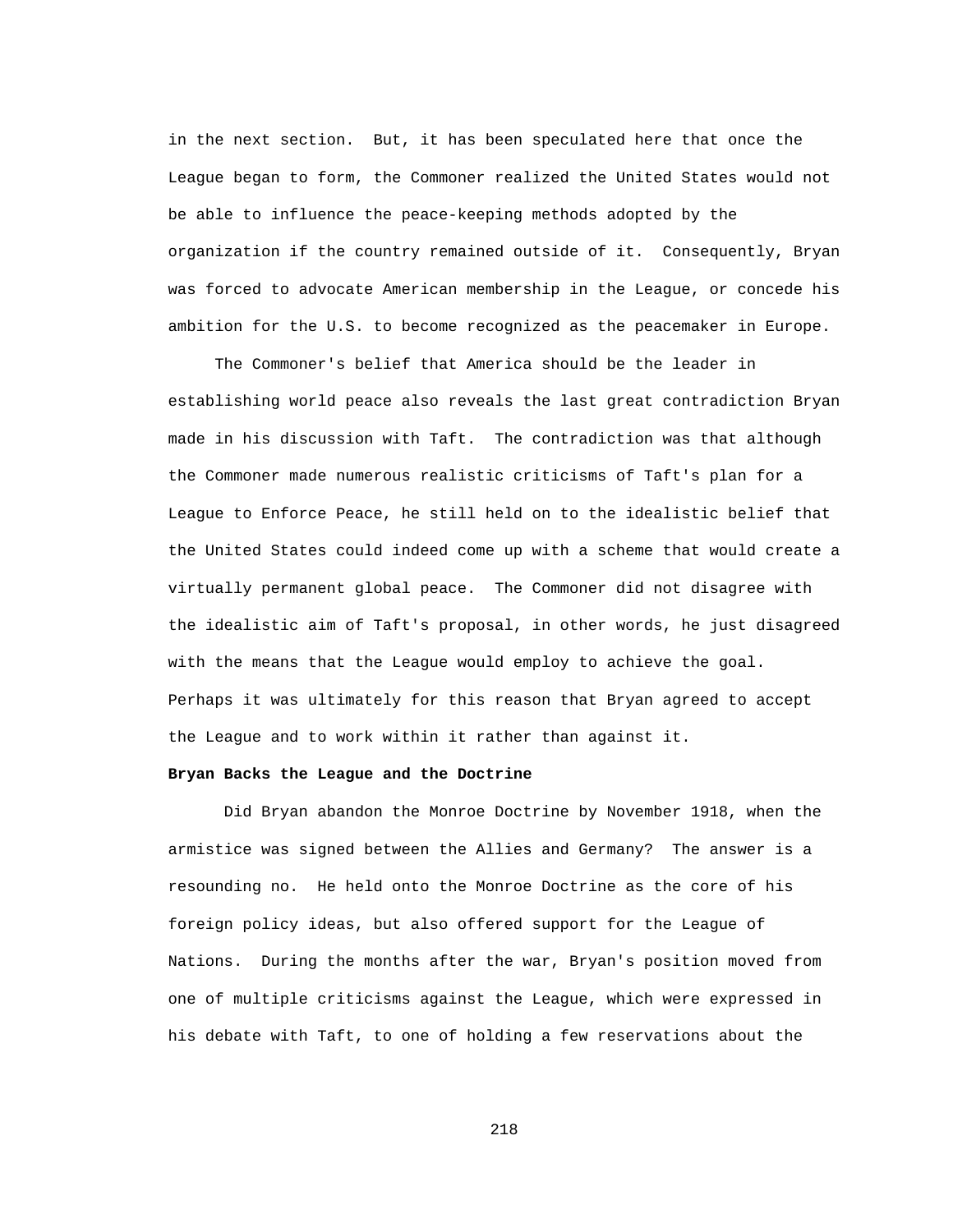in the next section. But, it has been speculated here that once the League began to form, the Commoner realized the United States would not be able to influence the peace-keeping methods adopted by the organization if the country remained outside of it. Consequently, Bryan was forced to advocate American membership in the League, or concede his ambition for the U.S. to become recognized as the peacemaker in Europe.

 The Commoner's belief that America should be the leader in establishing world peace also reveals the last great contradiction Bryan made in his discussion with Taft. The contradiction was that although the Commoner made numerous realistic criticisms of Taft's plan for a League to Enforce Peace, he still held on to the idealistic belief that the United States could indeed come up with a scheme that would create a virtually permanent global peace. The Commoner did not disagree with the idealistic aim of Taft's proposal, in other words, he just disagreed with the means that the League would employ to achieve the goal. Perhaps it was ultimately for this reason that Bryan agreed to accept the League and to work within it rather than against it.

## **Bryan Backs the League and the Doctrine**

 Did Bryan abandon the Monroe Doctrine by November 1918, when the armistice was signed between the Allies and Germany? The answer is a resounding no. He held onto the Monroe Doctrine as the core of his foreign policy ideas, but also offered support for the League of Nations. During the months after the war, Bryan's position moved from one of multiple criticisms against the League, which were expressed in his debate with Taft, to one of holding a few reservations about the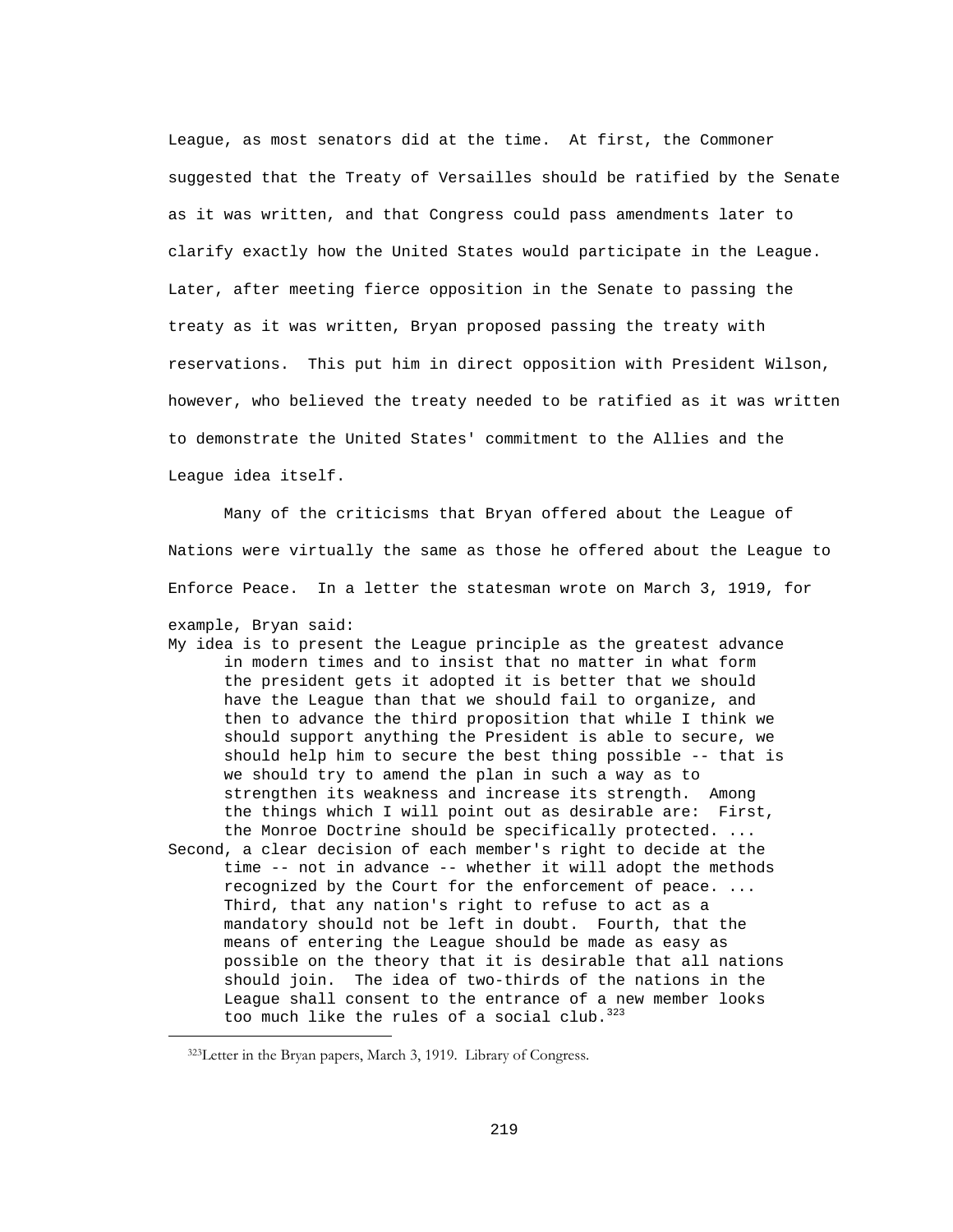League, as most senators did at the time. At first, the Commoner suggested that the Treaty of Versailles should be ratified by the Senate as it was written, and that Congress could pass amendments later to clarify exactly how the United States would participate in the League. Later, after meeting fierce opposition in the Senate to passing the treaty as it was written, Bryan proposed passing the treaty with reservations. This put him in direct opposition with President Wilson, however, who believed the treaty needed to be ratified as it was written to demonstrate the United States' commitment to the Allies and the League idea itself.

 Many of the criticisms that Bryan offered about the League of Nations were virtually the same as those he offered about the League to Enforce Peace. In a letter the statesman wrote on March 3, 1919, for example, Bryan said:

My idea is to present the League principle as the greatest advance in modern times and to insist that no matter in what form the president gets it adopted it is better that we should have the League than that we should fail to organize, and then to advance the third proposition that while I think we should support anything the President is able to secure, we should help him to secure the best thing possible -- that is we should try to amend the plan in such a way as to strengthen its weakness and increase its strength. Among the things which I will point out as desirable are: First, the Monroe Doctrine should be specifically protected. ... Second, a clear decision of each member's right to decide at the time -- not in advance -- whether it will adopt the methods recognized by the Court for the enforcement of peace. ... Third, that any nation's right to refuse to act as a mandatory should not be left in doubt. Fourth, that the means of entering the League should be made as easy as possible on the theory that it is desirable that all nations should join. The idea of two-thirds of the nations in the League shall consent to the entrance of a new member looks too much like the rules of a social club.  $323$ i

 <sup>323</sup>Letter in the Bryan papers, March 3, 1919. Library of Congress.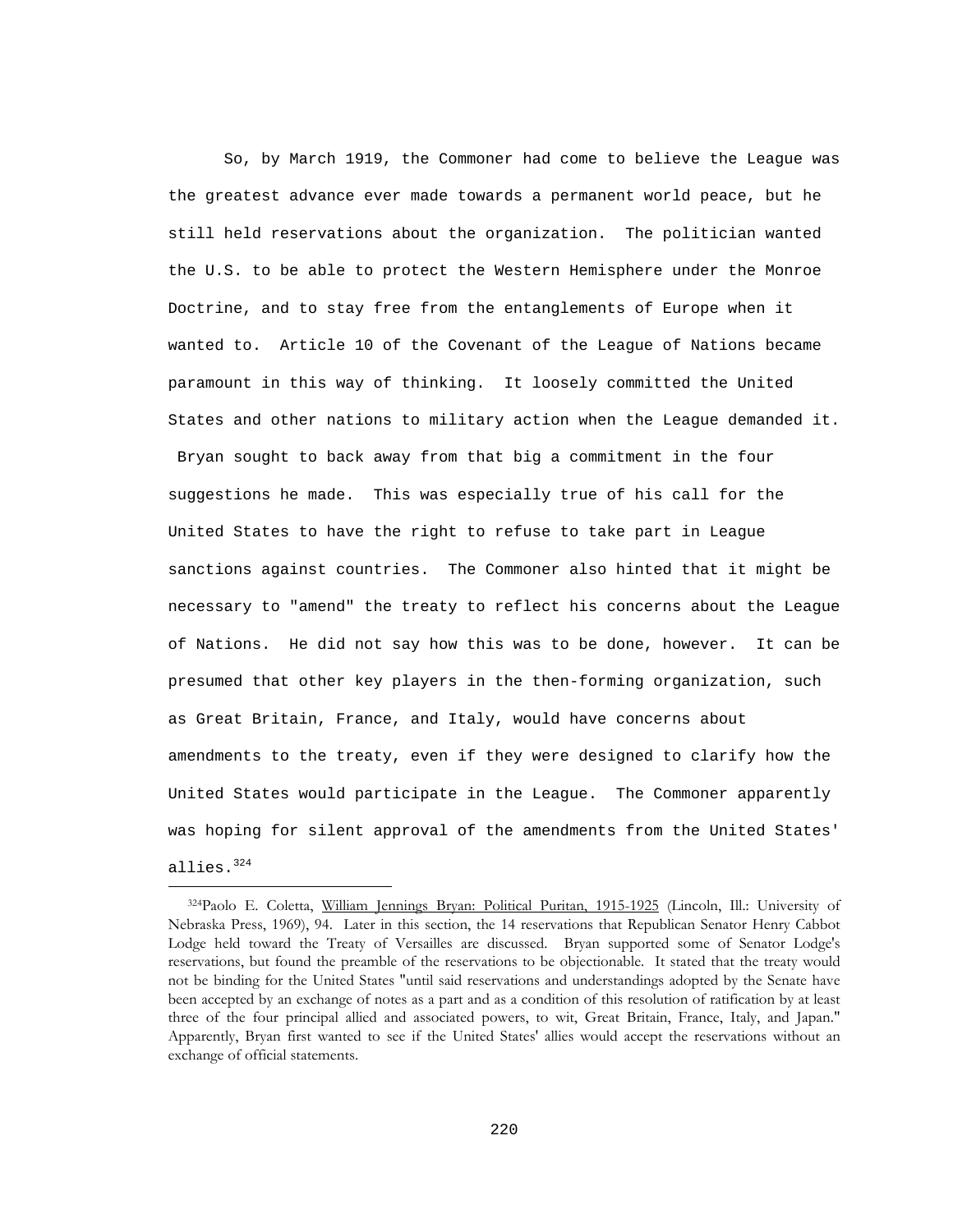So, by March 1919, the Commoner had come to believe the League was the greatest advance ever made towards a permanent world peace, but he still held reservations about the organization. The politician wanted the U.S. to be able to protect the Western Hemisphere under the Monroe Doctrine, and to stay free from the entanglements of Europe when it wanted to. Article 10 of the Covenant of the League of Nations became paramount in this way of thinking. It loosely committed the United States and other nations to military action when the League demanded it.

 Bryan sought to back away from that big a commitment in the four suggestions he made. This was especially true of his call for the United States to have the right to refuse to take part in League sanctions against countries. The Commoner also hinted that it might be necessary to "amend" the treaty to reflect his concerns about the League of Nations. He did not say how this was to be done, however. It can be presumed that other key players in the then-forming organization, such as Great Britain, France, and Italy, would have concerns about amendments to the treaty, even if they were designed to clarify how the United States would participate in the League. The Commoner apparently was hoping for silent approval of the amendments from the United States' allies.324

<sup>324</sup>Paolo E. Coletta, William Jennings Bryan: Political Puritan, 1915-1925 (Lincoln, Ill.: University of Nebraska Press, 1969), 94. Later in this section, the 14 reservations that Republican Senator Henry Cabbot Lodge held toward the Treaty of Versailles are discussed. Bryan supported some of Senator Lodge's reservations, but found the preamble of the reservations to be objectionable. It stated that the treaty would not be binding for the United States "until said reservations and understandings adopted by the Senate have been accepted by an exchange of notes as a part and as a condition of this resolution of ratification by at least three of the four principal allied and associated powers, to wit, Great Britain, France, Italy, and Japan." Apparently, Bryan first wanted to see if the United States' allies would accept the reservations without an exchange of official statements.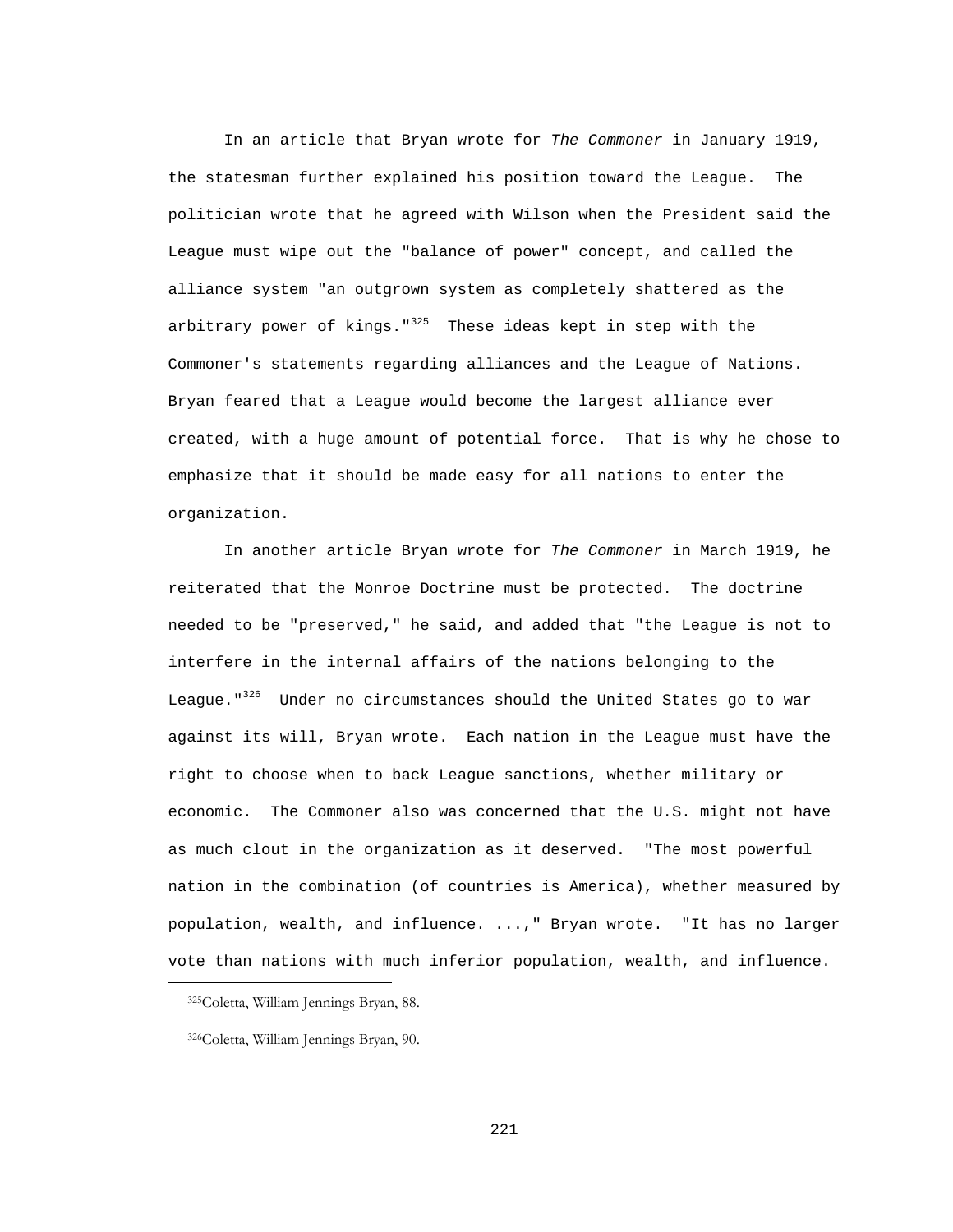In an article that Bryan wrote for *The Commoner* in January 1919, the statesman further explained his position toward the League. The politician wrote that he agreed with Wilson when the President said the League must wipe out the "balance of power" concept, and called the alliance system "an outgrown system as completely shattered as the arbitrary power of kings." $325$  These ideas kept in step with the Commoner's statements regarding alliances and the League of Nations. Bryan feared that a League would become the largest alliance ever created, with a huge amount of potential force. That is why he chose to emphasize that it should be made easy for all nations to enter the organization.

 In another article Bryan wrote for *The Commoner* in March 1919, he reiterated that the Monroe Doctrine must be protected. The doctrine needed to be "preserved," he said, and added that "the League is not to interfere in the internal affairs of the nations belonging to the League."<sup>326</sup> Under no circumstances should the United States go to war against its will, Bryan wrote. Each nation in the League must have the right to choose when to back League sanctions, whether military or economic. The Commoner also was concerned that the U.S. might not have as much clout in the organization as it deserved. "The most powerful nation in the combination (of countries is America), whether measured by population, wealth, and influence. ...," Bryan wrote. "It has no larger vote than nations with much inferior population, wealth, and influence.

i

 <sup>325</sup>Coletta, William Jennings Bryan, 88.

 <sup>326</sup>Coletta, William Jennings Bryan, 90.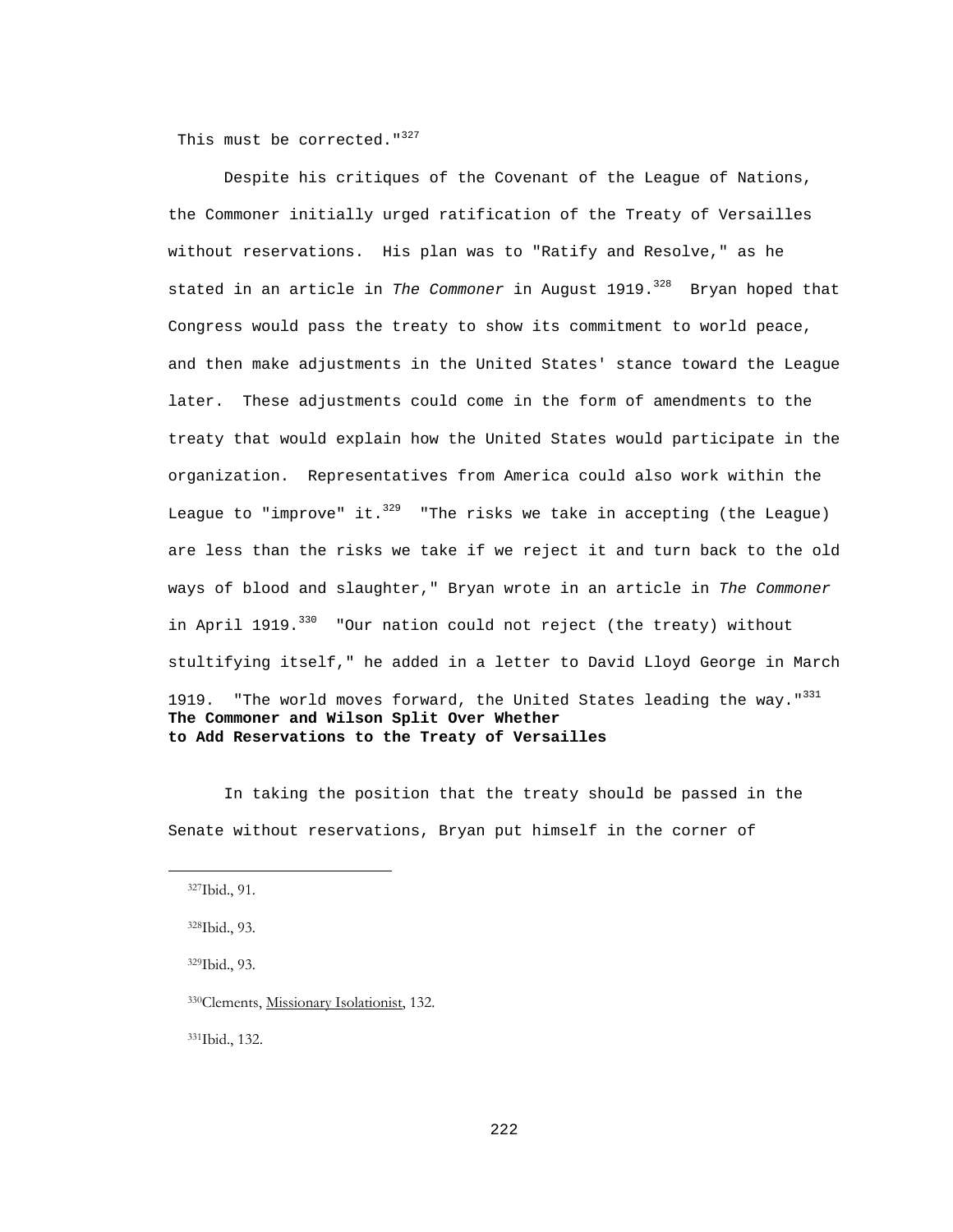This must be corrected."<sup>327</sup>

 Despite his critiques of the Covenant of the League of Nations, the Commoner initially urged ratification of the Treaty of Versailles without reservations. His plan was to "Ratify and Resolve," as he stated in an article in *The Commoner* in August 1919.<sup>328</sup> Bryan hoped that Congress would pass the treaty to show its commitment to world peace, and then make adjustments in the United States' stance toward the League later. These adjustments could come in the form of amendments to the treaty that would explain how the United States would participate in the organization. Representatives from America could also work within the League to "improve" it. $329$  "The risks we take in accepting (the League) are less than the risks we take if we reject it and turn back to the old ways of blood and slaughter," Bryan wrote in an article in *The Commoner* in April 1919. $330$  "Our nation could not reject (the treaty) without stultifying itself," he added in a letter to David Lloyd George in March 1919. "The world moves forward, the United States leading the way."<sup>331</sup> **The Commoner and Wilson Split Over Whether to Add Reservations to the Treaty of Versailles** 

 In taking the position that the treaty should be passed in the Senate without reservations, Bryan put himself in the corner of

i

329Ibid., 93.

331Ibid., 132.

 <sup>327</sup>Ibid., 91.

 <sup>328</sup>Ibid., 93.

 <sup>330</sup>Clements, Missionary Isolationist, 132.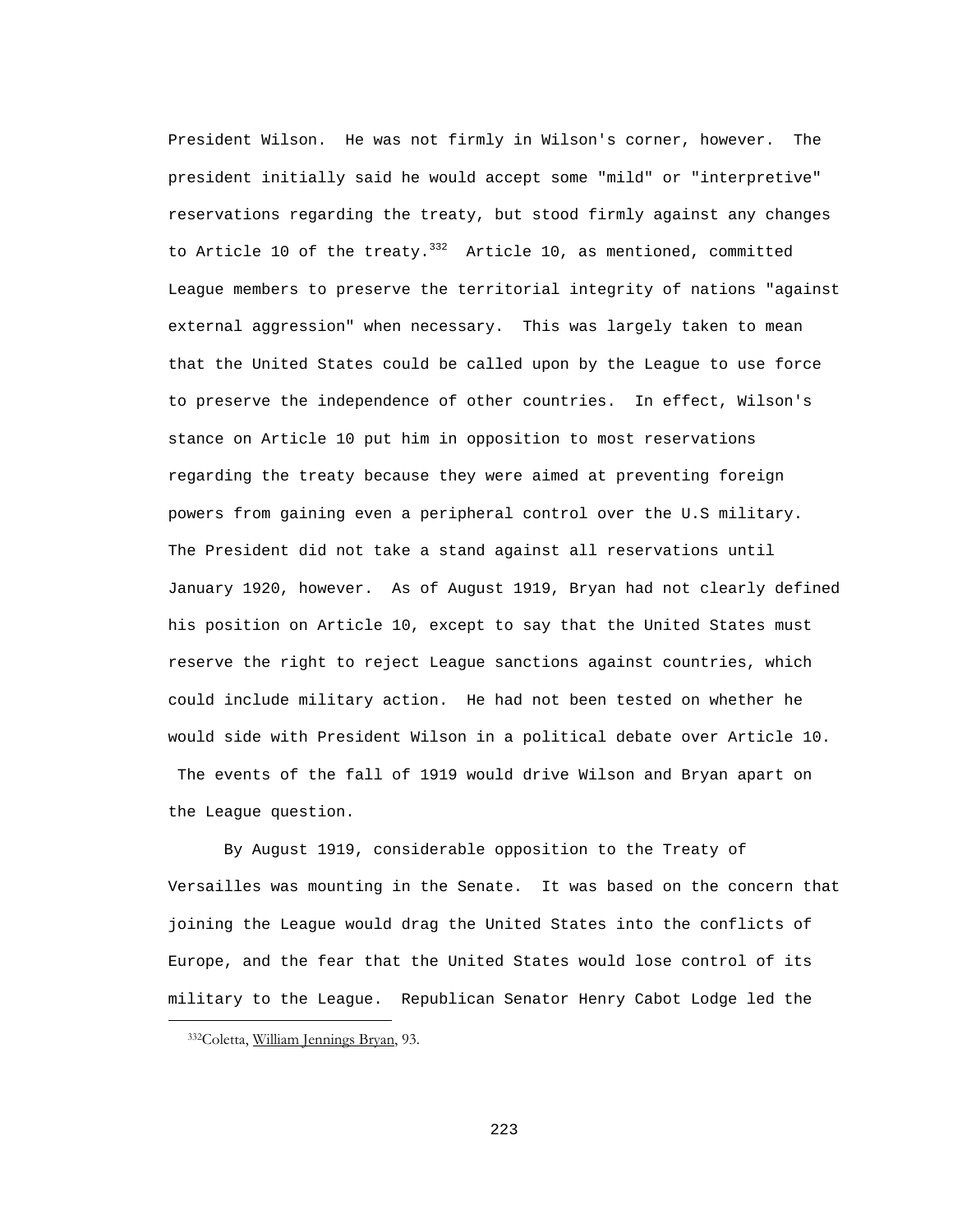President Wilson. He was not firmly in Wilson's corner, however. The president initially said he would accept some "mild" or "interpretive" reservations regarding the treaty, but stood firmly against any changes to Article 10 of the treaty.<sup>332</sup> Article 10, as mentioned, committed League members to preserve the territorial integrity of nations "against external aggression" when necessary. This was largely taken to mean that the United States could be called upon by the League to use force to preserve the independence of other countries. In effect, Wilson's stance on Article 10 put him in opposition to most reservations regarding the treaty because they were aimed at preventing foreign powers from gaining even a peripheral control over the U.S military. The President did not take a stand against all reservations until January 1920, however. As of August 1919, Bryan had not clearly defined his position on Article 10, except to say that the United States must reserve the right to reject League sanctions against countries, which could include military action. He had not been tested on whether he would side with President Wilson in a political debate over Article 10. The events of the fall of 1919 would drive Wilson and Bryan apart on the League question.

 By August 1919, considerable opposition to the Treaty of Versailles was mounting in the Senate. It was based on the concern that joining the League would drag the United States into the conflicts of Europe, and the fear that the United States would lose control of its military to the League. Republican Senator Henry Cabot Lodge led the i

 <sup>332</sup>Coletta, William Jennings Bryan, 93.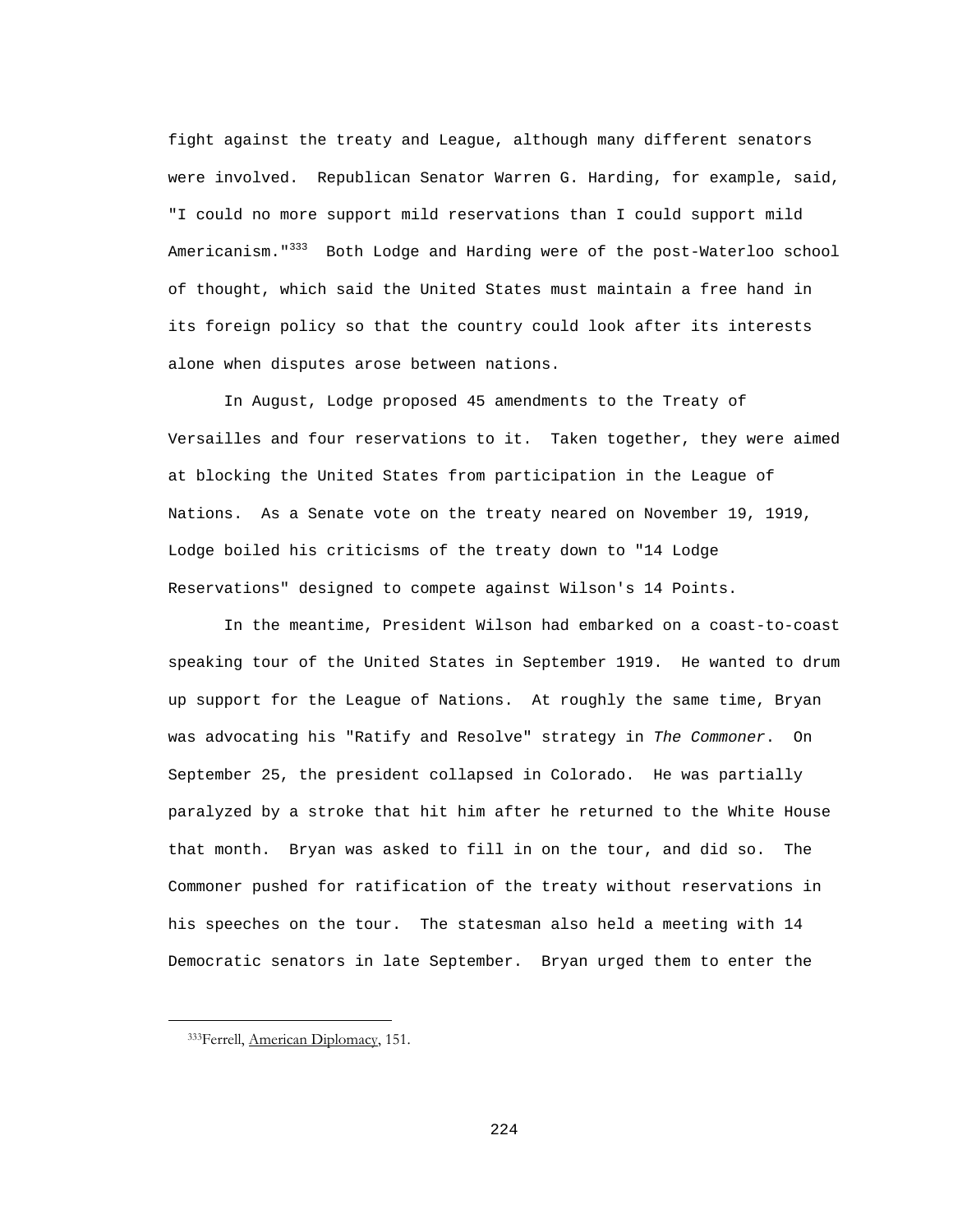fight against the treaty and League, although many different senators were involved. Republican Senator Warren G. Harding, for example, said, "I could no more support mild reservations than I could support mild Americanism."<sup>333</sup> Both Lodge and Harding were of the post-Waterloo school of thought, which said the United States must maintain a free hand in its foreign policy so that the country could look after its interests alone when disputes arose between nations.

 In August, Lodge proposed 45 amendments to the Treaty of Versailles and four reservations to it. Taken together, they were aimed at blocking the United States from participation in the League of Nations. As a Senate vote on the treaty neared on November 19, 1919, Lodge boiled his criticisms of the treaty down to "14 Lodge Reservations" designed to compete against Wilson's 14 Points.

 In the meantime, President Wilson had embarked on a coast-to-coast speaking tour of the United States in September 1919. He wanted to drum up support for the League of Nations. At roughly the same time, Bryan was advocating his "Ratify and Resolve" strategy in *The Commoner*. On September 25, the president collapsed in Colorado. He was partially paralyzed by a stroke that hit him after he returned to the White House that month. Bryan was asked to fill in on the tour, and did so. The Commoner pushed for ratification of the treaty without reservations in his speeches on the tour. The statesman also held a meeting with 14 Democratic senators in late September. Bryan urged them to enter the

i

<sup>333</sup>Ferrell, American Diplomacy, 151.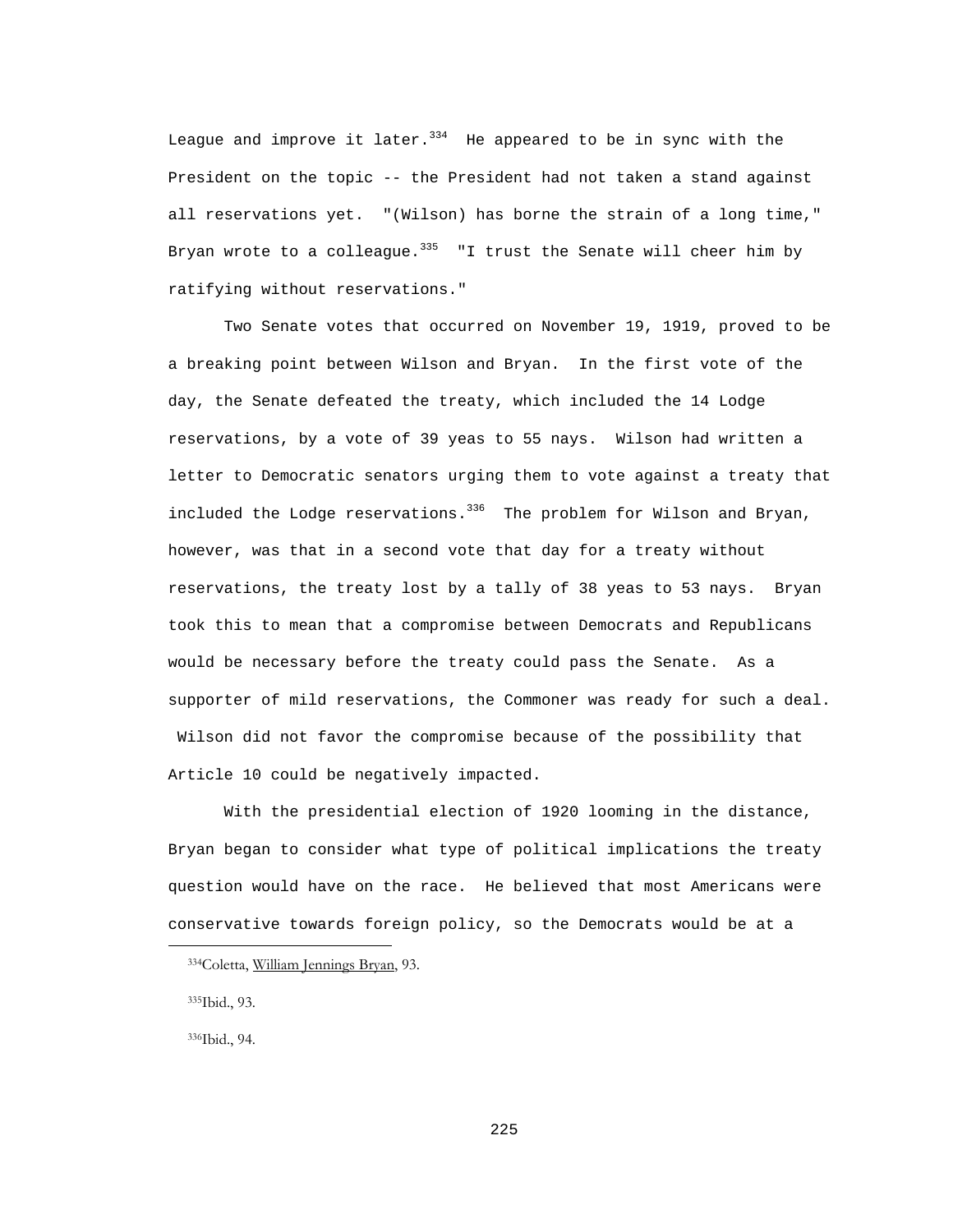League and improve it later. $334$  He appeared to be in sync with the President on the topic -- the President had not taken a stand against all reservations yet. "(Wilson) has borne the strain of a long time," Bryan wrote to a colleague. $335$  "I trust the Senate will cheer him by ratifying without reservations."

 Two Senate votes that occurred on November 19, 1919, proved to be a breaking point between Wilson and Bryan. In the first vote of the day, the Senate defeated the treaty, which included the 14 Lodge reservations, by a vote of 39 yeas to 55 nays. Wilson had written a letter to Democratic senators urging them to vote against a treaty that included the Lodge reservations. $336$  The problem for Wilson and Bryan, however, was that in a second vote that day for a treaty without reservations, the treaty lost by a tally of 38 yeas to 53 nays. Bryan took this to mean that a compromise between Democrats and Republicans would be necessary before the treaty could pass the Senate. As a supporter of mild reservations, the Commoner was ready for such a deal. Wilson did not favor the compromise because of the possibility that Article 10 could be negatively impacted.

 With the presidential election of 1920 looming in the distance, Bryan began to consider what type of political implications the treaty question would have on the race. He believed that most Americans were conservative towards foreign policy, so the Democrats would be at a

i

336Ibid., 94.

 <sup>334</sup>Coletta, William Jennings Bryan, 93.

 <sup>335</sup>Ibid., 93.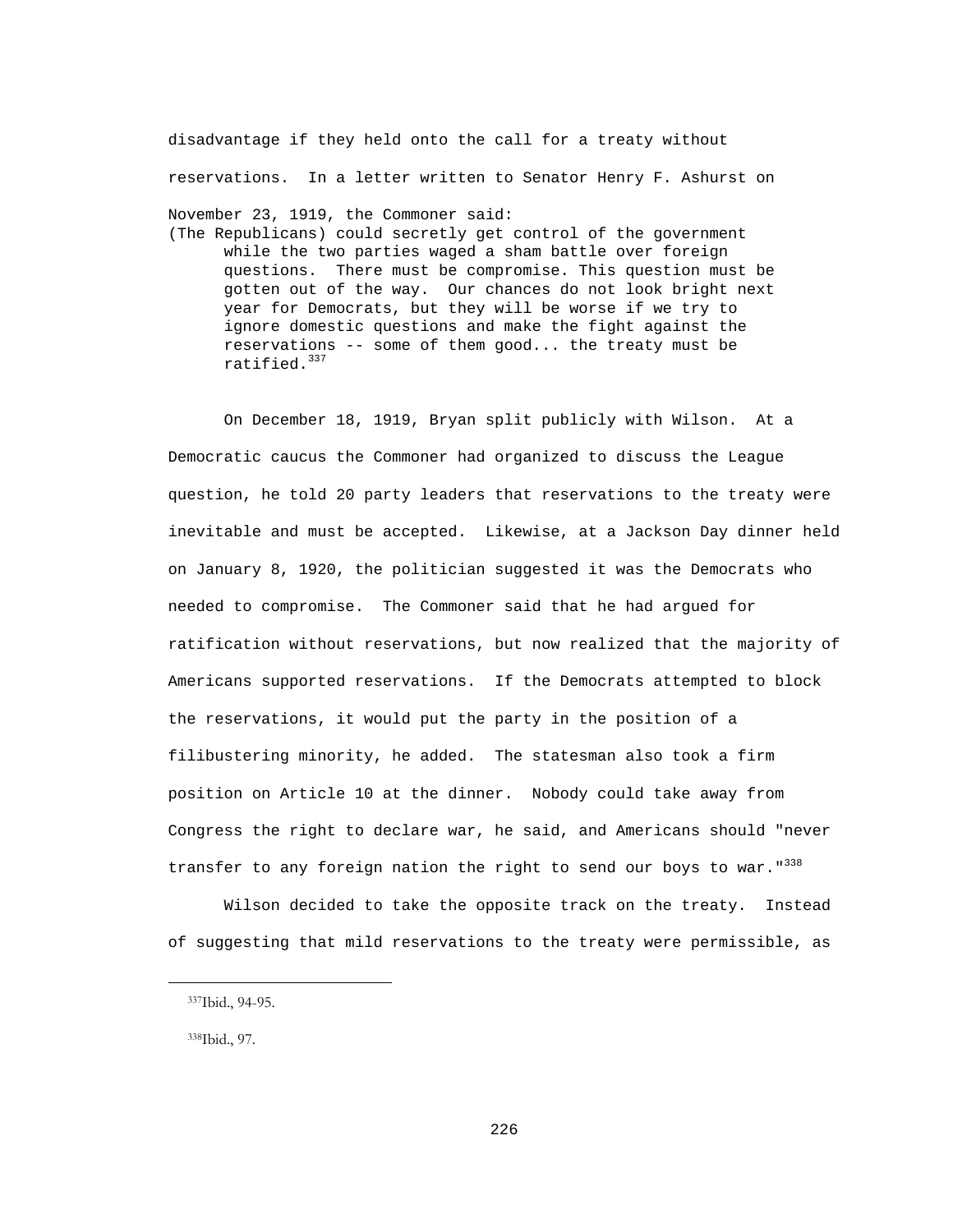disadvantage if they held onto the call for a treaty without reservations. In a letter written to Senator Henry F. Ashurst on November 23, 1919, the Commoner said: (The Republicans) could secretly get control of the government

while the two parties waged a sham battle over foreign questions. There must be compromise. This question must be gotten out of the way. Our chances do not look bright next year for Democrats, but they will be worse if we try to ignore domestic questions and make the fight against the reservations -- some of them good... the treaty must be ratified.337

 On December 18, 1919, Bryan split publicly with Wilson. At a Democratic caucus the Commoner had organized to discuss the League question, he told 20 party leaders that reservations to the treaty were inevitable and must be accepted. Likewise, at a Jackson Day dinner held on January 8, 1920, the politician suggested it was the Democrats who needed to compromise. The Commoner said that he had argued for ratification without reservations, but now realized that the majority of Americans supported reservations. If the Democrats attempted to block the reservations, it would put the party in the position of a filibustering minority, he added. The statesman also took a firm position on Article 10 at the dinner. Nobody could take away from Congress the right to declare war, he said, and Americans should "never transfer to any foreign nation the right to send our boys to war.  $"$ 338

 Wilson decided to take the opposite track on the treaty. Instead of suggesting that mild reservations to the treaty were permissible, as

338Ibid., 97.

 <sup>337</sup>Ibid., 94-95.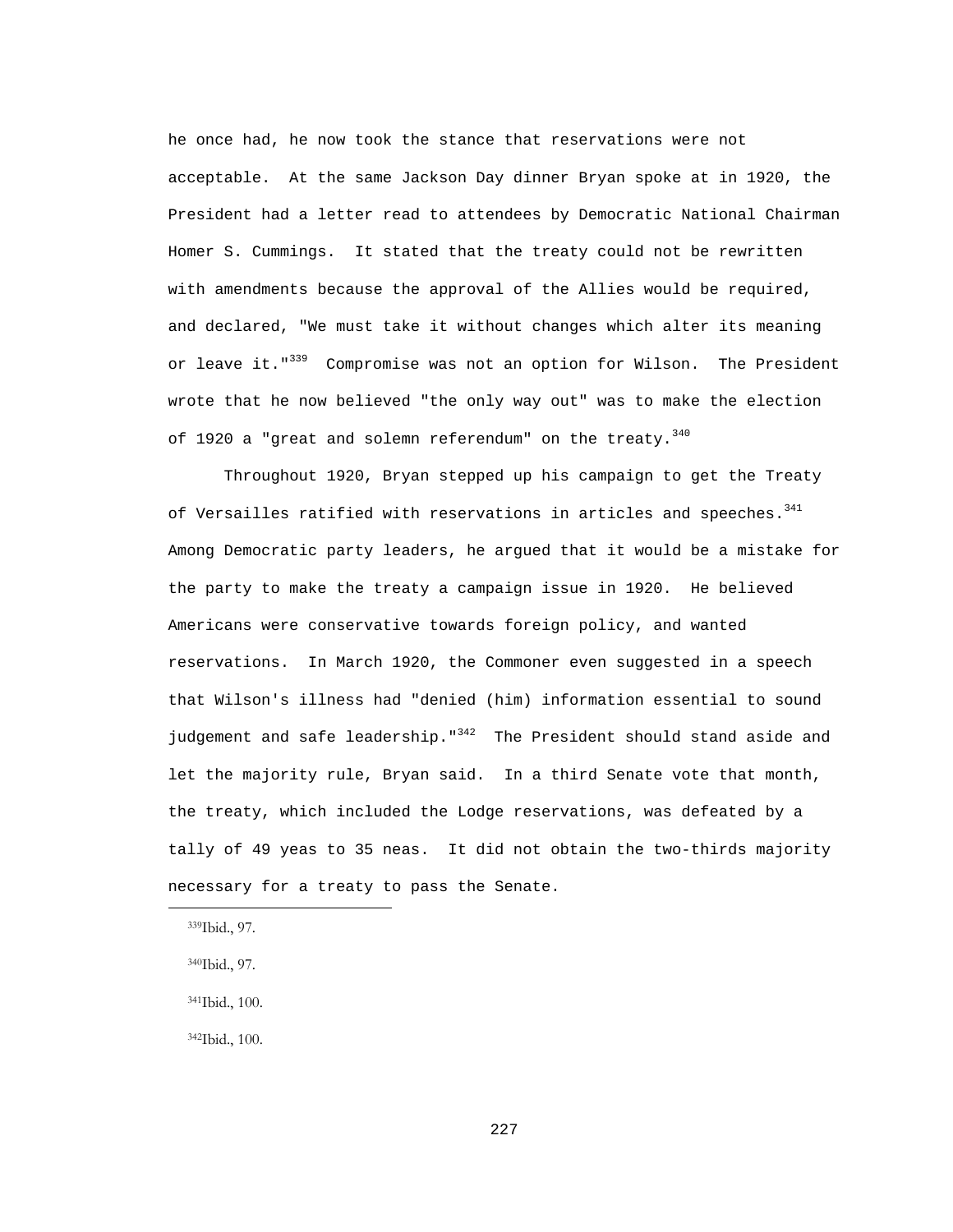he once had, he now took the stance that reservations were not acceptable. At the same Jackson Day dinner Bryan spoke at in 1920, the President had a letter read to attendees by Democratic National Chairman Homer S. Cummings. It stated that the treaty could not be rewritten with amendments because the approval of the Allies would be required, and declared, "We must take it without changes which alter its meaning or leave it."<sup>339</sup> Compromise was not an option for Wilson. The President wrote that he now believed "the only way out" was to make the election of 1920 a "great and solemn referendum" on the treaty.<sup>340</sup>

 Throughout 1920, Bryan stepped up his campaign to get the Treaty of Versailles ratified with reservations in articles and speeches. $341$ Among Democratic party leaders, he argued that it would be a mistake for the party to make the treaty a campaign issue in 1920. He believed Americans were conservative towards foreign policy, and wanted reservations. In March 1920, the Commoner even suggested in a speech that Wilson's illness had "denied (him) information essential to sound judgement and safe leadership."<sup>342</sup> The President should stand aside and let the majority rule, Bryan said. In a third Senate vote that month, the treaty, which included the Lodge reservations, was defeated by a tally of 49 yeas to 35 neas. It did not obtain the two-thirds majority necessary for a treaty to pass the Senate.

339Ibid., 97.

i

340Ibid., 97.

341Ibid., 100.

342Ibid., 100.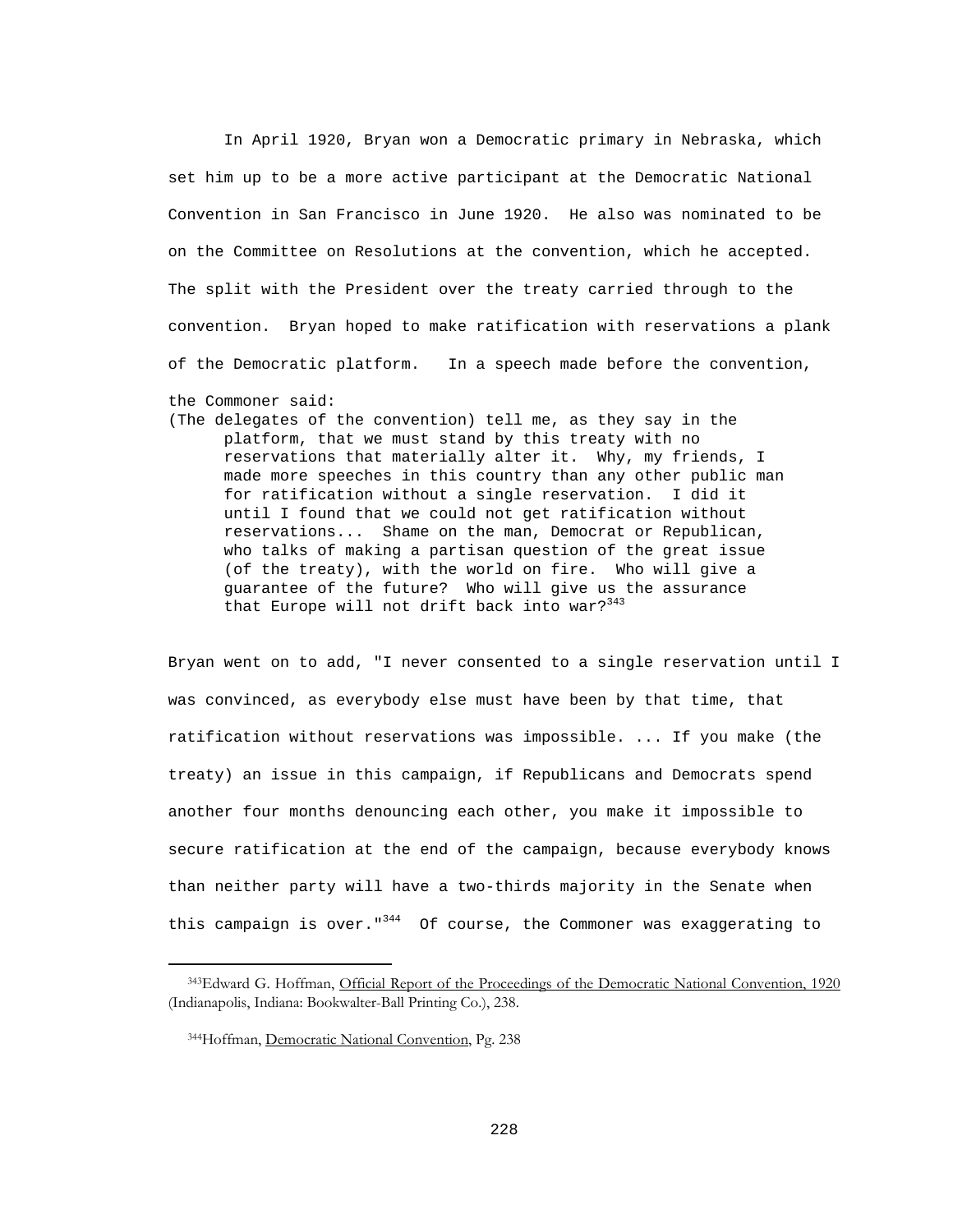In April 1920, Bryan won a Democratic primary in Nebraska, which set him up to be a more active participant at the Democratic National Convention in San Francisco in June 1920. He also was nominated to be on the Committee on Resolutions at the convention, which he accepted. The split with the President over the treaty carried through to the convention. Bryan hoped to make ratification with reservations a plank of the Democratic platform. In a speech made before the convention,

the Commoner said:

i

(The delegates of the convention) tell me, as they say in the platform, that we must stand by this treaty with no reservations that materially alter it. Why, my friends, I made more speeches in this country than any other public man for ratification without a single reservation. I did it until I found that we could not get ratification without reservations... Shame on the man, Democrat or Republican, who talks of making a partisan question of the great issue (of the treaty), with the world on fire. Who will give a guarantee of the future? Who will give us the assurance that Europe will not drift back into war? $343$ 

Bryan went on to add, "I never consented to a single reservation until I was convinced, as everybody else must have been by that time, that ratification without reservations was impossible. ... If you make (the treaty) an issue in this campaign, if Republicans and Democrats spend another four months denouncing each other, you make it impossible to secure ratification at the end of the campaign, because everybody knows than neither party will have a two-thirds majority in the Senate when this campaign is over. $1^{344}$  Of course, the Commoner was exaggerating to

<sup>343</sup>Edward G. Hoffman, Official Report of the Proceedings of the Democratic National Convention, 1920 (Indianapolis, Indiana: Bookwalter-Ball Printing Co.), 238.

 <sup>344</sup>Hoffman, Democratic National Convention, Pg. 238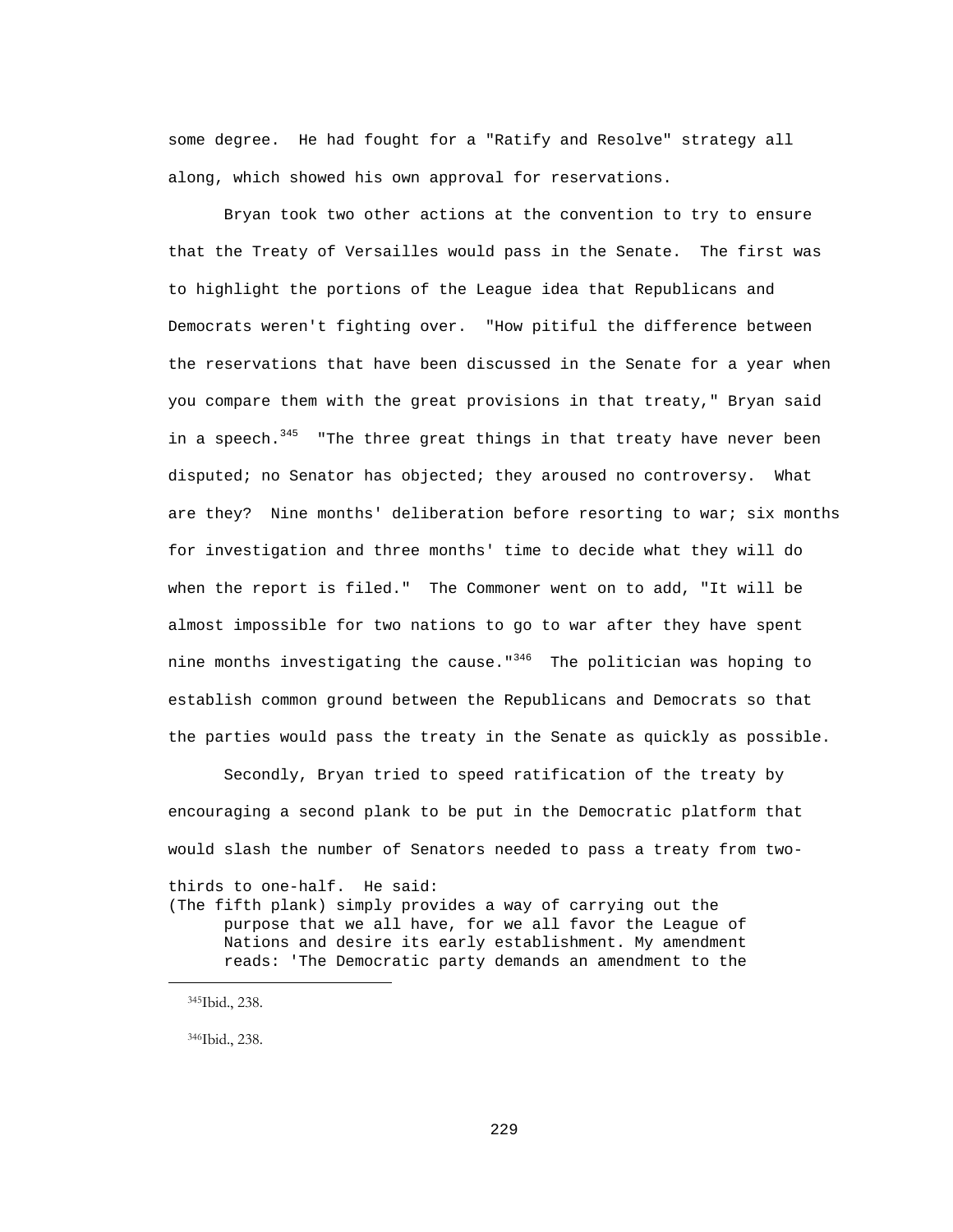some degree. He had fought for a "Ratify and Resolve" strategy all along, which showed his own approval for reservations.

 Bryan took two other actions at the convention to try to ensure that the Treaty of Versailles would pass in the Senate. The first was to highlight the portions of the League idea that Republicans and Democrats weren't fighting over. "How pitiful the difference between the reservations that have been discussed in the Senate for a year when you compare them with the great provisions in that treaty," Bryan said in a speech. $345$  "The three great things in that treaty have never been disputed; no Senator has objected; they aroused no controversy. What are they? Nine months' deliberation before resorting to war; six months for investigation and three months' time to decide what they will do when the report is filed." The Commoner went on to add, "It will be almost impossible for two nations to go to war after they have spent nine months investigating the cause." $346$  The politician was hoping to establish common ground between the Republicans and Democrats so that the parties would pass the treaty in the Senate as quickly as possible.

 Secondly, Bryan tried to speed ratification of the treaty by encouraging a second plank to be put in the Democratic platform that would slash the number of Senators needed to pass a treaty from two-

thirds to one-half. He said:

(The fifth plank) simply provides a way of carrying out the purpose that we all have, for we all favor the League of Nations and desire its early establishment. My amendment reads: 'The Democratic party demands an amendment to the

i

346Ibid., 238.

 <sup>345</sup>Ibid., 238.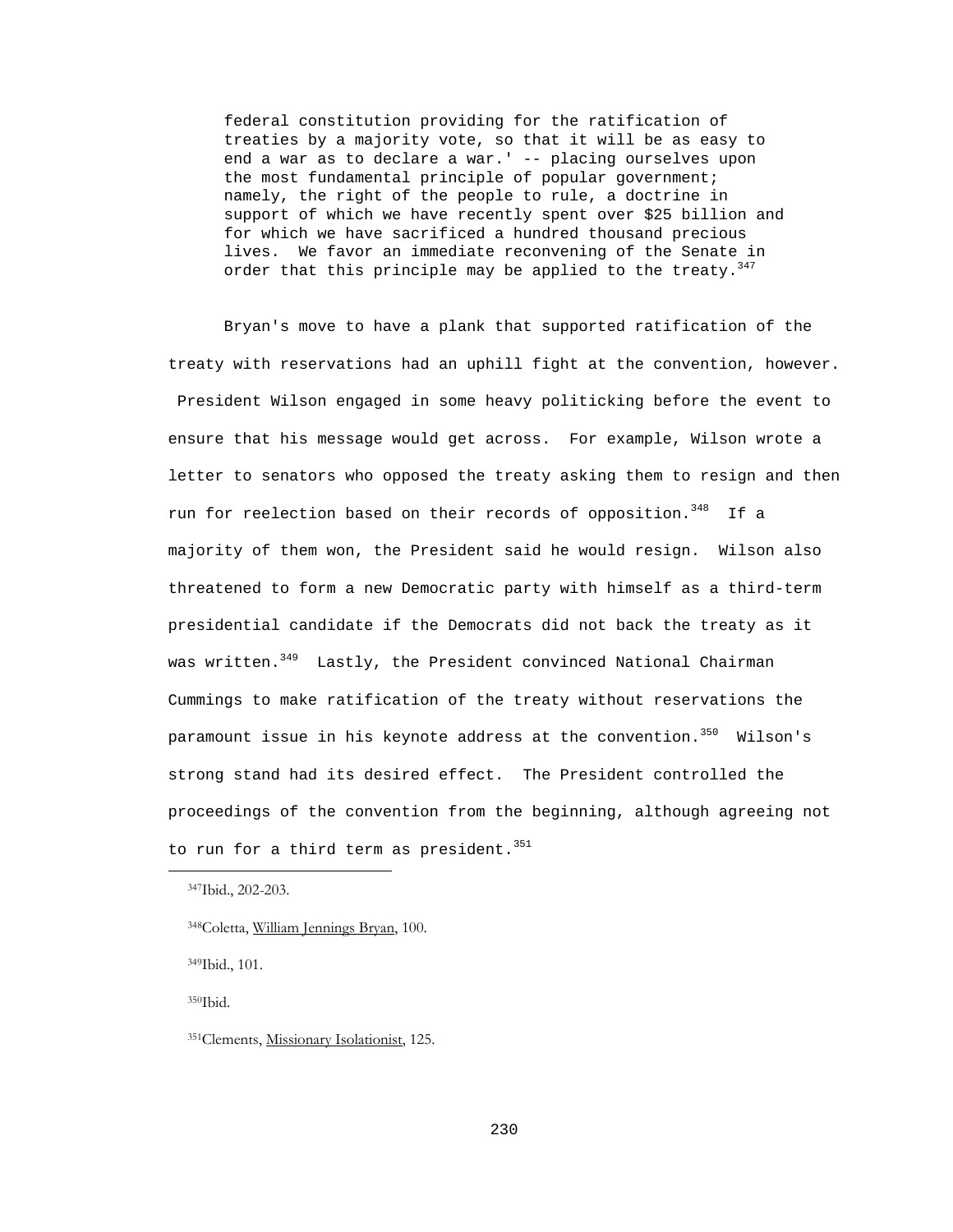federal constitution providing for the ratification of treaties by a majority vote, so that it will be as easy to end a war as to declare a war.' -- placing ourselves upon the most fundamental principle of popular government; namely, the right of the people to rule, a doctrine in support of which we have recently spent over \$25 billion and for which we have sacrificed a hundred thousand precious lives. We favor an immediate reconvening of the Senate in order that this principle may be applied to the treaty.  $347$ 

 Bryan's move to have a plank that supported ratification of the treaty with reservations had an uphill fight at the convention, however. President Wilson engaged in some heavy politicking before the event to ensure that his message would get across. For example, Wilson wrote a letter to senators who opposed the treaty asking them to resign and then run for reelection based on their records of opposition.<sup>348</sup> If a majority of them won, the President said he would resign. Wilson also threatened to form a new Democratic party with himself as a third-term presidential candidate if the Democrats did not back the treaty as it was written.<sup>349</sup> Lastly, the President convinced National Chairman Cummings to make ratification of the treaty without reservations the paramount issue in his keynote address at the convention.<sup>350</sup> Wilson's strong stand had its desired effect. The President controlled the proceedings of the convention from the beginning, although agreeing not to run for a third term as president.  $351$ 

347Ibid., 202-203.

348Coletta, William Jennings Bryan, 100.

349Ibid., 101.

350Ibid.

i

351Clements, Missionary Isolationist, 125.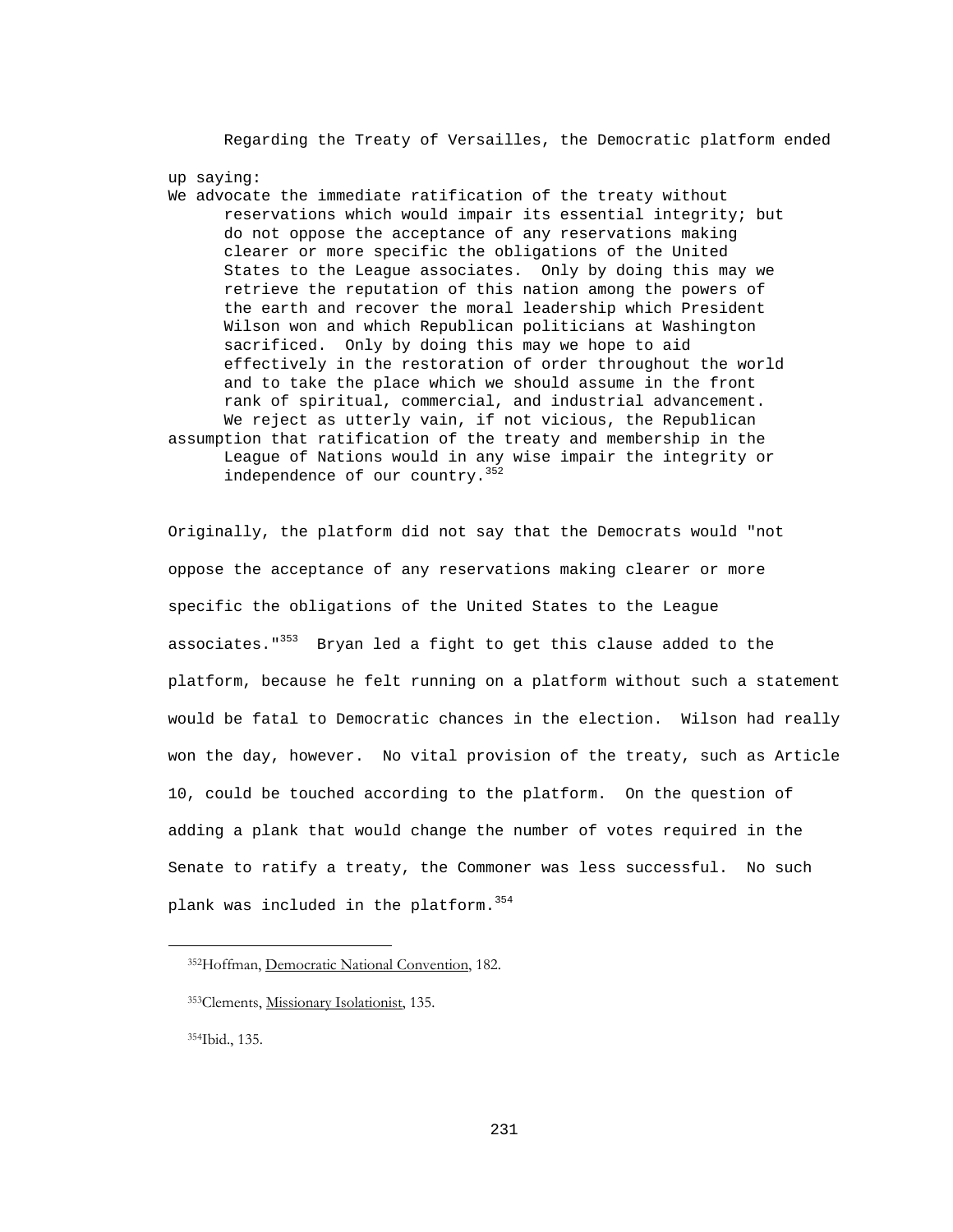Regarding the Treaty of Versailles, the Democratic platform ended

up saying:

We advocate the immediate ratification of the treaty without reservations which would impair its essential integrity; but do not oppose the acceptance of any reservations making clearer or more specific the obligations of the United States to the League associates. Only by doing this may we retrieve the reputation of this nation among the powers of the earth and recover the moral leadership which President Wilson won and which Republican politicians at Washington sacrificed. Only by doing this may we hope to aid effectively in the restoration of order throughout the world and to take the place which we should assume in the front rank of spiritual, commercial, and industrial advancement. We reject as utterly vain, if not vicious, the Republican assumption that ratification of the treaty and membership in the League of Nations would in any wise impair the integrity or independence of our country.<sup>352</sup>

Originally, the platform did not say that the Democrats would "not oppose the acceptance of any reservations making clearer or more specific the obligations of the United States to the League associates."<sup>353</sup> Bryan led a fight to get this clause added to the platform, because he felt running on a platform without such a statement would be fatal to Democratic chances in the election. Wilson had really won the day, however. No vital provision of the treaty, such as Article 10, could be touched according to the platform. On the question of adding a plank that would change the number of votes required in the Senate to ratify a treaty, the Commoner was less successful. No such plank was included in the platform.<sup>354</sup>

 <sup>352</sup>Hoffman, Democratic National Convention, 182.

 <sup>353</sup>Clements, Missionary Isolationist, 135.

 <sup>354</sup>Ibid., 135.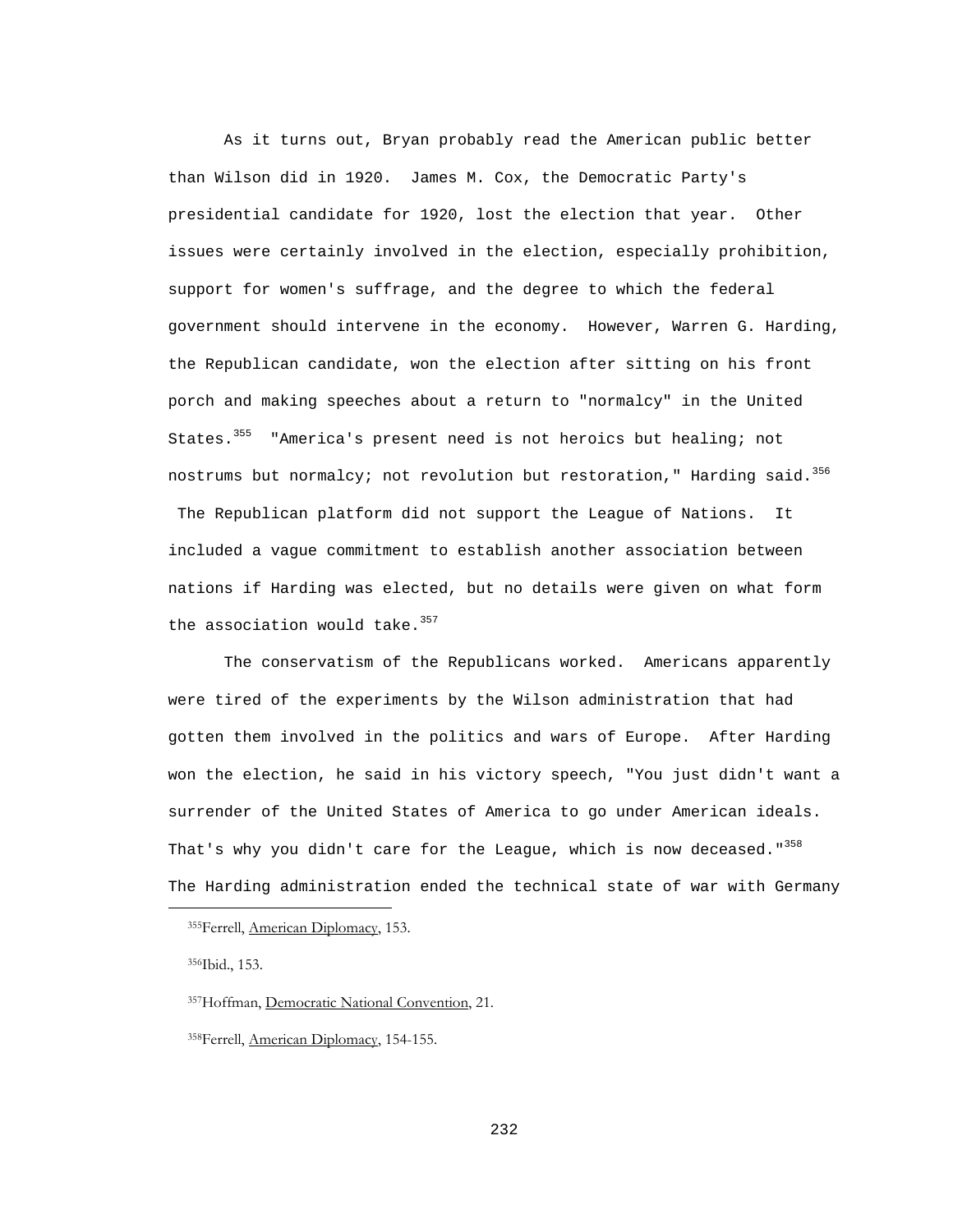As it turns out, Bryan probably read the American public better than Wilson did in 1920. James M. Cox, the Democratic Party's presidential candidate for 1920, lost the election that year. Other issues were certainly involved in the election, especially prohibition, support for women's suffrage, and the degree to which the federal government should intervene in the economy. However, Warren G. Harding, the Republican candidate, won the election after sitting on his front porch and making speeches about a return to "normalcy" in the United States.<sup>355</sup> "America's present need is not heroics but healing; not nostrums but normalcy; not revolution but restoration," Harding said.  $356$  The Republican platform did not support the League of Nations. It included a vague commitment to establish another association between nations if Harding was elected, but no details were given on what form the association would take.  $357$ 

 The conservatism of the Republicans worked. Americans apparently were tired of the experiments by the Wilson administration that had gotten them involved in the politics and wars of Europe. After Harding won the election, he said in his victory speech, "You just didn't want a surrender of the United States of America to go under American ideals. That's why you didn't care for the League, which is now deceased."<sup>358</sup> The Harding administration ended the technical state of war with Germany

356Ibid., 153.

 <sup>355</sup>Ferrell, American Diplomacy, 153.

 <sup>357</sup>Hoffman, Democratic National Convention, 21.

 <sup>358</sup>Ferrell, American Diplomacy, 154-155.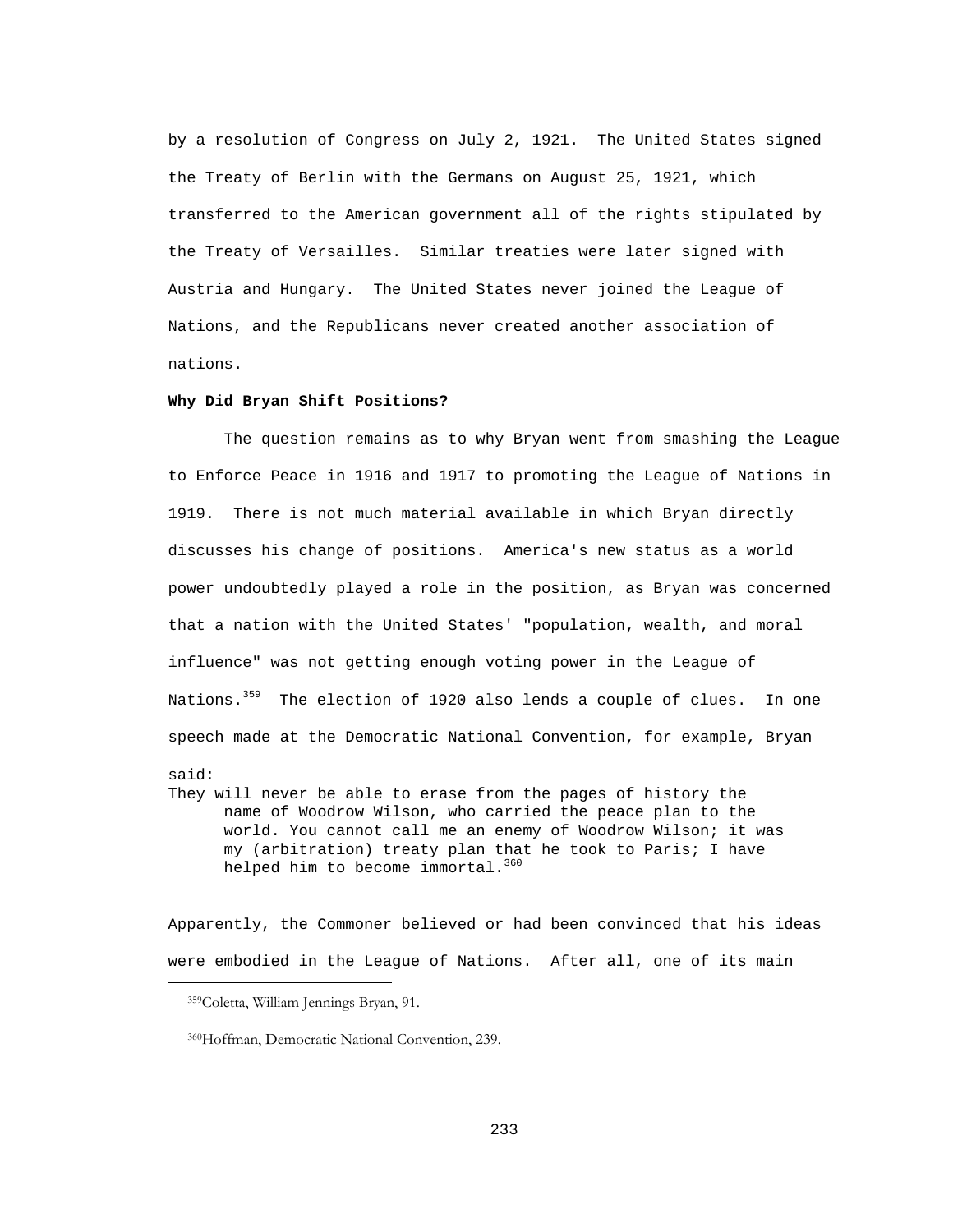by a resolution of Congress on July 2, 1921. The United States signed the Treaty of Berlin with the Germans on August 25, 1921, which transferred to the American government all of the rights stipulated by the Treaty of Versailles. Similar treaties were later signed with Austria and Hungary. The United States never joined the League of Nations, and the Republicans never created another association of nations.

# **Why Did Bryan Shift Positions?**

 The question remains as to why Bryan went from smashing the League to Enforce Peace in 1916 and 1917 to promoting the League of Nations in 1919. There is not much material available in which Bryan directly discusses his change of positions. America's new status as a world power undoubtedly played a role in the position, as Bryan was concerned that a nation with the United States' "population, wealth, and moral influence" was not getting enough voting power in the League of Nations.<sup>359</sup> The election of 1920 also lends a couple of clues. In one speech made at the Democratic National Convention, for example, Bryan said:

They will never be able to erase from the pages of history the name of Woodrow Wilson, who carried the peace plan to the world. You cannot call me an enemy of Woodrow Wilson; it was my (arbitration) treaty plan that he took to Paris; I have helped him to become immortal.<sup>360</sup>

Apparently, the Commoner believed or had been convinced that his ideas were embodied in the League of Nations. After all, one of its main

 <sup>359</sup>Coletta, William Jennings Bryan, 91.

 <sup>360</sup>Hoffman, Democratic National Convention, 239.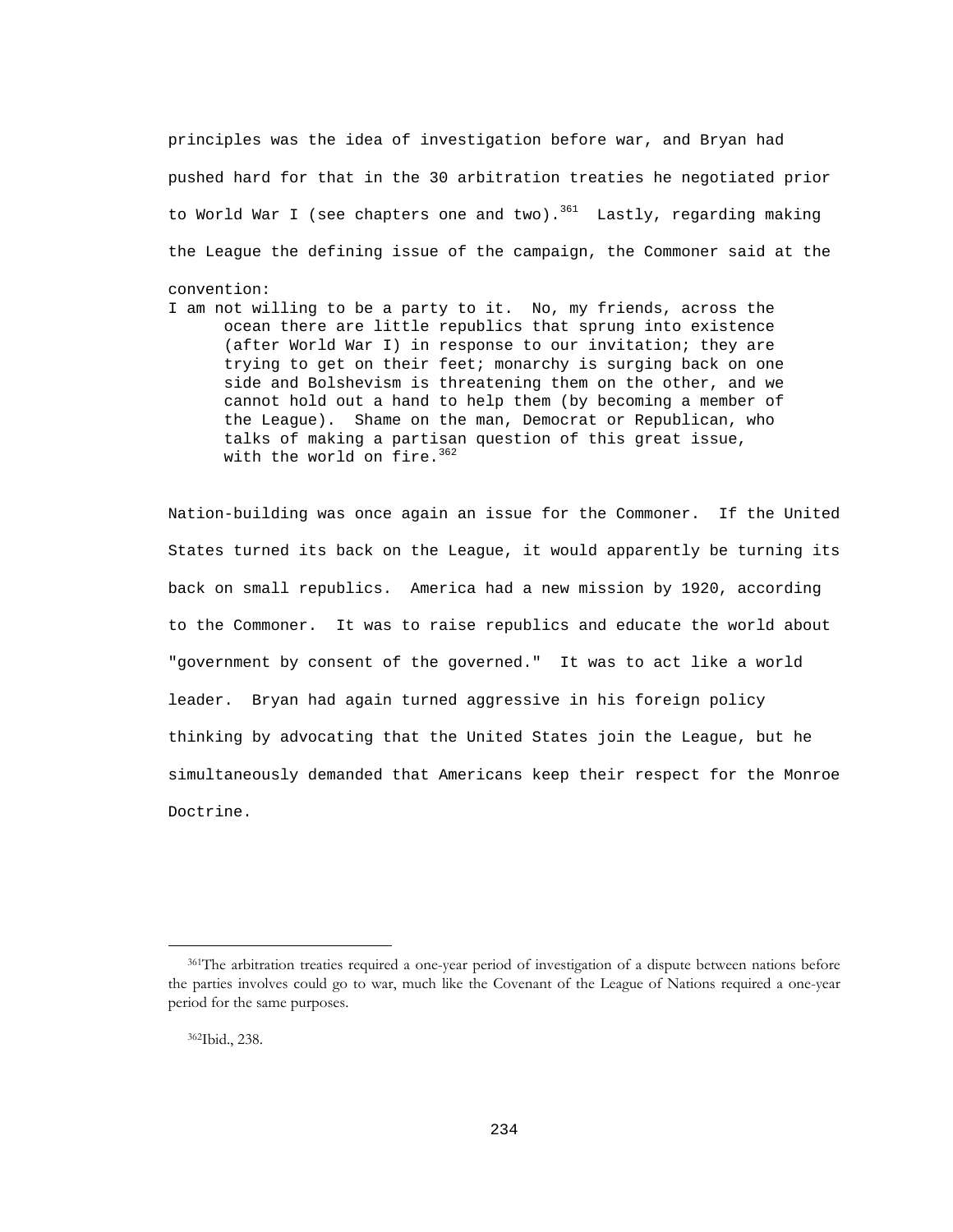principles was the idea of investigation before war, and Bryan had pushed hard for that in the 30 arbitration treaties he negotiated prior to World War I (see chapters one and two).<sup>361</sup> Lastly, regarding making the League the defining issue of the campaign, the Commoner said at the convention:

I am not willing to be a party to it. No, my friends, across the ocean there are little republics that sprung into existence (after World War I) in response to our invitation; they are trying to get on their feet; monarchy is surging back on one side and Bolshevism is threatening them on the other, and we cannot hold out a hand to help them (by becoming a member of the League). Shame on the man, Democrat or Republican, who talks of making a partisan question of this great issue, with the world on fire.<sup>362</sup>

Nation-building was once again an issue for the Commoner. If the United States turned its back on the League, it would apparently be turning its back on small republics. America had a new mission by 1920, according to the Commoner. It was to raise republics and educate the world about "government by consent of the governed." It was to act like a world leader. Bryan had again turned aggressive in his foreign policy thinking by advocating that the United States join the League, but he simultaneously demanded that Americans keep their respect for the Monroe Doctrine.

 <sup>361</sup>The arbitration treaties required a one-year period of investigation of a dispute between nations before the parties involves could go to war, much like the Covenant of the League of Nations required a one-year period for the same purposes.

 <sup>362</sup>Ibid., 238.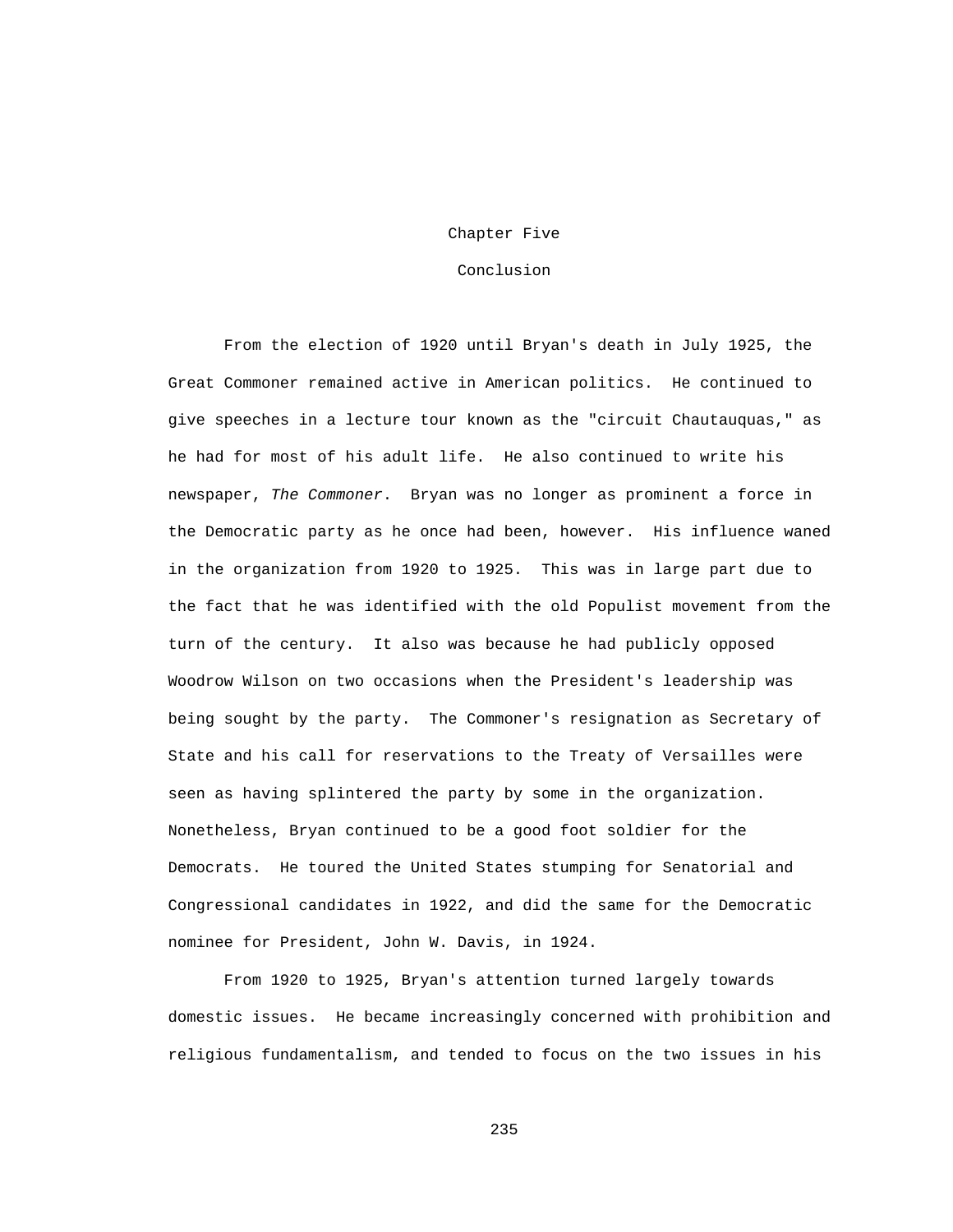#### Chapter Five

## Conclusion

 From the election of 1920 until Bryan's death in July 1925, the Great Commoner remained active in American politics. He continued to give speeches in a lecture tour known as the "circuit Chautauquas," as he had for most of his adult life. He also continued to write his newspaper, *The Commoner*. Bryan was no longer as prominent a force in the Democratic party as he once had been, however. His influence waned in the organization from 1920 to 1925. This was in large part due to the fact that he was identified with the old Populist movement from the turn of the century. It also was because he had publicly opposed Woodrow Wilson on two occasions when the President's leadership was being sought by the party. The Commoner's resignation as Secretary of State and his call for reservations to the Treaty of Versailles were seen as having splintered the party by some in the organization. Nonetheless, Bryan continued to be a good foot soldier for the Democrats. He toured the United States stumping for Senatorial and Congressional candidates in 1922, and did the same for the Democratic nominee for President, John W. Davis, in 1924.

 From 1920 to 1925, Bryan's attention turned largely towards domestic issues. He became increasingly concerned with prohibition and religious fundamentalism, and tended to focus on the two issues in his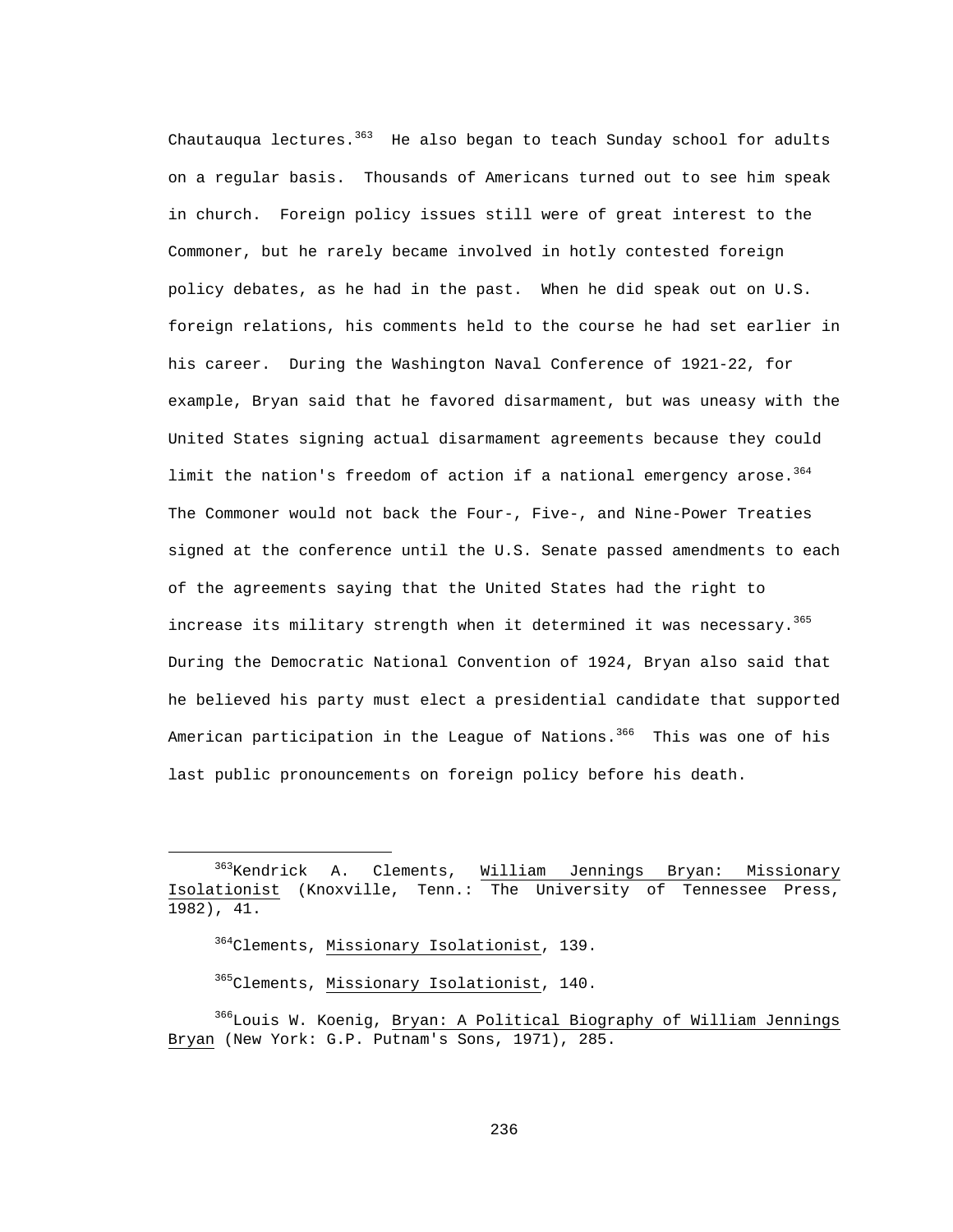Chautauqua lectures. $363$  He also began to teach Sunday school for adults on a regular basis. Thousands of Americans turned out to see him speak in church. Foreign policy issues still were of great interest to the Commoner, but he rarely became involved in hotly contested foreign policy debates, as he had in the past. When he did speak out on U.S. foreign relations, his comments held to the course he had set earlier in his career. During the Washington Naval Conference of 1921-22, for example, Bryan said that he favored disarmament, but was uneasy with the United States signing actual disarmament agreements because they could limit the nation's freedom of action if a national emergency arose. $364$ The Commoner would not back the Four-, Five-, and Nine-Power Treaties signed at the conference until the U.S. Senate passed amendments to each of the agreements saying that the United States had the right to increase its military strength when it determined it was necessary.  $365$ During the Democratic National Convention of 1924, Bryan also said that he believed his party must elect a presidential candidate that supported American participation in the League of Nations. $366$  This was one of his last public pronouncements on foreign policy before his death.

363Kendrick A. Clements, William Jennings Bryan: Missionary Isolationist (Knoxville, Tenn.: The University of Tennessee Press, 1982), 41.

<sup>&</sup>lt;sup>364</sup>Clements, Missionary Isolationist, 139.

<sup>365</sup>Clements, Missionary Isolationist, 140.

366Louis W. Koenig, Bryan: A Political Biography of William Jennings Bryan (New York: G.P. Putnam's Sons, 1971), 285.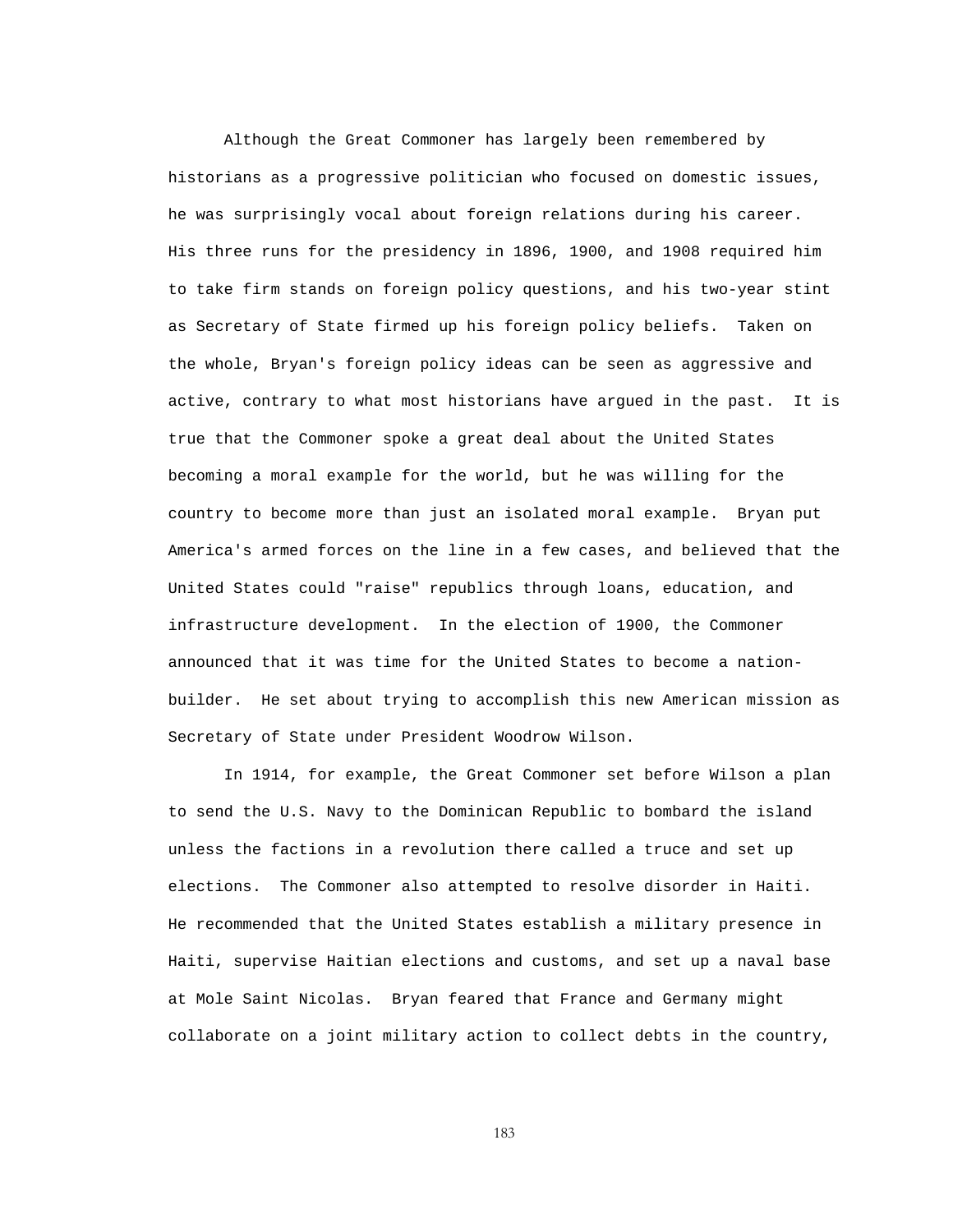Although the Great Commoner has largely been remembered by historians as a progressive politician who focused on domestic issues, he was surprisingly vocal about foreign relations during his career. His three runs for the presidency in 1896, 1900, and 1908 required him to take firm stands on foreign policy questions, and his two-year stint as Secretary of State firmed up his foreign policy beliefs. Taken on the whole, Bryan's foreign policy ideas can be seen as aggressive and active, contrary to what most historians have argued in the past. It is true that the Commoner spoke a great deal about the United States becoming a moral example for the world, but he was willing for the country to become more than just an isolated moral example. Bryan put America's armed forces on the line in a few cases, and believed that the United States could "raise" republics through loans, education, and infrastructure development. In the election of 1900, the Commoner announced that it was time for the United States to become a nationbuilder. He set about trying to accomplish this new American mission as Secretary of State under President Woodrow Wilson.

 In 1914, for example, the Great Commoner set before Wilson a plan to send the U.S. Navy to the Dominican Republic to bombard the island unless the factions in a revolution there called a truce and set up elections. The Commoner also attempted to resolve disorder in Haiti. He recommended that the United States establish a military presence in Haiti, supervise Haitian elections and customs, and set up a naval base at Mole Saint Nicolas. Bryan feared that France and Germany might collaborate on a joint military action to collect debts in the country,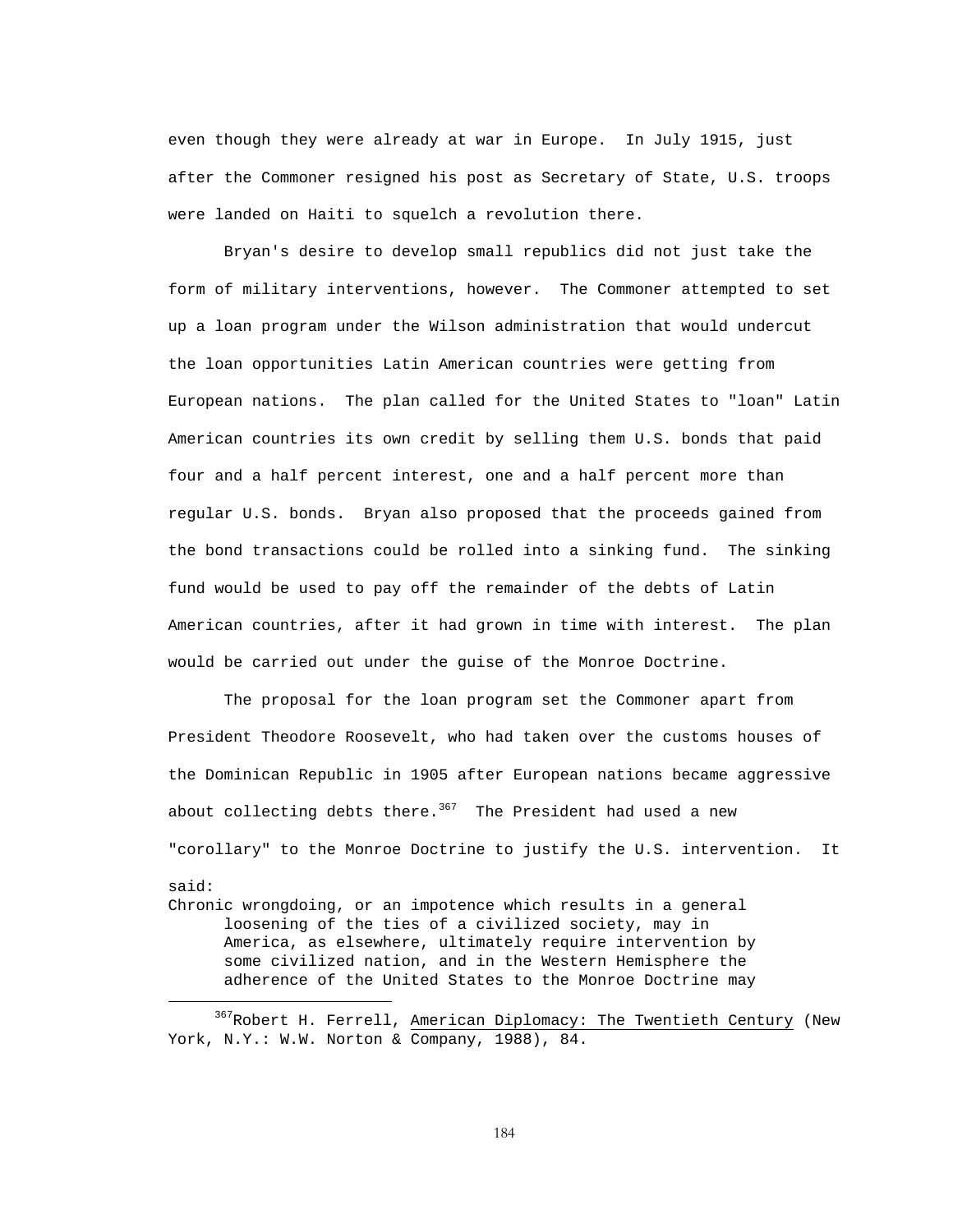even though they were already at war in Europe. In July 1915, just after the Commoner resigned his post as Secretary of State, U.S. troops were landed on Haiti to squelch a revolution there.

 Bryan's desire to develop small republics did not just take the form of military interventions, however. The Commoner attempted to set up a loan program under the Wilson administration that would undercut the loan opportunities Latin American countries were getting from European nations. The plan called for the United States to "loan" Latin American countries its own credit by selling them U.S. bonds that paid four and a half percent interest, one and a half percent more than regular U.S. bonds. Bryan also proposed that the proceeds gained from the bond transactions could be rolled into a sinking fund. The sinking fund would be used to pay off the remainder of the debts of Latin American countries, after it had grown in time with interest. The plan would be carried out under the guise of the Monroe Doctrine.

 The proposal for the loan program set the Commoner apart from President Theodore Roosevelt, who had taken over the customs houses of the Dominican Republic in 1905 after European nations became aggressive about collecting debts there. $367$  The President had used a new "corollary" to the Monroe Doctrine to justify the U.S. intervention. It said: Chronic wrongdoing, or an impotence which results in a general loosening of the ties of a civilized society, may in America, as elsewhere, ultimately require intervention by some civilized nation, and in the Western Hemisphere the adherence of the United States to the Monroe Doctrine may

i

<sup>&</sup>lt;sup>367</sup>Robert H. Ferrell, American Diplomacy: The Twentieth Century (New York, N.Y.: W.W. Norton & Company, 1988), 84.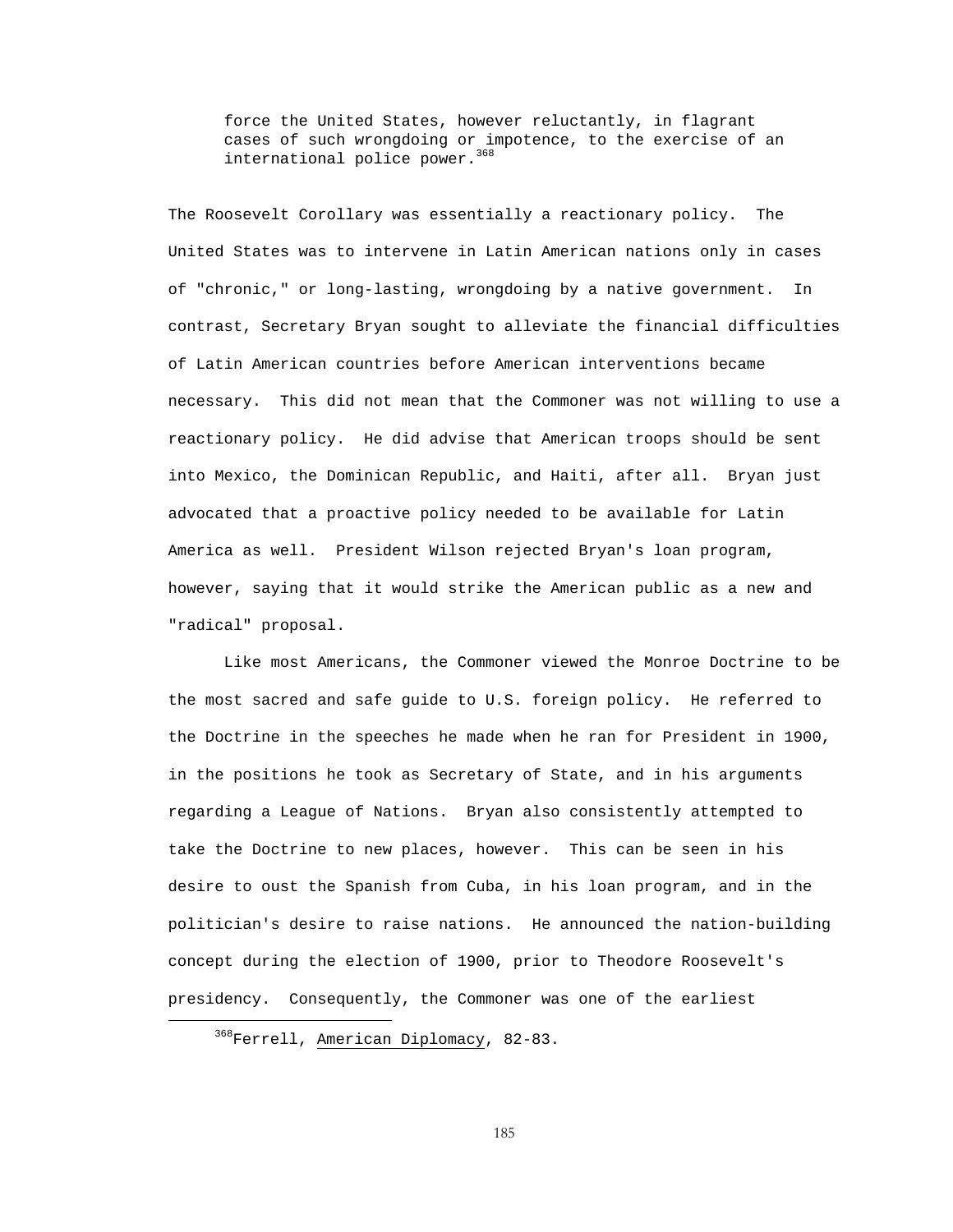force the United States, however reluctantly, in flagrant cases of such wrongdoing or impotence, to the exercise of an international police power.<sup>368</sup>

The Roosevelt Corollary was essentially a reactionary policy. The United States was to intervene in Latin American nations only in cases of "chronic," or long-lasting, wrongdoing by a native government. In contrast, Secretary Bryan sought to alleviate the financial difficulties of Latin American countries before American interventions became necessary. This did not mean that the Commoner was not willing to use a reactionary policy. He did advise that American troops should be sent into Mexico, the Dominican Republic, and Haiti, after all. Bryan just advocated that a proactive policy needed to be available for Latin America as well. President Wilson rejected Bryan's loan program, however, saying that it would strike the American public as a new and "radical" proposal.

 Like most Americans, the Commoner viewed the Monroe Doctrine to be the most sacred and safe guide to U.S. foreign policy. He referred to the Doctrine in the speeches he made when he ran for President in 1900, in the positions he took as Secretary of State, and in his arguments regarding a League of Nations. Bryan also consistently attempted to take the Doctrine to new places, however. This can be seen in his desire to oust the Spanish from Cuba, in his loan program, and in the politician's desire to raise nations. He announced the nation-building concept during the election of 1900, prior to Theodore Roosevelt's presidency. Consequently, the Commoner was one of the earliest

<sup>368</sup>Ferrell, American Diplomacy, 82-83.

i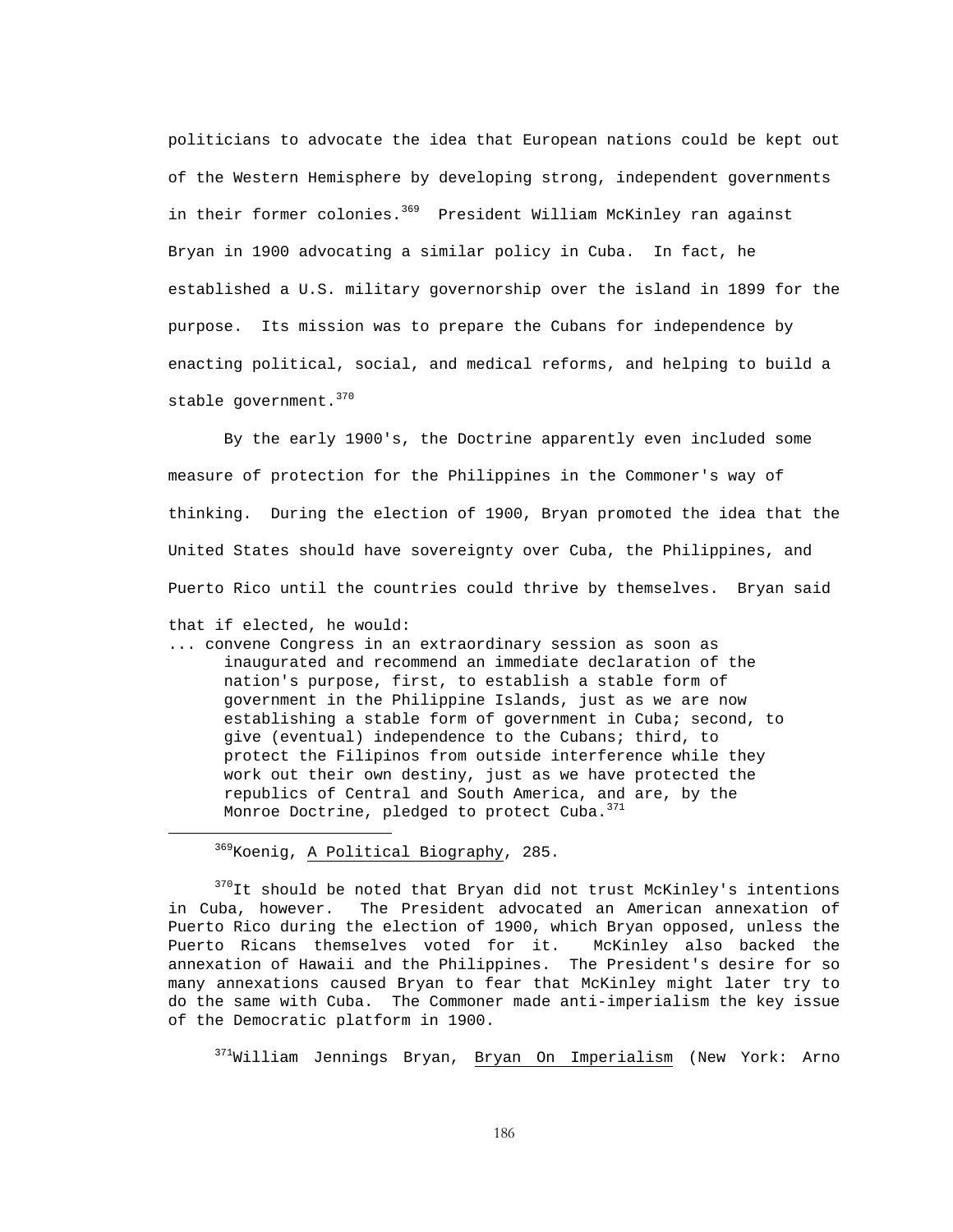politicians to advocate the idea that European nations could be kept out of the Western Hemisphere by developing strong, independent governments in their former colonies.<sup>369</sup> President William McKinley ran against Bryan in 1900 advocating a similar policy in Cuba. In fact, he established a U.S. military governorship over the island in 1899 for the purpose. Its mission was to prepare the Cubans for independence by enacting political, social, and medical reforms, and helping to build a stable government.<sup>370</sup>

 By the early 1900's, the Doctrine apparently even included some measure of protection for the Philippines in the Commoner's way of thinking. During the election of 1900, Bryan promoted the idea that the United States should have sovereignty over Cuba, the Philippines, and Puerto Rico until the countries could thrive by themselves. Bryan said

that if elected, he would:

i

... convene Congress in an extraordinary session as soon as inaugurated and recommend an immediate declaration of the nation's purpose, first, to establish a stable form of government in the Philippine Islands, just as we are now establishing a stable form of government in Cuba; second, to give (eventual) independence to the Cubans; third, to protect the Filipinos from outside interference while they work out their own destiny, just as we have protected the republics of Central and South America, and are, by the Monroe Doctrine, pledged to protect Cuba.<sup>371</sup>

<sup>369</sup>Koenig, A Political Biography, 285.

 $370$ It should be noted that Bryan did not trust McKinley's intentions in Cuba, however. The President advocated an American annexation of Puerto Rico during the election of 1900, which Bryan opposed, unless the Puerto Ricans themselves voted for it. McKinley also backed the annexation of Hawaii and the Philippines. The President's desire for so many annexations caused Bryan to fear that McKinley might later try to do the same with Cuba. The Commoner made anti-imperialism the key issue of the Democratic platform in 1900.

<sup>371</sup>William Jennings Bryan, Bryan On Imperialism (New York: Arno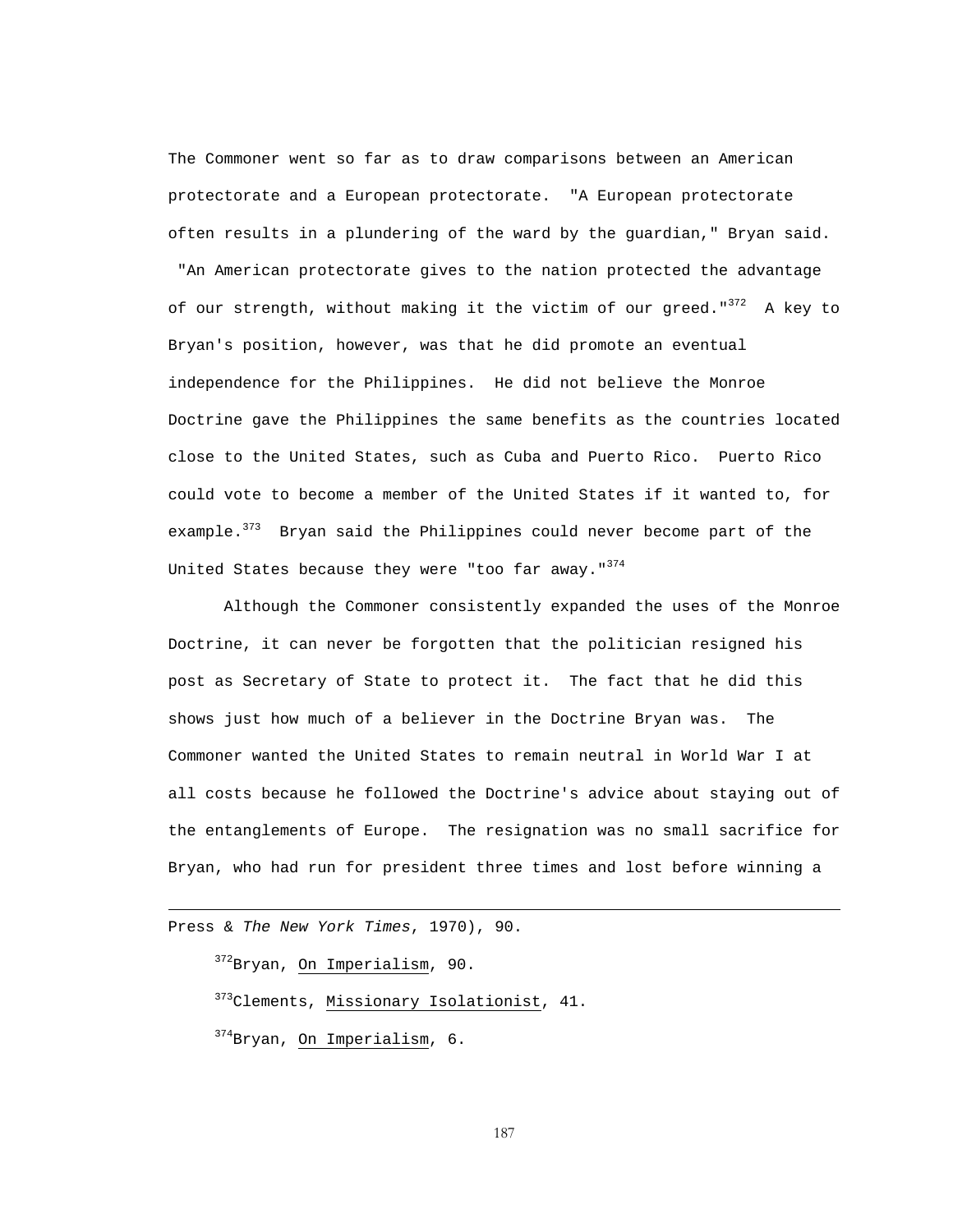The Commoner went so far as to draw comparisons between an American protectorate and a European protectorate. "A European protectorate often results in a plundering of the ward by the guardian," Bryan said.

 "An American protectorate gives to the nation protected the advantage of our strength, without making it the victim of our greed."<sup>372</sup> A key to Bryan's position, however, was that he did promote an eventual independence for the Philippines. He did not believe the Monroe Doctrine gave the Philippines the same benefits as the countries located close to the United States, such as Cuba and Puerto Rico. Puerto Rico could vote to become a member of the United States if it wanted to, for example.<sup>373</sup> Bryan said the Philippines could never become part of the United States because they were "too far away."<sup>374</sup>

 Although the Commoner consistently expanded the uses of the Monroe Doctrine, it can never be forgotten that the politician resigned his post as Secretary of State to protect it. The fact that he did this shows just how much of a believer in the Doctrine Bryan was. The Commoner wanted the United States to remain neutral in World War I at all costs because he followed the Doctrine's advice about staying out of the entanglements of Europe. The resignation was no small sacrifice for Bryan, who had run for president three times and lost before winning a

Press & *The New York Times*, 1970), 90.

÷,

<sup>372</sup>Bryan, On Imperialism, 90.

373 Clements, Missionary Isolationist, 41.

 $374$ Bryan, On Imperialism, 6.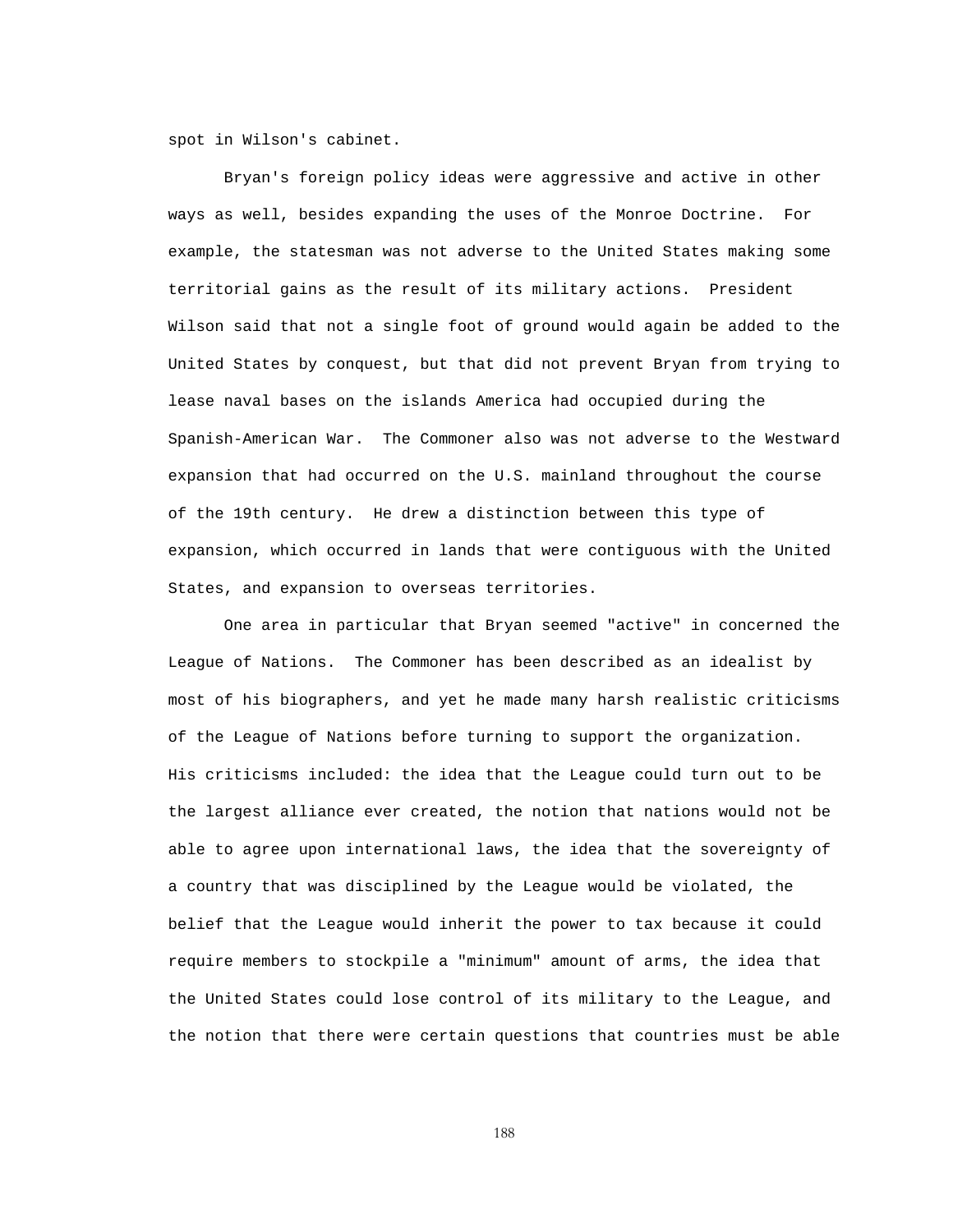spot in Wilson's cabinet.

 Bryan's foreign policy ideas were aggressive and active in other ways as well, besides expanding the uses of the Monroe Doctrine. For example, the statesman was not adverse to the United States making some territorial gains as the result of its military actions. President Wilson said that not a single foot of ground would again be added to the United States by conquest, but that did not prevent Bryan from trying to lease naval bases on the islands America had occupied during the Spanish-American War. The Commoner also was not adverse to the Westward expansion that had occurred on the U.S. mainland throughout the course of the 19th century. He drew a distinction between this type of expansion, which occurred in lands that were contiguous with the United States, and expansion to overseas territories.

 One area in particular that Bryan seemed "active" in concerned the League of Nations. The Commoner has been described as an idealist by most of his biographers, and yet he made many harsh realistic criticisms of the League of Nations before turning to support the organization. His criticisms included: the idea that the League could turn out to be the largest alliance ever created, the notion that nations would not be able to agree upon international laws, the idea that the sovereignty of a country that was disciplined by the League would be violated, the belief that the League would inherit the power to tax because it could require members to stockpile a "minimum" amount of arms, the idea that the United States could lose control of its military to the League, and the notion that there were certain questions that countries must be able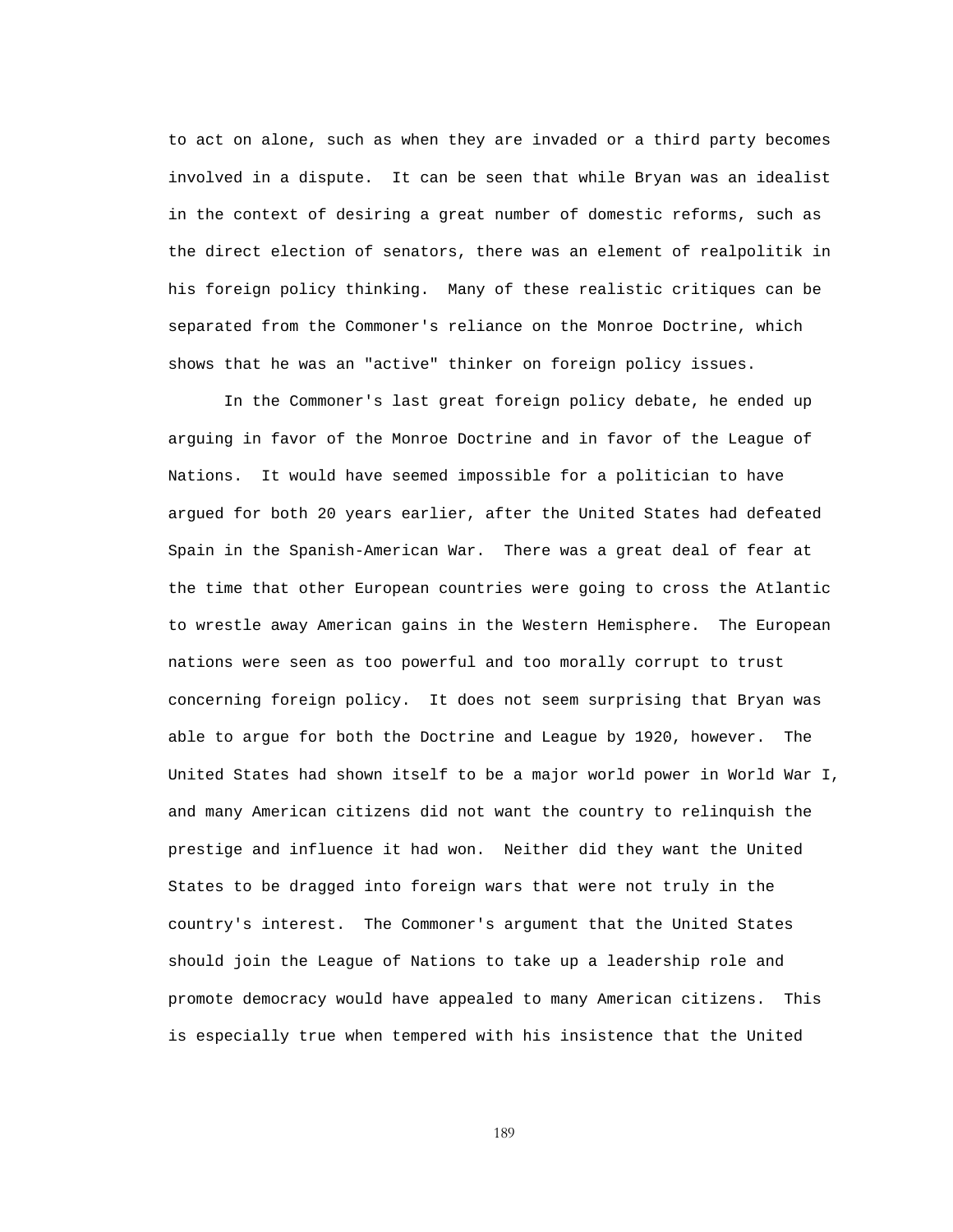to act on alone, such as when they are invaded or a third party becomes involved in a dispute. It can be seen that while Bryan was an idealist in the context of desiring a great number of domestic reforms, such as the direct election of senators, there was an element of realpolitik in his foreign policy thinking. Many of these realistic critiques can be separated from the Commoner's reliance on the Monroe Doctrine, which shows that he was an "active" thinker on foreign policy issues.

 In the Commoner's last great foreign policy debate, he ended up arguing in favor of the Monroe Doctrine and in favor of the League of Nations. It would have seemed impossible for a politician to have argued for both 20 years earlier, after the United States had defeated Spain in the Spanish-American War. There was a great deal of fear at the time that other European countries were going to cross the Atlantic to wrestle away American gains in the Western Hemisphere. The European nations were seen as too powerful and too morally corrupt to trust concerning foreign policy. It does not seem surprising that Bryan was able to argue for both the Doctrine and League by 1920, however. The United States had shown itself to be a major world power in World War I, and many American citizens did not want the country to relinquish the prestige and influence it had won. Neither did they want the United States to be dragged into foreign wars that were not truly in the country's interest. The Commoner's argument that the United States should join the League of Nations to take up a leadership role and promote democracy would have appealed to many American citizens. This is especially true when tempered with his insistence that the United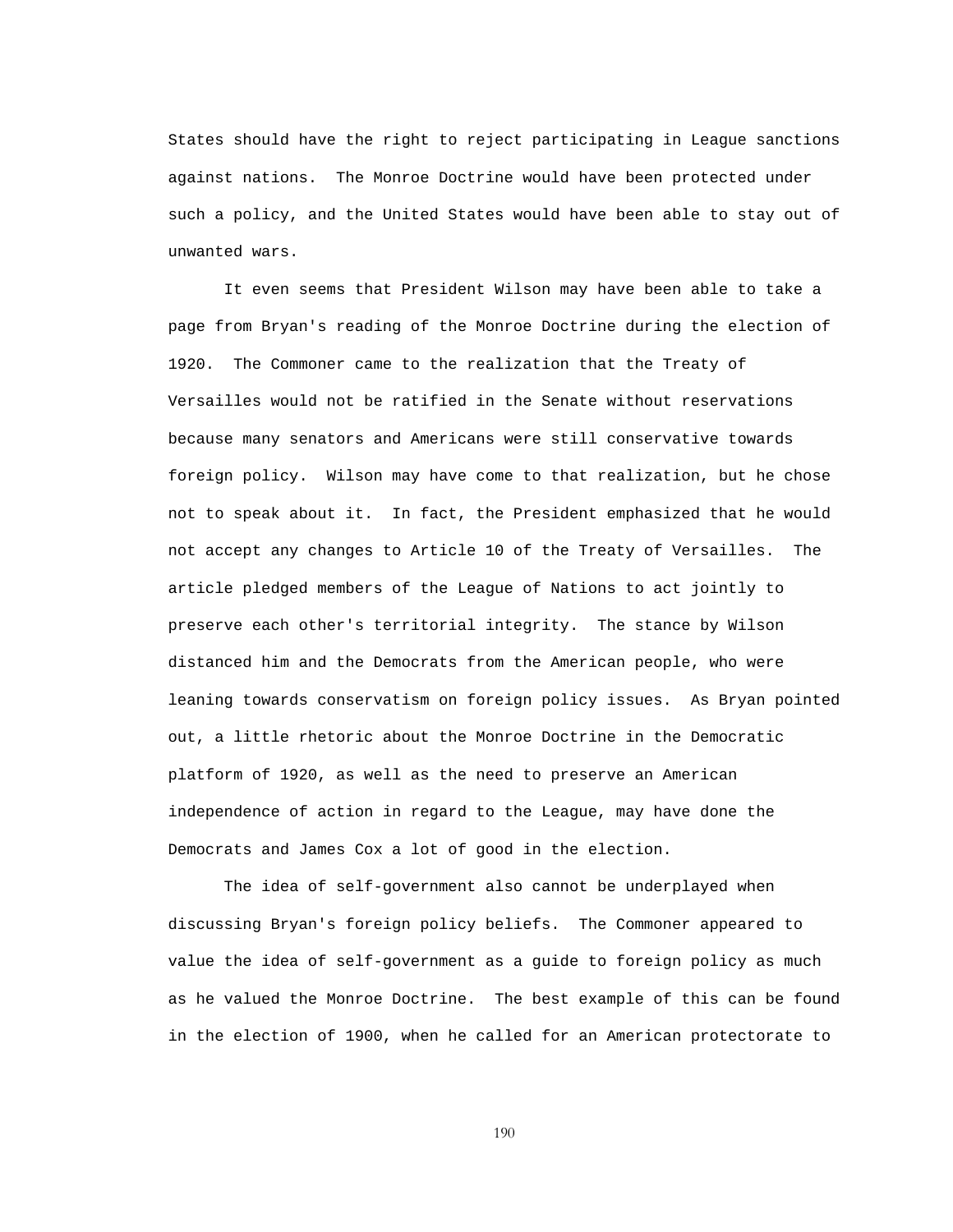States should have the right to reject participating in League sanctions against nations. The Monroe Doctrine would have been protected under such a policy, and the United States would have been able to stay out of unwanted wars.

 It even seems that President Wilson may have been able to take a page from Bryan's reading of the Monroe Doctrine during the election of 1920. The Commoner came to the realization that the Treaty of Versailles would not be ratified in the Senate without reservations because many senators and Americans were still conservative towards foreign policy. Wilson may have come to that realization, but he chose not to speak about it. In fact, the President emphasized that he would not accept any changes to Article 10 of the Treaty of Versailles. The article pledged members of the League of Nations to act jointly to preserve each other's territorial integrity. The stance by Wilson distanced him and the Democrats from the American people, who were leaning towards conservatism on foreign policy issues. As Bryan pointed out, a little rhetoric about the Monroe Doctrine in the Democratic platform of 1920, as well as the need to preserve an American independence of action in regard to the League, may have done the Democrats and James Cox a lot of good in the election.

 The idea of self-government also cannot be underplayed when discussing Bryan's foreign policy beliefs. The Commoner appeared to value the idea of self-government as a guide to foreign policy as much as he valued the Monroe Doctrine. The best example of this can be found in the election of 1900, when he called for an American protectorate to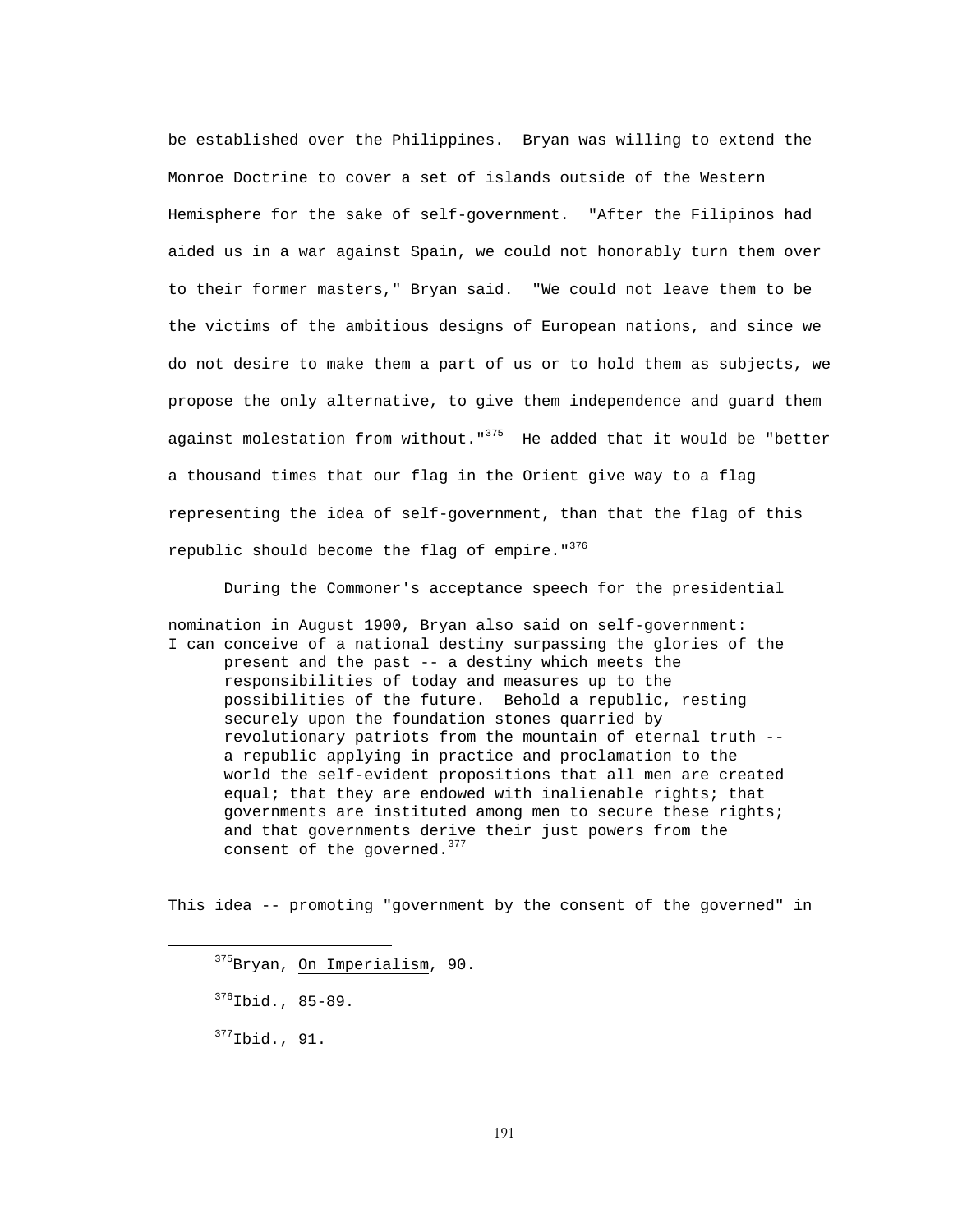be established over the Philippines. Bryan was willing to extend the Monroe Doctrine to cover a set of islands outside of the Western Hemisphere for the sake of self-government. "After the Filipinos had aided us in a war against Spain, we could not honorably turn them over to their former masters," Bryan said. "We could not leave them to be the victims of the ambitious designs of European nations, and since we do not desire to make them a part of us or to hold them as subjects, we propose the only alternative, to give them independence and guard them against molestation from without." $375$  He added that it would be "better a thousand times that our flag in the Orient give way to a flag representing the idea of self-government, than that the flag of this republic should become the flag of empire."<sup>376</sup>

 During the Commoner's acceptance speech for the presidential nomination in August 1900, Bryan also said on self-government: I can conceive of a national destiny surpassing the glories of the present and the past -- a destiny which meets the responsibilities of today and measures up to the possibilities of the future. Behold a republic, resting securely upon the foundation stones quarried by revolutionary patriots from the mountain of eternal truth - a republic applying in practice and proclamation to the world the self-evident propositions that all men are created equal; that they are endowed with inalienable rights; that governments are instituted among men to secure these rights; and that governments derive their just powers from the consent of the governed.<sup>377</sup>

This idea -- promoting "government by the consent of the governed" in

 $377$ Ibid., 91.

i

<sup>375</sup> Bryan, On Imperialism, 90.

 $376$ Ibid., 85-89.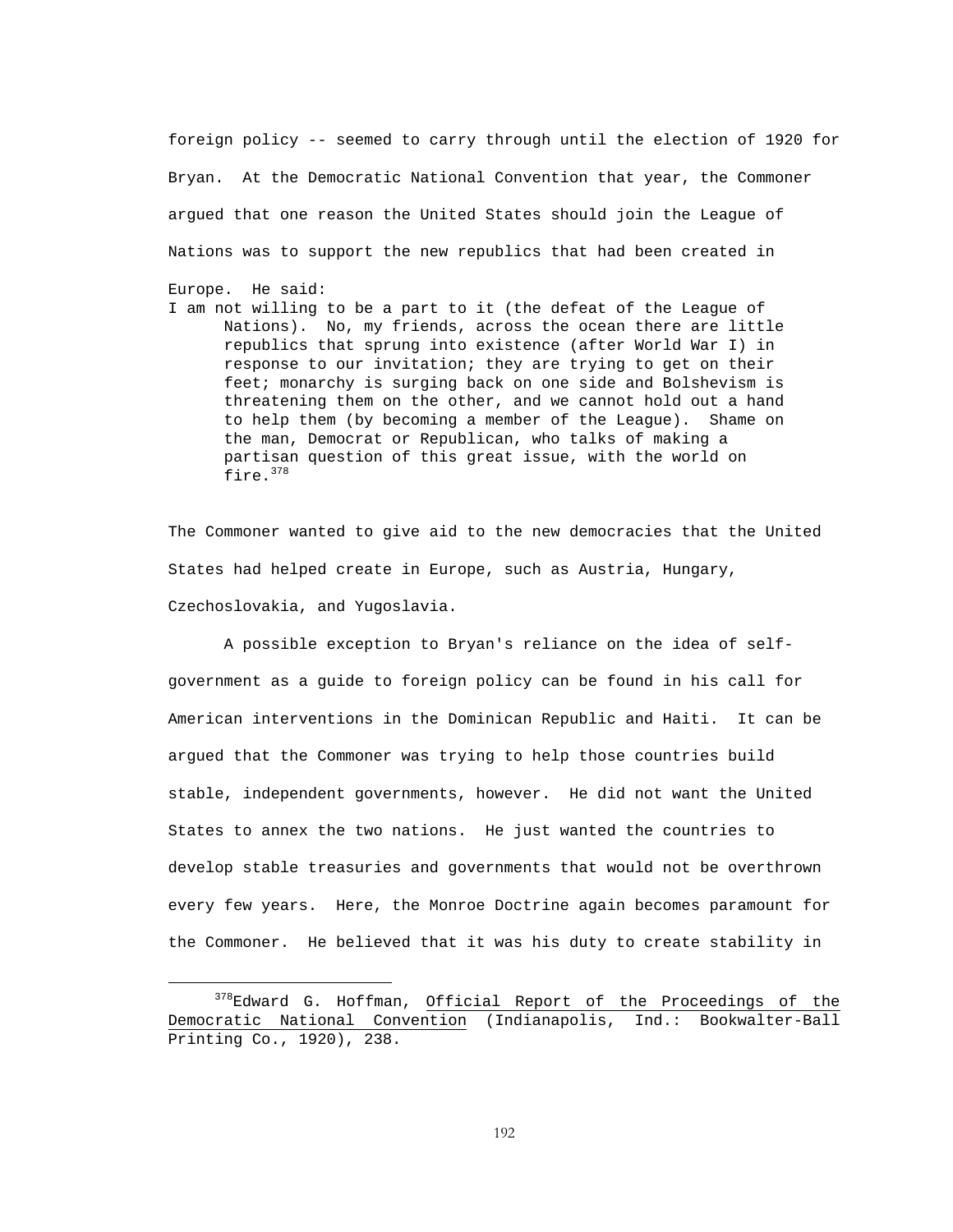foreign policy -- seemed to carry through until the election of 1920 for Bryan. At the Democratic National Convention that year, the Commoner argued that one reason the United States should join the League of Nations was to support the new republics that had been created in Europe. He said:

I am not willing to be a part to it (the defeat of the League of Nations). No, my friends, across the ocean there are little republics that sprung into existence (after World War I) in response to our invitation; they are trying to get on their feet; monarchy is surging back on one side and Bolshevism is threatening them on the other, and we cannot hold out a hand to help them (by becoming a member of the League). Shame on the man, Democrat or Republican, who talks of making a partisan question of this great issue, with the world on fire.378

The Commoner wanted to give aid to the new democracies that the United States had helped create in Europe, such as Austria, Hungary, Czechoslovakia, and Yugoslavia.

 A possible exception to Bryan's reliance on the idea of selfgovernment as a guide to foreign policy can be found in his call for American interventions in the Dominican Republic and Haiti. It can be argued that the Commoner was trying to help those countries build stable, independent governments, however. He did not want the United States to annex the two nations. He just wanted the countries to develop stable treasuries and governments that would not be overthrown every few years. Here, the Monroe Doctrine again becomes paramount for the Commoner. He believed that it was his duty to create stability in

i

<sup>&</sup>lt;sup>378</sup>Edward G. Hoffman, Official Report of the Proceedings of the Democratic National Convention (Indianapolis, Ind.: Bookwalter-Ball Printing Co., 1920), 238.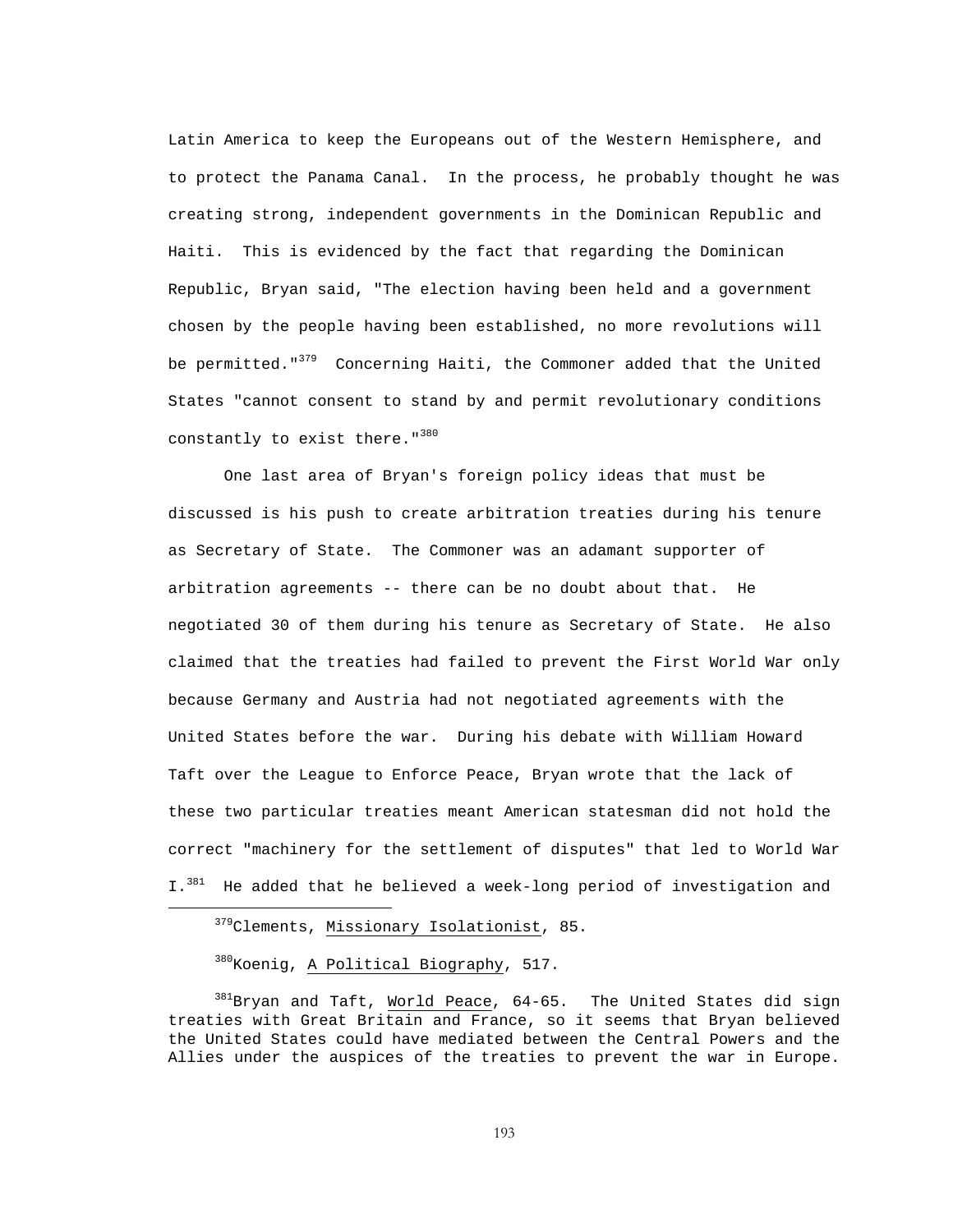Latin America to keep the Europeans out of the Western Hemisphere, and to protect the Panama Canal. In the process, he probably thought he was creating strong, independent governments in the Dominican Republic and Haiti. This is evidenced by the fact that regarding the Dominican Republic, Bryan said, "The election having been held and a government chosen by the people having been established, no more revolutions will be permitted. $1^{379}$  Concerning Haiti, the Commoner added that the United States "cannot consent to stand by and permit revolutionary conditions constantly to exist there."<sup>380</sup>

 One last area of Bryan's foreign policy ideas that must be discussed is his push to create arbitration treaties during his tenure as Secretary of State. The Commoner was an adamant supporter of arbitration agreements -- there can be no doubt about that. He negotiated 30 of them during his tenure as Secretary of State. He also claimed that the treaties had failed to prevent the First World War only because Germany and Austria had not negotiated agreements with the United States before the war. During his debate with William Howard Taft over the League to Enforce Peace, Bryan wrote that the lack of these two particular treaties meant American statesman did not hold the correct "machinery for the settlement of disputes" that led to World War I.<sup>381</sup> He added that he believed a week-long period of investigation and

379 Clements, Missionary Isolationist, 85.

380Koenig, A Political Biography, 517.

i

<sup>381</sup>Bryan and Taft, World Peace, 64-65. The United States did sign treaties with Great Britain and France, so it seems that Bryan believed the United States could have mediated between the Central Powers and the Allies under the auspices of the treaties to prevent the war in Europe.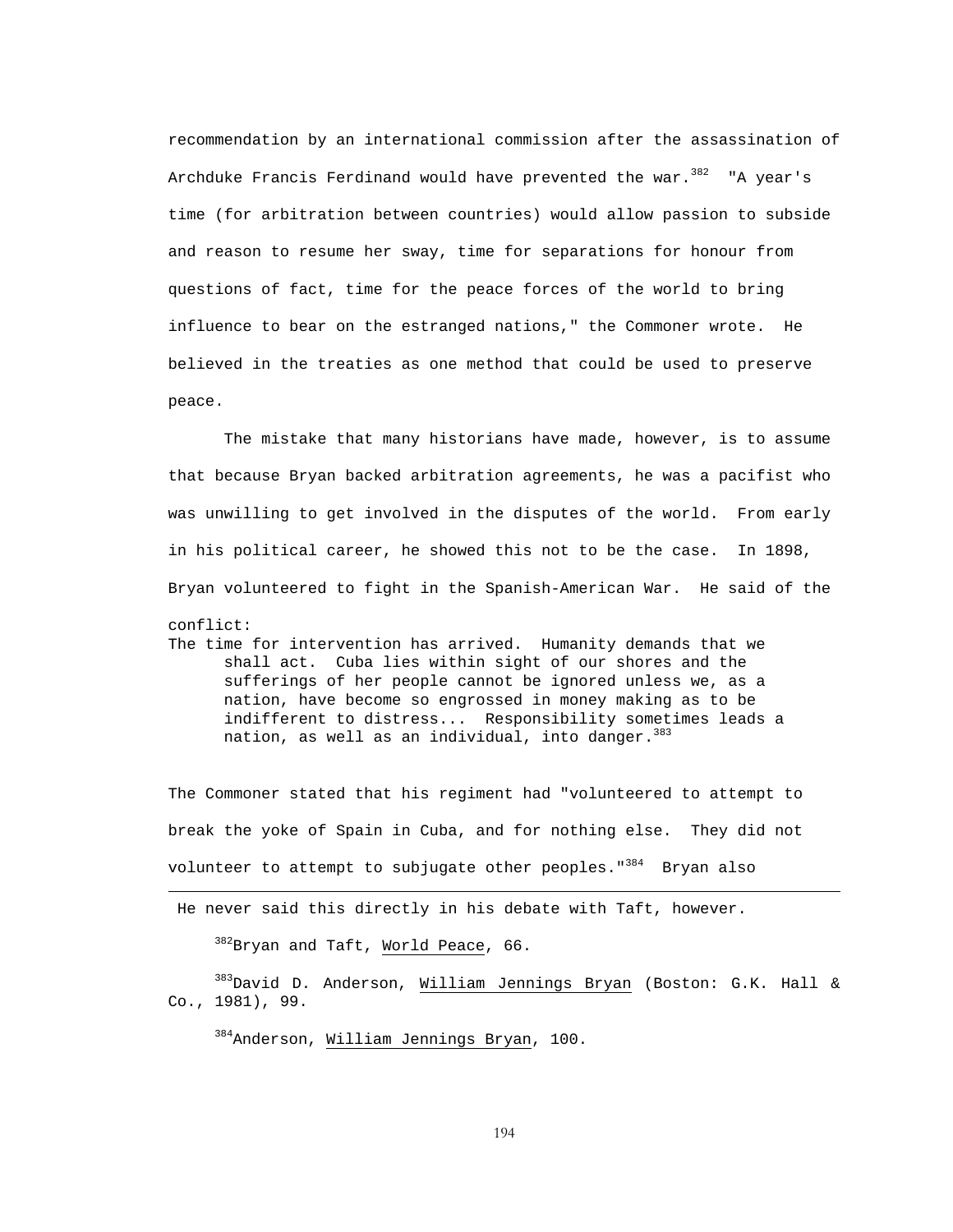recommendation by an international commission after the assassination of Archduke Francis Ferdinand would have prevented the war.<sup>382</sup> "A year's time (for arbitration between countries) would allow passion to subside and reason to resume her sway, time for separations for honour from questions of fact, time for the peace forces of the world to bring influence to bear on the estranged nations," the Commoner wrote. He believed in the treaties as one method that could be used to preserve peace.

 The mistake that many historians have made, however, is to assume that because Bryan backed arbitration agreements, he was a pacifist who was unwilling to get involved in the disputes of the world. From early in his political career, he showed this not to be the case. In 1898, Bryan volunteered to fight in the Spanish-American War. He said of the conflict:

The time for intervention has arrived. Humanity demands that we shall act. Cuba lies within sight of our shores and the sufferings of her people cannot be ignored unless we, as a nation, have become so engrossed in money making as to be indifferent to distress... Responsibility sometimes leads a nation, as well as an individual, into danger.  $383$ 

The Commoner stated that his regiment had "volunteered to attempt to break the yoke of Spain in Cuba, and for nothing else. They did not volunteer to attempt to subjugate other peoples."<sup>384</sup> Bryan also

He never said this directly in his debate with Taft, however.

<sup>382</sup>Bryan and Taft, World Peace, 66.

 $\equiv$ 

383David D. Anderson, William Jennings Bryan (Boston: G.K. Hall & Co., 1981), 99.

384 Anderson, William Jennings Bryan, 100.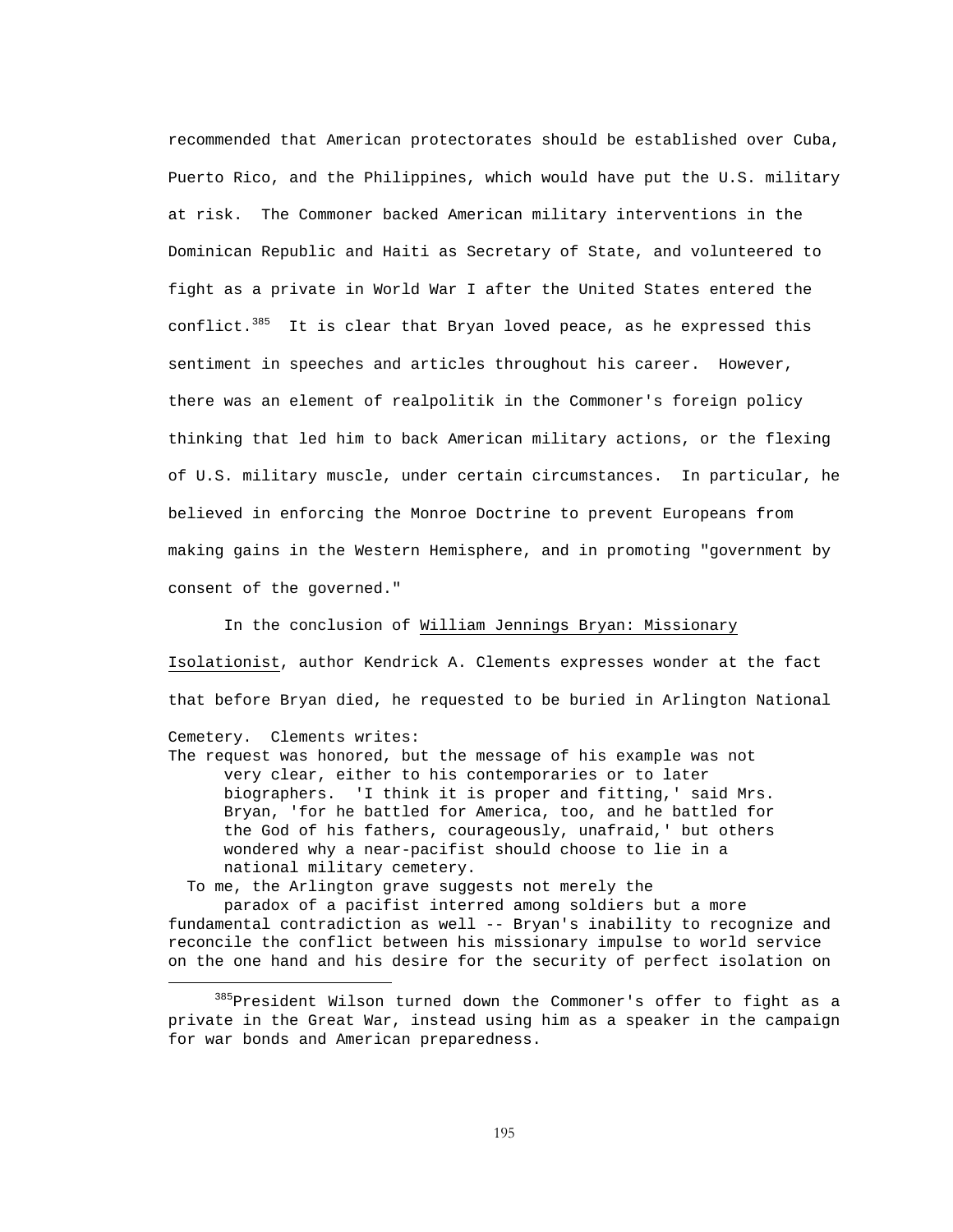recommended that American protectorates should be established over Cuba, Puerto Rico, and the Philippines, which would have put the U.S. military at risk. The Commoner backed American military interventions in the Dominican Republic and Haiti as Secretary of State, and volunteered to fight as a private in World War I after the United States entered the conflict.<sup>385</sup> It is clear that Bryan loved peace, as he expressed this sentiment in speeches and articles throughout his career. However, there was an element of realpolitik in the Commoner's foreign policy thinking that led him to back American military actions, or the flexing of U.S. military muscle, under certain circumstances. In particular, he believed in enforcing the Monroe Doctrine to prevent Europeans from making gains in the Western Hemisphere, and in promoting "government by consent of the governed."

 In the conclusion of William Jennings Bryan: Missionary Isolationist, author Kendrick A. Clements expresses wonder at the fact that before Bryan died, he requested to be buried in Arlington National

i

The request was honored, but the message of his example was not very clear, either to his contemporaries or to later biographers. 'I think it is proper and fitting,' said Mrs. Bryan, 'for he battled for America, too, and he battled for the God of his fathers, courageously, unafraid,' but others wondered why a near-pacifist should choose to lie in a national military cemetery.

To me, the Arlington grave suggests not merely the

 paradox of a pacifist interred among soldiers but a more fundamental contradiction as well -- Bryan's inability to recognize and reconcile the conflict between his missionary impulse to world service on the one hand and his desire for the security of perfect isolation on

Cemetery. Clements writes:

<sup>&</sup>lt;sup>385</sup>President Wilson turned down the Commoner's offer to fight as a private in the Great War, instead using him as a speaker in the campaign for war bonds and American preparedness.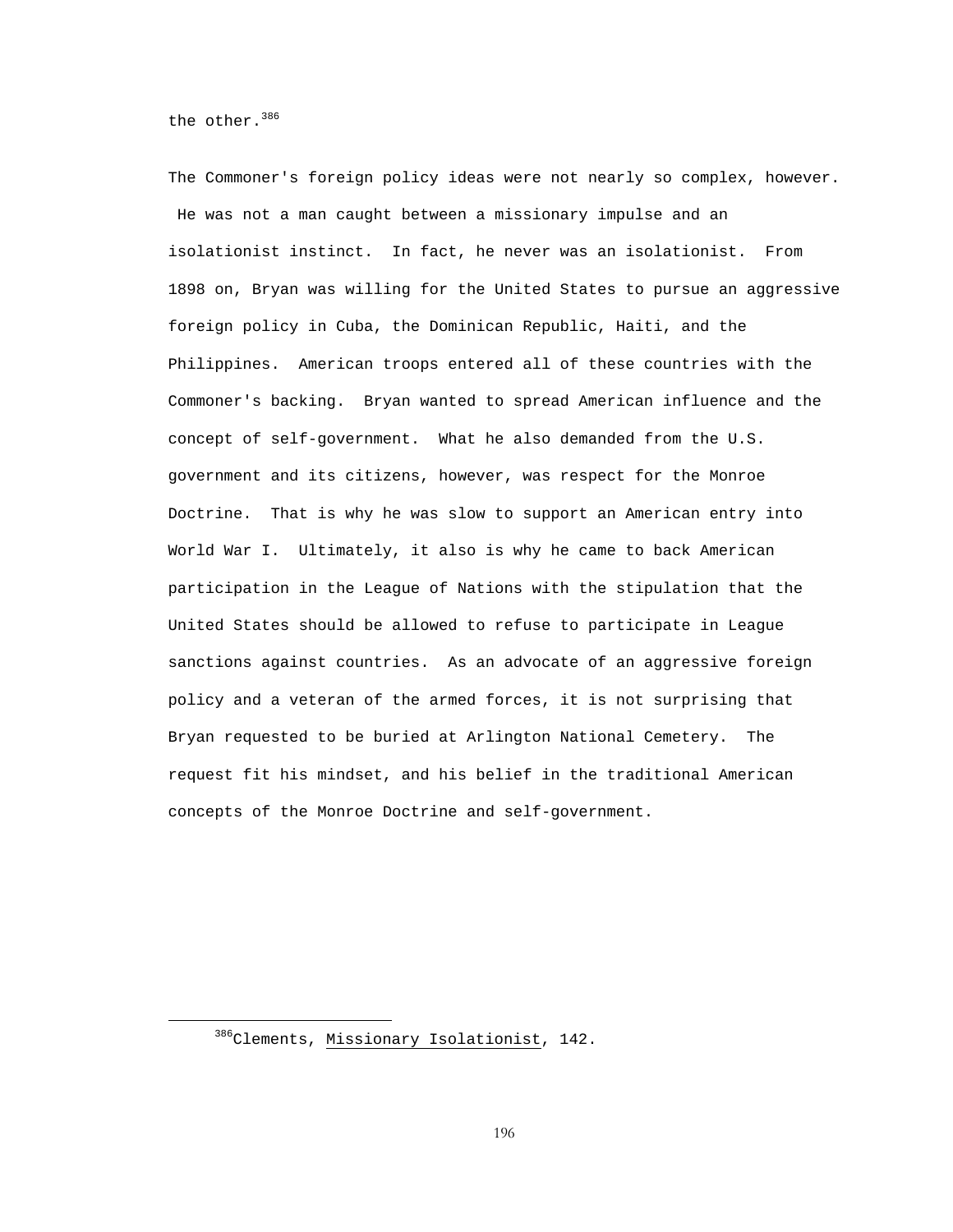the other.<sup>386</sup>

i

The Commoner's foreign policy ideas were not nearly so complex, however. He was not a man caught between a missionary impulse and an isolationist instinct. In fact, he never was an isolationist. From 1898 on, Bryan was willing for the United States to pursue an aggressive foreign policy in Cuba, the Dominican Republic, Haiti, and the Philippines. American troops entered all of these countries with the Commoner's backing. Bryan wanted to spread American influence and the concept of self-government. What he also demanded from the U.S. government and its citizens, however, was respect for the Monroe Doctrine. That is why he was slow to support an American entry into World War I. Ultimately, it also is why he came to back American participation in the League of Nations with the stipulation that the United States should be allowed to refuse to participate in League sanctions against countries. As an advocate of an aggressive foreign policy and a veteran of the armed forces, it is not surprising that Bryan requested to be buried at Arlington National Cemetery. The request fit his mindset, and his belief in the traditional American concepts of the Monroe Doctrine and self-government.

<sup>386</sup>Clements, Missionary Isolationist, 142.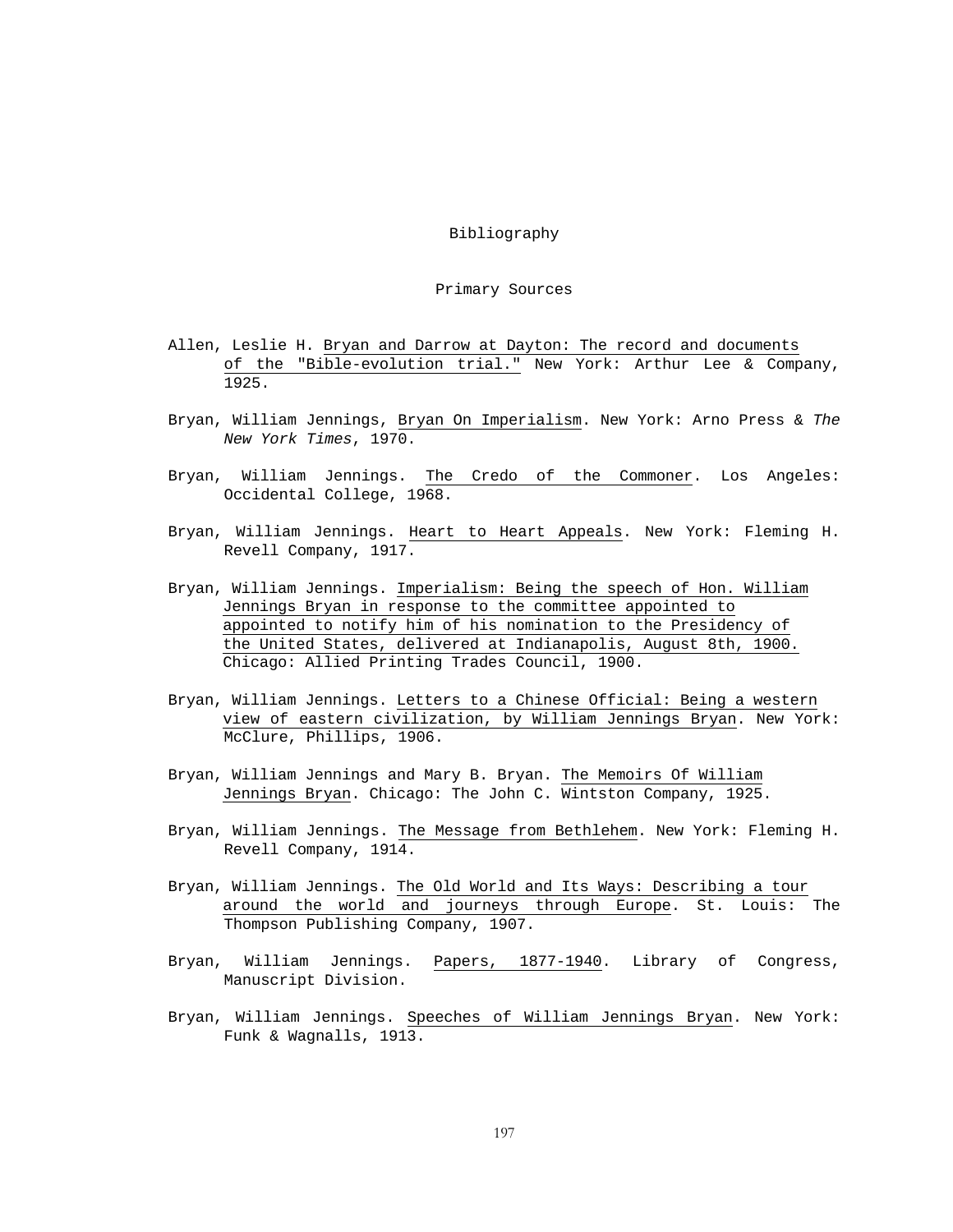## Bibliography

## Primary Sources

- Allen, Leslie H. Bryan and Darrow at Dayton: The record and documents of the "Bible-evolution trial." New York: Arthur Lee & Company, 1925.
- Bryan, William Jennings, Bryan On Imperialism. New York: Arno Press & *The New York Times*, 1970.
- Bryan, William Jennings. The Credo of the Commoner. Los Angeles: Occidental College, 1968.
- Bryan, William Jennings. Heart to Heart Appeals. New York: Fleming H. Revell Company, 1917.
- Bryan, William Jennings. Imperialism: Being the speech of Hon. William Jennings Bryan in response to the committee appointed to appointed to notify him of his nomination to the Presidency of the United States, delivered at Indianapolis, August 8th, 1900. Chicago: Allied Printing Trades Council, 1900.
- Bryan, William Jennings. Letters to a Chinese Official: Being a western view of eastern civilization, by William Jennings Bryan. New York: McClure, Phillips, 1906.
- Bryan, William Jennings and Mary B. Bryan. The Memoirs Of William Jennings Bryan. Chicago: The John C. Wintston Company, 1925.
- Bryan, William Jennings. The Message from Bethlehem. New York: Fleming H. Revell Company, 1914.
- Bryan, William Jennings. The Old World and Its Ways: Describing a tour around the world and journeys through Europe. St. Louis: The Thompson Publishing Company, 1907.
- Bryan, William Jennings. Papers, 1877-1940. Library of Congress, Manuscript Division.
- Bryan, William Jennings. Speeches of William Jennings Bryan. New York: Funk & Wagnalls, 1913.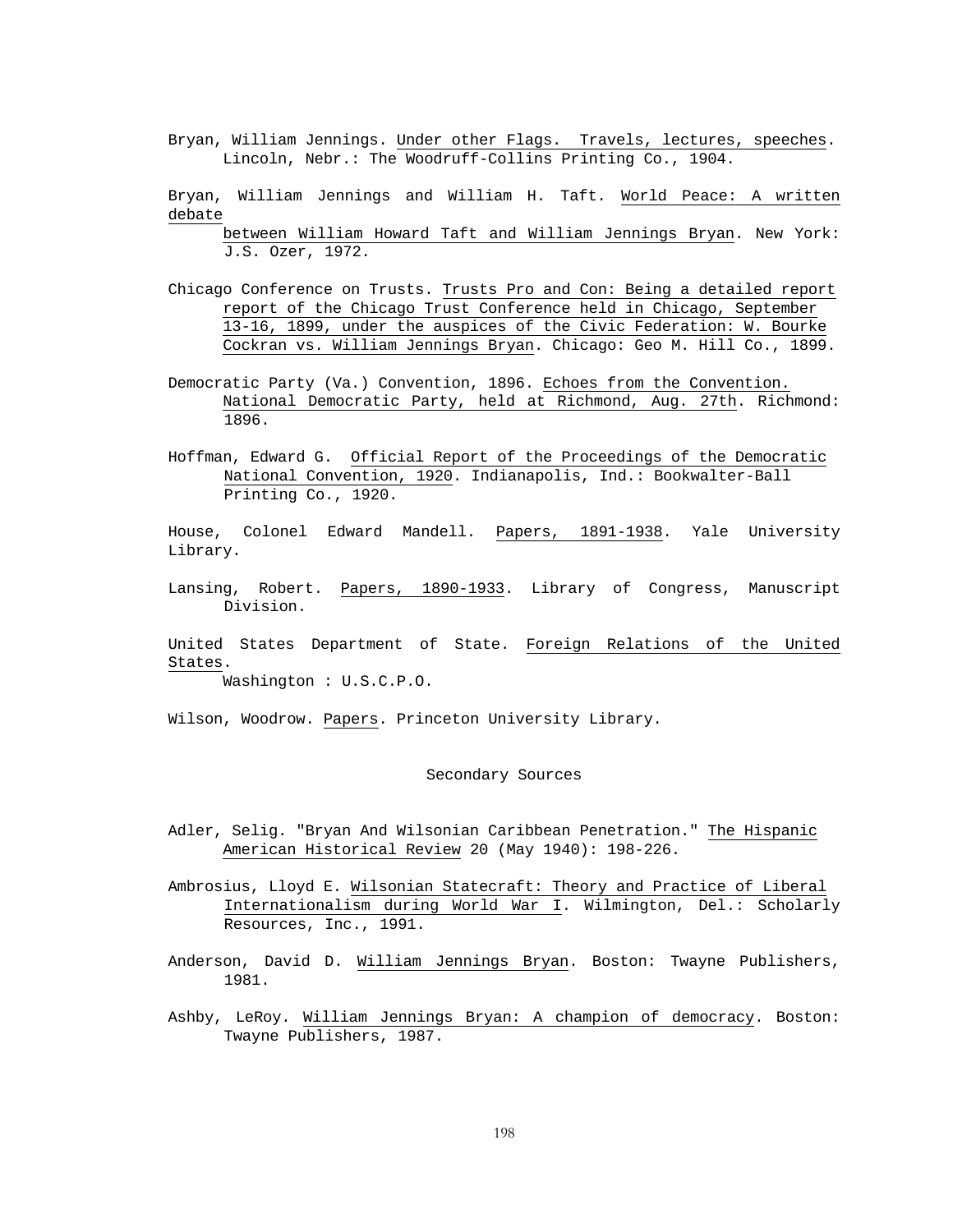Bryan, William Jennings. Under other Flags. Travels, lectures, speeches. Lincoln, Nebr.: The Woodruff-Collins Printing Co., 1904.

Bryan, William Jennings and William H. Taft. World Peace: A written debate

 between William Howard Taft and William Jennings Bryan. New York: J.S. Ozer, 1972.

- Chicago Conference on Trusts. Trusts Pro and Con: Being a detailed report report of the Chicago Trust Conference held in Chicago, September 13-16, 1899, under the auspices of the Civic Federation: W. Bourke Cockran vs. William Jennings Bryan. Chicago: Geo M. Hill Co., 1899.
- Democratic Party (Va.) Convention, 1896. Echoes from the Convention. National Democratic Party, held at Richmond, Aug. 27th. Richmond: 1896.
- Hoffman, Edward G. Official Report of the Proceedings of the Democratic National Convention, 1920. Indianapolis, Ind.: Bookwalter-Ball Printing Co., 1920.
- House, Colonel Edward Mandell. Papers, 1891-1938. Yale University Library.
- Lansing, Robert. Papers, 1890-1933. Library of Congress, Manuscript Division.
- United States Department of State. Foreign Relations of the United States.

Washington : U.S.C.P.O.

Wilson, Woodrow. Papers. Princeton University Library.

## Secondary Sources

- Adler, Selig. "Bryan And Wilsonian Caribbean Penetration." The Hispanic American Historical Review 20 (May 1940): 198-226.
- Ambrosius, Lloyd E. Wilsonian Statecraft: Theory and Practice of Liberal Internationalism during World War I. Wilmington, Del.: Scholarly Resources, Inc., 1991.
- Anderson, David D. William Jennings Bryan. Boston: Twayne Publishers, 1981.
- Ashby, LeRoy. William Jennings Bryan: A champion of democracy. Boston: Twayne Publishers, 1987.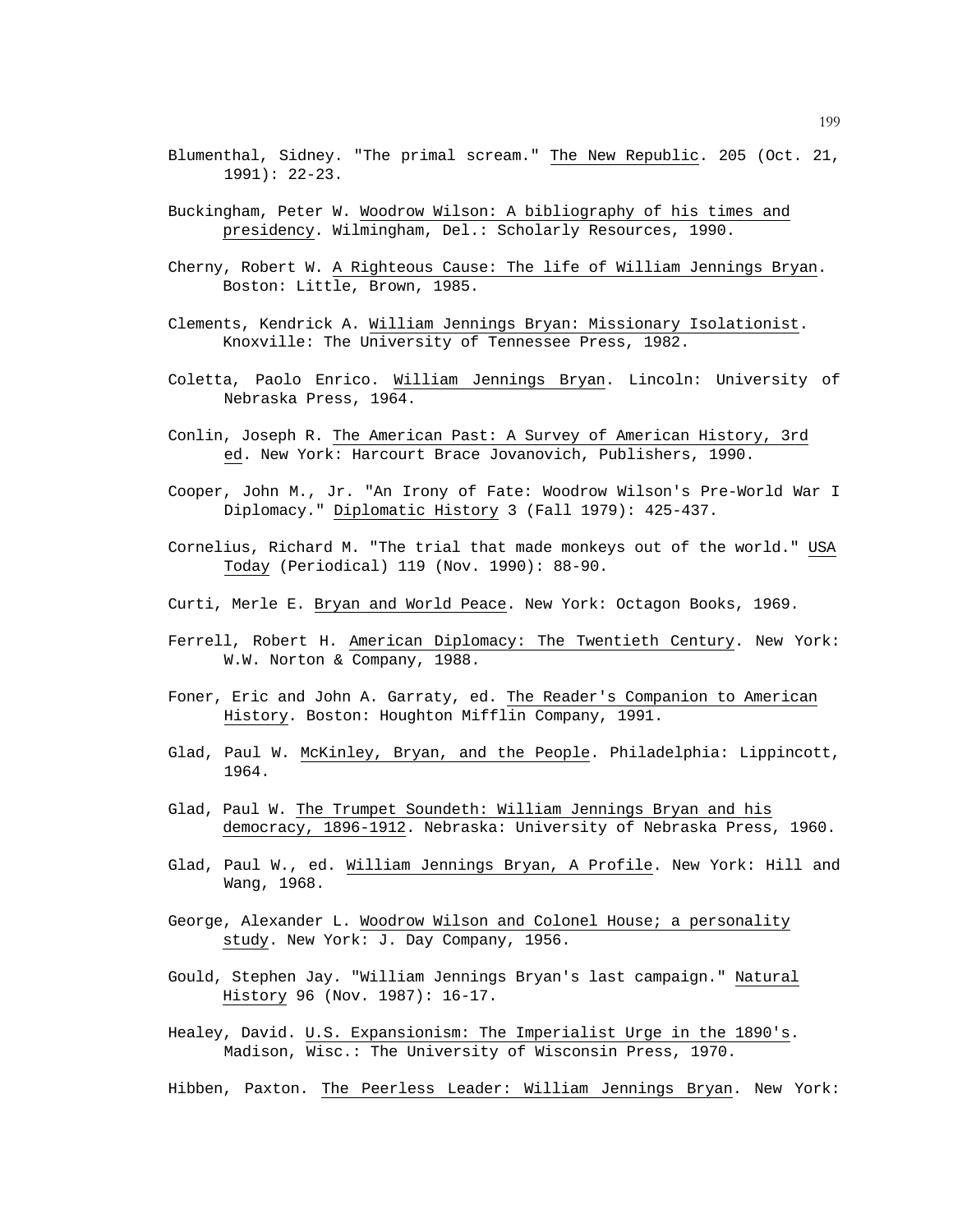- Blumenthal, Sidney. "The primal scream." The New Republic. 205 (Oct. 21, 1991): 22-23.
- Buckingham, Peter W. Woodrow Wilson: A bibliography of his times and presidency. Wilmingham, Del.: Scholarly Resources, 1990.
- Cherny, Robert W. A Righteous Cause: The life of William Jennings Bryan. Boston: Little, Brown, 1985.
- Clements, Kendrick A. William Jennings Bryan: Missionary Isolationist. Knoxville: The University of Tennessee Press, 1982.
- Coletta, Paolo Enrico. William Jennings Bryan. Lincoln: University of Nebraska Press, 1964.
- Conlin, Joseph R. The American Past: A Survey of American History, 3rd ed. New York: Harcourt Brace Jovanovich, Publishers, 1990.
- Cooper, John M., Jr. "An Irony of Fate: Woodrow Wilson's Pre-World War I Diplomacy." Diplomatic History 3 (Fall 1979): 425-437.
- Cornelius, Richard M. "The trial that made monkeys out of the world." USA Today (Periodical) 119 (Nov. 1990): 88-90.
- Curti, Merle E. Bryan and World Peace. New York: Octagon Books, 1969.
- Ferrell, Robert H. American Diplomacy: The Twentieth Century. New York: W.W. Norton & Company, 1988.
- Foner, Eric and John A. Garraty, ed. The Reader's Companion to American History. Boston: Houghton Mifflin Company, 1991.
- Glad, Paul W. McKinley, Bryan, and the People. Philadelphia: Lippincott, 1964.
- Glad, Paul W. The Trumpet Soundeth: William Jennings Bryan and his democracy, 1896-1912. Nebraska: University of Nebraska Press, 1960.
- Glad, Paul W., ed. William Jennings Bryan, A Profile. New York: Hill and Wang, 1968.
- George, Alexander L. Woodrow Wilson and Colonel House; a personality study. New York: J. Day Company, 1956.
- Gould, Stephen Jay. "William Jennings Bryan's last campaign." Natural History 96 (Nov. 1987): 16-17.
- Healey, David. U.S. Expansionism: The Imperialist Urge in the 1890's. Madison, Wisc.: The University of Wisconsin Press, 1970.

Hibben, Paxton. The Peerless Leader: William Jennings Bryan. New York: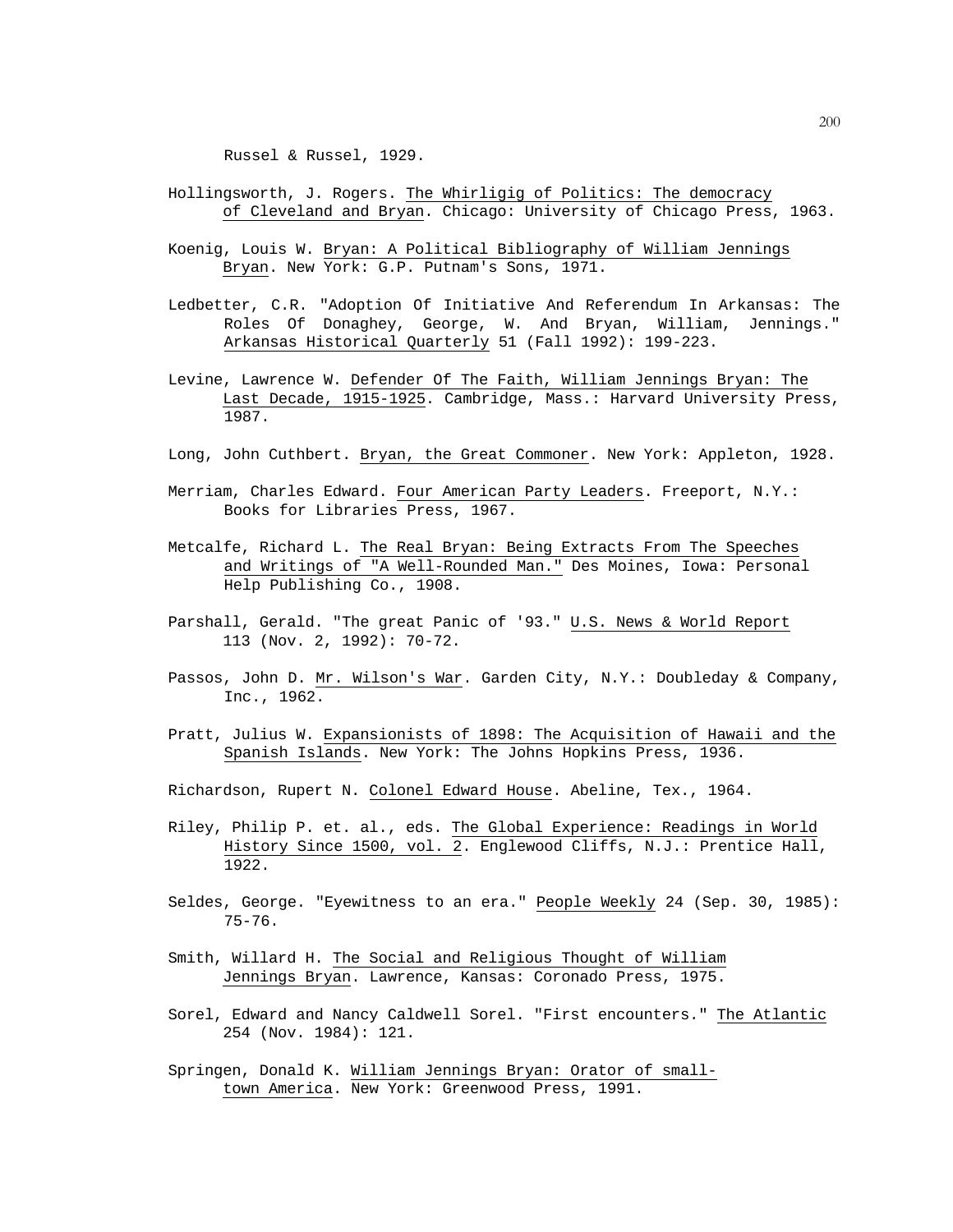Russel & Russel, 1929.

- Hollingsworth, J. Rogers. The Whirligig of Politics: The democracy of Cleveland and Bryan. Chicago: University of Chicago Press, 1963.
- Koenig, Louis W. Bryan: A Political Bibliography of William Jennings Bryan. New York: G.P. Putnam's Sons, 1971.
- Ledbetter, C.R. "Adoption Of Initiative And Referendum In Arkansas: The Roles Of Donaghey, George, W. And Bryan, William, Jennings." Arkansas Historical Quarterly 51 (Fall 1992): 199-223.
- Levine, Lawrence W. Defender Of The Faith, William Jennings Bryan: The Last Decade, 1915-1925. Cambridge, Mass.: Harvard University Press, 1987.
- Long, John Cuthbert. Bryan, the Great Commoner. New York: Appleton, 1928.
- Merriam, Charles Edward. Four American Party Leaders. Freeport, N.Y.: Books for Libraries Press, 1967.
- Metcalfe, Richard L. The Real Bryan: Being Extracts From The Speeches and Writings of "A Well-Rounded Man." Des Moines, Iowa: Personal Help Publishing Co., 1908.
- Parshall, Gerald. "The great Panic of '93." U.S. News & World Report 113 (Nov. 2, 1992): 70-72.
- Passos, John D. Mr. Wilson's War. Garden City, N.Y.: Doubleday & Company, Inc., 1962.
- Pratt, Julius W. Expansionists of 1898: The Acquisition of Hawaii and the Spanish Islands. New York: The Johns Hopkins Press, 1936.
- Richardson, Rupert N. Colonel Edward House. Abeline, Tex., 1964.
- Riley, Philip P. et. al., eds. The Global Experience: Readings in World History Since 1500, vol. 2. Englewood Cliffs, N.J.: Prentice Hall, 1922.
- Seldes, George. "Eyewitness to an era." People Weekly 24 (Sep. 30, 1985): 75-76.
- Smith, Willard H. The Social and Religious Thought of William Jennings Bryan. Lawrence, Kansas: Coronado Press, 1975.
- Sorel, Edward and Nancy Caldwell Sorel. "First encounters." The Atlantic 254 (Nov. 1984): 121.
- Springen, Donald K. William Jennings Bryan: Orator of small town America. New York: Greenwood Press, 1991.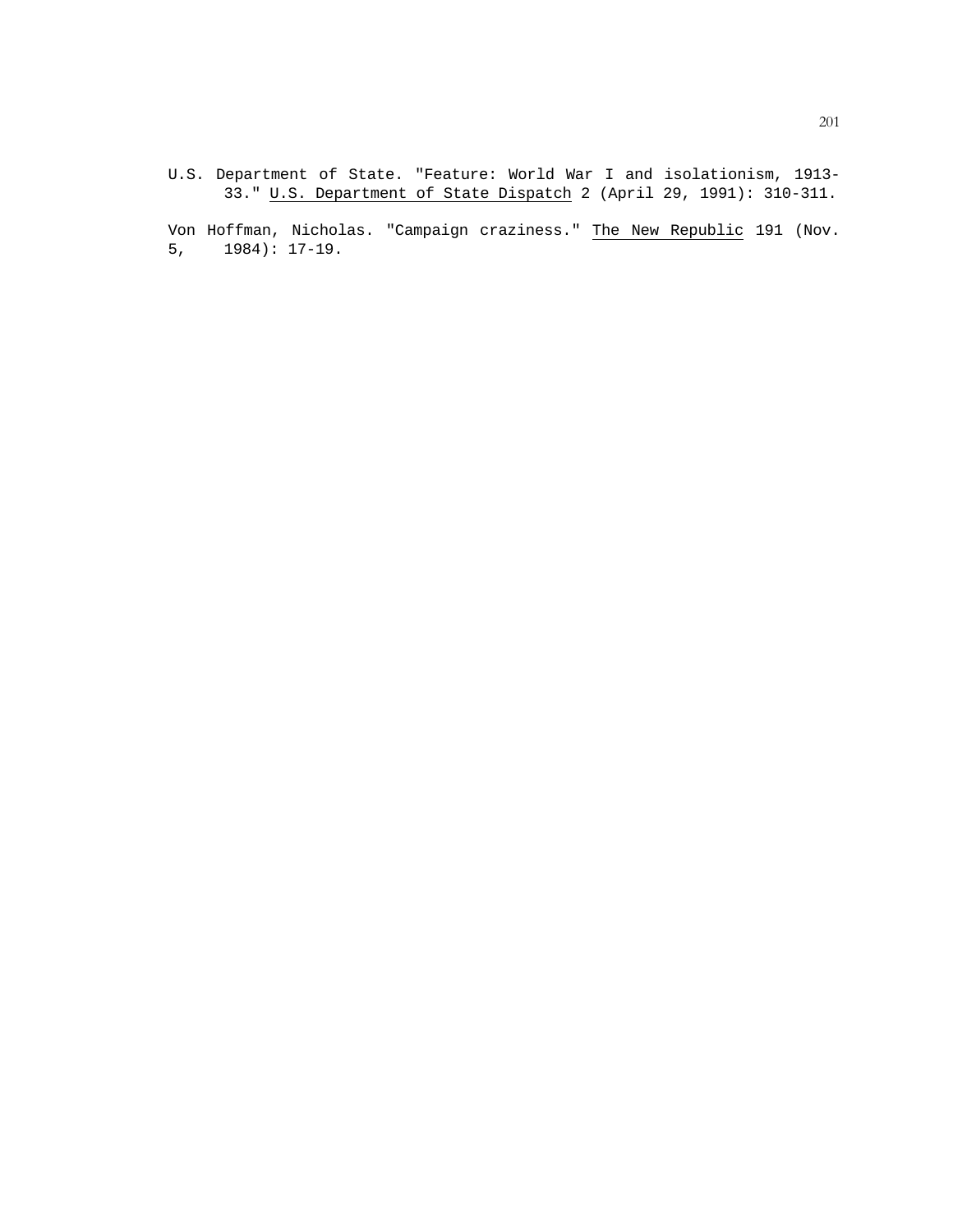U.S. Department of State. "Feature: World War I and isolationism, 1913- 33." U.S. Department of State Dispatch 2 (April 29, 1991): 310-311.

Von Hoffman, Nicholas. "Campaign craziness." The New Republic 191 (Nov. 5, 1984): 17-19.